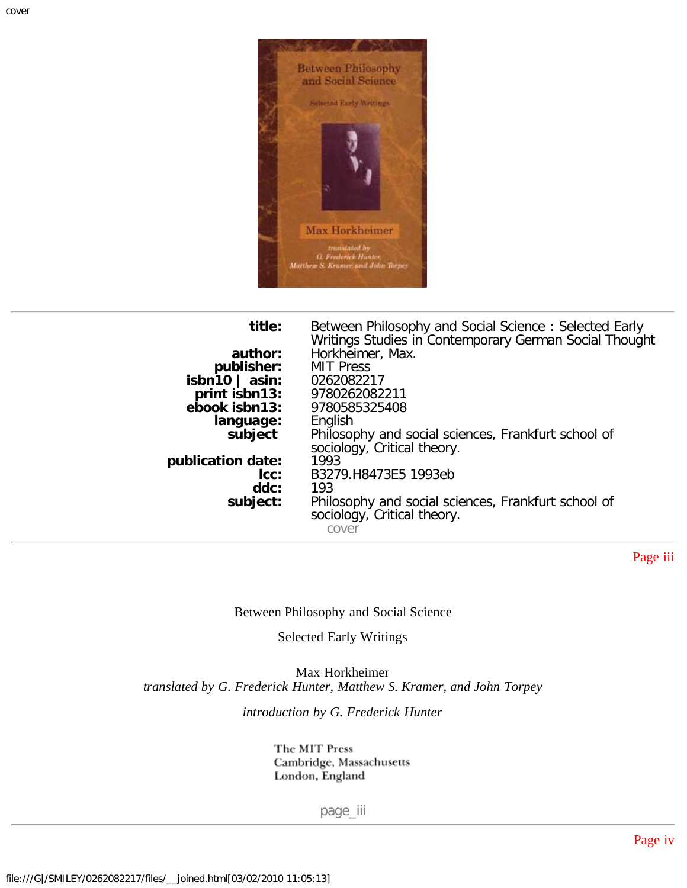

| Between Philosophy and Social Science: Selected Early<br>Writings Studies in Contemporary German Social Thought<br>Horkheimer, Max.<br><b>MIT Press</b><br>0262082217<br>9780262082211<br>9780585325408<br>English<br>Philosophy and social sciences, Frankfurt school of<br>sociology, Critical theory. |
|----------------------------------------------------------------------------------------------------------------------------------------------------------------------------------------------------------------------------------------------------------------------------------------------------------|
| 1993<br>B3279.H8473E5 1993eb<br>193<br>Philosophy and social sciences, Frankfurt school of<br>sociology, Critical theory.<br>cover                                                                                                                                                                       |
|                                                                                                                                                                                                                                                                                                          |

Page iii

Between Philosophy and Social Science

# Selected Early Writings

Max Horkheimer *translated by G. Frederick Hunter, Matthew S. Kramer, and John Torpey*

*introduction by G. Frederick Hunter*

The MIT Press Cambridge, Massachusetts London, England

page\_iii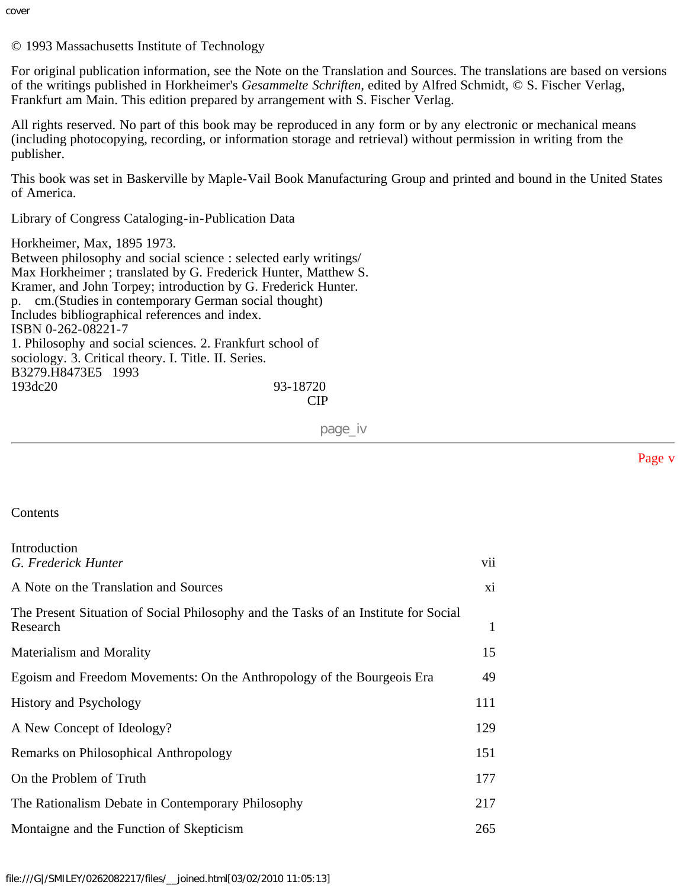# © 1993 Massachusetts Institute of Technology

For original publication information, see the Note on the Translation and Sources. The translations are based on versions of the writings published in Horkheimer's *Gesammelte Schriften,* edited by Alfred Schmidt, © S. Fischer Verlag, Frankfurt am Main. This edition prepared by arrangement with S. Fischer Verlag.

All rights reserved. No part of this book may be reproduced in any form or by any electronic or mechanical means (including photocopying, recording, or information storage and retrieval) without permission in writing from the publisher.

This book was set in Baskerville by Maple-Vail Book Manufacturing Group and printed and bound in the United States of America.

Library of Congress Cataloging-in-Publication Data

Horkheimer, Max, 1895 1973. Between philosophy and social science : selected early writings/ Max Horkheimer ; translated by G. Frederick Hunter, Matthew S. Kramer, and John Torpey; introduction by G. Frederick Hunter. p. cm.(Studies in contemporary German social thought) Includes bibliographical references and index. ISBN 0-262-08221-7 1. Philosophy and social sciences. 2. Frankfurt school of sociology. 3. Critical theory. I. Title. II. Series. B3279.H8473E5 1993 193dc20 93-18720 **CIP** 

page\_iv

Contents

| Introduction<br>G. Frederick Hunter                                                             | vii |
|-------------------------------------------------------------------------------------------------|-----|
| A Note on the Translation and Sources                                                           | xi  |
| The Present Situation of Social Philosophy and the Tasks of an Institute for Social<br>Research | 1   |
| Materialism and Morality                                                                        | 15  |
| Egoism and Freedom Movements: On the Anthropology of the Bourgeois Era                          | 49  |
| <b>History and Psychology</b>                                                                   | 111 |
| A New Concept of Ideology?                                                                      | 129 |
| Remarks on Philosophical Anthropology                                                           | 151 |
| On the Problem of Truth                                                                         | 177 |
| The Rationalism Debate in Contemporary Philosophy                                               | 217 |
| Montaigne and the Function of Skepticism                                                        | 265 |

Page v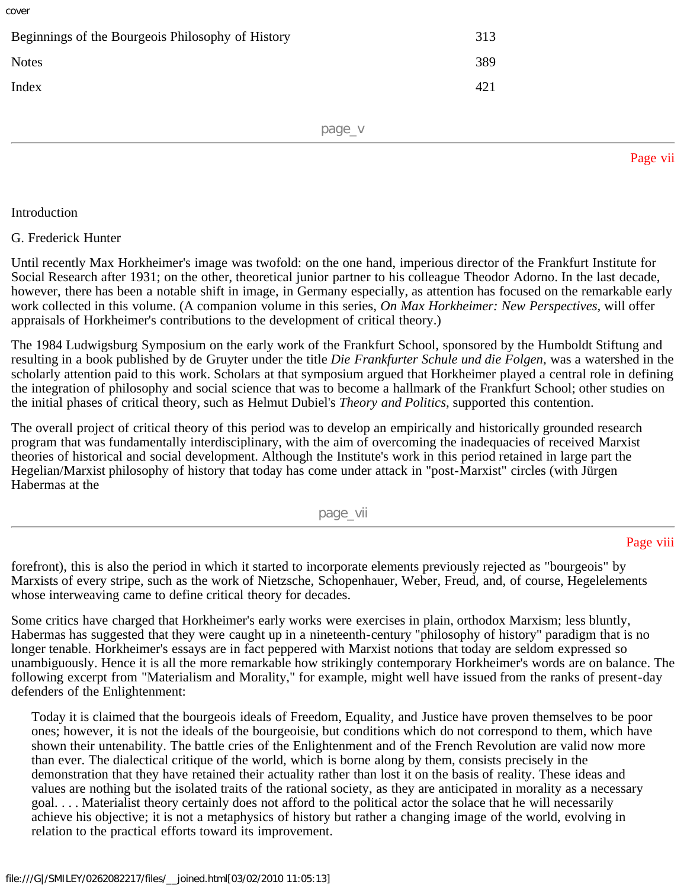| cover                                             |     |
|---------------------------------------------------|-----|
| Beginnings of the Bourgeois Philosophy of History | 313 |
| <b>Notes</b>                                      | 389 |
| Index                                             | 421 |
|                                                   |     |

Introduction

G. Frederick Hunter

Until recently Max Horkheimer's image was twofold: on the one hand, imperious director of the Frankfurt Institute for Social Research after 1931; on the other, theoretical junior partner to his colleague Theodor Adorno. In the last decade, however, there has been a notable shift in image, in Germany especially, as attention has focused on the remarkable early work collected in this volume. (A companion volume in this series, *On Max Horkheimer: New Perspectives,* will offer appraisals of Horkheimer's contributions to the development of critical theory.)

The 1984 Ludwigsburg Symposium on the early work of the Frankfurt School, sponsored by the Humboldt Stiftung and resulting in a book published by de Gruyter under the title *Die Frankfurter Schule und die Folgen,* was a watershed in the scholarly attention paid to this work. Scholars at that symposium argued that Horkheimer played a central role in defining the integration of philosophy and social science that was to become a hallmark of the Frankfurt School; other studies on the initial phases of critical theory, such as Helmut Dubiel's *Theory and Politics,* supported this contention.

The overall project of critical theory of this period was to develop an empirically and historically grounded research program that was fundamentally interdisciplinary, with the aim of overcoming the inadequacies of received Marxist theories of historical and social development. Although the Institute's work in this period retained in large part the Hegelian/Marxist philosophy of history that today has come under attack in "post-Marxist" circles (with Jürgen Habermas at the

page\_vii

# Page viii

forefront), this is also the period in which it started to incorporate elements previously rejected as "bourgeois" by Marxists of every stripe, such as the work of Nietzsche, Schopenhauer, Weber, Freud, and, of course, Hegelelements whose interweaving came to define critical theory for decades.

Some critics have charged that Horkheimer's early works were exercises in plain, orthodox Marxism; less bluntly, Habermas has suggested that they were caught up in a nineteenth-century "philosophy of history" paradigm that is no longer tenable. Horkheimer's essays are in fact peppered with Marxist notions that today are seldom expressed so unambiguously. Hence it is all the more remarkable how strikingly contemporary Horkheimer's words are on balance. The following excerpt from "Materialism and Morality," for example, might well have issued from the ranks of present-day defenders of the Enlightenment:

Today it is claimed that the bourgeois ideals of Freedom, Equality, and Justice have proven themselves to be poor ones; however, it is not the ideals of the bourgeoisie, but conditions which do not correspond to them, which have shown their untenability. The battle cries of the Enlightenment and of the French Revolution are valid now more than ever. The dialectical critique of the world, which is borne along by them, consists precisely in the demonstration that they have retained their actuality rather than lost it on the basis of reality. These ideas and values are nothing but the isolated traits of the rational society, as they are anticipated in morality as a necessary goal. . . . Materialist theory certainly does not afford to the political actor the solace that he will necessarily achieve his objective; it is not a metaphysics of history but rather a changing image of the world, evolving in relation to the practical efforts toward its improvement.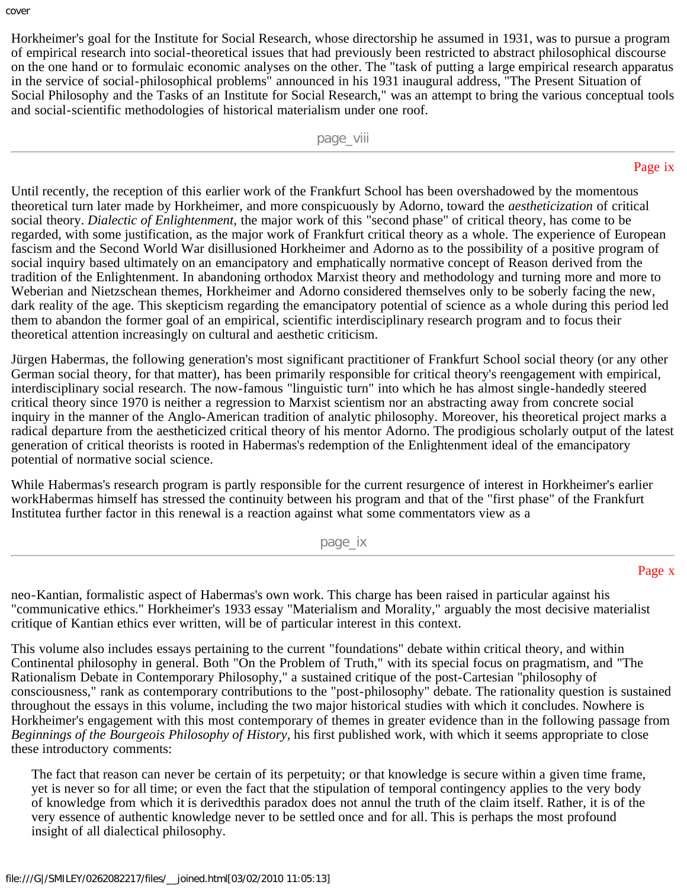Horkheimer's goal for the Institute for Social Research, whose directorship he assumed in 1931, was to pursue a program of empirical research into social-theoretical issues that had previously been restricted to abstract philosophical discourse on the one hand or to formulaic economic analyses on the other. The "task of putting a large empirical research apparatus in the service of social-philosophical problems" announced in his 1931 inaugural address, "The Present Situation of Social Philosophy and the Tasks of an Institute for Social Research," was an attempt to bring the various conceptual tools and social-scientific methodologies of historical materialism under one roof.

# Page ix

Until recently, the reception of this earlier work of the Frankfurt School has been overshadowed by the momentous theoretical turn later made by Horkheimer, and more conspicuously by Adorno, toward the *aestheticization* of critical social theory. *Dialectic of Enlightenment,* the major work of this "second phase" of critical theory, has come to be regarded, with some justification, as the major work of Frankfurt critical theory as a whole. The experience of European fascism and the Second World War disillusioned Horkheimer and Adorno as to the possibility of a positive program of social inquiry based ultimately on an emancipatory and emphatically normative concept of Reason derived from the tradition of the Enlightenment. In abandoning orthodox Marxist theory and methodology and turning more and more to Weberian and Nietzschean themes, Horkheimer and Adorno considered themselves only to be soberly facing the new, dark reality of the age. This skepticism regarding the emancipatory potential of science as a whole during this period led them to abandon the former goal of an empirical, scientific interdisciplinary research program and to focus their theoretical attention increasingly on cultural and aesthetic criticism.

Jürgen Habermas, the following generation's most significant practitioner of Frankfurt School social theory (or any other German social theory, for that matter), has been primarily responsible for critical theory's reengagement with empirical, interdisciplinary social research. The now-famous "linguistic turn" into which he has almost single-handedly steered critical theory since 1970 is neither a regression to Marxist scientism nor an abstracting away from concrete social inquiry in the manner of the Anglo-American tradition of analytic philosophy. Moreover, his theoretical project marks a radical departure from the aestheticized critical theory of his mentor Adorno. The prodigious scholarly output of the latest generation of critical theorists is rooted in Habermas's redemption of the Enlightenment ideal of the emancipatory potential of normative social science.

While Habermas's research program is partly responsible for the current resurgence of interest in Horkheimer's earlier workHabermas himself has stressed the continuity between his program and that of the "first phase" of the Frankfurt Institutea further factor in this renewal is a reaction against what some commentators view as a

page\_ix

Page x

neo-Kantian, formalistic aspect of Habermas's own work. This charge has been raised in particular against his "communicative ethics." Horkheimer's 1933 essay "Materialism and Morality," arguably the most decisive materialist critique of Kantian ethics ever written, will be of particular interest in this context.

This volume also includes essays pertaining to the current "foundations" debate within critical theory, and within Continental philosophy in general. Both "On the Problem of Truth," with its special focus on pragmatism, and "The Rationalism Debate in Contemporary Philosophy," a sustained critique of the post-Cartesian ''philosophy of consciousness," rank as contemporary contributions to the "post-philosophy" debate. The rationality question is sustained throughout the essays in this volume, including the two major historical studies with which it concludes. Nowhere is Horkheimer's engagement with this most contemporary of themes in greater evidence than in the following passage from *Beginnings of the Bourgeois Philosophy of History,* his first published work, with which it seems appropriate to close these introductory comments:

The fact that reason can never be certain of its perpetuity; or that knowledge is secure within a given time frame, yet is never so for all time; or even the fact that the stipulation of temporal contingency applies to the very body of knowledge from which it is derivedthis paradox does not annul the truth of the claim itself. Rather, it is of the very essence of authentic knowledge never to be settled once and for all. This is perhaps the most profound insight of all dialectical philosophy.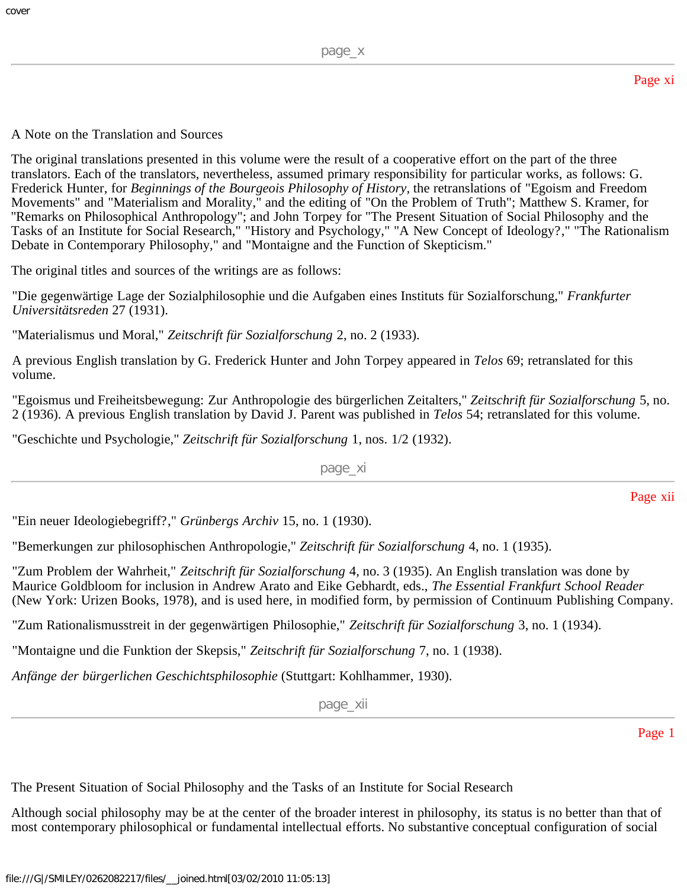Page xi

A Note on the Translation and Sources

The original translations presented in this volume were the result of a cooperative effort on the part of the three translators. Each of the translators, nevertheless, assumed primary responsibility for particular works, as follows: G. Frederick Hunter, for *Beginnings of the Bourgeois Philosophy of History,* the retranslations of "Egoism and Freedom Movements" and "Materialism and Morality," and the editing of "On the Problem of Truth"; Matthew S. Kramer, for "Remarks on Philosophical Anthropology"; and John Torpey for "The Present Situation of Social Philosophy and the Tasks of an Institute for Social Research," "History and Psychology," "A New Concept of Ideology?," "The Rationalism Debate in Contemporary Philosophy," and "Montaigne and the Function of Skepticism."

The original titles and sources of the writings are as follows:

"Die gegenwärtige Lage der Sozialphilosophie und die Aufgaben eines Instituts für Sozialforschung," *Frankfurter Universitätsreden* 27 (1931).

"Materialismus und Moral," *Zeitschrift für Sozialforschung* 2, no. 2 (1933).

A previous English translation by G. Frederick Hunter and John Torpey appeared in *Telos* 69; retranslated for this volume.

"Egoismus und Freiheitsbewegung: Zur Anthropologie des bürgerlichen Zeitalters," *Zeitschrift für Sozialforschung* 5, no. 2 (1936). A previous English translation by David J. Parent was published in *Telos* 54; retranslated for this volume.

"Geschichte und Psychologie," *Zeitschrift für Sozialforschung* 1, nos. 1/2 (1932).

page\_xi

"Ein neuer Ideologiebegriff?," *Grünbergs Archiv* 15, no. 1 (1930).

"Bemerkungen zur philosophischen Anthropologie," *Zeitschrift für Sozialforschung* 4, no. 1 (1935).

"Zum Problem der Wahrheit," *Zeitschrift für Sozialforschung* 4, no. 3 (1935). An English translation was done by Maurice Goldbloom for inclusion in Andrew Arato and Eike Gebhardt, eds., *The Essential Frankfurt School Reader* (New York: Urizen Books, 1978), and is used here, in modified form, by permission of Continuum Publishing Company.

"Zum Rationalismusstreit in der gegenwärtigen Philosophie," *Zeitschrift für Sozialforschung* 3, no. 1 (1934).

"Montaigne und die Funktion der Skepsis," *Zeitschrift für Sozialforschung* 7, no. 1 (1938).

*Anfänge der bürgerlichen Geschichtsphilosophie* (Stuttgart: Kohlhammer, 1930).

page\_xii

Page 1

The Present Situation of Social Philosophy and the Tasks of an Institute for Social Research

Although social philosophy may be at the center of the broader interest in philosophy, its status is no better than that of most contemporary philosophical or fundamental intellectual efforts. No substantive conceptual configuration of social

Page xii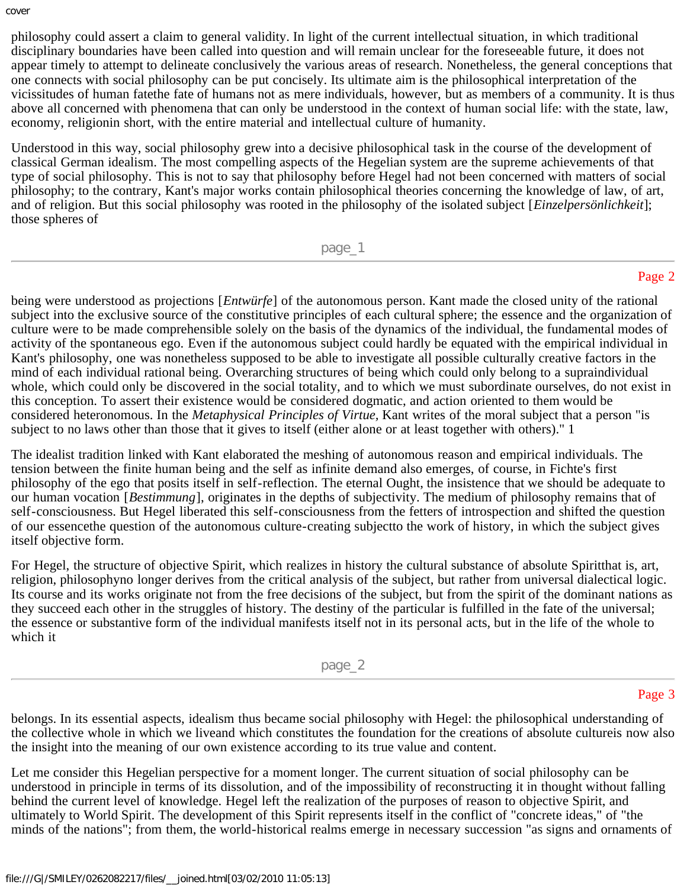philosophy could assert a claim to general validity. In light of the current intellectual situation, in which traditional disciplinary boundaries have been called into question and will remain unclear for the foreseeable future, it does not appear timely to attempt to delineate conclusively the various areas of research. Nonetheless, the general conceptions that one connects with social philosophy can be put concisely. Its ultimate aim is the philosophical interpretation of the vicissitudes of human fatethe fate of humans not as mere individuals, however, but as members of a community. It is thus above all concerned with phenomena that can only be understood in the context of human social life: with the state, law, economy, religionin short, with the entire material and intellectual culture of humanity.

Understood in this way, social philosophy grew into a decisive philosophical task in the course of the development of classical German idealism. The most compelling aspects of the Hegelian system are the supreme achievements of that type of social philosophy. This is not to say that philosophy before Hegel had not been concerned with matters of social philosophy; to the contrary, Kant's major works contain philosophical theories concerning the knowledge of law, of art, and of religion. But this social philosophy was rooted in the philosophy of the isolated subject [*Einzelpersönlichkeit*]; those spheres of

page\_1

# Page 2

being were understood as projections [*Entwürfe*] of the autonomous person. Kant made the closed unity of the rational subject into the exclusive source of the constitutive principles of each cultural sphere; the essence and the organization of culture were to be made comprehensible solely on the basis of the dynamics of the individual, the fundamental modes of activity of the spontaneous ego. Even if the autonomous subject could hardly be equated with the empirical individual in Kant's philosophy, one was nonetheless supposed to be able to investigate all possible culturally creative factors in the mind of each individual rational being. Overarching structures of being which could only belong to a supraindividual whole, which could only be discovered in the social totality, and to which we must subordinate ourselves, do not exist in this conception. To assert their existence would be considered dogmatic, and action oriented to them would be considered heteronomous. In the *Metaphysical Principles of Virtue,* Kant writes of the moral subject that a person "is subject to no laws other than those that it gives to itself (either alone or at least together with others)." 1

The idealist tradition linked with Kant elaborated the meshing of autonomous reason and empirical individuals. The tension between the finite human being and the self as infinite demand also emerges, of course, in Fichte's first philosophy of the ego that posits itself in self-reflection. The eternal Ought, the insistence that we should be adequate to our human vocation [*Bestimmung*], originates in the depths of subjectivity. The medium of philosophy remains that of self-consciousness. But Hegel liberated this self-consciousness from the fetters of introspection and shifted the question of our essencethe question of the autonomous culture-creating subjectto the work of history, in which the subject gives itself objective form.

For Hegel, the structure of objective Spirit, which realizes in history the cultural substance of absolute Spiritthat is, art, religion, philosophyno longer derives from the critical analysis of the subject, but rather from universal dialectical logic. Its course and its works originate not from the free decisions of the subject, but from the spirit of the dominant nations as they succeed each other in the struggles of history. The destiny of the particular is fulfilled in the fate of the universal; the essence or substantive form of the individual manifests itself not in its personal acts, but in the life of the whole to which it

page\_2

Page 3

belongs. In its essential aspects, idealism thus became social philosophy with Hegel: the philosophical understanding of the collective whole in which we liveand which constitutes the foundation for the creations of absolute cultureis now also the insight into the meaning of our own existence according to its true value and content.

Let me consider this Hegelian perspective for a moment longer. The current situation of social philosophy can be understood in principle in terms of its dissolution, and of the impossibility of reconstructing it in thought without falling behind the current level of knowledge. Hegel left the realization of the purposes of reason to objective Spirit, and ultimately to World Spirit. The development of this Spirit represents itself in the conflict of "concrete ideas," of "the minds of the nations"; from them, the world-historical realms emerge in necessary succession "as signs and ornaments of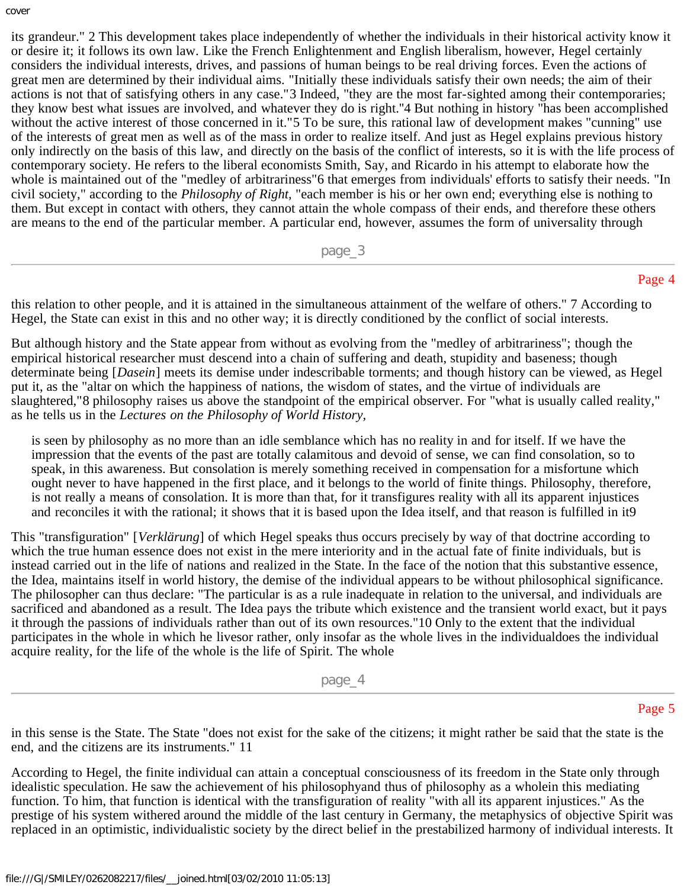its grandeur." 2 This development takes place independently of whether the individuals in their historical activity know it or desire it; it follows its own law. Like the French Enlightenment and English liberalism, however, Hegel certainly considers the individual interests, drives, and passions of human beings to be real driving forces. Even the actions of great men are determined by their individual aims. "Initially these individuals satisfy their own needs; the aim of their actions is not that of satisfying others in any case."3 Indeed, "they are the most far-sighted among their contemporaries; they know best what issues are involved, and whatever they do is right.''4 But nothing in history "has been accomplished without the active interest of those concerned in it."5 To be sure, this rational law of development makes "cunning" use of the interests of great men as well as of the mass in order to realize itself. And just as Hegel explains previous history only indirectly on the basis of this law, and directly on the basis of the conflict of interests, so it is with the life process of contemporary society. He refers to the liberal economists Smith, Say, and Ricardo in his attempt to elaborate how the whole is maintained out of the "medley of arbitrariness"6 that emerges from individuals' efforts to satisfy their needs. "In civil society," according to the *Philosophy of Right,* "each member is his or her own end; everything else is nothing to them. But except in contact with others, they cannot attain the whole compass of their ends, and therefore these others are means to the end of the particular member. A particular end, however, assumes the form of universality through

page\_3

#### Page 4

this relation to other people, and it is attained in the simultaneous attainment of the welfare of others." 7 According to Hegel, the State can exist in this and no other way; it is directly conditioned by the conflict of social interests.

But although history and the State appear from without as evolving from the "medley of arbitrariness"; though the empirical historical researcher must descend into a chain of suffering and death, stupidity and baseness; though determinate being [*Dasein*] meets its demise under indescribable torments; and though history can be viewed, as Hegel put it, as the "altar on which the happiness of nations, the wisdom of states, and the virtue of individuals are slaughtered,"8 philosophy raises us above the standpoint of the empirical observer. For "what is usually called reality," as he tells us in the *Lectures on the Philosophy of World History,*

is seen by philosophy as no more than an idle semblance which has no reality in and for itself. If we have the impression that the events of the past are totally calamitous and devoid of sense, we can find consolation, so to speak, in this awareness. But consolation is merely something received in compensation for a misfortune which ought never to have happened in the first place, and it belongs to the world of finite things. Philosophy, therefore, is not really a means of consolation. It is more than that, for it transfigures reality with all its apparent injustices and reconciles it with the rational; it shows that it is based upon the Idea itself, and that reason is fulfilled in it9

This "transfiguration" [*Verklärung*] of which Hegel speaks thus occurs precisely by way of that doctrine according to which the true human essence does not exist in the mere interiority and in the actual fate of finite individuals, but is instead carried out in the life of nations and realized in the State. In the face of the notion that this substantive essence, the Idea, maintains itself in world history, the demise of the individual appears to be without philosophical significance. The philosopher can thus declare: "The particular is as a rule inadequate in relation to the universal, and individuals are sacrificed and abandoned as a result. The Idea pays the tribute which existence and the transient world exact, but it pays it through the passions of individuals rather than out of its own resources."10 Only to the extent that the individual participates in the whole in which he livesor rather, only insofar as the whole lives in the individualdoes the individual acquire reality, for the life of the whole is the life of Spirit. The whole

page\_4

#### Page 5

in this sense is the State. The State "does not exist for the sake of the citizens; it might rather be said that the state is the end, and the citizens are its instruments." 11

According to Hegel, the finite individual can attain a conceptual consciousness of its freedom in the State only through idealistic speculation. He saw the achievement of his philosophyand thus of philosophy as a wholein this mediating function. To him, that function is identical with the transfiguration of reality "with all its apparent injustices." As the prestige of his system withered around the middle of the last century in Germany, the metaphysics of objective Spirit was replaced in an optimistic, individualistic society by the direct belief in the prestabilized harmony of individual interests. It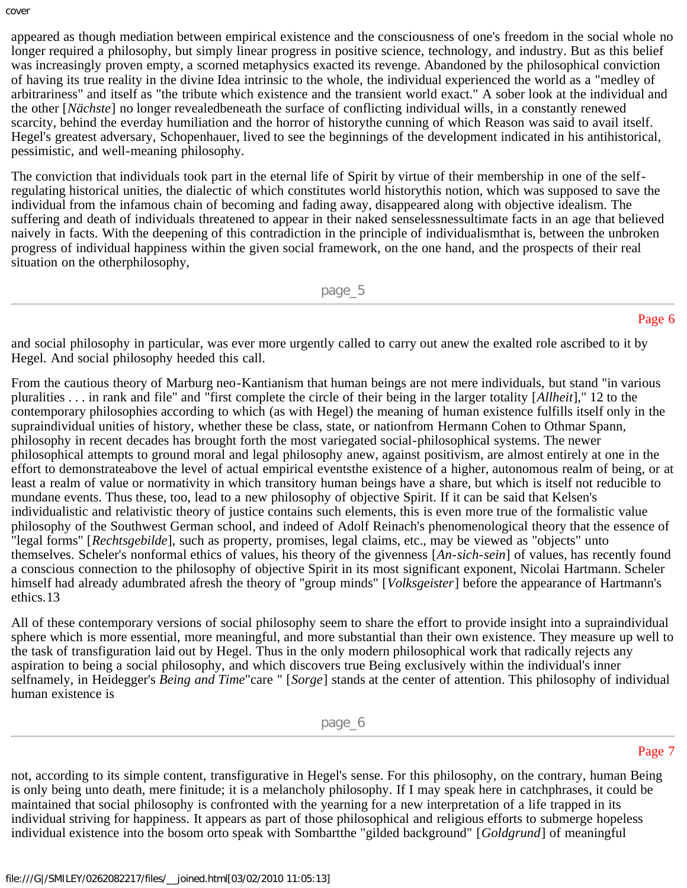appeared as though mediation between empirical existence and the consciousness of one's freedom in the social whole no longer required a philosophy, but simply linear progress in positive science, technology, and industry. But as this belief was increasingly proven empty, a scorned metaphysics exacted its revenge. Abandoned by the philosophical conviction of having its true reality in the divine Idea intrinsic to the whole, the individual experienced the world as a "medley of arbitrariness" and itself as "the tribute which existence and the transient world exact." A sober look at the individual and the other [*Nächste*] no longer revealedbeneath the surface of conflicting individual wills, in a constantly renewed scarcity, behind the everday humiliation and the horror of historythe cunning of which Reason was said to avail itself. Hegel's greatest adversary, Schopenhauer, lived to see the beginnings of the development indicated in his antihistorical, pessimistic, and well-meaning philosophy.

The conviction that individuals took part in the eternal life of Spirit by virtue of their membership in one of the selfregulating historical unities, the dialectic of which constitutes world historythis notion, which was supposed to save the individual from the infamous chain of becoming and fading away, disappeared along with objective idealism. The suffering and death of individuals threatened to appear in their naked senselessnessultimate facts in an age that believed naively in facts. With the deepening of this contradiction in the principle of individualismthat is, between the unbroken progress of individual happiness within the given social framework, on the one hand, and the prospects of their real situation on the otherphilosophy,

page\_5

Page 6

and social philosophy in particular, was ever more urgently called to carry out anew the exalted role ascribed to it by Hegel. And social philosophy heeded this call.

From the cautious theory of Marburg neo-Kantianism that human beings are not mere individuals, but stand "in various pluralities . . . in rank and file" and "first complete the circle of their being in the larger totality [*Allheit*]," 12 to the contemporary philosophies according to which (as with Hegel) the meaning of human existence fulfills itself only in the supraindividual unities of history, whether these be class, state, or nationfrom Hermann Cohen to Othmar Spann, philosophy in recent decades has brought forth the most variegated social-philosophical systems. The newer philosophical attempts to ground moral and legal philosophy anew, against positivism, are almost entirely at one in the effort to demonstrateabove the level of actual empirical eventsthe existence of a higher, autonomous realm of being, or at least a realm of value or normativity in which transitory human beings have a share, but which is itself not reducible to mundane events. Thus these, too, lead to a new philosophy of objective Spirit. If it can be said that Kelsen's individualistic and relativistic theory of justice contains such elements, this is even more true of the formalistic value philosophy of the Southwest German school, and indeed of Adolf Reinach's phenomenological theory that the essence of "legal forms" [*Rechtsgebilde*], such as property, promises, legal claims, etc., may be viewed as "objects" unto themselves. Scheler's nonformal ethics of values, his theory of the givenness [*An-sich-sein*] of values, has recently found a conscious connection to the philosophy of objective Spirit in its most significant exponent, Nicolai Hartmann. Scheler himself had already adumbrated afresh the theory of ''group minds" [*Volksgeister*] before the appearance of Hartmann's ethics.13

All of these contemporary versions of social philosophy seem to share the effort to provide insight into a supraindividual sphere which is more essential, more meaningful, and more substantial than their own existence. They measure up well to the task of transfiguration laid out by Hegel. Thus in the only modern philosophical work that radically rejects any aspiration to being a social philosophy, and which discovers true Being exclusively within the individual's inner selfnamely, in Heidegger's *Being and Time*"care " [*Sorge*] stands at the center of attention. This philosophy of individual human existence is

page\_6

# Page 7

not, according to its simple content, transfigurative in Hegel's sense. For this philosophy, on the contrary, human Being is only being unto death, mere finitude; it is a melancholy philosophy. If I may speak here in catchphrases, it could be maintained that social philosophy is confronted with the yearning for a new interpretation of a life trapped in its individual striving for happiness. It appears as part of those philosophical and religious efforts to submerge hopeless individual existence into the bosom orto speak with Sombartthe "gilded background" [*Goldgrund*] of meaningful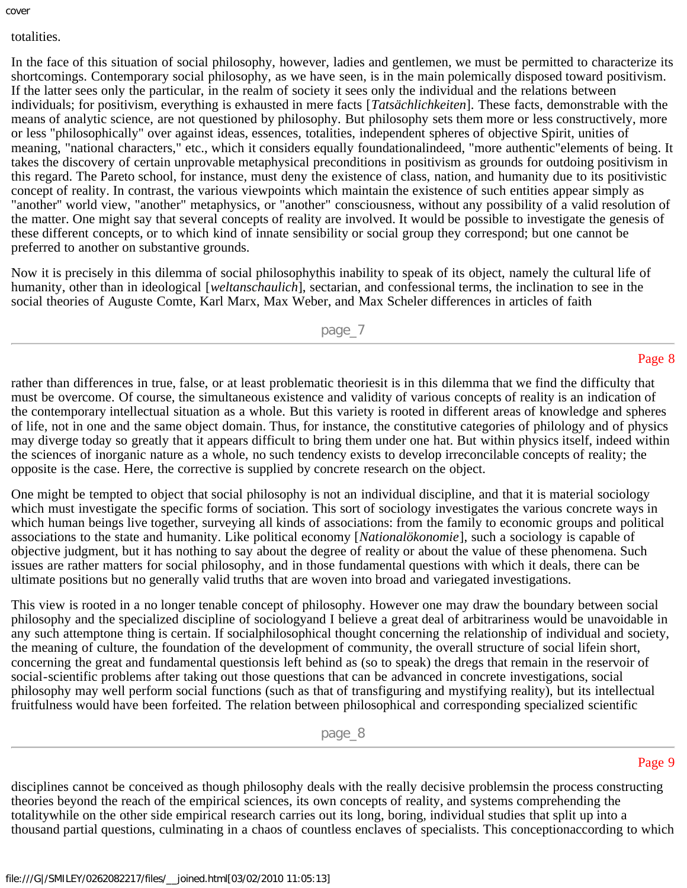# totalities.

In the face of this situation of social philosophy, however, ladies and gentlemen, we must be permitted to characterize its shortcomings. Contemporary social philosophy, as we have seen, is in the main polemically disposed toward positivism. If the latter sees only the particular, in the realm of society it sees only the individual and the relations between individuals; for positivism, everything is exhausted in mere facts [*Tatsächlichkeiten*]. These facts, demonstrable with the means of analytic science, are not questioned by philosophy. But philosophy sets them more or less constructively, more or less "philosophically" over against ideas, essences, totalities, independent spheres of objective Spirit, unities of meaning, "national characters," etc., which it considers equally foundationalindeed, "more authentic"elements of being. It takes the discovery of certain unprovable metaphysical preconditions in positivism as grounds for outdoing positivism in this regard. The Pareto school, for instance, must deny the existence of class, nation, and humanity due to its positivistic concept of reality. In contrast, the various viewpoints which maintain the existence of such entities appear simply as "another'' world view, "another" metaphysics, or "another" consciousness, without any possibility of a valid resolution of the matter. One might say that several concepts of reality are involved. It would be possible to investigate the genesis of these different concepts, or to which kind of innate sensibility or social group they correspond; but one cannot be preferred to another on substantive grounds.

Now it is precisely in this dilemma of social philosophythis inability to speak of its object, namely the cultural life of humanity, other than in ideological [*weltanschaulich*], sectarian, and confessional terms, the inclination to see in the social theories of Auguste Comte, Karl Marx, Max Weber, and Max Scheler differences in articles of faith

page\_7

# Page 8

rather than differences in true, false, or at least problematic theoriesit is in this dilemma that we find the difficulty that must be overcome. Of course, the simultaneous existence and validity of various concepts of reality is an indication of the contemporary intellectual situation as a whole. But this variety is rooted in different areas of knowledge and spheres of life, not in one and the same object domain. Thus, for instance, the constitutive categories of philology and of physics may diverge today so greatly that it appears difficult to bring them under one hat. But within physics itself, indeed within the sciences of inorganic nature as a whole, no such tendency exists to develop irreconcilable concepts of reality; the opposite is the case. Here, the corrective is supplied by concrete research on the object.

One might be tempted to object that social philosophy is not an individual discipline, and that it is material sociology which must investigate the specific forms of sociation. This sort of sociology investigates the various concrete ways in which human beings live together, surveying all kinds of associations: from the family to economic groups and political associations to the state and humanity. Like political economy [*Nationalökonomie*], such a sociology is capable of objective judgment, but it has nothing to say about the degree of reality or about the value of these phenomena. Such issues are rather matters for social philosophy, and in those fundamental questions with which it deals, there can be ultimate positions but no generally valid truths that are woven into broad and variegated investigations.

This view is rooted in a no longer tenable concept of philosophy. However one may draw the boundary between social philosophy and the specialized discipline of sociologyand I believe a great deal of arbitrariness would be unavoidable in any such attemptone thing is certain. If socialphilosophical thought concerning the relationship of individual and society, the meaning of culture, the foundation of the development of community, the overall structure of social lifein short, concerning the great and fundamental questionsis left behind as (so to speak) the dregs that remain in the reservoir of social-scientific problems after taking out those questions that can be advanced in concrete investigations, social philosophy may well perform social functions (such as that of transfiguring and mystifying reality), but its intellectual fruitfulness would have been forfeited. The relation between philosophical and corresponding specialized scientific

page\_8

## Page 9

disciplines cannot be conceived as though philosophy deals with the really decisive problemsin the process constructing theories beyond the reach of the empirical sciences, its own concepts of reality, and systems comprehending the totalitywhile on the other side empirical research carries out its long, boring, individual studies that split up into a thousand partial questions, culminating in a chaos of countless enclaves of specialists. This conceptionaccording to which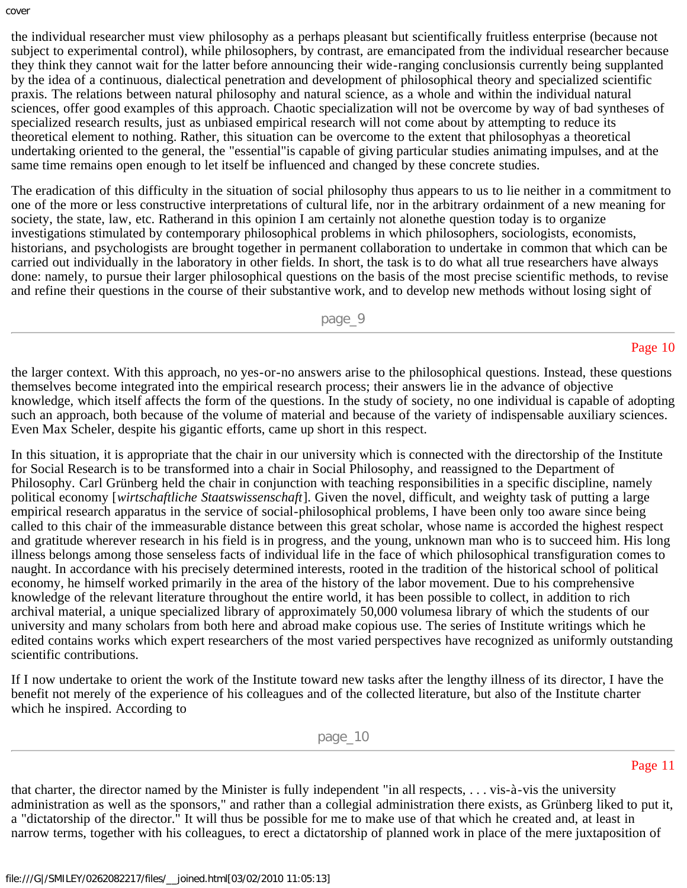the individual researcher must view philosophy as a perhaps pleasant but scientifically fruitless enterprise (because not subject to experimental control), while philosophers, by contrast, are emancipated from the individual researcher because they think they cannot wait for the latter before announcing their wide-ranging conclusionsis currently being supplanted by the idea of a continuous, dialectical penetration and development of philosophical theory and specialized scientific praxis. The relations between natural philosophy and natural science, as a whole and within the individual natural sciences, offer good examples of this approach. Chaotic specialization will not be overcome by way of bad syntheses of specialized research results, just as unbiased empirical research will not come about by attempting to reduce its theoretical element to nothing. Rather, this situation can be overcome to the extent that philosophyas a theoretical undertaking oriented to the general, the "essential"is capable of giving particular studies animating impulses, and at the same time remains open enough to let itself be influenced and changed by these concrete studies.

The eradication of this difficulty in the situation of social philosophy thus appears to us to lie neither in a commitment to one of the more or less constructive interpretations of cultural life, nor in the arbitrary ordainment of a new meaning for society, the state, law, etc. Ratherand in this opinion I am certainly not alonethe question today is to organize investigations stimulated by contemporary philosophical problems in which philosophers, sociologists, economists, historians, and psychologists are brought together in permanent collaboration to undertake in common that which can be carried out individually in the laboratory in other fields. In short, the task is to do what all true researchers have always done: namely, to pursue their larger philosophical questions on the basis of the most precise scientific methods, to revise and refine their questions in the course of their substantive work, and to develop new methods without losing sight of

page\_9

# Page 10

the larger context. With this approach, no yes-or-no answers arise to the philosophical questions. Instead, these questions themselves become integrated into the empirical research process; their answers lie in the advance of objective knowledge, which itself affects the form of the questions. In the study of society, no one individual is capable of adopting such an approach, both because of the volume of material and because of the variety of indispensable auxiliary sciences. Even Max Scheler, despite his gigantic efforts, came up short in this respect.

In this situation, it is appropriate that the chair in our university which is connected with the directorship of the Institute for Social Research is to be transformed into a chair in Social Philosophy, and reassigned to the Department of Philosophy. Carl Grünberg held the chair in conjunction with teaching responsibilities in a specific discipline, namely political economy [*wirtschaftliche Staatswissenschaft*]. Given the novel, difficult, and weighty task of putting a large empirical research apparatus in the service of social-philosophical problems, I have been only too aware since being called to this chair of the immeasurable distance between this great scholar, whose name is accorded the highest respect and gratitude wherever research in his field is in progress, and the young, unknown man who is to succeed him. His long illness belongs among those senseless facts of individual life in the face of which philosophical transfiguration comes to naught. In accordance with his precisely determined interests, rooted in the tradition of the historical school of political economy, he himself worked primarily in the area of the history of the labor movement. Due to his comprehensive knowledge of the relevant literature throughout the entire world, it has been possible to collect, in addition to rich archival material, a unique specialized library of approximately 50,000 volumesa library of which the students of our university and many scholars from both here and abroad make copious use. The series of Institute writings which he edited contains works which expert researchers of the most varied perspectives have recognized as uniformly outstanding scientific contributions.

If I now undertake to orient the work of the Institute toward new tasks after the lengthy illness of its director, I have the benefit not merely of the experience of his colleagues and of the collected literature, but also of the Institute charter which he inspired. According to

page\_10

## Page 11

that charter, the director named by the Minister is fully independent "in all respects, . . . vis-à-vis the university administration as well as the sponsors," and rather than a collegial administration there exists, as Grünberg liked to put it, a "dictatorship of the director." It will thus be possible for me to make use of that which he created and, at least in narrow terms, together with his colleagues, to erect a dictatorship of planned work in place of the mere juxtaposition of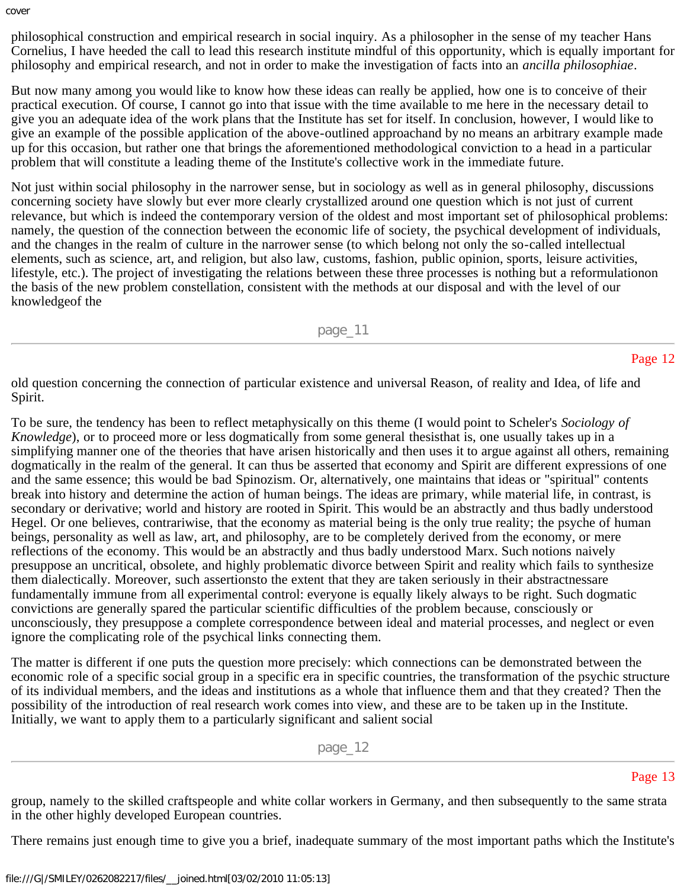philosophical construction and empirical research in social inquiry. As a philosopher in the sense of my teacher Hans Cornelius, I have heeded the call to lead this research institute mindful of this opportunity, which is equally important for philosophy and empirical research, and not in order to make the investigation of facts into an *ancilla philosophiae*.

But now many among you would like to know how these ideas can really be applied, how one is to conceive of their practical execution. Of course, I cannot go into that issue with the time available to me here in the necessary detail to give you an adequate idea of the work plans that the Institute has set for itself. In conclusion, however, I would like to give an example of the possible application of the above-outlined approachand by no means an arbitrary example made up for this occasion, but rather one that brings the aforementioned methodological conviction to a head in a particular problem that will constitute a leading theme of the Institute's collective work in the immediate future.

Not just within social philosophy in the narrower sense, but in sociology as well as in general philosophy, discussions concerning society have slowly but ever more clearly crystallized around one question which is not just of current relevance, but which is indeed the contemporary version of the oldest and most important set of philosophical problems: namely, the question of the connection between the economic life of society, the psychical development of individuals, and the changes in the realm of culture in the narrower sense (to which belong not only the so-called intellectual elements, such as science, art, and religion, but also law, customs, fashion, public opinion, sports, leisure activities, lifestyle, etc.). The project of investigating the relations between these three processes is nothing but a reformulationon the basis of the new problem constellation, consistent with the methods at our disposal and with the level of our knowledgeof the

page\_11

Page 12

old question concerning the connection of particular existence and universal Reason, of reality and Idea, of life and Spirit.

To be sure, the tendency has been to reflect metaphysically on this theme (I would point to Scheler's *Sociology of Knowledge*), or to proceed more or less dogmatically from some general thesisthat is, one usually takes up in a simplifying manner one of the theories that have arisen historically and then uses it to argue against all others, remaining dogmatically in the realm of the general. It can thus be asserted that economy and Spirit are different expressions of one and the same essence; this would be bad Spinozism. Or, alternatively, one maintains that ideas or "spiritual" contents break into history and determine the action of human beings. The ideas are primary, while material life, in contrast, is secondary or derivative; world and history are rooted in Spirit. This would be an abstractly and thus badly understood Hegel. Or one believes, contrariwise, that the economy as material being is the only true reality; the psyche of human beings, personality as well as law, art, and philosophy, are to be completely derived from the economy, or mere reflections of the economy. This would be an abstractly and thus badly understood Marx. Such notions naively presuppose an uncritical, obsolete, and highly problematic divorce between Spirit and reality which fails to synthesize them dialectically. Moreover, such assertionsto the extent that they are taken seriously in their abstractnessare fundamentally immune from all experimental control: everyone is equally likely always to be right. Such dogmatic convictions are generally spared the particular scientific difficulties of the problem because, consciously or unconsciously, they presuppose a complete correspondence between ideal and material processes, and neglect or even ignore the complicating role of the psychical links connecting them.

The matter is different if one puts the question more precisely: which connections can be demonstrated between the economic role of a specific social group in a specific era in specific countries, the transformation of the psychic structure of its individual members, and the ideas and institutions as a whole that influence them and that they created? Then the possibility of the introduction of real research work comes into view, and these are to be taken up in the Institute. Initially, we want to apply them to a particularly significant and salient social

page\_12

Page 13

group, namely to the skilled craftspeople and white collar workers in Germany, and then subsequently to the same strata in the other highly developed European countries.

There remains just enough time to give you a brief, inadequate summary of the most important paths which the Institute's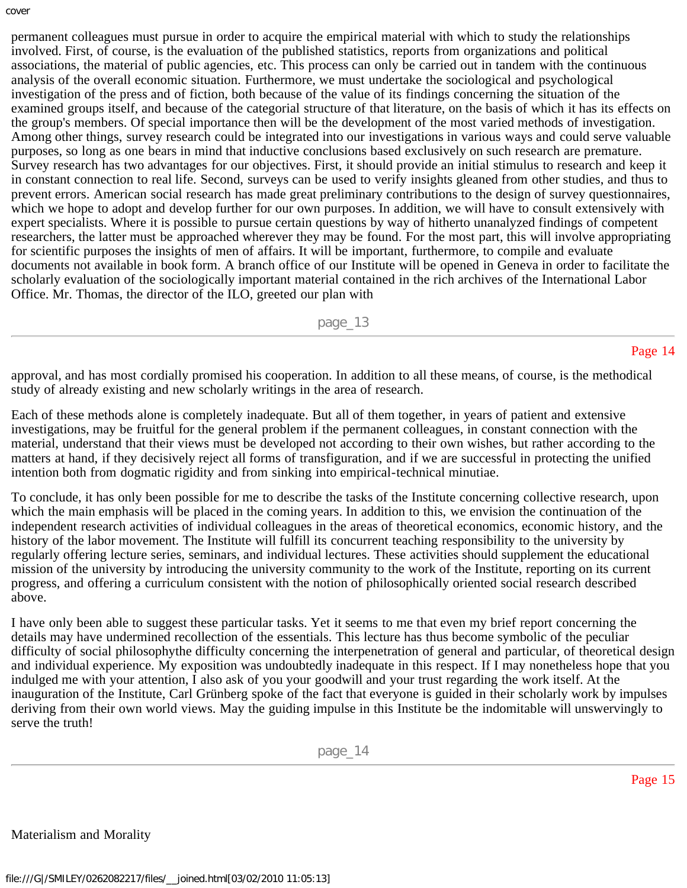permanent colleagues must pursue in order to acquire the empirical material with which to study the relationships involved. First, of course, is the evaluation of the published statistics, reports from organizations and political associations, the material of public agencies, etc. This process can only be carried out in tandem with the continuous analysis of the overall economic situation. Furthermore, we must undertake the sociological and psychological investigation of the press and of fiction, both because of the value of its findings concerning the situation of the examined groups itself, and because of the categorial structure of that literature, on the basis of which it has its effects on the group's members. Of special importance then will be the development of the most varied methods of investigation. Among other things, survey research could be integrated into our investigations in various ways and could serve valuable purposes, so long as one bears in mind that inductive conclusions based exclusively on such research are premature. Survey research has two advantages for our objectives. First, it should provide an initial stimulus to research and keep it in constant connection to real life. Second, surveys can be used to verify insights gleaned from other studies, and thus to prevent errors. American social research has made great preliminary contributions to the design of survey questionnaires, which we hope to adopt and develop further for our own purposes. In addition, we will have to consult extensively with expert specialists. Where it is possible to pursue certain questions by way of hitherto unanalyzed findings of competent researchers, the latter must be approached wherever they may be found. For the most part, this will involve appropriating for scientific purposes the insights of men of affairs. It will be important, furthermore, to compile and evaluate documents not available in book form. A branch office of our Institute will be opened in Geneva in order to facilitate the scholarly evaluation of the sociologically important material contained in the rich archives of the International Labor Office. Mr. Thomas, the director of the ILO, greeted our plan with

page\_13

approval, and has most cordially promised his cooperation. In addition to all these means, of course, is the methodical study of already existing and new scholarly writings in the area of research.

Each of these methods alone is completely inadequate. But all of them together, in years of patient and extensive investigations, may be fruitful for the general problem if the permanent colleagues, in constant connection with the material, understand that their views must be developed not according to their own wishes, but rather according to the matters at hand, if they decisively reject all forms of transfiguration, and if we are successful in protecting the unified intention both from dogmatic rigidity and from sinking into empirical-technical minutiae.

To conclude, it has only been possible for me to describe the tasks of the Institute concerning collective research, upon which the main emphasis will be placed in the coming years. In addition to this, we envision the continuation of the independent research activities of individual colleagues in the areas of theoretical economics, economic history, and the history of the labor movement. The Institute will fulfill its concurrent teaching responsibility to the university by regularly offering lecture series, seminars, and individual lectures. These activities should supplement the educational mission of the university by introducing the university community to the work of the Institute, reporting on its current progress, and offering a curriculum consistent with the notion of philosophically oriented social research described above.

I have only been able to suggest these particular tasks. Yet it seems to me that even my brief report concerning the details may have undermined recollection of the essentials. This lecture has thus become symbolic of the peculiar difficulty of social philosophythe difficulty concerning the interpenetration of general and particular, of theoretical design and individual experience. My exposition was undoubtedly inadequate in this respect. If I may nonetheless hope that you indulged me with your attention, I also ask of you your goodwill and your trust regarding the work itself. At the inauguration of the Institute, Carl Grünberg spoke of the fact that everyone is guided in their scholarly work by impulses deriving from their own world views. May the guiding impulse in this Institute be the indomitable will unswervingly to serve the truth!

page\_14

Materialism and Morality

Page 15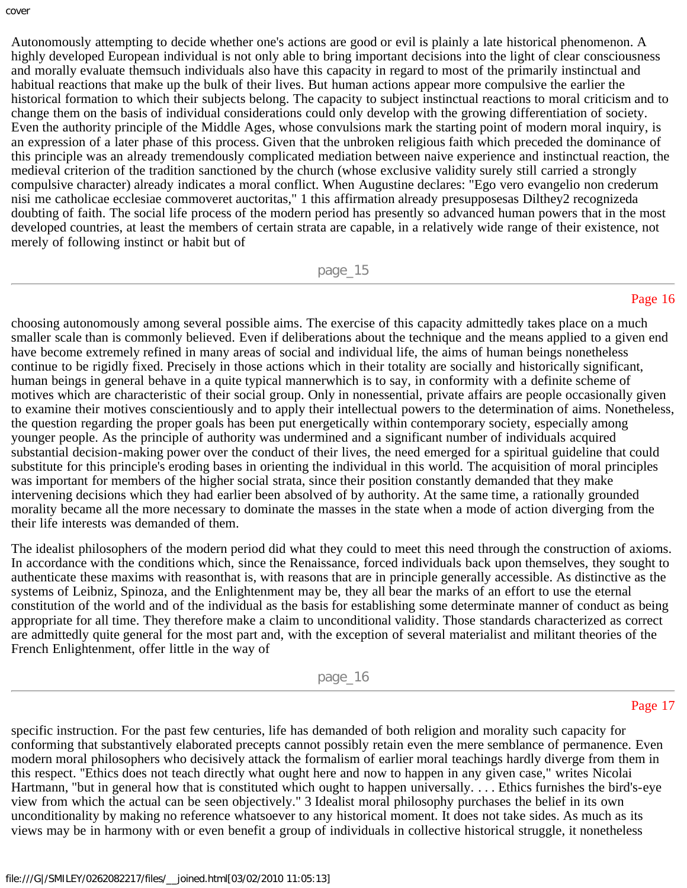Autonomously attempting to decide whether one's actions are good or evil is plainly a late historical phenomenon. A highly developed European individual is not only able to bring important decisions into the light of clear consciousness and morally evaluate themsuch individuals also have this capacity in regard to most of the primarily instinctual and habitual reactions that make up the bulk of their lives. But human actions appear more compulsive the earlier the historical formation to which their subjects belong. The capacity to subject instinctual reactions to moral criticism and to change them on the basis of individual considerations could only develop with the growing differentiation of society. Even the authority principle of the Middle Ages, whose convulsions mark the starting point of modern moral inquiry, is an expression of a later phase of this process. Given that the unbroken religious faith which preceded the dominance of this principle was an already tremendously complicated mediation between naive experience and instinctual reaction, the medieval criterion of the tradition sanctioned by the church (whose exclusive validity surely still carried a strongly compulsive character) already indicates a moral conflict. When Augustine declares: "Ego vero evangelio non crederum nisi me catholicae ecclesiae commoveret auctoritas," 1 this affirmation already presupposesas Dilthey2 recognizeda doubting of faith. The social life process of the modern period has presently so advanced human powers that in the most developed countries, at least the members of certain strata are capable, in a relatively wide range of their existence, not merely of following instinct or habit but of

page\_15

## Page 16

choosing autonomously among several possible aims. The exercise of this capacity admittedly takes place on a much smaller scale than is commonly believed. Even if deliberations about the technique and the means applied to a given end have become extremely refined in many areas of social and individual life, the aims of human beings nonetheless continue to be rigidly fixed. Precisely in those actions which in their totality are socially and historically significant, human beings in general behave in a quite typical mannerwhich is to say, in conformity with a definite scheme of motives which are characteristic of their social group. Only in nonessential, private affairs are people occasionally given to examine their motives conscientiously and to apply their intellectual powers to the determination of aims. Nonetheless, the question regarding the proper goals has been put energetically within contemporary society, especially among younger people. As the principle of authority was undermined and a significant number of individuals acquired substantial decision-making power over the conduct of their lives, the need emerged for a spiritual guideline that could substitute for this principle's eroding bases in orienting the individual in this world. The acquisition of moral principles was important for members of the higher social strata, since their position constantly demanded that they make intervening decisions which they had earlier been absolved of by authority. At the same time, a rationally grounded morality became all the more necessary to dominate the masses in the state when a mode of action diverging from the their life interests was demanded of them.

The idealist philosophers of the modern period did what they could to meet this need through the construction of axioms. In accordance with the conditions which, since the Renaissance, forced individuals back upon themselves, they sought to authenticate these maxims with reasonthat is, with reasons that are in principle generally accessible. As distinctive as the systems of Leibniz, Spinoza, and the Enlightenment may be, they all bear the marks of an effort to use the eternal constitution of the world and of the individual as the basis for establishing some determinate manner of conduct as being appropriate for all time. They therefore make a claim to unconditional validity. Those standards characterized as correct are admittedly quite general for the most part and, with the exception of several materialist and militant theories of the French Enlightenment, offer little in the way of

page\_16

## Page 17

specific instruction. For the past few centuries, life has demanded of both religion and morality such capacity for conforming that substantively elaborated precepts cannot possibly retain even the mere semblance of permanence. Even modern moral philosophers who decisively attack the formalism of earlier moral teachings hardly diverge from them in this respect. ''Ethics does not teach directly what ought here and now to happen in any given case," writes Nicolai Hartmann, "but in general how that is constituted which ought to happen universally. . . . Ethics furnishes the bird's-eye view from which the actual can be seen objectively." 3 Idealist moral philosophy purchases the belief in its own unconditionality by making no reference whatsoever to any historical moment. It does not take sides. As much as its views may be in harmony with or even benefit a group of individuals in collective historical struggle, it nonetheless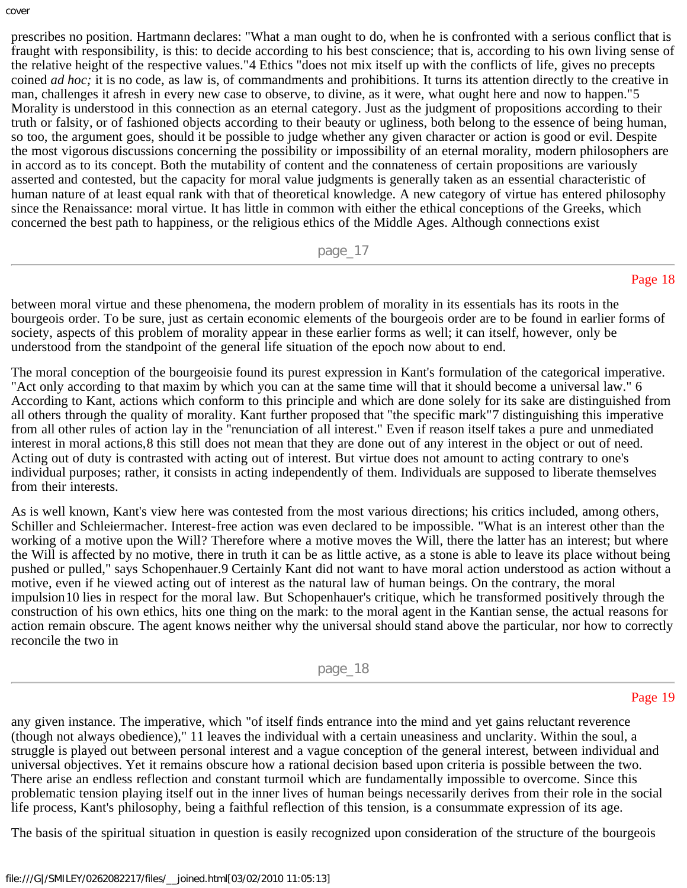prescribes no position. Hartmann declares: "What a man ought to do, when he is confronted with a serious conflict that is fraught with responsibility, is this: to decide according to his best conscience; that is, according to his own living sense of the relative height of the respective values."4 Ethics "does not mix itself up with the conflicts of life, gives no precepts coined *ad hoc;* it is no code, as law is, of commandments and prohibitions. It turns its attention directly to the creative in man, challenges it afresh in every new case to observe, to divine, as it were, what ought here and now to happen."5 Morality is understood in this connection as an eternal category. Just as the judgment of propositions according to their truth or falsity, or of fashioned objects according to their beauty or ugliness, both belong to the essence of being human, so too, the argument goes, should it be possible to judge whether any given character or action is good or evil. Despite the most vigorous discussions concerning the possibility or impossibility of an eternal morality, modern philosophers are in accord as to its concept. Both the mutability of content and the connateness of certain propositions are variously asserted and contested, but the capacity for moral value judgments is generally taken as an essential characteristic of human nature of at least equal rank with that of theoretical knowledge. A new category of virtue has entered philosophy since the Renaissance: moral virtue. It has little in common with either the ethical conceptions of the Greeks, which concerned the best path to happiness, or the religious ethics of the Middle Ages. Although connections exist

page\_17

#### Page 18

between moral virtue and these phenomena, the modern problem of morality in its essentials has its roots in the bourgeois order. To be sure, just as certain economic elements of the bourgeois order are to be found in earlier forms of society, aspects of this problem of morality appear in these earlier forms as well; it can itself, however, only be understood from the standpoint of the general life situation of the epoch now about to end.

The moral conception of the bourgeoisie found its purest expression in Kant's formulation of the categorical imperative. "Act only according to that maxim by which you can at the same time will that it should become a universal law." 6 According to Kant, actions which conform to this principle and which are done solely for its sake are distinguished from all others through the quality of morality. Kant further proposed that "the specific mark"7 distinguishing this imperative from all other rules of action lay in the ''renunciation of all interest." Even if reason itself takes a pure and unmediated interest in moral actions,8 this still does not mean that they are done out of any interest in the object or out of need. Acting out of duty is contrasted with acting out of interest. But virtue does not amount to acting contrary to one's individual purposes; rather, it consists in acting independently of them. Individuals are supposed to liberate themselves from their interests.

As is well known, Kant's view here was contested from the most various directions; his critics included, among others, Schiller and Schleiermacher. Interest-free action was even declared to be impossible. "What is an interest other than the working of a motive upon the Will? Therefore where a motive moves the Will, there the latter has an interest; but where the Will is affected by no motive, there in truth it can be as little active, as a stone is able to leave its place without being pushed or pulled," says Schopenhauer.9 Certainly Kant did not want to have moral action understood as action without a motive, even if he viewed acting out of interest as the natural law of human beings. On the contrary, the moral impulsion10 lies in respect for the moral law. But Schopenhauer's critique, which he transformed positively through the construction of his own ethics, hits one thing on the mark: to the moral agent in the Kantian sense, the actual reasons for action remain obscure. The agent knows neither why the universal should stand above the particular, nor how to correctly reconcile the two in

page\_18

## Page 19

any given instance. The imperative, which "of itself finds entrance into the mind and yet gains reluctant reverence (though not always obedience)," 11 leaves the individual with a certain uneasiness and unclarity. Within the soul, a struggle is played out between personal interest and a vague conception of the general interest, between individual and universal objectives. Yet it remains obscure how a rational decision based upon criteria is possible between the two. There arise an endless reflection and constant turmoil which are fundamentally impossible to overcome. Since this problematic tension playing itself out in the inner lives of human beings necessarily derives from their role in the social life process, Kant's philosophy, being a faithful reflection of this tension, is a consummate expression of its age.

The basis of the spiritual situation in question is easily recognized upon consideration of the structure of the bourgeois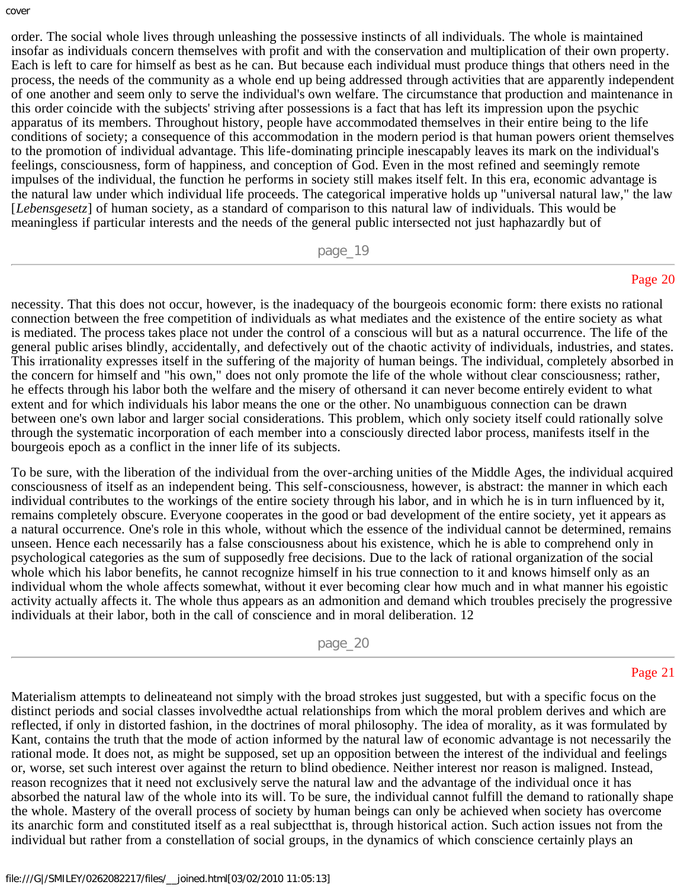order. The social whole lives through unleashing the possessive instincts of all individuals. The whole is maintained insofar as individuals concern themselves with profit and with the conservation and multiplication of their own property. Each is left to care for himself as best as he can. But because each individual must produce things that others need in the process, the needs of the community as a whole end up being addressed through activities that are apparently independent of one another and seem only to serve the individual's own welfare. The circumstance that production and maintenance in this order coincide with the subjects' striving after possessions is a fact that has left its impression upon the psychic apparatus of its members. Throughout history, people have accommodated themselves in their entire being to the life conditions of society; a consequence of this accommodation in the modern period is that human powers orient themselves to the promotion of individual advantage. This life-dominating principle inescapably leaves its mark on the individual's feelings, consciousness, form of happiness, and conception of God. Even in the most refined and seemingly remote impulses of the individual, the function he performs in society still makes itself felt. In this era, economic advantage is the natural law under which individual life proceeds. The categorical imperative holds up "universal natural law," the law [*Lebensgesetz*] of human society, as a standard of comparison to this natural law of individuals. This would be meaningless if particular interests and the needs of the general public intersected not just haphazardly but of

page\_19

#### Page 20

necessity. That this does not occur, however, is the inadequacy of the bourgeois economic form: there exists no rational connection between the free competition of individuals as what mediates and the existence of the entire society as what is mediated. The process takes place not under the control of a conscious will but as a natural occurrence. The life of the general public arises blindly, accidentally, and defectively out of the chaotic activity of individuals, industries, and states. This irrationality expresses itself in the suffering of the majority of human beings. The individual, completely absorbed in the concern for himself and "his own," does not only promote the life of the whole without clear consciousness; rather, he effects through his labor both the welfare and the misery of othersand it can never become entirely evident to what extent and for which individuals his labor means the one or the other. No unambiguous connection can be drawn between one's own labor and larger social considerations. This problem, which only society itself could rationally solve through the systematic incorporation of each member into a consciously directed labor process, manifests itself in the bourgeois epoch as a conflict in the inner life of its subjects.

To be sure, with the liberation of the individual from the over-arching unities of the Middle Ages, the individual acquired consciousness of itself as an independent being. This self-consciousness, however, is abstract: the manner in which each individual contributes to the workings of the entire society through his labor, and in which he is in turn influenced by it, remains completely obscure. Everyone cooperates in the good or bad development of the entire society, yet it appears as a natural occurrence. One's role in this whole, without which the essence of the individual cannot be determined, remains unseen. Hence each necessarily has a false consciousness about his existence, which he is able to comprehend only in psychological categories as the sum of supposedly free decisions. Due to the lack of rational organization of the social whole which his labor benefits, he cannot recognize himself in his true connection to it and knows himself only as an individual whom the whole affects somewhat, without it ever becoming clear how much and in what manner his egoistic activity actually affects it. The whole thus appears as an admonition and demand which troubles precisely the progressive individuals at their labor, both in the call of conscience and in moral deliberation. 12

page\_20

# Page 21

Materialism attempts to delineateand not simply with the broad strokes just suggested, but with a specific focus on the distinct periods and social classes involvedthe actual relationships from which the moral problem derives and which are reflected, if only in distorted fashion, in the doctrines of moral philosophy. The idea of morality, as it was formulated by Kant, contains the truth that the mode of action informed by the natural law of economic advantage is not necessarily the rational mode. It does not, as might be supposed, set up an opposition between the interest of the individual and feelings or, worse, set such interest over against the return to blind obedience. Neither interest nor reason is maligned. Instead, reason recognizes that it need not exclusively serve the natural law and the advantage of the individual once it has absorbed the natural law of the whole into its will. To be sure, the individual cannot fulfill the demand to rationally shape the whole. Mastery of the overall process of society by human beings can only be achieved when society has overcome its anarchic form and constituted itself as a real subjectthat is, through historical action. Such action issues not from the individual but rather from a constellation of social groups, in the dynamics of which conscience certainly plays an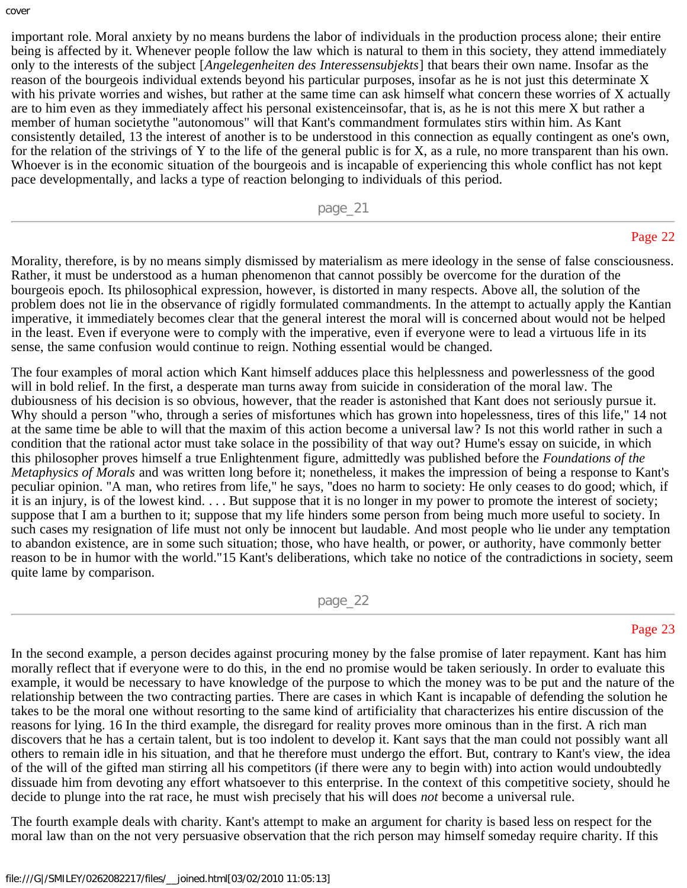important role. Moral anxiety by no means burdens the labor of individuals in the production process alone; their entire being is affected by it. Whenever people follow the law which is natural to them in this society, they attend immediately only to the interests of the subject [*Angelegenheiten des Interessensubjekts*] that bears their own name. Insofar as the reason of the bourgeois individual extends beyond his particular purposes, insofar as he is not just this determinate X with his private worries and wishes, but rather at the same time can ask himself what concern these worries of X actually are to him even as they immediately affect his personal existenceinsofar, that is, as he is not this mere X but rather a member of human societythe "autonomous" will that Kant's commandment formulates stirs within him. As Kant consistently detailed, 13 the interest of another is to be understood in this connection as equally contingent as one's own, for the relation of the strivings of Y to the life of the general public is for X, as a rule, no more transparent than his own. Whoever is in the economic situation of the bourgeois and is incapable of experiencing this whole conflict has not kept pace developmentally, and lacks a type of reaction belonging to individuals of this period.

page\_21

## Page 22

Morality, therefore, is by no means simply dismissed by materialism as mere ideology in the sense of false consciousness. Rather, it must be understood as a human phenomenon that cannot possibly be overcome for the duration of the bourgeois epoch. Its philosophical expression, however, is distorted in many respects. Above all, the solution of the problem does not lie in the observance of rigidly formulated commandments. In the attempt to actually apply the Kantian imperative, it immediately becomes clear that the general interest the moral will is concerned about would not be helped in the least. Even if everyone were to comply with the imperative, even if everyone were to lead a virtuous life in its sense, the same confusion would continue to reign. Nothing essential would be changed.

The four examples of moral action which Kant himself adduces place this helplessness and powerlessness of the good will in bold relief. In the first, a desperate man turns away from suicide in consideration of the moral law. The dubiousness of his decision is so obvious, however, that the reader is astonished that Kant does not seriously pursue it. Why should a person "who, through a series of misfortunes which has grown into hopelessness, tires of this life," 14 not at the same time be able to will that the maxim of this action become a universal law? Is not this world rather in such a condition that the rational actor must take solace in the possibility of that way out? Hume's essay on suicide, in which this philosopher proves himself a true Enlightenment figure, admittedly was published before the *Foundations of the Metaphysics of Morals* and was written long before it; nonetheless, it makes the impression of being a response to Kant's peculiar opinion. "A man, who retires from life," he says, ''does no harm to society: He only ceases to do good; which, if it is an injury, is of the lowest kind. . . . But suppose that it is no longer in my power to promote the interest of society; suppose that I am a burthen to it; suppose that my life hinders some person from being much more useful to society. In such cases my resignation of life must not only be innocent but laudable. And most people who lie under any temptation to abandon existence, are in some such situation; those, who have health, or power, or authority, have commonly better reason to be in humor with the world."15 Kant's deliberations, which take no notice of the contradictions in society, seem quite lame by comparison.

page\_22

# Page 23

In the second example, a person decides against procuring money by the false promise of later repayment. Kant has him morally reflect that if everyone were to do this, in the end no promise would be taken seriously. In order to evaluate this example, it would be necessary to have knowledge of the purpose to which the money was to be put and the nature of the relationship between the two contracting parties. There are cases in which Kant is incapable of defending the solution he takes to be the moral one without resorting to the same kind of artificiality that characterizes his entire discussion of the reasons for lying. 16 In the third example, the disregard for reality proves more ominous than in the first. A rich man discovers that he has a certain talent, but is too indolent to develop it. Kant says that the man could not possibly want all others to remain idle in his situation, and that he therefore must undergo the effort. But, contrary to Kant's view, the idea of the will of the gifted man stirring all his competitors (if there were any to begin with) into action would undoubtedly dissuade him from devoting any effort whatsoever to this enterprise. In the context of this competitive society, should he decide to plunge into the rat race, he must wish precisely that his will does *not* become a universal rule.

The fourth example deals with charity. Kant's attempt to make an argument for charity is based less on respect for the moral law than on the not very persuasive observation that the rich person may himself someday require charity. If this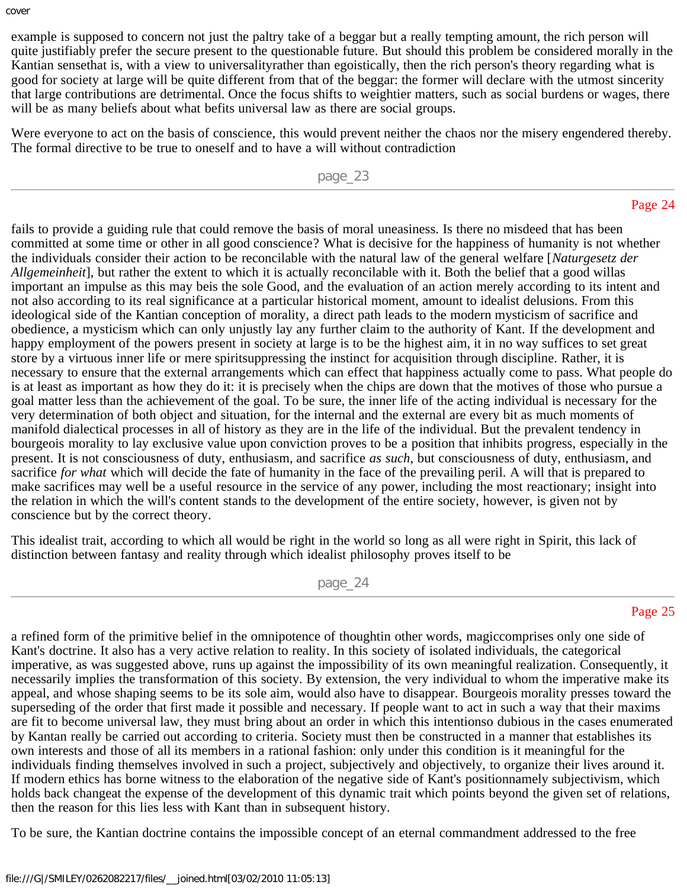example is supposed to concern not just the paltry take of a beggar but a really tempting amount, the rich person will quite justifiably prefer the secure present to the questionable future. But should this problem be considered morally in the Kantian sensethat is, with a view to universalityrather than egoistically, then the rich person's theory regarding what is good for society at large will be quite different from that of the beggar: the former will declare with the utmost sincerity that large contributions are detrimental. Once the focus shifts to weightier matters, such as social burdens or wages, there will be as many beliefs about what befits universal law as there are social groups.

Were everyone to act on the basis of conscience, this would prevent neither the chaos nor the misery engendered thereby. The formal directive to be true to oneself and to have a will without contradiction

page\_23

Page 24

fails to provide a guiding rule that could remove the basis of moral uneasiness. Is there no misdeed that has been committed at some time or other in all good conscience? What is decisive for the happiness of humanity is not whether the individuals consider their action to be reconcilable with the natural law of the general welfare [*Naturgesetz der Allgemeinheit*], but rather the extent to which it is actually reconcilable with it. Both the belief that a good willas important an impulse as this may beis the sole Good, and the evaluation of an action merely according to its intent and not also according to its real significance at a particular historical moment, amount to idealist delusions. From this ideological side of the Kantian conception of morality, a direct path leads to the modern mysticism of sacrifice and obedience, a mysticism which can only unjustly lay any further claim to the authority of Kant. If the development and happy employment of the powers present in society at large is to be the highest aim, it in no way suffices to set great store by a virtuous inner life or mere spiritsuppressing the instinct for acquisition through discipline. Rather, it is necessary to ensure that the external arrangements which can effect that happiness actually come to pass. What people do is at least as important as how they do it: it is precisely when the chips are down that the motives of those who pursue a goal matter less than the achievement of the goal. To be sure, the inner life of the acting individual is necessary for the very determination of both object and situation, for the internal and the external are every bit as much moments of manifold dialectical processes in all of history as they are in the life of the individual. But the prevalent tendency in bourgeois morality to lay exclusive value upon conviction proves to be a position that inhibits progress, especially in the present. It is not consciousness of duty, enthusiasm, and sacrifice *as such,* but consciousness of duty, enthusiasm, and sacrifice *for what* which will decide the fate of humanity in the face of the prevailing peril. A will that is prepared to make sacrifices may well be a useful resource in the service of any power, including the most reactionary; insight into the relation in which the will's content stands to the development of the entire society, however, is given not by conscience but by the correct theory.

This idealist trait, according to which all would be right in the world so long as all were right in Spirit, this lack of distinction between fantasy and reality through which idealist philosophy proves itself to be

page\_24

## Page 25

a refined form of the primitive belief in the omnipotence of thoughtin other words, magiccomprises only one side of Kant's doctrine. It also has a very active relation to reality. In this society of isolated individuals, the categorical imperative, as was suggested above, runs up against the impossibility of its own meaningful realization. Consequently, it necessarily implies the transformation of this society. By extension, the very individual to whom the imperative make its appeal, and whose shaping seems to be its sole aim, would also have to disappear. Bourgeois morality presses toward the superseding of the order that first made it possible and necessary. If people want to act in such a way that their maxims are fit to become universal law, they must bring about an order in which this intentionso dubious in the cases enumerated by Kantan really be carried out according to criteria. Society must then be constructed in a manner that establishes its own interests and those of all its members in a rational fashion: only under this condition is it meaningful for the individuals finding themselves involved in such a project, subjectively and objectively, to organize their lives around it. If modern ethics has borne witness to the elaboration of the negative side of Kant's positionnamely subjectivism, which holds back changeat the expense of the development of this dynamic trait which points beyond the given set of relations, then the reason for this lies less with Kant than in subsequent history.

To be sure, the Kantian doctrine contains the impossible concept of an eternal commandment addressed to the free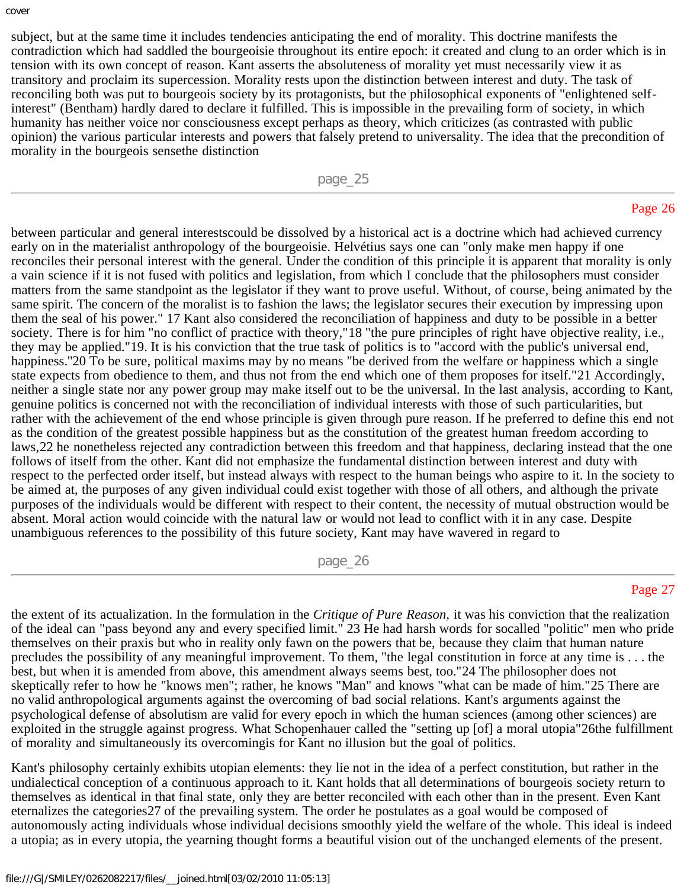subject, but at the same time it includes tendencies anticipating the end of morality. This doctrine manifests the contradiction which had saddled the bourgeoisie throughout its entire epoch: it created and clung to an order which is in tension with its own concept of reason. Kant asserts the absoluteness of morality yet must necessarily view it as transitory and proclaim its supercession. Morality rests upon the distinction between interest and duty. The task of reconciling both was put to bourgeois society by its protagonists, but the philosophical exponents of "enlightened selfinterest" (Bentham) hardly dared to declare it fulfilled. This is impossible in the prevailing form of society, in which humanity has neither voice nor consciousness except perhaps as theory, which criticizes (as contrasted with public opinion) the various particular interests and powers that falsely pretend to universality. The idea that the precondition of morality in the bourgeois sensethe distinction

page\_25

# Page 26

between particular and general interestscould be dissolved by a historical act is a doctrine which had achieved currency early on in the materialist anthropology of the bourgeoisie. Helvétius says one can "only make men happy if one reconciles their personal interest with the general. Under the condition of this principle it is apparent that morality is only a vain science if it is not fused with politics and legislation, from which I conclude that the philosophers must consider matters from the same standpoint as the legislator if they want to prove useful. Without, of course, being animated by the same spirit. The concern of the moralist is to fashion the laws; the legislator secures their execution by impressing upon them the seal of his power." 17 Kant also considered the reconciliation of happiness and duty to be possible in a better society. There is for him "no conflict of practice with theory,"18 "the pure principles of right have objective reality, i.e., they may be applied."19. It is his conviction that the true task of politics is to "accord with the public's universal end, happiness."20 To be sure, political maxims may by no means "be derived from the welfare or happiness which a single state expects from obedience to them, and thus not from the end which one of them proposes for itself."21 Accordingly, neither a single state nor any power group may make itself out to be the universal. In the last analysis, according to Kant, genuine politics is concerned not with the reconciliation of individual interests with those of such particularities, but rather with the achievement of the end whose principle is given through pure reason. If he preferred to define this end not as the condition of the greatest possible happiness but as the constitution of the greatest human freedom according to laws,22 he nonetheless rejected any contradiction between this freedom and that happiness, declaring instead that the one follows of itself from the other. Kant did not emphasize the fundamental distinction between interest and duty with respect to the perfected order itself, but instead always with respect to the human beings who aspire to it. In the society to be aimed at, the purposes of any given individual could exist together with those of all others, and although the private purposes of the individuals would be different with respect to their content, the necessity of mutual obstruction would be absent. Moral action would coincide with the natural law or would not lead to conflict with it in any case. Despite unambiguous references to the possibility of this future society, Kant may have wavered in regard to

page\_26

# Page 27

the extent of its actualization. In the formulation in the *Critique of Pure Reason,* it was his conviction that the realization of the ideal can "pass beyond any and every specified limit." 23 He had harsh words for socalled "politic" men who pride themselves on their praxis but who in reality only fawn on the powers that be, because they claim that human nature precludes the possibility of any meaningful improvement. To them, "the legal constitution in force at any time is . . . the best, but when it is amended from above, this amendment always seems best, too.''24 The philosopher does not skeptically refer to how he "knows men"; rather, he knows "Man" and knows "what can be made of him."25 There are no valid anthropological arguments against the overcoming of bad social relations. Kant's arguments against the psychological defense of absolutism are valid for every epoch in which the human sciences (among other sciences) are exploited in the struggle against progress. What Schopenhauer called the "setting up [of] a moral utopia"26the fulfillment of morality and simultaneously its overcomingis for Kant no illusion but the goal of politics.

Kant's philosophy certainly exhibits utopian elements: they lie not in the idea of a perfect constitution, but rather in the undialectical conception of a continuous approach to it. Kant holds that all determinations of bourgeois society return to themselves as identical in that final state, only they are better reconciled with each other than in the present. Even Kant eternalizes the categories27 of the prevailing system. The order he postulates as a goal would be composed of autonomously acting individuals whose individual decisions smoothly yield the welfare of the whole. This ideal is indeed a utopia; as in every utopia, the yearning thought forms a beautiful vision out of the unchanged elements of the present.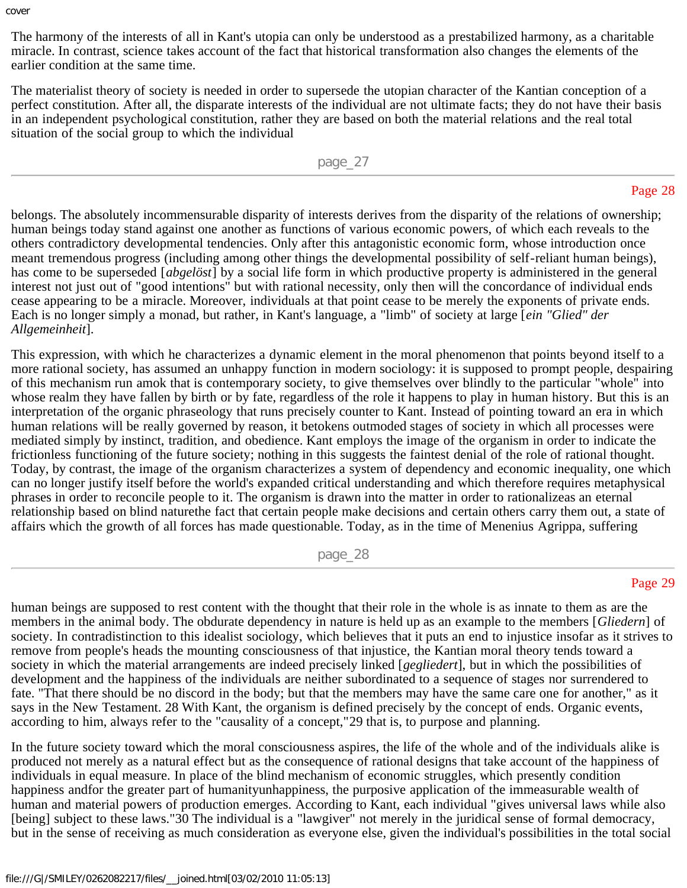The harmony of the interests of all in Kant's utopia can only be understood as a prestabilized harmony, as a charitable miracle. In contrast, science takes account of the fact that historical transformation also changes the elements of the earlier condition at the same time.

The materialist theory of society is needed in order to supersede the utopian character of the Kantian conception of a perfect constitution. After all, the disparate interests of the individual are not ultimate facts; they do not have their basis in an independent psychological constitution, rather they are based on both the material relations and the real total situation of the social group to which the individual

# Page 28

belongs. The absolutely incommensurable disparity of interests derives from the disparity of the relations of ownership; human beings today stand against one another as functions of various economic powers, of which each reveals to the others contradictory developmental tendencies. Only after this antagonistic economic form, whose introduction once meant tremendous progress (including among other things the developmental possibility of self-reliant human beings), has come to be superseded [*abgelöst*] by a social life form in which productive property is administered in the general interest not just out of "good intentions" but with rational necessity, only then will the concordance of individual ends cease appearing to be a miracle. Moreover, individuals at that point cease to be merely the exponents of private ends. Each is no longer simply a monad, but rather, in Kant's language, a "limb" of society at large [*ein "Glied" der Allgemeinheit*].

This expression, with which he characterizes a dynamic element in the moral phenomenon that points beyond itself to a more rational society, has assumed an unhappy function in modern sociology: it is supposed to prompt people, despairing of this mechanism run amok that is contemporary society, to give themselves over blindly to the particular "whole" into whose realm they have fallen by birth or by fate, regardless of the role it happens to play in human history. But this is an interpretation of the organic phraseology that runs precisely counter to Kant. Instead of pointing toward an era in which human relations will be really governed by reason, it betokens outmoded stages of society in which all processes were mediated simply by instinct, tradition, and obedience. Kant employs the image of the organism in order to indicate the frictionless functioning of the future society; nothing in this suggests the faintest denial of the role of rational thought. Today, by contrast, the image of the organism characterizes a system of dependency and economic inequality, one which can no longer justify itself before the world's expanded critical understanding and which therefore requires metaphysical phrases in order to reconcile people to it. The organism is drawn into the matter in order to rationalizeas an eternal relationship based on blind naturethe fact that certain people make decisions and certain others carry them out, a state of affairs which the growth of all forces has made questionable. Today, as in the time of Menenius Agrippa, suffering

page\_28

# Page 29

human beings are supposed to rest content with the thought that their role in the whole is as innate to them as are the members in the animal body. The obdurate dependency in nature is held up as an example to the members [*Gliedern*] of society. In contradistinction to this idealist sociology, which believes that it puts an end to injustice insofar as it strives to remove from people's heads the mounting consciousness of that injustice, the Kantian moral theory tends toward a society in which the material arrangements are indeed precisely linked [*gegliedert*], but in which the possibilities of development and the happiness of the individuals are neither subordinated to a sequence of stages nor surrendered to fate. "That there should be no discord in the body; but that the members may have the same care one for another," as it says in the New Testament. 28 With Kant, the organism is defined precisely by the concept of ends. Organic events, according to him, always refer to the "causality of a concept,"29 that is, to purpose and planning.

In the future society toward which the moral consciousness aspires, the life of the whole and of the individuals alike is produced not merely as a natural effect but as the consequence of rational designs that take account of the happiness of individuals in equal measure. In place of the blind mechanism of economic struggles, which presently condition happiness andfor the greater part of humanityunhappiness, the purposive application of the immeasurable wealth of human and material powers of production emerges. According to Kant, each individual "gives universal laws while also [being] subject to these laws."30 The individual is a "lawgiver" not merely in the juridical sense of formal democracy, but in the sense of receiving as much consideration as everyone else, given the individual's possibilities in the total social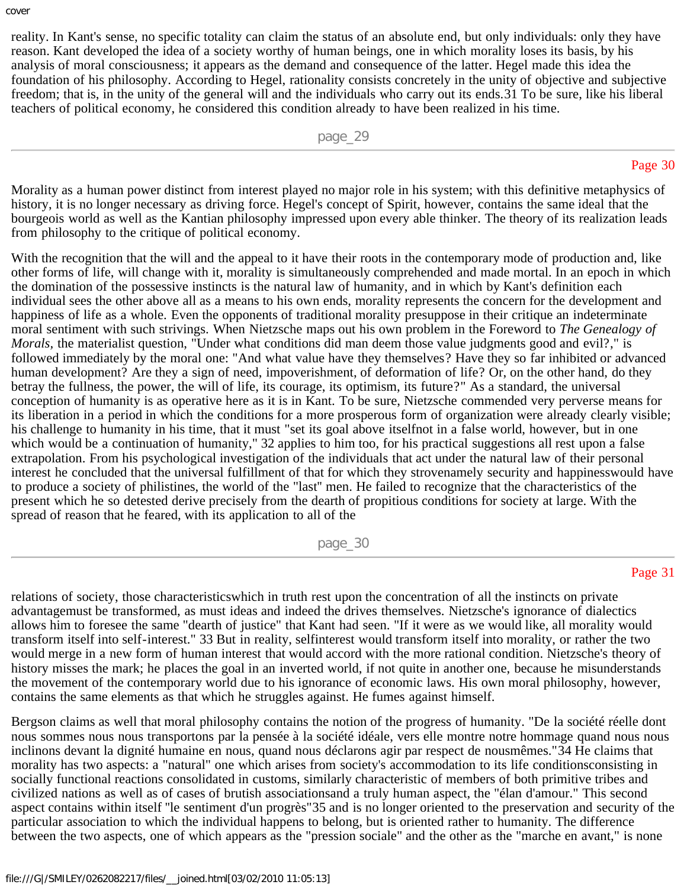reality. In Kant's sense, no specific totality can claim the status of an absolute end, but only individuals: only they have reason. Kant developed the idea of a society worthy of human beings, one in which morality loses its basis, by his analysis of moral consciousness; it appears as the demand and consequence of the latter. Hegel made this idea the foundation of his philosophy. According to Hegel, rationality consists concretely in the unity of objective and subjective freedom; that is, in the unity of the general will and the individuals who carry out its ends.31 To be sure, like his liberal teachers of political economy, he considered this condition already to have been realized in his time.

page\_29

# Page 30

Morality as a human power distinct from interest played no major role in his system; with this definitive metaphysics of history, it is no longer necessary as driving force. Hegel's concept of Spirit, however, contains the same ideal that the bourgeois world as well as the Kantian philosophy impressed upon every able thinker. The theory of its realization leads from philosophy to the critique of political economy.

With the recognition that the will and the appeal to it have their roots in the contemporary mode of production and, like other forms of life, will change with it, morality is simultaneously comprehended and made mortal. In an epoch in which the domination of the possessive instincts is the natural law of humanity, and in which by Kant's definition each individual sees the other above all as a means to his own ends, morality represents the concern for the development and happiness of life as a whole. Even the opponents of traditional morality presuppose in their critique an indeterminate moral sentiment with such strivings. When Nietzsche maps out his own problem in the Foreword to *The Genealogy of Morals*, the materialist question, "Under what conditions did man deem those value judgments good and evil?," is followed immediately by the moral one: "And what value have they themselves? Have they so far inhibited or advanced human development? Are they a sign of need, impoverishment, of deformation of life? Or, on the other hand, do they betray the fullness, the power, the will of life, its courage, its optimism, its future?" As a standard, the universal conception of humanity is as operative here as it is in Kant. To be sure, Nietzsche commended very perverse means for its liberation in a period in which the conditions for a more prosperous form of organization were already clearly visible; his challenge to humanity in his time, that it must "set its goal above itselfnot in a false world, however, but in one which would be a continuation of humanity," 32 applies to him too, for his practical suggestions all rest upon a false extrapolation. From his psychological investigation of the individuals that act under the natural law of their personal interest he concluded that the universal fulfillment of that for which they strovenamely security and happinesswould have to produce a society of philistines, the world of the "last'' men. He failed to recognize that the characteristics of the present which he so detested derive precisely from the dearth of propitious conditions for society at large. With the spread of reason that he feared, with its application to all of the

page\_30

# Page 31

relations of society, those characteristicswhich in truth rest upon the concentration of all the instincts on private advantagemust be transformed, as must ideas and indeed the drives themselves. Nietzsche's ignorance of dialectics allows him to foresee the same "dearth of justice" that Kant had seen. "If it were as we would like, all morality would transform itself into self-interest." 33 But in reality, selfinterest would transform itself into morality, or rather the two would merge in a new form of human interest that would accord with the more rational condition. Nietzsche's theory of history misses the mark; he places the goal in an inverted world, if not quite in another one, because he misunderstands the movement of the contemporary world due to his ignorance of economic laws. His own moral philosophy, however, contains the same elements as that which he struggles against. He fumes against himself.

Bergson claims as well that moral philosophy contains the notion of the progress of humanity. "De la société réelle dont nous sommes nous nous transportons par la pensée à la société idéale, vers elle montre notre hommage quand nous nous inclinons devant la dignité humaine en nous, quand nous déclarons agir par respect de nousmêmes."34 He claims that morality has two aspects: a "natural" one which arises from society's accommodation to its life conditionsconsisting in socially functional reactions consolidated in customs, similarly characteristic of members of both primitive tribes and civilized nations as well as of cases of brutish associationsand a truly human aspect, the "élan d'amour." This second aspect contains within itself ''le sentiment d'un progrès"35 and is no longer oriented to the preservation and security of the particular association to which the individual happens to belong, but is oriented rather to humanity. The difference between the two aspects, one of which appears as the "pression sociale" and the other as the "marche en avant," is none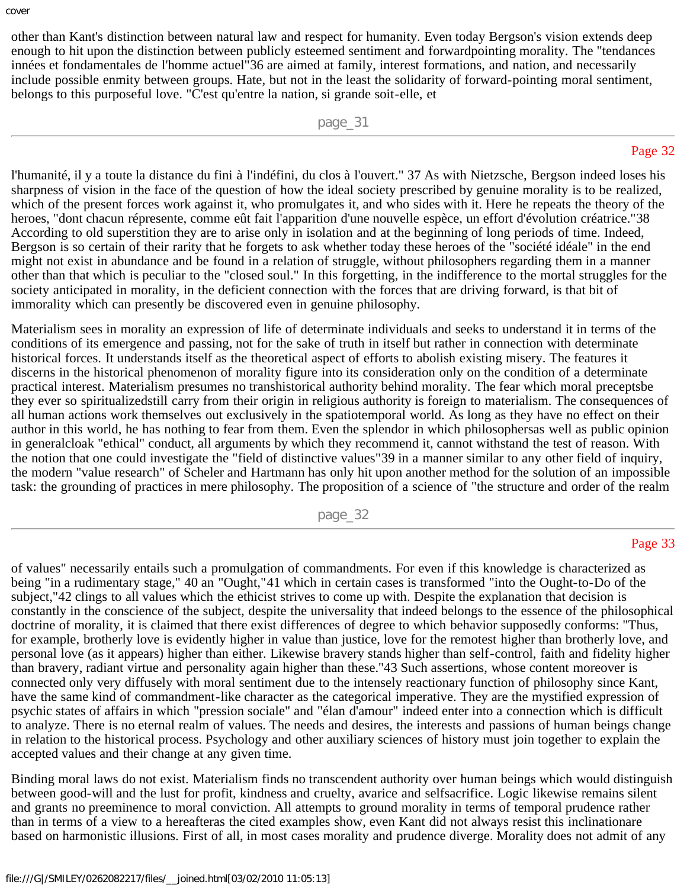other than Kant's distinction between natural law and respect for humanity. Even today Bergson's vision extends deep enough to hit upon the distinction between publicly esteemed sentiment and forwardpointing morality. The "tendances innées et fondamentales de l'homme actuel"36 are aimed at family, interest formations, and nation, and necessarily include possible enmity between groups. Hate, but not in the least the solidarity of forward-pointing moral sentiment, belongs to this purposeful love. "C'est qu'entre la nation, si grande soit-elle, et

page\_31

# Page 32

l'humanité, il y a toute la distance du fini à l'indéfini, du clos à l'ouvert." 37 As with Nietzsche, Bergson indeed loses his sharpness of vision in the face of the question of how the ideal society prescribed by genuine morality is to be realized, which of the present forces work against it, who promulgates it, and who sides with it. Here he repeats the theory of the heroes, "dont chacun répresente, comme eût fait l'apparition d'une nouvelle espèce, un effort d'évolution créatrice."38 According to old superstition they are to arise only in isolation and at the beginning of long periods of time. Indeed, Bergson is so certain of their rarity that he forgets to ask whether today these heroes of the "société idéale" in the end might not exist in abundance and be found in a relation of struggle, without philosophers regarding them in a manner other than that which is peculiar to the "closed soul." In this forgetting, in the indifference to the mortal struggles for the society anticipated in morality, in the deficient connection with the forces that are driving forward, is that bit of immorality which can presently be discovered even in genuine philosophy.

Materialism sees in morality an expression of life of determinate individuals and seeks to understand it in terms of the conditions of its emergence and passing, not for the sake of truth in itself but rather in connection with determinate historical forces. It understands itself as the theoretical aspect of efforts to abolish existing misery. The features it discerns in the historical phenomenon of morality figure into its consideration only on the condition of a determinate practical interest. Materialism presumes no transhistorical authority behind morality. The fear which moral preceptsbe they ever so spiritualizedstill carry from their origin in religious authority is foreign to materialism. The consequences of all human actions work themselves out exclusively in the spatiotemporal world. As long as they have no effect on their author in this world, he has nothing to fear from them. Even the splendor in which philosophersas well as public opinion in generalcloak "ethical" conduct, all arguments by which they recommend it, cannot withstand the test of reason. With the notion that one could investigate the "field of distinctive values"39 in a manner similar to any other field of inquiry, the modern "value research" of Scheler and Hartmann has only hit upon another method for the solution of an impossible task: the grounding of practices in mere philosophy. The proposition of a science of "the structure and order of the realm

page\_32

# Page 33

of values" necessarily entails such a promulgation of commandments. For even if this knowledge is characterized as being "in a rudimentary stage," 40 an "Ought,"41 which in certain cases is transformed "into the Ought-to-Do of the subject,"42 clings to all values which the ethicist strives to come up with. Despite the explanation that decision is constantly in the conscience of the subject, despite the universality that indeed belongs to the essence of the philosophical doctrine of morality, it is claimed that there exist differences of degree to which behavior supposedly conforms: "Thus, for example, brotherly love is evidently higher in value than justice, love for the remotest higher than brotherly love, and personal love (as it appears) higher than either. Likewise bravery stands higher than self-control, faith and fidelity higher than bravery, radiant virtue and personality again higher than these.''43 Such assertions, whose content moreover is connected only very diffusely with moral sentiment due to the intensely reactionary function of philosophy since Kant, have the same kind of commandment-like character as the categorical imperative. They are the mystified expression of psychic states of affairs in which "pression sociale" and "élan d'amour" indeed enter into a connection which is difficult to analyze. There is no eternal realm of values. The needs and desires, the interests and passions of human beings change in relation to the historical process. Psychology and other auxiliary sciences of history must join together to explain the accepted values and their change at any given time.

Binding moral laws do not exist. Materialism finds no transcendent authority over human beings which would distinguish between good-will and the lust for profit, kindness and cruelty, avarice and selfsacrifice. Logic likewise remains silent and grants no preeminence to moral conviction. All attempts to ground morality in terms of temporal prudence rather than in terms of a view to a hereafteras the cited examples show, even Kant did not always resist this inclinationare based on harmonistic illusions. First of all, in most cases morality and prudence diverge. Morality does not admit of any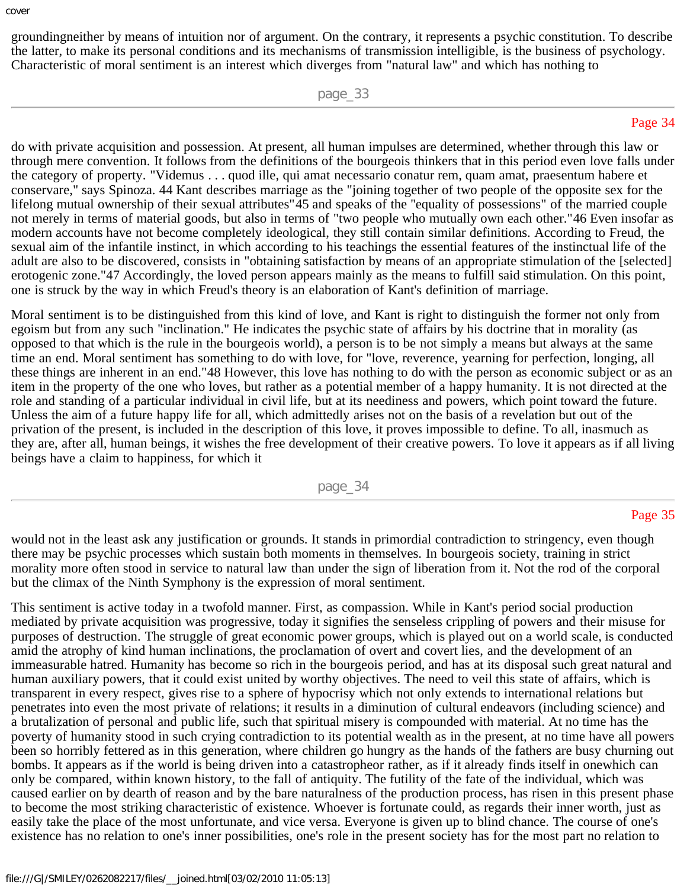groundingneither by means of intuition nor of argument. On the contrary, it represents a psychic constitution. To describe the latter, to make its personal conditions and its mechanisms of transmission intelligible, is the business of psychology. Characteristic of moral sentiment is an interest which diverges from "natural law" and which has nothing to

# Page 34

do with private acquisition and possession. At present, all human impulses are determined, whether through this law or through mere convention. It follows from the definitions of the bourgeois thinkers that in this period even love falls under the category of property. "Videmus . . . quod ille, qui amat necessario conatur rem, quam amat, praesentum habere et conservare," says Spinoza. 44 Kant describes marriage as the "joining together of two people of the opposite sex for the lifelong mutual ownership of their sexual attributes"45 and speaks of the ''equality of possessions" of the married couple not merely in terms of material goods, but also in terms of "two people who mutually own each other."46 Even insofar as modern accounts have not become completely ideological, they still contain similar definitions. According to Freud, the sexual aim of the infantile instinct, in which according to his teachings the essential features of the instinctual life of the adult are also to be discovered, consists in "obtaining satisfaction by means of an appropriate stimulation of the [selected] erotogenic zone."47 Accordingly, the loved person appears mainly as the means to fulfill said stimulation. On this point, one is struck by the way in which Freud's theory is an elaboration of Kant's definition of marriage.

Moral sentiment is to be distinguished from this kind of love, and Kant is right to distinguish the former not only from egoism but from any such "inclination." He indicates the psychic state of affairs by his doctrine that in morality (as opposed to that which is the rule in the bourgeois world), a person is to be not simply a means but always at the same time an end. Moral sentiment has something to do with love, for "love, reverence, yearning for perfection, longing, all these things are inherent in an end."48 However, this love has nothing to do with the person as economic subject or as an item in the property of the one who loves, but rather as a potential member of a happy humanity. It is not directed at the role and standing of a particular individual in civil life, but at its neediness and powers, which point toward the future. Unless the aim of a future happy life for all, which admittedly arises not on the basis of a revelation but out of the privation of the present, is included in the description of this love, it proves impossible to define. To all, inasmuch as they are, after all, human beings, it wishes the free development of their creative powers. To love it appears as if all living beings have a claim to happiness, for which it

page\_34

# Page 35

would not in the least ask any justification or grounds. It stands in primordial contradiction to stringency, even though there may be psychic processes which sustain both moments in themselves. In bourgeois society, training in strict morality more often stood in service to natural law than under the sign of liberation from it. Not the rod of the corporal but the climax of the Ninth Symphony is the expression of moral sentiment.

This sentiment is active today in a twofold manner. First, as compassion. While in Kant's period social production mediated by private acquisition was progressive, today it signifies the senseless crippling of powers and their misuse for purposes of destruction. The struggle of great economic power groups, which is played out on a world scale, is conducted amid the atrophy of kind human inclinations, the proclamation of overt and covert lies, and the development of an immeasurable hatred. Humanity has become so rich in the bourgeois period, and has at its disposal such great natural and human auxiliary powers, that it could exist united by worthy objectives. The need to veil this state of affairs, which is transparent in every respect, gives rise to a sphere of hypocrisy which not only extends to international relations but penetrates into even the most private of relations; it results in a diminution of cultural endeavors (including science) and a brutalization of personal and public life, such that spiritual misery is compounded with material. At no time has the poverty of humanity stood in such crying contradiction to its potential wealth as in the present, at no time have all powers been so horribly fettered as in this generation, where children go hungry as the hands of the fathers are busy churning out bombs. It appears as if the world is being driven into a catastropheor rather, as if it already finds itself in onewhich can only be compared, within known history, to the fall of antiquity. The futility of the fate of the individual, which was caused earlier on by dearth of reason and by the bare naturalness of the production process, has risen in this present phase to become the most striking characteristic of existence. Whoever is fortunate could, as regards their inner worth, just as easily take the place of the most unfortunate, and vice versa. Everyone is given up to blind chance. The course of one's existence has no relation to one's inner possibilities, one's role in the present society has for the most part no relation to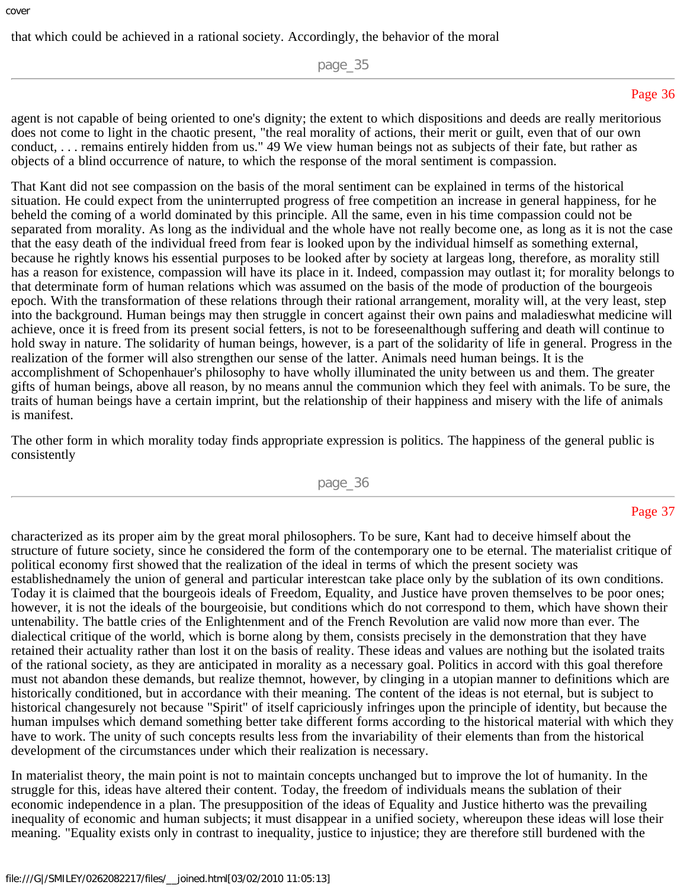that which could be achieved in a rational society. Accordingly, the behavior of the moral

page\_35

# Page 36

agent is not capable of being oriented to one's dignity; the extent to which dispositions and deeds are really meritorious does not come to light in the chaotic present, "the real morality of actions, their merit or guilt, even that of our own conduct, . . . remains entirely hidden from us." 49 We view human beings not as subjects of their fate, but rather as objects of a blind occurrence of nature, to which the response of the moral sentiment is compassion.

That Kant did not see compassion on the basis of the moral sentiment can be explained in terms of the historical situation. He could expect from the uninterrupted progress of free competition an increase in general happiness, for he beheld the coming of a world dominated by this principle. All the same, even in his time compassion could not be separated from morality. As long as the individual and the whole have not really become one, as long as it is not the case that the easy death of the individual freed from fear is looked upon by the individual himself as something external, because he rightly knows his essential purposes to be looked after by society at largeas long, therefore, as morality still has a reason for existence, compassion will have its place in it. Indeed, compassion may outlast it; for morality belongs to that determinate form of human relations which was assumed on the basis of the mode of production of the bourgeois epoch. With the transformation of these relations through their rational arrangement, morality will, at the very least, step into the background. Human beings may then struggle in concert against their own pains and maladieswhat medicine will achieve, once it is freed from its present social fetters, is not to be foreseenalthough suffering and death will continue to hold sway in nature. The solidarity of human beings, however, is a part of the solidarity of life in general. Progress in the realization of the former will also strengthen our sense of the latter. Animals need human beings. It is the accomplishment of Schopenhauer's philosophy to have wholly illuminated the unity between us and them. The greater gifts of human beings, above all reason, by no means annul the communion which they feel with animals. To be sure, the traits of human beings have a certain imprint, but the relationship of their happiness and misery with the life of animals is manifest.

The other form in which morality today finds appropriate expression is politics. The happiness of the general public is consistently

# Page 37

characterized as its proper aim by the great moral philosophers. To be sure, Kant had to deceive himself about the structure of future society, since he considered the form of the contemporary one to be eternal. The materialist critique of political economy first showed that the realization of the ideal in terms of which the present society was establishednamely the union of general and particular interestcan take place only by the sublation of its own conditions. Today it is claimed that the bourgeois ideals of Freedom, Equality, and Justice have proven themselves to be poor ones; however, it is not the ideals of the bourgeoisie, but conditions which do not correspond to them, which have shown their untenability. The battle cries of the Enlightenment and of the French Revolution are valid now more than ever. The dialectical critique of the world, which is borne along by them, consists precisely in the demonstration that they have retained their actuality rather than lost it on the basis of reality. These ideas and values are nothing but the isolated traits of the rational society, as they are anticipated in morality as a necessary goal. Politics in accord with this goal therefore must not abandon these demands, but realize themnot, however, by clinging in a utopian manner to definitions which are historically conditioned, but in accordance with their meaning. The content of the ideas is not eternal, but is subject to historical changesurely not because "Spirit" of itself capriciously infringes upon the principle of identity, but because the human impulses which demand something better take different forms according to the historical material with which they have to work. The unity of such concepts results less from the invariability of their elements than from the historical development of the circumstances under which their realization is necessary.

In materialist theory, the main point is not to maintain concepts unchanged but to improve the lot of humanity. In the struggle for this, ideas have altered their content. Today, the freedom of individuals means the sublation of their economic independence in a plan. The presupposition of the ideas of Equality and Justice hitherto was the prevailing inequality of economic and human subjects; it must disappear in a unified society, whereupon these ideas will lose their meaning. "Equality exists only in contrast to inequality, justice to injustice; they are therefore still burdened with the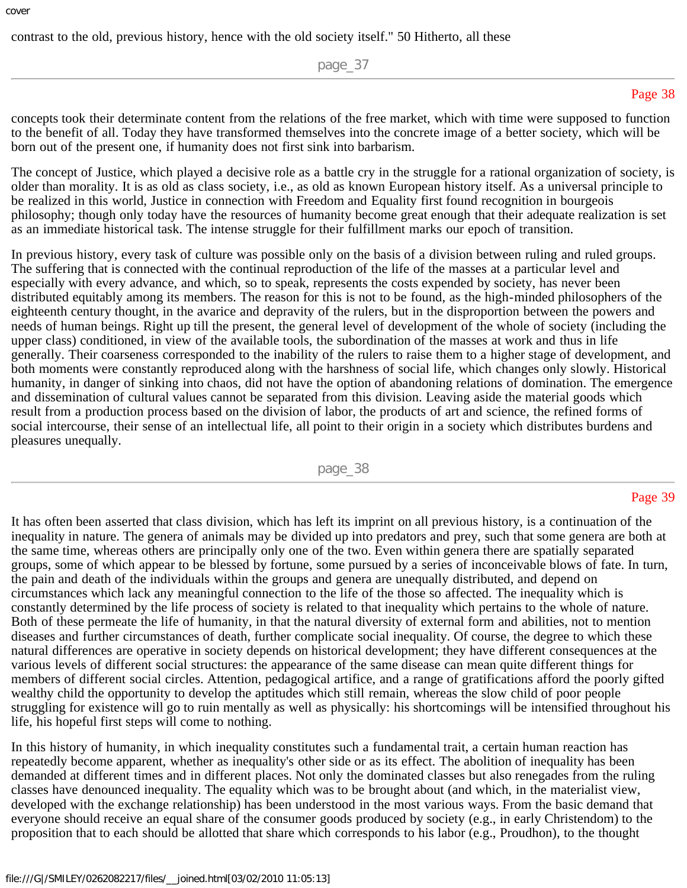contrast to the old, previous history, hence with the old society itself." 50 Hitherto, all these

page\_37

concepts took their determinate content from the relations of the free market, which with time were supposed to function to the benefit of all. Today they have transformed themselves into the concrete image of a better society, which will be born out of the present one, if humanity does not first sink into barbarism.

The concept of Justice, which played a decisive role as a battle cry in the struggle for a rational organization of society, is older than morality. It is as old as class society, i.e., as old as known European history itself. As a universal principle to be realized in this world, Justice in connection with Freedom and Equality first found recognition in bourgeois philosophy; though only today have the resources of humanity become great enough that their adequate realization is set as an immediate historical task. The intense struggle for their fulfillment marks our epoch of transition.

In previous history, every task of culture was possible only on the basis of a division between ruling and ruled groups. The suffering that is connected with the continual reproduction of the life of the masses at a particular level and especially with every advance, and which, so to speak, represents the costs expended by society, has never been distributed equitably among its members. The reason for this is not to be found, as the high-minded philosophers of the eighteenth century thought, in the avarice and depravity of the rulers, but in the disproportion between the powers and needs of human beings. Right up till the present, the general level of development of the whole of society (including the upper class) conditioned, in view of the available tools, the subordination of the masses at work and thus in life generally. Their coarseness corresponded to the inability of the rulers to raise them to a higher stage of development, and both moments were constantly reproduced along with the harshness of social life, which changes only slowly. Historical humanity, in danger of sinking into chaos, did not have the option of abandoning relations of domination. The emergence and dissemination of cultural values cannot be separated from this division. Leaving aside the material goods which result from a production process based on the division of labor, the products of art and science, the refined forms of social intercourse, their sense of an intellectual life, all point to their origin in a society which distributes burdens and pleasures unequally.



# Page 39

It has often been asserted that class division, which has left its imprint on all previous history, is a continuation of the inequality in nature. The genera of animals may be divided up into predators and prey, such that some genera are both at the same time, whereas others are principally only one of the two. Even within genera there are spatially separated groups, some of which appear to be blessed by fortune, some pursued by a series of inconceivable blows of fate. In turn, the pain and death of the individuals within the groups and genera are unequally distributed, and depend on circumstances which lack any meaningful connection to the life of the those so affected. The inequality which is constantly determined by the life process of society is related to that inequality which pertains to the whole of nature. Both of these permeate the life of humanity, in that the natural diversity of external form and abilities, not to mention diseases and further circumstances of death, further complicate social inequality. Of course, the degree to which these natural differences are operative in society depends on historical development; they have different consequences at the various levels of different social structures: the appearance of the same disease can mean quite different things for members of different social circles. Attention, pedagogical artifice, and a range of gratifications afford the poorly gifted wealthy child the opportunity to develop the aptitudes which still remain, whereas the slow child of poor people struggling for existence will go to ruin mentally as well as physically: his shortcomings will be intensified throughout his life, his hopeful first steps will come to nothing.

In this history of humanity, in which inequality constitutes such a fundamental trait, a certain human reaction has repeatedly become apparent, whether as inequality's other side or as its effect. The abolition of inequality has been demanded at different times and in different places. Not only the dominated classes but also renegades from the ruling classes have denounced inequality. The equality which was to be brought about (and which, in the materialist view, developed with the exchange relationship) has been understood in the most various ways. From the basic demand that everyone should receive an equal share of the consumer goods produced by society (e.g., in early Christendom) to the proposition that to each should be allotted that share which corresponds to his labor (e.g., Proudhon), to the thought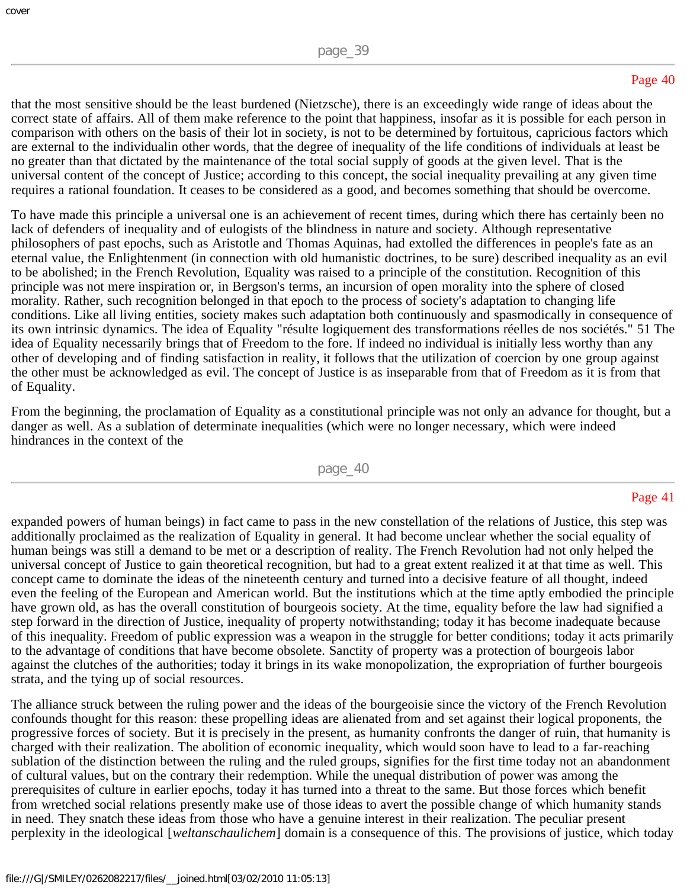## Page 40

that the most sensitive should be the least burdened (Nietzsche), there is an exceedingly wide range of ideas about the correct state of affairs. All of them make reference to the point that happiness, insofar as it is possible for each person in comparison with others on the basis of their lot in society, is not to be determined by fortuitous, capricious factors which are external to the individualin other words, that the degree of inequality of the life conditions of individuals at least be no greater than that dictated by the maintenance of the total social supply of goods at the given level. That is the universal content of the concept of Justice; according to this concept, the social inequality prevailing at any given time requires a rational foundation. It ceases to be considered as a good, and becomes something that should be overcome.

To have made this principle a universal one is an achievement of recent times, during which there has certainly been no lack of defenders of inequality and of eulogists of the blindness in nature and society. Although representative philosophers of past epochs, such as Aristotle and Thomas Aquinas, had extolled the differences in people's fate as an eternal value, the Enlightenment (in connection with old humanistic doctrines, to be sure) described inequality as an evil to be abolished; in the French Revolution, Equality was raised to a principle of the constitution. Recognition of this principle was not mere inspiration or, in Bergson's terms, an incursion of open morality into the sphere of closed morality. Rather, such recognition belonged in that epoch to the process of society's adaptation to changing life conditions. Like all living entities, society makes such adaptation both continuously and spasmodically in consequence of its own intrinsic dynamics. The idea of Equality "résulte logiquement des transformations réelles de nos sociétés." 51 The idea of Equality necessarily brings that of Freedom to the fore. If indeed no individual is initially less worthy than any other of developing and of finding satisfaction in reality, it follows that the utilization of coercion by one group against the other must be acknowledged as evil. The concept of Justice is as inseparable from that of Freedom as it is from that of Equality.

From the beginning, the proclamation of Equality as a constitutional principle was not only an advance for thought, but a danger as well. As a sublation of determinate inequalities (which were no longer necessary, which were indeed hindrances in the context of the

page\_40

# Page 41

expanded powers of human beings) in fact came to pass in the new constellation of the relations of Justice, this step was additionally proclaimed as the realization of Equality in general. It had become unclear whether the social equality of human beings was still a demand to be met or a description of reality. The French Revolution had not only helped the universal concept of Justice to gain theoretical recognition, but had to a great extent realized it at that time as well. This concept came to dominate the ideas of the nineteenth century and turned into a decisive feature of all thought, indeed even the feeling of the European and American world. But the institutions which at the time aptly embodied the principle have grown old, as has the overall constitution of bourgeois society. At the time, equality before the law had signified a step forward in the direction of Justice, inequality of property notwithstanding; today it has become inadequate because of this inequality. Freedom of public expression was a weapon in the struggle for better conditions; today it acts primarily to the advantage of conditions that have become obsolete. Sanctity of property was a protection of bourgeois labor against the clutches of the authorities; today it brings in its wake monopolization, the expropriation of further bourgeois strata, and the tying up of social resources.

The alliance struck between the ruling power and the ideas of the bourgeoisie since the victory of the French Revolution confounds thought for this reason: these propelling ideas are alienated from and set against their logical proponents, the progressive forces of society. But it is precisely in the present, as humanity confronts the danger of ruin, that humanity is charged with their realization. The abolition of economic inequality, which would soon have to lead to a far-reaching sublation of the distinction between the ruling and the ruled groups, signifies for the first time today not an abandonment of cultural values, but on the contrary their redemption. While the unequal distribution of power was among the prerequisites of culture in earlier epochs, today it has turned into a threat to the same. But those forces which benefit from wretched social relations presently make use of those ideas to avert the possible change of which humanity stands in need. They snatch these ideas from those who have a genuine interest in their realization. The peculiar present perplexity in the ideological [*weltanschaulichem*] domain is a consequence of this. The provisions of justice, which today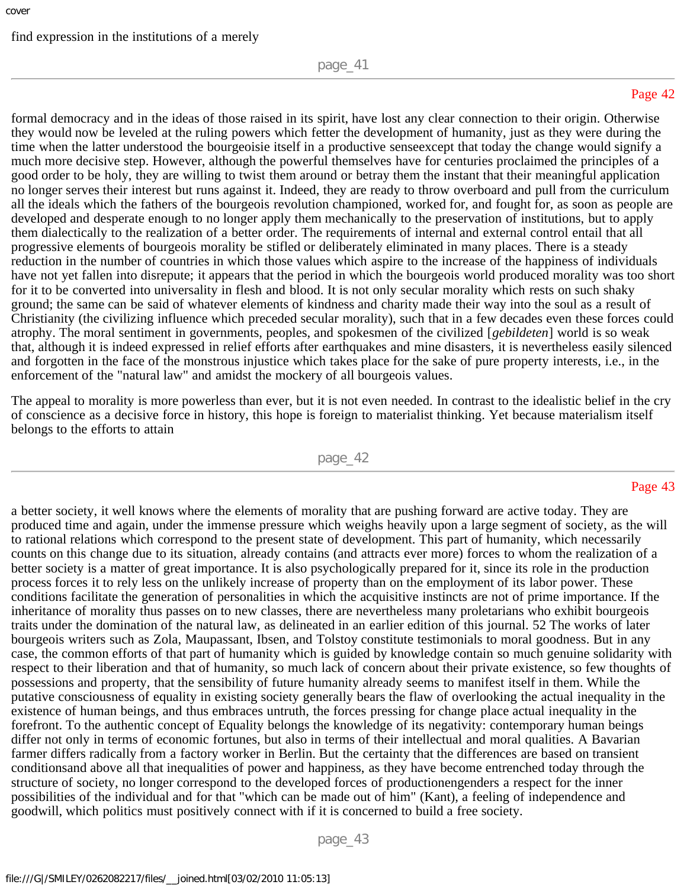find expression in the institutions of a merely

# Page 42

formal democracy and in the ideas of those raised in its spirit, have lost any clear connection to their origin. Otherwise they would now be leveled at the ruling powers which fetter the development of humanity, just as they were during the time when the latter understood the bourgeoisie itself in a productive senseexcept that today the change would signify a much more decisive step. However, although the powerful themselves have for centuries proclaimed the principles of a good order to be holy, they are willing to twist them around or betray them the instant that their meaningful application no longer serves their interest but runs against it. Indeed, they are ready to throw overboard and pull from the curriculum all the ideals which the fathers of the bourgeois revolution championed, worked for, and fought for, as soon as people are developed and desperate enough to no longer apply them mechanically to the preservation of institutions, but to apply them dialectically to the realization of a better order. The requirements of internal and external control entail that all progressive elements of bourgeois morality be stifled or deliberately eliminated in many places. There is a steady reduction in the number of countries in which those values which aspire to the increase of the happiness of individuals have not yet fallen into disrepute; it appears that the period in which the bourgeois world produced morality was too short for it to be converted into universality in flesh and blood. It is not only secular morality which rests on such shaky ground; the same can be said of whatever elements of kindness and charity made their way into the soul as a result of Christianity (the civilizing influence which preceded secular morality), such that in a few decades even these forces could atrophy. The moral sentiment in governments, peoples, and spokesmen of the civilized [*gebildeten*] world is so weak that, although it is indeed expressed in relief efforts after earthquakes and mine disasters, it is nevertheless easily silenced and forgotten in the face of the monstrous injustice which takes place for the sake of pure property interests, i.e., in the enforcement of the "natural law" and amidst the mockery of all bourgeois values.

The appeal to morality is more powerless than ever, but it is not even needed. In contrast to the idealistic belief in the cry of conscience as a decisive force in history, this hope is foreign to materialist thinking. Yet because materialism itself belongs to the efforts to attain

page 42

# Page 43

a better society, it well knows where the elements of morality that are pushing forward are active today. They are produced time and again, under the immense pressure which weighs heavily upon a large segment of society, as the will to rational relations which correspond to the present state of development. This part of humanity, which necessarily counts on this change due to its situation, already contains (and attracts ever more) forces to whom the realization of a better society is a matter of great importance. It is also psychologically prepared for it, since its role in the production process forces it to rely less on the unlikely increase of property than on the employment of its labor power. These conditions facilitate the generation of personalities in which the acquisitive instincts are not of prime importance. If the inheritance of morality thus passes on to new classes, there are nevertheless many proletarians who exhibit bourgeois traits under the domination of the natural law, as delineated in an earlier edition of this journal. 52 The works of later bourgeois writers such as Zola, Maupassant, Ibsen, and Tolstoy constitute testimonials to moral goodness. But in any case, the common efforts of that part of humanity which is guided by knowledge contain so much genuine solidarity with respect to their liberation and that of humanity, so much lack of concern about their private existence, so few thoughts of possessions and property, that the sensibility of future humanity already seems to manifest itself in them. While the putative consciousness of equality in existing society generally bears the flaw of overlooking the actual inequality in the existence of human beings, and thus embraces untruth, the forces pressing for change place actual inequality in the forefront. To the authentic concept of Equality belongs the knowledge of its negativity: contemporary human beings differ not only in terms of economic fortunes, but also in terms of their intellectual and moral qualities. A Bavarian farmer differs radically from a factory worker in Berlin. But the certainty that the differences are based on transient conditionsand above all that inequalities of power and happiness, as they have become entrenched today through the structure of society, no longer correspond to the developed forces of productionengenders a respect for the inner possibilities of the individual and for that "which can be made out of him" (Kant), a feeling of independence and goodwill, which politics must positively connect with if it is concerned to build a free society.

page\_43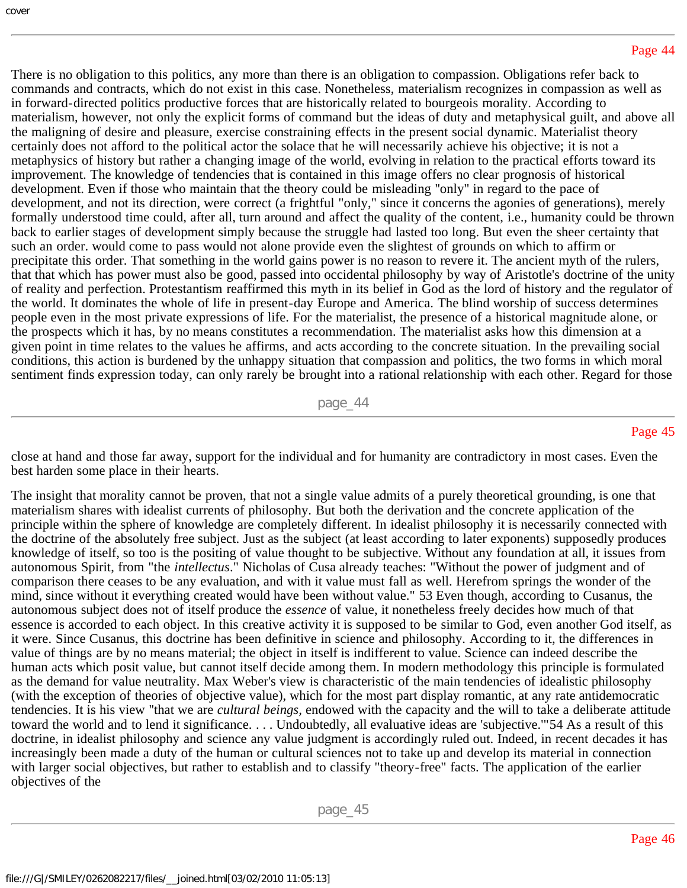There is no obligation to this politics, any more than there is an obligation to compassion. Obligations refer back to commands and contracts, which do not exist in this case. Nonetheless, materialism recognizes in compassion as well as in forward-directed politics productive forces that are historically related to bourgeois morality. According to materialism, however, not only the explicit forms of command but the ideas of duty and metaphysical guilt, and above all the maligning of desire and pleasure, exercise constraining effects in the present social dynamic. Materialist theory certainly does not afford to the political actor the solace that he will necessarily achieve his objective; it is not a metaphysics of history but rather a changing image of the world, evolving in relation to the practical efforts toward its improvement. The knowledge of tendencies that is contained in this image offers no clear prognosis of historical development. Even if those who maintain that the theory could be misleading ''only" in regard to the pace of development, and not its direction, were correct (a frightful "only," since it concerns the agonies of generations), merely formally understood time could, after all, turn around and affect the quality of the content, i.e., humanity could be thrown back to earlier stages of development simply because the struggle had lasted too long. But even the sheer certainty that such an order. would come to pass would not alone provide even the slightest of grounds on which to affirm or precipitate this order. That something in the world gains power is no reason to revere it. The ancient myth of the rulers, that that which has power must also be good, passed into occidental philosophy by way of Aristotle's doctrine of the unity of reality and perfection. Protestantism reaffirmed this myth in its belief in God as the lord of history and the regulator of the world. It dominates the whole of life in present-day Europe and America. The blind worship of success determines people even in the most private expressions of life. For the materialist, the presence of a historical magnitude alone, or the prospects which it has, by no means constitutes a recommendation. The materialist asks how this dimension at a given point in time relates to the values he affirms, and acts according to the concrete situation. In the prevailing social conditions, this action is burdened by the unhappy situation that compassion and politics, the two forms in which moral sentiment finds expression today, can only rarely be brought into a rational relationship with each other. Regard for those

page\_44

#### Page 45

close at hand and those far away, support for the individual and for humanity are contradictory in most cases. Even the best harden some place in their hearts.

The insight that morality cannot be proven, that not a single value admits of a purely theoretical grounding, is one that materialism shares with idealist currents of philosophy. But both the derivation and the concrete application of the principle within the sphere of knowledge are completely different. In idealist philosophy it is necessarily connected with the doctrine of the absolutely free subject. Just as the subject (at least according to later exponents) supposedly produces knowledge of itself, so too is the positing of value thought to be subjective. Without any foundation at all, it issues from autonomous Spirit, from "the *intellectus*." Nicholas of Cusa already teaches: "Without the power of judgment and of comparison there ceases to be any evaluation, and with it value must fall as well. Herefrom springs the wonder of the mind, since without it everything created would have been without value." 53 Even though, according to Cusanus, the autonomous subject does not of itself produce the *essence* of value, it nonetheless freely decides how much of that essence is accorded to each object. In this creative activity it is supposed to be similar to God, even another God itself, as it were. Since Cusanus, this doctrine has been definitive in science and philosophy. According to it, the differences in value of things are by no means material; the object in itself is indifferent to value. Science can indeed describe the human acts which posit value, but cannot itself decide among them. In modern methodology this principle is formulated as the demand for value neutrality. Max Weber's view is characteristic of the main tendencies of idealistic philosophy (with the exception of theories of objective value), which for the most part display romantic, at any rate antidemocratic tendencies. It is his view ''that we are *cultural beings,* endowed with the capacity and the will to take a deliberate attitude toward the world and to lend it significance. . . . Undoubtedly, all evaluative ideas are 'subjective.'"54 As a result of this doctrine, in idealist philosophy and science any value judgment is accordingly ruled out. Indeed, in recent decades it has increasingly been made a duty of the human or cultural sciences not to take up and develop its material in connection with larger social objectives, but rather to establish and to classify "theory-free" facts. The application of the earlier objectives of the

page\_45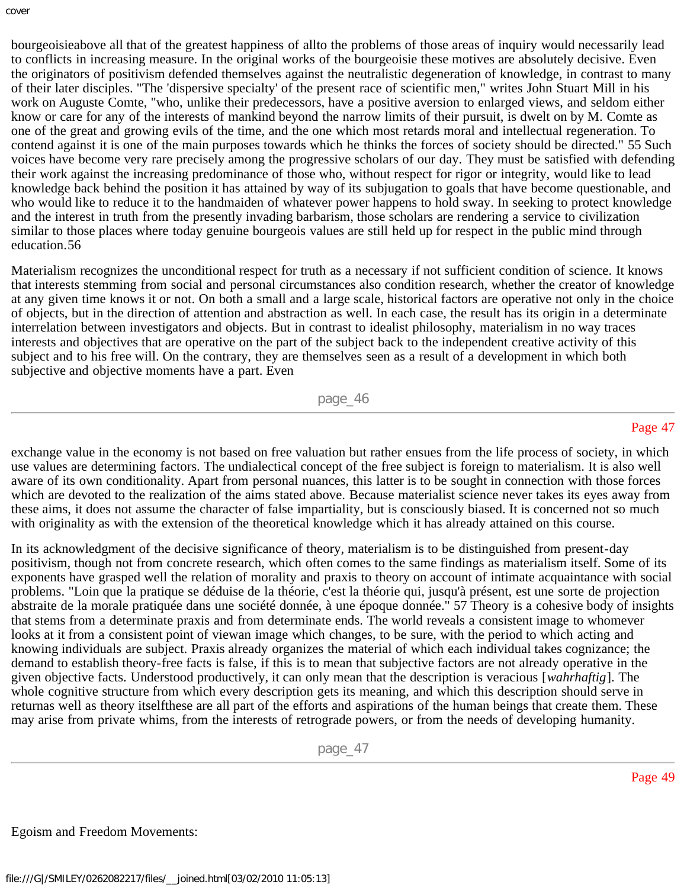bourgeoisieabove all that of the greatest happiness of allto the problems of those areas of inquiry would necessarily lead to conflicts in increasing measure. In the original works of the bourgeoisie these motives are absolutely decisive. Even the originators of positivism defended themselves against the neutralistic degeneration of knowledge, in contrast to many of their later disciples. "The 'dispersive specialty' of the present race of scientific men," writes John Stuart Mill in his work on Auguste Comte, "who, unlike their predecessors, have a positive aversion to enlarged views, and seldom either know or care for any of the interests of mankind beyond the narrow limits of their pursuit, is dwelt on by M. Comte as one of the great and growing evils of the time, and the one which most retards moral and intellectual regeneration. To contend against it is one of the main purposes towards which he thinks the forces of society should be directed." 55 Such voices have become very rare precisely among the progressive scholars of our day. They must be satisfied with defending their work against the increasing predominance of those who, without respect for rigor or integrity, would like to lead knowledge back behind the position it has attained by way of its subjugation to goals that have become questionable, and who would like to reduce it to the handmaiden of whatever power happens to hold sway. In seeking to protect knowledge and the interest in truth from the presently invading barbarism, those scholars are rendering a service to civilization similar to those places where today genuine bourgeois values are still held up for respect in the public mind through education.56

Materialism recognizes the unconditional respect for truth as a necessary if not sufficient condition of science. It knows that interests stemming from social and personal circumstances also condition research, whether the creator of knowledge at any given time knows it or not. On both a small and a large scale, historical factors are operative not only in the choice of objects, but in the direction of attention and abstraction as well. In each case, the result has its origin in a determinate interrelation between investigators and objects. But in contrast to idealist philosophy, materialism in no way traces interests and objectives that are operative on the part of the subject back to the independent creative activity of this subject and to his free will. On the contrary, they are themselves seen as a result of a development in which both subjective and objective moments have a part. Even

page\_46

## Page 47

exchange value in the economy is not based on free valuation but rather ensues from the life process of society, in which use values are determining factors. The undialectical concept of the free subject is foreign to materialism. It is also well aware of its own conditionality. Apart from personal nuances, this latter is to be sought in connection with those forces which are devoted to the realization of the aims stated above. Because materialist science never takes its eyes away from these aims, it does not assume the character of false impartiality, but is consciously biased. It is concerned not so much with originality as with the extension of the theoretical knowledge which it has already attained on this course.

In its acknowledgment of the decisive significance of theory, materialism is to be distinguished from present-day positivism, though not from concrete research, which often comes to the same findings as materialism itself. Some of its exponents have grasped well the relation of morality and praxis to theory on account of intimate acquaintance with social problems. "Loin que la pratique se déduise de la théorie, c'est la théorie qui, jusqu'à présent, est une sorte de projection abstraite de la morale pratiquée dans une société donnée, à une époque donnée." 57 Theory is a cohesive body of insights that stems from a determinate praxis and from determinate ends. The world reveals a consistent image to whomever looks at it from a consistent point of viewan image which changes, to be sure, with the period to which acting and knowing individuals are subject. Praxis already organizes the material of which each individual takes cognizance; the demand to establish theory-free facts is false, if this is to mean that subjective factors are not already operative in the given objective facts. Understood productively, it can only mean that the description is veracious [*wahrhaftig*]. The whole cognitive structure from which every description gets its meaning, and which this description should serve in returnas well as theory itselfthese are all part of the efforts and aspirations of the human beings that create them. These may arise from private whims, from the interests of retrograde powers, or from the needs of developing humanity.

page\_47

Egoism and Freedom Movements:

Page 49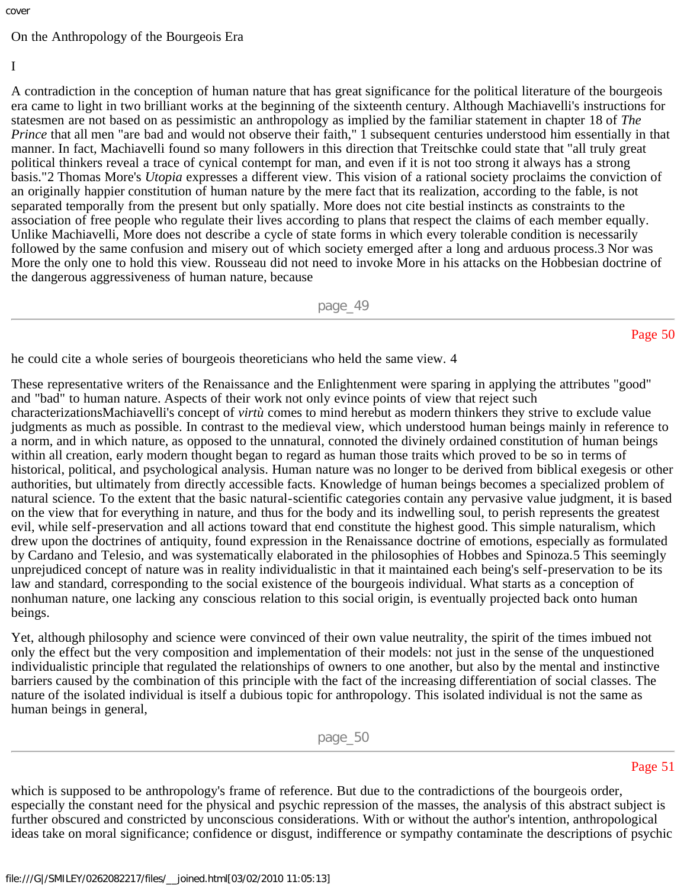# On the Anthropology of the Bourgeois Era

I

A contradiction in the conception of human nature that has great significance for the political literature of the bourgeois era came to light in two brilliant works at the beginning of the sixteenth century. Although Machiavelli's instructions for statesmen are not based on as pessimistic an anthropology as implied by the familiar statement in chapter 18 of *The Prince* that all men "are bad and would not observe their faith," 1 subsequent centuries understood him essentially in that manner. In fact, Machiavelli found so many followers in this direction that Treitschke could state that "all truly great political thinkers reveal a trace of cynical contempt for man, and even if it is not too strong it always has a strong basis."2 Thomas More's *Utopia* expresses a different view. This vision of a rational society proclaims the conviction of an originally happier constitution of human nature by the mere fact that its realization, according to the fable, is not separated temporally from the present but only spatially. More does not cite bestial instincts as constraints to the association of free people who regulate their lives according to plans that respect the claims of each member equally. Unlike Machiavelli, More does not describe a cycle of state forms in which every tolerable condition is necessarily followed by the same confusion and misery out of which society emerged after a long and arduous process.3 Nor was More the only one to hold this view. Rousseau did not need to invoke More in his attacks on the Hobbesian doctrine of the dangerous aggressiveness of human nature, because

page\_49

Page 50

he could cite a whole series of bourgeois theoreticians who held the same view. 4

These representative writers of the Renaissance and the Enlightenment were sparing in applying the attributes "good" and "bad" to human nature. Aspects of their work not only evince points of view that reject such characterizationsMachiavelli's concept of *virtù* comes to mind herebut as modern thinkers they strive to exclude value judgments as much as possible. In contrast to the medieval view, which understood human beings mainly in reference to a norm, and in which nature, as opposed to the unnatural, connoted the divinely ordained constitution of human beings within all creation, early modern thought began to regard as human those traits which proved to be so in terms of historical, political, and psychological analysis. Human nature was no longer to be derived from biblical exegesis or other authorities, but ultimately from directly accessible facts. Knowledge of human beings becomes a specialized problem of natural science. To the extent that the basic natural-scientific categories contain any pervasive value judgment, it is based on the view that for everything in nature, and thus for the body and its indwelling soul, to perish represents the greatest evil, while self-preservation and all actions toward that end constitute the highest good. This simple naturalism, which drew upon the doctrines of antiquity, found expression in the Renaissance doctrine of emotions, especially as formulated by Cardano and Telesio, and was systematically elaborated in the philosophies of Hobbes and Spinoza.5 This seemingly unprejudiced concept of nature was in reality individualistic in that it maintained each being's self-preservation to be its law and standard, corresponding to the social existence of the bourgeois individual. What starts as a conception of nonhuman nature, one lacking any conscious relation to this social origin, is eventually projected back onto human beings.

Yet, although philosophy and science were convinced of their own value neutrality, the spirit of the times imbued not only the effect but the very composition and implementation of their models: not just in the sense of the unquestioned individualistic principle that regulated the relationships of owners to one another, but also by the mental and instinctive barriers caused by the combination of this principle with the fact of the increasing differentiation of social classes. The nature of the isolated individual is itself a dubious topic for anthropology. This isolated individual is not the same as human beings in general,

page\_50

## Page 51

which is supposed to be anthropology's frame of reference. But due to the contradictions of the bourgeois order, especially the constant need for the physical and psychic repression of the masses, the analysis of this abstract subject is further obscured and constricted by unconscious considerations. With or without the author's intention, anthropological ideas take on moral significance; confidence or disgust, indifference or sympathy contaminate the descriptions of psychic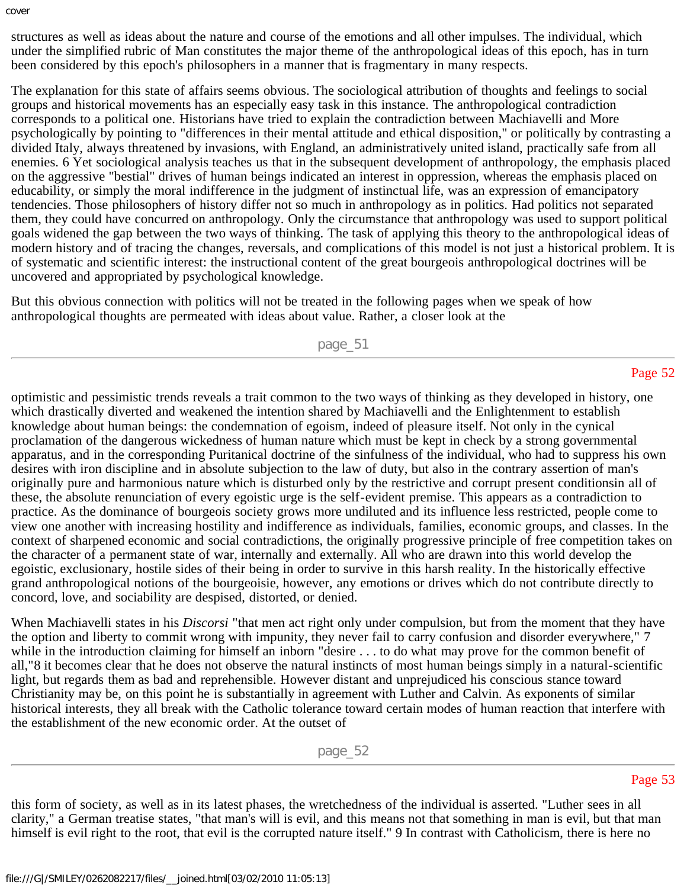structures as well as ideas about the nature and course of the emotions and all other impulses. The individual, which under the simplified rubric of Man constitutes the major theme of the anthropological ideas of this epoch, has in turn been considered by this epoch's philosophers in a manner that is fragmentary in many respects.

The explanation for this state of affairs seems obvious. The sociological attribution of thoughts and feelings to social groups and historical movements has an especially easy task in this instance. The anthropological contradiction corresponds to a political one. Historians have tried to explain the contradiction between Machiavelli and More psychologically by pointing to "differences in their mental attitude and ethical disposition," or politically by contrasting a divided Italy, always threatened by invasions, with England, an administratively united island, practically safe from all enemies. 6 Yet sociological analysis teaches us that in the subsequent development of anthropology, the emphasis placed on the aggressive "bestial" drives of human beings indicated an interest in oppression, whereas the emphasis placed on educability, or simply the moral indifference in the judgment of instinctual life, was an expression of emancipatory tendencies. Those philosophers of history differ not so much in anthropology as in politics. Had politics not separated them, they could have concurred on anthropology. Only the circumstance that anthropology was used to support political goals widened the gap between the two ways of thinking. The task of applying this theory to the anthropological ideas of modern history and of tracing the changes, reversals, and complications of this model is not just a historical problem. It is of systematic and scientific interest: the instructional content of the great bourgeois anthropological doctrines will be uncovered and appropriated by psychological knowledge.

But this obvious connection with politics will not be treated in the following pages when we speak of how anthropological thoughts are permeated with ideas about value. Rather, a closer look at the

page\_51

# Page 52

optimistic and pessimistic trends reveals a trait common to the two ways of thinking as they developed in history, one which drastically diverted and weakened the intention shared by Machiavelli and the Enlightenment to establish knowledge about human beings: the condemnation of egoism, indeed of pleasure itself. Not only in the cynical proclamation of the dangerous wickedness of human nature which must be kept in check by a strong governmental apparatus, and in the corresponding Puritanical doctrine of the sinfulness of the individual, who had to suppress his own desires with iron discipline and in absolute subjection to the law of duty, but also in the contrary assertion of man's originally pure and harmonious nature which is disturbed only by the restrictive and corrupt present conditionsin all of these, the absolute renunciation of every egoistic urge is the self-evident premise. This appears as a contradiction to practice. As the dominance of bourgeois society grows more undiluted and its influence less restricted, people come to view one another with increasing hostility and indifference as individuals, families, economic groups, and classes. In the context of sharpened economic and social contradictions, the originally progressive principle of free competition takes on the character of a permanent state of war, internally and externally. All who are drawn into this world develop the egoistic, exclusionary, hostile sides of their being in order to survive in this harsh reality. In the historically effective grand anthropological notions of the bourgeoisie, however, any emotions or drives which do not contribute directly to concord, love, and sociability are despised, distorted, or denied.

When Machiavelli states in his *Discorsi* "that men act right only under compulsion, but from the moment that they have the option and liberty to commit wrong with impunity, they never fail to carry confusion and disorder everywhere," 7 while in the introduction claiming for himself an inborn "desire . . . to do what may prove for the common benefit of all,"8 it becomes clear that he does not observe the natural instincts of most human beings simply in a natural-scientific light, but regards them as bad and reprehensible. However distant and unprejudiced his conscious stance toward Christianity may be, on this point he is substantially in agreement with Luther and Calvin. As exponents of similar historical interests, they all break with the Catholic tolerance toward certain modes of human reaction that interfere with the establishment of the new economic order. At the outset of

page\_52

## Page 53

this form of society, as well as in its latest phases, the wretchedness of the individual is asserted. "Luther sees in all clarity," a German treatise states, "that man's will is evil, and this means not that something in man is evil, but that man himself is evil right to the root, that evil is the corrupted nature itself." 9 In contrast with Catholicism, there is here no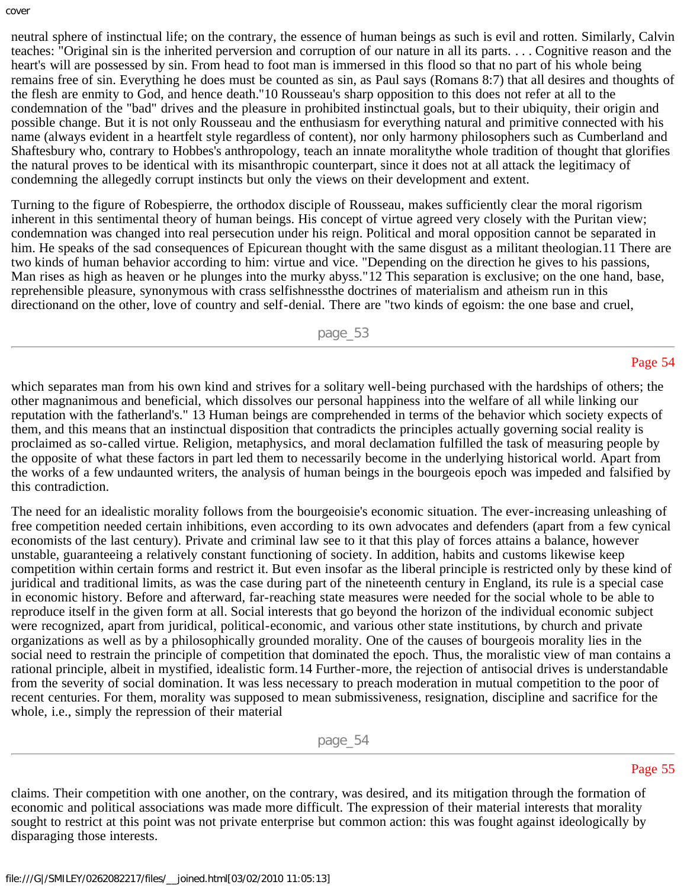neutral sphere of instinctual life; on the contrary, the essence of human beings as such is evil and rotten. Similarly, Calvin teaches: "Original sin is the inherited perversion and corruption of our nature in all its parts. . . . Cognitive reason and the heart's will are possessed by sin. From head to foot man is immersed in this flood so that no part of his whole being remains free of sin. Everything he does must be counted as sin, as Paul says (Romans 8:7) that all desires and thoughts of the flesh are enmity to God, and hence death.''10 Rousseau's sharp opposition to this does not refer at all to the condemnation of the "bad" drives and the pleasure in prohibited instinctual goals, but to their ubiquity, their origin and possible change. But it is not only Rousseau and the enthusiasm for everything natural and primitive connected with his name (always evident in a heartfelt style regardless of content), nor only harmony philosophers such as Cumberland and Shaftesbury who, contrary to Hobbes's anthropology, teach an innate moralitythe whole tradition of thought that glorifies the natural proves to be identical with its misanthropic counterpart, since it does not at all attack the legitimacy of condemning the allegedly corrupt instincts but only the views on their development and extent.

Turning to the figure of Robespierre, the orthodox disciple of Rousseau, makes sufficiently clear the moral rigorism inherent in this sentimental theory of human beings. His concept of virtue agreed very closely with the Puritan view; condemnation was changed into real persecution under his reign. Political and moral opposition cannot be separated in him. He speaks of the sad consequences of Epicurean thought with the same disgust as a militant theologian.11 There are two kinds of human behavior according to him: virtue and vice. "Depending on the direction he gives to his passions, Man rises as high as heaven or he plunges into the murky abyss."12 This separation is exclusive; on the one hand, base, reprehensible pleasure, synonymous with crass selfishnessthe doctrines of materialism and atheism run in this directionand on the other, love of country and self-denial. There are "two kinds of egoism: the one base and cruel,

page\_53

## Page 54

which separates man from his own kind and strives for a solitary well-being purchased with the hardships of others; the other magnanimous and beneficial, which dissolves our personal happiness into the welfare of all while linking our reputation with the fatherland's." 13 Human beings are comprehended in terms of the behavior which society expects of them, and this means that an instinctual disposition that contradicts the principles actually governing social reality is proclaimed as so-called virtue. Religion, metaphysics, and moral declamation fulfilled the task of measuring people by the opposite of what these factors in part led them to necessarily become in the underlying historical world. Apart from the works of a few undaunted writers, the analysis of human beings in the bourgeois epoch was impeded and falsified by this contradiction.

The need for an idealistic morality follows from the bourgeoisie's economic situation. The ever-increasing unleashing of free competition needed certain inhibitions, even according to its own advocates and defenders (apart from a few cynical economists of the last century). Private and criminal law see to it that this play of forces attains a balance, however unstable, guaranteeing a relatively constant functioning of society. In addition, habits and customs likewise keep competition within certain forms and restrict it. But even insofar as the liberal principle is restricted only by these kind of juridical and traditional limits, as was the case during part of the nineteenth century in England, its rule is a special case in economic history. Before and afterward, far-reaching state measures were needed for the social whole to be able to reproduce itself in the given form at all. Social interests that go beyond the horizon of the individual economic subject were recognized, apart from juridical, political-economic, and various other state institutions, by church and private organizations as well as by a philosophically grounded morality. One of the causes of bourgeois morality lies in the social need to restrain the principle of competition that dominated the epoch. Thus, the moralistic view of man contains a rational principle, albeit in mystified, idealistic form.14 Further-more, the rejection of antisocial drives is understandable from the severity of social domination. It was less necessary to preach moderation in mutual competition to the poor of recent centuries. For them, morality was supposed to mean submissiveness, resignation, discipline and sacrifice for the whole, i.e., simply the repression of their material

page\_54

#### Page 55

claims. Their competition with one another, on the contrary, was desired, and its mitigation through the formation of economic and political associations was made more difficult. The expression of their material interests that morality sought to restrict at this point was not private enterprise but common action: this was fought against ideologically by disparaging those interests.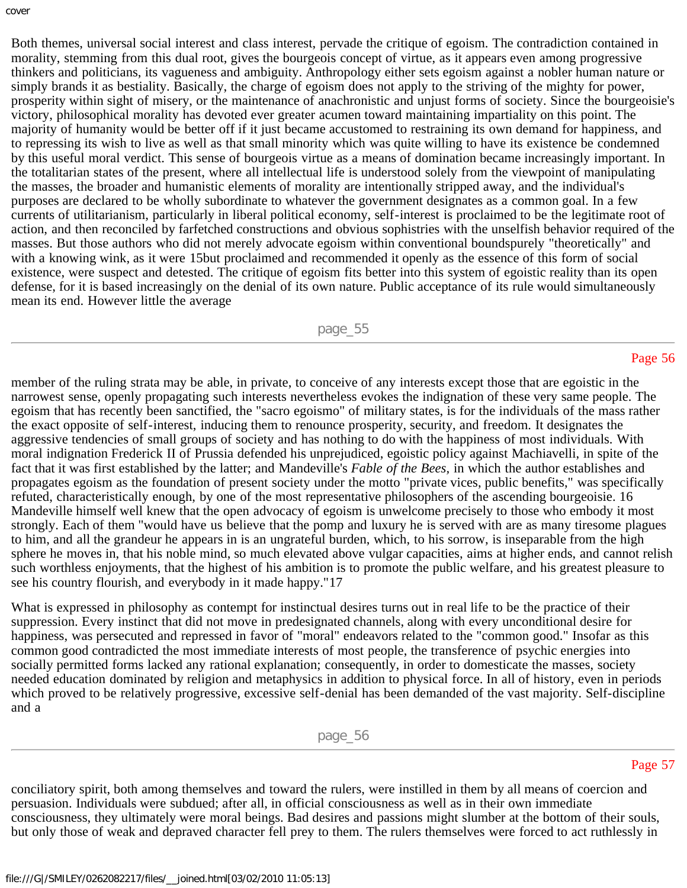Both themes, universal social interest and class interest, pervade the critique of egoism. The contradiction contained in morality, stemming from this dual root, gives the bourgeois concept of virtue, as it appears even among progressive thinkers and politicians, its vagueness and ambiguity. Anthropology either sets egoism against a nobler human nature or simply brands it as bestiality. Basically, the charge of egoism does not apply to the striving of the mighty for power, prosperity within sight of misery, or the maintenance of anachronistic and unjust forms of society. Since the bourgeoisie's victory, philosophical morality has devoted ever greater acumen toward maintaining impartiality on this point. The majority of humanity would be better off if it just became accustomed to restraining its own demand for happiness, and to repressing its wish to live as well as that small minority which was quite willing to have its existence be condemned by this useful moral verdict. This sense of bourgeois virtue as a means of domination became increasingly important. In the totalitarian states of the present, where all intellectual life is understood solely from the viewpoint of manipulating the masses, the broader and humanistic elements of morality are intentionally stripped away, and the individual's purposes are declared to be wholly subordinate to whatever the government designates as a common goal. In a few currents of utilitarianism, particularly in liberal political economy, self-interest is proclaimed to be the legitimate root of action, and then reconciled by farfetched constructions and obvious sophistries with the unselfish behavior required of the masses. But those authors who did not merely advocate egoism within conventional boundspurely "theoretically" and with a knowing wink, as it were 15but proclaimed and recommended it openly as the essence of this form of social existence, were suspect and detested. The critique of egoism fits better into this system of egoistic reality than its open defense, for it is based increasingly on the denial of its own nature. Public acceptance of its rule would simultaneously mean its end. However little the average

page\_55

## Page 56

member of the ruling strata may be able, in private, to conceive of any interests except those that are egoistic in the narrowest sense, openly propagating such interests nevertheless evokes the indignation of these very same people. The egoism that has recently been sanctified, the "sacro egoismo" of military states, is for the individuals of the mass rather the exact opposite of self-interest, inducing them to renounce prosperity, security, and freedom. It designates the aggressive tendencies of small groups of society and has nothing to do with the happiness of most individuals. With moral indignation Frederick II of Prussia defended his unprejudiced, egoistic policy against Machiavelli, in spite of the fact that it was first established by the latter; and Mandeville's *Fable of the Bees,* in which the author establishes and propagates egoism as the foundation of present society under the motto "private vices, public benefits," was specifically refuted, characteristically enough, by one of the most representative philosophers of the ascending bourgeoisie. 16 Mandeville himself well knew that the open advocacy of egoism is unwelcome precisely to those who embody it most strongly. Each of them "would have us believe that the pomp and luxury he is served with are as many tiresome plagues to him, and all the grandeur he appears in is an ungrateful burden, which, to his sorrow, is inseparable from the high sphere he moves in, that his noble mind, so much elevated above vulgar capacities, aims at higher ends, and cannot relish such worthless enjoyments, that the highest of his ambition is to promote the public welfare, and his greatest pleasure to see his country flourish, and everybody in it made happy."17

What is expressed in philosophy as contempt for instinctual desires turns out in real life to be the practice of their suppression. Every instinct that did not move in predesignated channels, along with every unconditional desire for happiness, was persecuted and repressed in favor of "moral" endeavors related to the "common good." Insofar as this common good contradicted the most immediate interests of most people, the transference of psychic energies into socially permitted forms lacked any rational explanation; consequently, in order to domesticate the masses, society needed education dominated by religion and metaphysics in addition to physical force. In all of history, even in periods which proved to be relatively progressive, excessive self-denial has been demanded of the vast majority. Self-discipline and a

page\_56

#### Page 57

conciliatory spirit, both among themselves and toward the rulers, were instilled in them by all means of coercion and persuasion. Individuals were subdued; after all, in official consciousness as well as in their own immediate consciousness, they ultimately were moral beings. Bad desires and passions might slumber at the bottom of their souls, but only those of weak and depraved character fell prey to them. The rulers themselves were forced to act ruthlessly in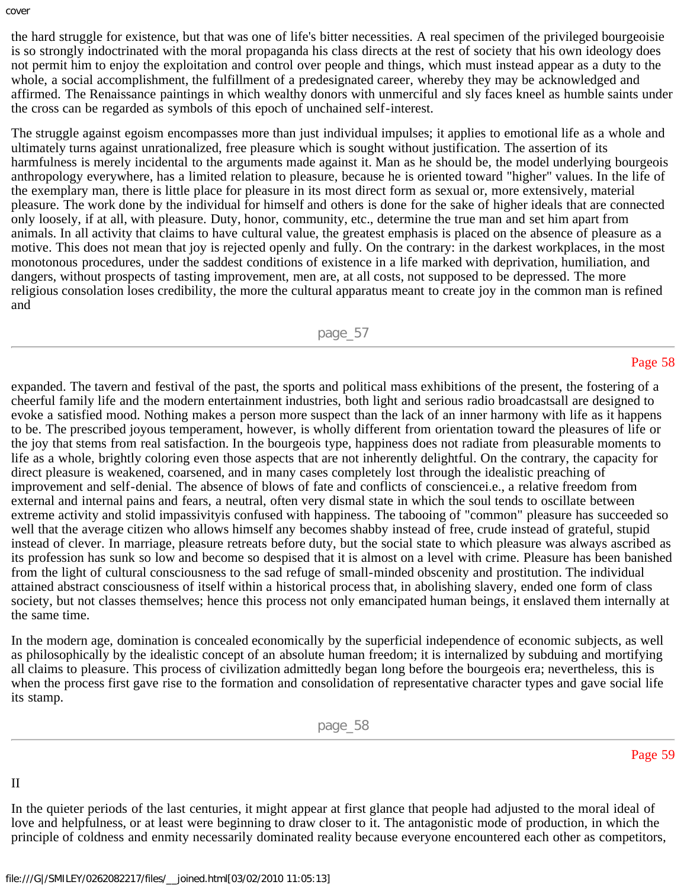the hard struggle for existence, but that was one of life's bitter necessities. A real specimen of the privileged bourgeoisie is so strongly indoctrinated with the moral propaganda his class directs at the rest of society that his own ideology does not permit him to enjoy the exploitation and control over people and things, which must instead appear as a duty to the whole, a social accomplishment, the fulfillment of a predesignated career, whereby they may be acknowledged and affirmed. The Renaissance paintings in which wealthy donors with unmerciful and sly faces kneel as humble saints under the cross can be regarded as symbols of this epoch of unchained self-interest.

The struggle against egoism encompasses more than just individual impulses; it applies to emotional life as a whole and ultimately turns against unrationalized, free pleasure which is sought without justification. The assertion of its harmfulness is merely incidental to the arguments made against it. Man as he should be, the model underlying bourgeois anthropology everywhere, has a limited relation to pleasure, because he is oriented toward "higher" values. In the life of the exemplary man, there is little place for pleasure in its most direct form as sexual or, more extensively, material pleasure. The work done by the individual for himself and others is done for the sake of higher ideals that are connected only loosely, if at all, with pleasure. Duty, honor, community, etc., determine the true man and set him apart from animals. In all activity that claims to have cultural value, the greatest emphasis is placed on the absence of pleasure as a motive. This does not mean that joy is rejected openly and fully. On the contrary: in the darkest workplaces, in the most monotonous procedures, under the saddest conditions of existence in a life marked with deprivation, humiliation, and dangers, without prospects of tasting improvement, men are, at all costs, not supposed to be depressed. The more religious consolation loses credibility, the more the cultural apparatus meant to create joy in the common man is refined and

page\_57

# Page 58

expanded. The tavern and festival of the past, the sports and political mass exhibitions of the present, the fostering of a cheerful family life and the modern entertainment industries, both light and serious radio broadcastsall are designed to evoke a satisfied mood. Nothing makes a person more suspect than the lack of an inner harmony with life as it happens to be. The prescribed joyous temperament, however, is wholly different from orientation toward the pleasures of life or the joy that stems from real satisfaction. In the bourgeois type, happiness does not radiate from pleasurable moments to life as a whole, brightly coloring even those aspects that are not inherently delightful. On the contrary, the capacity for direct pleasure is weakened, coarsened, and in many cases completely lost through the idealistic preaching of improvement and self-denial. The absence of blows of fate and conflicts of consciencei.e., a relative freedom from external and internal pains and fears, a neutral, often very dismal state in which the soul tends to oscillate between extreme activity and stolid impassivityis confused with happiness. The tabooing of "common" pleasure has succeeded so well that the average citizen who allows himself any becomes shabby instead of free, crude instead of grateful, stupid instead of clever. In marriage, pleasure retreats before duty, but the social state to which pleasure was always ascribed as its profession has sunk so low and become so despised that it is almost on a level with crime. Pleasure has been banished from the light of cultural consciousness to the sad refuge of small-minded obscenity and prostitution. The individual attained abstract consciousness of itself within a historical process that, in abolishing slavery, ended one form of class society, but not classes themselves; hence this process not only emancipated human beings, it enslaved them internally at the same time.

In the modern age, domination is concealed economically by the superficial independence of economic subjects, as well as philosophically by the idealistic concept of an absolute human freedom; it is internalized by subduing and mortifying all claims to pleasure. This process of civilization admittedly began long before the bourgeois era; nevertheless, this is when the process first gave rise to the formation and consolidation of representative character types and gave social life its stamp.

page\_58

Page 59

II

In the quieter periods of the last centuries, it might appear at first glance that people had adjusted to the moral ideal of love and helpfulness, or at least were beginning to draw closer to it. The antagonistic mode of production, in which the principle of coldness and enmity necessarily dominated reality because everyone encountered each other as competitors,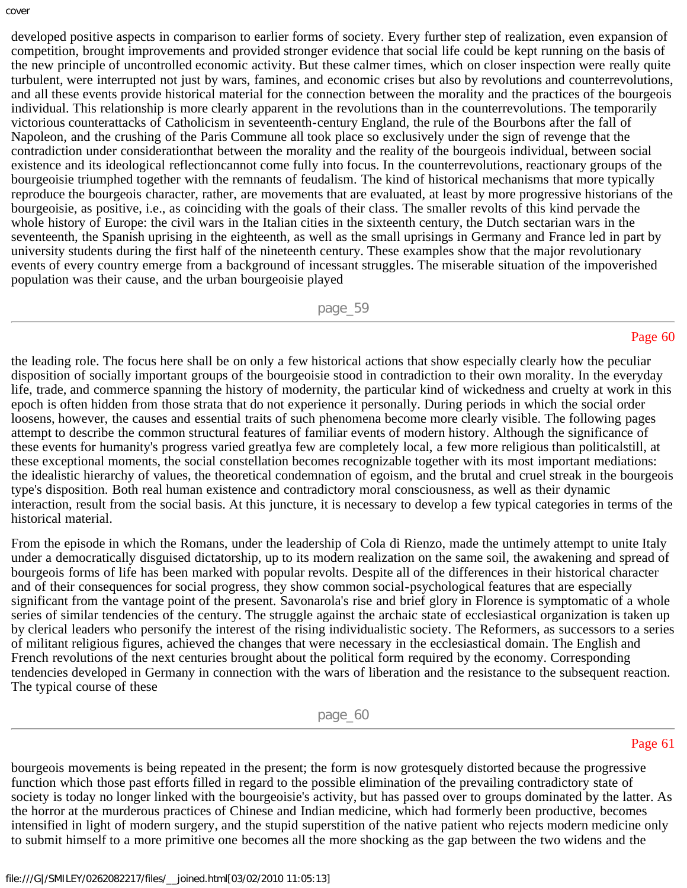developed positive aspects in comparison to earlier forms of society. Every further step of realization, even expansion of competition, brought improvements and provided stronger evidence that social life could be kept running on the basis of the new principle of uncontrolled economic activity. But these calmer times, which on closer inspection were really quite turbulent, were interrupted not just by wars, famines, and economic crises but also by revolutions and counterrevolutions, and all these events provide historical material for the connection between the morality and the practices of the bourgeois individual. This relationship is more clearly apparent in the revolutions than in the counterrevolutions. The temporarily victorious counterattacks of Catholicism in seventeenth-century England, the rule of the Bourbons after the fall of Napoleon, and the crushing of the Paris Commune all took place so exclusively under the sign of revenge that the contradiction under considerationthat between the morality and the reality of the bourgeois individual, between social existence and its ideological reflectioncannot come fully into focus. In the counterrevolutions, reactionary groups of the bourgeoisie triumphed together with the remnants of feudalism. The kind of historical mechanisms that more typically reproduce the bourgeois character, rather, are movements that are evaluated, at least by more progressive historians of the bourgeoisie, as positive, i.e., as coinciding with the goals of their class. The smaller revolts of this kind pervade the whole history of Europe: the civil wars in the Italian cities in the sixteenth century, the Dutch sectarian wars in the seventeenth, the Spanish uprising in the eighteenth, as well as the small uprisings in Germany and France led in part by university students during the first half of the nineteenth century. These examples show that the major revolutionary events of every country emerge from a background of incessant struggles. The miserable situation of the impoverished population was their cause, and the urban bourgeoisie played

page\_59

# Page 60

the leading role. The focus here shall be on only a few historical actions that show especially clearly how the peculiar disposition of socially important groups of the bourgeoisie stood in contradiction to their own morality. In the everyday life, trade, and commerce spanning the history of modernity, the particular kind of wickedness and cruelty at work in this epoch is often hidden from those strata that do not experience it personally. During periods in which the social order loosens, however, the causes and essential traits of such phenomena become more clearly visible. The following pages attempt to describe the common structural features of familiar events of modern history. Although the significance of these events for humanity's progress varied greatlya few are completely local, a few more religious than politicalstill, at these exceptional moments, the social constellation becomes recognizable together with its most important mediations: the idealistic hierarchy of values, the theoretical condemnation of egoism, and the brutal and cruel streak in the bourgeois type's disposition. Both real human existence and contradictory moral consciousness, as well as their dynamic interaction, result from the social basis. At this juncture, it is necessary to develop a few typical categories in terms of the historical material.

From the episode in which the Romans, under the leadership of Cola di Rienzo, made the untimely attempt to unite Italy under a democratically disguised dictatorship, up to its modern realization on the same soil, the awakening and spread of bourgeois forms of life has been marked with popular revolts. Despite all of the differences in their historical character and of their consequences for social progress, they show common social-psychological features that are especially significant from the vantage point of the present. Savonarola's rise and brief glory in Florence is symptomatic of a whole series of similar tendencies of the century. The struggle against the archaic state of ecclesiastical organization is taken up by clerical leaders who personify the interest of the rising individualistic society. The Reformers, as successors to a series of militant religious figures, achieved the changes that were necessary in the ecclesiastical domain. The English and French revolutions of the next centuries brought about the political form required by the economy. Corresponding tendencies developed in Germany in connection with the wars of liberation and the resistance to the subsequent reaction. The typical course of these

page\_60

## Page 61

bourgeois movements is being repeated in the present; the form is now grotesquely distorted because the progressive function which those past efforts filled in regard to the possible elimination of the prevailing contradictory state of society is today no longer linked with the bourgeoisie's activity, but has passed over to groups dominated by the latter. As the horror at the murderous practices of Chinese and Indian medicine, which had formerly been productive, becomes intensified in light of modern surgery, and the stupid superstition of the native patient who rejects modern medicine only to submit himself to a more primitive one becomes all the more shocking as the gap between the two widens and the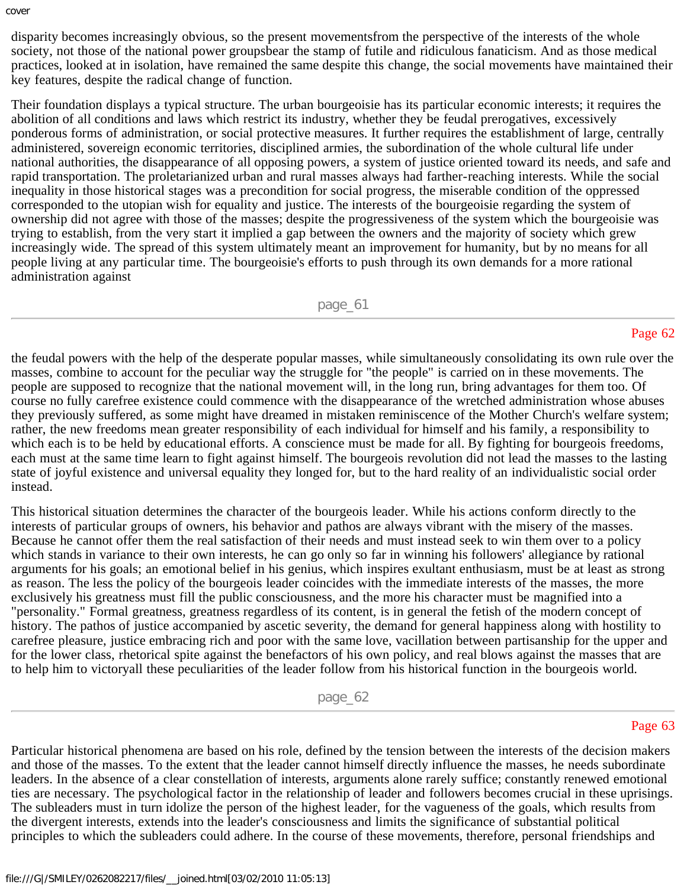disparity becomes increasingly obvious, so the present movementsfrom the perspective of the interests of the whole society, not those of the national power groupsbear the stamp of futile and ridiculous fanaticism. And as those medical practices, looked at in isolation, have remained the same despite this change, the social movements have maintained their key features, despite the radical change of function.

Their foundation displays a typical structure. The urban bourgeoisie has its particular economic interests; it requires the abolition of all conditions and laws which restrict its industry, whether they be feudal prerogatives, excessively ponderous forms of administration, or social protective measures. It further requires the establishment of large, centrally administered, sovereign economic territories, disciplined armies, the subordination of the whole cultural life under national authorities, the disappearance of all opposing powers, a system of justice oriented toward its needs, and safe and rapid transportation. The proletarianized urban and rural masses always had farther-reaching interests. While the social inequality in those historical stages was a precondition for social progress, the miserable condition of the oppressed corresponded to the utopian wish for equality and justice. The interests of the bourgeoisie regarding the system of ownership did not agree with those of the masses; despite the progressiveness of the system which the bourgeoisie was trying to establish, from the very start it implied a gap between the owners and the majority of society which grew increasingly wide. The spread of this system ultimately meant an improvement for humanity, but by no means for all people living at any particular time. The bourgeoisie's efforts to push through its own demands for a more rational administration against

page\_61

# Page 62

the feudal powers with the help of the desperate popular masses, while simultaneously consolidating its own rule over the masses, combine to account for the peculiar way the struggle for "the people" is carried on in these movements. The people are supposed to recognize that the national movement will, in the long run, bring advantages for them too. Of course no fully carefree existence could commence with the disappearance of the wretched administration whose abuses they previously suffered, as some might have dreamed in mistaken reminiscence of the Mother Church's welfare system; rather, the new freedoms mean greater responsibility of each individual for himself and his family, a responsibility to which each is to be held by educational efforts. A conscience must be made for all. By fighting for bourgeois freedoms, each must at the same time learn to fight against himself. The bourgeois revolution did not lead the masses to the lasting state of joyful existence and universal equality they longed for, but to the hard reality of an individualistic social order instead.

This historical situation determines the character of the bourgeois leader. While his actions conform directly to the interests of particular groups of owners, his behavior and pathos are always vibrant with the misery of the masses. Because he cannot offer them the real satisfaction of their needs and must instead seek to win them over to a policy which stands in variance to their own interests, he can go only so far in winning his followers' allegiance by rational arguments for his goals; an emotional belief in his genius, which inspires exultant enthusiasm, must be at least as strong as reason. The less the policy of the bourgeois leader coincides with the immediate interests of the masses, the more exclusively his greatness must fill the public consciousness, and the more his character must be magnified into a "personality." Formal greatness, greatness regardless of its content, is in general the fetish of the modern concept of history. The pathos of justice accompanied by ascetic severity, the demand for general happiness along with hostility to carefree pleasure, justice embracing rich and poor with the same love, vacillation between partisanship for the upper and for the lower class, rhetorical spite against the benefactors of his own policy, and real blows against the masses that are to help him to victoryall these peculiarities of the leader follow from his historical function in the bourgeois world.

page\_62

## Page 63

Particular historical phenomena are based on his role, defined by the tension between the interests of the decision makers and those of the masses. To the extent that the leader cannot himself directly influence the masses, he needs subordinate leaders. In the absence of a clear constellation of interests, arguments alone rarely suffice; constantly renewed emotional ties are necessary. The psychological factor in the relationship of leader and followers becomes crucial in these uprisings. The subleaders must in turn idolize the person of the highest leader, for the vagueness of the goals, which results from the divergent interests, extends into the leader's consciousness and limits the significance of substantial political principles to which the subleaders could adhere. In the course of these movements, therefore, personal friendships and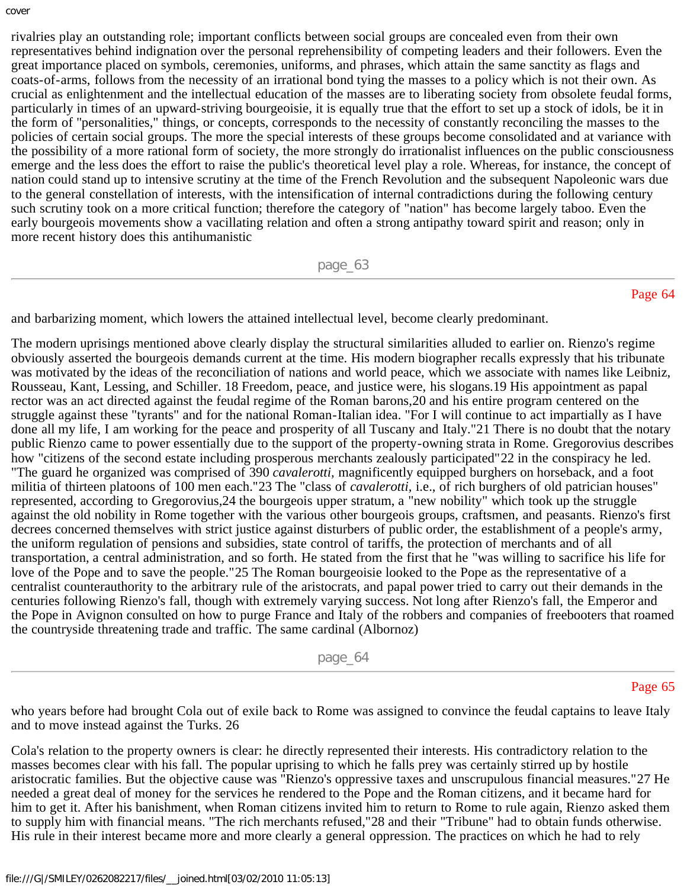rivalries play an outstanding role; important conflicts between social groups are concealed even from their own representatives behind indignation over the personal reprehensibility of competing leaders and their followers. Even the great importance placed on symbols, ceremonies, uniforms, and phrases, which attain the same sanctity as flags and coats-of-arms, follows from the necessity of an irrational bond tying the masses to a policy which is not their own. As crucial as enlightenment and the intellectual education of the masses are to liberating society from obsolete feudal forms, particularly in times of an upward-striving bourgeoisie, it is equally true that the effort to set up a stock of idols, be it in the form of ''personalities," things, or concepts, corresponds to the necessity of constantly reconciling the masses to the policies of certain social groups. The more the special interests of these groups become consolidated and at variance with the possibility of a more rational form of society, the more strongly do irrationalist influences on the public consciousness emerge and the less does the effort to raise the public's theoretical level play a role. Whereas, for instance, the concept of nation could stand up to intensive scrutiny at the time of the French Revolution and the subsequent Napoleonic wars due to the general constellation of interests, with the intensification of internal contradictions during the following century such scrutiny took on a more critical function; therefore the category of "nation" has become largely taboo. Even the early bourgeois movements show a vacillating relation and often a strong antipathy toward spirit and reason; only in more recent history does this antihumanistic

page\_63

Page 64

and barbarizing moment, which lowers the attained intellectual level, become clearly predominant.

The modern uprisings mentioned above clearly display the structural similarities alluded to earlier on. Rienzo's regime obviously asserted the bourgeois demands current at the time. His modern biographer recalls expressly that his tribunate was motivated by the ideas of the reconciliation of nations and world peace, which we associate with names like Leibniz, Rousseau, Kant, Lessing, and Schiller. 18 Freedom, peace, and justice were, his slogans.19 His appointment as papal rector was an act directed against the feudal regime of the Roman barons,20 and his entire program centered on the struggle against these "tyrants" and for the national Roman-Italian idea. "For I will continue to act impartially as I have done all my life, I am working for the peace and prosperity of all Tuscany and Italy."21 There is no doubt that the notary public Rienzo came to power essentially due to the support of the property-owning strata in Rome. Gregorovius describes how "citizens of the second estate including prosperous merchants zealously participated"22 in the conspiracy he led. "The guard he organized was comprised of 390 *cavalerotti,* magnificently equipped burghers on horseback, and a foot militia of thirteen platoons of 100 men each.''23 The "class of *cavalerotti,* i.e., of rich burghers of old patrician houses" represented, according to Gregorovius,24 the bourgeois upper stratum, a "new nobility" which took up the struggle against the old nobility in Rome together with the various other bourgeois groups, craftsmen, and peasants. Rienzo's first decrees concerned themselves with strict justice against disturbers of public order, the establishment of a people's army, the uniform regulation of pensions and subsidies, state control of tariffs, the protection of merchants and of all transportation, a central administration, and so forth. He stated from the first that he "was willing to sacrifice his life for love of the Pope and to save the people."25 The Roman bourgeoisie looked to the Pope as the representative of a centralist counterauthority to the arbitrary rule of the aristocrats, and papal power tried to carry out their demands in the centuries following Rienzo's fall, though with extremely varying success. Not long after Rienzo's fall, the Emperor and the Pope in Avignon consulted on how to purge France and Italy of the robbers and companies of freebooters that roamed the countryside threatening trade and traffic. The same cardinal (Albornoz)

page\_64

Page 65

who years before had brought Cola out of exile back to Rome was assigned to convince the feudal captains to leave Italy and to move instead against the Turks. 26

Cola's relation to the property owners is clear: he directly represented their interests. His contradictory relation to the masses becomes clear with his fall. The popular uprising to which he falls prey was certainly stirred up by hostile aristocratic families. But the objective cause was "Rienzo's oppressive taxes and unscrupulous financial measures."27 He needed a great deal of money for the services he rendered to the Pope and the Roman citizens, and it became hard for him to get it. After his banishment, when Roman citizens invited him to return to Rome to rule again, Rienzo asked them to supply him with financial means. "The rich merchants refused,"28 and their "Tribune" had to obtain funds otherwise. His rule in their interest became more and more clearly a general oppression. The practices on which he had to rely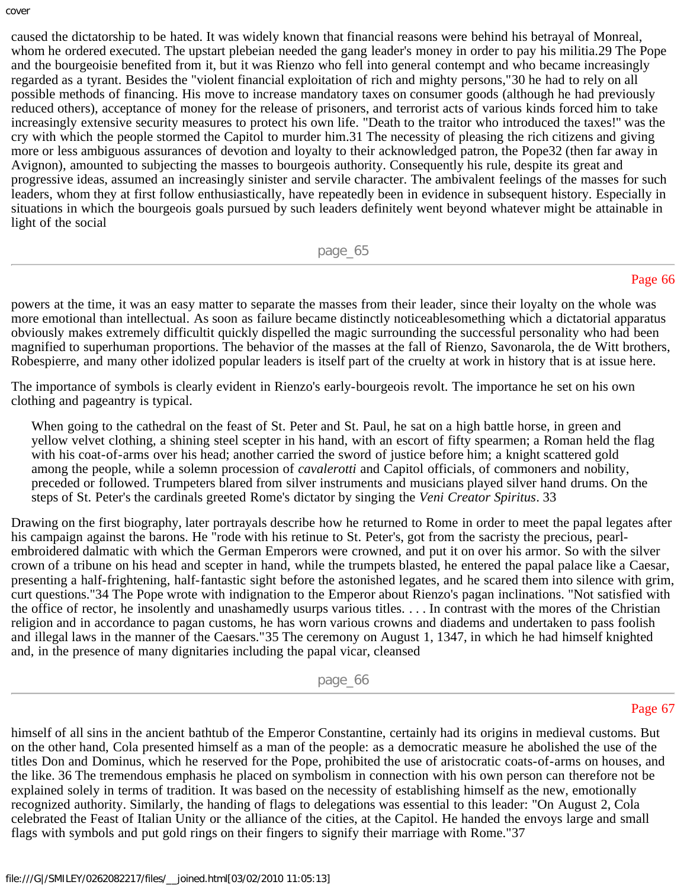caused the dictatorship to be hated. It was widely known that financial reasons were behind his betrayal of Monreal, whom he ordered executed. The upstart plebeian needed the gang leader's money in order to pay his militia.29 The Pope and the bourgeoisie benefited from it, but it was Rienzo who fell into general contempt and who became increasingly regarded as a tyrant. Besides the "violent financial exploitation of rich and mighty persons,"30 he had to rely on all possible methods of financing. His move to increase mandatory taxes on consumer goods (although he had previously reduced others), acceptance of money for the release of prisoners, and terrorist acts of various kinds forced him to take increasingly extensive security measures to protect his own life. "Death to the traitor who introduced the taxes!'' was the cry with which the people stormed the Capitol to murder him.31 The necessity of pleasing the rich citizens and giving more or less ambiguous assurances of devotion and loyalty to their acknowledged patron, the Pope32 (then far away in Avignon), amounted to subjecting the masses to bourgeois authority. Consequently his rule, despite its great and progressive ideas, assumed an increasingly sinister and servile character. The ambivalent feelings of the masses for such leaders, whom they at first follow enthusiastically, have repeatedly been in evidence in subsequent history. Especially in situations in which the bourgeois goals pursued by such leaders definitely went beyond whatever might be attainable in light of the social

page\_65

### Page 66

powers at the time, it was an easy matter to separate the masses from their leader, since their loyalty on the whole was more emotional than intellectual. As soon as failure became distinctly noticeablesomething which a dictatorial apparatus obviously makes extremely difficultit quickly dispelled the magic surrounding the successful personality who had been magnified to superhuman proportions. The behavior of the masses at the fall of Rienzo, Savonarola, the de Witt brothers, Robespierre, and many other idolized popular leaders is itself part of the cruelty at work in history that is at issue here.

The importance of symbols is clearly evident in Rienzo's early-bourgeois revolt. The importance he set on his own clothing and pageantry is typical.

When going to the cathedral on the feast of St. Peter and St. Paul, he sat on a high battle horse, in green and yellow velvet clothing, a shining steel scepter in his hand, with an escort of fifty spearmen; a Roman held the flag with his coat-of-arms over his head; another carried the sword of justice before him; a knight scattered gold among the people, while a solemn procession of *cavalerotti* and Capitol officials, of commoners and nobility, preceded or followed. Trumpeters blared from silver instruments and musicians played silver hand drums. On the steps of St. Peter's the cardinals greeted Rome's dictator by singing the *Veni Creator Spiritus*. 33

Drawing on the first biography, later portrayals describe how he returned to Rome in order to meet the papal legates after his campaign against the barons. He "rode with his retinue to St. Peter's, got from the sacristy the precious, pearlembroidered dalmatic with which the German Emperors were crowned, and put it on over his armor. So with the silver crown of a tribune on his head and scepter in hand, while the trumpets blasted, he entered the papal palace like a Caesar, presenting a half-frightening, half-fantastic sight before the astonished legates, and he scared them into silence with grim, curt questions."34 The Pope wrote with indignation to the Emperor about Rienzo's pagan inclinations. "Not satisfied with the office of rector, he insolently and unashamedly usurps various titles. . . . In contrast with the mores of the Christian religion and in accordance to pagan customs, he has worn various crowns and diadems and undertaken to pass foolish and illegal laws in the manner of the Caesars."35 The ceremony on August 1, 1347, in which he had himself knighted and, in the presence of many dignitaries including the papal vicar, cleansed

page\_66

### Page 67

himself of all sins in the ancient bathtub of the Emperor Constantine, certainly had its origins in medieval customs. But on the other hand, Cola presented himself as a man of the people: as a democratic measure he abolished the use of the titles Don and Dominus, which he reserved for the Pope, prohibited the use of aristocratic coats-of-arms on houses, and the like. 36 The tremendous emphasis he placed on symbolism in connection with his own person can therefore not be explained solely in terms of tradition. It was based on the necessity of establishing himself as the new, emotionally recognized authority. Similarly, the handing of flags to delegations was essential to this leader: "On August 2, Cola celebrated the Feast of Italian Unity or the alliance of the cities, at the Capitol. He handed the envoys large and small flags with symbols and put gold rings on their fingers to signify their marriage with Rome."37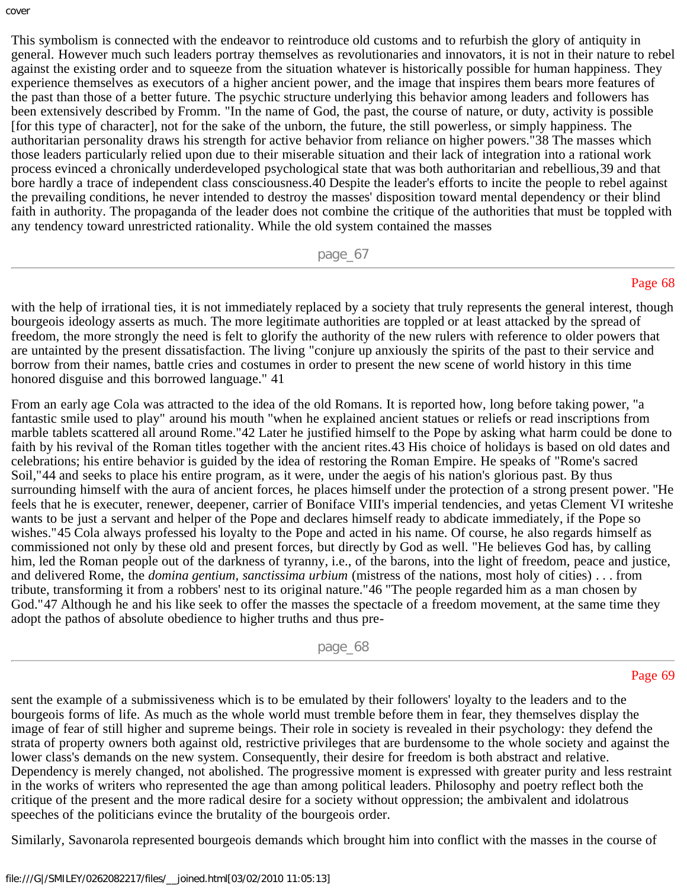This symbolism is connected with the endeavor to reintroduce old customs and to refurbish the glory of antiquity in general. However much such leaders portray themselves as revolutionaries and innovators, it is not in their nature to rebel against the existing order and to squeeze from the situation whatever is historically possible for human happiness. They experience themselves as executors of a higher ancient power, and the image that inspires them bears more features of the past than those of a better future. The psychic structure underlying this behavior among leaders and followers has been extensively described by Fromm. "In the name of God, the past, the course of nature, or duty, activity is possible [for this type of character], not for the sake of the unborn, the future, the still powerless, or simply happiness. The authoritarian personality draws his strength for active behavior from reliance on higher powers."38 The masses which those leaders particularly relied upon due to their miserable situation and their lack of integration into a rational work process evinced a chronically underdeveloped psychological state that was both authoritarian and rebellious,39 and that bore hardly a trace of independent class consciousness.40 Despite the leader's efforts to incite the people to rebel against the prevailing conditions, he never intended to destroy the masses' disposition toward mental dependency or their blind faith in authority. The propaganda of the leader does not combine the critique of the authorities that must be toppled with any tendency toward unrestricted rationality. While the old system contained the masses

page\_67

### Page 68

with the help of irrational ties, it is not immediately replaced by a society that truly represents the general interest, though bourgeois ideology asserts as much. The more legitimate authorities are toppled or at least attacked by the spread of freedom, the more strongly the need is felt to glorify the authority of the new rulers with reference to older powers that are untainted by the present dissatisfaction. The living "conjure up anxiously the spirits of the past to their service and borrow from their names, battle cries and costumes in order to present the new scene of world history in this time honored disguise and this borrowed language." 41

From an early age Cola was attracted to the idea of the old Romans. It is reported how, long before taking power, "a fantastic smile used to play" around his mouth "when he explained ancient statues or reliefs or read inscriptions from marble tablets scattered all around Rome."42 Later he justified himself to the Pope by asking what harm could be done to faith by his revival of the Roman titles together with the ancient rites.43 His choice of holidays is based on old dates and celebrations; his entire behavior is guided by the idea of restoring the Roman Empire. He speaks of "Rome's sacred Soil,"44 and seeks to place his entire program, as it were, under the aegis of his nation's glorious past. By thus surrounding himself with the aura of ancient forces, he places himself under the protection of a strong present power. ''He feels that he is executer, renewer, deepener, carrier of Boniface VIII's imperial tendencies, and yetas Clement VI writeshe wants to be just a servant and helper of the Pope and declares himself ready to abdicate immediately, if the Pope so wishes."45 Cola always professed his loyalty to the Pope and acted in his name. Of course, he also regards himself as commissioned not only by these old and present forces, but directly by God as well. "He believes God has, by calling him, led the Roman people out of the darkness of tyranny, i.e., of the barons, into the light of freedom, peace and justice, and delivered Rome, the *domina gentium, sanctissima urbium* (mistress of the nations, most holy of cities) . . . from tribute, transforming it from a robbers' nest to its original nature."46 "The people regarded him as a man chosen by God."47 Although he and his like seek to offer the masses the spectacle of a freedom movement, at the same time they adopt the pathos of absolute obedience to higher truths and thus pre-

page\_68

### Page 69

sent the example of a submissiveness which is to be emulated by their followers' loyalty to the leaders and to the bourgeois forms of life. As much as the whole world must tremble before them in fear, they themselves display the image of fear of still higher and supreme beings. Their role in society is revealed in their psychology: they defend the strata of property owners both against old, restrictive privileges that are burdensome to the whole society and against the lower class's demands on the new system. Consequently, their desire for freedom is both abstract and relative. Dependency is merely changed, not abolished. The progressive moment is expressed with greater purity and less restraint in the works of writers who represented the age than among political leaders. Philosophy and poetry reflect both the critique of the present and the more radical desire for a society without oppression; the ambivalent and idolatrous speeches of the politicians evince the brutality of the bourgeois order.

Similarly, Savonarola represented bourgeois demands which brought him into conflict with the masses in the course of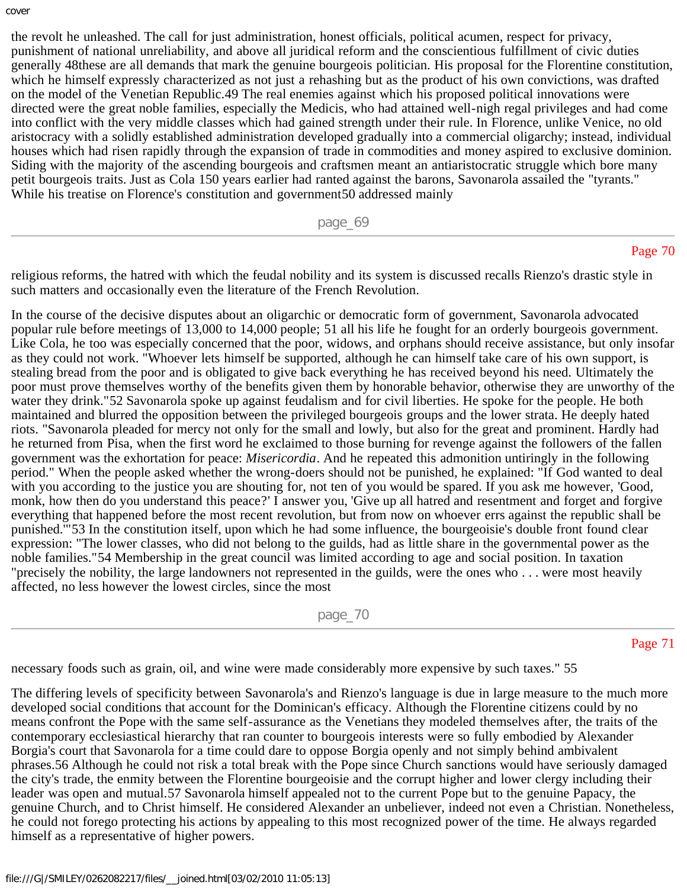the revolt he unleashed. The call for just administration, honest officials, political acumen, respect for privacy, punishment of national unreliability, and above all juridical reform and the conscientious fulfillment of civic duties generally 48these are all demands that mark the genuine bourgeois politician. His proposal for the Florentine constitution, which he himself expressly characterized as not just a rehashing but as the product of his own convictions, was drafted on the model of the Venetian Republic.49 The real enemies against which his proposed political innovations were directed were the great noble families, especially the Medicis, who had attained well-nigh regal privileges and had come into conflict with the very middle classes which had gained strength under their rule. In Florence, unlike Venice, no old aristocracy with a solidly established administration developed gradually into a commercial oligarchy; instead, individual houses which had risen rapidly through the expansion of trade in commodities and money aspired to exclusive dominion. Siding with the majority of the ascending bourgeois and craftsmen meant an antiaristocratic struggle which bore many petit bourgeois traits. Just as Cola 150 years earlier had ranted against the barons, Savonarola assailed the "tyrants." While his treatise on Florence's constitution and government50 addressed mainly

page\_69

# Page 70

religious reforms, the hatred with which the feudal nobility and its system is discussed recalls Rienzo's drastic style in such matters and occasionally even the literature of the French Revolution.

In the course of the decisive disputes about an oligarchic or democratic form of government, Savonarola advocated popular rule before meetings of 13,000 to 14,000 people; 51 all his life he fought for an orderly bourgeois government. Like Cola, he too was especially concerned that the poor, widows, and orphans should receive assistance, but only insofar as they could not work. "Whoever lets himself be supported, although he can himself take care of his own support, is stealing bread from the poor and is obligated to give back everything he has received beyond his need. Ultimately the poor must prove themselves worthy of the benefits given them by honorable behavior, otherwise they are unworthy of the water they drink."52 Savonarola spoke up against feudalism and for civil liberties. He spoke for the people. He both maintained and blurred the opposition between the privileged bourgeois groups and the lower strata. He deeply hated riots. "Savonarola pleaded for mercy not only for the small and lowly, but also for the great and prominent. Hardly had he returned from Pisa, when the first word he exclaimed to those burning for revenge against the followers of the fallen government was the exhortation for peace: *Misericordia*. And he repeated this admonition untiringly in the following period." When the people asked whether the wrong-doers should not be punished, he explained: "If God wanted to deal with you according to the justice you are shouting for, not ten of you would be spared. If you ask me however, 'Good, monk, how then do you understand this peace?' I answer you, 'Give up all hatred and resentment and forget and forgive everything that happened before the most recent revolution, but from now on whoever errs against the republic shall be punished.'"53 In the constitution itself, upon which he had some influence, the bourgeoisie's double front found clear expression: "The lower classes, who did not belong to the guilds, had as little share in the governmental power as the noble families."54 Membership in the great council was limited according to age and social position. In taxation "precisely the nobility, the large landowners not represented in the guilds, were the ones who . . . were most heavily affected, no less however the lowest circles, since the most

page\_70

Page 71

necessary foods such as grain, oil, and wine were made considerably more expensive by such taxes." 55

The differing levels of specificity between Savonarola's and Rienzo's language is due in large measure to the much more developed social conditions that account for the Dominican's efficacy. Although the Florentine citizens could by no means confront the Pope with the same self-assurance as the Venetians they modeled themselves after, the traits of the contemporary ecclesiastical hierarchy that ran counter to bourgeois interests were so fully embodied by Alexander Borgia's court that Savonarola for a time could dare to oppose Borgia openly and not simply behind ambivalent phrases.56 Although he could not risk a total break with the Pope since Church sanctions would have seriously damaged the city's trade, the enmity between the Florentine bourgeoisie and the corrupt higher and lower clergy including their leader was open and mutual.57 Savonarola himself appealed not to the current Pope but to the genuine Papacy, the genuine Church, and to Christ himself. He considered Alexander an unbeliever, indeed not even a Christian. Nonetheless, he could not forego protecting his actions by appealing to this most recognized power of the time. He always regarded himself as a representative of higher powers.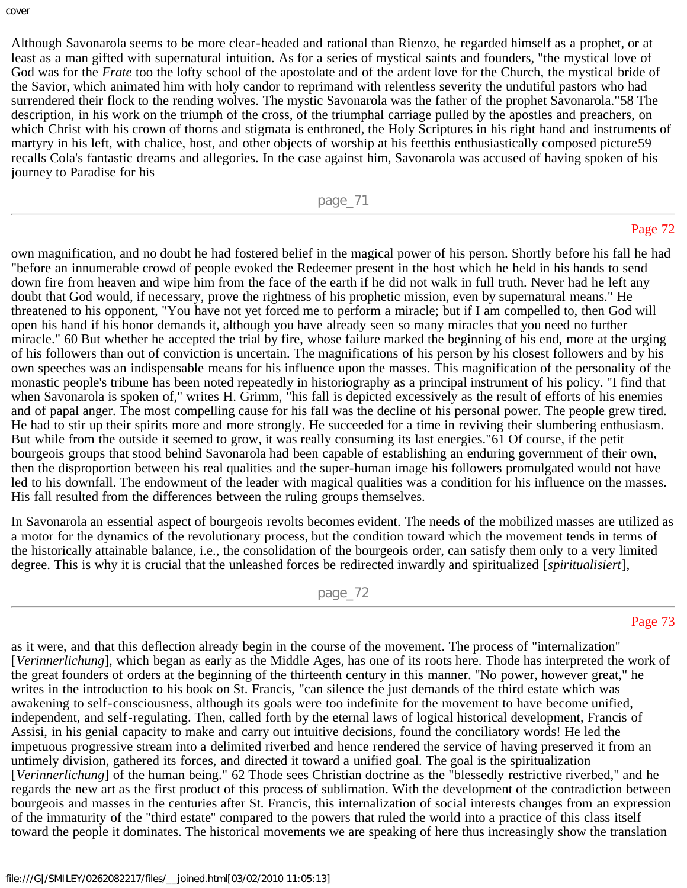Although Savonarola seems to be more clear-headed and rational than Rienzo, he regarded himself as a prophet, or at least as a man gifted with supernatural intuition. As for a series of mystical saints and founders, "the mystical love of God was for the *Frate* too the lofty school of the apostolate and of the ardent love for the Church, the mystical bride of the Savior, which animated him with holy candor to reprimand with relentless severity the undutiful pastors who had surrendered their flock to the rending wolves. The mystic Savonarola was the father of the prophet Savonarola."58 The description, in his work on the triumph of the cross, of the triumphal carriage pulled by the apostles and preachers, on which Christ with his crown of thorns and stigmata is enthroned, the Holy Scriptures in his right hand and instruments of martyry in his left, with chalice, host, and other objects of worship at his feetthis enthusiastically composed picture59 recalls Cola's fantastic dreams and allegories. In the case against him, Savonarola was accused of having spoken of his journey to Paradise for his

page\_71

### Page 72

own magnification, and no doubt he had fostered belief in the magical power of his person. Shortly before his fall he had "before an innumerable crowd of people evoked the Redeemer present in the host which he held in his hands to send down fire from heaven and wipe him from the face of the earth if he did not walk in full truth. Never had he left any doubt that God would, if necessary, prove the rightness of his prophetic mission, even by supernatural means." He threatened to his opponent, "You have not yet forced me to perform a miracle; but if I am compelled to, then God will open his hand if his honor demands it, although you have already seen so many miracles that you need no further miracle." 60 But whether he accepted the trial by fire, whose failure marked the beginning of his end, more at the urging of his followers than out of conviction is uncertain. The magnifications of his person by his closest followers and by his own speeches was an indispensable means for his influence upon the masses. This magnification of the personality of the monastic people's tribune has been noted repeatedly in historiography as a principal instrument of his policy. "I find that when Savonarola is spoken of," writes H. Grimm, "his fall is depicted excessively as the result of efforts of his enemies and of papal anger. The most compelling cause for his fall was the decline of his personal power. The people grew tired. He had to stir up their spirits more and more strongly. He succeeded for a time in reviving their slumbering enthusiasm. But while from the outside it seemed to grow, it was really consuming its last energies."61 Of course, if the petit bourgeois groups that stood behind Savonarola had been capable of establishing an enduring government of their own, then the disproportion between his real qualities and the super-human image his followers promulgated would not have led to his downfall. The endowment of the leader with magical qualities was a condition for his influence on the masses. His fall resulted from the differences between the ruling groups themselves.

In Savonarola an essential aspect of bourgeois revolts becomes evident. The needs of the mobilized masses are utilized as a motor for the dynamics of the revolutionary process, but the condition toward which the movement tends in terms of the historically attainable balance, i.e., the consolidation of the bourgeois order, can satisfy them only to a very limited degree. This is why it is crucial that the unleashed forces be redirected inwardly and spiritualized [*spiritualisiert*],

page\_72

### Page 73

as it were, and that this deflection already begin in the course of the movement. The process of "internalization" [*Verinnerlichung*], which began as early as the Middle Ages, has one of its roots here. Thode has interpreted the work of the great founders of orders at the beginning of the thirteenth century in this manner. "No power, however great," he writes in the introduction to his book on St. Francis, "can silence the just demands of the third estate which was awakening to self-consciousness, although its goals were too indefinite for the movement to have become unified, independent, and self-regulating. Then, called forth by the eternal laws of logical historical development, Francis of Assisi, in his genial capacity to make and carry out intuitive decisions, found the conciliatory words! He led the impetuous progressive stream into a delimited riverbed and hence rendered the service of having preserved it from an untimely division, gathered its forces, and directed it toward a unified goal. The goal is the spiritualization [*Verinnerlichung*] of the human being." 62 Thode sees Christian doctrine as the "blessedly restrictive riverbed," and he regards the new art as the first product of this process of sublimation. With the development of the contradiction between bourgeois and masses in the centuries after St. Francis, this internalization of social interests changes from an expression of the immaturity of the "third estate'' compared to the powers that ruled the world into a practice of this class itself toward the people it dominates. The historical movements we are speaking of here thus increasingly show the translation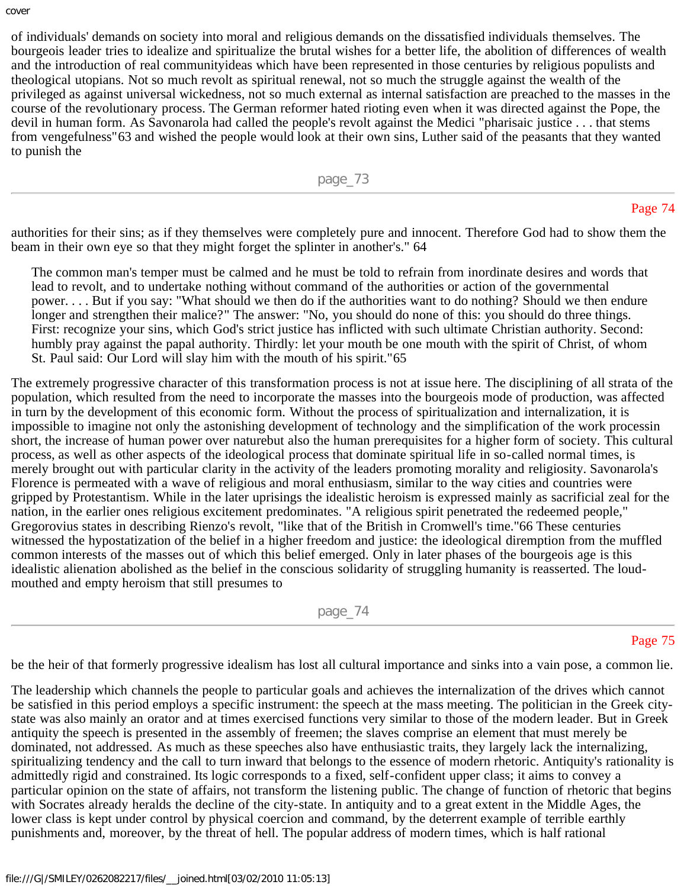of individuals' demands on society into moral and religious demands on the dissatisfied individuals themselves. The bourgeois leader tries to idealize and spiritualize the brutal wishes for a better life, the abolition of differences of wealth and the introduction of real communityideas which have been represented in those centuries by religious populists and theological utopians. Not so much revolt as spiritual renewal, not so much the struggle against the wealth of the privileged as against universal wickedness, not so much external as internal satisfaction are preached to the masses in the course of the revolutionary process. The German reformer hated rioting even when it was directed against the Pope, the devil in human form. As Savonarola had called the people's revolt against the Medici "pharisaic justice . . . that stems from vengefulness"63 and wished the people would look at their own sins, Luther said of the peasants that they wanted to punish the

page\_73

# Page 74

authorities for their sins; as if they themselves were completely pure and innocent. Therefore God had to show them the beam in their own eye so that they might forget the splinter in another's." 64

The common man's temper must be calmed and he must be told to refrain from inordinate desires and words that lead to revolt, and to undertake nothing without command of the authorities or action of the governmental power. . . . But if you say: "What should we then do if the authorities want to do nothing? Should we then endure longer and strengthen their malice?" The answer: "No, you should do none of this: you should do three things. First: recognize your sins, which God's strict justice has inflicted with such ultimate Christian authority. Second: humbly pray against the papal authority. Thirdly: let your mouth be one mouth with the spirit of Christ, of whom St. Paul said: Our Lord will slay him with the mouth of his spirit."65

The extremely progressive character of this transformation process is not at issue here. The disciplining of all strata of the population, which resulted from the need to incorporate the masses into the bourgeois mode of production, was affected in turn by the development of this economic form. Without the process of spiritualization and internalization, it is impossible to imagine not only the astonishing development of technology and the simplification of the work processin short, the increase of human power over naturebut also the human prerequisites for a higher form of society. This cultural process, as well as other aspects of the ideological process that dominate spiritual life in so-called normal times, is merely brought out with particular clarity in the activity of the leaders promoting morality and religiosity. Savonarola's Florence is permeated with a wave of religious and moral enthusiasm, similar to the way cities and countries were gripped by Protestantism. While in the later uprisings the idealistic heroism is expressed mainly as sacrificial zeal for the nation, in the earlier ones religious excitement predominates. "A religious spirit penetrated the redeemed people," Gregorovius states in describing Rienzo's revolt, "like that of the British in Cromwell's time."66 These centuries witnessed the hypostatization of the belief in a higher freedom and justice: the ideological diremption from the muffled common interests of the masses out of which this belief emerged. Only in later phases of the bourgeois age is this idealistic alienation abolished as the belief in the conscious solidarity of struggling humanity is reasserted. The loudmouthed and empty heroism that still presumes to

page\_74

# Page 75

be the heir of that formerly progressive idealism has lost all cultural importance and sinks into a vain pose, a common lie.

The leadership which channels the people to particular goals and achieves the internalization of the drives which cannot be satisfied in this period employs a specific instrument: the speech at the mass meeting. The politician in the Greek citystate was also mainly an orator and at times exercised functions very similar to those of the modern leader. But in Greek antiquity the speech is presented in the assembly of freemen; the slaves comprise an element that must merely be dominated, not addressed. As much as these speeches also have enthusiastic traits, they largely lack the internalizing, spiritualizing tendency and the call to turn inward that belongs to the essence of modern rhetoric. Antiquity's rationality is admittedly rigid and constrained. Its logic corresponds to a fixed, self-confident upper class; it aims to convey a particular opinion on the state of affairs, not transform the listening public. The change of function of rhetoric that begins with Socrates already heralds the decline of the city-state. In antiquity and to a great extent in the Middle Ages, the lower class is kept under control by physical coercion and command, by the deterrent example of terrible earthly punishments and, moreover, by the threat of hell. The popular address of modern times, which is half rational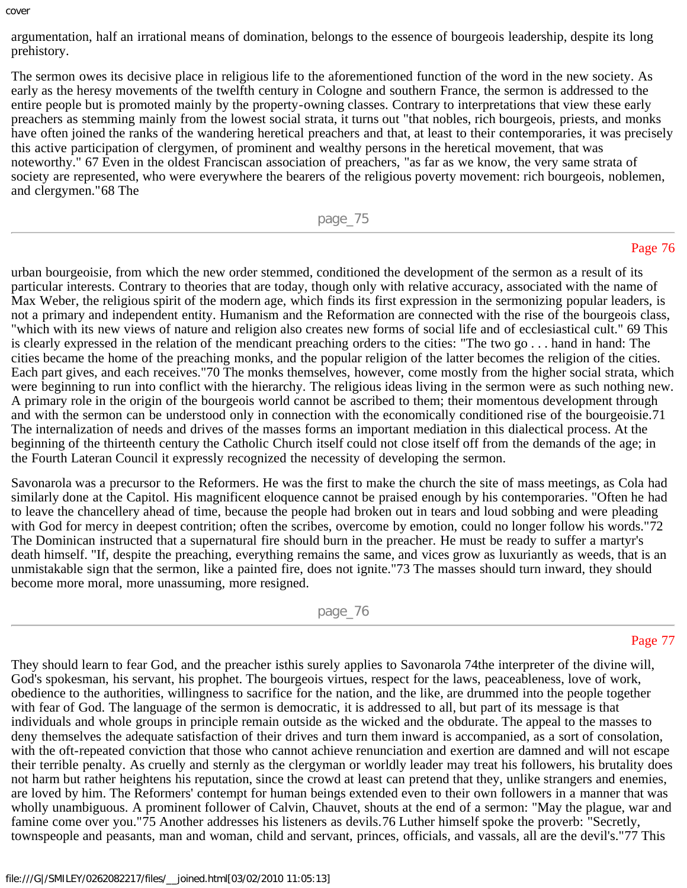argumentation, half an irrational means of domination, belongs to the essence of bourgeois leadership, despite its long prehistory.

The sermon owes its decisive place in religious life to the aforementioned function of the word in the new society. As early as the heresy movements of the twelfth century in Cologne and southern France, the sermon is addressed to the entire people but is promoted mainly by the property-owning classes. Contrary to interpretations that view these early preachers as stemming mainly from the lowest social strata, it turns out "that nobles, rich bourgeois, priests, and monks have often joined the ranks of the wandering heretical preachers and that, at least to their contemporaries, it was precisely this active participation of clergymen, of prominent and wealthy persons in the heretical movement, that was noteworthy." 67 Even in the oldest Franciscan association of preachers, "as far as we know, the very same strata of society are represented, who were everywhere the bearers of the religious poverty movement: rich bourgeois, noblemen, and clergymen."68 The

page\_75

## Page 76

urban bourgeoisie, from which the new order stemmed, conditioned the development of the sermon as a result of its particular interests. Contrary to theories that are today, though only with relative accuracy, associated with the name of Max Weber, the religious spirit of the modern age, which finds its first expression in the sermonizing popular leaders, is not a primary and independent entity. Humanism and the Reformation are connected with the rise of the bourgeois class, "which with its new views of nature and religion also creates new forms of social life and of ecclesiastical cult." 69 This is clearly expressed in the relation of the mendicant preaching orders to the cities: "The two go . . . hand in hand: The cities became the home of the preaching monks, and the popular religion of the latter becomes the religion of the cities. Each part gives, and each receives."70 The monks themselves, however, come mostly from the higher social strata, which were beginning to run into conflict with the hierarchy. The religious ideas living in the sermon were as such nothing new. A primary role in the origin of the bourgeois world cannot be ascribed to them; their momentous development through and with the sermon can be understood only in connection with the economically conditioned rise of the bourgeoisie.71 The internalization of needs and drives of the masses forms an important mediation in this dialectical process. At the beginning of the thirteenth century the Catholic Church itself could not close itself off from the demands of the age; in the Fourth Lateran Council it expressly recognized the necessity of developing the sermon.

Savonarola was a precursor to the Reformers. He was the first to make the church the site of mass meetings, as Cola had similarly done at the Capitol. His magnificent eloquence cannot be praised enough by his contemporaries. "Often he had to leave the chancellery ahead of time, because the people had broken out in tears and loud sobbing and were pleading with God for mercy in deepest contrition; often the scribes, overcome by emotion, could no longer follow his words."72 The Dominican instructed that a supernatural fire should burn in the preacher. He must be ready to suffer a martyr's death himself. "If, despite the preaching, everything remains the same, and vices grow as luxuriantly as weeds, that is an unmistakable sign that the sermon, like a painted fire, does not ignite."73 The masses should turn inward, they should become more moral, more unassuming, more resigned.

page\_76

# Page 77

They should learn to fear God, and the preacher isthis surely applies to Savonarola 74the interpreter of the divine will, God's spokesman, his servant, his prophet. The bourgeois virtues, respect for the laws, peaceableness, love of work, obedience to the authorities, willingness to sacrifice for the nation, and the like, are drummed into the people together with fear of God. The language of the sermon is democratic, it is addressed to all, but part of its message is that individuals and whole groups in principle remain outside as the wicked and the obdurate. The appeal to the masses to deny themselves the adequate satisfaction of their drives and turn them inward is accompanied, as a sort of consolation, with the oft-repeated conviction that those who cannot achieve renunciation and exertion are damned and will not escape their terrible penalty. As cruelly and sternly as the clergyman or worldly leader may treat his followers, his brutality does not harm but rather heightens his reputation, since the crowd at least can pretend that they, unlike strangers and enemies, are loved by him. The Reformers' contempt for human beings extended even to their own followers in a manner that was wholly unambiguous. A prominent follower of Calvin, Chauvet, shouts at the end of a sermon: "May the plague, war and famine come over you."75 Another addresses his listeners as devils.76 Luther himself spoke the proverb: "Secretly, townspeople and peasants, man and woman, child and servant, princes, officials, and vassals, all are the devil's."77 This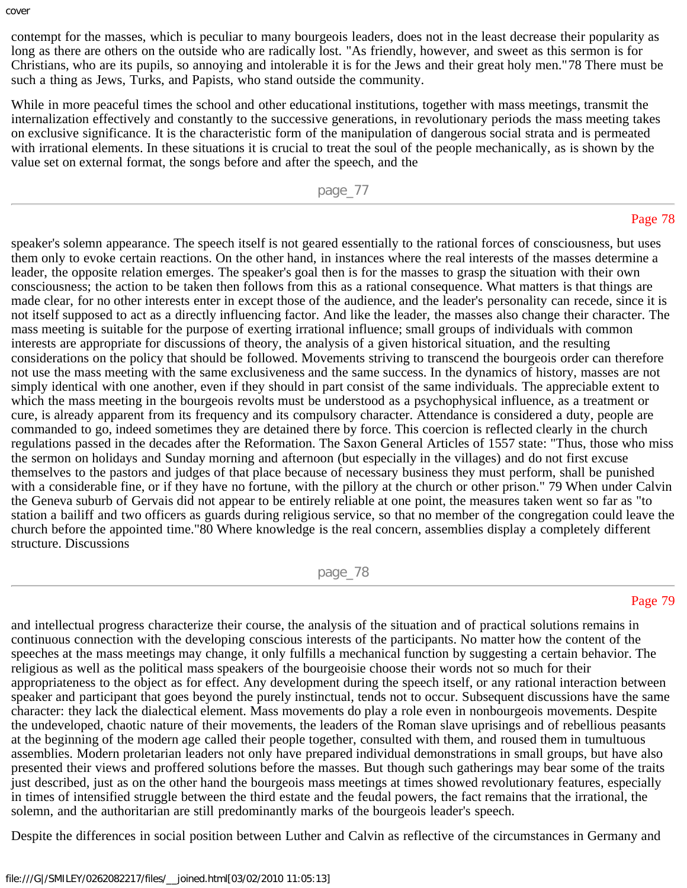contempt for the masses, which is peculiar to many bourgeois leaders, does not in the least decrease their popularity as long as there are others on the outside who are radically lost. "As friendly, however, and sweet as this sermon is for Christians, who are its pupils, so annoying and intolerable it is for the Jews and their great holy men."78 There must be such a thing as Jews, Turks, and Papists, who stand outside the community.

While in more peaceful times the school and other educational institutions, together with mass meetings, transmit the internalization effectively and constantly to the successive generations, in revolutionary periods the mass meeting takes on exclusive significance. It is the characteristic form of the manipulation of dangerous social strata and is permeated with irrational elements. In these situations it is crucial to treat the soul of the people mechanically, as is shown by the value set on external format, the songs before and after the speech, and the

page\_77

### Page 78

speaker's solemn appearance. The speech itself is not geared essentially to the rational forces of consciousness, but uses them only to evoke certain reactions. On the other hand, in instances where the real interests of the masses determine a leader, the opposite relation emerges. The speaker's goal then is for the masses to grasp the situation with their own consciousness; the action to be taken then follows from this as a rational consequence. What matters is that things are made clear, for no other interests enter in except those of the audience, and the leader's personality can recede, since it is not itself supposed to act as a directly influencing factor. And like the leader, the masses also change their character. The mass meeting is suitable for the purpose of exerting irrational influence; small groups of individuals with common interests are appropriate for discussions of theory, the analysis of a given historical situation, and the resulting considerations on the policy that should be followed. Movements striving to transcend the bourgeois order can therefore not use the mass meeting with the same exclusiveness and the same success. In the dynamics of history, masses are not simply identical with one another, even if they should in part consist of the same individuals. The appreciable extent to which the mass meeting in the bourgeois revolts must be understood as a psychophysical influence, as a treatment or cure, is already apparent from its frequency and its compulsory character. Attendance is considered a duty, people are commanded to go, indeed sometimes they are detained there by force. This coercion is reflected clearly in the church regulations passed in the decades after the Reformation. The Saxon General Articles of 1557 state: "Thus, those who miss the sermon on holidays and Sunday morning and afternoon (but especially in the villages) and do not first excuse themselves to the pastors and judges of that place because of necessary business they must perform, shall be punished with a considerable fine, or if they have no fortune, with the pillory at the church or other prison." 79 When under Calvin the Geneva suburb of Gervais did not appear to be entirely reliable at one point, the measures taken went so far as "to station a bailiff and two officers as guards during religious service, so that no member of the congregation could leave the church before the appointed time."80 Where knowledge is the real concern, assemblies display a completely different structure. Discussions

page\_78

# Page 79

and intellectual progress characterize their course, the analysis of the situation and of practical solutions remains in continuous connection with the developing conscious interests of the participants. No matter how the content of the speeches at the mass meetings may change, it only fulfills a mechanical function by suggesting a certain behavior. The religious as well as the political mass speakers of the bourgeoisie choose their words not so much for their appropriateness to the object as for effect. Any development during the speech itself, or any rational interaction between speaker and participant that goes beyond the purely instinctual, tends not to occur. Subsequent discussions have the same character: they lack the dialectical element. Mass movements do play a role even in nonbourgeois movements. Despite the undeveloped, chaotic nature of their movements, the leaders of the Roman slave uprisings and of rebellious peasants at the beginning of the modern age called their people together, consulted with them, and roused them in tumultuous assemblies. Modern proletarian leaders not only have prepared individual demonstrations in small groups, but have also presented their views and proffered solutions before the masses. But though such gatherings may bear some of the traits just described, just as on the other hand the bourgeois mass meetings at times showed revolutionary features, especially in times of intensified struggle between the third estate and the feudal powers, the fact remains that the irrational, the solemn, and the authoritarian are still predominantly marks of the bourgeois leader's speech.

Despite the differences in social position between Luther and Calvin as reflective of the circumstances in Germany and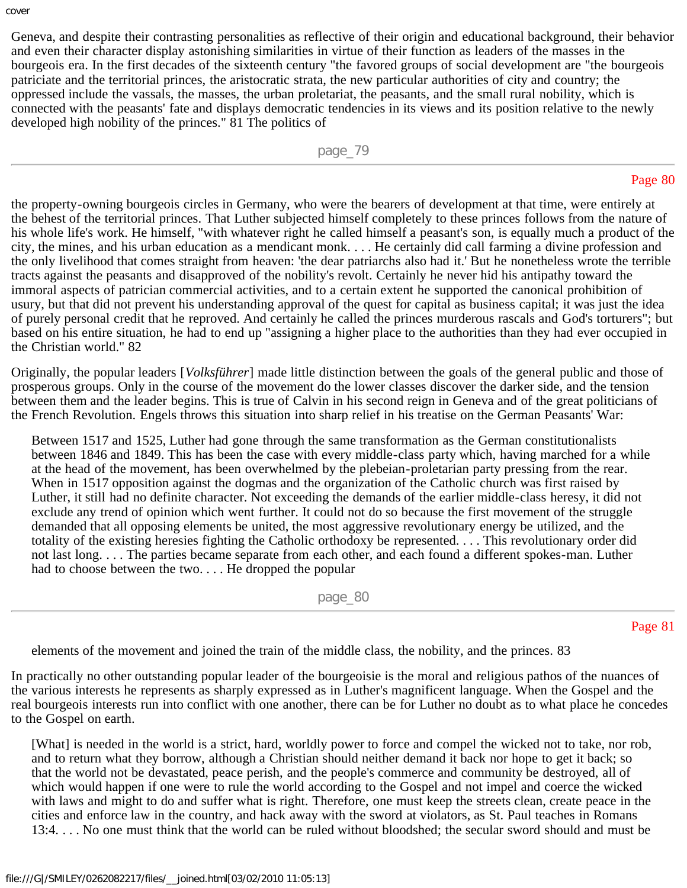Geneva, and despite their contrasting personalities as reflective of their origin and educational background, their behavior and even their character display astonishing similarities in virtue of their function as leaders of the masses in the bourgeois era. In the first decades of the sixteenth century "the favored groups of social development are "the bourgeois patriciate and the territorial princes, the aristocratic strata, the new particular authorities of city and country; the oppressed include the vassals, the masses, the urban proletariat, the peasants, and the small rural nobility, which is connected with the peasants' fate and displays democratic tendencies in its views and its position relative to the newly developed high nobility of the princes." 81 The politics of

# Page 80

the property-owning bourgeois circles in Germany, who were the bearers of development at that time, were entirely at the behest of the territorial princes. That Luther subjected himself completely to these princes follows from the nature of his whole life's work. He himself, "with whatever right he called himself a peasant's son, is equally much a product of the city, the mines, and his urban education as a mendicant monk. . . . He certainly did call farming a divine profession and the only livelihood that comes straight from heaven: 'the dear patriarchs also had it.' But he nonetheless wrote the terrible tracts against the peasants and disapproved of the nobility's revolt. Certainly he never hid his antipathy toward the immoral aspects of patrician commercial activities, and to a certain extent he supported the canonical prohibition of usury, but that did not prevent his understanding approval of the quest for capital as business capital; it was just the idea of purely personal credit that he reproved. And certainly he called the princes murderous rascals and God's torturers"; but based on his entire situation, he had to end up "assigning a higher place to the authorities than they had ever occupied in the Christian world." 82

Originally, the popular leaders [*Volksführer*] made little distinction between the goals of the general public and those of prosperous groups. Only in the course of the movement do the lower classes discover the darker side, and the tension between them and the leader begins. This is true of Calvin in his second reign in Geneva and of the great politicians of the French Revolution. Engels throws this situation into sharp relief in his treatise on the German Peasants' War:

Between 1517 and 1525, Luther had gone through the same transformation as the German constitutionalists between 1846 and 1849. This has been the case with every middle-class party which, having marched for a while at the head of the movement, has been overwhelmed by the plebeian-proletarian party pressing from the rear. When in 1517 opposition against the dogmas and the organization of the Catholic church was first raised by Luther, it still had no definite character. Not exceeding the demands of the earlier middle-class heresy, it did not exclude any trend of opinion which went further. It could not do so because the first movement of the struggle demanded that all opposing elements be united, the most aggressive revolutionary energy be utilized, and the totality of the existing heresies fighting the Catholic orthodoxy be represented. . . . This revolutionary order did not last long. . . . The parties became separate from each other, and each found a different spokes-man. Luther had to choose between the two. . . . He dropped the popular

page\_80

Page 81

elements of the movement and joined the train of the middle class, the nobility, and the princes. 83

In practically no other outstanding popular leader of the bourgeoisie is the moral and religious pathos of the nuances of the various interests he represents as sharply expressed as in Luther's magnificent language. When the Gospel and the real bourgeois interests run into conflict with one another, there can be for Luther no doubt as to what place he concedes to the Gospel on earth.

[What] is needed in the world is a strict, hard, worldly power to force and compel the wicked not to take, nor rob, and to return what they borrow, although a Christian should neither demand it back nor hope to get it back; so that the world not be devastated, peace perish, and the people's commerce and community be destroyed, all of which would happen if one were to rule the world according to the Gospel and not impel and coerce the wicked with laws and might to do and suffer what is right. Therefore, one must keep the streets clean, create peace in the cities and enforce law in the country, and hack away with the sword at violators, as St. Paul teaches in Romans 13:4. . . . No one must think that the world can be ruled without bloodshed; the secular sword should and must be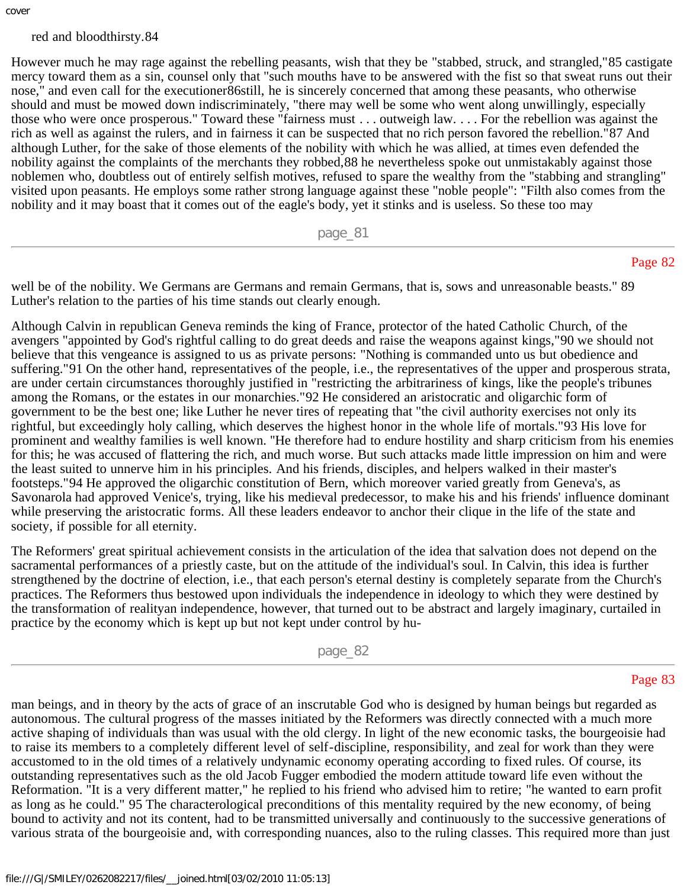# red and bloodthirsty.84

However much he may rage against the rebelling peasants, wish that they be "stabbed, struck, and strangled,"85 castigate mercy toward them as a sin, counsel only that "such mouths have to be answered with the fist so that sweat runs out their nose," and even call for the executioner86still, he is sincerely concerned that among these peasants, who otherwise should and must be mowed down indiscriminately, "there may well be some who went along unwillingly, especially those who were once prosperous." Toward these "fairness must . . . outweigh law. . . . For the rebellion was against the rich as well as against the rulers, and in fairness it can be suspected that no rich person favored the rebellion."87 And although Luther, for the sake of those elements of the nobility with which he was allied, at times even defended the nobility against the complaints of the merchants they robbed,88 he nevertheless spoke out unmistakably against those noblemen who, doubtless out of entirely selfish motives, refused to spare the wealthy from the ''stabbing and strangling" visited upon peasants. He employs some rather strong language against these "noble people": "Filth also comes from the nobility and it may boast that it comes out of the eagle's body, yet it stinks and is useless. So these too may

page\_81

#### Page 82

well be of the nobility. We Germans are Germans and remain Germans, that is, sows and unreasonable beasts." 89 Luther's relation to the parties of his time stands out clearly enough.

Although Calvin in republican Geneva reminds the king of France, protector of the hated Catholic Church, of the avengers "appointed by God's rightful calling to do great deeds and raise the weapons against kings,"90 we should not believe that this vengeance is assigned to us as private persons: "Nothing is commanded unto us but obedience and suffering."91 On the other hand, representatives of the people, i.e., the representatives of the upper and prosperous strata, are under certain circumstances thoroughly justified in "restricting the arbitrariness of kings, like the people's tribunes among the Romans, or the estates in our monarchies."92 He considered an aristocratic and oligarchic form of government to be the best one; like Luther he never tires of repeating that "the civil authority exercises not only its rightful, but exceedingly holy calling, which deserves the highest honor in the whole life of mortals."93 His love for prominent and wealthy families is well known. ''He therefore had to endure hostility and sharp criticism from his enemies for this; he was accused of flattering the rich, and much worse. But such attacks made little impression on him and were the least suited to unnerve him in his principles. And his friends, disciples, and helpers walked in their master's footsteps."94 He approved the oligarchic constitution of Bern, which moreover varied greatly from Geneva's, as Savonarola had approved Venice's, trying, like his medieval predecessor, to make his and his friends' influence dominant while preserving the aristocratic forms. All these leaders endeavor to anchor their clique in the life of the state and society, if possible for all eternity.

The Reformers' great spiritual achievement consists in the articulation of the idea that salvation does not depend on the sacramental performances of a priestly caste, but on the attitude of the individual's soul. In Calvin, this idea is further strengthened by the doctrine of election, i.e., that each person's eternal destiny is completely separate from the Church's practices. The Reformers thus bestowed upon individuals the independence in ideology to which they were destined by the transformation of realityan independence, however, that turned out to be abstract and largely imaginary, curtailed in practice by the economy which is kept up but not kept under control by hu-

page\_82

### Page 83

man beings, and in theory by the acts of grace of an inscrutable God who is designed by human beings but regarded as autonomous. The cultural progress of the masses initiated by the Reformers was directly connected with a much more active shaping of individuals than was usual with the old clergy. In light of the new economic tasks, the bourgeoisie had to raise its members to a completely different level of self-discipline, responsibility, and zeal for work than they were accustomed to in the old times of a relatively undynamic economy operating according to fixed rules. Of course, its outstanding representatives such as the old Jacob Fugger embodied the modern attitude toward life even without the Reformation. "It is a very different matter," he replied to his friend who advised him to retire; "he wanted to earn profit as long as he could." 95 The characterological preconditions of this mentality required by the new economy, of being bound to activity and not its content, had to be transmitted universally and continuously to the successive generations of various strata of the bourgeoisie and, with corresponding nuances, also to the ruling classes. This required more than just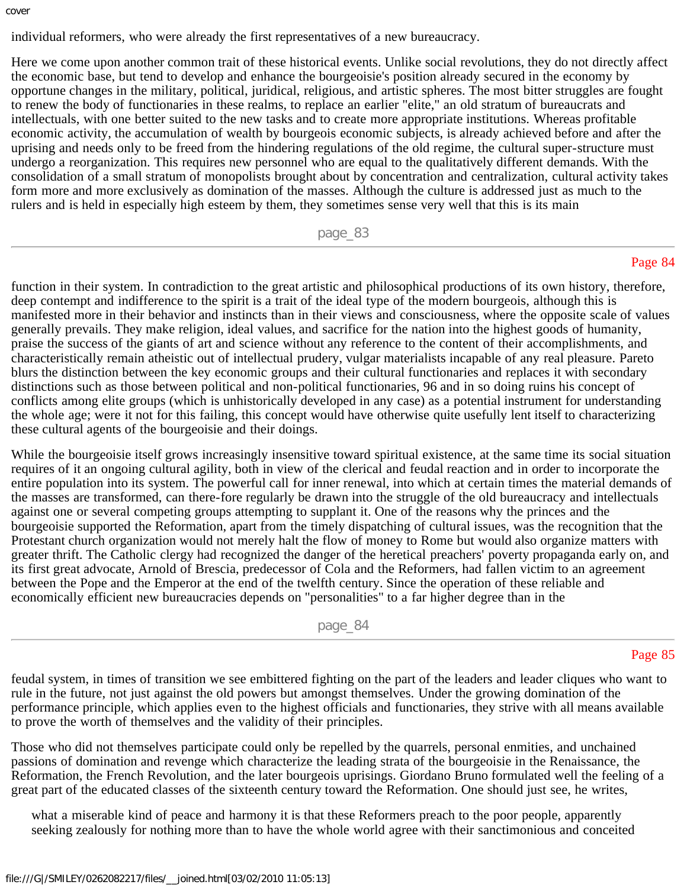individual reformers, who were already the first representatives of a new bureaucracy.

Here we come upon another common trait of these historical events. Unlike social revolutions, they do not directly affect the economic base, but tend to develop and enhance the bourgeoisie's position already secured in the economy by opportune changes in the military, political, juridical, religious, and artistic spheres. The most bitter struggles are fought to renew the body of functionaries in these realms, to replace an earlier "elite," an old stratum of bureaucrats and intellectuals, with one better suited to the new tasks and to create more appropriate institutions. Whereas profitable economic activity, the accumulation of wealth by bourgeois economic subjects, is already achieved before and after the uprising and needs only to be freed from the hindering regulations of the old regime, the cultural super-structure must undergo a reorganization. This requires new personnel who are equal to the qualitatively different demands. With the consolidation of a small stratum of monopolists brought about by concentration and centralization, cultural activity takes form more and more exclusively as domination of the masses. Although the culture is addressed just as much to the rulers and is held in especially high esteem by them, they sometimes sense very well that this is its main

page\_83

# Page 84

function in their system. In contradiction to the great artistic and philosophical productions of its own history, therefore, deep contempt and indifference to the spirit is a trait of the ideal type of the modern bourgeois, although this is manifested more in their behavior and instincts than in their views and consciousness, where the opposite scale of values generally prevails. They make religion, ideal values, and sacrifice for the nation into the highest goods of humanity, praise the success of the giants of art and science without any reference to the content of their accomplishments, and characteristically remain atheistic out of intellectual prudery, vulgar materialists incapable of any real pleasure. Pareto blurs the distinction between the key economic groups and their cultural functionaries and replaces it with secondary distinctions such as those between political and non-political functionaries, 96 and in so doing ruins his concept of conflicts among elite groups (which is unhistorically developed in any case) as a potential instrument for understanding the whole age; were it not for this failing, this concept would have otherwise quite usefully lent itself to characterizing these cultural agents of the bourgeoisie and their doings.

While the bourgeoisie itself grows increasingly insensitive toward spiritual existence, at the same time its social situation requires of it an ongoing cultural agility, both in view of the clerical and feudal reaction and in order to incorporate the entire population into its system. The powerful call for inner renewal, into which at certain times the material demands of the masses are transformed, can there-fore regularly be drawn into the struggle of the old bureaucracy and intellectuals against one or several competing groups attempting to supplant it. One of the reasons why the princes and the bourgeoisie supported the Reformation, apart from the timely dispatching of cultural issues, was the recognition that the Protestant church organization would not merely halt the flow of money to Rome but would also organize matters with greater thrift. The Catholic clergy had recognized the danger of the heretical preachers' poverty propaganda early on, and its first great advocate, Arnold of Brescia, predecessor of Cola and the Reformers, had fallen victim to an agreement between the Pope and the Emperor at the end of the twelfth century. Since the operation of these reliable and economically efficient new bureaucracies depends on "personalities" to a far higher degree than in the

page\_84

### Page 85

feudal system, in times of transition we see embittered fighting on the part of the leaders and leader cliques who want to rule in the future, not just against the old powers but amongst themselves. Under the growing domination of the performance principle, which applies even to the highest officials and functionaries, they strive with all means available to prove the worth of themselves and the validity of their principles.

Those who did not themselves participate could only be repelled by the quarrels, personal enmities, and unchained passions of domination and revenge which characterize the leading strata of the bourgeoisie in the Renaissance, the Reformation, the French Revolution, and the later bourgeois uprisings. Giordano Bruno formulated well the feeling of a great part of the educated classes of the sixteenth century toward the Reformation. One should just see, he writes,

what a miserable kind of peace and harmony it is that these Reformers preach to the poor people, apparently seeking zealously for nothing more than to have the whole world agree with their sanctimonious and conceited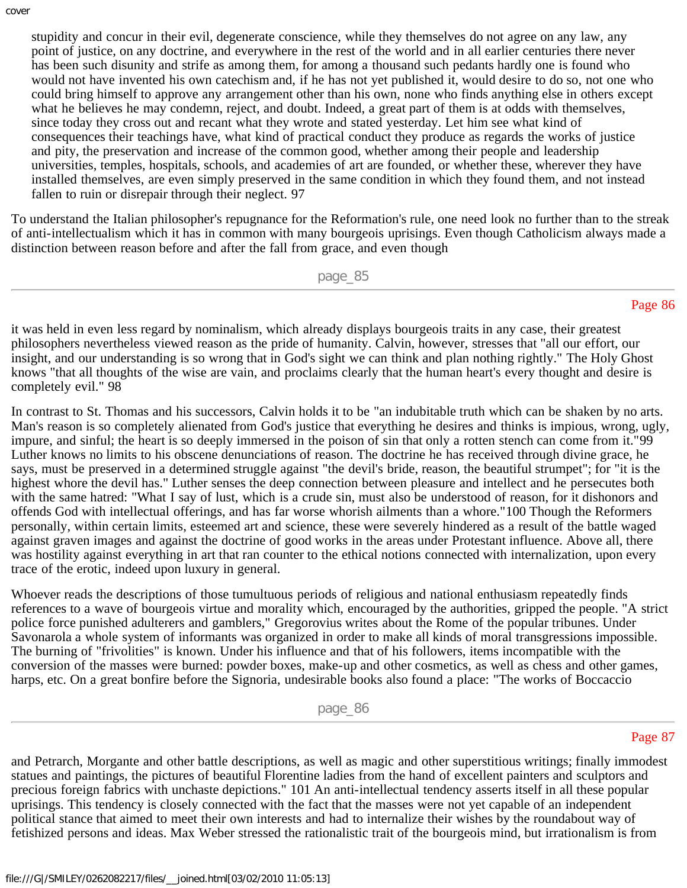stupidity and concur in their evil, degenerate conscience, while they themselves do not agree on any law, any point of justice, on any doctrine, and everywhere in the rest of the world and in all earlier centuries there never has been such disunity and strife as among them, for among a thousand such pedants hardly one is found who would not have invented his own catechism and, if he has not yet published it, would desire to do so, not one who could bring himself to approve any arrangement other than his own, none who finds anything else in others except what he believes he may condemn, reject, and doubt. Indeed, a great part of them is at odds with themselves, since today they cross out and recant what they wrote and stated yesterday. Let him see what kind of consequences their teachings have, what kind of practical conduct they produce as regards the works of justice and pity, the preservation and increase of the common good, whether among their people and leadership universities, temples, hospitals, schools, and academies of art are founded, or whether these, wherever they have installed themselves, are even simply preserved in the same condition in which they found them, and not instead fallen to ruin or disrepair through their neglect. 97

To understand the Italian philosopher's repugnance for the Reformation's rule, one need look no further than to the streak of anti-intellectualism which it has in common with many bourgeois uprisings. Even though Catholicism always made a distinction between reason before and after the fall from grace, and even though

page\_85

### Page 86

it was held in even less regard by nominalism, which already displays bourgeois traits in any case, their greatest philosophers nevertheless viewed reason as the pride of humanity. Calvin, however, stresses that "all our effort, our insight, and our understanding is so wrong that in God's sight we can think and plan nothing rightly." The Holy Ghost knows "that all thoughts of the wise are vain, and proclaims clearly that the human heart's every thought and desire is completely evil." 98

In contrast to St. Thomas and his successors, Calvin holds it to be "an indubitable truth which can be shaken by no arts. Man's reason is so completely alienated from God's justice that everything he desires and thinks is impious, wrong, ugly, impure, and sinful; the heart is so deeply immersed in the poison of sin that only a rotten stench can come from it."99 Luther knows no limits to his obscene denunciations of reason. The doctrine he has received through divine grace, he says, must be preserved in a determined struggle against "the devil's bride, reason, the beautiful strumpet"; for "it is the highest whore the devil has." Luther senses the deep connection between pleasure and intellect and he persecutes both with the same hatred: "What I say of lust, which is a crude sin, must also be understood of reason, for it dishonors and offends God with intellectual offerings, and has far worse whorish ailments than a whore."100 Though the Reformers personally, within certain limits, esteemed art and science, these were severely hindered as a result of the battle waged against graven images and against the doctrine of good works in the areas under Protestant influence. Above all, there was hostility against everything in art that ran counter to the ethical notions connected with internalization, upon every trace of the erotic, indeed upon luxury in general.

Whoever reads the descriptions of those tumultuous periods of religious and national enthusiasm repeatedly finds references to a wave of bourgeois virtue and morality which, encouraged by the authorities, gripped the people. "A strict police force punished adulterers and gamblers," Gregorovius writes about the Rome of the popular tribunes. Under Savonarola a whole system of informants was organized in order to make all kinds of moral transgressions impossible. The burning of "frivolities" is known. Under his influence and that of his followers, items incompatible with the conversion of the masses were burned: powder boxes, make-up and other cosmetics, as well as chess and other games, harps, etc. On a great bonfire before the Signoria, undesirable books also found a place: "The works of Boccaccio

page\_86

### Page 87

and Petrarch, Morgante and other battle descriptions, as well as magic and other superstitious writings; finally immodest statues and paintings, the pictures of beautiful Florentine ladies from the hand of excellent painters and sculptors and precious foreign fabrics with unchaste depictions." 101 An anti-intellectual tendency asserts itself in all these popular uprisings. This tendency is closely connected with the fact that the masses were not yet capable of an independent political stance that aimed to meet their own interests and had to internalize their wishes by the roundabout way of fetishized persons and ideas. Max Weber stressed the rationalistic trait of the bourgeois mind, but irrationalism is from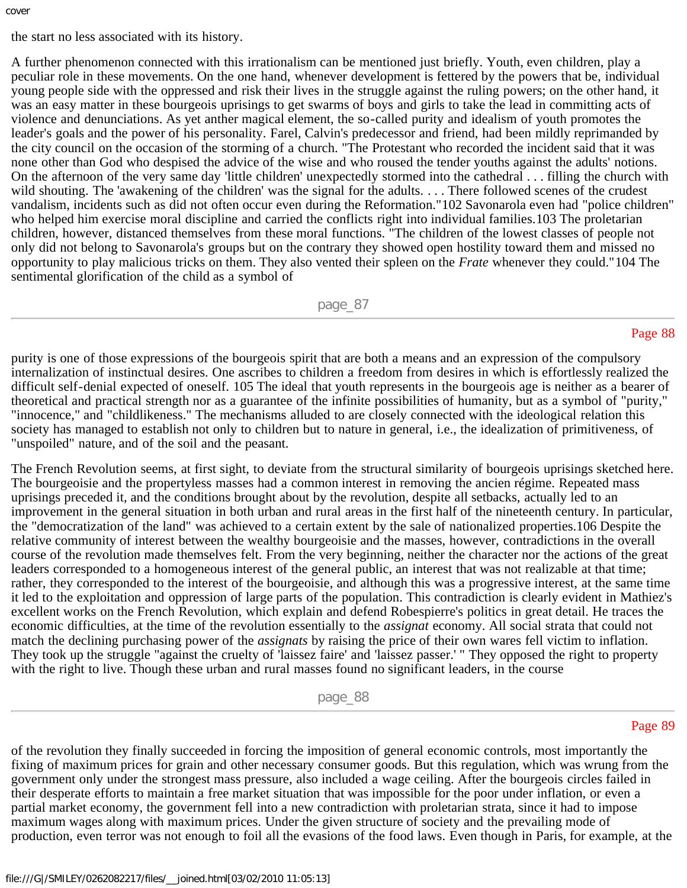the start no less associated with its history.

A further phenomenon connected with this irrationalism can be mentioned just briefly. Youth, even children, play a peculiar role in these movements. On the one hand, whenever development is fettered by the powers that be, individual young people side with the oppressed and risk their lives in the struggle against the ruling powers; on the other hand, it was an easy matter in these bourgeois uprisings to get swarms of boys and girls to take the lead in committing acts of violence and denunciations. As yet anther magical element, the so-called purity and idealism of youth promotes the leader's goals and the power of his personality. Farel, Calvin's predecessor and friend, had been mildly reprimanded by the city council on the occasion of the storming of a church. "The Protestant who recorded the incident said that it was none other than God who despised the advice of the wise and who roused the tender youths against the adults' notions. On the afternoon of the very same day 'little children' unexpectedly stormed into the cathedral . . . filling the church with wild shouting. The 'awakening of the children' was the signal for the adults. . . . There followed scenes of the crudest vandalism, incidents such as did not often occur even during the Reformation."102 Savonarola even had "police children" who helped him exercise moral discipline and carried the conflicts right into individual families.103 The proletarian children, however, distanced themselves from these moral functions. "The children of the lowest classes of people not only did not belong to Savonarola's groups but on the contrary they showed open hostility toward them and missed no opportunity to play malicious tricks on them. They also vented their spleen on the *Frate* whenever they could."104 The sentimental glorification of the child as a symbol of

page\_87

### Page 88

purity is one of those expressions of the bourgeois spirit that are both a means and an expression of the compulsory internalization of instinctual desires. One ascribes to children a freedom from desires in which is effortlessly realized the difficult self-denial expected of oneself. 105 The ideal that youth represents in the bourgeois age is neither as a bearer of theoretical and practical strength nor as a guarantee of the infinite possibilities of humanity, but as a symbol of "purity," "innocence," and "childlikeness." The mechanisms alluded to are closely connected with the ideological relation this society has managed to establish not only to children but to nature in general, i.e., the idealization of primitiveness, of "unspoiled" nature, and of the soil and the peasant.

The French Revolution seems, at first sight, to deviate from the structural similarity of bourgeois uprisings sketched here. The bourgeoisie and the propertyless masses had a common interest in removing the ancien régime. Repeated mass uprisings preceded it, and the conditions brought about by the revolution, despite all setbacks, actually led to an improvement in the general situation in both urban and rural areas in the first half of the nineteenth century. In particular, the "democratization of the land" was achieved to a certain extent by the sale of nationalized properties.106 Despite the relative community of interest between the wealthy bourgeoisie and the masses, however, contradictions in the overall course of the revolution made themselves felt. From the very beginning, neither the character nor the actions of the great leaders corresponded to a homogeneous interest of the general public, an interest that was not realizable at that time; rather, they corresponded to the interest of the bourgeoisie, and although this was a progressive interest, at the same time it led to the exploitation and oppression of large parts of the population. This contradiction is clearly evident in Mathiez's excellent works on the French Revolution, which explain and defend Robespierre's politics in great detail. He traces the economic difficulties, at the time of the revolution essentially to the *assignat* economy. All social strata that could not match the declining purchasing power of the *assignats* by raising the price of their own wares fell victim to inflation. They took up the struggle "against the cruelty of 'laissez faire' and 'laissez passer.' " They opposed the right to property with the right to live. Though these urban and rural masses found no significant leaders, in the course

page\_88

### Page 89

of the revolution they finally succeeded in forcing the imposition of general economic controls, most importantly the fixing of maximum prices for grain and other necessary consumer goods. But this regulation, which was wrung from the government only under the strongest mass pressure, also included a wage ceiling. After the bourgeois circles failed in their desperate efforts to maintain a free market situation that was impossible for the poor under inflation, or even a partial market economy, the government fell into a new contradiction with proletarian strata, since it had to impose maximum wages along with maximum prices. Under the given structure of society and the prevailing mode of production, even terror was not enough to foil all the evasions of the food laws. Even though in Paris, for example, at the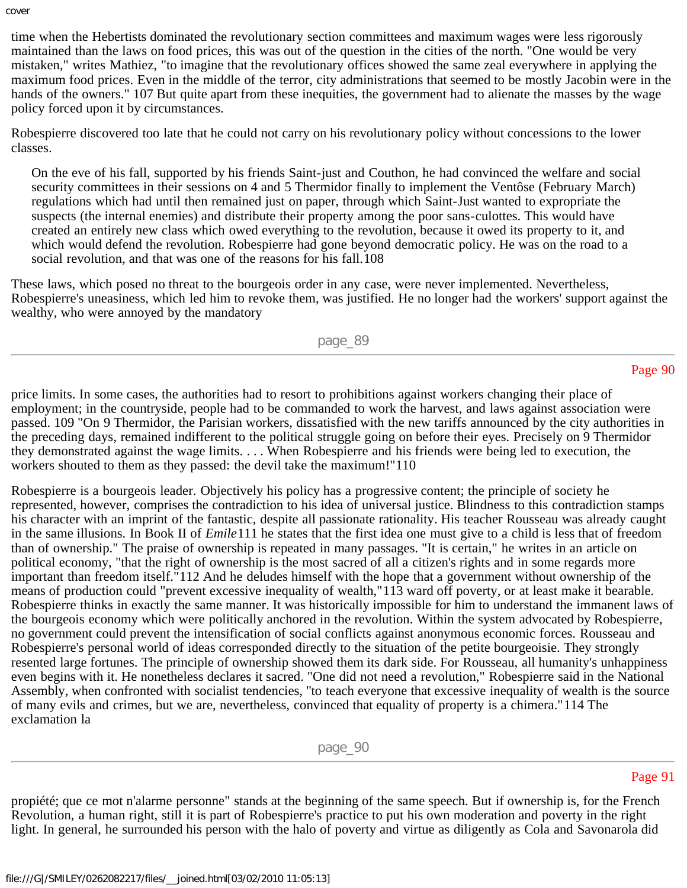time when the Hebertists dominated the revolutionary section committees and maximum wages were less rigorously maintained than the laws on food prices, this was out of the question in the cities of the north. "One would be very mistaken," writes Mathiez, "to imagine that the revolutionary offices showed the same zeal everywhere in applying the maximum food prices. Even in the middle of the terror, city administrations that seemed to be mostly Jacobin were in the hands of the owners." 107 But quite apart from these inequities, the government had to alienate the masses by the wage policy forced upon it by circumstances.

Robespierre discovered too late that he could not carry on his revolutionary policy without concessions to the lower classes.

On the eve of his fall, supported by his friends Saint-just and Couthon, he had convinced the welfare and social security committees in their sessions on 4 and 5 Thermidor finally to implement the Ventôse (February March) regulations which had until then remained just on paper, through which Saint-Just wanted to expropriate the suspects (the internal enemies) and distribute their property among the poor sans-culottes. This would have created an entirely new class which owed everything to the revolution, because it owed its property to it, and which would defend the revolution. Robespierre had gone beyond democratic policy. He was on the road to a social revolution, and that was one of the reasons for his fall.108

These laws, which posed no threat to the bourgeois order in any case, were never implemented. Nevertheless, Robespierre's uneasiness, which led him to revoke them, was justified. He no longer had the workers' support against the wealthy, who were annoyed by the mandatory

page\_89

# Page 90

price limits. In some cases, the authorities had to resort to prohibitions against workers changing their place of employment; in the countryside, people had to be commanded to work the harvest, and laws against association were passed. 109 "On 9 Thermidor, the Parisian workers, dissatisfied with the new tariffs announced by the city authorities in the preceding days, remained indifferent to the political struggle going on before their eyes. Precisely on 9 Thermidor they demonstrated against the wage limits. . . . When Robespierre and his friends were being led to execution, the workers shouted to them as they passed: the devil take the maximum!"110

Robespierre is a bourgeois leader. Objectively his policy has a progressive content; the principle of society he represented, however, comprises the contradiction to his idea of universal justice. Blindness to this contradiction stamps his character with an imprint of the fantastic, despite all passionate rationality. His teacher Rousseau was already caught in the same illusions. In Book II of *Emile*111 he states that the first idea one must give to a child is less that of freedom than of ownership." The praise of ownership is repeated in many passages. "It is certain," he writes in an article on political economy, "that the right of ownership is the most sacred of all a citizen's rights and in some regards more important than freedom itself."112 And he deludes himself with the hope that a government without ownership of the means of production could "prevent excessive inequality of wealth,"113 ward off poverty, or at least make it bearable. Robespierre thinks in exactly the same manner. It was historically impossible for him to understand the immanent laws of the bourgeois economy which were politically anchored in the revolution. Within the system advocated by Robespierre, no government could prevent the intensification of social conflicts against anonymous economic forces. Rousseau and Robespierre's personal world of ideas corresponded directly to the situation of the petite bourgeoisie. They strongly resented large fortunes. The principle of ownership showed them its dark side. For Rousseau, all humanity's unhappiness even begins with it. He nonetheless declares it sacred. "One did not need a revolution," Robespierre said in the National Assembly, when confronted with socialist tendencies, ''to teach everyone that excessive inequality of wealth is the source of many evils and crimes, but we are, nevertheless, convinced that equality of property is a chimera."114 The exclamation la

page\_90

# Page 91

propiété; que ce mot n'alarme personne" stands at the beginning of the same speech. But if ownership is, for the French Revolution, a human right, still it is part of Robespierre's practice to put his own moderation and poverty in the right light. In general, he surrounded his person with the halo of poverty and virtue as diligently as Cola and Savonarola did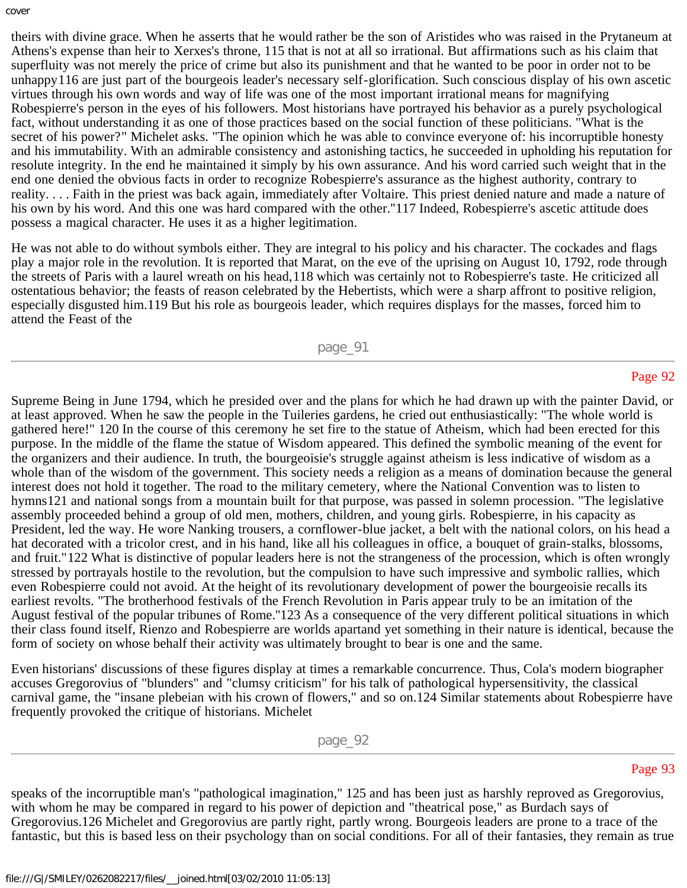theirs with divine grace. When he asserts that he would rather be the son of Aristides who was raised in the Prytaneum at Athens's expense than heir to Xerxes's throne, 115 that is not at all so irrational. But affirmations such as his claim that superfluity was not merely the price of crime but also its punishment and that he wanted to be poor in order not to be unhappy116 are just part of the bourgeois leader's necessary self-glorification. Such conscious display of his own ascetic virtues through his own words and way of life was one of the most important irrational means for magnifying Robespierre's person in the eyes of his followers. Most historians have portrayed his behavior as a purely psychological fact, without understanding it as one of those practices based on the social function of these politicians. "What is the secret of his power?" Michelet asks. "The opinion which he was able to convince everyone of: his incorruptible honesty and his immutability. With an admirable consistency and astonishing tactics, he succeeded in upholding his reputation for resolute integrity. In the end he maintained it simply by his own assurance. And his word carried such weight that in the end one denied the obvious facts in order to recognize Robespierre's assurance as the highest authority, contrary to reality. . . . Faith in the priest was back again, immediately after Voltaire. This priest denied nature and made a nature of his own by his word. And this one was hard compared with the other.''117 Indeed, Robespierre's ascetic attitude does possess a magical character. He uses it as a higher legitimation.

He was not able to do without symbols either. They are integral to his policy and his character. The cockades and flags play a major role in the revolution. It is reported that Marat, on the eve of the uprising on August 10, 1792, rode through the streets of Paris with a laurel wreath on his head,118 which was certainly not to Robespierre's taste. He criticized all ostentatious behavior; the feasts of reason celebrated by the Hebertists, which were a sharp affront to positive religion, especially disgusted him.119 But his role as bourgeois leader, which requires displays for the masses, forced him to attend the Feast of the

page\_91

# Page 92

Supreme Being in June 1794, which he presided over and the plans for which he had drawn up with the painter David, or at least approved. When he saw the people in the Tuileries gardens, he cried out enthusiastically: "The whole world is gathered here!" 120 In the course of this ceremony he set fire to the statue of Atheism, which had been erected for this purpose. In the middle of the flame the statue of Wisdom appeared. This defined the symbolic meaning of the event for the organizers and their audience. In truth, the bourgeoisie's struggle against atheism is less indicative of wisdom as a whole than of the wisdom of the government. This society needs a religion as a means of domination because the general interest does not hold it together. The road to the military cemetery, where the National Convention was to listen to hymns121 and national songs from a mountain built for that purpose, was passed in solemn procession. "The legislative assembly proceeded behind a group of old men, mothers, children, and young girls. Robespierre, in his capacity as President, led the way. He wore Nanking trousers, a cornflower-blue jacket, a belt with the national colors, on his head a hat decorated with a tricolor crest, and in his hand, like all his colleagues in office, a bouquet of grain-stalks, blossoms, and fruit."122 What is distinctive of popular leaders here is not the strangeness of the procession, which is often wrongly stressed by portrayals hostile to the revolution, but the compulsion to have such impressive and symbolic rallies, which even Robespierre could not avoid. At the height of its revolutionary development of power the bourgeoisie recalls its earliest revolts. "The brotherhood festivals of the French Revolution in Paris appear truly to be an imitation of the August festival of the popular tribunes of Rome.''123 As a consequence of the very different political situations in which their class found itself, Rienzo and Robespierre are worlds apartand yet something in their nature is identical, because the form of society on whose behalf their activity was ultimately brought to bear is one and the same.

Even historians' discussions of these figures display at times a remarkable concurrence. Thus, Cola's modern biographer accuses Gregorovius of "blunders" and "clumsy criticism" for his talk of pathological hypersensitivity, the classical carnival game, the "insane plebeian with his crown of flowers," and so on.124 Similar statements about Robespierre have frequently provoked the critique of historians. Michelet

page\_92

# Page 93

speaks of the incorruptible man's "pathological imagination," 125 and has been just as harshly reproved as Gregorovius, with whom he may be compared in regard to his power of depiction and "theatrical pose," as Burdach says of Gregorovius.126 Michelet and Gregorovius are partly right, partly wrong. Bourgeois leaders are prone to a trace of the fantastic, but this is based less on their psychology than on social conditions. For all of their fantasies, they remain as true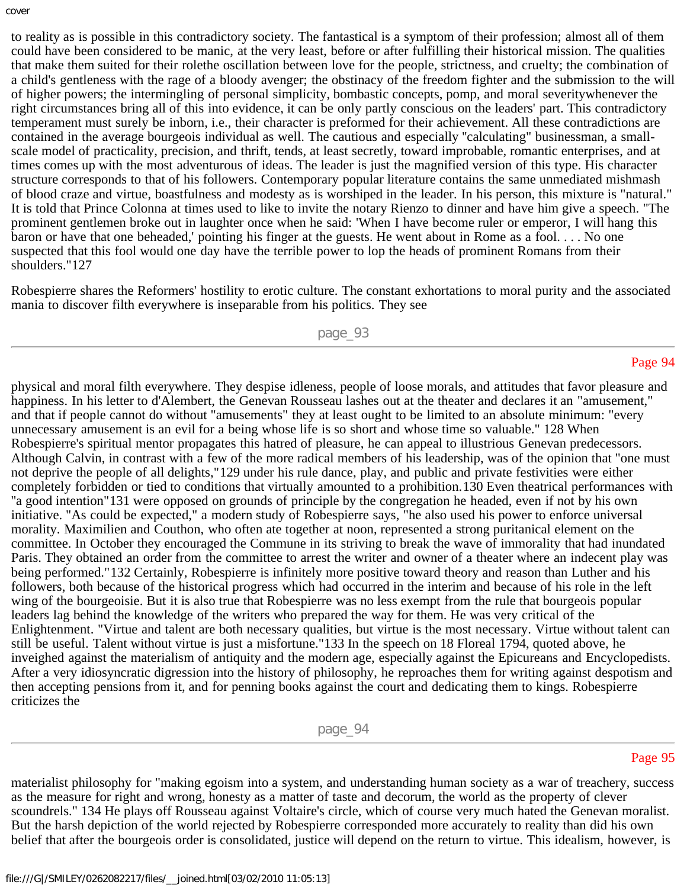to reality as is possible in this contradictory society. The fantastical is a symptom of their profession; almost all of them could have been considered to be manic, at the very least, before or after fulfilling their historical mission. The qualities that make them suited for their rolethe oscillation between love for the people, strictness, and cruelty; the combination of a child's gentleness with the rage of a bloody avenger; the obstinacy of the freedom fighter and the submission to the will of higher powers; the intermingling of personal simplicity, bombastic concepts, pomp, and moral severitywhenever the right circumstances bring all of this into evidence, it can be only partly conscious on the leaders' part. This contradictory temperament must surely be inborn, i.e., their character is preformed for their achievement. All these contradictions are contained in the average bourgeois individual as well. The cautious and especially ''calculating" businessman, a smallscale model of practicality, precision, and thrift, tends, at least secretly, toward improbable, romantic enterprises, and at times comes up with the most adventurous of ideas. The leader is just the magnified version of this type. His character structure corresponds to that of his followers. Contemporary popular literature contains the same unmediated mishmash of blood craze and virtue, boastfulness and modesty as is worshiped in the leader. In his person, this mixture is "natural." It is told that Prince Colonna at times used to like to invite the notary Rienzo to dinner and have him give a speech. "The prominent gentlemen broke out in laughter once when he said: 'When I have become ruler or emperor, I will hang this baron or have that one beheaded,' pointing his finger at the guests. He went about in Rome as a fool. . . . No one suspected that this fool would one day have the terrible power to lop the heads of prominent Romans from their shoulders."127

Robespierre shares the Reformers' hostility to erotic culture. The constant exhortations to moral purity and the associated mania to discover filth everywhere is inseparable from his politics. They see

page\_93

### Page 94

physical and moral filth everywhere. They despise idleness, people of loose morals, and attitudes that favor pleasure and happiness. In his letter to d'Alembert, the Genevan Rousseau lashes out at the theater and declares it an "amusement," and that if people cannot do without "amusements" they at least ought to be limited to an absolute minimum: "every unnecessary amusement is an evil for a being whose life is so short and whose time so valuable." 128 When Robespierre's spiritual mentor propagates this hatred of pleasure, he can appeal to illustrious Genevan predecessors. Although Calvin, in contrast with a few of the more radical members of his leadership, was of the opinion that "one must not deprive the people of all delights,"129 under his rule dance, play, and public and private festivities were either completely forbidden or tied to conditions that virtually amounted to a prohibition.130 Even theatrical performances with ''a good intention"131 were opposed on grounds of principle by the congregation he headed, even if not by his own initiative. "As could be expected," a modern study of Robespierre says, "he also used his power to enforce universal morality. Maximilien and Couthon, who often ate together at noon, represented a strong puritanical element on the committee. In October they encouraged the Commune in its striving to break the wave of immorality that had inundated Paris. They obtained an order from the committee to arrest the writer and owner of a theater where an indecent play was being performed."132 Certainly, Robespierre is infinitely more positive toward theory and reason than Luther and his followers, both because of the historical progress which had occurred in the interim and because of his role in the left wing of the bourgeoisie. But it is also true that Robespierre was no less exempt from the rule that bourgeois popular leaders lag behind the knowledge of the writers who prepared the way for them. He was very critical of the Enlightenment. "Virtue and talent are both necessary qualities, but virtue is the most necessary. Virtue without talent can still be useful. Talent without virtue is just a misfortune."133 In the speech on 18 Floreal 1794, quoted above, he inveighed against the materialism of antiquity and the modern age, especially against the Epicureans and Encyclopedists. After a very idiosyncratic digression into the history of philosophy, he reproaches them for writing against despotism and then accepting pensions from it, and for penning books against the court and dedicating them to kings. Robespierre criticizes the

page\_94

### Page 95

materialist philosophy for "making egoism into a system, and understanding human society as a war of treachery, success as the measure for right and wrong, honesty as a matter of taste and decorum, the world as the property of clever scoundrels." 134 He plays off Rousseau against Voltaire's circle, which of course very much hated the Genevan moralist. But the harsh depiction of the world rejected by Robespierre corresponded more accurately to reality than did his own belief that after the bourgeois order is consolidated, justice will depend on the return to virtue. This idealism, however, is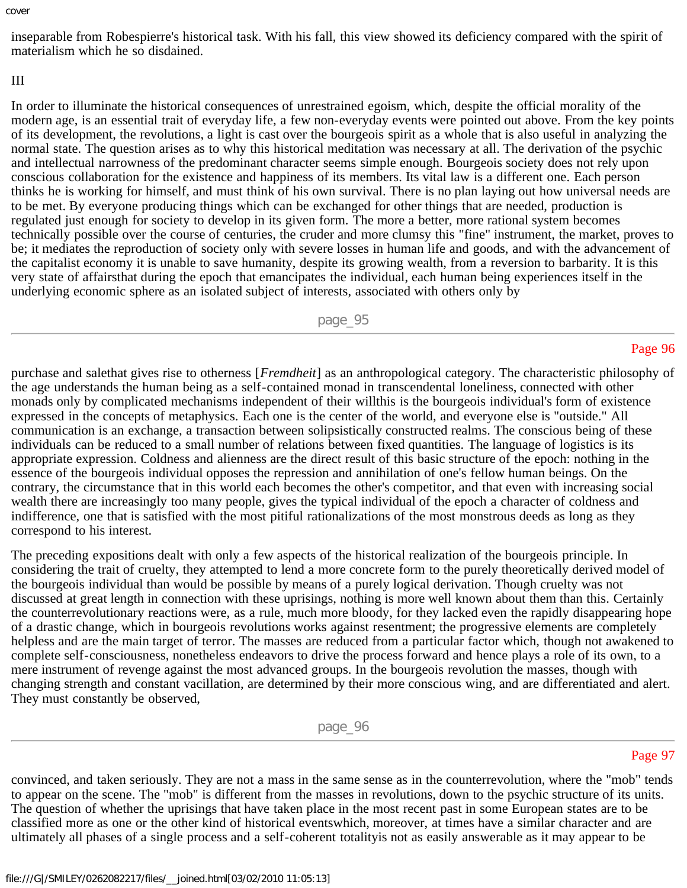inseparable from Robespierre's historical task. With his fall, this view showed its deficiency compared with the spirit of materialism which he so disdained.

# III

In order to illuminate the historical consequences of unrestrained egoism, which, despite the official morality of the modern age, is an essential trait of everyday life, a few non-everyday events were pointed out above. From the key points of its development, the revolutions, a light is cast over the bourgeois spirit as a whole that is also useful in analyzing the normal state. The question arises as to why this historical meditation was necessary at all. The derivation of the psychic and intellectual narrowness of the predominant character seems simple enough. Bourgeois society does not rely upon conscious collaboration for the existence and happiness of its members. Its vital law is a different one. Each person thinks he is working for himself, and must think of his own survival. There is no plan laying out how universal needs are to be met. By everyone producing things which can be exchanged for other things that are needed, production is regulated just enough for society to develop in its given form. The more a better, more rational system becomes technically possible over the course of centuries, the cruder and more clumsy this "fine" instrument, the market, proves to be; it mediates the reproduction of society only with severe losses in human life and goods, and with the advancement of the capitalist economy it is unable to save humanity, despite its growing wealth, from a reversion to barbarity. It is this very state of affairsthat during the epoch that emancipates the individual, each human being experiences itself in the underlying economic sphere as an isolated subject of interests, associated with others only by

# page\_95

# Page 96

purchase and salethat gives rise to otherness [*Fremdheit*] as an anthropological category. The characteristic philosophy of the age understands the human being as a self-contained monad in transcendental loneliness, connected with other monads only by complicated mechanisms independent of their willthis is the bourgeois individual's form of existence expressed in the concepts of metaphysics. Each one is the center of the world, and everyone else is "outside." All communication is an exchange, a transaction between solipsistically constructed realms. The conscious being of these individuals can be reduced to a small number of relations between fixed quantities. The language of logistics is its appropriate expression. Coldness and alienness are the direct result of this basic structure of the epoch: nothing in the essence of the bourgeois individual opposes the repression and annihilation of one's fellow human beings. On the contrary, the circumstance that in this world each becomes the other's competitor, and that even with increasing social wealth there are increasingly too many people, gives the typical individual of the epoch a character of coldness and indifference, one that is satisfied with the most pitiful rationalizations of the most monstrous deeds as long as they correspond to his interest.

The preceding expositions dealt with only a few aspects of the historical realization of the bourgeois principle. In considering the trait of cruelty, they attempted to lend a more concrete form to the purely theoretically derived model of the bourgeois individual than would be possible by means of a purely logical derivation. Though cruelty was not discussed at great length in connection with these uprisings, nothing is more well known about them than this. Certainly the counterrevolutionary reactions were, as a rule, much more bloody, for they lacked even the rapidly disappearing hope of a drastic change, which in bourgeois revolutions works against resentment; the progressive elements are completely helpless and are the main target of terror. The masses are reduced from a particular factor which, though not awakened to complete self-consciousness, nonetheless endeavors to drive the process forward and hence plays a role of its own, to a mere instrument of revenge against the most advanced groups. In the bourgeois revolution the masses, though with changing strength and constant vacillation, are determined by their more conscious wing, and are differentiated and alert. They must constantly be observed,

page\_96

# Page 97

convinced, and taken seriously. They are not a mass in the same sense as in the counterrevolution, where the "mob" tends to appear on the scene. The "mob" is different from the masses in revolutions, down to the psychic structure of its units. The question of whether the uprisings that have taken place in the most recent past in some European states are to be classified more as one or the other kind of historical eventswhich, moreover, at times have a similar character and are ultimately all phases of a single process and a self-coherent totalityis not as easily answerable as it may appear to be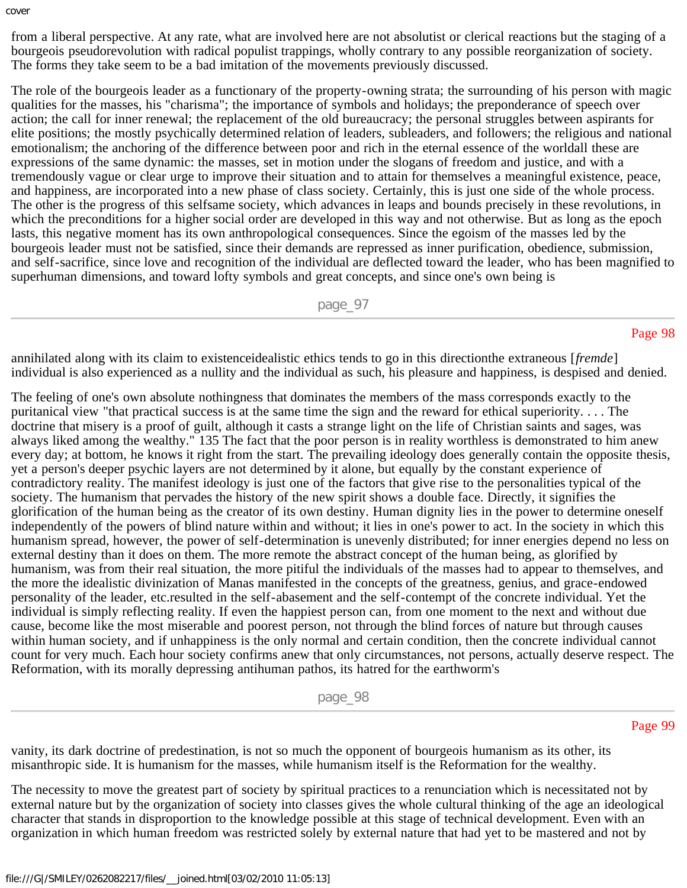from a liberal perspective. At any rate, what are involved here are not absolutist or clerical reactions but the staging of a bourgeois pseudorevolution with radical populist trappings, wholly contrary to any possible reorganization of society. The forms they take seem to be a bad imitation of the movements previously discussed.

The role of the bourgeois leader as a functionary of the property-owning strata; the surrounding of his person with magic qualities for the masses, his "charisma"; the importance of symbols and holidays; the preponderance of speech over action; the call for inner renewal; the replacement of the old bureaucracy; the personal struggles between aspirants for elite positions; the mostly psychically determined relation of leaders, subleaders, and followers; the religious and national emotionalism; the anchoring of the difference between poor and rich in the eternal essence of the worldall these are expressions of the same dynamic: the masses, set in motion under the slogans of freedom and justice, and with a tremendously vague or clear urge to improve their situation and to attain for themselves a meaningful existence, peace, and happiness, are incorporated into a new phase of class society. Certainly, this is just one side of the whole process. The other is the progress of this selfsame society, which advances in leaps and bounds precisely in these revolutions, in which the preconditions for a higher social order are developed in this way and not otherwise. But as long as the epoch lasts, this negative moment has its own anthropological consequences. Since the egoism of the masses led by the bourgeois leader must not be satisfied, since their demands are repressed as inner purification, obedience, submission, and self-sacrifice, since love and recognition of the individual are deflected toward the leader, who has been magnified to superhuman dimensions, and toward lofty symbols and great concepts, and since one's own being is

page\_97

Page 98

annihilated along with its claim to existenceidealistic ethics tends to go in this directionthe extraneous [*fremde*] individual is also experienced as a nullity and the individual as such, his pleasure and happiness, is despised and denied.

The feeling of one's own absolute nothingness that dominates the members of the mass corresponds exactly to the puritanical view "that practical success is at the same time the sign and the reward for ethical superiority. . . . The doctrine that misery is a proof of guilt, although it casts a strange light on the life of Christian saints and sages, was always liked among the wealthy." 135 The fact that the poor person is in reality worthless is demonstrated to him anew every day; at bottom, he knows it right from the start. The prevailing ideology does generally contain the opposite thesis, yet a person's deeper psychic layers are not determined by it alone, but equally by the constant experience of contradictory reality. The manifest ideology is just one of the factors that give rise to the personalities typical of the society. The humanism that pervades the history of the new spirit shows a double face. Directly, it signifies the glorification of the human being as the creator of its own destiny. Human dignity lies in the power to determine oneself independently of the powers of blind nature within and without; it lies in one's power to act. In the society in which this humanism spread, however, the power of self-determination is unevenly distributed; for inner energies depend no less on external destiny than it does on them. The more remote the abstract concept of the human being, as glorified by humanism, was from their real situation, the more pitiful the individuals of the masses had to appear to themselves, and the more the idealistic divinization of Manas manifested in the concepts of the greatness, genius, and grace-endowed personality of the leader, etc.resulted in the self-abasement and the self-contempt of the concrete individual. Yet the individual is simply reflecting reality. If even the happiest person can, from one moment to the next and without due cause, become like the most miserable and poorest person, not through the blind forces of nature but through causes within human society, and if unhappiness is the only normal and certain condition, then the concrete individual cannot count for very much. Each hour society confirms anew that only circumstances, not persons, actually deserve respect. The Reformation, with its morally depressing antihuman pathos, its hatred for the earthworm's

page\_98

Page 99

vanity, its dark doctrine of predestination, is not so much the opponent of bourgeois humanism as its other, its misanthropic side. It is humanism for the masses, while humanism itself is the Reformation for the wealthy.

The necessity to move the greatest part of society by spiritual practices to a renunciation which is necessitated not by external nature but by the organization of society into classes gives the whole cultural thinking of the age an ideological character that stands in disproportion to the knowledge possible at this stage of technical development. Even with an organization in which human freedom was restricted solely by external nature that had yet to be mastered and not by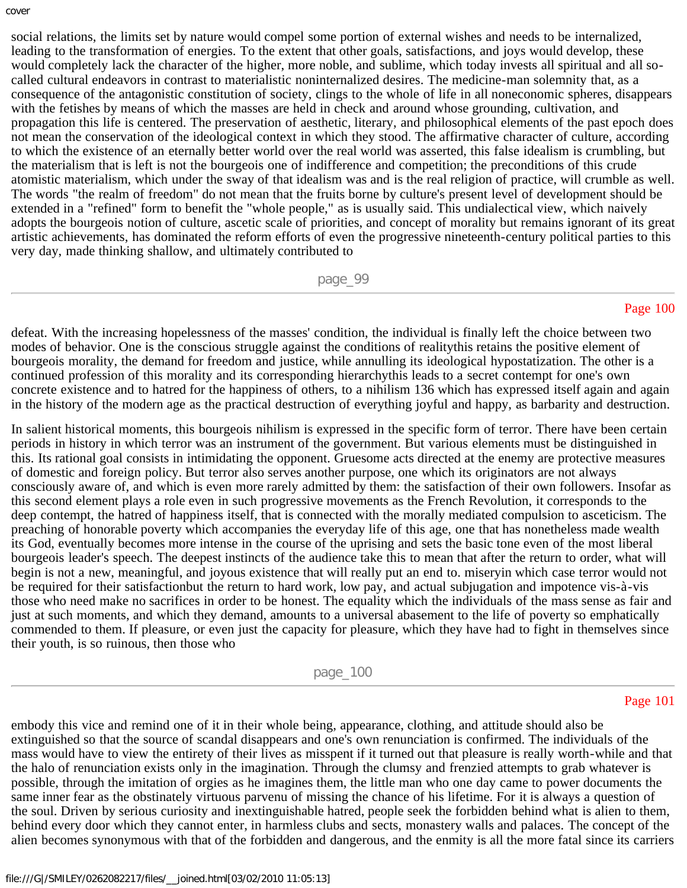social relations, the limits set by nature would compel some portion of external wishes and needs to be internalized, leading to the transformation of energies. To the extent that other goals, satisfactions, and joys would develop, these would completely lack the character of the higher, more noble, and sublime, which today invests all spiritual and all socalled cultural endeavors in contrast to materialistic noninternalized desires. The medicine-man solemnity that, as a consequence of the antagonistic constitution of society, clings to the whole of life in all noneconomic spheres, disappears with the fetishes by means of which the masses are held in check and around whose grounding, cultivation, and propagation this life is centered. The preservation of aesthetic, literary, and philosophical elements of the past epoch does not mean the conservation of the ideological context in which they stood. The affirmative character of culture, according to which the existence of an eternally better world over the real world was asserted, this false idealism is crumbling, but the materialism that is left is not the bourgeois one of indifference and competition; the preconditions of this crude atomistic materialism, which under the sway of that idealism was and is the real religion of practice, will crumble as well. The words "the realm of freedom" do not mean that the fruits borne by culture's present level of development should be extended in a "refined" form to benefit the "whole people," as is usually said. This undialectical view, which naively adopts the bourgeois notion of culture, ascetic scale of priorities, and concept of morality but remains ignorant of its great artistic achievements, has dominated the reform efforts of even the progressive nineteenth-century political parties to this very day, made thinking shallow, and ultimately contributed to

page\_99

# Page 100

defeat. With the increasing hopelessness of the masses' condition, the individual is finally left the choice between two modes of behavior. One is the conscious struggle against the conditions of realitythis retains the positive element of bourgeois morality, the demand for freedom and justice, while annulling its ideological hypostatization. The other is a continued profession of this morality and its corresponding hierarchythis leads to a secret contempt for one's own concrete existence and to hatred for the happiness of others, to a nihilism 136 which has expressed itself again and again in the history of the modern age as the practical destruction of everything joyful and happy, as barbarity and destruction.

In salient historical moments, this bourgeois nihilism is expressed in the specific form of terror. There have been certain periods in history in which terror was an instrument of the government. But various elements must be distinguished in this. Its rational goal consists in intimidating the opponent. Gruesome acts directed at the enemy are protective measures of domestic and foreign policy. But terror also serves another purpose, one which its originators are not always consciously aware of, and which is even more rarely admitted by them: the satisfaction of their own followers. Insofar as this second element plays a role even in such progressive movements as the French Revolution, it corresponds to the deep contempt, the hatred of happiness itself, that is connected with the morally mediated compulsion to asceticism. The preaching of honorable poverty which accompanies the everyday life of this age, one that has nonetheless made wealth its God, eventually becomes more intense in the course of the uprising and sets the basic tone even of the most liberal bourgeois leader's speech. The deepest instincts of the audience take this to mean that after the return to order, what will begin is not a new, meaningful, and joyous existence that will really put an end to. miseryin which case terror would not be required for their satisfactionbut the return to hard work, low pay, and actual subjugation and impotence vis-à-vis those who need make no sacrifices in order to be honest. The equality which the individuals of the mass sense as fair and just at such moments, and which they demand, amounts to a universal abasement to the life of poverty so emphatically commended to them. If pleasure, or even just the capacity for pleasure, which they have had to fight in themselves since their youth, is so ruinous, then those who

page\_100

### Page 101

embody this vice and remind one of it in their whole being, appearance, clothing, and attitude should also be extinguished so that the source of scandal disappears and one's own renunciation is confirmed. The individuals of the mass would have to view the entirety of their lives as misspent if it turned out that pleasure is really worth-while and that the halo of renunciation exists only in the imagination. Through the clumsy and frenzied attempts to grab whatever is possible, through the imitation of orgies as he imagines them, the little man who one day came to power documents the same inner fear as the obstinately virtuous parvenu of missing the chance of his lifetime. For it is always a question of the soul. Driven by serious curiosity and inextinguishable hatred, people seek the forbidden behind what is alien to them, behind every door which they cannot enter, in harmless clubs and sects, monastery walls and palaces. The concept of the alien becomes synonymous with that of the forbidden and dangerous, and the enmity is all the more fatal since its carriers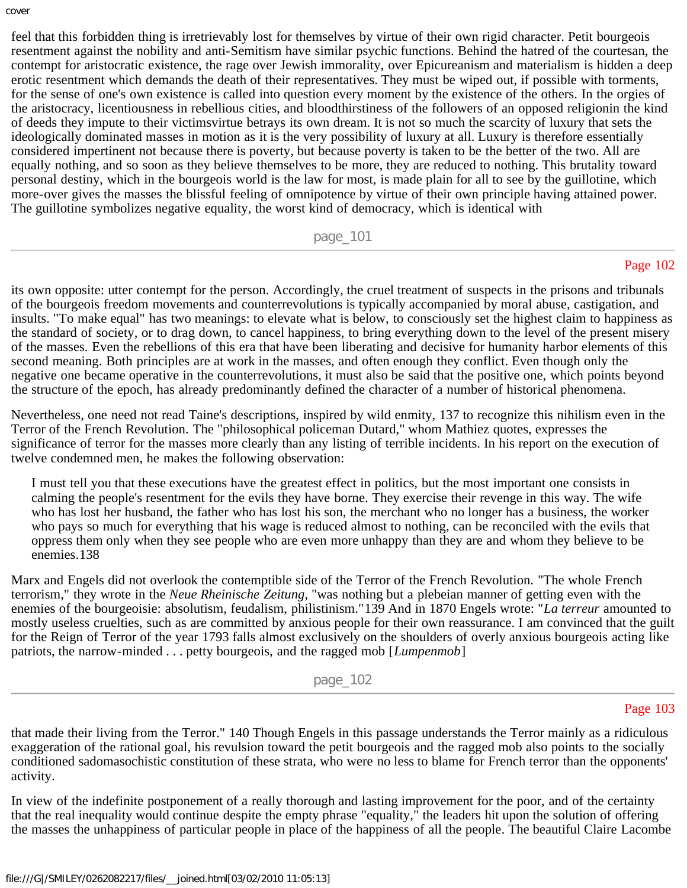feel that this forbidden thing is irretrievably lost for themselves by virtue of their own rigid character. Petit bourgeois resentment against the nobility and anti-Semitism have similar psychic functions. Behind the hatred of the courtesan, the contempt for aristocratic existence, the rage over Jewish immorality, over Epicureanism and materialism is hidden a deep erotic resentment which demands the death of their representatives. They must be wiped out, if possible with torments, for the sense of one's own existence is called into question every moment by the existence of the others. In the orgies of the aristocracy, licentiousness in rebellious cities, and bloodthirstiness of the followers of an opposed religionin the kind of deeds they impute to their victimsvirtue betrays its own dream. It is not so much the scarcity of luxury that sets the ideologically dominated masses in motion as it is the very possibility of luxury at all. Luxury is therefore essentially considered impertinent not because there is poverty, but because poverty is taken to be the better of the two. All are equally nothing, and so soon as they believe themselves to be more, they are reduced to nothing. This brutality toward personal destiny, which in the bourgeois world is the law for most, is made plain for all to see by the guillotine, which more-over gives the masses the blissful feeling of omnipotence by virtue of their own principle having attained power. The guillotine symbolizes negative equality, the worst kind of democracy, which is identical with

page\_101

### Page 102

its own opposite: utter contempt for the person. Accordingly, the cruel treatment of suspects in the prisons and tribunals of the bourgeois freedom movements and counterrevolutions is typically accompanied by moral abuse, castigation, and insults. "To make equal" has two meanings: to elevate what is below, to consciously set the highest claim to happiness as the standard of society, or to drag down, to cancel happiness, to bring everything down to the level of the present misery of the masses. Even the rebellions of this era that have been liberating and decisive for humanity harbor elements of this second meaning. Both principles are at work in the masses, and often enough they conflict. Even though only the negative one became operative in the counterrevolutions, it must also be said that the positive one, which points beyond the structure of the epoch, has already predominantly defined the character of a number of historical phenomena.

Nevertheless, one need not read Taine's descriptions, inspired by wild enmity, 137 to recognize this nihilism even in the Terror of the French Revolution. The "philosophical policeman Dutard," whom Mathiez quotes, expresses the significance of terror for the masses more clearly than any listing of terrible incidents. In his report on the execution of twelve condemned men, he makes the following observation:

I must tell you that these executions have the greatest effect in politics, but the most important one consists in calming the people's resentment for the evils they have borne. They exercise their revenge in this way. The wife who has lost her husband, the father who has lost his son, the merchant who no longer has a business, the worker who pays so much for everything that his wage is reduced almost to nothing, can be reconciled with the evils that oppress them only when they see people who are even more unhappy than they are and whom they believe to be enemies.138

Marx and Engels did not overlook the contemptible side of the Terror of the French Revolution. "The whole French terrorism," they wrote in the *Neue Rheinische Zeitung*, "was nothing but a plebeian manner of getting even with the enemies of the bourgeoisie: absolutism, feudalism, philistinism."139 And in 1870 Engels wrote: "*La terreur* amounted to mostly useless cruelties, such as are committed by anxious people for their own reassurance. I am convinced that the guilt for the Reign of Terror of the year 1793 falls almost exclusively on the shoulders of overly anxious bourgeois acting like patriots, the narrow-minded . . . petty bourgeois, and the ragged mob [*Lumpenmob*]

page\_102

## Page 103

that made their living from the Terror." 140 Though Engels in this passage understands the Terror mainly as a ridiculous exaggeration of the rational goal, his revulsion toward the petit bourgeois and the ragged mob also points to the socially conditioned sadomasochistic constitution of these strata, who were no less to blame for French terror than the opponents' activity.

In view of the indefinite postponement of a really thorough and lasting improvement for the poor, and of the certainty that the real inequality would continue despite the empty phrase "equality," the leaders hit upon the solution of offering the masses the unhappiness of particular people in place of the happiness of all the people. The beautiful Claire Lacombe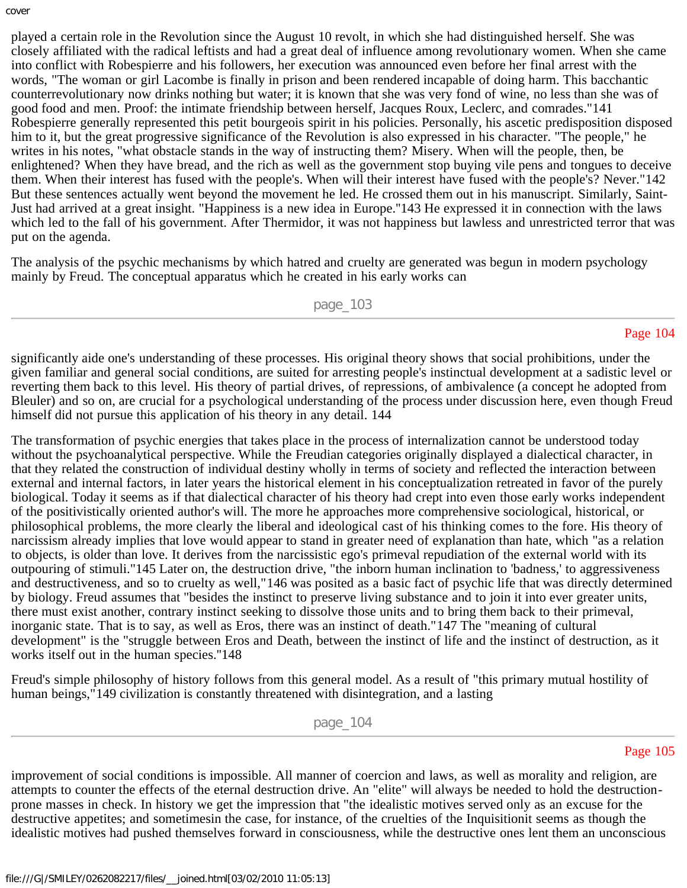played a certain role in the Revolution since the August 10 revolt, in which she had distinguished herself. She was closely affiliated with the radical leftists and had a great deal of influence among revolutionary women. When she came into conflict with Robespierre and his followers, her execution was announced even before her final arrest with the words, "The woman or girl Lacombe is finally in prison and been rendered incapable of doing harm. This bacchantic counterrevolutionary now drinks nothing but water; it is known that she was very fond of wine, no less than she was of good food and men. Proof: the intimate friendship between herself, Jacques Roux, Leclerc, and comrades."141 Robespierre generally represented this petit bourgeois spirit in his policies. Personally, his ascetic predisposition disposed him to it, but the great progressive significance of the Revolution is also expressed in his character. "The people," he writes in his notes, "what obstacle stands in the way of instructing them? Misery. When will the people, then, be enlightened? When they have bread, and the rich as well as the government stop buying vile pens and tongues to deceive them. When their interest has fused with the people's. When will their interest have fused with the people's? Never."142 But these sentences actually went beyond the movement he led. He crossed them out in his manuscript. Similarly, Saint-Just had arrived at a great insight. "Happiness is a new idea in Europe.''143 He expressed it in connection with the laws which led to the fall of his government. After Thermidor, it was not happiness but lawless and unrestricted terror that was put on the agenda.

The analysis of the psychic mechanisms by which hatred and cruelty are generated was begun in modern psychology mainly by Freud. The conceptual apparatus which he created in his early works can

page\_103

### Page 104

significantly aide one's understanding of these processes. His original theory shows that social prohibitions, under the given familiar and general social conditions, are suited for arresting people's instinctual development at a sadistic level or reverting them back to this level. His theory of partial drives, of repressions, of ambivalence (a concept he adopted from Bleuler) and so on, are crucial for a psychological understanding of the process under discussion here, even though Freud himself did not pursue this application of his theory in any detail. 144

The transformation of psychic energies that takes place in the process of internalization cannot be understood today without the psychoanalytical perspective. While the Freudian categories originally displayed a dialectical character, in that they related the construction of individual destiny wholly in terms of society and reflected the interaction between external and internal factors, in later years the historical element in his conceptualization retreated in favor of the purely biological. Today it seems as if that dialectical character of his theory had crept into even those early works independent of the positivistically oriented author's will. The more he approaches more comprehensive sociological, historical, or philosophical problems, the more clearly the liberal and ideological cast of his thinking comes to the fore. His theory of narcissism already implies that love would appear to stand in greater need of explanation than hate, which "as a relation to objects, is older than love. It derives from the narcissistic ego's primeval repudiation of the external world with its outpouring of stimuli."145 Later on, the destruction drive, "the inborn human inclination to 'badness,' to aggressiveness and destructiveness, and so to cruelty as well,"146 was posited as a basic fact of psychic life that was directly determined by biology. Freud assumes that "besides the instinct to preserve living substance and to join it into ever greater units, there must exist another, contrary instinct seeking to dissolve those units and to bring them back to their primeval, inorganic state. That is to say, as well as Eros, there was an instinct of death."147 The "meaning of cultural development" is the "struggle between Eros and Death, between the instinct of life and the instinct of destruction, as it works itself out in the human species.''148

Freud's simple philosophy of history follows from this general model. As a result of "this primary mutual hostility of human beings,"149 civilization is constantly threatened with disintegration, and a lasting

page\_104

### Page 105

improvement of social conditions is impossible. All manner of coercion and laws, as well as morality and religion, are attempts to counter the effects of the eternal destruction drive. An "elite" will always be needed to hold the destructionprone masses in check. In history we get the impression that "the idealistic motives served only as an excuse for the destructive appetites; and sometimesin the case, for instance, of the cruelties of the Inquisitionit seems as though the idealistic motives had pushed themselves forward in consciousness, while the destructive ones lent them an unconscious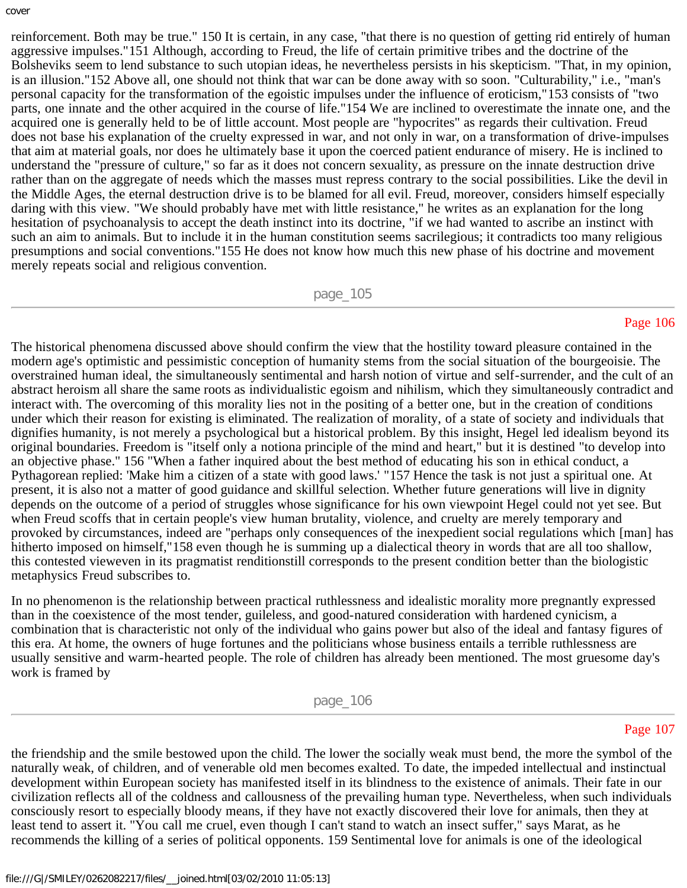reinforcement. Both may be true." 150 It is certain, in any case, ''that there is no question of getting rid entirely of human aggressive impulses."151 Although, according to Freud, the life of certain primitive tribes and the doctrine of the Bolsheviks seem to lend substance to such utopian ideas, he nevertheless persists in his skepticism. "That, in my opinion, is an illusion."152 Above all, one should not think that war can be done away with so soon. "Culturability," i.e., "man's personal capacity for the transformation of the egoistic impulses under the influence of eroticism,"153 consists of "two parts, one innate and the other acquired in the course of life."154 We are inclined to overestimate the innate one, and the acquired one is generally held to be of little account. Most people are "hypocrites" as regards their cultivation. Freud does not base his explanation of the cruelty expressed in war, and not only in war, on a transformation of drive-impulses that aim at material goals, nor does he ultimately base it upon the coerced patient endurance of misery. He is inclined to understand the "pressure of culture," so far as it does not concern sexuality, as pressure on the innate destruction drive rather than on the aggregate of needs which the masses must repress contrary to the social possibilities. Like the devil in the Middle Ages, the eternal destruction drive is to be blamed for all evil. Freud, moreover, considers himself especially daring with this view. "We should probably have met with little resistance," he writes as an explanation for the long hesitation of psychoanalysis to accept the death instinct into its doctrine, "if we had wanted to ascribe an instinct with such an aim to animals. But to include it in the human constitution seems sacrilegious; it contradicts too many religious presumptions and social conventions."155 He does not know how much this new phase of his doctrine and movement merely repeats social and religious convention.

### page\_105

### Page 106

The historical phenomena discussed above should confirm the view that the hostility toward pleasure contained in the modern age's optimistic and pessimistic conception of humanity stems from the social situation of the bourgeoisie. The overstrained human ideal, the simultaneously sentimental and harsh notion of virtue and self-surrender, and the cult of an abstract heroism all share the same roots as individualistic egoism and nihilism, which they simultaneously contradict and interact with. The overcoming of this morality lies not in the positing of a better one, but in the creation of conditions under which their reason for existing is eliminated. The realization of morality, of a state of society and individuals that dignifies humanity, is not merely a psychological but a historical problem. By this insight, Hegel led idealism beyond its original boundaries. Freedom is "itself only a notiona principle of the mind and heart," but it is destined "to develop into an objective phase." 156 "When a father inquired about the best method of educating his son in ethical conduct, a Pythagorean replied: 'Make him a citizen of a state with good laws.' "157 Hence the task is not just a spiritual one. At present, it is also not a matter of good guidance and skillful selection. Whether future generations will live in dignity depends on the outcome of a period of struggles whose significance for his own viewpoint Hegel could not yet see. But when Freud scoffs that in certain people's view human brutality, violence, and cruelty are merely temporary and provoked by circumstances, indeed are ''perhaps only consequences of the inexpedient social regulations which [man] has hitherto imposed on himself, "158 even though he is summing up a dialectical theory in words that are all too shallow, this contested vieweven in its pragmatist renditionstill corresponds to the present condition better than the biologistic metaphysics Freud subscribes to.

In no phenomenon is the relationship between practical ruthlessness and idealistic morality more pregnantly expressed than in the coexistence of the most tender, guileless, and good-natured consideration with hardened cynicism, a combination that is characteristic not only of the individual who gains power but also of the ideal and fantasy figures of this era. At home, the owners of huge fortunes and the politicians whose business entails a terrible ruthlessness are usually sensitive and warm-hearted people. The role of children has already been mentioned. The most gruesome day's work is framed by

page\_106

## Page 107

the friendship and the smile bestowed upon the child. The lower the socially weak must bend, the more the symbol of the naturally weak, of children, and of venerable old men becomes exalted. To date, the impeded intellectual and instinctual development within European society has manifested itself in its blindness to the existence of animals. Their fate in our civilization reflects all of the coldness and callousness of the prevailing human type. Nevertheless, when such individuals consciously resort to especially bloody means, if they have not exactly discovered their love for animals, then they at least tend to assert it. "You call me cruel, even though I can't stand to watch an insect suffer," says Marat, as he recommends the killing of a series of political opponents. 159 Sentimental love for animals is one of the ideological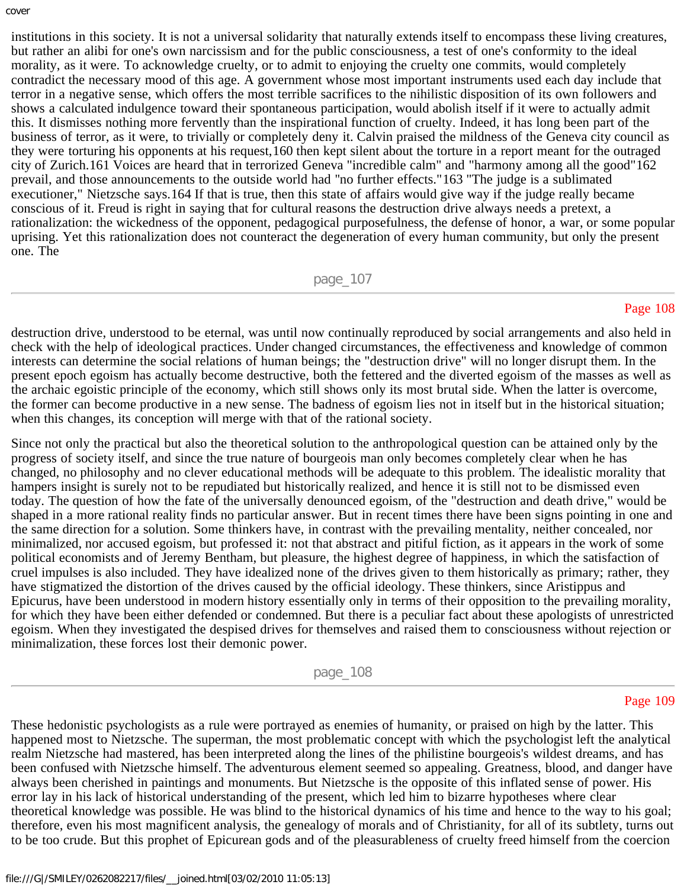institutions in this society. It is not a universal solidarity that naturally extends itself to encompass these living creatures, but rather an alibi for one's own narcissism and for the public consciousness, a test of one's conformity to the ideal morality, as it were. To acknowledge cruelty, or to admit to enjoying the cruelty one commits, would completely contradict the necessary mood of this age. A government whose most important instruments used each day include that terror in a negative sense, which offers the most terrible sacrifices to the nihilistic disposition of its own followers and shows a calculated indulgence toward their spontaneous participation, would abolish itself if it were to actually admit this. It dismisses nothing more fervently than the inspirational function of cruelty. Indeed, it has long been part of the business of terror, as it were, to trivially or completely deny it. Calvin praised the mildness of the Geneva city council as they were torturing his opponents at his request,160 then kept silent about the torture in a report meant for the outraged city of Zurich.161 Voices are heard that in terrorized Geneva "incredible calm" and "harmony among all the good"162 prevail, and those announcements to the outside world had ''no further effects."163 "The judge is a sublimated executioner," Nietzsche says.164 If that is true, then this state of affairs would give way if the judge really became conscious of it. Freud is right in saying that for cultural reasons the destruction drive always needs a pretext, a rationalization: the wickedness of the opponent, pedagogical purposefulness, the defense of honor, a war, or some popular uprising. Yet this rationalization does not counteract the degeneration of every human community, but only the present one. The

page\_107

# Page 108

destruction drive, understood to be eternal, was until now continually reproduced by social arrangements and also held in check with the help of ideological practices. Under changed circumstances, the effectiveness and knowledge of common interests can determine the social relations of human beings; the "destruction drive" will no longer disrupt them. In the present epoch egoism has actually become destructive, both the fettered and the diverted egoism of the masses as well as the archaic egoistic principle of the economy, which still shows only its most brutal side. When the latter is overcome, the former can become productive in a new sense. The badness of egoism lies not in itself but in the historical situation; when this changes, its conception will merge with that of the rational society.

Since not only the practical but also the theoretical solution to the anthropological question can be attained only by the progress of society itself, and since the true nature of bourgeois man only becomes completely clear when he has changed, no philosophy and no clever educational methods will be adequate to this problem. The idealistic morality that hampers insight is surely not to be repudiated but historically realized, and hence it is still not to be dismissed even today. The question of how the fate of the universally denounced egoism, of the "destruction and death drive," would be shaped in a more rational reality finds no particular answer. But in recent times there have been signs pointing in one and the same direction for a solution. Some thinkers have, in contrast with the prevailing mentality, neither concealed, nor minimalized, nor accused egoism, but professed it: not that abstract and pitiful fiction, as it appears in the work of some political economists and of Jeremy Bentham, but pleasure, the highest degree of happiness, in which the satisfaction of cruel impulses is also included. They have idealized none of the drives given to them historically as primary; rather, they have stigmatized the distortion of the drives caused by the official ideology. These thinkers, since Aristippus and Epicurus, have been understood in modern history essentially only in terms of their opposition to the prevailing morality, for which they have been either defended or condemned. But there is a peculiar fact about these apologists of unrestricted egoism. When they investigated the despised drives for themselves and raised them to consciousness without rejection or minimalization, these forces lost their demonic power.

page\_108

### Page 109

These hedonistic psychologists as a rule were portrayed as enemies of humanity, or praised on high by the latter. This happened most to Nietzsche. The superman, the most problematic concept with which the psychologist left the analytical realm Nietzsche had mastered, has been interpreted along the lines of the philistine bourgeois's wildest dreams, and has been confused with Nietzsche himself. The adventurous element seemed so appealing. Greatness, blood, and danger have always been cherished in paintings and monuments. But Nietzsche is the opposite of this inflated sense of power. His error lay in his lack of historical understanding of the present, which led him to bizarre hypotheses where clear theoretical knowledge was possible. He was blind to the historical dynamics of his time and hence to the way to his goal; therefore, even his most magnificent analysis, the genealogy of morals and of Christianity, for all of its subtlety, turns out to be too crude. But this prophet of Epicurean gods and of the pleasurableness of cruelty freed himself from the coercion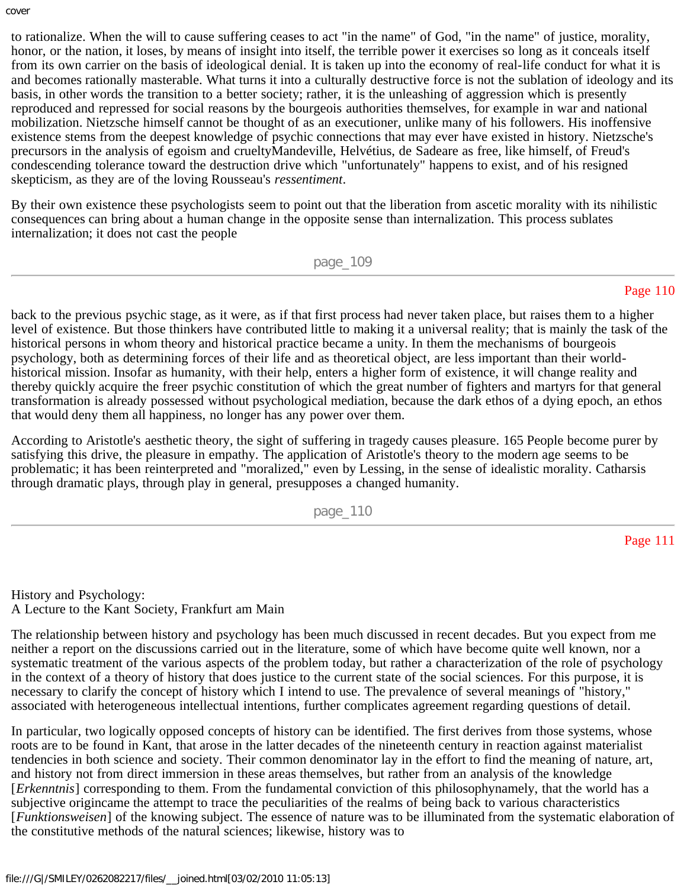to rationalize. When the will to cause suffering ceases to act "in the name" of God, "in the name" of justice, morality, honor, or the nation, it loses, by means of insight into itself, the terrible power it exercises so long as it conceals itself from its own carrier on the basis of ideological denial. It is taken up into the economy of real-life conduct for what it is and becomes rationally masterable. What turns it into a culturally destructive force is not the sublation of ideology and its basis, in other words the transition to a better society; rather, it is the unleashing of aggression which is presently reproduced and repressed for social reasons by the bourgeois authorities themselves, for example in war and national mobilization. Nietzsche himself cannot be thought of as an executioner, unlike many of his followers. His inoffensive existence stems from the deepest knowledge of psychic connections that may ever have existed in history. Nietzsche's precursors in the analysis of egoism and crueltyMandeville, Helvétius, de Sadeare as free, like himself, of Freud's condescending tolerance toward the destruction drive which "unfortunately" happens to exist, and of his resigned skepticism, as they are of the loving Rousseau's *ressentiment*.

By their own existence these psychologists seem to point out that the liberation from ascetic morality with its nihilistic consequences can bring about a human change in the opposite sense than internalization. This process sublates internalization; it does not cast the people

page\_109

### Page 110

back to the previous psychic stage, as it were, as if that first process had never taken place, but raises them to a higher level of existence. But those thinkers have contributed little to making it a universal reality; that is mainly the task of the historical persons in whom theory and historical practice became a unity. In them the mechanisms of bourgeois psychology, both as determining forces of their life and as theoretical object, are less important than their worldhistorical mission. Insofar as humanity, with their help, enters a higher form of existence, it will change reality and thereby quickly acquire the freer psychic constitution of which the great number of fighters and martyrs for that general transformation is already possessed without psychological mediation, because the dark ethos of a dying epoch, an ethos that would deny them all happiness, no longer has any power over them.

According to Aristotle's aesthetic theory, the sight of suffering in tragedy causes pleasure. 165 People become purer by satisfying this drive, the pleasure in empathy. The application of Aristotle's theory to the modern age seems to be problematic; it has been reinterpreted and "moralized," even by Lessing, in the sense of idealistic morality. Catharsis through dramatic plays, through play in general, presupposes a changed humanity.

page\_110

Page 111

History and Psychology: A Lecture to the Kant Society, Frankfurt am Main

The relationship between history and psychology has been much discussed in recent decades. But you expect from me neither a report on the discussions carried out in the literature, some of which have become quite well known, nor a systematic treatment of the various aspects of the problem today, but rather a characterization of the role of psychology in the context of a theory of history that does justice to the current state of the social sciences. For this purpose, it is necessary to clarify the concept of history which I intend to use. The prevalence of several meanings of "history," associated with heterogeneous intellectual intentions, further complicates agreement regarding questions of detail.

In particular, two logically opposed concepts of history can be identified. The first derives from those systems, whose roots are to be found in Kant, that arose in the latter decades of the nineteenth century in reaction against materialist tendencies in both science and society. Their common denominator lay in the effort to find the meaning of nature, art, and history not from direct immersion in these areas themselves, but rather from an analysis of the knowledge [*Erkenntnis*] corresponding to them. From the fundamental conviction of this philosophynamely, that the world has a subjective origincame the attempt to trace the peculiarities of the realms of being back to various characteristics [*Funktionsweisen*] of the knowing subject. The essence of nature was to be illuminated from the systematic elaboration of the constitutive methods of the natural sciences; likewise, history was to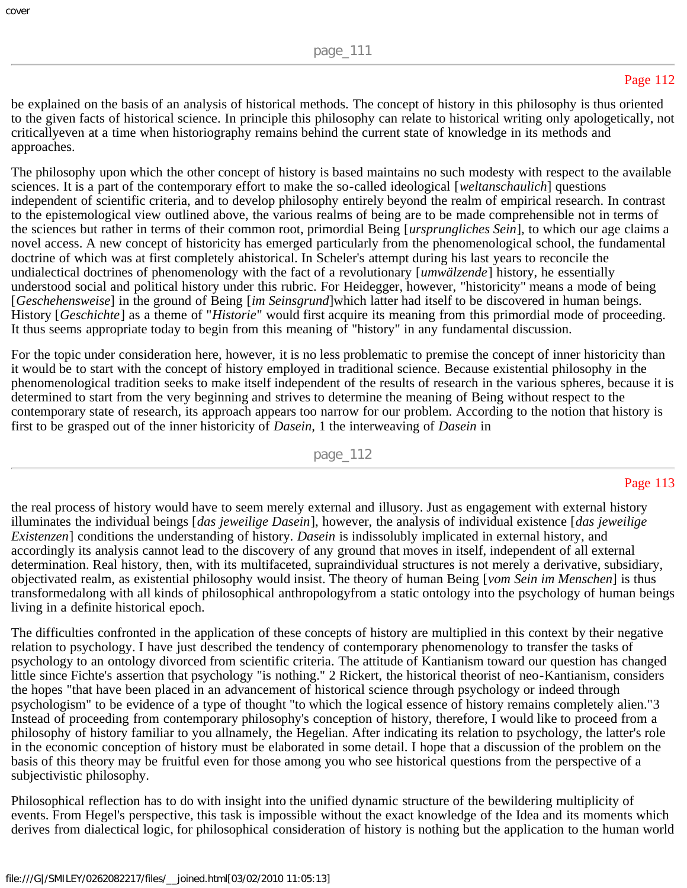be explained on the basis of an analysis of historical methods. The concept of history in this philosophy is thus oriented to the given facts of historical science. In principle this philosophy can relate to historical writing only apologetically, not criticallyeven at a time when historiography remains behind the current state of knowledge in its methods and approaches.

The philosophy upon which the other concept of history is based maintains no such modesty with respect to the available sciences. It is a part of the contemporary effort to make the so-called ideological [*weltanschaulich*] questions independent of scientific criteria, and to develop philosophy entirely beyond the realm of empirical research. In contrast to the epistemological view outlined above, the various realms of being are to be made comprehensible not in terms of the sciences but rather in terms of their common root, primordial Being [*ursprungliches Sein*], to which our age claims a novel access. A new concept of historicity has emerged particularly from the phenomenological school, the fundamental doctrine of which was at first completely ahistorical. In Scheler's attempt during his last years to reconcile the undialectical doctrines of phenomenology with the fact of a revolutionary [*umwälzende*] history, he essentially understood social and political history under this rubric. For Heidegger, however, "historicity" means a mode of being [*Geschehensweise*] in the ground of Being [*im Seinsgrund*]which latter had itself to be discovered in human beings. History [*Geschichte*] as a theme of "*Historie*" would first acquire its meaning from this primordial mode of proceeding. It thus seems appropriate today to begin from this meaning of "history" in any fundamental discussion.

For the topic under consideration here, however, it is no less problematic to premise the concept of inner historicity than it would be to start with the concept of history employed in traditional science. Because existential philosophy in the phenomenological tradition seeks to make itself independent of the results of research in the various spheres, because it is determined to start from the very beginning and strives to determine the meaning of Being without respect to the contemporary state of research, its approach appears too narrow for our problem. According to the notion that history is first to be grasped out of the inner historicity of *Dasein,* 1 the interweaving of *Dasein* in

page\_112

## Page 113

the real process of history would have to seem merely external and illusory. Just as engagement with external history illuminates the individual beings [*das jeweilige Dasein*], however, the analysis of individual existence [*das jeweilige Existenzen*] conditions the understanding of history. *Dasein* is indissolubly implicated in external history, and accordingly its analysis cannot lead to the discovery of any ground that moves in itself, independent of all external determination. Real history, then, with its multifaceted, supraindividual structures is not merely a derivative, subsidiary, objectivated realm, as existential philosophy would insist. The theory of human Being [*vom Sein im Menschen*] is thus transformedalong with all kinds of philosophical anthropologyfrom a static ontology into the psychology of human beings living in a definite historical epoch.

The difficulties confronted in the application of these concepts of history are multiplied in this context by their negative relation to psychology. I have just described the tendency of contemporary phenomenology to transfer the tasks of psychology to an ontology divorced from scientific criteria. The attitude of Kantianism toward our question has changed little since Fichte's assertion that psychology "is nothing." 2 Rickert, the historical theorist of neo-Kantianism, considers the hopes "that have been placed in an advancement of historical science through psychology or indeed through psychologism" to be evidence of a type of thought "to which the logical essence of history remains completely alien."3 Instead of proceeding from contemporary philosophy's conception of history, therefore, I would like to proceed from a philosophy of history familiar to you allnamely, the Hegelian. After indicating its relation to psychology, the latter's role in the economic conception of history must be elaborated in some detail. I hope that a discussion of the problem on the basis of this theory may be fruitful even for those among you who see historical questions from the perspective of a subjectivistic philosophy.

Philosophical reflection has to do with insight into the unified dynamic structure of the bewildering multiplicity of events. From Hegel's perspective, this task is impossible without the exact knowledge of the Idea and its moments which derives from dialectical logic, for philosophical consideration of history is nothing but the application to the human world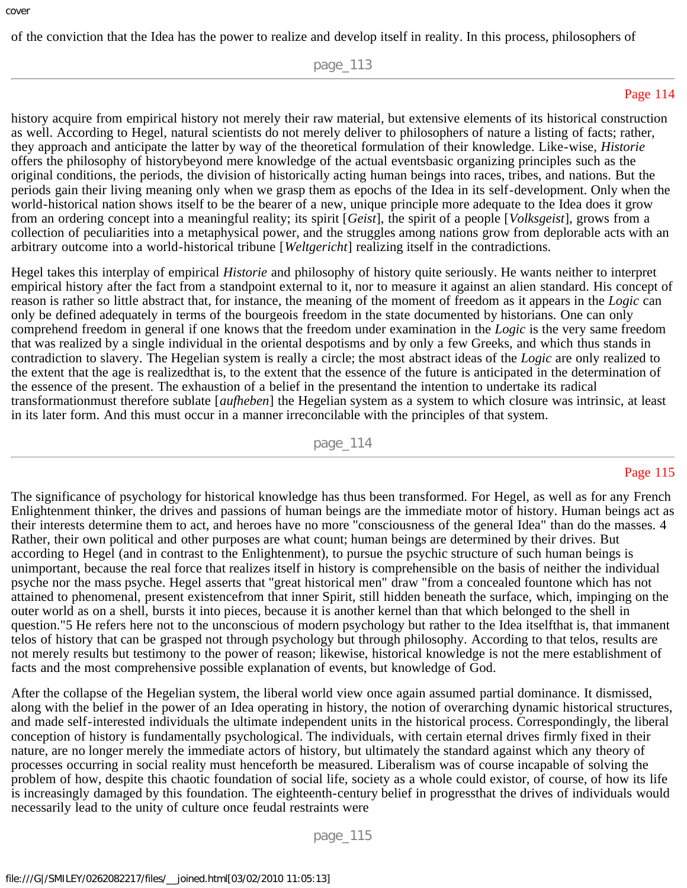of the conviction that the Idea has the power to realize and develop itself in reality. In this process, philosophers of

page\_113

# Page 114

history acquire from empirical history not merely their raw material, but extensive elements of its historical construction as well. According to Hegel, natural scientists do not merely deliver to philosophers of nature a listing of facts; rather, they approach and anticipate the latter by way of the theoretical formulation of their knowledge. Like-wise, *Historie* offers the philosophy of historybeyond mere knowledge of the actual eventsbasic organizing principles such as the original conditions, the periods, the division of historically acting human beings into races, tribes, and nations. But the periods gain their living meaning only when we grasp them as epochs of the Idea in its self-development. Only when the world-historical nation shows itself to be the bearer of a new, unique principle more adequate to the Idea does it grow from an ordering concept into a meaningful reality; its spirit [*Geist*], the spirit of a people [*Volksgeist*], grows from a collection of peculiarities into a metaphysical power, and the struggles among nations grow from deplorable acts with an arbitrary outcome into a world-historical tribune [*Weltgericht*] realizing itself in the contradictions.

Hegel takes this interplay of empirical *Historie* and philosophy of history quite seriously. He wants neither to interpret empirical history after the fact from a standpoint external to it, nor to measure it against an alien standard. His concept of reason is rather so little abstract that, for instance, the meaning of the moment of freedom as it appears in the *Logic* can only be defined adequately in terms of the bourgeois freedom in the state documented by historians. One can only comprehend freedom in general if one knows that the freedom under examination in the *Logic* is the very same freedom that was realized by a single individual in the oriental despotisms and by only a few Greeks, and which thus stands in contradiction to slavery. The Hegelian system is really a circle; the most abstract ideas of the *Logic* are only realized to the extent that the age is realizedthat is, to the extent that the essence of the future is anticipated in the determination of the essence of the present. The exhaustion of a belief in the presentand the intention to undertake its radical transformationmust therefore sublate [*aufheben*] the Hegelian system as a system to which closure was intrinsic, at least in its later form. And this must occur in a manner irreconcilable with the principles of that system.

page\_114

### Page 115

The significance of psychology for historical knowledge has thus been transformed. For Hegel, as well as for any French Enlightenment thinker, the drives and passions of human beings are the immediate motor of history. Human beings act as their interests determine them to act, and heroes have no more "consciousness of the general Idea" than do the masses. 4 Rather, their own political and other purposes are what count; human beings are determined by their drives. But according to Hegel (and in contrast to the Enlightenment), to pursue the psychic structure of such human beings is unimportant, because the real force that realizes itself in history is comprehensible on the basis of neither the individual psyche nor the mass psyche. Hegel asserts that "great historical men" draw "from a concealed fountone which has not attained to phenomenal, present existencefrom that inner Spirit, still hidden beneath the surface, which, impinging on the outer world as on a shell, bursts it into pieces, because it is another kernel than that which belonged to the shell in question."5 He refers here not to the unconscious of modern psychology but rather to the Idea itselfthat is, that immanent telos of history that can be grasped not through psychology but through philosophy. According to that telos, results are not merely results but testimony to the power of reason; likewise, historical knowledge is not the mere establishment of facts and the most comprehensive possible explanation of events, but knowledge of God.

After the collapse of the Hegelian system, the liberal world view once again assumed partial dominance. It dismissed, along with the belief in the power of an Idea operating in history, the notion of overarching dynamic historical structures, and made self-interested individuals the ultimate independent units in the historical process. Correspondingly, the liberal conception of history is fundamentally psychological. The individuals, with certain eternal drives firmly fixed in their nature, are no longer merely the immediate actors of history, but ultimately the standard against which any theory of processes occurring in social reality must henceforth be measured. Liberalism was of course incapable of solving the problem of how, despite this chaotic foundation of social life, society as a whole could existor, of course, of how its life is increasingly damaged by this foundation. The eighteenth-century belief in progressthat the drives of individuals would necessarily lead to the unity of culture once feudal restraints were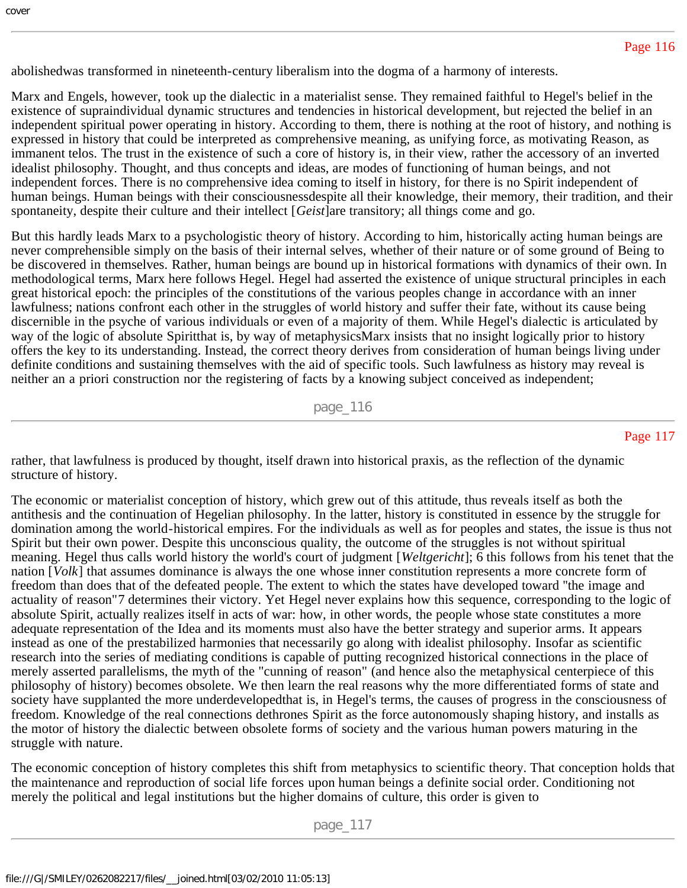abolishedwas transformed in nineteenth-century liberalism into the dogma of a harmony of interests.

Marx and Engels, however, took up the dialectic in a materialist sense. They remained faithful to Hegel's belief in the existence of supraindividual dynamic structures and tendencies in historical development, but rejected the belief in an independent spiritual power operating in history. According to them, there is nothing at the root of history, and nothing is expressed in history that could be interpreted as comprehensive meaning, as unifying force, as motivating Reason, as immanent telos. The trust in the existence of such a core of history is, in their view, rather the accessory of an inverted idealist philosophy. Thought, and thus concepts and ideas, are modes of functioning of human beings, and not independent forces. There is no comprehensive idea coming to itself in history, for there is no Spirit independent of human beings. Human beings with their consciousnessdespite all their knowledge, their memory, their tradition, and their spontaneity, despite their culture and their intellect [*Geist*]are transitory; all things come and go.

But this hardly leads Marx to a psychologistic theory of history. According to him, historically acting human beings are never comprehensible simply on the basis of their internal selves, whether of their nature or of some ground of Being to be discovered in themselves. Rather, human beings are bound up in historical formations with dynamics of their own. In methodological terms, Marx here follows Hegel. Hegel had asserted the existence of unique structural principles in each great historical epoch: the principles of the constitutions of the various peoples change in accordance with an inner lawfulness; nations confront each other in the struggles of world history and suffer their fate, without its cause being discernible in the psyche of various individuals or even of a majority of them. While Hegel's dialectic is articulated by way of the logic of absolute Spiritthat is, by way of metaphysicsMarx insists that no insight logically prior to history offers the key to its understanding. Instead, the correct theory derives from consideration of human beings living under definite conditions and sustaining themselves with the aid of specific tools. Such lawfulness as history may reveal is neither an a priori construction nor the registering of facts by a knowing subject conceived as independent;

page\_116

rather, that lawfulness is produced by thought, itself drawn into historical praxis, as the reflection of the dynamic structure of history.

The economic or materialist conception of history, which grew out of this attitude, thus reveals itself as both the antithesis and the continuation of Hegelian philosophy. In the latter, history is constituted in essence by the struggle for domination among the world-historical empires. For the individuals as well as for peoples and states, the issue is thus not Spirit but their own power. Despite this unconscious quality, the outcome of the struggles is not without spiritual meaning. Hegel thus calls world history the world's court of judgment [*Weltgericht*]; 6 this follows from his tenet that the nation [*Volk*] that assumes dominance is always the one whose inner constitution represents a more concrete form of freedom than does that of the defeated people. The extent to which the states have developed toward ''the image and actuality of reason"7 determines their victory. Yet Hegel never explains how this sequence, corresponding to the logic of absolute Spirit, actually realizes itself in acts of war: how, in other words, the people whose state constitutes a more adequate representation of the Idea and its moments must also have the better strategy and superior arms. It appears instead as one of the prestabilized harmonies that necessarily go along with idealist philosophy. Insofar as scientific research into the series of mediating conditions is capable of putting recognized historical connections in the place of merely asserted parallelisms, the myth of the "cunning of reason" (and hence also the metaphysical centerpiece of this philosophy of history) becomes obsolete. We then learn the real reasons why the more differentiated forms of state and society have supplanted the more underdevelopedthat is, in Hegel's terms, the causes of progress in the consciousness of freedom. Knowledge of the real connections dethrones Spirit as the force autonomously shaping history, and installs as the motor of history the dialectic between obsolete forms of society and the various human powers maturing in the struggle with nature.

The economic conception of history completes this shift from metaphysics to scientific theory. That conception holds that the maintenance and reproduction of social life forces upon human beings a definite social order. Conditioning not merely the political and legal institutions but the higher domains of culture, this order is given to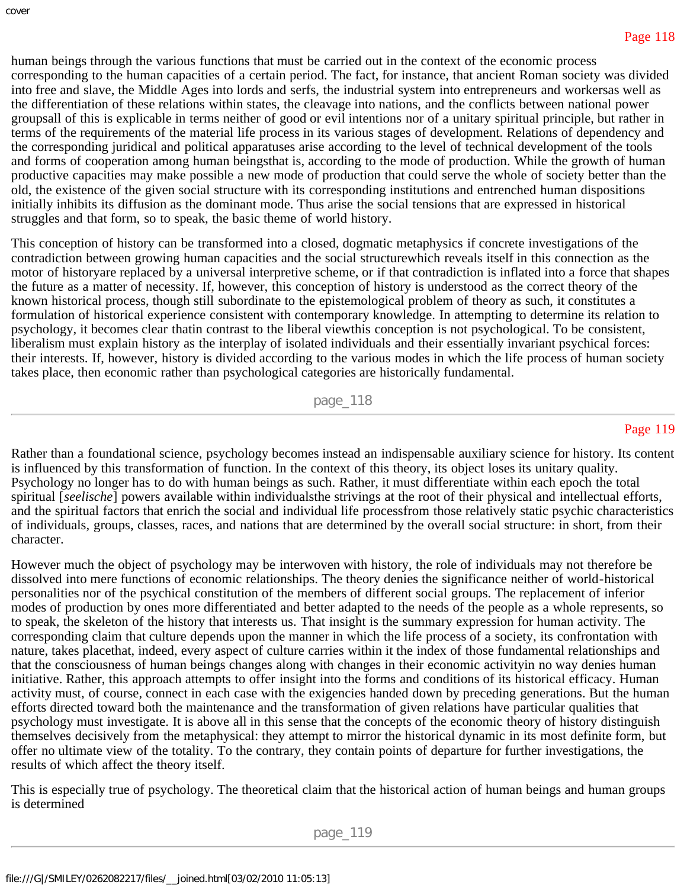human beings through the various functions that must be carried out in the context of the economic process corresponding to the human capacities of a certain period. The fact, for instance, that ancient Roman society was divided into free and slave, the Middle Ages into lords and serfs, the industrial system into entrepreneurs and workersas well as the differentiation of these relations within states, the cleavage into nations, and the conflicts between national power groupsall of this is explicable in terms neither of good or evil intentions nor of a unitary spiritual principle, but rather in terms of the requirements of the material life process in its various stages of development. Relations of dependency and the corresponding juridical and political apparatuses arise according to the level of technical development of the tools and forms of cooperation among human beingsthat is, according to the mode of production. While the growth of human productive capacities may make possible a new mode of production that could serve the whole of society better than the old, the existence of the given social structure with its corresponding institutions and entrenched human dispositions initially inhibits its diffusion as the dominant mode. Thus arise the social tensions that are expressed in historical struggles and that form, so to speak, the basic theme of world history.

This conception of history can be transformed into a closed, dogmatic metaphysics if concrete investigations of the contradiction between growing human capacities and the social structurewhich reveals itself in this connection as the motor of historyare replaced by a universal interpretive scheme, or if that contradiction is inflated into a force that shapes the future as a matter of necessity. If, however, this conception of history is understood as the correct theory of the known historical process, though still subordinate to the epistemological problem of theory as such, it constitutes a formulation of historical experience consistent with contemporary knowledge. In attempting to determine its relation to psychology, it becomes clear thatin contrast to the liberal viewthis conception is not psychological. To be consistent, liberalism must explain history as the interplay of isolated individuals and their essentially invariant psychical forces: their interests. If, however, history is divided according to the various modes in which the life process of human society takes place, then economic rather than psychological categories are historically fundamental.

page\_118

### Page 119

Rather than a foundational science, psychology becomes instead an indispensable auxiliary science for history. Its content is influenced by this transformation of function. In the context of this theory, its object loses its unitary quality. Psychology no longer has to do with human beings as such. Rather, it must differentiate within each epoch the total spiritual [*seelische*] powers available within individualsthe strivings at the root of their physical and intellectual efforts, and the spiritual factors that enrich the social and individual life processfrom those relatively static psychic characteristics of individuals, groups, classes, races, and nations that are determined by the overall social structure: in short, from their character.

However much the object of psychology may be interwoven with history, the role of individuals may not therefore be dissolved into mere functions of economic relationships. The theory denies the significance neither of world-historical personalities nor of the psychical constitution of the members of different social groups. The replacement of inferior modes of production by ones more differentiated and better adapted to the needs of the people as a whole represents, so to speak, the skeleton of the history that interests us. That insight is the summary expression for human activity. The corresponding claim that culture depends upon the manner in which the life process of a society, its confrontation with nature, takes placethat, indeed, every aspect of culture carries within it the index of those fundamental relationships and that the consciousness of human beings changes along with changes in their economic activityin no way denies human initiative. Rather, this approach attempts to offer insight into the forms and conditions of its historical efficacy. Human activity must, of course, connect in each case with the exigencies handed down by preceding generations. But the human efforts directed toward both the maintenance and the transformation of given relations have particular qualities that psychology must investigate. It is above all in this sense that the concepts of the economic theory of history distinguish themselves decisively from the metaphysical: they attempt to mirror the historical dynamic in its most definite form, but offer no ultimate view of the totality. To the contrary, they contain points of departure for further investigations, the results of which affect the theory itself.

This is especially true of psychology. The theoretical claim that the historical action of human beings and human groups is determined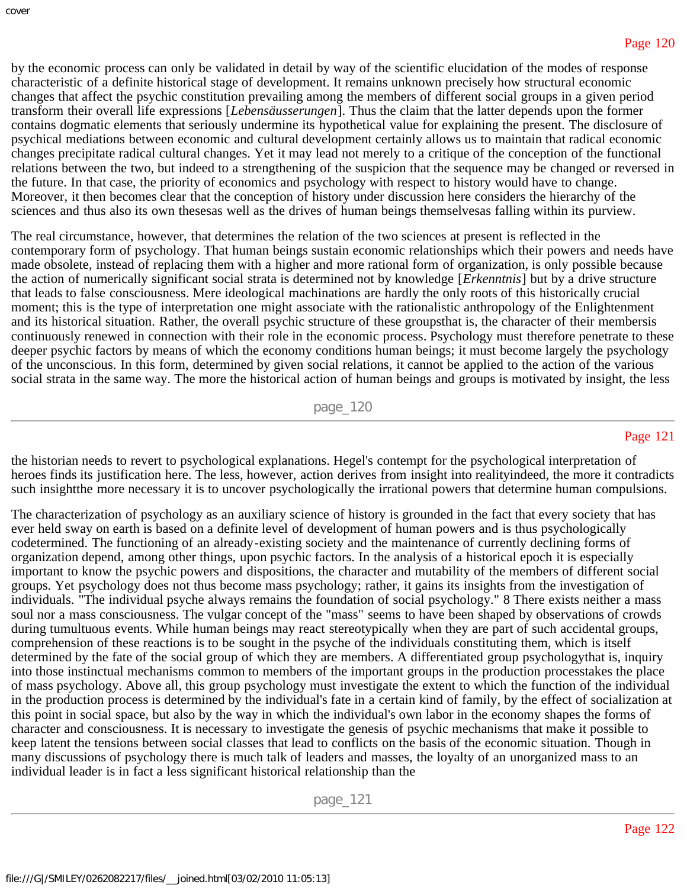by the economic process can only be validated in detail by way of the scientific elucidation of the modes of response characteristic of a definite historical stage of development. It remains unknown precisely how structural economic changes that affect the psychic constitution prevailing among the members of different social groups in a given period transform their overall life expressions [*Lebensäusserungen*]. Thus the claim that the latter depends upon the former contains dogmatic elements that seriously undermine its hypothetical value for explaining the present. The disclosure of psychical mediations between economic and cultural development certainly allows us to maintain that radical economic changes precipitate radical cultural changes. Yet it may lead not merely to a critique of the conception of the functional relations between the two, but indeed to a strengthening of the suspicion that the sequence may be changed or reversed in the future. In that case, the priority of economics and psychology with respect to history would have to change. Moreover, it then becomes clear that the conception of history under discussion here considers the hierarchy of the sciences and thus also its own thesesas well as the drives of human beings themselvesas falling within its purview.

The real circumstance, however, that determines the relation of the two sciences at present is reflected in the contemporary form of psychology. That human beings sustain economic relationships which their powers and needs have made obsolete, instead of replacing them with a higher and more rational form of organization, is only possible because the action of numerically significant social strata is determined not by knowledge [*Erkenntnis*] but by a drive structure that leads to false consciousness. Mere ideological machinations are hardly the only roots of this historically crucial moment; this is the type of interpretation one might associate with the rationalistic anthropology of the Enlightenment and its historical situation. Rather, the overall psychic structure of these groupsthat is, the character of their membersis continuously renewed in connection with their role in the economic process. Psychology must therefore penetrate to these deeper psychic factors by means of which the economy conditions human beings; it must become largely the psychology of the unconscious. In this form, determined by given social relations, it cannot be applied to the action of the various social strata in the same way. The more the historical action of human beings and groups is motivated by insight, the less

page\_120

### Page 121

the historian needs to revert to psychological explanations. Hegel's contempt for the psychological interpretation of heroes finds its justification here. The less, however, action derives from insight into realityindeed, the more it contradicts such insightthe more necessary it is to uncover psychologically the irrational powers that determine human compulsions.

The characterization of psychology as an auxiliary science of history is grounded in the fact that every society that has ever held sway on earth is based on a definite level of development of human powers and is thus psychologically codetermined. The functioning of an already-existing society and the maintenance of currently declining forms of organization depend, among other things, upon psychic factors. In the analysis of a historical epoch it is especially important to know the psychic powers and dispositions, the character and mutability of the members of different social groups. Yet psychology does not thus become mass psychology; rather, it gains its insights from the investigation of individuals. "The individual psyche always remains the foundation of social psychology." 8 There exists neither a mass soul nor a mass consciousness. The vulgar concept of the "mass" seems to have been shaped by observations of crowds during tumultuous events. While human beings may react stereotypically when they are part of such accidental groups, comprehension of these reactions is to be sought in the psyche of the individuals constituting them, which is itself determined by the fate of the social group of which they are members. A differentiated group psychologythat is, inquiry into those instinctual mechanisms common to members of the important groups in the production processtakes the place of mass psychology. Above all, this group psychology must investigate the extent to which the function of the individual in the production process is determined by the individual's fate in a certain kind of family, by the effect of socialization at this point in social space, but also by the way in which the individual's own labor in the economy shapes the forms of character and consciousness. It is necessary to investigate the genesis of psychic mechanisms that make it possible to keep latent the tensions between social classes that lead to conflicts on the basis of the economic situation. Though in many discussions of psychology there is much talk of leaders and masses, the loyalty of an unorganized mass to an individual leader is in fact a less significant historical relationship than the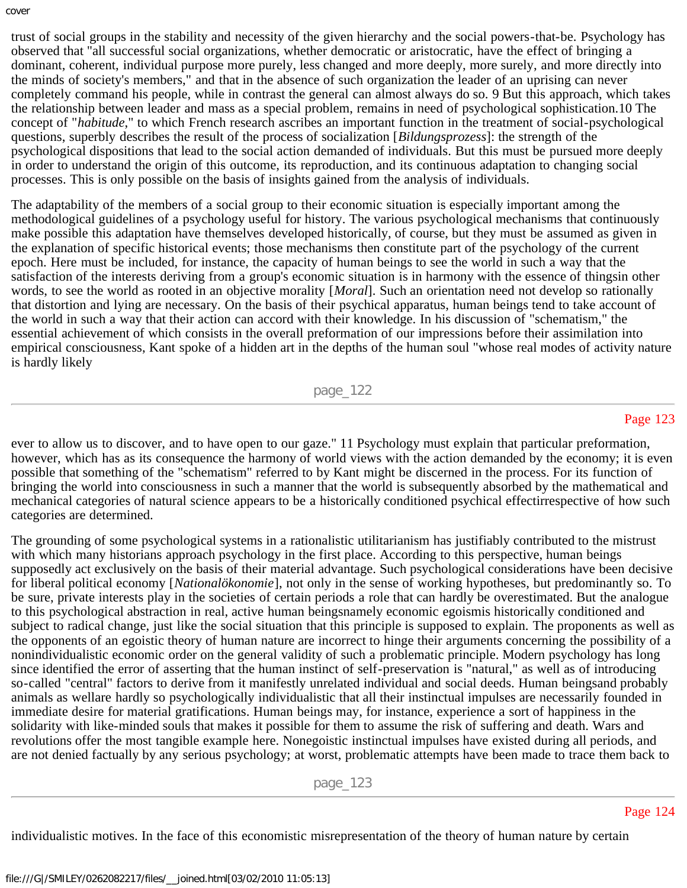trust of social groups in the stability and necessity of the given hierarchy and the social powers-that-be. Psychology has observed that "all successful social organizations, whether democratic or aristocratic, have the effect of bringing a dominant, coherent, individual purpose more purely, less changed and more deeply, more surely, and more directly into the minds of society's members," and that in the absence of such organization the leader of an uprising can never completely command his people, while in contrast the general can almost always do so. 9 But this approach, which takes the relationship between leader and mass as a special problem, remains in need of psychological sophistication.10 The concept of "*habitude*," to which French research ascribes an important function in the treatment of social-psychological questions, superbly describes the result of the process of socialization [*Bildungsprozess*]: the strength of the psychological dispositions that lead to the social action demanded of individuals. But this must be pursued more deeply in order to understand the origin of this outcome, its reproduction, and its continuous adaptation to changing social processes. This is only possible on the basis of insights gained from the analysis of individuals.

The adaptability of the members of a social group to their economic situation is especially important among the methodological guidelines of a psychology useful for history. The various psychological mechanisms that continuously make possible this adaptation have themselves developed historically, of course, but they must be assumed as given in the explanation of specific historical events; those mechanisms then constitute part of the psychology of the current epoch. Here must be included, for instance, the capacity of human beings to see the world in such a way that the satisfaction of the interests deriving from a group's economic situation is in harmony with the essence of thingsin other words, to see the world as rooted in an objective morality [*Moral*]. Such an orientation need not develop so rationally that distortion and lying are necessary. On the basis of their psychical apparatus, human beings tend to take account of the world in such a way that their action can accord with their knowledge. In his discussion of "schematism," the essential achievement of which consists in the overall preformation of our impressions before their assimilation into empirical consciousness, Kant spoke of a hidden art in the depths of the human soul "whose real modes of activity nature is hardly likely

page\_122

# Page 123

ever to allow us to discover, and to have open to our gaze." 11 Psychology must explain that particular preformation, however, which has as its consequence the harmony of world views with the action demanded by the economy; it is even possible that something of the "schematism" referred to by Kant might be discerned in the process. For its function of bringing the world into consciousness in such a manner that the world is subsequently absorbed by the mathematical and mechanical categories of natural science appears to be a historically conditioned psychical effectirrespective of how such categories are determined.

The grounding of some psychological systems in a rationalistic utilitarianism has justifiably contributed to the mistrust with which many historians approach psychology in the first place. According to this perspective, human beings supposedly act exclusively on the basis of their material advantage. Such psychological considerations have been decisive for liberal political economy [*Nationalökonomie*], not only in the sense of working hypotheses, but predominantly so. To be sure, private interests play in the societies of certain periods a role that can hardly be overestimated. But the analogue to this psychological abstraction in real, active human beingsnamely economic egoismis historically conditioned and subject to radical change, just like the social situation that this principle is supposed to explain. The proponents as well as the opponents of an egoistic theory of human nature are incorrect to hinge their arguments concerning the possibility of a nonindividualistic economic order on the general validity of such a problematic principle. Modern psychology has long since identified the error of asserting that the human instinct of self-preservation is "natural," as well as of introducing so-called "central" factors to derive from it manifestly unrelated individual and social deeds. Human beingsand probably animals as wellare hardly so psychologically individualistic that all their instinctual impulses are necessarily founded in immediate desire for material gratifications. Human beings may, for instance, experience a sort of happiness in the solidarity with like-minded souls that makes it possible for them to assume the risk of suffering and death. Wars and revolutions offer the most tangible example here. Nonegoistic instinctual impulses have existed during all periods, and are not denied factually by any serious psychology; at worst, problematic attempts have been made to trace them back to

page\_123

individualistic motives. In the face of this economistic misrepresentation of the theory of human nature by certain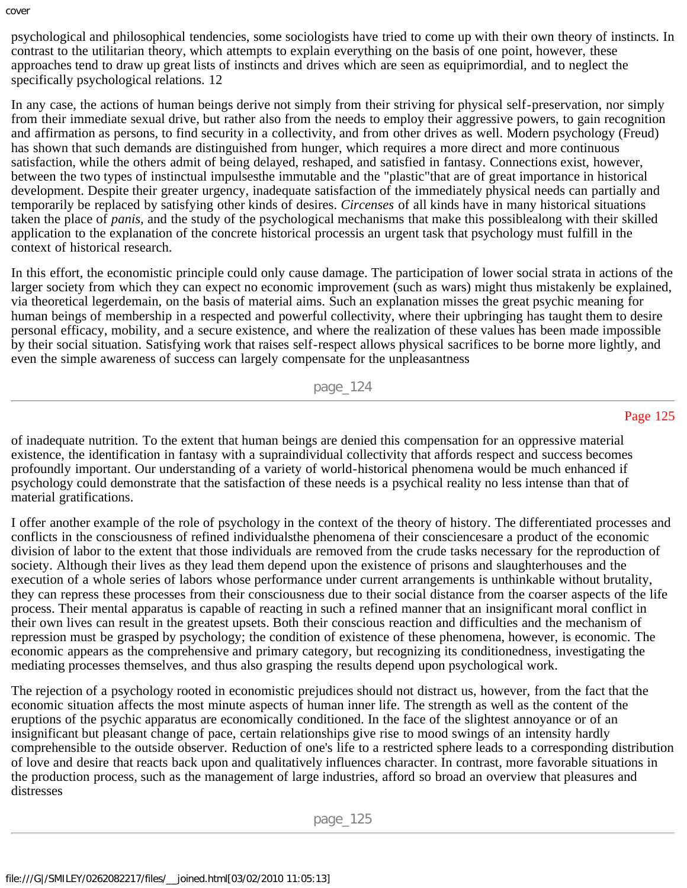psychological and philosophical tendencies, some sociologists have tried to come up with their own theory of instincts. In contrast to the utilitarian theory, which attempts to explain everything on the basis of one point, however, these approaches tend to draw up great lists of instincts and drives which are seen as equiprimordial, and to neglect the specifically psychological relations. 12

In any case, the actions of human beings derive not simply from their striving for physical self-preservation, nor simply from their immediate sexual drive, but rather also from the needs to employ their aggressive powers, to gain recognition and affirmation as persons, to find security in a collectivity, and from other drives as well. Modern psychology (Freud) has shown that such demands are distinguished from hunger, which requires a more direct and more continuous satisfaction, while the others admit of being delayed, reshaped, and satisfied in fantasy. Connections exist, however, between the two types of instinctual impulsesthe immutable and the "plastic"that are of great importance in historical development. Despite their greater urgency, inadequate satisfaction of the immediately physical needs can partially and temporarily be replaced by satisfying other kinds of desires. *Circenses* of all kinds have in many historical situations taken the place of *panis,* and the study of the psychological mechanisms that make this possiblealong with their skilled application to the explanation of the concrete historical processis an urgent task that psychology must fulfill in the context of historical research.

In this effort, the economistic principle could only cause damage. The participation of lower social strata in actions of the larger society from which they can expect no economic improvement (such as wars) might thus mistakenly be explained, via theoretical legerdemain, on the basis of material aims. Such an explanation misses the great psychic meaning for human beings of membership in a respected and powerful collectivity, where their upbringing has taught them to desire personal efficacy, mobility, and a secure existence, and where the realization of these values has been made impossible by their social situation. Satisfying work that raises self-respect allows physical sacrifices to be borne more lightly, and even the simple awareness of success can largely compensate for the unpleasantness

page\_124

### Page 125

of inadequate nutrition. To the extent that human beings are denied this compensation for an oppressive material existence, the identification in fantasy with a supraindividual collectivity that affords respect and success becomes profoundly important. Our understanding of a variety of world-historical phenomena would be much enhanced if psychology could demonstrate that the satisfaction of these needs is a psychical reality no less intense than that of material gratifications.

I offer another example of the role of psychology in the context of the theory of history. The differentiated processes and conflicts in the consciousness of refined individualsthe phenomena of their consciencesare a product of the economic division of labor to the extent that those individuals are removed from the crude tasks necessary for the reproduction of society. Although their lives as they lead them depend upon the existence of prisons and slaughterhouses and the execution of a whole series of labors whose performance under current arrangements is unthinkable without brutality, they can repress these processes from their consciousness due to their social distance from the coarser aspects of the life process. Their mental apparatus is capable of reacting in such a refined manner that an insignificant moral conflict in their own lives can result in the greatest upsets. Both their conscious reaction and difficulties and the mechanism of repression must be grasped by psychology; the condition of existence of these phenomena, however, is economic. The economic appears as the comprehensive and primary category, but recognizing its conditionedness, investigating the mediating processes themselves, and thus also grasping the results depend upon psychological work.

The rejection of a psychology rooted in economistic prejudices should not distract us, however, from the fact that the economic situation affects the most minute aspects of human inner life. The strength as well as the content of the eruptions of the psychic apparatus are economically conditioned. In the face of the slightest annoyance or of an insignificant but pleasant change of pace, certain relationships give rise to mood swings of an intensity hardly comprehensible to the outside observer. Reduction of one's life to a restricted sphere leads to a corresponding distribution of love and desire that reacts back upon and qualitatively influences character. In contrast, more favorable situations in the production process, such as the management of large industries, afford so broad an overview that pleasures and distresses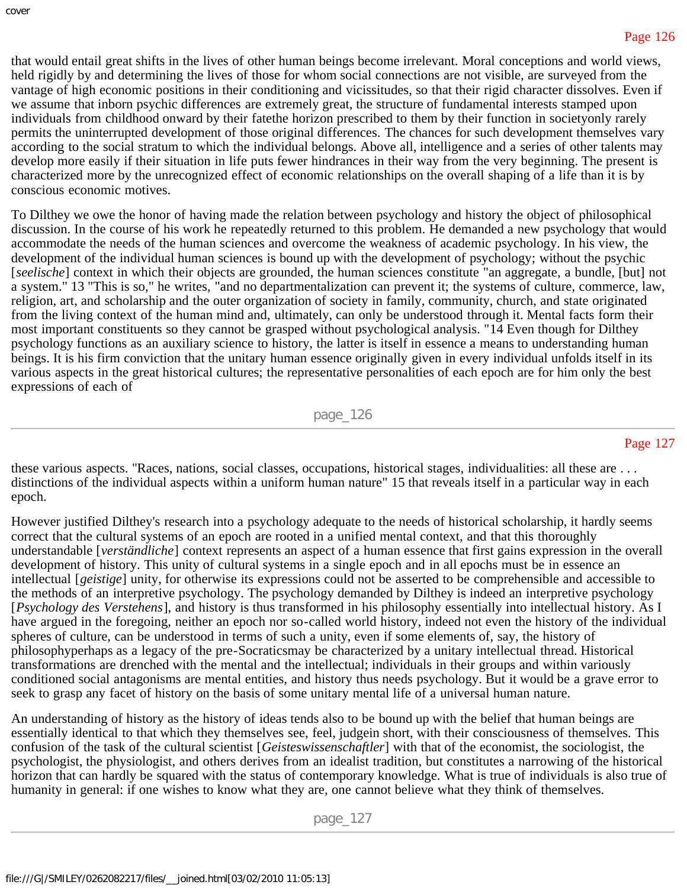that would entail great shifts in the lives of other human beings become irrelevant. Moral conceptions and world views, held rigidly by and determining the lives of those for whom social connections are not visible, are surveyed from the vantage of high economic positions in their conditioning and vicissitudes, so that their rigid character dissolves. Even if we assume that inborn psychic differences are extremely great, the structure of fundamental interests stamped upon individuals from childhood onward by their fatethe horizon prescribed to them by their function in societyonly rarely permits the uninterrupted development of those original differences. The chances for such development themselves vary according to the social stratum to which the individual belongs. Above all, intelligence and a series of other talents may develop more easily if their situation in life puts fewer hindrances in their way from the very beginning. The present is characterized more by the unrecognized effect of economic relationships on the overall shaping of a life than it is by conscious economic motives.

To Dilthey we owe the honor of having made the relation between psychology and history the object of philosophical discussion. In the course of his work he repeatedly returned to this problem. He demanded a new psychology that would accommodate the needs of the human sciences and overcome the weakness of academic psychology. In his view, the development of the individual human sciences is bound up with the development of psychology; without the psychic [*seelische*] context in which their objects are grounded, the human sciences constitute "an aggregate, a bundle, [but] not a system." 13 "This is so," he writes, "and no departmentalization can prevent it; the systems of culture, commerce, law, religion, art, and scholarship and the outer organization of society in family, community, church, and state originated from the living context of the human mind and, ultimately, can only be understood through it. Mental facts form their most important constituents so they cannot be grasped without psychological analysis. "14 Even though for Dilthey psychology functions as an auxiliary science to history, the latter is itself in essence a means to understanding human beings. It is his firm conviction that the unitary human essence originally given in every individual unfolds itself in its various aspects in the great historical cultures; the representative personalities of each epoch are for him only the best expressions of each of

page\_126

### Page 127

these various aspects. ''Races, nations, social classes, occupations, historical stages, individualities: all these are . . . distinctions of the individual aspects within a uniform human nature" 15 that reveals itself in a particular way in each epoch.

However justified Dilthey's research into a psychology adequate to the needs of historical scholarship, it hardly seems correct that the cultural systems of an epoch are rooted in a unified mental context, and that this thoroughly understandable [*verständliche*] context represents an aspect of a human essence that first gains expression in the overall development of history. This unity of cultural systems in a single epoch and in all epochs must be in essence an intellectual [*geistige*] unity, for otherwise its expressions could not be asserted to be comprehensible and accessible to the methods of an interpretive psychology. The psychology demanded by Dilthey is indeed an interpretive psychology [*Psychology des Verstehens*], and history is thus transformed in his philosophy essentially into intellectual history. As I have argued in the foregoing, neither an epoch nor so-called world history, indeed not even the history of the individual spheres of culture, can be understood in terms of such a unity, even if some elements of, say, the history of philosophyperhaps as a legacy of the pre-Socraticsmay be characterized by a unitary intellectual thread. Historical transformations are drenched with the mental and the intellectual; individuals in their groups and within variously conditioned social antagonisms are mental entities, and history thus needs psychology. But it would be a grave error to seek to grasp any facet of history on the basis of some unitary mental life of a universal human nature.

An understanding of history as the history of ideas tends also to be bound up with the belief that human beings are essentially identical to that which they themselves see, feel, judgein short, with their consciousness of themselves. This confusion of the task of the cultural scientist [*Geisteswissenschaftler*] with that of the economist, the sociologist, the psychologist, the physiologist, and others derives from an idealist tradition, but constitutes a narrowing of the historical horizon that can hardly be squared with the status of contemporary knowledge. What is true of individuals is also true of humanity in general: if one wishes to know what they are, one cannot believe what they think of themselves.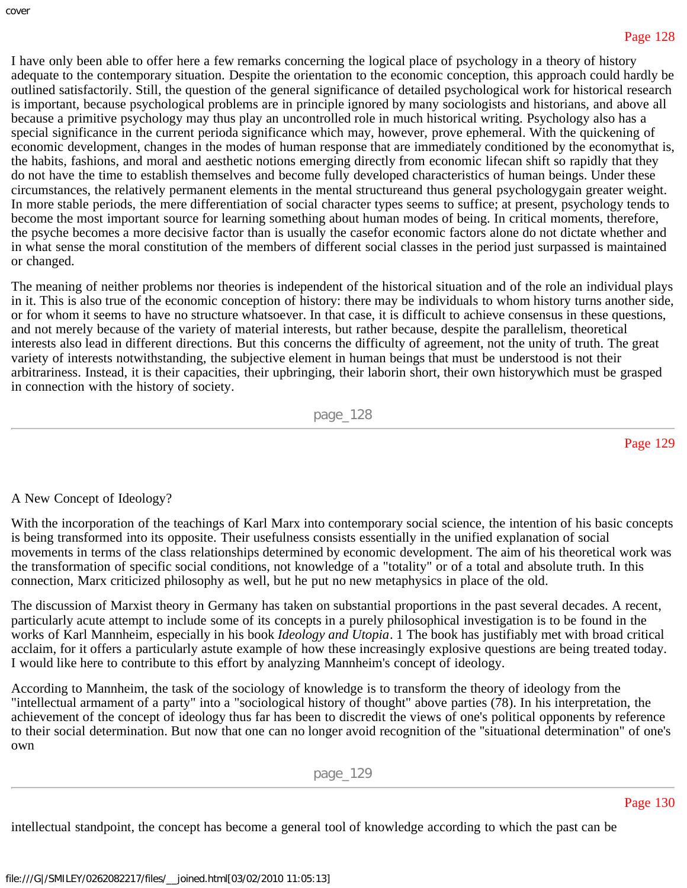I have only been able to offer here a few remarks concerning the logical place of psychology in a theory of history adequate to the contemporary situation. Despite the orientation to the economic conception, this approach could hardly be outlined satisfactorily. Still, the question of the general significance of detailed psychological work for historical research is important, because psychological problems are in principle ignored by many sociologists and historians, and above all because a primitive psychology may thus play an uncontrolled role in much historical writing. Psychology also has a special significance in the current perioda significance which may, however, prove ephemeral. With the quickening of economic development, changes in the modes of human response that are immediately conditioned by the economythat is, the habits, fashions, and moral and aesthetic notions emerging directly from economic lifecan shift so rapidly that they do not have the time to establish themselves and become fully developed characteristics of human beings. Under these circumstances, the relatively permanent elements in the mental structureand thus general psychologygain greater weight. In more stable periods, the mere differentiation of social character types seems to suffice; at present, psychology tends to become the most important source for learning something about human modes of being. In critical moments, therefore, the psyche becomes a more decisive factor than is usually the casefor economic factors alone do not dictate whether and in what sense the moral constitution of the members of different social classes in the period just surpassed is maintained or changed.

The meaning of neither problems nor theories is independent of the historical situation and of the role an individual plays in it. This is also true of the economic conception of history: there may be individuals to whom history turns another side, or for whom it seems to have no structure whatsoever. In that case, it is difficult to achieve consensus in these questions, and not merely because of the variety of material interests, but rather because, despite the parallelism, theoretical interests also lead in different directions. But this concerns the difficulty of agreement, not the unity of truth. The great variety of interests notwithstanding, the subjective element in human beings that must be understood is not their arbitrariness. Instead, it is their capacities, their upbringing, their laborin short, their own historywhich must be grasped in connection with the history of society.

Page 129

# A New Concept of Ideology?

With the incorporation of the teachings of Karl Marx into contemporary social science, the intention of his basic concepts is being transformed into its opposite. Their usefulness consists essentially in the unified explanation of social movements in terms of the class relationships determined by economic development. The aim of his theoretical work was the transformation of specific social conditions, not knowledge of a "totality" or of a total and absolute truth. In this connection, Marx criticized philosophy as well, but he put no new metaphysics in place of the old.

The discussion of Marxist theory in Germany has taken on substantial proportions in the past several decades. A recent, particularly acute attempt to include some of its concepts in a purely philosophical investigation is to be found in the works of Karl Mannheim, especially in his book *Ideology and Utopia*. 1 The book has justifiably met with broad critical acclaim, for it offers a particularly astute example of how these increasingly explosive questions are being treated today. I would like here to contribute to this effort by analyzing Mannheim's concept of ideology.

According to Mannheim, the task of the sociology of knowledge is to transform the theory of ideology from the "intellectual armament of a party" into a "sociological history of thought" above parties (78). In his interpretation, the achievement of the concept of ideology thus far has been to discredit the views of one's political opponents by reference to their social determination. But now that one can no longer avoid recognition of the ''situational determination" of one's own

page\_129

intellectual standpoint, the concept has become a general tool of knowledge according to which the past can be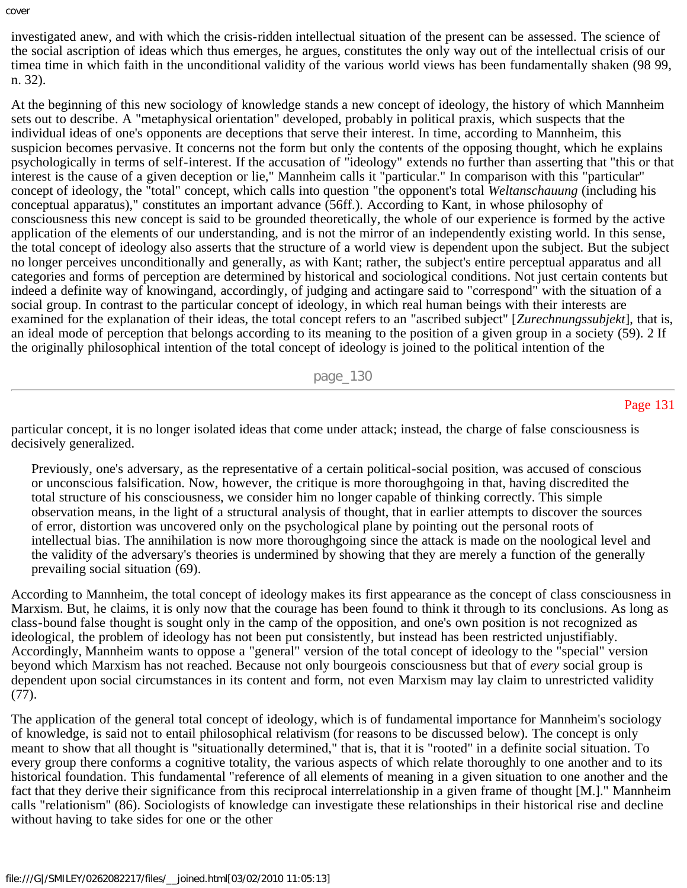investigated anew, and with which the crisis-ridden intellectual situation of the present can be assessed. The science of the social ascription of ideas which thus emerges, he argues, constitutes the only way out of the intellectual crisis of our timea time in which faith in the unconditional validity of the various world views has been fundamentally shaken (98 99, n. 32).

At the beginning of this new sociology of knowledge stands a new concept of ideology, the history of which Mannheim sets out to describe. A "metaphysical orientation" developed, probably in political praxis, which suspects that the individual ideas of one's opponents are deceptions that serve their interest. In time, according to Mannheim, this suspicion becomes pervasive. It concerns not the form but only the contents of the opposing thought, which he explains psychologically in terms of self-interest. If the accusation of "ideology" extends no further than asserting that "this or that interest is the cause of a given deception or lie," Mannheim calls it "particular." In comparison with this "particular'' concept of ideology, the "total" concept, which calls into question "the opponent's total *Weltanschauung* (including his conceptual apparatus)," constitutes an important advance (56ff.). According to Kant, in whose philosophy of consciousness this new concept is said to be grounded theoretically, the whole of our experience is formed by the active application of the elements of our understanding, and is not the mirror of an independently existing world. In this sense, the total concept of ideology also asserts that the structure of a world view is dependent upon the subject. But the subject no longer perceives unconditionally and generally, as with Kant; rather, the subject's entire perceptual apparatus and all categories and forms of perception are determined by historical and sociological conditions. Not just certain contents but indeed a definite way of knowingand, accordingly, of judging and actingare said to "correspond" with the situation of a social group. In contrast to the particular concept of ideology, in which real human beings with their interests are examined for the explanation of their ideas, the total concept refers to an "ascribed subject" [*Zurechnungssubjekt*], that is, an ideal mode of perception that belongs according to its meaning to the position of a given group in a society (59). 2 If the originally philosophical intention of the total concept of ideology is joined to the political intention of the

page\_130

Page 131

particular concept, it is no longer isolated ideas that come under attack; instead, the charge of false consciousness is decisively generalized.

Previously, one's adversary, as the representative of a certain political-social position, was accused of conscious or unconscious falsification. Now, however, the critique is more thoroughgoing in that, having discredited the total structure of his consciousness, we consider him no longer capable of thinking correctly. This simple observation means, in the light of a structural analysis of thought, that in earlier attempts to discover the sources of error, distortion was uncovered only on the psychological plane by pointing out the personal roots of intellectual bias. The annihilation is now more thoroughgoing since the attack is made on the noological level and the validity of the adversary's theories is undermined by showing that they are merely a function of the generally prevailing social situation (69).

According to Mannheim, the total concept of ideology makes its first appearance as the concept of class consciousness in Marxism. But, he claims, it is only now that the courage has been found to think it through to its conclusions. As long as class-bound false thought is sought only in the camp of the opposition, and one's own position is not recognized as ideological, the problem of ideology has not been put consistently, but instead has been restricted unjustifiably. Accordingly, Mannheim wants to oppose a "general" version of the total concept of ideology to the "special" version beyond which Marxism has not reached. Because not only bourgeois consciousness but that of *every* social group is dependent upon social circumstances in its content and form, not even Marxism may lay claim to unrestricted validity (77).

The application of the general total concept of ideology, which is of fundamental importance for Mannheim's sociology of knowledge, is said not to entail philosophical relativism (for reasons to be discussed below). The concept is only meant to show that all thought is "situationally determined," that is, that it is "rooted" in a definite social situation. To every group there conforms a cognitive totality, the various aspects of which relate thoroughly to one another and to its historical foundation. This fundamental "reference of all elements of meaning in a given situation to one another and the fact that they derive their significance from this reciprocal interrelationship in a given frame of thought [M.]." Mannheim calls "relationism'' (86). Sociologists of knowledge can investigate these relationships in their historical rise and decline without having to take sides for one or the other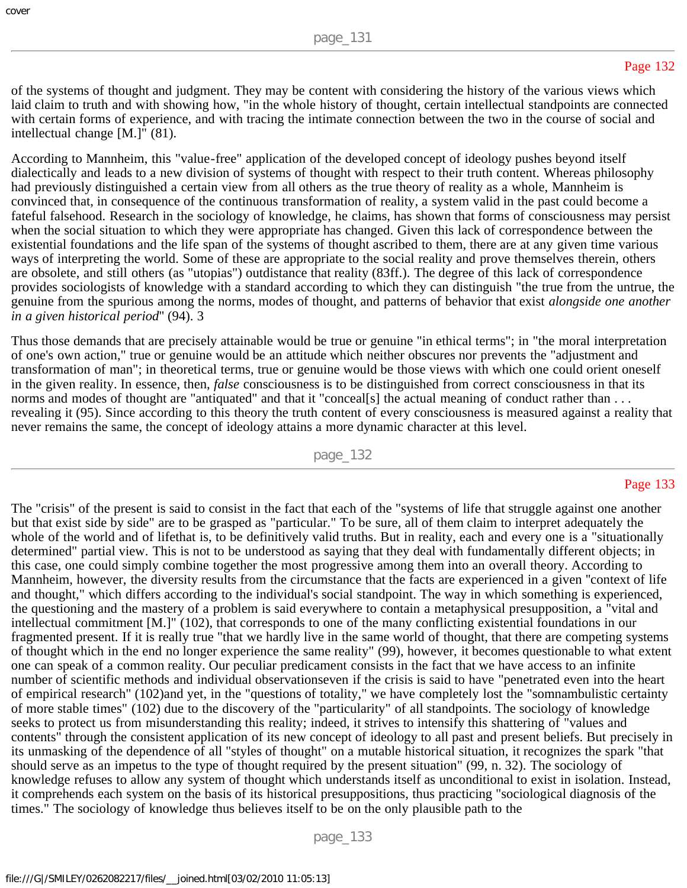of the systems of thought and judgment. They may be content with considering the history of the various views which laid claim to truth and with showing how, "in the whole history of thought, certain intellectual standpoints are connected with certain forms of experience, and with tracing the intimate connection between the two in the course of social and intellectual change [M.]" (81).

According to Mannheim, this "value-free" application of the developed concept of ideology pushes beyond itself dialectically and leads to a new division of systems of thought with respect to their truth content. Whereas philosophy had previously distinguished a certain view from all others as the true theory of reality as a whole, Mannheim is convinced that, in consequence of the continuous transformation of reality, a system valid in the past could become a fateful falsehood. Research in the sociology of knowledge, he claims, has shown that forms of consciousness may persist when the social situation to which they were appropriate has changed. Given this lack of correspondence between the existential foundations and the life span of the systems of thought ascribed to them, there are at any given time various ways of interpreting the world. Some of these are appropriate to the social reality and prove themselves therein, others are obsolete, and still others (as "utopias") outdistance that reality (83ff.). The degree of this lack of correspondence provides sociologists of knowledge with a standard according to which they can distinguish "the true from the untrue, the genuine from the spurious among the norms, modes of thought, and patterns of behavior that exist *alongside one another in a given historical period*'' (94). 3

Thus those demands that are precisely attainable would be true or genuine "in ethical terms"; in "the moral interpretation of one's own action," true or genuine would be an attitude which neither obscures nor prevents the "adjustment and transformation of man"; in theoretical terms, true or genuine would be those views with which one could orient oneself in the given reality. In essence, then, *false* consciousness is to be distinguished from correct consciousness in that its norms and modes of thought are "antiquated" and that it "conceal[s] the actual meaning of conduct rather than ... revealing it (95). Since according to this theory the truth content of every consciousness is measured against a reality that never remains the same, the concept of ideology attains a more dynamic character at this level.

page\_132

### Page 133

The "crisis" of the present is said to consist in the fact that each of the "systems of life that struggle against one another but that exist side by side" are to be grasped as "particular." To be sure, all of them claim to interpret adequately the whole of the world and of lifethat is, to be definitively valid truths. But in reality, each and every one is a "situationally determined" partial view. This is not to be understood as saying that they deal with fundamentally different objects; in this case, one could simply combine together the most progressive among them into an overall theory. According to Mannheim, however, the diversity results from the circumstance that the facts are experienced in a given ''context of life and thought," which differs according to the individual's social standpoint. The way in which something is experienced, the questioning and the mastery of a problem is said everywhere to contain a metaphysical presupposition, a "vital and intellectual commitment [M.]" (102), that corresponds to one of the many conflicting existential foundations in our fragmented present. If it is really true "that we hardly live in the same world of thought, that there are competing systems of thought which in the end no longer experience the same reality" (99), however, it becomes questionable to what extent one can speak of a common reality. Our peculiar predicament consists in the fact that we have access to an infinite number of scientific methods and individual observationseven if the crisis is said to have "penetrated even into the heart of empirical research" (102)and yet, in the "questions of totality," we have completely lost the "somnambulistic certainty of more stable times" (102) due to the discovery of the "particularity" of all standpoints. The sociology of knowledge seeks to protect us from misunderstanding this reality; indeed, it strives to intensify this shattering of "values and contents" through the consistent application of its new concept of ideology to all past and present beliefs. But precisely in its unmasking of the dependence of all "styles of thought" on a mutable historical situation, it recognizes the spark "that should serve as an impetus to the type of thought required by the present situation" (99, n. 32). The sociology of knowledge refuses to allow any system of thought which understands itself as unconditional to exist in isolation. Instead, it comprehends each system on the basis of its historical presuppositions, thus practicing "sociological diagnosis of the times." The sociology of knowledge thus believes itself to be on the only plausible path to the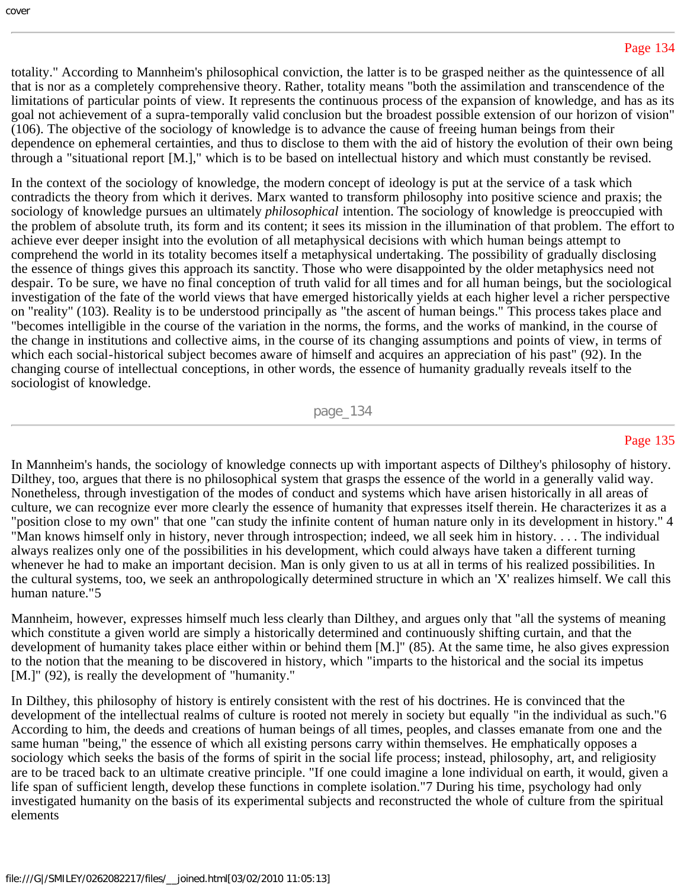### Page 134

totality." According to Mannheim's philosophical conviction, the latter is to be grasped neither as the quintessence of all that is nor as a completely comprehensive theory. Rather, totality means "both the assimilation and transcendence of the limitations of particular points of view. It represents the continuous process of the expansion of knowledge, and has as its goal not achievement of a supra-temporally valid conclusion but the broadest possible extension of our horizon of vision" (106). The objective of the sociology of knowledge is to advance the cause of freeing human beings from their dependence on ephemeral certainties, and thus to disclose to them with the aid of history the evolution of their own being through a "situational report [M.]," which is to be based on intellectual history and which must constantly be revised.

In the context of the sociology of knowledge, the modern concept of ideology is put at the service of a task which contradicts the theory from which it derives. Marx wanted to transform philosophy into positive science and praxis; the sociology of knowledge pursues an ultimately *philosophical* intention. The sociology of knowledge is preoccupied with the problem of absolute truth, its form and its content; it sees its mission in the illumination of that problem. The effort to achieve ever deeper insight into the evolution of all metaphysical decisions with which human beings attempt to comprehend the world in its totality becomes itself a metaphysical undertaking. The possibility of gradually disclosing the essence of things gives this approach its sanctity. Those who were disappointed by the older metaphysics need not despair. To be sure, we have no final conception of truth valid for all times and for all human beings, but the sociological investigation of the fate of the world views that have emerged historically yields at each higher level a richer perspective on "reality" (103). Reality is to be understood principally as "the ascent of human beings." This process takes place and "becomes intelligible in the course of the variation in the norms, the forms, and the works of mankind, in the course of the change in institutions and collective aims, in the course of its changing assumptions and points of view, in terms of which each social-historical subject becomes aware of himself and acquires an appreciation of his past" (92). In the changing course of intellectual conceptions, in other words, the essence of humanity gradually reveals itself to the sociologist of knowledge.

page\_134

## Page 135

In Mannheim's hands, the sociology of knowledge connects up with important aspects of Dilthey's philosophy of history. Dilthey, too, argues that there is no philosophical system that grasps the essence of the world in a generally valid way. Nonetheless, through investigation of the modes of conduct and systems which have arisen historically in all areas of culture, we can recognize ever more clearly the essence of humanity that expresses itself therein. He characterizes it as a "position close to my own" that one "can study the infinite content of human nature only in its development in history." 4 "Man knows himself only in history, never through introspection; indeed, we all seek him in history. . . . The individual always realizes only one of the possibilities in his development, which could always have taken a different turning whenever he had to make an important decision. Man is only given to us at all in terms of his realized possibilities. In the cultural systems, too, we seek an anthropologically determined structure in which an 'X' realizes himself. We call this human nature."5

Mannheim, however, expresses himself much less clearly than Dilthey, and argues only that "all the systems of meaning which constitute a given world are simply a historically determined and continuously shifting curtain, and that the development of humanity takes place either within or behind them [M.]" (85). At the same time, he also gives expression to the notion that the meaning to be discovered in history, which "imparts to the historical and the social its impetus [M.]" (92), is really the development of "humanity."

In Dilthey, this philosophy of history is entirely consistent with the rest of his doctrines. He is convinced that the development of the intellectual realms of culture is rooted not merely in society but equally "in the individual as such."6 According to him, the deeds and creations of human beings of all times, peoples, and classes emanate from one and the same human "being," the essence of which all existing persons carry within themselves. He emphatically opposes a sociology which seeks the basis of the forms of spirit in the social life process; instead, philosophy, art, and religiosity are to be traced back to an ultimate creative principle. "If one could imagine a lone individual on earth, it would, given a life span of sufficient length, develop these functions in complete isolation."7 During his time, psychology had only investigated humanity on the basis of its experimental subjects and reconstructed the whole of culture from the spiritual elements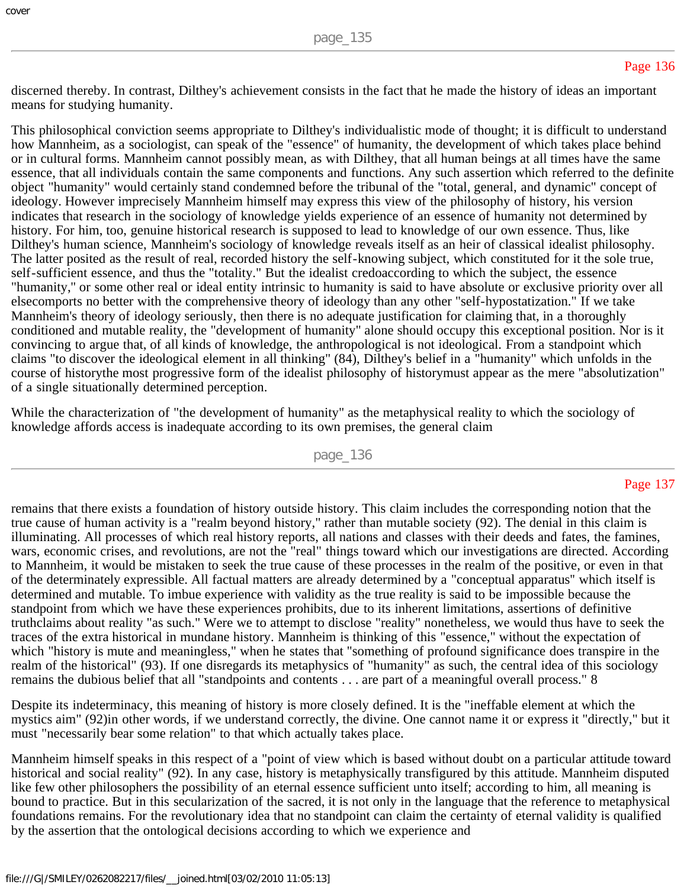discerned thereby. In contrast, Dilthey's achievement consists in the fact that he made the history of ideas an important means for studying humanity.

This philosophical conviction seems appropriate to Dilthey's individualistic mode of thought; it is difficult to understand how Mannheim, as a sociologist, can speak of the "essence" of humanity, the development of which takes place behind or in cultural forms. Mannheim cannot possibly mean, as with Dilthey, that all human beings at all times have the same essence, that all individuals contain the same components and functions. Any such assertion which referred to the definite object "humanity" would certainly stand condemned before the tribunal of the "total, general, and dynamic" concept of ideology. However imprecisely Mannheim himself may express this view of the philosophy of history, his version indicates that research in the sociology of knowledge yields experience of an essence of humanity not determined by history. For him, too, genuine historical research is supposed to lead to knowledge of our own essence. Thus, like Dilthey's human science, Mannheim's sociology of knowledge reveals itself as an heir of classical idealist philosophy. The latter posited as the result of real, recorded history the self-knowing subject, which constituted for it the sole true, self-sufficient essence, and thus the "totality." But the idealist credoaccording to which the subject, the essence "humanity,'' or some other real or ideal entity intrinsic to humanity is said to have absolute or exclusive priority over all elsecomports no better with the comprehensive theory of ideology than any other "self-hypostatization." If we take Mannheim's theory of ideology seriously, then there is no adequate justification for claiming that, in a thoroughly conditioned and mutable reality, the "development of humanity" alone should occupy this exceptional position. Nor is it convincing to argue that, of all kinds of knowledge, the anthropological is not ideological. From a standpoint which claims "to discover the ideological element in all thinking" (84), Dilthey's belief in a "humanity" which unfolds in the course of historythe most progressive form of the idealist philosophy of historymust appear as the mere "absolutization" of a single situationally determined perception.

While the characterization of "the development of humanity" as the metaphysical reality to which the sociology of knowledge affords access is inadequate according to its own premises, the general claim

page\_136

# Page 137

remains that there exists a foundation of history outside history. This claim includes the corresponding notion that the true cause of human activity is a "realm beyond history," rather than mutable society (92). The denial in this claim is illuminating. All processes of which real history reports, all nations and classes with their deeds and fates, the famines, wars, economic crises, and revolutions, are not the "real" things toward which our investigations are directed. According to Mannheim, it would be mistaken to seek the true cause of these processes in the realm of the positive, or even in that of the determinately expressible. All factual matters are already determined by a "conceptual apparatus'' which itself is determined and mutable. To imbue experience with validity as the true reality is said to be impossible because the standpoint from which we have these experiences prohibits, due to its inherent limitations, assertions of definitive truthclaims about reality "as such." Were we to attempt to disclose "reality" nonetheless, we would thus have to seek the traces of the extra historical in mundane history. Mannheim is thinking of this "essence," without the expectation of which "history is mute and meaningless," when he states that "something of profound significance does transpire in the realm of the historical" (93). If one disregards its metaphysics of "humanity" as such, the central idea of this sociology remains the dubious belief that all "standpoints and contents . . . are part of a meaningful overall process." 8

Despite its indeterminacy, this meaning of history is more closely defined. It is the "ineffable element at which the mystics aim" (92)in other words, if we understand correctly, the divine. One cannot name it or express it "directly," but it must "necessarily bear some relation" to that which actually takes place.

Mannheim himself speaks in this respect of a "point of view which is based without doubt on a particular attitude toward historical and social reality" (92). In any case, history is metaphysically transfigured by this attitude. Mannheim disputed like few other philosophers the possibility of an eternal essence sufficient unto itself; according to him, all meaning is bound to practice. But in this secularization of the sacred, it is not only in the language that the reference to metaphysical foundations remains. For the revolutionary idea that no standpoint can claim the certainty of eternal validity is qualified by the assertion that the ontological decisions according to which we experience and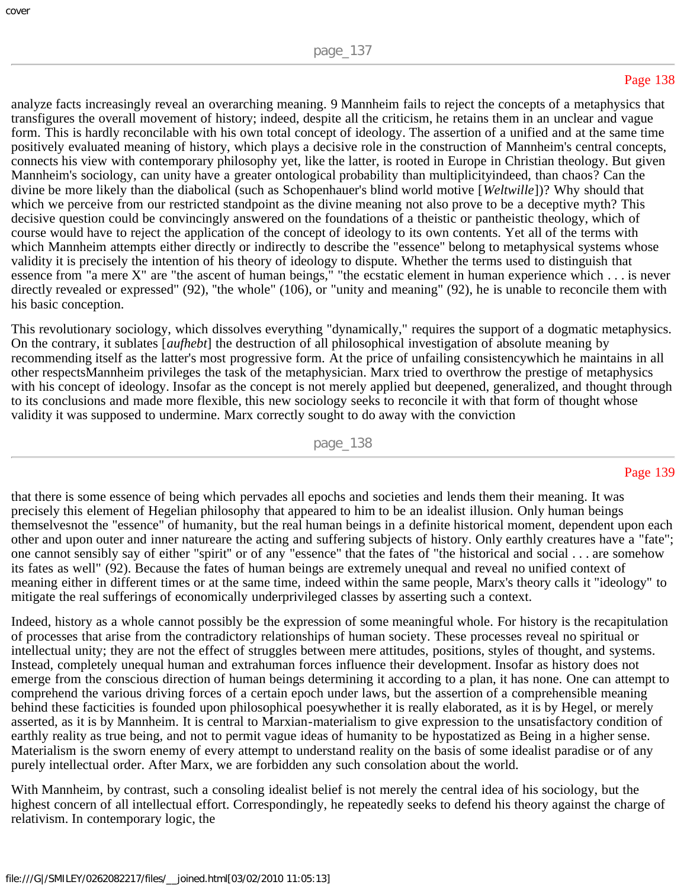# Page 138

analyze facts increasingly reveal an overarching meaning. 9 Mannheim fails to reject the concepts of a metaphysics that transfigures the overall movement of history; indeed, despite all the criticism, he retains them in an unclear and vague form. This is hardly reconcilable with his own total concept of ideology. The assertion of a unified and at the same time positively evaluated meaning of history, which plays a decisive role in the construction of Mannheim's central concepts, connects his view with contemporary philosophy yet, like the latter, is rooted in Europe in Christian theology. But given Mannheim's sociology, can unity have a greater ontological probability than multiplicityindeed, than chaos? Can the divine be more likely than the diabolical (such as Schopenhauer's blind world motive [*Weltwille*])? Why should that which we perceive from our restricted standpoint as the divine meaning not also prove to be a deceptive myth? This decisive question could be convincingly answered on the foundations of a theistic or pantheistic theology, which of course would have to reject the application of the concept of ideology to its own contents. Yet all of the terms with which Mannheim attempts either directly or indirectly to describe the "essence" belong to metaphysical systems whose validity it is precisely the intention of his theory of ideology to dispute. Whether the terms used to distinguish that essence from "a mere X" are "the ascent of human beings," "the ecstatic element in human experience which . . . is never directly revealed or expressed" (92), "the whole" (106), or "unity and meaning" (92), he is unable to reconcile them with his basic conception.

This revolutionary sociology, which dissolves everything "dynamically," requires the support of a dogmatic metaphysics. On the contrary, it sublates [*aufhebt*] the destruction of all philosophical investigation of absolute meaning by recommending itself as the latter's most progressive form. At the price of unfailing consistencywhich he maintains in all other respectsMannheim privileges the task of the metaphysician. Marx tried to overthrow the prestige of metaphysics with his concept of ideology. Insofar as the concept is not merely applied but deepened, generalized, and thought through to its conclusions and made more flexible, this new sociology seeks to reconcile it with that form of thought whose validity it was supposed to undermine. Marx correctly sought to do away with the conviction

page\_138

Page 139

that there is some essence of being which pervades all epochs and societies and lends them their meaning. It was precisely this element of Hegelian philosophy that appeared to him to be an idealist illusion. Only human beings themselvesnot the "essence" of humanity, but the real human beings in a definite historical moment, dependent upon each other and upon outer and inner natureare the acting and suffering subjects of history. Only earthly creatures have a "fate"; one cannot sensibly say of either "spirit'' or of any "essence" that the fates of "the historical and social . . . are somehow its fates as well" (92). Because the fates of human beings are extremely unequal and reveal no unified context of meaning either in different times or at the same time, indeed within the same people, Marx's theory calls it "ideology" to mitigate the real sufferings of economically underprivileged classes by asserting such a context.

Indeed, history as a whole cannot possibly be the expression of some meaningful whole. For history is the recapitulation of processes that arise from the contradictory relationships of human society. These processes reveal no spiritual or intellectual unity; they are not the effect of struggles between mere attitudes, positions, styles of thought, and systems. Instead, completely unequal human and extrahuman forces influence their development. Insofar as history does not emerge from the conscious direction of human beings determining it according to a plan, it has none. One can attempt to comprehend the various driving forces of a certain epoch under laws, but the assertion of a comprehensible meaning behind these facticities is founded upon philosophical poesywhether it is really elaborated, as it is by Hegel, or merely asserted, as it is by Mannheim. It is central to Marxian-materialism to give expression to the unsatisfactory condition of earthly reality as true being, and not to permit vague ideas of humanity to be hypostatized as Being in a higher sense. Materialism is the sworn enemy of every attempt to understand reality on the basis of some idealist paradise or of any purely intellectual order. After Marx, we are forbidden any such consolation about the world.

With Mannheim, by contrast, such a consoling idealist belief is not merely the central idea of his sociology, but the highest concern of all intellectual effort. Correspondingly, he repeatedly seeks to defend his theory against the charge of relativism. In contemporary logic, the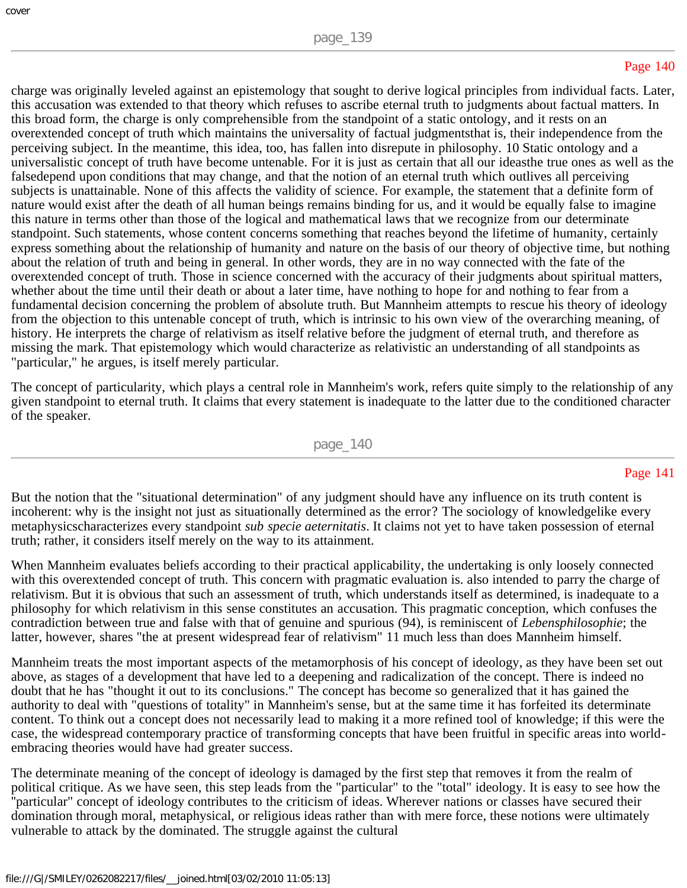# Page 140

charge was originally leveled against an epistemology that sought to derive logical principles from individual facts. Later, this accusation was extended to that theory which refuses to ascribe eternal truth to judgments about factual matters. In this broad form, the charge is only comprehensible from the standpoint of a static ontology, and it rests on an overextended concept of truth which maintains the universality of factual judgmentsthat is, their independence from the perceiving subject. In the meantime, this idea, too, has fallen into disrepute in philosophy. 10 Static ontology and a universalistic concept of truth have become untenable. For it is just as certain that all our ideasthe true ones as well as the falsedepend upon conditions that may change, and that the notion of an eternal truth which outlives all perceiving subjects is unattainable. None of this affects the validity of science. For example, the statement that a definite form of nature would exist after the death of all human beings remains binding for us, and it would be equally false to imagine this nature in terms other than those of the logical and mathematical laws that we recognize from our determinate standpoint. Such statements, whose content concerns something that reaches beyond the lifetime of humanity, certainly express something about the relationship of humanity and nature on the basis of our theory of objective time, but nothing about the relation of truth and being in general. In other words, they are in no way connected with the fate of the overextended concept of truth. Those in science concerned with the accuracy of their judgments about spiritual matters, whether about the time until their death or about a later time, have nothing to hope for and nothing to fear from a fundamental decision concerning the problem of absolute truth. But Mannheim attempts to rescue his theory of ideology from the objection to this untenable concept of truth, which is intrinsic to his own view of the overarching meaning, of history. He interprets the charge of relativism as itself relative before the judgment of eternal truth, and therefore as missing the mark. That epistemology which would characterize as relativistic an understanding of all standpoints as "particular," he argues, is itself merely particular.

The concept of particularity, which plays a central role in Mannheim's work, refers quite simply to the relationship of any given standpoint to eternal truth. It claims that every statement is inadequate to the latter due to the conditioned character of the speaker.

### page\_140

### Page 141

But the notion that the "situational determination" of any judgment should have any influence on its truth content is incoherent: why is the insight not just as situationally determined as the error? The sociology of knowledgelike every metaphysicscharacterizes every standpoint *sub specie aeternitatis*. It claims not yet to have taken possession of eternal truth; rather, it considers itself merely on the way to its attainment.

When Mannheim evaluates beliefs according to their practical applicability, the undertaking is only loosely connected with this overextended concept of truth. This concern with pragmatic evaluation is. also intended to parry the charge of relativism. But it is obvious that such an assessment of truth, which understands itself as determined, is inadequate to a philosophy for which relativism in this sense constitutes an accusation. This pragmatic conception, which confuses the contradiction between true and false with that of genuine and spurious (94), is reminiscent of *Lebensphilosophie*; the latter, however, shares "the at present widespread fear of relativism" 11 much less than does Mannheim himself.

Mannheim treats the most important aspects of the metamorphosis of his concept of ideology, as they have been set out above, as stages of a development that have led to a deepening and radicalization of the concept. There is indeed no doubt that he has "thought it out to its conclusions." The concept has become so generalized that it has gained the authority to deal with "questions of totality" in Mannheim's sense, but at the same time it has forfeited its determinate content. To think out a concept does not necessarily lead to making it a more refined tool of knowledge; if this were the case, the widespread contemporary practice of transforming concepts that have been fruitful in specific areas into worldembracing theories would have had greater success.

The determinate meaning of the concept of ideology is damaged by the first step that removes it from the realm of political critique. As we have seen, this step leads from the "particular" to the "total" ideology. It is easy to see how the "particular" concept of ideology contributes to the criticism of ideas. Wherever nations or classes have secured their domination through moral, metaphysical, or religious ideas rather than with mere force, these notions were ultimately vulnerable to attack by the dominated. The struggle against the cultural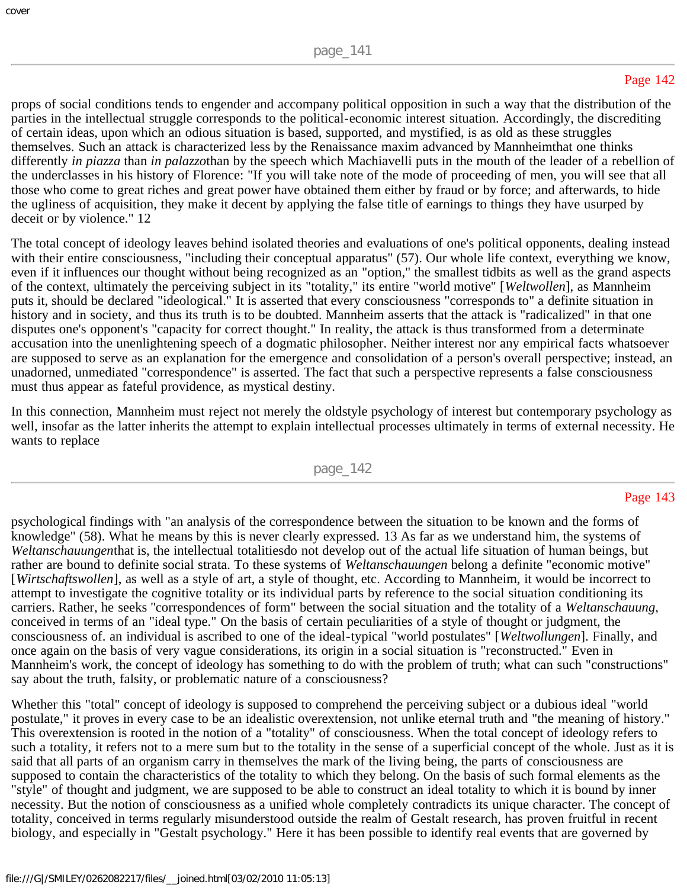props of social conditions tends to engender and accompany political opposition in such a way that the distribution of the parties in the intellectual struggle corresponds to the political-economic interest situation. Accordingly, the discrediting of certain ideas, upon which an odious situation is based, supported, and mystified, is as old as these struggles themselves. Such an attack is characterized less by the Renaissance maxim advanced by Mannheimthat one thinks differently *in piazza* than *in palazzo*than by the speech which Machiavelli puts in the mouth of the leader of a rebellion of the underclasses in his history of Florence: "If you will take note of the mode of proceeding of men, you will see that all those who come to great riches and great power have obtained them either by fraud or by force; and afterwards, to hide the ugliness of acquisition, they make it decent by applying the false title of earnings to things they have usurped by deceit or by violence." 12

The total concept of ideology leaves behind isolated theories and evaluations of one's political opponents, dealing instead with their entire consciousness, "including their conceptual apparatus" (57). Our whole life context, everything we know, even if it influences our thought without being recognized as an "option," the smallest tidbits as well as the grand aspects of the context, ultimately the perceiving subject in its "totality," its entire "world motive'' [*Weltwollen*], as Mannheim puts it, should be declared "ideological." It is asserted that every consciousness "corresponds to" a definite situation in history and in society, and thus its truth is to be doubted. Mannheim asserts that the attack is "radicalized" in that one disputes one's opponent's "capacity for correct thought." In reality, the attack is thus transformed from a determinate accusation into the unenlightening speech of a dogmatic philosopher. Neither interest nor any empirical facts whatsoever are supposed to serve as an explanation for the emergence and consolidation of a person's overall perspective; instead, an unadorned, unmediated "correspondence" is asserted. The fact that such a perspective represents a false consciousness must thus appear as fateful providence, as mystical destiny.

In this connection, Mannheim must reject not merely the oldstyle psychology of interest but contemporary psychology as well, insofar as the latter inherits the attempt to explain intellectual processes ultimately in terms of external necessity. He wants to replace

page\_142

# Page 143

psychological findings with "an analysis of the correspondence between the situation to be known and the forms of knowledge" (58). What he means by this is never clearly expressed. 13 As far as we understand him, the systems of *Weltanschauungen*that is, the intellectual totalitiesdo not develop out of the actual life situation of human beings, but rather are bound to definite social strata. To these systems of *Weltanschauungen* belong a definite "economic motive" [*Wirtschaftswollen*], as well as a style of art, a style of thought, etc. According to Mannheim, it would be incorrect to attempt to investigate the cognitive totality or its individual parts by reference to the social situation conditioning its carriers. Rather, he seeks ''correspondences of form" between the social situation and the totality of a *Weltanschauung,* conceived in terms of an "ideal type." On the basis of certain peculiarities of a style of thought or judgment, the consciousness of. an individual is ascribed to one of the ideal-typical "world postulates" [*Weltwollungen*]. Finally, and once again on the basis of very vague considerations, its origin in a social situation is "reconstructed." Even in Mannheim's work, the concept of ideology has something to do with the problem of truth; what can such "constructions" say about the truth, falsity, or problematic nature of a consciousness?

Whether this "total" concept of ideology is supposed to comprehend the perceiving subject or a dubious ideal "world" postulate," it proves in every case to be an idealistic overextension, not unlike eternal truth and "the meaning of history." This overextension is rooted in the notion of a "totality" of consciousness. When the total concept of ideology refers to such a totality, it refers not to a mere sum but to the totality in the sense of a superficial concept of the whole. Just as it is said that all parts of an organism carry in themselves the mark of the living being, the parts of consciousness are supposed to contain the characteristics of the totality to which they belong. On the basis of such formal elements as the "style" of thought and judgment, we are supposed to be able to construct an ideal totality to which it is bound by inner necessity. But the notion of consciousness as a unified whole completely contradicts its unique character. The concept of totality, conceived in terms regularly misunderstood outside the realm of Gestalt research, has proven fruitful in recent biology, and especially in "Gestalt psychology." Here it has been possible to identify real events that are governed by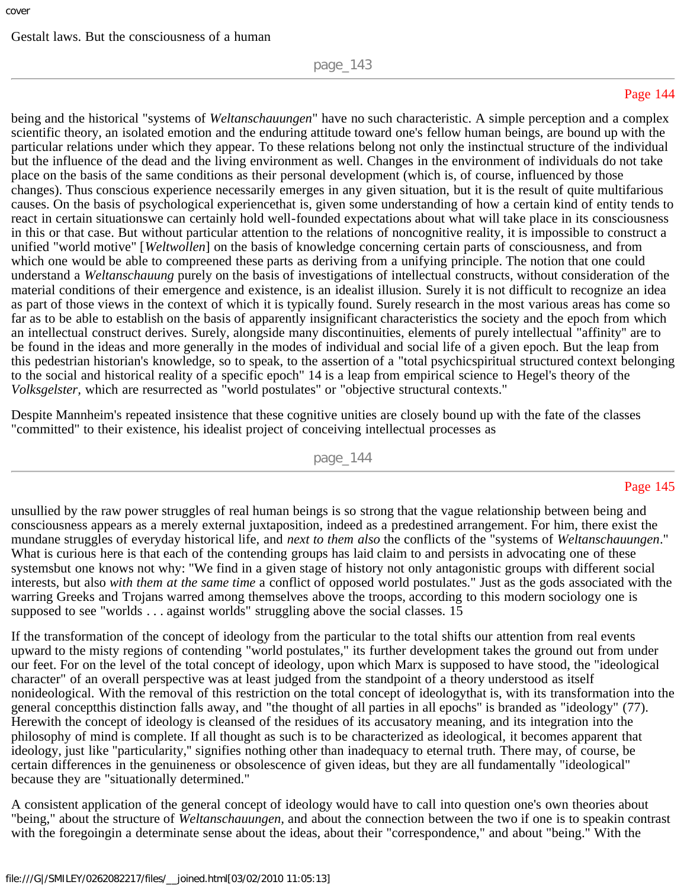Gestalt laws. But the consciousness of a human

# Page 144

being and the historical "systems of *Weltanschauungen*" have no such characteristic. A simple perception and a complex scientific theory, an isolated emotion and the enduring attitude toward one's fellow human beings, are bound up with the particular relations under which they appear. To these relations belong not only the instinctual structure of the individual but the influence of the dead and the living environment as well. Changes in the environment of individuals do not take place on the basis of the same conditions as their personal development (which is, of course, influenced by those changes). Thus conscious experience necessarily emerges in any given situation, but it is the result of quite multifarious causes. On the basis of psychological experiencethat is, given some understanding of how a certain kind of entity tends to react in certain situationswe can certainly hold well-founded expectations about what will take place in its consciousness in this or that case. But without particular attention to the relations of noncognitive reality, it is impossible to construct a unified "world motive" [*Weltwollen*] on the basis of knowledge concerning certain parts of consciousness, and from which one would be able to compreened these parts as deriving from a unifying principle. The notion that one could understand a *Weltanschauung* purely on the basis of investigations of intellectual constructs, without consideration of the material conditions of their emergence and existence, is an idealist illusion. Surely it is not difficult to recognize an idea as part of those views in the context of which it is typically found. Surely research in the most various areas has come so far as to be able to establish on the basis of apparently insignificant characteristics the society and the epoch from which an intellectual construct derives. Surely, alongside many discontinuities, elements of purely intellectual "affinity'' are to be found in the ideas and more generally in the modes of individual and social life of a given epoch. But the leap from this pedestrian historian's knowledge, so to speak, to the assertion of a "total psychicspiritual structured context belonging to the social and historical reality of a specific epoch" 14 is a leap from empirical science to Hegel's theory of the *Volksgelster,* which are resurrected as "world postulates" or "objective structural contexts."

Despite Mannheim's repeated insistence that these cognitive unities are closely bound up with the fate of the classes "committed" to their existence, his idealist project of conceiving intellectual processes as

page\_144

## Page 145

unsullied by the raw power struggles of real human beings is so strong that the vague relationship between being and consciousness appears as a merely external juxtaposition, indeed as a predestined arrangement. For him, there exist the mundane struggles of everyday historical life, and *next to them also* the conflicts of the "systems of *Weltanschauungen*." What is curious here is that each of the contending groups has laid claim to and persists in advocating one of these systemsbut one knows not why: "We find in a given stage of history not only antagonistic groups with different social interests, but also *with them at the same time* a conflict of opposed world postulates." Just as the gods associated with the warring Greeks and Trojans warred among themselves above the troops, according to this modern sociology one is supposed to see "worlds . . . against worlds" struggling above the social classes. 15

If the transformation of the concept of ideology from the particular to the total shifts our attention from real events upward to the misty regions of contending "world postulates," its further development takes the ground out from under our feet. For on the level of the total concept of ideology, upon which Marx is supposed to have stood, the "ideological character" of an overall perspective was at least judged from the standpoint of a theory understood as itself nonideological. With the removal of this restriction on the total concept of ideologythat is, with its transformation into the general conceptthis distinction falls away, and "the thought of all parties in all epochs" is branded as "ideology" (77). Herewith the concept of ideology is cleansed of the residues of its accusatory meaning, and its integration into the philosophy of mind is complete. If all thought as such is to be characterized as ideological, it becomes apparent that ideology, just like "particularity,'' signifies nothing other than inadequacy to eternal truth. There may, of course, be certain differences in the genuineness or obsolescence of given ideas, but they are all fundamentally "ideological" because they are "situationally determined."

A consistent application of the general concept of ideology would have to call into question one's own theories about "being," about the structure of *Weltanschauungen,* and about the connection between the two if one is to speakin contrast with the foregoingin a determinate sense about the ideas, about their "correspondence," and about "being." With the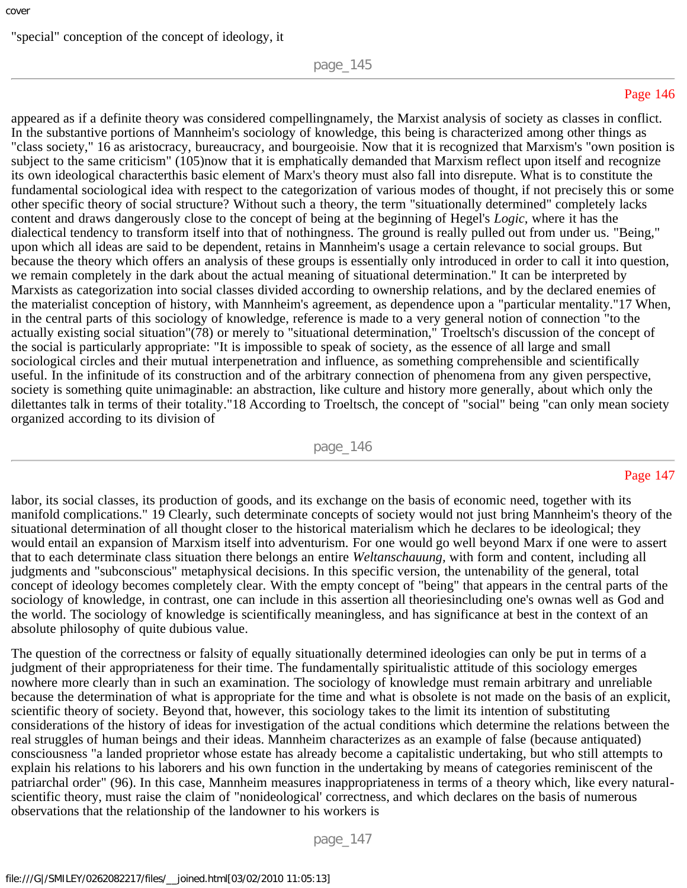"special" conception of the concept of ideology, it

# page\_145

#### Page 146

appeared as if a definite theory was considered compellingnamely, the Marxist analysis of society as classes in conflict. In the substantive portions of Mannheim's sociology of knowledge, this being is characterized among other things as "class society," 16 as aristocracy, bureaucracy, and bourgeoisie. Now that it is recognized that Marxism's "own position is subject to the same criticism" (105)now that it is emphatically demanded that Marxism reflect upon itself and recognize its own ideological characterthis basic element of Marx's theory must also fall into disrepute. What is to constitute the fundamental sociological idea with respect to the categorization of various modes of thought, if not precisely this or some other specific theory of social structure? Without such a theory, the term "situationally determined" completely lacks content and draws dangerously close to the concept of being at the beginning of Hegel's *Logic,* where it has the dialectical tendency to transform itself into that of nothingness. The ground is really pulled out from under us. "Being," upon which all ideas are said to be dependent, retains in Mannheim's usage a certain relevance to social groups. But because the theory which offers an analysis of these groups is essentially only introduced in order to call it into question, we remain completely in the dark about the actual meaning of situational determination.'' It can be interpreted by Marxists as categorization into social classes divided according to ownership relations, and by the declared enemies of the materialist conception of history, with Mannheim's agreement, as dependence upon a "particular mentality."17 When, in the central parts of this sociology of knowledge, reference is made to a very general notion of connection "to the actually existing social situation"(78) or merely to "situational determination," Troeltsch's discussion of the concept of the social is particularly appropriate: "It is impossible to speak of society, as the essence of all large and small sociological circles and their mutual interpenetration and influence, as something comprehensible and scientifically useful. In the infinitude of its construction and of the arbitrary connection of phenomena from any given perspective, society is something quite unimaginable: an abstraction, like culture and history more generally, about which only the dilettantes talk in terms of their totality."18 According to Troeltsch, the concept of "social" being "can only mean society organized according to its division of

# page\_146

#### Page 147

labor, its social classes, its production of goods, and its exchange on the basis of economic need, together with its manifold complications." 19 Clearly, such determinate concepts of society would not just bring Mannheim's theory of the situational determination of all thought closer to the historical materialism which he declares to be ideological; they would entail an expansion of Marxism itself into adventurism. For one would go well beyond Marx if one were to assert that to each determinate class situation there belongs an entire *Weltanschauung,* with form and content, including all judgments and "subconscious" metaphysical decisions. In this specific version, the untenability of the general, total concept of ideology becomes completely clear. With the empty concept of "being" that appears in the central parts of the sociology of knowledge, in contrast, one can include in this assertion all theoriesincluding one's ownas well as God and the world. The sociology of knowledge is scientifically meaningless, and has significance at best in the context of an absolute philosophy of quite dubious value.

The question of the correctness or falsity of equally situationally determined ideologies can only be put in terms of a judgment of their appropriateness for their time. The fundamentally spiritualistic attitude of this sociology emerges nowhere more clearly than in such an examination. The sociology of knowledge must remain arbitrary and unreliable because the determination of what is appropriate for the time and what is obsolete is not made on the basis of an explicit, scientific theory of society. Beyond that, however, this sociology takes to the limit its intention of substituting considerations of the history of ideas for investigation of the actual conditions which determine the relations between the real struggles of human beings and their ideas. Mannheim characterizes as an example of false (because antiquated) consciousness "a landed proprietor whose estate has already become a capitalistic undertaking, but who still attempts to explain his relations to his laborers and his own function in the undertaking by means of categories reminiscent of the patriarchal order" (96). In this case, Mannheim measures inappropriateness in terms of a theory which, like every naturalscientific theory, must raise the claim of "nonideological' correctness, and which declares on the basis of numerous observations that the relationship of the landowner to his workers is

page\_147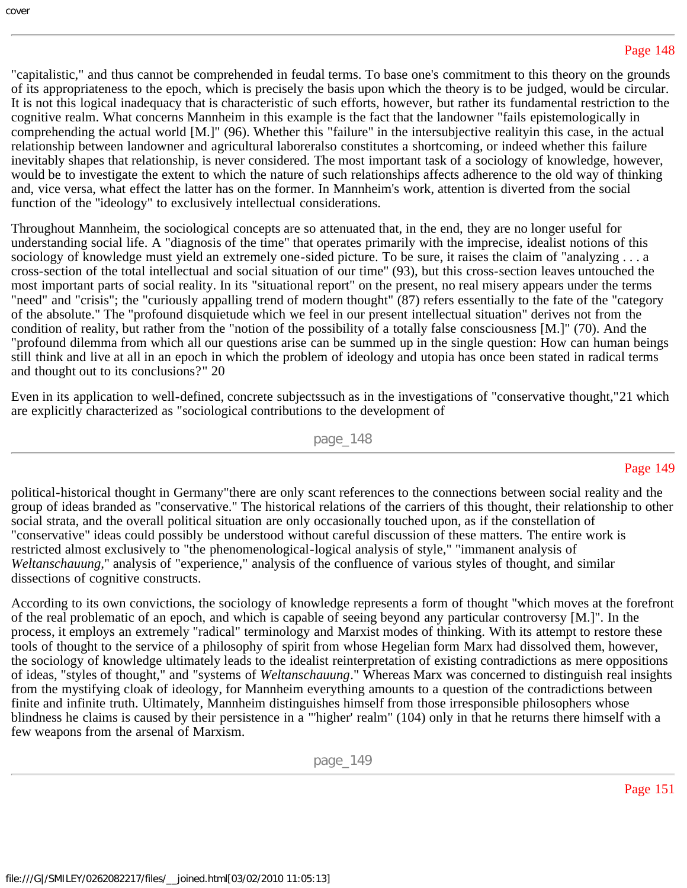# Page 148

"capitalistic," and thus cannot be comprehended in feudal terms. To base one's commitment to this theory on the grounds of its appropriateness to the epoch, which is precisely the basis upon which the theory is to be judged, would be circular. It is not this logical inadequacy that is characteristic of such efforts, however, but rather its fundamental restriction to the cognitive realm. What concerns Mannheim in this example is the fact that the landowner "fails epistemologically in comprehending the actual world [M.]" (96). Whether this "failure" in the intersubjective realityin this case, in the actual relationship between landowner and agricultural laboreralso constitutes a shortcoming, or indeed whether this failure inevitably shapes that relationship, is never considered. The most important task of a sociology of knowledge, however, would be to investigate the extent to which the nature of such relationships affects adherence to the old way of thinking and, vice versa, what effect the latter has on the former. In Mannheim's work, attention is diverted from the social function of the ''ideology" to exclusively intellectual considerations.

Throughout Mannheim, the sociological concepts are so attenuated that, in the end, they are no longer useful for understanding social life. A "diagnosis of the time" that operates primarily with the imprecise, idealist notions of this sociology of knowledge must yield an extremely one-sided picture. To be sure, it raises the claim of "analyzing ... a cross-section of the total intellectual and social situation of our time" (93), but this cross-section leaves untouched the most important parts of social reality. In its "situational report" on the present, no real misery appears under the terms "need" and "crisis"; the "curiously appalling trend of modern thought" (87) refers essentially to the fate of the "category of the absolute." The "profound disquietude which we feel in our present intellectual situation" derives not from the condition of reality, but rather from the "notion of the possibility of a totally false consciousness [M.]" (70). And the "profound dilemma from which all our questions arise can be summed up in the single question: How can human beings still think and live at all in an epoch in which the problem of ideology and utopia has once been stated in radical terms and thought out to its conclusions?" 20

Even in its application to well-defined, concrete subjectssuch as in the investigations of "conservative thought,"21 which are explicitly characterized as "sociological contributions to the development of

page\_148

Page 149

political-historical thought in Germany"there are only scant references to the connections between social reality and the group of ideas branded as "conservative." The historical relations of the carriers of this thought, their relationship to other social strata, and the overall political situation are only occasionally touched upon, as if the constellation of "conservative" ideas could possibly be understood without careful discussion of these matters. The entire work is restricted almost exclusively to "the phenomenological-logical analysis of style," "immanent analysis of *Weltanschauung,*'' analysis of "experience," analysis of the confluence of various styles of thought, and similar dissections of cognitive constructs.

According to its own convictions, the sociology of knowledge represents a form of thought "which moves at the forefront of the real problematic of an epoch, and which is capable of seeing beyond any particular controversy [M.]". In the process, it employs an extremely "radical" terminology and Marxist modes of thinking. With its attempt to restore these tools of thought to the service of a philosophy of spirit from whose Hegelian form Marx had dissolved them, however, the sociology of knowledge ultimately leads to the idealist reinterpretation of existing contradictions as mere oppositions of ideas, "styles of thought," and "systems of *Weltanschauung*." Whereas Marx was concerned to distinguish real insights from the mystifying cloak of ideology, for Mannheim everything amounts to a question of the contradictions between finite and infinite truth. Ultimately, Mannheim distinguishes himself from those irresponsible philosophers whose blindness he claims is caused by their persistence in a "'higher' realm" (104) only in that he returns there himself with a few weapons from the arsenal of Marxism.

page\_149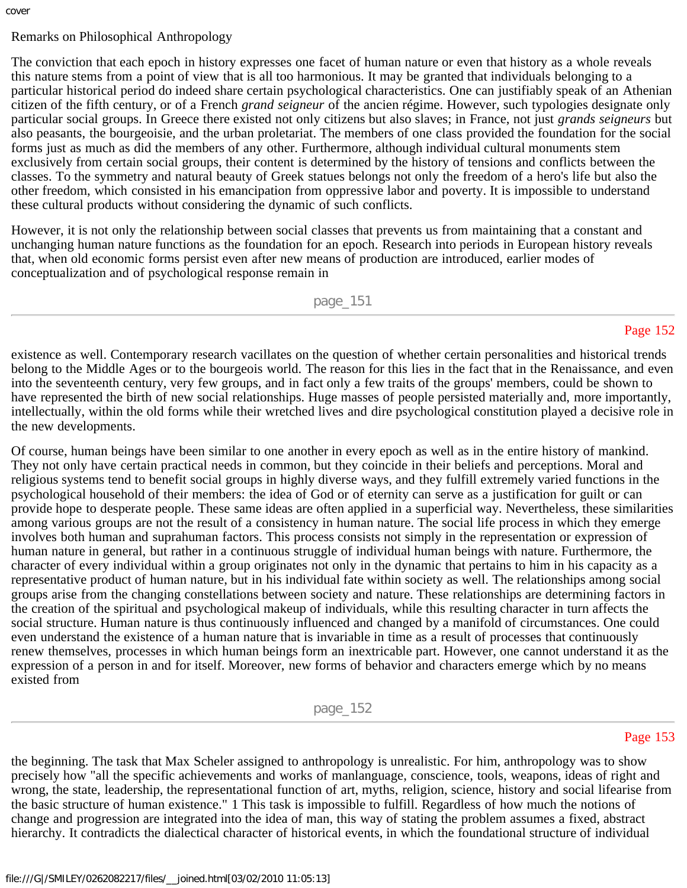# Remarks on Philosophical Anthropology

The conviction that each epoch in history expresses one facet of human nature or even that history as a whole reveals this nature stems from a point of view that is all too harmonious. It may be granted that individuals belonging to a particular historical period do indeed share certain psychological characteristics. One can justifiably speak of an Athenian citizen of the fifth century, or of a French *grand seigneur* of the ancien régime. However, such typologies designate only particular social groups. In Greece there existed not only citizens but also slaves; in France, not just *grands seigneurs* but also peasants, the bourgeoisie, and the urban proletariat. The members of one class provided the foundation for the social forms just as much as did the members of any other. Furthermore, although individual cultural monuments stem exclusively from certain social groups, their content is determined by the history of tensions and conflicts between the classes. To the symmetry and natural beauty of Greek statues belongs not only the freedom of a hero's life but also the other freedom, which consisted in his emancipation from oppressive labor and poverty. It is impossible to understand these cultural products without considering the dynamic of such conflicts.

However, it is not only the relationship between social classes that prevents us from maintaining that a constant and unchanging human nature functions as the foundation for an epoch. Research into periods in European history reveals that, when old economic forms persist even after new means of production are introduced, earlier modes of conceptualization and of psychological response remain in

page\_151

# Page 152

existence as well. Contemporary research vacillates on the question of whether certain personalities and historical trends belong to the Middle Ages or to the bourgeois world. The reason for this lies in the fact that in the Renaissance, and even into the seventeenth century, very few groups, and in fact only a few traits of the groups' members, could be shown to have represented the birth of new social relationships. Huge masses of people persisted materially and, more importantly, intellectually, within the old forms while their wretched lives and dire psychological constitution played a decisive role in the new developments.

Of course, human beings have been similar to one another in every epoch as well as in the entire history of mankind. They not only have certain practical needs in common, but they coincide in their beliefs and perceptions. Moral and religious systems tend to benefit social groups in highly diverse ways, and they fulfill extremely varied functions in the psychological household of their members: the idea of God or of eternity can serve as a justification for guilt or can provide hope to desperate people. These same ideas are often applied in a superficial way. Nevertheless, these similarities among various groups are not the result of a consistency in human nature. The social life process in which they emerge involves both human and suprahuman factors. This process consists not simply in the representation or expression of human nature in general, but rather in a continuous struggle of individual human beings with nature. Furthermore, the character of every individual within a group originates not only in the dynamic that pertains to him in his capacity as a representative product of human nature, but in his individual fate within society as well. The relationships among social groups arise from the changing constellations between society and nature. These relationships are determining factors in the creation of the spiritual and psychological makeup of individuals, while this resulting character in turn affects the social structure. Human nature is thus continuously influenced and changed by a manifold of circumstances. One could even understand the existence of a human nature that is invariable in time as a result of processes that continuously renew themselves, processes in which human beings form an inextricable part. However, one cannot understand it as the expression of a person in and for itself. Moreover, new forms of behavior and characters emerge which by no means existed from

page\_152

# Page 153

the beginning. The task that Max Scheler assigned to anthropology is unrealistic. For him, anthropology was to show precisely how "all the specific achievements and works of manlanguage, conscience, tools, weapons, ideas of right and wrong, the state, leadership, the representational function of art, myths, religion, science, history and social lifearise from the basic structure of human existence." 1 This task is impossible to fulfill. Regardless of how much the notions of change and progression are integrated into the idea of man, this way of stating the problem assumes a fixed, abstract hierarchy. It contradicts the dialectical character of historical events, in which the foundational structure of individual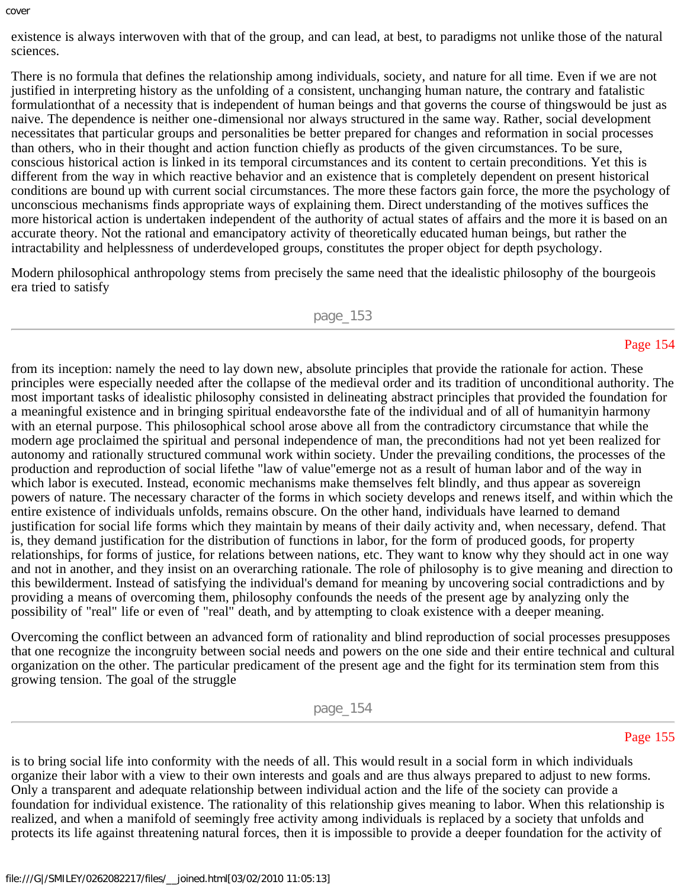existence is always interwoven with that of the group, and can lead, at best, to paradigms not unlike those of the natural sciences.

There is no formula that defines the relationship among individuals, society, and nature for all time. Even if we are not justified in interpreting history as the unfolding of a consistent, unchanging human nature, the contrary and fatalistic formulationthat of a necessity that is independent of human beings and that governs the course of thingswould be just as naive. The dependence is neither one-dimensional nor always structured in the same way. Rather, social development necessitates that particular groups and personalities be better prepared for changes and reformation in social processes than others, who in their thought and action function chiefly as products of the given circumstances. To be sure, conscious historical action is linked in its temporal circumstances and its content to certain preconditions. Yet this is different from the way in which reactive behavior and an existence that is completely dependent on present historical conditions are bound up with current social circumstances. The more these factors gain force, the more the psychology of unconscious mechanisms finds appropriate ways of explaining them. Direct understanding of the motives suffices the more historical action is undertaken independent of the authority of actual states of affairs and the more it is based on an accurate theory. Not the rational and emancipatory activity of theoretically educated human beings, but rather the intractability and helplessness of underdeveloped groups, constitutes the proper object for depth psychology.

Modern philosophical anthropology stems from precisely the same need that the idealistic philosophy of the bourgeois era tried to satisfy

page\_153

# Page 154

from its inception: namely the need to lay down new, absolute principles that provide the rationale for action. These principles were especially needed after the collapse of the medieval order and its tradition of unconditional authority. The most important tasks of idealistic philosophy consisted in delineating abstract principles that provided the foundation for a meaningful existence and in bringing spiritual endeavorsthe fate of the individual and of all of humanityin harmony with an eternal purpose. This philosophical school arose above all from the contradictory circumstance that while the modern age proclaimed the spiritual and personal independence of man, the preconditions had not yet been realized for autonomy and rationally structured communal work within society. Under the prevailing conditions, the processes of the production and reproduction of social lifethe "law of value"emerge not as a result of human labor and of the way in which labor is executed. Instead, economic mechanisms make themselves felt blindly, and thus appear as sovereign powers of nature. The necessary character of the forms in which society develops and renews itself, and within which the entire existence of individuals unfolds, remains obscure. On the other hand, individuals have learned to demand justification for social life forms which they maintain by means of their daily activity and, when necessary, defend. That is, they demand justification for the distribution of functions in labor, for the form of produced goods, for property relationships, for forms of justice, for relations between nations, etc. They want to know why they should act in one way and not in another, and they insist on an overarching rationale. The role of philosophy is to give meaning and direction to this bewilderment. Instead of satisfying the individual's demand for meaning by uncovering social contradictions and by providing a means of overcoming them, philosophy confounds the needs of the present age by analyzing only the possibility of "real" life or even of "real" death, and by attempting to cloak existence with a deeper meaning.

Overcoming the conflict between an advanced form of rationality and blind reproduction of social processes presupposes that one recognize the incongruity between social needs and powers on the one side and their entire technical and cultural organization on the other. The particular predicament of the present age and the fight for its termination stem from this growing tension. The goal of the struggle

page\_154

### Page 155

is to bring social life into conformity with the needs of all. This would result in a social form in which individuals organize their labor with a view to their own interests and goals and are thus always prepared to adjust to new forms. Only a transparent and adequate relationship between individual action and the life of the society can provide a foundation for individual existence. The rationality of this relationship gives meaning to labor. When this relationship is realized, and when a manifold of seemingly free activity among individuals is replaced by a society that unfolds and protects its life against threatening natural forces, then it is impossible to provide a deeper foundation for the activity of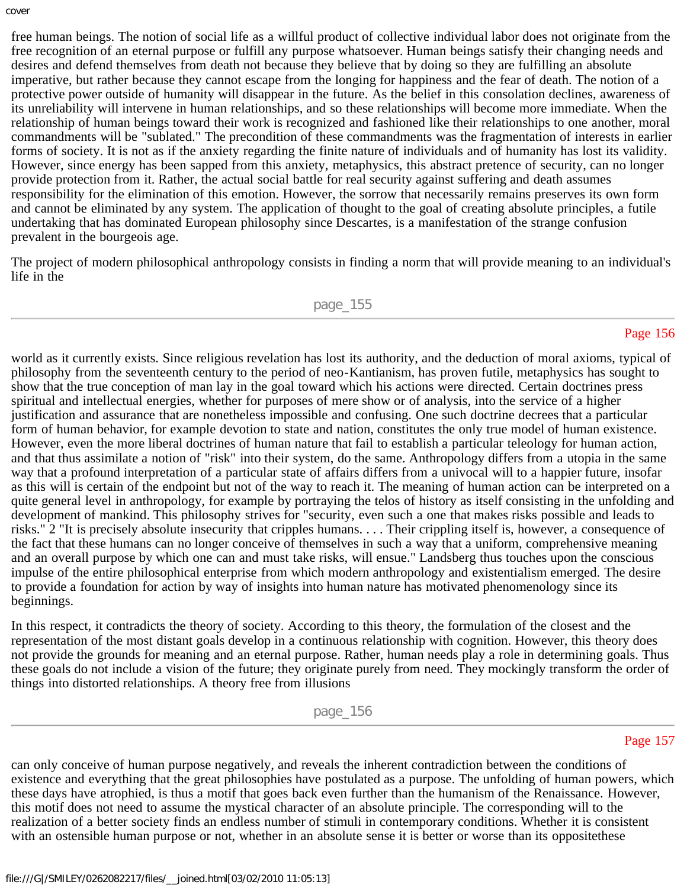free human beings. The notion of social life as a willful product of collective individual labor does not originate from the free recognition of an eternal purpose or fulfill any purpose whatsoever. Human beings satisfy their changing needs and desires and defend themselves from death not because they believe that by doing so they are fulfilling an absolute imperative, but rather because they cannot escape from the longing for happiness and the fear of death. The notion of a protective power outside of humanity will disappear in the future. As the belief in this consolation declines, awareness of its unreliability will intervene in human relationships, and so these relationships will become more immediate. When the relationship of human beings toward their work is recognized and fashioned like their relationships to one another, moral commandments will be "sublated." The precondition of these commandments was the fragmentation of interests in earlier forms of society. It is not as if the anxiety regarding the finite nature of individuals and of humanity has lost its validity. However, since energy has been sapped from this anxiety, metaphysics, this abstract pretence of security, can no longer provide protection from it. Rather, the actual social battle for real security against suffering and death assumes responsibility for the elimination of this emotion. However, the sorrow that necessarily remains preserves its own form and cannot be eliminated by any system. The application of thought to the goal of creating absolute principles, a futile undertaking that has dominated European philosophy since Descartes, is a manifestation of the strange confusion prevalent in the bourgeois age.

The project of modern philosophical anthropology consists in finding a norm that will provide meaning to an individual's life in the

page\_155

# Page 156

world as it currently exists. Since religious revelation has lost its authority, and the deduction of moral axioms, typical of philosophy from the seventeenth century to the period of neo-Kantianism, has proven futile, metaphysics has sought to show that the true conception of man lay in the goal toward which his actions were directed. Certain doctrines press spiritual and intellectual energies, whether for purposes of mere show or of analysis, into the service of a higher justification and assurance that are nonetheless impossible and confusing. One such doctrine decrees that a particular form of human behavior, for example devotion to state and nation, constitutes the only true model of human existence. However, even the more liberal doctrines of human nature that fail to establish a particular teleology for human action, and that thus assimilate a notion of "risk" into their system, do the same. Anthropology differs from a utopia in the same way that a profound interpretation of a particular state of affairs differs from a univocal will to a happier future, insofar as this will is certain of the endpoint but not of the way to reach it. The meaning of human action can be interpreted on a quite general level in anthropology, for example by portraying the telos of history as itself consisting in the unfolding and development of mankind. This philosophy strives for "security, even such a one that makes risks possible and leads to risks." 2 "It is precisely absolute insecurity that cripples humans. . . . Their crippling itself is, however, a consequence of the fact that these humans can no longer conceive of themselves in such a way that a uniform, comprehensive meaning and an overall purpose by which one can and must take risks, will ensue." Landsberg thus touches upon the conscious impulse of the entire philosophical enterprise from which modern anthropology and existentialism emerged. The desire to provide a foundation for action by way of insights into human nature has motivated phenomenology since its beginnings.

In this respect, it contradicts the theory of society. According to this theory, the formulation of the closest and the representation of the most distant goals develop in a continuous relationship with cognition. However, this theory does not provide the grounds for meaning and an eternal purpose. Rather, human needs play a role in determining goals. Thus these goals do not include a vision of the future; they originate purely from need. They mockingly transform the order of things into distorted relationships. A theory free from illusions

page\_156

### Page 157

can only conceive of human purpose negatively, and reveals the inherent contradiction between the conditions of existence and everything that the great philosophies have postulated as a purpose. The unfolding of human powers, which these days have atrophied, is thus a motif that goes back even further than the humanism of the Renaissance. However, this motif does not need to assume the mystical character of an absolute principle. The corresponding will to the realization of a better society finds an endless number of stimuli in contemporary conditions. Whether it is consistent with an ostensible human purpose or not, whether in an absolute sense it is better or worse than its oppositethese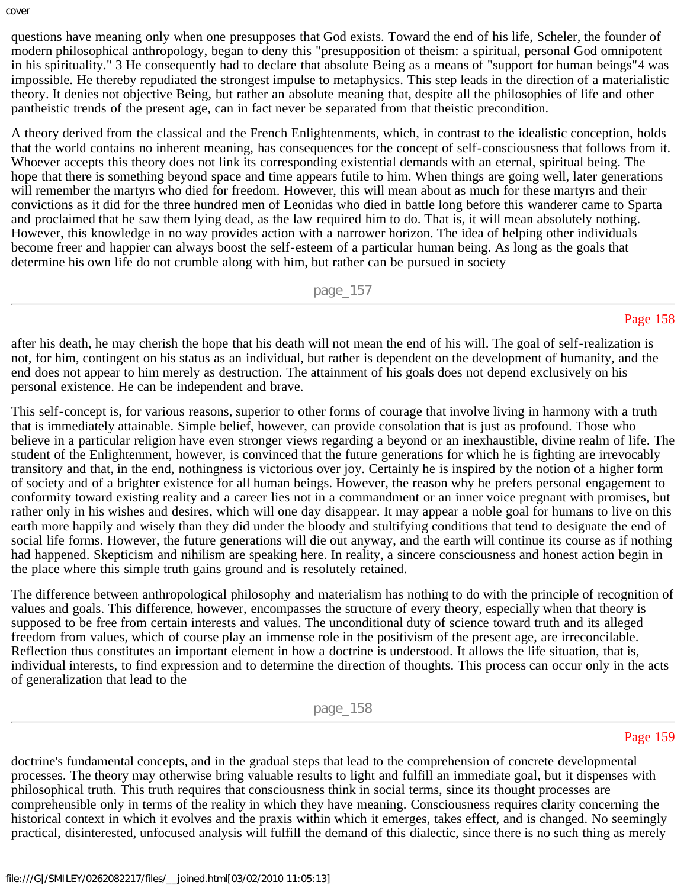questions have meaning only when one presupposes that God exists. Toward the end of his life, Scheler, the founder of modern philosophical anthropology, began to deny this "presupposition of theism: a spiritual, personal God omnipotent in his spirituality." 3 He consequently had to declare that absolute Being as a means of "support for human beings"4 was impossible. He thereby repudiated the strongest impulse to metaphysics. This step leads in the direction of a materialistic theory. It denies not objective Being, but rather an absolute meaning that, despite all the philosophies of life and other pantheistic trends of the present age, can in fact never be separated from that theistic precondition.

A theory derived from the classical and the French Enlightenments, which, in contrast to the idealistic conception, holds that the world contains no inherent meaning, has consequences for the concept of self-consciousness that follows from it. Whoever accepts this theory does not link its corresponding existential demands with an eternal, spiritual being. The hope that there is something beyond space and time appears futile to him. When things are going well, later generations will remember the martyrs who died for freedom. However, this will mean about as much for these martyrs and their convictions as it did for the three hundred men of Leonidas who died in battle long before this wanderer came to Sparta and proclaimed that he saw them lying dead, as the law required him to do. That is, it will mean absolutely nothing. However, this knowledge in no way provides action with a narrower horizon. The idea of helping other individuals become freer and happier can always boost the self-esteem of a particular human being. As long as the goals that determine his own life do not crumble along with him, but rather can be pursued in society

page\_157

### Page 158

after his death, he may cherish the hope that his death will not mean the end of his will. The goal of self-realization is not, for him, contingent on his status as an individual, but rather is dependent on the development of humanity, and the end does not appear to him merely as destruction. The attainment of his goals does not depend exclusively on his personal existence. He can be independent and brave.

This self-concept is, for various reasons, superior to other forms of courage that involve living in harmony with a truth that is immediately attainable. Simple belief, however, can provide consolation that is just as profound. Those who believe in a particular religion have even stronger views regarding a beyond or an inexhaustible, divine realm of life. The student of the Enlightenment, however, is convinced that the future generations for which he is fighting are irrevocably transitory and that, in the end, nothingness is victorious over joy. Certainly he is inspired by the notion of a higher form of society and of a brighter existence for all human beings. However, the reason why he prefers personal engagement to conformity toward existing reality and a career lies not in a commandment or an inner voice pregnant with promises, but rather only in his wishes and desires, which will one day disappear. It may appear a noble goal for humans to live on this earth more happily and wisely than they did under the bloody and stultifying conditions that tend to designate the end of social life forms. However, the future generations will die out anyway, and the earth will continue its course as if nothing had happened. Skepticism and nihilism are speaking here. In reality, a sincere consciousness and honest action begin in the place where this simple truth gains ground and is resolutely retained.

The difference between anthropological philosophy and materialism has nothing to do with the principle of recognition of values and goals. This difference, however, encompasses the structure of every theory, especially when that theory is supposed to be free from certain interests and values. The unconditional duty of science toward truth and its alleged freedom from values, which of course play an immense role in the positivism of the present age, are irreconcilable. Reflection thus constitutes an important element in how a doctrine is understood. It allows the life situation, that is, individual interests, to find expression and to determine the direction of thoughts. This process can occur only in the acts of generalization that lead to the

page\_158

### Page 159

doctrine's fundamental concepts, and in the gradual steps that lead to the comprehension of concrete developmental processes. The theory may otherwise bring valuable results to light and fulfill an immediate goal, but it dispenses with philosophical truth. This truth requires that consciousness think in social terms, since its thought processes are comprehensible only in terms of the reality in which they have meaning. Consciousness requires clarity concerning the historical context in which it evolves and the praxis within which it emerges, takes effect, and is changed. No seemingly practical, disinterested, unfocused analysis will fulfill the demand of this dialectic, since there is no such thing as merely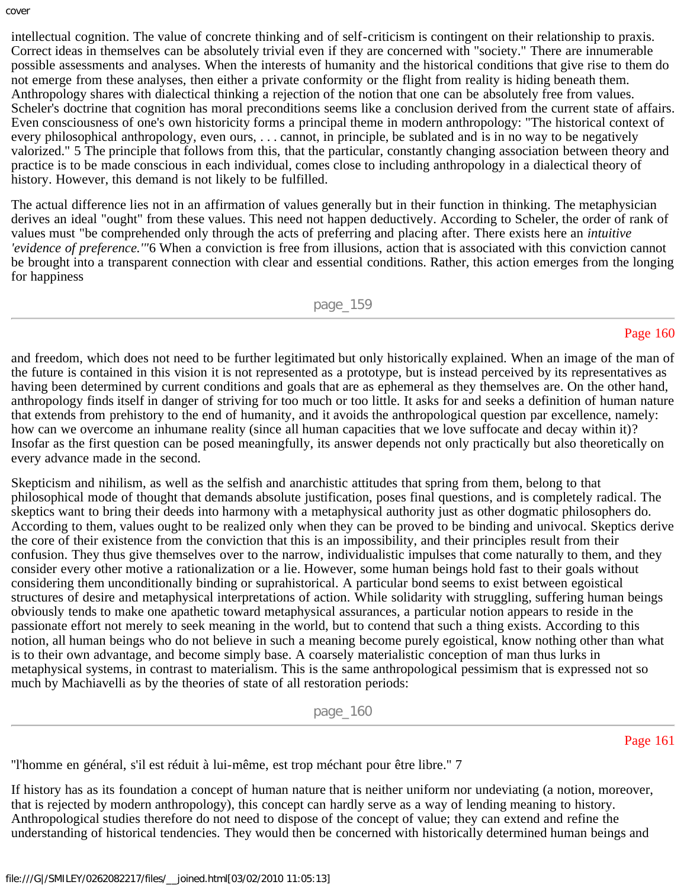intellectual cognition. The value of concrete thinking and of self-criticism is contingent on their relationship to praxis. Correct ideas in themselves can be absolutely trivial even if they are concerned with "society." There are innumerable possible assessments and analyses. When the interests of humanity and the historical conditions that give rise to them do not emerge from these analyses, then either a private conformity or the flight from reality is hiding beneath them. Anthropology shares with dialectical thinking a rejection of the notion that one can be absolutely free from values. Scheler's doctrine that cognition has moral preconditions seems like a conclusion derived from the current state of affairs. Even consciousness of one's own historicity forms a principal theme in modern anthropology: "The historical context of every philosophical anthropology, even ours, . . . cannot, in principle, be sublated and is in no way to be negatively valorized." 5 The principle that follows from this, that the particular, constantly changing association between theory and practice is to be made conscious in each individual, comes close to including anthropology in a dialectical theory of history. However, this demand is not likely to be fulfilled.

The actual difference lies not in an affirmation of values generally but in their function in thinking. The metaphysician derives an ideal "ought" from these values. This need not happen deductively. According to Scheler, the order of rank of values must "be comprehended only through the acts of preferring and placing after. There exists here an *intuitive 'evidence of preference.'"*6 When a conviction is free from illusions, action that is associated with this conviction cannot be brought into a transparent connection with clear and essential conditions. Rather, this action emerges from the longing for happiness

page\_159

# Page 160

and freedom, which does not need to be further legitimated but only historically explained. When an image of the man of the future is contained in this vision it is not represented as a prototype, but is instead perceived by its representatives as having been determined by current conditions and goals that are as ephemeral as they themselves are. On the other hand, anthropology finds itself in danger of striving for too much or too little. It asks for and seeks a definition of human nature that extends from prehistory to the end of humanity, and it avoids the anthropological question par excellence, namely: how can we overcome an inhumane reality (since all human capacities that we love suffocate and decay within it)? Insofar as the first question can be posed meaningfully, its answer depends not only practically but also theoretically on every advance made in the second.

Skepticism and nihilism, as well as the selfish and anarchistic attitudes that spring from them, belong to that philosophical mode of thought that demands absolute justification, poses final questions, and is completely radical. The skeptics want to bring their deeds into harmony with a metaphysical authority just as other dogmatic philosophers do. According to them, values ought to be realized only when they can be proved to be binding and univocal. Skeptics derive the core of their existence from the conviction that this is an impossibility, and their principles result from their confusion. They thus give themselves over to the narrow, individualistic impulses that come naturally to them, and they consider every other motive a rationalization or a lie. However, some human beings hold fast to their goals without considering them unconditionally binding or suprahistorical. A particular bond seems to exist between egoistical structures of desire and metaphysical interpretations of action. While solidarity with struggling, suffering human beings obviously tends to make one apathetic toward metaphysical assurances, a particular notion appears to reside in the passionate effort not merely to seek meaning in the world, but to contend that such a thing exists. According to this notion, all human beings who do not believe in such a meaning become purely egoistical, know nothing other than what is to their own advantage, and become simply base. A coarsely materialistic conception of man thus lurks in metaphysical systems, in contrast to materialism. This is the same anthropological pessimism that is expressed not so much by Machiavelli as by the theories of state of all restoration periods:

page\_160

Page 161

''l'homme en général, s'il est réduit à lui-même, est trop méchant pour être libre." 7

If history has as its foundation a concept of human nature that is neither uniform nor undeviating (a notion, moreover, that is rejected by modern anthropology), this concept can hardly serve as a way of lending meaning to history. Anthropological studies therefore do not need to dispose of the concept of value; they can extend and refine the understanding of historical tendencies. They would then be concerned with historically determined human beings and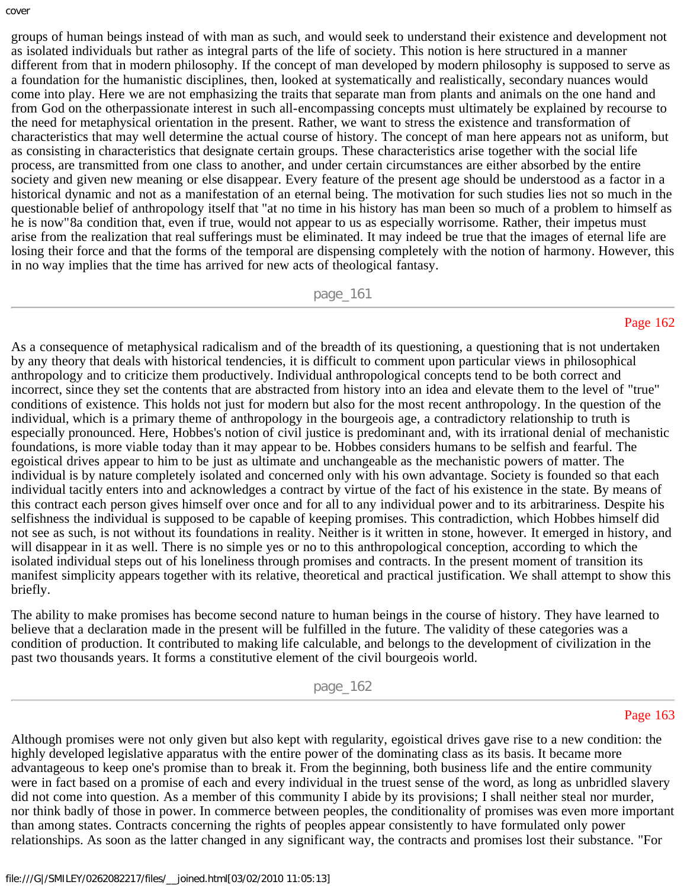groups of human beings instead of with man as such, and would seek to understand their existence and development not as isolated individuals but rather as integral parts of the life of society. This notion is here structured in a manner different from that in modern philosophy. If the concept of man developed by modern philosophy is supposed to serve as a foundation for the humanistic disciplines, then, looked at systematically and realistically, secondary nuances would come into play. Here we are not emphasizing the traits that separate man from plants and animals on the one hand and from God on the otherpassionate interest in such all-encompassing concepts must ultimately be explained by recourse to the need for metaphysical orientation in the present. Rather, we want to stress the existence and transformation of characteristics that may well determine the actual course of history. The concept of man here appears not as uniform, but as consisting in characteristics that designate certain groups. These characteristics arise together with the social life process, are transmitted from one class to another, and under certain circumstances are either absorbed by the entire society and given new meaning or else disappear. Every feature of the present age should be understood as a factor in a historical dynamic and not as a manifestation of an eternal being. The motivation for such studies lies not so much in the questionable belief of anthropology itself that "at no time in his history has man been so much of a problem to himself as he is now"8a condition that, even if true, would not appear to us as especially worrisome. Rather, their impetus must arise from the realization that real sufferings must be eliminated. It may indeed be true that the images of eternal life are losing their force and that the forms of the temporal are dispensing completely with the notion of harmony. However, this in no way implies that the time has arrived for new acts of theological fantasy.

### page\_161

#### Page 162

As a consequence of metaphysical radicalism and of the breadth of its questioning, a questioning that is not undertaken by any theory that deals with historical tendencies, it is difficult to comment upon particular views in philosophical anthropology and to criticize them productively. Individual anthropological concepts tend to be both correct and incorrect, since they set the contents that are abstracted from history into an idea and elevate them to the level of "true" conditions of existence. This holds not just for modern but also for the most recent anthropology. In the question of the individual, which is a primary theme of anthropology in the bourgeois age, a contradictory relationship to truth is especially pronounced. Here, Hobbes's notion of civil justice is predominant and, with its irrational denial of mechanistic foundations, is more viable today than it may appear to be. Hobbes considers humans to be selfish and fearful. The egoistical drives appear to him to be just as ultimate and unchangeable as the mechanistic powers of matter. The individual is by nature completely isolated and concerned only with his own advantage. Society is founded so that each individual tacitly enters into and acknowledges a contract by virtue of the fact of his existence in the state. By means of this contract each person gives himself over once and for all to any individual power and to its arbitrariness. Despite his selfishness the individual is supposed to be capable of keeping promises. This contradiction, which Hobbes himself did not see as such, is not without its foundations in reality. Neither is it written in stone, however. It emerged in history, and will disappear in it as well. There is no simple yes or no to this anthropological conception, according to which the isolated individual steps out of his loneliness through promises and contracts. In the present moment of transition its manifest simplicity appears together with its relative, theoretical and practical justification. We shall attempt to show this briefly.

The ability to make promises has become second nature to human beings in the course of history. They have learned to believe that a declaration made in the present will be fulfilled in the future. The validity of these categories was a condition of production. It contributed to making life calculable, and belongs to the development of civilization in the past two thousands years. It forms a constitutive element of the civil bourgeois world.

page\_162

### Page 163

Although promises were not only given but also kept with regularity, egoistical drives gave rise to a new condition: the highly developed legislative apparatus with the entire power of the dominating class as its basis. It became more advantageous to keep one's promise than to break it. From the beginning, both business life and the entire community were in fact based on a promise of each and every individual in the truest sense of the word, as long as unbridled slavery did not come into question. As a member of this community I abide by its provisions; I shall neither steal nor murder, nor think badly of those in power. In commerce between peoples, the conditionality of promises was even more important than among states. Contracts concerning the rights of peoples appear consistently to have formulated only power relationships. As soon as the latter changed in any significant way, the contracts and promises lost their substance. "For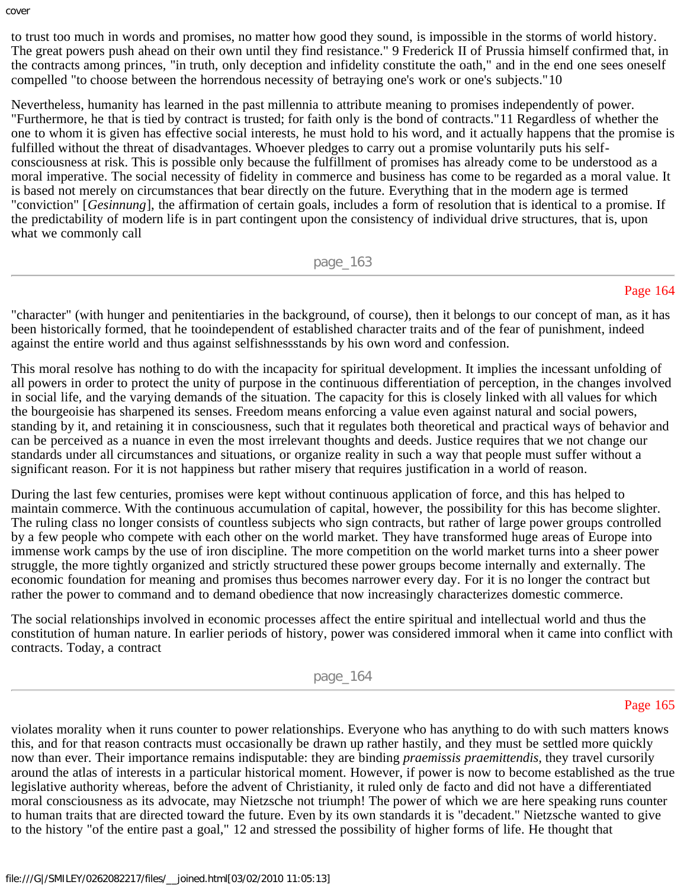to trust too much in words and promises, no matter how good they sound, is impossible in the storms of world history. The great powers push ahead on their own until they find resistance." 9 Frederick II of Prussia himself confirmed that, in the contracts among princes, "in truth, only deception and infidelity constitute the oath," and in the end one sees oneself compelled "to choose between the horrendous necessity of betraying one's work or one's subjects."10

Nevertheless, humanity has learned in the past millennia to attribute meaning to promises independently of power. "Furthermore, he that is tied by contract is trusted; for faith only is the bond of contracts."11 Regardless of whether the one to whom it is given has effective social interests, he must hold to his word, and it actually happens that the promise is fulfilled without the threat of disadvantages. Whoever pledges to carry out a promise voluntarily puts his selfconsciousness at risk. This is possible only because the fulfillment of promises has already come to be understood as a moral imperative. The social necessity of fidelity in commerce and business has come to be regarded as a moral value. It is based not merely on circumstances that bear directly on the future. Everything that in the modern age is termed "conviction" [*Gesinnung*], the affirmation of certain goals, includes a form of resolution that is identical to a promise. If the predictability of modern life is in part contingent upon the consistency of individual drive structures, that is, upon what we commonly call

page\_163

#### Page 164

"character" (with hunger and penitentiaries in the background, of course), then it belongs to our concept of man, as it has been historically formed, that he tooindependent of established character traits and of the fear of punishment, indeed against the entire world and thus against selfishnessstands by his own word and confession.

This moral resolve has nothing to do with the incapacity for spiritual development. It implies the incessant unfolding of all powers in order to protect the unity of purpose in the continuous differentiation of perception, in the changes involved in social life, and the varying demands of the situation. The capacity for this is closely linked with all values for which the bourgeoisie has sharpened its senses. Freedom means enforcing a value even against natural and social powers, standing by it, and retaining it in consciousness, such that it regulates both theoretical and practical ways of behavior and can be perceived as a nuance in even the most irrelevant thoughts and deeds. Justice requires that we not change our standards under all circumstances and situations, or organize reality in such a way that people must suffer without a significant reason. For it is not happiness but rather misery that requires justification in a world of reason.

During the last few centuries, promises were kept without continuous application of force, and this has helped to maintain commerce. With the continuous accumulation of capital, however, the possibility for this has become slighter. The ruling class no longer consists of countless subjects who sign contracts, but rather of large power groups controlled by a few people who compete with each other on the world market. They have transformed huge areas of Europe into immense work camps by the use of iron discipline. The more competition on the world market turns into a sheer power struggle, the more tightly organized and strictly structured these power groups become internally and externally. The economic foundation for meaning and promises thus becomes narrower every day. For it is no longer the contract but rather the power to command and to demand obedience that now increasingly characterizes domestic commerce.

The social relationships involved in economic processes affect the entire spiritual and intellectual world and thus the constitution of human nature. In earlier periods of history, power was considered immoral when it came into conflict with contracts. Today, a contract

page\_164

### Page 165

violates morality when it runs counter to power relationships. Everyone who has anything to do with such matters knows this, and for that reason contracts must occasionally be drawn up rather hastily, and they must be settled more quickly now than ever. Their importance remains indisputable: they are binding *praemissis praemittendis,* they travel cursorily around the atlas of interests in a particular historical moment. However, if power is now to become established as the true legislative authority whereas, before the advent of Christianity, it ruled only de facto and did not have a differentiated moral consciousness as its advocate, may Nietzsche not triumph! The power of which we are here speaking runs counter to human traits that are directed toward the future. Even by its own standards it is "decadent." Nietzsche wanted to give to the history "of the entire past a goal," 12 and stressed the possibility of higher forms of life. He thought that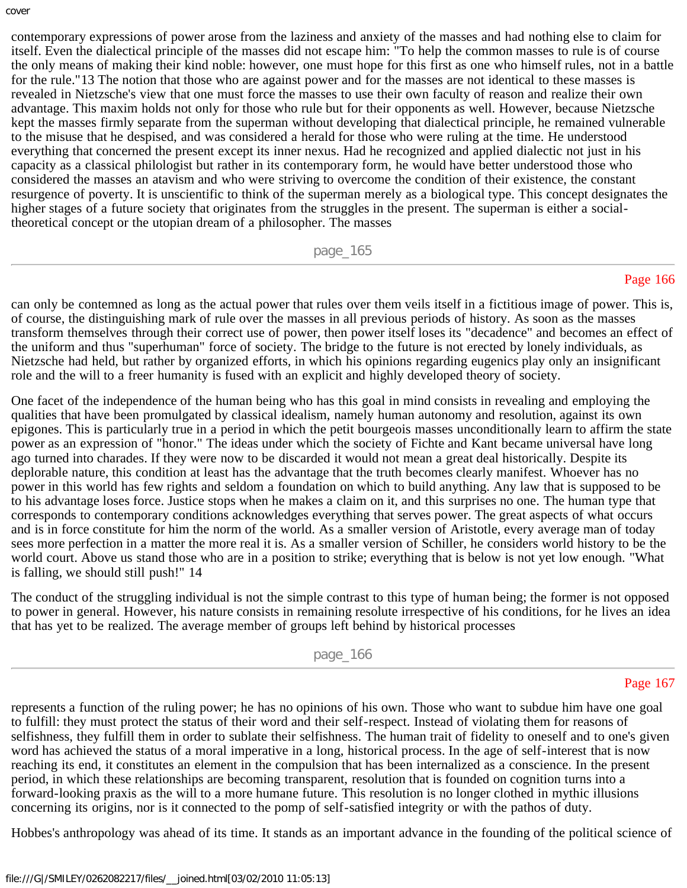contemporary expressions of power arose from the laziness and anxiety of the masses and had nothing else to claim for itself. Even the dialectical principle of the masses did not escape him: "To help the common masses to rule is of course the only means of making their kind noble: however, one must hope for this first as one who himself rules, not in a battle for the rule."13 The notion that those who are against power and for the masses are not identical to these masses is revealed in Nietzsche's view that one must force the masses to use their own faculty of reason and realize their own advantage. This maxim holds not only for those who rule but for their opponents as well. However, because Nietzsche kept the masses firmly separate from the superman without developing that dialectical principle, he remained vulnerable to the misuse that he despised, and was considered a herald for those who were ruling at the time. He understood everything that concerned the present except its inner nexus. Had he recognized and applied dialectic not just in his capacity as a classical philologist but rather in its contemporary form, he would have better understood those who considered the masses an atavism and who were striving to overcome the condition of their existence, the constant resurgence of poverty. It is unscientific to think of the superman merely as a biological type. This concept designates the higher stages of a future society that originates from the struggles in the present. The superman is either a socialtheoretical concept or the utopian dream of a philosopher. The masses

page\_165

### Page 166

can only be contemned as long as the actual power that rules over them veils itself in a fictitious image of power. This is, of course, the distinguishing mark of rule over the masses in all previous periods of history. As soon as the masses transform themselves through their correct use of power, then power itself loses its "decadence" and becomes an effect of the uniform and thus "superhuman" force of society. The bridge to the future is not erected by lonely individuals, as Nietzsche had held, but rather by organized efforts, in which his opinions regarding eugenics play only an insignificant role and the will to a freer humanity is fused with an explicit and highly developed theory of society.

One facet of the independence of the human being who has this goal in mind consists in revealing and employing the qualities that have been promulgated by classical idealism, namely human autonomy and resolution, against its own epigones. This is particularly true in a period in which the petit bourgeois masses unconditionally learn to affirm the state power as an expression of "honor." The ideas under which the society of Fichte and Kant became universal have long ago turned into charades. If they were now to be discarded it would not mean a great deal historically. Despite its deplorable nature, this condition at least has the advantage that the truth becomes clearly manifest. Whoever has no power in this world has few rights and seldom a foundation on which to build anything. Any law that is supposed to be to his advantage loses force. Justice stops when he makes a claim on it, and this surprises no one. The human type that corresponds to contemporary conditions acknowledges everything that serves power. The great aspects of what occurs and is in force constitute for him the norm of the world. As a smaller version of Aristotle, every average man of today sees more perfection in a matter the more real it is. As a smaller version of Schiller, he considers world history to be the world court. Above us stand those who are in a position to strike; everything that is below is not yet low enough. "What is falling, we should still push!" 14

The conduct of the struggling individual is not the simple contrast to this type of human being; the former is not opposed to power in general. However, his nature consists in remaining resolute irrespective of his conditions, for he lives an idea that has yet to be realized. The average member of groups left behind by historical processes

page\_166

Page 167

represents a function of the ruling power; he has no opinions of his own. Those who want to subdue him have one goal to fulfill: they must protect the status of their word and their self-respect. Instead of violating them for reasons of selfishness, they fulfill them in order to sublate their selfishness. The human trait of fidelity to oneself and to one's given word has achieved the status of a moral imperative in a long, historical process. In the age of self-interest that is now reaching its end, it constitutes an element in the compulsion that has been internalized as a conscience. In the present period, in which these relationships are becoming transparent, resolution that is founded on cognition turns into a forward-looking praxis as the will to a more humane future. This resolution is no longer clothed in mythic illusions concerning its origins, nor is it connected to the pomp of self-satisfied integrity or with the pathos of duty.

Hobbes's anthropology was ahead of its time. It stands as an important advance in the founding of the political science of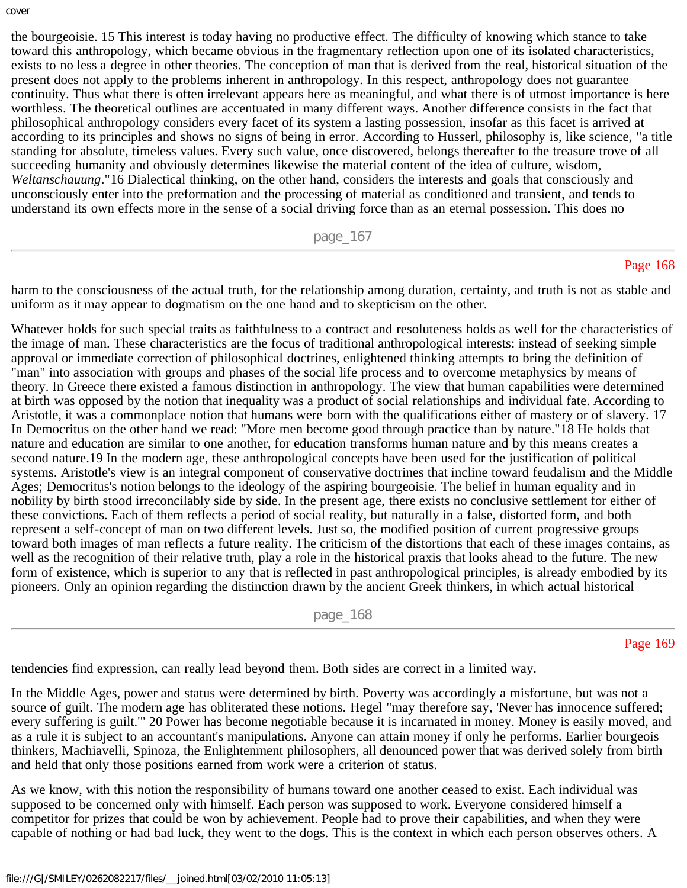the bourgeoisie. 15 This interest is today having no productive effect. The difficulty of knowing which stance to take toward this anthropology, which became obvious in the fragmentary reflection upon one of its isolated characteristics, exists to no less a degree in other theories. The conception of man that is derived from the real, historical situation of the present does not apply to the problems inherent in anthropology. In this respect, anthropology does not guarantee continuity. Thus what there is often irrelevant appears here as meaningful, and what there is of utmost importance is here worthless. The theoretical outlines are accentuated in many different ways. Another difference consists in the fact that philosophical anthropology considers every facet of its system a lasting possession, insofar as this facet is arrived at according to its principles and shows no signs of being in error. According to Husserl, philosophy is, like science, "a title standing for absolute, timeless values. Every such value, once discovered, belongs thereafter to the treasure trove of all succeeding humanity and obviously determines likewise the material content of the idea of culture, wisdom, *Weltanschauung*."16 Dialectical thinking, on the other hand, considers the interests and goals that consciously and unconsciously enter into the preformation and the processing of material as conditioned and transient, and tends to understand its own effects more in the sense of a social driving force than as an eternal possession. This does no

page\_167

#### Page 168

harm to the consciousness of the actual truth, for the relationship among duration, certainty, and truth is not as stable and uniform as it may appear to dogmatism on the one hand and to skepticism on the other.

Whatever holds for such special traits as faithfulness to a contract and resoluteness holds as well for the characteristics of the image of man. These characteristics are the focus of traditional anthropological interests: instead of seeking simple approval or immediate correction of philosophical doctrines, enlightened thinking attempts to bring the definition of "man" into association with groups and phases of the social life process and to overcome metaphysics by means of theory. In Greece there existed a famous distinction in anthropology. The view that human capabilities were determined at birth was opposed by the notion that inequality was a product of social relationships and individual fate. According to Aristotle, it was a commonplace notion that humans were born with the qualifications either of mastery or of slavery. 17 In Democritus on the other hand we read: "More men become good through practice than by nature."18 He holds that nature and education are similar to one another, for education transforms human nature and by this means creates a second nature.19 In the modern age, these anthropological concepts have been used for the justification of political systems. Aristotle's view is an integral component of conservative doctrines that incline toward feudalism and the Middle Ages; Democritus's notion belongs to the ideology of the aspiring bourgeoisie. The belief in human equality and in nobility by birth stood irreconcilably side by side. In the present age, there exists no conclusive settlement for either of these convictions. Each of them reflects a period of social reality, but naturally in a false, distorted form, and both represent a self-concept of man on two different levels. Just so, the modified position of current progressive groups toward both images of man reflects a future reality. The criticism of the distortions that each of these images contains, as well as the recognition of their relative truth, play a role in the historical praxis that looks ahead to the future. The new form of existence, which is superior to any that is reflected in past anthropological principles, is already embodied by its pioneers. Only an opinion regarding the distinction drawn by the ancient Greek thinkers, in which actual historical

page\_168

Page 169

tendencies find expression, can really lead beyond them. Both sides are correct in a limited way.

In the Middle Ages, power and status were determined by birth. Poverty was accordingly a misfortune, but was not a source of guilt. The modern age has obliterated these notions. Hegel "may therefore say, 'Never has innocence suffered; every suffering is guilt.'" 20 Power has become negotiable because it is incarnated in money. Money is easily moved, and as a rule it is subject to an accountant's manipulations. Anyone can attain money if only he performs. Earlier bourgeois thinkers, Machiavelli, Spinoza, the Enlightenment philosophers, all denounced power that was derived solely from birth and held that only those positions earned from work were a criterion of status.

As we know, with this notion the responsibility of humans toward one another ceased to exist. Each individual was supposed to be concerned only with himself. Each person was supposed to work. Everyone considered himself a competitor for prizes that could be won by achievement. People had to prove their capabilities, and when they were capable of nothing or had bad luck, they went to the dogs. This is the context in which each person observes others. A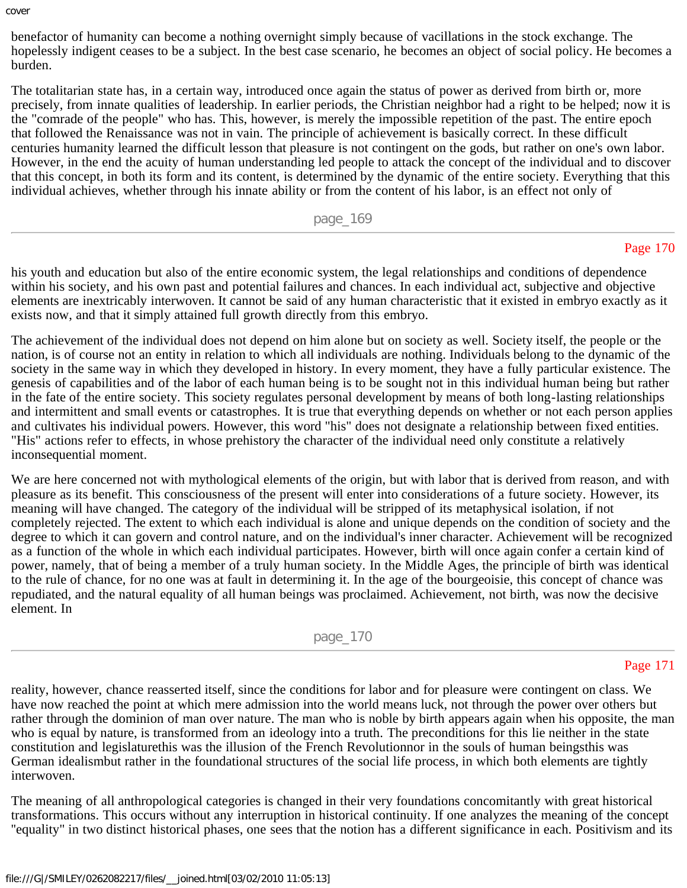benefactor of humanity can become a nothing overnight simply because of vacillations in the stock exchange. The hopelessly indigent ceases to be a subject. In the best case scenario, he becomes an object of social policy. He becomes a burden.

The totalitarian state has, in a certain way, introduced once again the status of power as derived from birth or, more precisely, from innate qualities of leadership. In earlier periods, the Christian neighbor had a right to be helped; now it is the "comrade of the people" who has. This, however, is merely the impossible repetition of the past. The entire epoch that followed the Renaissance was not in vain. The principle of achievement is basically correct. In these difficult centuries humanity learned the difficult lesson that pleasure is not contingent on the gods, but rather on one's own labor. However, in the end the acuity of human understanding led people to attack the concept of the individual and to discover that this concept, in both its form and its content, is determined by the dynamic of the entire society. Everything that this individual achieves, whether through his innate ability or from the content of his labor, is an effect not only of

page\_169

#### Page 170

his youth and education but also of the entire economic system, the legal relationships and conditions of dependence within his society, and his own past and potential failures and chances. In each individual act, subjective and objective elements are inextricably interwoven. It cannot be said of any human characteristic that it existed in embryo exactly as it exists now, and that it simply attained full growth directly from this embryo.

The achievement of the individual does not depend on him alone but on society as well. Society itself, the people or the nation, is of course not an entity in relation to which all individuals are nothing. Individuals belong to the dynamic of the society in the same way in which they developed in history. In every moment, they have a fully particular existence. The genesis of capabilities and of the labor of each human being is to be sought not in this individual human being but rather in the fate of the entire society. This society regulates personal development by means of both long-lasting relationships and intermittent and small events or catastrophes. It is true that everything depends on whether or not each person applies and cultivates his individual powers. However, this word "his" does not designate a relationship between fixed entities. "His" actions refer to effects, in whose prehistory the character of the individual need only constitute a relatively inconsequential moment.

We are here concerned not with mythological elements of the origin, but with labor that is derived from reason, and with pleasure as its benefit. This consciousness of the present will enter into considerations of a future society. However, its meaning will have changed. The category of the individual will be stripped of its metaphysical isolation, if not completely rejected. The extent to which each individual is alone and unique depends on the condition of society and the degree to which it can govern and control nature, and on the individual's inner character. Achievement will be recognized as a function of the whole in which each individual participates. However, birth will once again confer a certain kind of power, namely, that of being a member of a truly human society. In the Middle Ages, the principle of birth was identical to the rule of chance, for no one was at fault in determining it. In the age of the bourgeoisie, this concept of chance was repudiated, and the natural equality of all human beings was proclaimed. Achievement, not birth, was now the decisive element. In

page\_170

# Page 171

reality, however, chance reasserted itself, since the conditions for labor and for pleasure were contingent on class. We have now reached the point at which mere admission into the world means luck, not through the power over others but rather through the dominion of man over nature. The man who is noble by birth appears again when his opposite, the man who is equal by nature, is transformed from an ideology into a truth. The preconditions for this lie neither in the state constitution and legislaturethis was the illusion of the French Revolutionnor in the souls of human beingsthis was German idealismbut rather in the foundational structures of the social life process, in which both elements are tightly interwoven.

The meaning of all anthropological categories is changed in their very foundations concomitantly with great historical transformations. This occurs without any interruption in historical continuity. If one analyzes the meaning of the concept "equality" in two distinct historical phases, one sees that the notion has a different significance in each. Positivism and its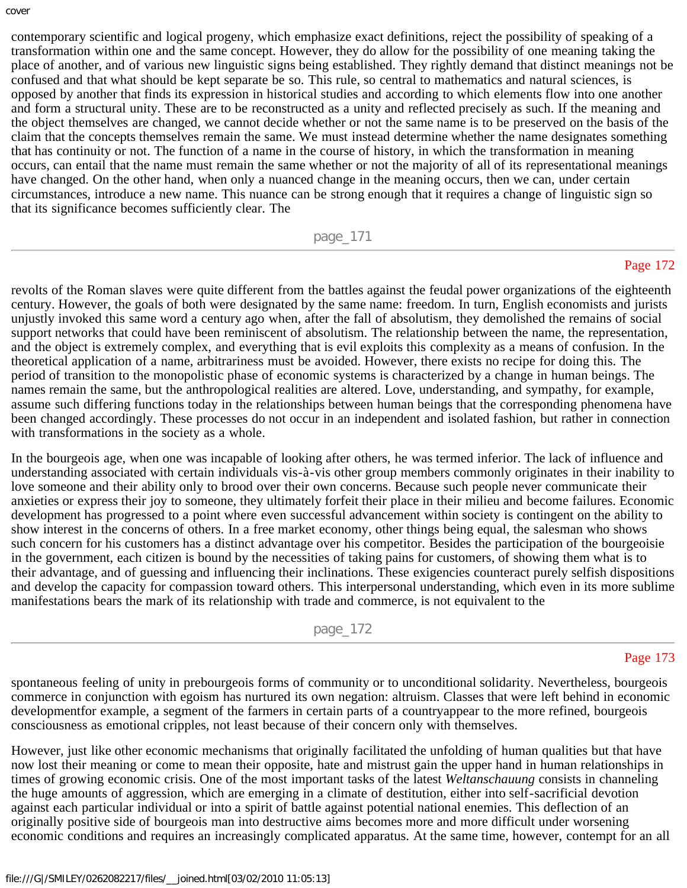contemporary scientific and logical progeny, which emphasize exact definitions, reject the possibility of speaking of a transformation within one and the same concept. However, they do allow for the possibility of one meaning taking the place of another, and of various new linguistic signs being established. They rightly demand that distinct meanings not be confused and that what should be kept separate be so. This rule, so central to mathematics and natural sciences, is opposed by another that finds its expression in historical studies and according to which elements flow into one another and form a structural unity. These are to be reconstructed as a unity and reflected precisely as such. If the meaning and the object themselves are changed, we cannot decide whether or not the same name is to be preserved on the basis of the claim that the concepts themselves remain the same. We must instead determine whether the name designates something that has continuity or not. The function of a name in the course of history, in which the transformation in meaning occurs, can entail that the name must remain the same whether or not the majority of all of its representational meanings have changed. On the other hand, when only a nuanced change in the meaning occurs, then we can, under certain circumstances, introduce a new name. This nuance can be strong enough that it requires a change of linguistic sign so that its significance becomes sufficiently clear. The

page\_171

### Page 172

revolts of the Roman slaves were quite different from the battles against the feudal power organizations of the eighteenth century. However, the goals of both were designated by the same name: freedom. In turn, English economists and jurists unjustly invoked this same word a century ago when, after the fall of absolutism, they demolished the remains of social support networks that could have been reminiscent of absolutism. The relationship between the name, the representation, and the object is extremely complex, and everything that is evil exploits this complexity as a means of confusion. In the theoretical application of a name, arbitrariness must be avoided. However, there exists no recipe for doing this. The period of transition to the monopolistic phase of economic systems is characterized by a change in human beings. The names remain the same, but the anthropological realities are altered. Love, understanding, and sympathy, for example, assume such differing functions today in the relationships between human beings that the corresponding phenomena have been changed accordingly. These processes do not occur in an independent and isolated fashion, but rather in connection with transformations in the society as a whole.

In the bourgeois age, when one was incapable of looking after others, he was termed inferior. The lack of influence and understanding associated with certain individuals vis-à-vis other group members commonly originates in their inability to love someone and their ability only to brood over their own concerns. Because such people never communicate their anxieties or express their joy to someone, they ultimately forfeit their place in their milieu and become failures. Economic development has progressed to a point where even successful advancement within society is contingent on the ability to show interest in the concerns of others. In a free market economy, other things being equal, the salesman who shows such concern for his customers has a distinct advantage over his competitor. Besides the participation of the bourgeoisie in the government, each citizen is bound by the necessities of taking pains for customers, of showing them what is to their advantage, and of guessing and influencing their inclinations. These exigencies counteract purely selfish dispositions and develop the capacity for compassion toward others. This interpersonal understanding, which even in its more sublime manifestations bears the mark of its relationship with trade and commerce, is not equivalent to the

page\_172

#### Page 173

spontaneous feeling of unity in prebourgeois forms of community or to unconditional solidarity. Nevertheless, bourgeois commerce in conjunction with egoism has nurtured its own negation: altruism. Classes that were left behind in economic developmentfor example, a segment of the farmers in certain parts of a countryappear to the more refined, bourgeois consciousness as emotional cripples, not least because of their concern only with themselves.

However, just like other economic mechanisms that originally facilitated the unfolding of human qualities but that have now lost their meaning or come to mean their opposite, hate and mistrust gain the upper hand in human relationships in times of growing economic crisis. One of the most important tasks of the latest *Weltanschauung* consists in channeling the huge amounts of aggression, which are emerging in a climate of destitution, either into self-sacrificial devotion against each particular individual or into a spirit of battle against potential national enemies. This deflection of an originally positive side of bourgeois man into destructive aims becomes more and more difficult under worsening economic conditions and requires an increasingly complicated apparatus. At the same time, however, contempt for an all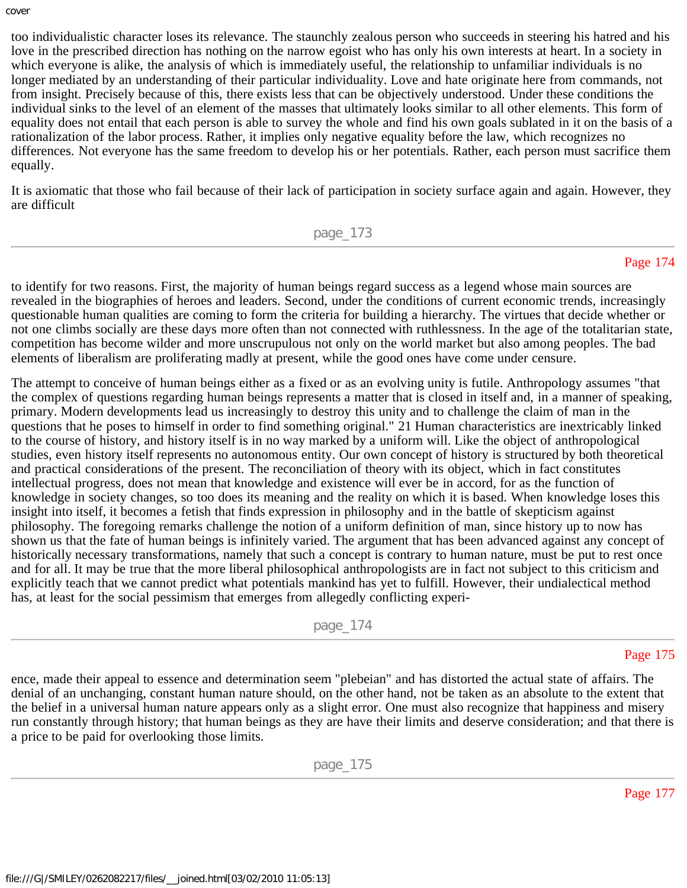too individualistic character loses its relevance. The staunchly zealous person who succeeds in steering his hatred and his love in the prescribed direction has nothing on the narrow egoist who has only his own interests at heart. In a society in which everyone is alike, the analysis of which is immediately useful, the relationship to unfamiliar individuals is no longer mediated by an understanding of their particular individuality. Love and hate originate here from commands, not from insight. Precisely because of this, there exists less that can be objectively understood. Under these conditions the individual sinks to the level of an element of the masses that ultimately looks similar to all other elements. This form of equality does not entail that each person is able to survey the whole and find his own goals sublated in it on the basis of a rationalization of the labor process. Rather, it implies only negative equality before the law, which recognizes no differences. Not everyone has the same freedom to develop his or her potentials. Rather, each person must sacrifice them equally.

It is axiomatic that those who fail because of their lack of participation in society surface again and again. However, they are difficult

page\_173

### Page 174

to identify for two reasons. First, the majority of human beings regard success as a legend whose main sources are revealed in the biographies of heroes and leaders. Second, under the conditions of current economic trends, increasingly questionable human qualities are coming to form the criteria for building a hierarchy. The virtues that decide whether or not one climbs socially are these days more often than not connected with ruthlessness. In the age of the totalitarian state, competition has become wilder and more unscrupulous not only on the world market but also among peoples. The bad elements of liberalism are proliferating madly at present, while the good ones have come under censure.

The attempt to conceive of human beings either as a fixed or as an evolving unity is futile. Anthropology assumes "that the complex of questions regarding human beings represents a matter that is closed in itself and, in a manner of speaking, primary. Modern developments lead us increasingly to destroy this unity and to challenge the claim of man in the questions that he poses to himself in order to find something original." 21 Human characteristics are inextricably linked to the course of history, and history itself is in no way marked by a uniform will. Like the object of anthropological studies, even history itself represents no autonomous entity. Our own concept of history is structured by both theoretical and practical considerations of the present. The reconciliation of theory with its object, which in fact constitutes intellectual progress, does not mean that knowledge and existence will ever be in accord, for as the function of knowledge in society changes, so too does its meaning and the reality on which it is based. When knowledge loses this insight into itself, it becomes a fetish that finds expression in philosophy and in the battle of skepticism against philosophy. The foregoing remarks challenge the notion of a uniform definition of man, since history up to now has shown us that the fate of human beings is infinitely varied. The argument that has been advanced against any concept of historically necessary transformations, namely that such a concept is contrary to human nature, must be put to rest once and for all. It may be true that the more liberal philosophical anthropologists are in fact not subject to this criticism and explicitly teach that we cannot predict what potentials mankind has yet to fulfill. However, their undialectical method has, at least for the social pessimism that emerges from allegedly conflicting experi-

page\_174

# Page 175

ence, made their appeal to essence and determination seem "plebeian" and has distorted the actual state of affairs. The denial of an unchanging, constant human nature should, on the other hand, not be taken as an absolute to the extent that the belief in a universal human nature appears only as a slight error. One must also recognize that happiness and misery run constantly through history; that human beings as they are have their limits and deserve consideration; and that there is a price to be paid for overlooking those limits.

page\_175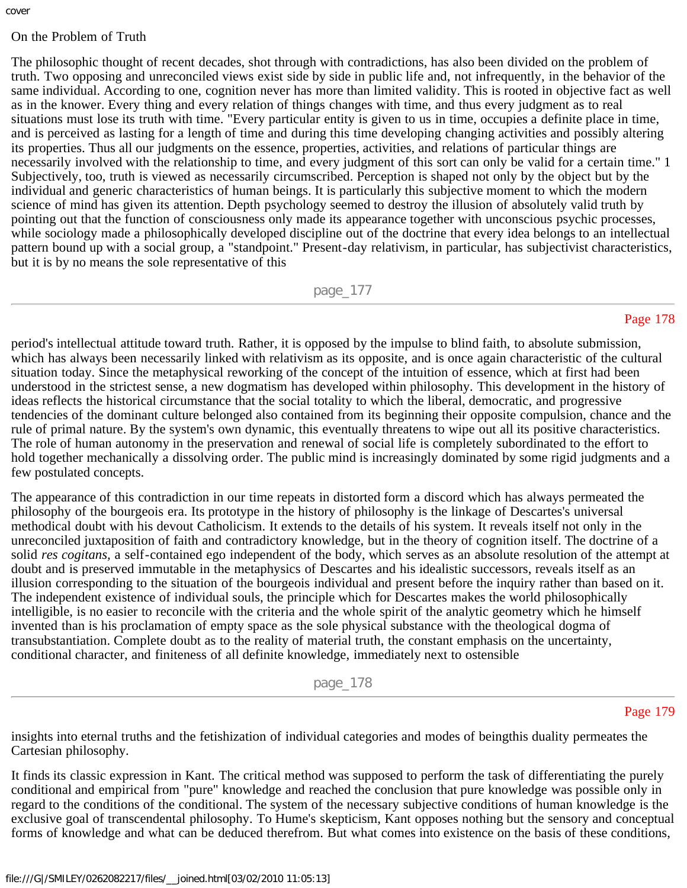# On the Problem of Truth

The philosophic thought of recent decades, shot through with contradictions, has also been divided on the problem of truth. Two opposing and unreconciled views exist side by side in public life and, not infrequently, in the behavior of the same individual. According to one, cognition never has more than limited validity. This is rooted in objective fact as well as in the knower. Every thing and every relation of things changes with time, and thus every judgment as to real situations must lose its truth with time. "Every particular entity is given to us in time, occupies a definite place in time, and is perceived as lasting for a length of time and during this time developing changing activities and possibly altering its properties. Thus all our judgments on the essence, properties, activities, and relations of particular things are necessarily involved with the relationship to time, and every judgment of this sort can only be valid for a certain time." 1 Subjectively, too, truth is viewed as necessarily circumscribed. Perception is shaped not only by the object but by the individual and generic characteristics of human beings. It is particularly this subjective moment to which the modern science of mind has given its attention. Depth psychology seemed to destroy the illusion of absolutely valid truth by pointing out that the function of consciousness only made its appearance together with unconscious psychic processes, while sociology made a philosophically developed discipline out of the doctrine that every idea belongs to an intellectual pattern bound up with a social group, a "standpoint." Present-day relativism, in particular, has subjectivist characteristics, but it is by no means the sole representative of this

page\_177

### Page 178

period's intellectual attitude toward truth. Rather, it is opposed by the impulse to blind faith, to absolute submission, which has always been necessarily linked with relativism as its opposite, and is once again characteristic of the cultural situation today. Since the metaphysical reworking of the concept of the intuition of essence, which at first had been understood in the strictest sense, a new dogmatism has developed within philosophy. This development in the history of ideas reflects the historical circumstance that the social totality to which the liberal, democratic, and progressive tendencies of the dominant culture belonged also contained from its beginning their opposite compulsion, chance and the rule of primal nature. By the system's own dynamic, this eventually threatens to wipe out all its positive characteristics. The role of human autonomy in the preservation and renewal of social life is completely subordinated to the effort to hold together mechanically a dissolving order. The public mind is increasingly dominated by some rigid judgments and a few postulated concepts.

The appearance of this contradiction in our time repeats in distorted form a discord which has always permeated the philosophy of the bourgeois era. Its prototype in the history of philosophy is the linkage of Descartes's universal methodical doubt with his devout Catholicism. It extends to the details of his system. It reveals itself not only in the unreconciled juxtaposition of faith and contradictory knowledge, but in the theory of cognition itself. The doctrine of a solid *res cogitans,* a self-contained ego independent of the body, which serves as an absolute resolution of the attempt at doubt and is preserved immutable in the metaphysics of Descartes and his idealistic successors, reveals itself as an illusion corresponding to the situation of the bourgeois individual and present before the inquiry rather than based on it. The independent existence of individual souls, the principle which for Descartes makes the world philosophically intelligible, is no easier to reconcile with the criteria and the whole spirit of the analytic geometry which he himself invented than is his proclamation of empty space as the sole physical substance with the theological dogma of transubstantiation. Complete doubt as to the reality of material truth, the constant emphasis on the uncertainty, conditional character, and finiteness of all definite knowledge, immediately next to ostensible

page\_178

#### Page 179

insights into eternal truths and the fetishization of individual categories and modes of beingthis duality permeates the Cartesian philosophy.

It finds its classic expression in Kant. The critical method was supposed to perform the task of differentiating the purely conditional and empirical from "pure" knowledge and reached the conclusion that pure knowledge was possible only in regard to the conditions of the conditional. The system of the necessary subjective conditions of human knowledge is the exclusive goal of transcendental philosophy. To Hume's skepticism, Kant opposes nothing but the sensory and conceptual forms of knowledge and what can be deduced therefrom. But what comes into existence on the basis of these conditions,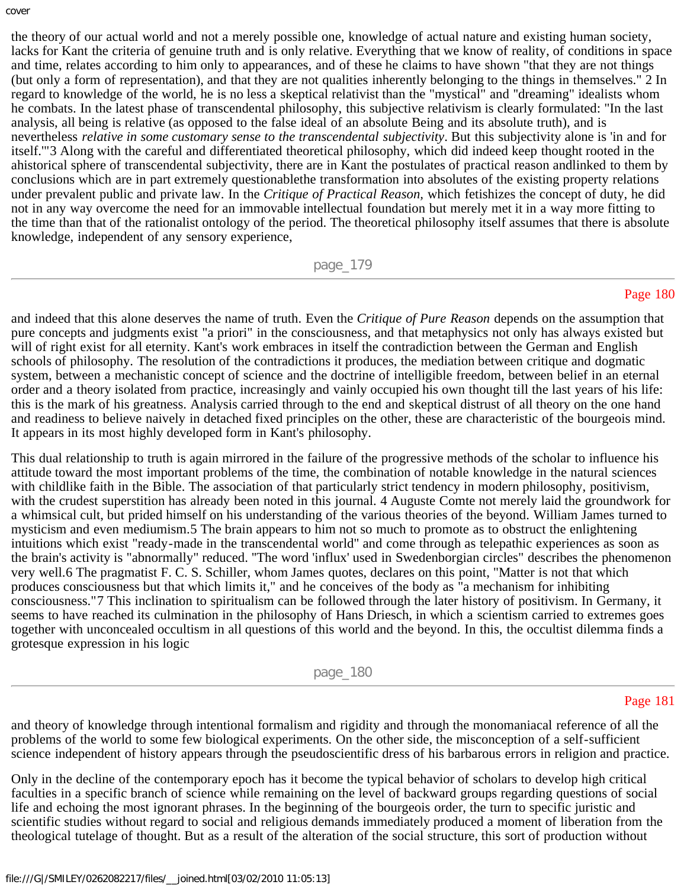the theory of our actual world and not a merely possible one, knowledge of actual nature and existing human society, lacks for Kant the criteria of genuine truth and is only relative. Everything that we know of reality, of conditions in space and time, relates according to him only to appearances, and of these he claims to have shown "that they are not things (but only a form of representation), and that they are not qualities inherently belonging to the things in themselves." 2 In regard to knowledge of the world, he is no less a skeptical relativist than the "mystical" and ''dreaming" idealists whom he combats. In the latest phase of transcendental philosophy, this subjective relativism is clearly formulated: "In the last analysis, all being is relative (as opposed to the false ideal of an absolute Being and its absolute truth), and is nevertheless *relative in some customary sense to the transcendental subjectivity*. But this subjectivity alone is 'in and for itself.'"3 Along with the careful and differentiated theoretical philosophy, which did indeed keep thought rooted in the ahistorical sphere of transcendental subjectivity, there are in Kant the postulates of practical reason andlinked to them by conclusions which are in part extremely questionablethe transformation into absolutes of the existing property relations under prevalent public and private law. In the *Critique of Practical Reason,* which fetishizes the concept of duty, he did not in any way overcome the need for an immovable intellectual foundation but merely met it in a way more fitting to the time than that of the rationalist ontology of the period. The theoretical philosophy itself assumes that there is absolute knowledge, independent of any sensory experience,

page\_179

#### Page 180

and indeed that this alone deserves the name of truth. Even the *Critique of Pure Reason* depends on the assumption that pure concepts and judgments exist "a priori" in the consciousness, and that metaphysics not only has always existed but will of right exist for all eternity. Kant's work embraces in itself the contradiction between the German and English schools of philosophy. The resolution of the contradictions it produces, the mediation between critique and dogmatic system, between a mechanistic concept of science and the doctrine of intelligible freedom, between belief in an eternal order and a theory isolated from practice, increasingly and vainly occupied his own thought till the last years of his life: this is the mark of his greatness. Analysis carried through to the end and skeptical distrust of all theory on the one hand and readiness to believe naively in detached fixed principles on the other, these are characteristic of the bourgeois mind. It appears in its most highly developed form in Kant's philosophy.

This dual relationship to truth is again mirrored in the failure of the progressive methods of the scholar to influence his attitude toward the most important problems of the time, the combination of notable knowledge in the natural sciences with childlike faith in the Bible. The association of that particularly strict tendency in modern philosophy, positivism, with the crudest superstition has already been noted in this journal. 4 Auguste Comte not merely laid the groundwork for a whimsical cult, but prided himself on his understanding of the various theories of the beyond. William James turned to mysticism and even mediumism.5 The brain appears to him not so much to promote as to obstruct the enlightening intuitions which exist "ready-made in the transcendental world" and come through as telepathic experiences as soon as the brain's activity is "abnormally" reduced. ''The word 'influx' used in Swedenborgian circles" describes the phenomenon very well.6 The pragmatist F. C. S. Schiller, whom James quotes, declares on this point, "Matter is not that which produces consciousness but that which limits it," and he conceives of the body as "a mechanism for inhibiting consciousness."7 This inclination to spiritualism can be followed through the later history of positivism. In Germany, it seems to have reached its culmination in the philosophy of Hans Driesch, in which a scientism carried to extremes goes together with unconcealed occultism in all questions of this world and the beyond. In this, the occultist dilemma finds a grotesque expression in his logic

page\_180

### Page 181

and theory of knowledge through intentional formalism and rigidity and through the monomaniacal reference of all the problems of the world to some few biological experiments. On the other side, the misconception of a self-sufficient science independent of history appears through the pseudoscientific dress of his barbarous errors in religion and practice.

Only in the decline of the contemporary epoch has it become the typical behavior of scholars to develop high critical faculties in a specific branch of science while remaining on the level of backward groups regarding questions of social life and echoing the most ignorant phrases. In the beginning of the bourgeois order, the turn to specific juristic and scientific studies without regard to social and religious demands immediately produced a moment of liberation from the theological tutelage of thought. But as a result of the alteration of the social structure, this sort of production without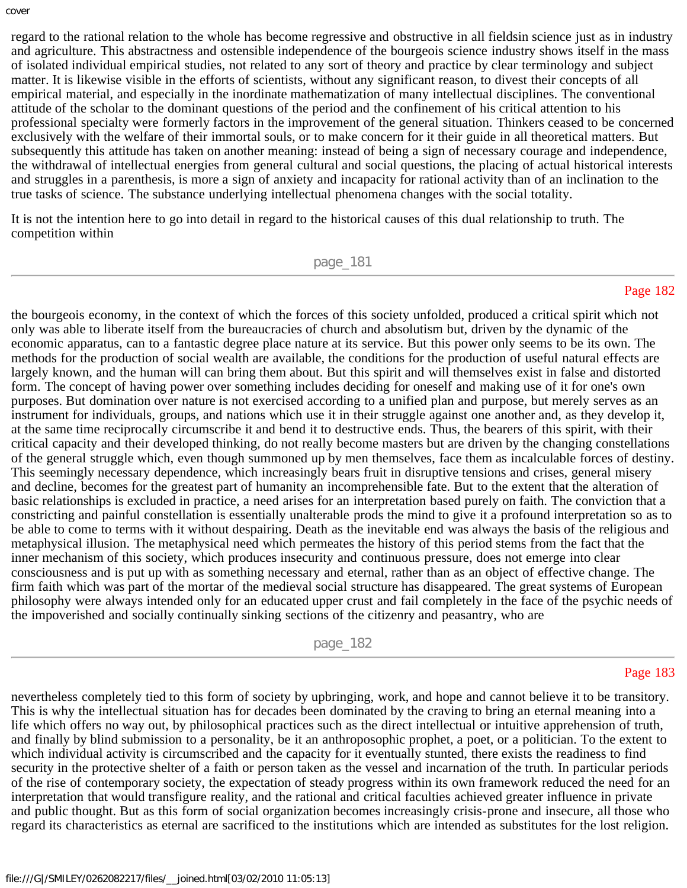regard to the rational relation to the whole has become regressive and obstructive in all fieldsin science just as in industry and agriculture. This abstractness and ostensible independence of the bourgeois science industry shows itself in the mass of isolated individual empirical studies, not related to any sort of theory and practice by clear terminology and subject matter. It is likewise visible in the efforts of scientists, without any significant reason, to divest their concepts of all empirical material, and especially in the inordinate mathematization of many intellectual disciplines. The conventional attitude of the scholar to the dominant questions of the period and the confinement of his critical attention to his professional specialty were formerly factors in the improvement of the general situation. Thinkers ceased to be concerned exclusively with the welfare of their immortal souls, or to make concern for it their guide in all theoretical matters. But subsequently this attitude has taken on another meaning: instead of being a sign of necessary courage and independence, the withdrawal of intellectual energies from general cultural and social questions, the placing of actual historical interests and struggles in a parenthesis, is more a sign of anxiety and incapacity for rational activity than of an inclination to the true tasks of science. The substance underlying intellectual phenomena changes with the social totality.

It is not the intention here to go into detail in regard to the historical causes of this dual relationship to truth. The competition within

page\_181

#### Page 182

the bourgeois economy, in the context of which the forces of this society unfolded, produced a critical spirit which not only was able to liberate itself from the bureaucracies of church and absolutism but, driven by the dynamic of the economic apparatus, can to a fantastic degree place nature at its service. But this power only seems to be its own. The methods for the production of social wealth are available, the conditions for the production of useful natural effects are largely known, and the human will can bring them about. But this spirit and will themselves exist in false and distorted form. The concept of having power over something includes deciding for oneself and making use of it for one's own purposes. But domination over nature is not exercised according to a unified plan and purpose, but merely serves as an instrument for individuals, groups, and nations which use it in their struggle against one another and, as they develop it, at the same time reciprocally circumscribe it and bend it to destructive ends. Thus, the bearers of this spirit, with their critical capacity and their developed thinking, do not really become masters but are driven by the changing constellations of the general struggle which, even though summoned up by men themselves, face them as incalculable forces of destiny. This seemingly necessary dependence, which increasingly bears fruit in disruptive tensions and crises, general misery and decline, becomes for the greatest part of humanity an incomprehensible fate. But to the extent that the alteration of basic relationships is excluded in practice, a need arises for an interpretation based purely on faith. The conviction that a constricting and painful constellation is essentially unalterable prods the mind to give it a profound interpretation so as to be able to come to terms with it without despairing. Death as the inevitable end was always the basis of the religious and metaphysical illusion. The metaphysical need which permeates the history of this period stems from the fact that the inner mechanism of this society, which produces insecurity and continuous pressure, does not emerge into clear consciousness and is put up with as something necessary and eternal, rather than as an object of effective change. The firm faith which was part of the mortar of the medieval social structure has disappeared. The great systems of European philosophy were always intended only for an educated upper crust and fail completely in the face of the psychic needs of the impoverished and socially continually sinking sections of the citizenry and peasantry, who are

page\_182

#### Page 183

nevertheless completely tied to this form of society by upbringing, work, and hope and cannot believe it to be transitory. This is why the intellectual situation has for decades been dominated by the craving to bring an eternal meaning into a life which offers no way out, by philosophical practices such as the direct intellectual or intuitive apprehension of truth, and finally by blind submission to a personality, be it an anthroposophic prophet, a poet, or a politician. To the extent to which individual activity is circumscribed and the capacity for it eventually stunted, there exists the readiness to find security in the protective shelter of a faith or person taken as the vessel and incarnation of the truth. In particular periods of the rise of contemporary society, the expectation of steady progress within its own framework reduced the need for an interpretation that would transfigure reality, and the rational and critical faculties achieved greater influence in private and public thought. But as this form of social organization becomes increasingly crisis-prone and insecure, all those who regard its characteristics as eternal are sacrificed to the institutions which are intended as substitutes for the lost religion.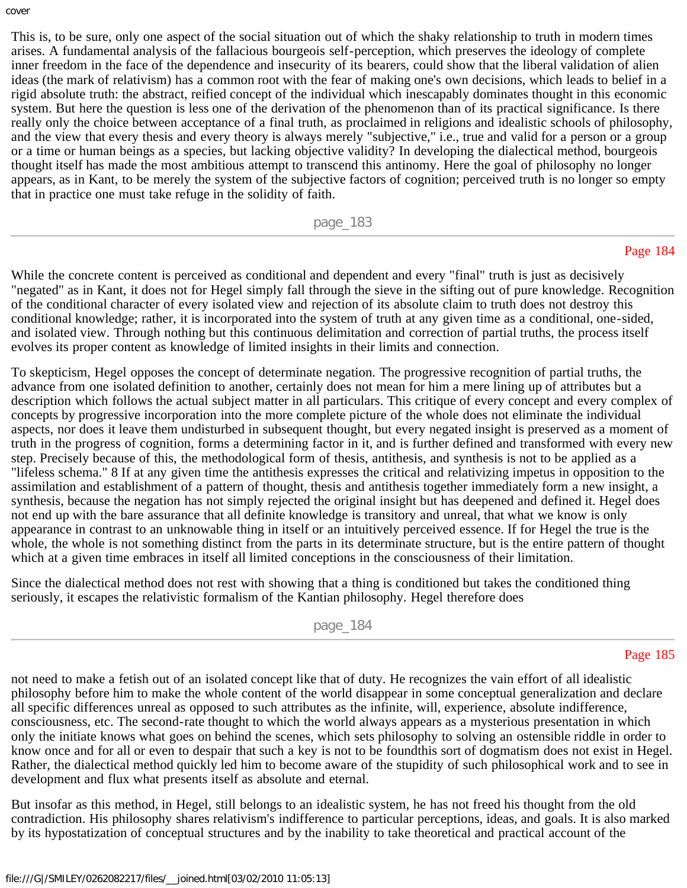This is, to be sure, only one aspect of the social situation out of which the shaky relationship to truth in modern times arises. A fundamental analysis of the fallacious bourgeois self-perception, which preserves the ideology of complete inner freedom in the face of the dependence and insecurity of its bearers, could show that the liberal validation of alien ideas (the mark of relativism) has a common root with the fear of making one's own decisions, which leads to belief in a rigid absolute truth: the abstract, reified concept of the individual which inescapably dominates thought in this economic system. But here the question is less one of the derivation of the phenomenon than of its practical significance. Is there really only the choice between acceptance of a final truth, as proclaimed in religions and idealistic schools of philosophy, and the view that every thesis and every theory is always merely "subjective," i.e., true and valid for a person or a group or a time or human beings as a species, but lacking objective validity? In developing the dialectical method, bourgeois thought itself has made the most ambitious attempt to transcend this antinomy. Here the goal of philosophy no longer appears, as in Kant, to be merely the system of the subjective factors of cognition; perceived truth is no longer so empty that in practice one must take refuge in the solidity of faith.

page\_183

#### Page 184

While the concrete content is perceived as conditional and dependent and every "final" truth is just as decisively "negated" as in Kant, it does not for Hegel simply fall through the sieve in the sifting out of pure knowledge. Recognition of the conditional character of every isolated view and rejection of its absolute claim to truth does not destroy this conditional knowledge; rather, it is incorporated into the system of truth at any given time as a conditional, one-sided, and isolated view. Through nothing but this continuous delimitation and correction of partial truths, the process itself evolves its proper content as knowledge of limited insights in their limits and connection.

To skepticism, Hegel opposes the concept of determinate negation. The progressive recognition of partial truths, the advance from one isolated definition to another, certainly does not mean for him a mere lining up of attributes but a description which follows the actual subject matter in all particulars. This critique of every concept and every complex of concepts by progressive incorporation into the more complete picture of the whole does not eliminate the individual aspects, nor does it leave them undisturbed in subsequent thought, but every negated insight is preserved as a moment of truth in the progress of cognition, forms a determining factor in it, and is further defined and transformed with every new step. Precisely because of this, the methodological form of thesis, antithesis, and synthesis is not to be applied as a "lifeless schema." 8 If at any given time the antithesis expresses the critical and relativizing impetus in opposition to the assimilation and establishment of a pattern of thought, thesis and antithesis together immediately form a new insight, a synthesis, because the negation has not simply rejected the original insight but has deepened and defined it. Hegel does not end up with the bare assurance that all definite knowledge is transitory and unreal, that what we know is only appearance in contrast to an unknowable thing in itself or an intuitively perceived essence. If for Hegel the true is the whole, the whole is not something distinct from the parts in its determinate structure, but is the entire pattern of thought which at a given time embraces in itself all limited conceptions in the consciousness of their limitation.

Since the dialectical method does not rest with showing that a thing is conditioned but takes the conditioned thing seriously, it escapes the relativistic formalism of the Kantian philosophy. Hegel therefore does

page\_184

#### Page 185

not need to make a fetish out of an isolated concept like that of duty. He recognizes the vain effort of all idealistic philosophy before him to make the whole content of the world disappear in some conceptual generalization and declare all specific differences unreal as opposed to such attributes as the infinite, will, experience, absolute indifference, consciousness, etc. The second-rate thought to which the world always appears as a mysterious presentation in which only the initiate knows what goes on behind the scenes, which sets philosophy to solving an ostensible riddle in order to know once and for all or even to despair that such a key is not to be foundthis sort of dogmatism does not exist in Hegel. Rather, the dialectical method quickly led him to become aware of the stupidity of such philosophical work and to see in development and flux what presents itself as absolute and eternal.

But insofar as this method, in Hegel, still belongs to an idealistic system, he has not freed his thought from the old contradiction. His philosophy shares relativism's indifference to particular perceptions, ideas, and goals. It is also marked by its hypostatization of conceptual structures and by the inability to take theoretical and practical account of the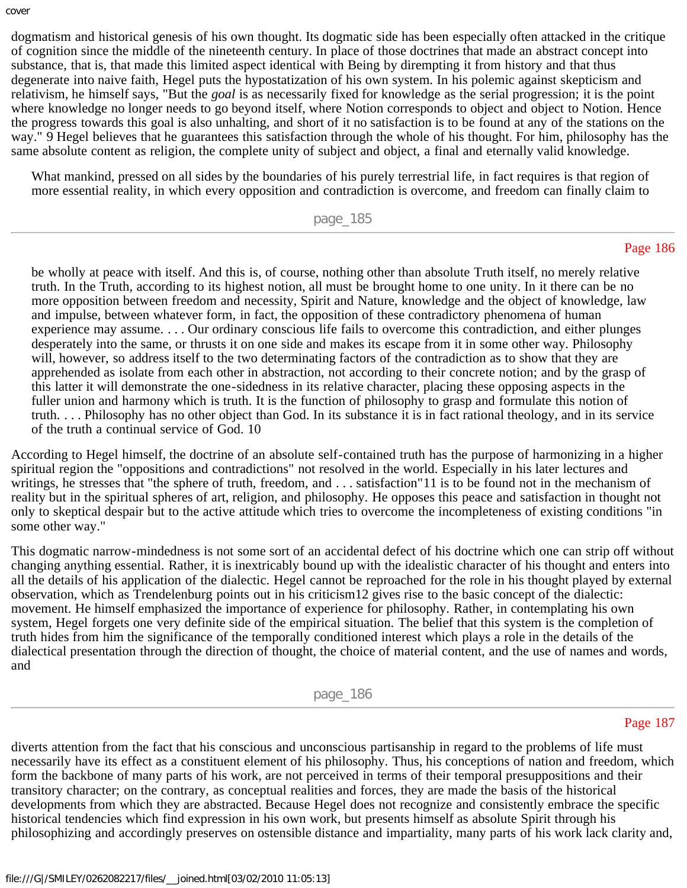dogmatism and historical genesis of his own thought. Its dogmatic side has been especially often attacked in the critique of cognition since the middle of the nineteenth century. In place of those doctrines that made an abstract concept into substance, that is, that made this limited aspect identical with Being by dirempting it from history and that thus degenerate into naive faith, Hegel puts the hypostatization of his own system. In his polemic against skepticism and relativism, he himself says, "But the *goal* is as necessarily fixed for knowledge as the serial progression; it is the point where knowledge no longer needs to go beyond itself, where Notion corresponds to object and object to Notion. Hence the progress towards this goal is also unhalting, and short of it no satisfaction is to be found at any of the stations on the way." 9 Hegel believes that he guarantees this satisfaction through the whole of his thought. For him, philosophy has the same absolute content as religion, the complete unity of subject and object, a final and eternally valid knowledge.

What mankind, pressed on all sides by the boundaries of his purely terrestrial life, in fact requires is that region of more essential reality, in which every opposition and contradiction is overcome, and freedom can finally claim to

page\_185

### Page 186

be wholly at peace with itself. And this is, of course, nothing other than absolute Truth itself, no merely relative truth. In the Truth, according to its highest notion, all must be brought home to one unity. In it there can be no more opposition between freedom and necessity, Spirit and Nature, knowledge and the object of knowledge, law and impulse, between whatever form, in fact, the opposition of these contradictory phenomena of human experience may assume. . . . Our ordinary conscious life fails to overcome this contradiction, and either plunges desperately into the same, or thrusts it on one side and makes its escape from it in some other way. Philosophy will, however, so address itself to the two determinating factors of the contradiction as to show that they are apprehended as isolate from each other in abstraction, not according to their concrete notion; and by the grasp of this latter it will demonstrate the one-sidedness in its relative character, placing these opposing aspects in the fuller union and harmony which is truth. It is the function of philosophy to grasp and formulate this notion of truth. . . . Philosophy has no other object than God. In its substance it is in fact rational theology, and in its service of the truth a continual service of God. 10

According to Hegel himself, the doctrine of an absolute self-contained truth has the purpose of harmonizing in a higher spiritual region the "oppositions and contradictions" not resolved in the world. Especially in his later lectures and writings, he stresses that "the sphere of truth, freedom, and . . . satisfaction"11 is to be found not in the mechanism of reality but in the spiritual spheres of art, religion, and philosophy. He opposes this peace and satisfaction in thought not only to skeptical despair but to the active attitude which tries to overcome the incompleteness of existing conditions "in some other way."

This dogmatic narrow-mindedness is not some sort of an accidental defect of his doctrine which one can strip off without changing anything essential. Rather, it is inextricably bound up with the idealistic character of his thought and enters into all the details of his application of the dialectic. Hegel cannot be reproached for the role in his thought played by external observation, which as Trendelenburg points out in his criticism12 gives rise to the basic concept of the dialectic: movement. He himself emphasized the importance of experience for philosophy. Rather, in contemplating his own system, Hegel forgets one very definite side of the empirical situation. The belief that this system is the completion of truth hides from him the significance of the temporally conditioned interest which plays a role in the details of the dialectical presentation through the direction of thought, the choice of material content, and the use of names and words, and

page\_186

### Page 187

diverts attention from the fact that his conscious and unconscious partisanship in regard to the problems of life must necessarily have its effect as a constituent element of his philosophy. Thus, his conceptions of nation and freedom, which form the backbone of many parts of his work, are not perceived in terms of their temporal presuppositions and their transitory character; on the contrary, as conceptual realities and forces, they are made the basis of the historical developments from which they are abstracted. Because Hegel does not recognize and consistently embrace the specific historical tendencies which find expression in his own work, but presents himself as absolute Spirit through his philosophizing and accordingly preserves on ostensible distance and impartiality, many parts of his work lack clarity and,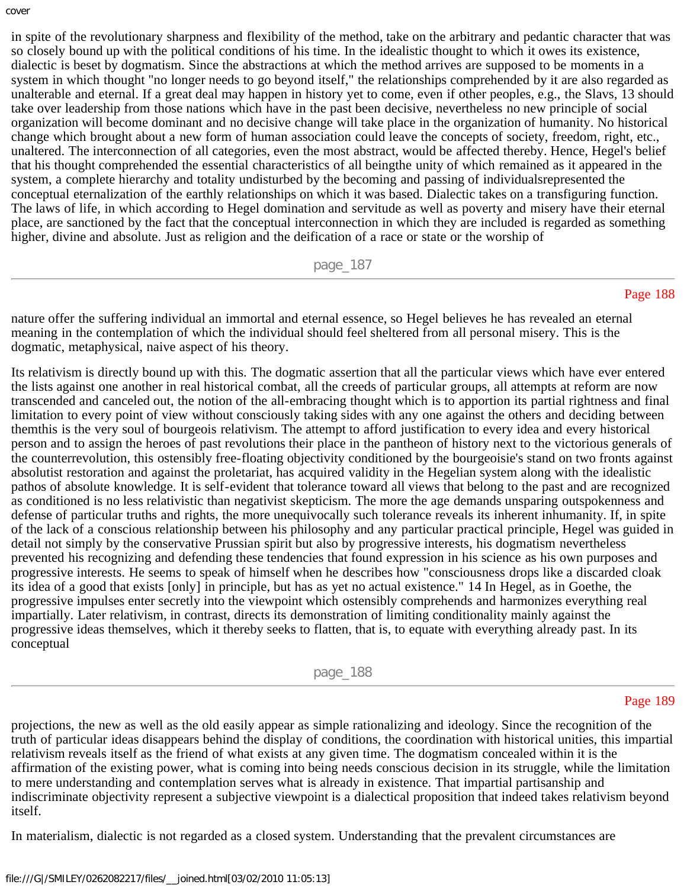in spite of the revolutionary sharpness and flexibility of the method, take on the arbitrary and pedantic character that was so closely bound up with the political conditions of his time. In the idealistic thought to which it owes its existence, dialectic is beset by dogmatism. Since the abstractions at which the method arrives are supposed to be moments in a system in which thought "no longer needs to go beyond itself," the relationships comprehended by it are also regarded as unalterable and eternal. If a great deal may happen in history yet to come, even if other peoples, e.g., the Slavs, 13 should take over leadership from those nations which have in the past been decisive, nevertheless no new principle of social organization will become dominant and no decisive change will take place in the organization of humanity. No historical change which brought about a new form of human association could leave the concepts of society, freedom, right, etc., unaltered. The interconnection of all categories, even the most abstract, would be affected thereby. Hence, Hegel's belief that his thought comprehended the essential characteristics of all beingthe unity of which remained as it appeared in the system, a complete hierarchy and totality undisturbed by the becoming and passing of individualsrepresented the conceptual eternalization of the earthly relationships on which it was based. Dialectic takes on a transfiguring function. The laws of life, in which according to Hegel domination and servitude as well as poverty and misery have their eternal place, are sanctioned by the fact that the conceptual interconnection in which they are included is regarded as something higher, divine and absolute. Just as religion and the deification of a race or state or the worship of

page\_187

#### Page 188

nature offer the suffering individual an immortal and eternal essence, so Hegel believes he has revealed an eternal meaning in the contemplation of which the individual should feel sheltered from all personal misery. This is the dogmatic, metaphysical, naive aspect of his theory.

Its relativism is directly bound up with this. The dogmatic assertion that all the particular views which have ever entered the lists against one another in real historical combat, all the creeds of particular groups, all attempts at reform are now transcended and canceled out, the notion of the all-embracing thought which is to apportion its partial rightness and final limitation to every point of view without consciously taking sides with any one against the others and deciding between themthis is the very soul of bourgeois relativism. The attempt to afford justification to every idea and every historical person and to assign the heroes of past revolutions their place in the pantheon of history next to the victorious generals of the counterrevolution, this ostensibly free-floating objectivity conditioned by the bourgeoisie's stand on two fronts against absolutist restoration and against the proletariat, has acquired validity in the Hegelian system along with the idealistic pathos of absolute knowledge. It is self-evident that tolerance toward all views that belong to the past and are recognized as conditioned is no less relativistic than negativist skepticism. The more the age demands unsparing outspokenness and defense of particular truths and rights, the more unequivocally such tolerance reveals its inherent inhumanity. If, in spite of the lack of a conscious relationship between his philosophy and any particular practical principle, Hegel was guided in detail not simply by the conservative Prussian spirit but also by progressive interests, his dogmatism nevertheless prevented his recognizing and defending these tendencies that found expression in his science as his own purposes and progressive interests. He seems to speak of himself when he describes how "consciousness drops like a discarded cloak its idea of a good that exists [only] in principle, but has as yet no actual existence." 14 In Hegel, as in Goethe, the progressive impulses enter secretly into the viewpoint which ostensibly comprehends and harmonizes everything real impartially. Later relativism, in contrast, directs its demonstration of limiting conditionality mainly against the progressive ideas themselves, which it thereby seeks to flatten, that is, to equate with everything already past. In its conceptual

page\_188

#### Page 189

projections, the new as well as the old easily appear as simple rationalizing and ideology. Since the recognition of the truth of particular ideas disappears behind the display of conditions, the coordination with historical unities, this impartial relativism reveals itself as the friend of what exists at any given time. The dogmatism concealed within it is the affirmation of the existing power, what is coming into being needs conscious decision in its struggle, while the limitation to mere understanding and contemplation serves what is already in existence. That impartial partisanship and indiscriminate objectivity represent a subjective viewpoint is a dialectical proposition that indeed takes relativism beyond itself.

In materialism, dialectic is not regarded as a closed system. Understanding that the prevalent circumstances are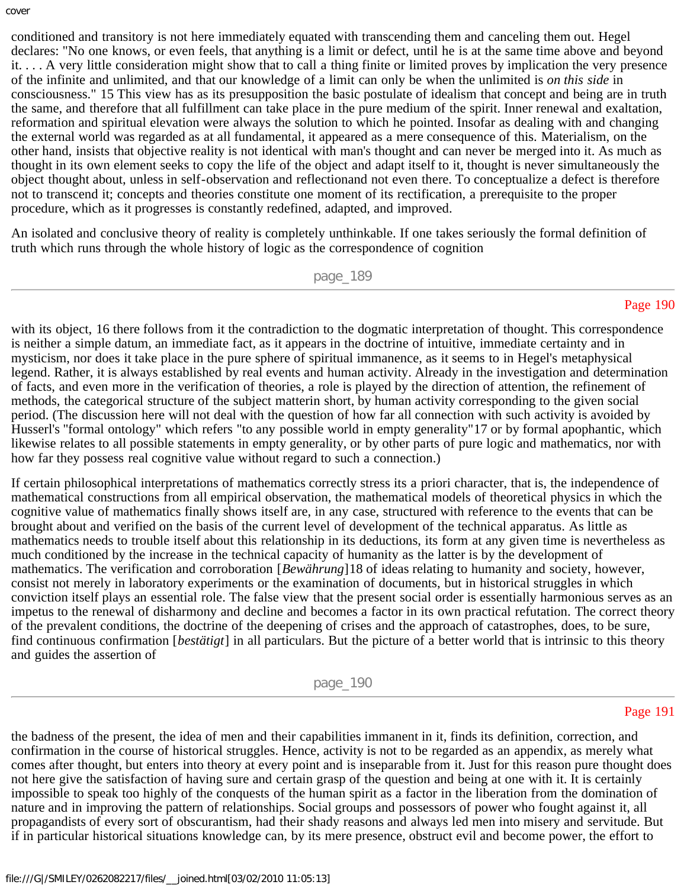conditioned and transitory is not here immediately equated with transcending them and canceling them out. Hegel declares: "No one knows, or even feels, that anything is a limit or defect, until he is at the same time above and beyond it. . . . A very little consideration might show that to call a thing finite or limited proves by implication the very presence of the infinite and unlimited, and that our knowledge of a limit can only be when the unlimited is *on this side* in consciousness." 15 This view has as its presupposition the basic postulate of idealism that concept and being are in truth the same, and therefore that all fulfillment can take place in the pure medium of the spirit. Inner renewal and exaltation, reformation and spiritual elevation were always the solution to which he pointed. Insofar as dealing with and changing the external world was regarded as at all fundamental, it appeared as a mere consequence of this. Materialism, on the other hand, insists that objective reality is not identical with man's thought and can never be merged into it. As much as thought in its own element seeks to copy the life of the object and adapt itself to it, thought is never simultaneously the object thought about, unless in self-observation and reflectionand not even there. To conceptualize a defect is therefore not to transcend it; concepts and theories constitute one moment of its rectification, a prerequisite to the proper procedure, which as it progresses is constantly redefined, adapted, and improved.

An isolated and conclusive theory of reality is completely unthinkable. If one takes seriously the formal definition of truth which runs through the whole history of logic as the correspondence of cognition

page\_189

### Page 190

with its object, 16 there follows from it the contradiction to the dogmatic interpretation of thought. This correspondence is neither a simple datum, an immediate fact, as it appears in the doctrine of intuitive, immediate certainty and in mysticism, nor does it take place in the pure sphere of spiritual immanence, as it seems to in Hegel's metaphysical legend. Rather, it is always established by real events and human activity. Already in the investigation and determination of facts, and even more in the verification of theories, a role is played by the direction of attention, the refinement of methods, the categorical structure of the subject matterin short, by human activity corresponding to the given social period. (The discussion here will not deal with the question of how far all connection with such activity is avoided by Husserl's ''formal ontology" which refers "to any possible world in empty generality"17 or by formal apophantic, which likewise relates to all possible statements in empty generality, or by other parts of pure logic and mathematics, nor with how far they possess real cognitive value without regard to such a connection.)

If certain philosophical interpretations of mathematics correctly stress its a priori character, that is, the independence of mathematical constructions from all empirical observation, the mathematical models of theoretical physics in which the cognitive value of mathematics finally shows itself are, in any case, structured with reference to the events that can be brought about and verified on the basis of the current level of development of the technical apparatus. As little as mathematics needs to trouble itself about this relationship in its deductions, its form at any given time is nevertheless as much conditioned by the increase in the technical capacity of humanity as the latter is by the development of mathematics. The verification and corroboration [*Bewährung*]18 of ideas relating to humanity and society, however, consist not merely in laboratory experiments or the examination of documents, but in historical struggles in which conviction itself plays an essential role. The false view that the present social order is essentially harmonious serves as an impetus to the renewal of disharmony and decline and becomes a factor in its own practical refutation. The correct theory of the prevalent conditions, the doctrine of the deepening of crises and the approach of catastrophes, does, to be sure, find continuous confirmation [*bestätigt*] in all particulars. But the picture of a better world that is intrinsic to this theory and guides the assertion of

page\_190

### Page 191

the badness of the present, the idea of men and their capabilities immanent in it, finds its definition, correction, and confirmation in the course of historical struggles. Hence, activity is not to be regarded as an appendix, as merely what comes after thought, but enters into theory at every point and is inseparable from it. Just for this reason pure thought does not here give the satisfaction of having sure and certain grasp of the question and being at one with it. It is certainly impossible to speak too highly of the conquests of the human spirit as a factor in the liberation from the domination of nature and in improving the pattern of relationships. Social groups and possessors of power who fought against it, all propagandists of every sort of obscurantism, had their shady reasons and always led men into misery and servitude. But if in particular historical situations knowledge can, by its mere presence, obstruct evil and become power, the effort to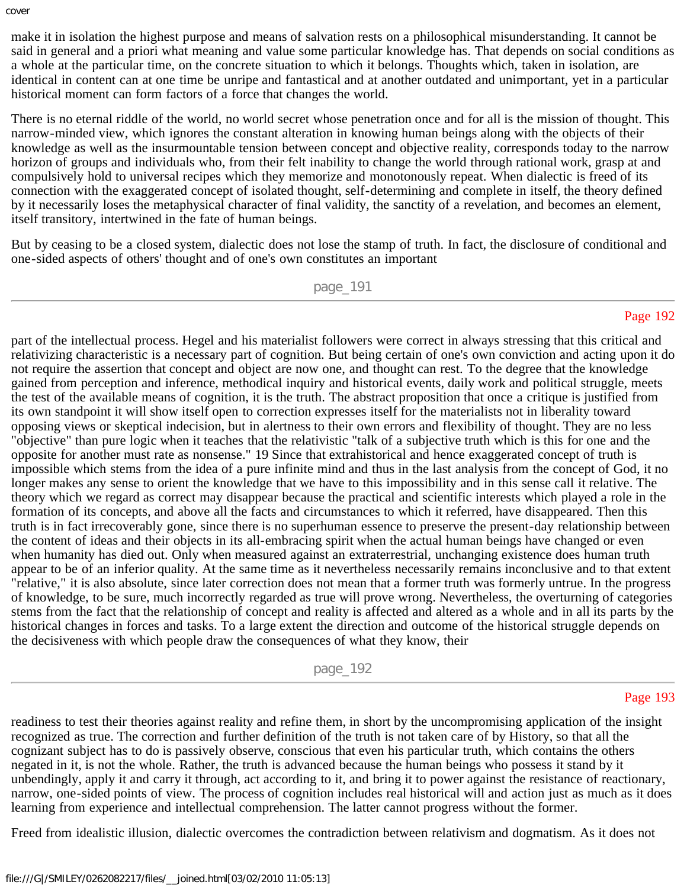make it in isolation the highest purpose and means of salvation rests on a philosophical misunderstanding. It cannot be said in general and a priori what meaning and value some particular knowledge has. That depends on social conditions as a whole at the particular time, on the concrete situation to which it belongs. Thoughts which, taken in isolation, are identical in content can at one time be unripe and fantastical and at another outdated and unimportant, yet in a particular historical moment can form factors of a force that changes the world.

There is no eternal riddle of the world, no world secret whose penetration once and for all is the mission of thought. This narrow-minded view, which ignores the constant alteration in knowing human beings along with the objects of their knowledge as well as the insurmountable tension between concept and objective reality, corresponds today to the narrow horizon of groups and individuals who, from their felt inability to change the world through rational work, grasp at and compulsively hold to universal recipes which they memorize and monotonously repeat. When dialectic is freed of its connection with the exaggerated concept of isolated thought, self-determining and complete in itself, the theory defined by it necessarily loses the metaphysical character of final validity, the sanctity of a revelation, and becomes an element, itself transitory, intertwined in the fate of human beings.

But by ceasing to be a closed system, dialectic does not lose the stamp of truth. In fact, the disclosure of conditional and one-sided aspects of others' thought and of one's own constitutes an important

page\_191

# Page 192

part of the intellectual process. Hegel and his materialist followers were correct in always stressing that this critical and relativizing characteristic is a necessary part of cognition. But being certain of one's own conviction and acting upon it do not require the assertion that concept and object are now one, and thought can rest. To the degree that the knowledge gained from perception and inference, methodical inquiry and historical events, daily work and political struggle, meets the test of the available means of cognition, it is the truth. The abstract proposition that once a critique is justified from its own standpoint it will show itself open to correction expresses itself for the materialists not in liberality toward opposing views or skeptical indecision, but in alertness to their own errors and flexibility of thought. They are no less "objective" than pure logic when it teaches that the relativistic "talk of a subjective truth which is this for one and the opposite for another must rate as nonsense." 19 Since that extrahistorical and hence exaggerated concept of truth is impossible which stems from the idea of a pure infinite mind and thus in the last analysis from the concept of God, it no longer makes any sense to orient the knowledge that we have to this impossibility and in this sense call it relative. The theory which we regard as correct may disappear because the practical and scientific interests which played a role in the formation of its concepts, and above all the facts and circumstances to which it referred, have disappeared. Then this truth is in fact irrecoverably gone, since there is no superhuman essence to preserve the present-day relationship between the content of ideas and their objects in its all-embracing spirit when the actual human beings have changed or even when humanity has died out. Only when measured against an extraterrestrial, unchanging existence does human truth appear to be of an inferior quality. At the same time as it nevertheless necessarily remains inconclusive and to that extent "relative," it is also absolute, since later correction does not mean that a former truth was formerly untrue. In the progress of knowledge, to be sure, much incorrectly regarded as true will prove wrong. Nevertheless, the overturning of categories stems from the fact that the relationship of concept and reality is affected and altered as a whole and in all its parts by the historical changes in forces and tasks. To a large extent the direction and outcome of the historical struggle depends on the decisiveness with which people draw the consequences of what they know, their

page\_192

### Page 193

readiness to test their theories against reality and refine them, in short by the uncompromising application of the insight recognized as true. The correction and further definition of the truth is not taken care of by History, so that all the cognizant subject has to do is passively observe, conscious that even his particular truth, which contains the others negated in it, is not the whole. Rather, the truth is advanced because the human beings who possess it stand by it unbendingly, apply it and carry it through, act according to it, and bring it to power against the resistance of reactionary, narrow, one-sided points of view. The process of cognition includes real historical will and action just as much as it does learning from experience and intellectual comprehension. The latter cannot progress without the former.

Freed from idealistic illusion, dialectic overcomes the contradiction between relativism and dogmatism. As it does not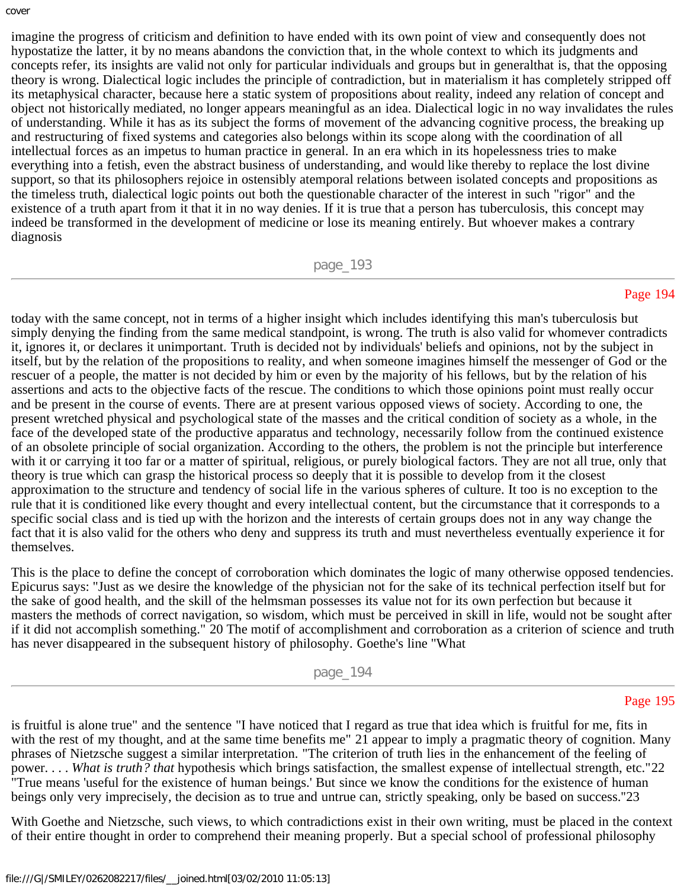imagine the progress of criticism and definition to have ended with its own point of view and consequently does not hypostatize the latter, it by no means abandons the conviction that, in the whole context to which its judgments and concepts refer, its insights are valid not only for particular individuals and groups but in generalthat is, that the opposing theory is wrong. Dialectical logic includes the principle of contradiction, but in materialism it has completely stripped off its metaphysical character, because here a static system of propositions about reality, indeed any relation of concept and object not historically mediated, no longer appears meaningful as an idea. Dialectical logic in no way invalidates the rules of understanding. While it has as its subject the forms of movement of the advancing cognitive process, the breaking up and restructuring of fixed systems and categories also belongs within its scope along with the coordination of all intellectual forces as an impetus to human practice in general. In an era which in its hopelessness tries to make everything into a fetish, even the abstract business of understanding, and would like thereby to replace the lost divine support, so that its philosophers rejoice in ostensibly atemporal relations between isolated concepts and propositions as the timeless truth, dialectical logic points out both the questionable character of the interest in such "rigor" and the existence of a truth apart from it that it in no way denies. If it is true that a person has tuberculosis, this concept may indeed be transformed in the development of medicine or lose its meaning entirely. But whoever makes a contrary diagnosis

page\_193

#### Page 194

today with the same concept, not in terms of a higher insight which includes identifying this man's tuberculosis but simply denying the finding from the same medical standpoint, is wrong. The truth is also valid for whomever contradicts it, ignores it, or declares it unimportant. Truth is decided not by individuals' beliefs and opinions, not by the subject in itself, but by the relation of the propositions to reality, and when someone imagines himself the messenger of God or the rescuer of a people, the matter is not decided by him or even by the majority of his fellows, but by the relation of his assertions and acts to the objective facts of the rescue. The conditions to which those opinions point must really occur and be present in the course of events. There are at present various opposed views of society. According to one, the present wretched physical and psychological state of the masses and the critical condition of society as a whole, in the face of the developed state of the productive apparatus and technology, necessarily follow from the continued existence of an obsolete principle of social organization. According to the others, the problem is not the principle but interference with it or carrying it too far or a matter of spiritual, religious, or purely biological factors. They are not all true, only that theory is true which can grasp the historical process so deeply that it is possible to develop from it the closest approximation to the structure and tendency of social life in the various spheres of culture. It too is no exception to the rule that it is conditioned like every thought and every intellectual content, but the circumstance that it corresponds to a specific social class and is tied up with the horizon and the interests of certain groups does not in any way change the fact that it is also valid for the others who deny and suppress its truth and must nevertheless eventually experience it for themselves.

This is the place to define the concept of corroboration which dominates the logic of many otherwise opposed tendencies. Epicurus says: "Just as we desire the knowledge of the physician not for the sake of its technical perfection itself but for the sake of good health, and the skill of the helmsman possesses its value not for its own perfection but because it masters the methods of correct navigation, so wisdom, which must be perceived in skill in life, would not be sought after if it did not accomplish something." 20 The motif of accomplishment and corroboration as a criterion of science and truth has never disappeared in the subsequent history of philosophy. Goethe's line "What

page\_194

#### Page 195

is fruitful is alone true" and the sentence "I have noticed that I regard as true that idea which is fruitful for me, fits in with the rest of my thought, and at the same time benefits me" 21 appear to imply a pragmatic theory of cognition. Many phrases of Nietzsche suggest a similar interpretation. "The criterion of truth lies in the enhancement of the feeling of power. . . . *What is truth? that* hypothesis which brings satisfaction, the smallest expense of intellectual strength, etc."22 "True means 'useful for the existence of human beings.' But since we know the conditions for the existence of human beings only very imprecisely, the decision as to true and untrue can, strictly speaking, only be based on success.''23

With Goethe and Nietzsche, such views, to which contradictions exist in their own writing, must be placed in the context of their entire thought in order to comprehend their meaning properly. But a special school of professional philosophy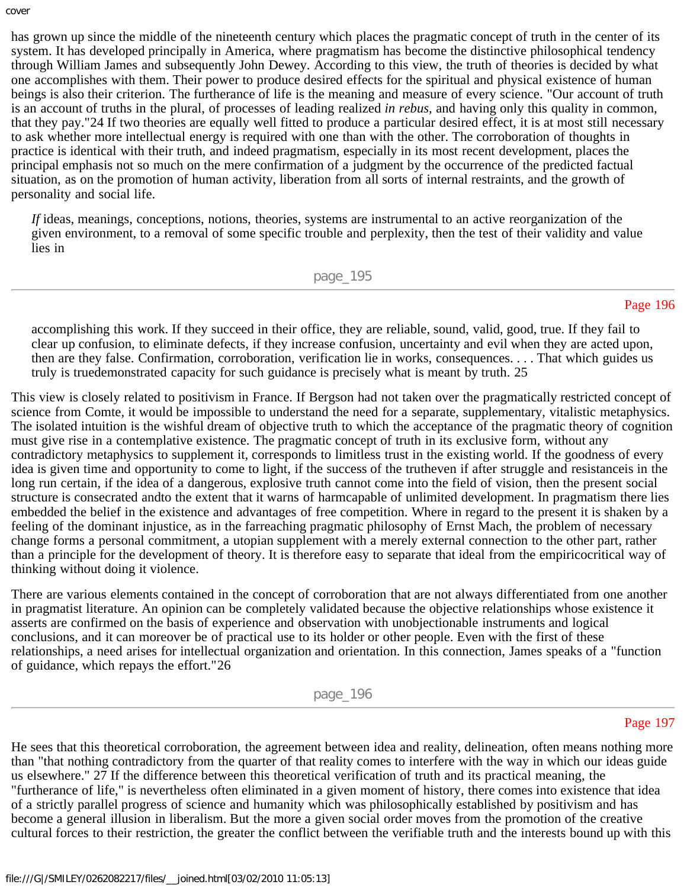has grown up since the middle of the nineteenth century which places the pragmatic concept of truth in the center of its system. It has developed principally in America, where pragmatism has become the distinctive philosophical tendency through William James and subsequently John Dewey. According to this view, the truth of theories is decided by what one accomplishes with them. Their power to produce desired effects for the spiritual and physical existence of human beings is also their criterion. The furtherance of life is the meaning and measure of every science. "Our account of truth is an account of truths in the plural, of processes of leading realized *in rebus,* and having only this quality in common, that they pay."24 If two theories are equally well fitted to produce a particular desired effect, it is at most still necessary to ask whether more intellectual energy is required with one than with the other. The corroboration of thoughts in practice is identical with their truth, and indeed pragmatism, especially in its most recent development, places the principal emphasis not so much on the mere confirmation of a judgment by the occurrence of the predicted factual situation, as on the promotion of human activity, liberation from all sorts of internal restraints, and the growth of personality and social life.

*If* ideas, meanings, conceptions, notions, theories, systems are instrumental to an active reorganization of the given environment, to a removal of some specific trouble and perplexity, then the test of their validity and value lies in

page\_195

#### Page 196

accomplishing this work. If they succeed in their office, they are reliable, sound, valid, good, true. If they fail to clear up confusion, to eliminate defects, if they increase confusion, uncertainty and evil when they are acted upon, then are they false. Confirmation, corroboration, verification lie in works, consequences. . . . That which guides us truly is truedemonstrated capacity for such guidance is precisely what is meant by truth. 25

This view is closely related to positivism in France. If Bergson had not taken over the pragmatically restricted concept of science from Comte, it would be impossible to understand the need for a separate, supplementary, vitalistic metaphysics. The isolated intuition is the wishful dream of objective truth to which the acceptance of the pragmatic theory of cognition must give rise in a contemplative existence. The pragmatic concept of truth in its exclusive form, without any contradictory metaphysics to supplement it, corresponds to limitless trust in the existing world. If the goodness of every idea is given time and opportunity to come to light, if the success of the trutheven if after struggle and resistanceis in the long run certain, if the idea of a dangerous, explosive truth cannot come into the field of vision, then the present social structure is consecrated andto the extent that it warns of harmcapable of unlimited development. In pragmatism there lies embedded the belief in the existence and advantages of free competition. Where in regard to the present it is shaken by a feeling of the dominant injustice, as in the farreaching pragmatic philosophy of Ernst Mach, the problem of necessary change forms a personal commitment, a utopian supplement with a merely external connection to the other part, rather than a principle for the development of theory. It is therefore easy to separate that ideal from the empiricocritical way of thinking without doing it violence.

There are various elements contained in the concept of corroboration that are not always differentiated from one another in pragmatist literature. An opinion can be completely validated because the objective relationships whose existence it asserts are confirmed on the basis of experience and observation with unobjectionable instruments and logical conclusions, and it can moreover be of practical use to its holder or other people. Even with the first of these relationships, a need arises for intellectual organization and orientation. In this connection, James speaks of a "function of guidance, which repays the effort."26

page\_196

### Page 197

He sees that this theoretical corroboration, the agreement between idea and reality, delineation, often means nothing more than "that nothing contradictory from the quarter of that reality comes to interfere with the way in which our ideas guide us elsewhere." 27 If the difference between this theoretical verification of truth and its practical meaning, the "furtherance of life," is nevertheless often eliminated in a given moment of history, there comes into existence that idea of a strictly parallel progress of science and humanity which was philosophically established by positivism and has become a general illusion in liberalism. But the more a given social order moves from the promotion of the creative cultural forces to their restriction, the greater the conflict between the verifiable truth and the interests bound up with this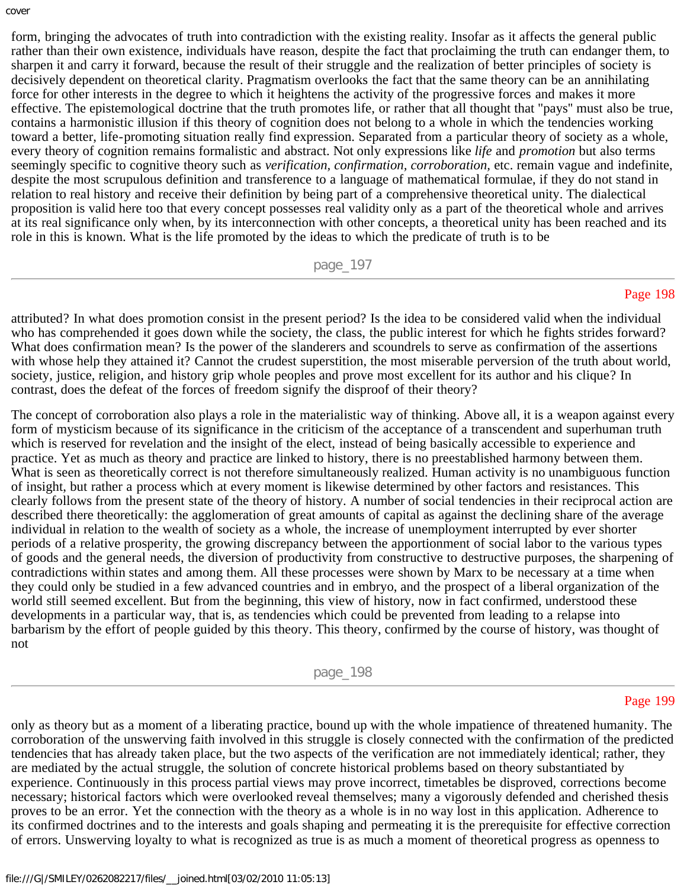form, bringing the advocates of truth into contradiction with the existing reality. Insofar as it affects the general public rather than their own existence, individuals have reason, despite the fact that proclaiming the truth can endanger them, to sharpen it and carry it forward, because the result of their struggle and the realization of better principles of society is decisively dependent on theoretical clarity. Pragmatism overlooks the fact that the same theory can be an annihilating force for other interests in the degree to which it heightens the activity of the progressive forces and makes it more effective. The epistemological doctrine that the truth promotes life, or rather that all thought that "pays'' must also be true, contains a harmonistic illusion if this theory of cognition does not belong to a whole in which the tendencies working toward a better, life-promoting situation really find expression. Separated from a particular theory of society as a whole, every theory of cognition remains formalistic and abstract. Not only expressions like *life* and *promotion* but also terms seemingly specific to cognitive theory such as *verification, confirmation, corroboration,* etc. remain vague and indefinite, despite the most scrupulous definition and transference to a language of mathematical formulae, if they do not stand in relation to real history and receive their definition by being part of a comprehensive theoretical unity. The dialectical proposition is valid here too that every concept possesses real validity only as a part of the theoretical whole and arrives at its real significance only when, by its interconnection with other concepts, a theoretical unity has been reached and its role in this is known. What is the life promoted by the ideas to which the predicate of truth is to be

page\_197

#### Page 198

attributed? In what does promotion consist in the present period? Is the idea to be considered valid when the individual who has comprehended it goes down while the society, the class, the public interest for which he fights strides forward? What does confirmation mean? Is the power of the slanderers and scoundrels to serve as confirmation of the assertions with whose help they attained it? Cannot the crudest superstition, the most miserable perversion of the truth about world, society, justice, religion, and history grip whole peoples and prove most excellent for its author and his clique? In contrast, does the defeat of the forces of freedom signify the disproof of their theory?

The concept of corroboration also plays a role in the materialistic way of thinking. Above all, it is a weapon against every form of mysticism because of its significance in the criticism of the acceptance of a transcendent and superhuman truth which is reserved for revelation and the insight of the elect, instead of being basically accessible to experience and practice. Yet as much as theory and practice are linked to history, there is no preestablished harmony between them. What is seen as theoretically correct is not therefore simultaneously realized. Human activity is no unambiguous function of insight, but rather a process which at every moment is likewise determined by other factors and resistances. This clearly follows from the present state of the theory of history. A number of social tendencies in their reciprocal action are described there theoretically: the agglomeration of great amounts of capital as against the declining share of the average individual in relation to the wealth of society as a whole, the increase of unemployment interrupted by ever shorter periods of a relative prosperity, the growing discrepancy between the apportionment of social labor to the various types of goods and the general needs, the diversion of productivity from constructive to destructive purposes, the sharpening of contradictions within states and among them. All these processes were shown by Marx to be necessary at a time when they could only be studied in a few advanced countries and in embryo, and the prospect of a liberal organization of the world still seemed excellent. But from the beginning, this view of history, now in fact confirmed, understood these developments in a particular way, that is, as tendencies which could be prevented from leading to a relapse into barbarism by the effort of people guided by this theory. This theory, confirmed by the course of history, was thought of not

page\_198

#### Page 199

only as theory but as a moment of a liberating practice, bound up with the whole impatience of threatened humanity. The corroboration of the unswerving faith involved in this struggle is closely connected with the confirmation of the predicted tendencies that has already taken place, but the two aspects of the verification are not immediately identical; rather, they are mediated by the actual struggle, the solution of concrete historical problems based on theory substantiated by experience. Continuously in this process partial views may prove incorrect, timetables be disproved, corrections become necessary; historical factors which were overlooked reveal themselves; many a vigorously defended and cherished thesis proves to be an error. Yet the connection with the theory as a whole is in no way lost in this application. Adherence to its confirmed doctrines and to the interests and goals shaping and permeating it is the prerequisite for effective correction of errors. Unswerving loyalty to what is recognized as true is as much a moment of theoretical progress as openness to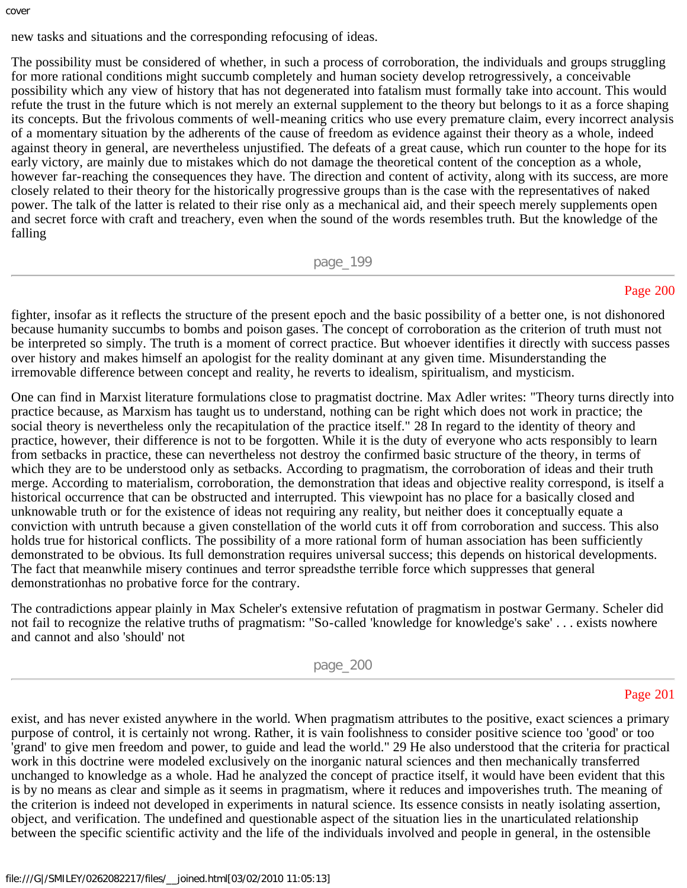new tasks and situations and the corresponding refocusing of ideas.

The possibility must be considered of whether, in such a process of corroboration, the individuals and groups struggling for more rational conditions might succumb completely and human society develop retrogressively, a conceivable possibility which any view of history that has not degenerated into fatalism must formally take into account. This would refute the trust in the future which is not merely an external supplement to the theory but belongs to it as a force shaping its concepts. But the frivolous comments of well-meaning critics who use every premature claim, every incorrect analysis of a momentary situation by the adherents of the cause of freedom as evidence against their theory as a whole, indeed against theory in general, are nevertheless unjustified. The defeats of a great cause, which run counter to the hope for its early victory, are mainly due to mistakes which do not damage the theoretical content of the conception as a whole, however far-reaching the consequences they have. The direction and content of activity, along with its success, are more closely related to their theory for the historically progressive groups than is the case with the representatives of naked power. The talk of the latter is related to their rise only as a mechanical aid, and their speech merely supplements open and secret force with craft and treachery, even when the sound of the words resembles truth. But the knowledge of the falling

page\_199

# Page 200

fighter, insofar as it reflects the structure of the present epoch and the basic possibility of a better one, is not dishonored because humanity succumbs to bombs and poison gases. The concept of corroboration as the criterion of truth must not be interpreted so simply. The truth is a moment of correct practice. But whoever identifies it directly with success passes over history and makes himself an apologist for the reality dominant at any given time. Misunderstanding the irremovable difference between concept and reality, he reverts to idealism, spiritualism, and mysticism.

One can find in Marxist literature formulations close to pragmatist doctrine. Max Adler writes: "Theory turns directly into practice because, as Marxism has taught us to understand, nothing can be right which does not work in practice; the social theory is nevertheless only the recapitulation of the practice itself." 28 In regard to the identity of theory and practice, however, their difference is not to be forgotten. While it is the duty of everyone who acts responsibly to learn from setbacks in practice, these can nevertheless not destroy the confirmed basic structure of the theory, in terms of which they are to be understood only as setbacks. According to pragmatism, the corroboration of ideas and their truth merge. According to materialism, corroboration, the demonstration that ideas and objective reality correspond, is itself a historical occurrence that can be obstructed and interrupted. This viewpoint has no place for a basically closed and unknowable truth or for the existence of ideas not requiring any reality, but neither does it conceptually equate a conviction with untruth because a given constellation of the world cuts it off from corroboration and success. This also holds true for historical conflicts. The possibility of a more rational form of human association has been sufficiently demonstrated to be obvious. Its full demonstration requires universal success; this depends on historical developments. The fact that meanwhile misery continues and terror spreadsthe terrible force which suppresses that general demonstrationhas no probative force for the contrary.

The contradictions appear plainly in Max Scheler's extensive refutation of pragmatism in postwar Germany. Scheler did not fail to recognize the relative truths of pragmatism: "So-called 'knowledge for knowledge's sake' . . . exists nowhere and cannot and also 'should' not

page\_200

### Page 201

exist, and has never existed anywhere in the world. When pragmatism attributes to the positive, exact sciences a primary purpose of control, it is certainly not wrong. Rather, it is vain foolishness to consider positive science too 'good' or too 'grand' to give men freedom and power, to guide and lead the world." 29 He also understood that the criteria for practical work in this doctrine were modeled exclusively on the inorganic natural sciences and then mechanically transferred unchanged to knowledge as a whole. Had he analyzed the concept of practice itself, it would have been evident that this is by no means as clear and simple as it seems in pragmatism, where it reduces and impoverishes truth. The meaning of the criterion is indeed not developed in experiments in natural science. Its essence consists in neatly isolating assertion, object, and verification. The undefined and questionable aspect of the situation lies in the unarticulated relationship between the specific scientific activity and the life of the individuals involved and people in general, in the ostensible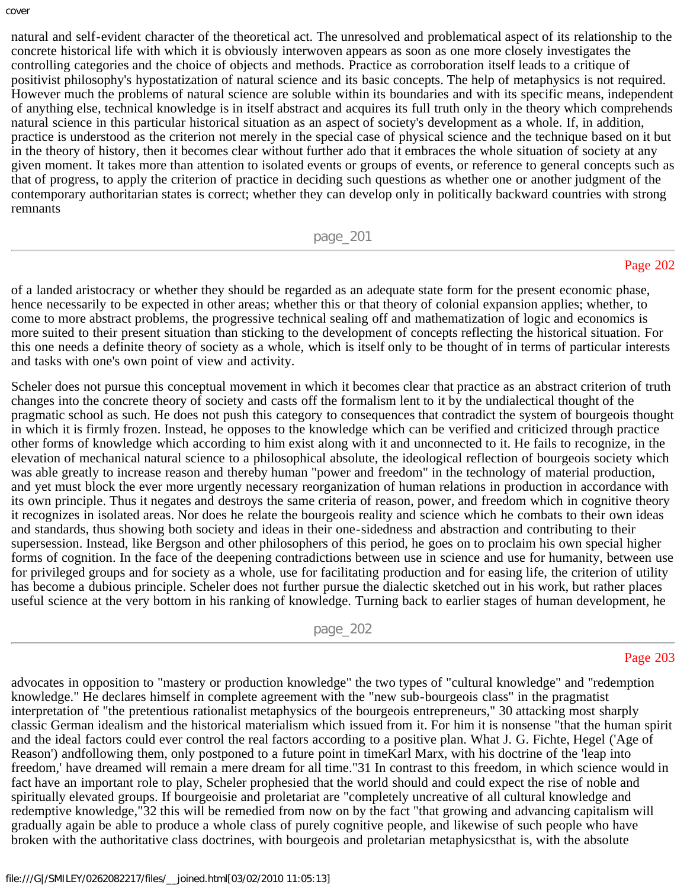natural and self-evident character of the theoretical act. The unresolved and problematical aspect of its relationship to the concrete historical life with which it is obviously interwoven appears as soon as one more closely investigates the controlling categories and the choice of objects and methods. Practice as corroboration itself leads to a critique of positivist philosophy's hypostatization of natural science and its basic concepts. The help of metaphysics is not required. However much the problems of natural science are soluble within its boundaries and with its specific means, independent of anything else, technical knowledge is in itself abstract and acquires its full truth only in the theory which comprehends natural science in this particular historical situation as an aspect of society's development as a whole. If, in addition, practice is understood as the criterion not merely in the special case of physical science and the technique based on it but in the theory of history, then it becomes clear without further ado that it embraces the whole situation of society at any given moment. It takes more than attention to isolated events or groups of events, or reference to general concepts such as that of progress, to apply the criterion of practice in deciding such questions as whether one or another judgment of the contemporary authoritarian states is correct; whether they can develop only in politically backward countries with strong remnants

page\_201

#### Page 202

of a landed aristocracy or whether they should be regarded as an adequate state form for the present economic phase, hence necessarily to be expected in other areas; whether this or that theory of colonial expansion applies; whether, to come to more abstract problems, the progressive technical sealing off and mathematization of logic and economics is more suited to their present situation than sticking to the development of concepts reflecting the historical situation. For this one needs a definite theory of society as a whole, which is itself only to be thought of in terms of particular interests and tasks with one's own point of view and activity.

Scheler does not pursue this conceptual movement in which it becomes clear that practice as an abstract criterion of truth changes into the concrete theory of society and casts off the formalism lent to it by the undialectical thought of the pragmatic school as such. He does not push this category to consequences that contradict the system of bourgeois thought in which it is firmly frozen. Instead, he opposes to the knowledge which can be verified and criticized through practice other forms of knowledge which according to him exist along with it and unconnected to it. He fails to recognize, in the elevation of mechanical natural science to a philosophical absolute, the ideological reflection of bourgeois society which was able greatly to increase reason and thereby human "power and freedom" in the technology of material production, and yet must block the ever more urgently necessary reorganization of human relations in production in accordance with its own principle. Thus it negates and destroys the same criteria of reason, power, and freedom which in cognitive theory it recognizes in isolated areas. Nor does he relate the bourgeois reality and science which he combats to their own ideas and standards, thus showing both society and ideas in their one-sidedness and abstraction and contributing to their supersession. Instead, like Bergson and other philosophers of this period, he goes on to proclaim his own special higher forms of cognition. In the face of the deepening contradictions between use in science and use for humanity, between use for privileged groups and for society as a whole, use for facilitating production and for easing life, the criterion of utility has become a dubious principle. Scheler does not further pursue the dialectic sketched out in his work, but rather places useful science at the very bottom in his ranking of knowledge. Turning back to earlier stages of human development, he

page\_202

### Page 203

advocates in opposition to "mastery or production knowledge" the two types of "cultural knowledge" and ''redemption knowledge." He declares himself in complete agreement with the "new sub-bourgeois class" in the pragmatist interpretation of "the pretentious rationalist metaphysics of the bourgeois entrepreneurs," 30 attacking most sharply classic German idealism and the historical materialism which issued from it. For him it is nonsense "that the human spirit and the ideal factors could ever control the real factors according to a positive plan. What J. G. Fichte, Hegel ('Age of Reason') andfollowing them, only postponed to a future point in timeKarl Marx, with his doctrine of the 'leap into freedom,' have dreamed will remain a mere dream for all time."31 In contrast to this freedom, in which science would in fact have an important role to play, Scheler prophesied that the world should and could expect the rise of noble and spiritually elevated groups. If bourgeoisie and proletariat are "completely uncreative of all cultural knowledge and redemptive knowledge,"32 this will be remedied from now on by the fact "that growing and advancing capitalism will gradually again be able to produce a whole class of purely cognitive people, and likewise of such people who have broken with the authoritative class doctrines, with bourgeois and proletarian metaphysicsthat is, with the absolute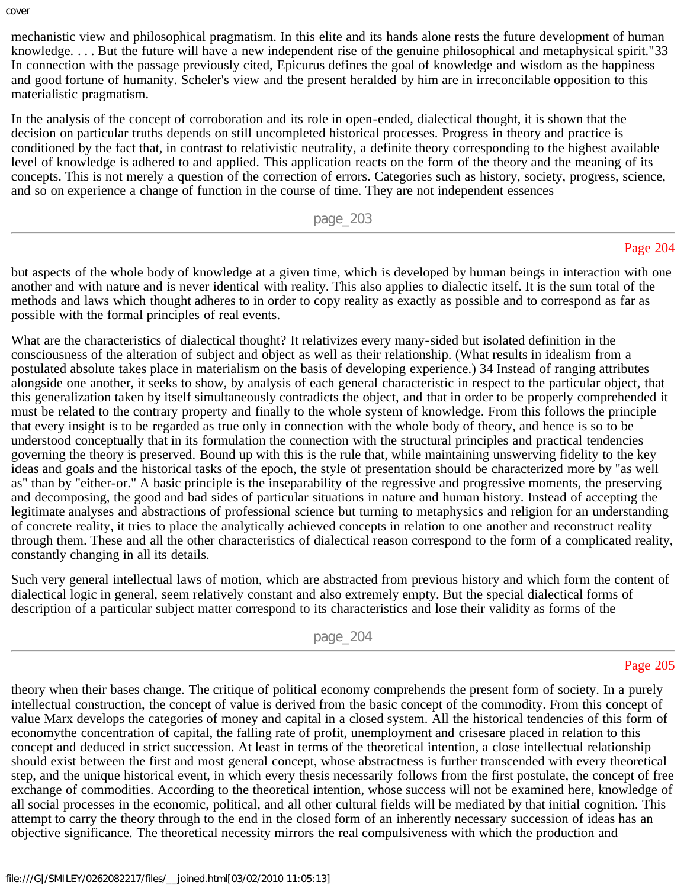mechanistic view and philosophical pragmatism. In this elite and its hands alone rests the future development of human knowledge. . . . But the future will have a new independent rise of the genuine philosophical and metaphysical spirit."33 In connection with the passage previously cited, Epicurus defines the goal of knowledge and wisdom as the happiness and good fortune of humanity. Scheler's view and the present heralded by him are in irreconcilable opposition to this materialistic pragmatism.

In the analysis of the concept of corroboration and its role in open-ended, dialectical thought, it is shown that the decision on particular truths depends on still uncompleted historical processes. Progress in theory and practice is conditioned by the fact that, in contrast to relativistic neutrality, a definite theory corresponding to the highest available level of knowledge is adhered to and applied. This application reacts on the form of the theory and the meaning of its concepts. This is not merely a question of the correction of errors. Categories such as history, society, progress, science, and so on experience a change of function in the course of time. They are not independent essences

page\_203

### Page 204

but aspects of the whole body of knowledge at a given time, which is developed by human beings in interaction with one another and with nature and is never identical with reality. This also applies to dialectic itself. It is the sum total of the methods and laws which thought adheres to in order to copy reality as exactly as possible and to correspond as far as possible with the formal principles of real events.

What are the characteristics of dialectical thought? It relativizes every many-sided but isolated definition in the consciousness of the alteration of subject and object as well as their relationship. (What results in idealism from a postulated absolute takes place in materialism on the basis of developing experience.) 34 Instead of ranging attributes alongside one another, it seeks to show, by analysis of each general characteristic in respect to the particular object, that this generalization taken by itself simultaneously contradicts the object, and that in order to be properly comprehended it must be related to the contrary property and finally to the whole system of knowledge. From this follows the principle that every insight is to be regarded as true only in connection with the whole body of theory, and hence is so to be understood conceptually that in its formulation the connection with the structural principles and practical tendencies governing the theory is preserved. Bound up with this is the rule that, while maintaining unswerving fidelity to the key ideas and goals and the historical tasks of the epoch, the style of presentation should be characterized more by "as well as" than by "either-or." A basic principle is the inseparability of the regressive and progressive moments, the preserving and decomposing, the good and bad sides of particular situations in nature and human history. Instead of accepting the legitimate analyses and abstractions of professional science but turning to metaphysics and religion for an understanding of concrete reality, it tries to place the analytically achieved concepts in relation to one another and reconstruct reality through them. These and all the other characteristics of dialectical reason correspond to the form of a complicated reality, constantly changing in all its details.

Such very general intellectual laws of motion, which are abstracted from previous history and which form the content of dialectical logic in general, seem relatively constant and also extremely empty. But the special dialectical forms of description of a particular subject matter correspond to its characteristics and lose their validity as forms of the

page\_204

# Page 205

theory when their bases change. The critique of political economy comprehends the present form of society. In a purely intellectual construction, the concept of value is derived from the basic concept of the commodity. From this concept of value Marx develops the categories of money and capital in a closed system. All the historical tendencies of this form of economythe concentration of capital, the falling rate of profit, unemployment and crisesare placed in relation to this concept and deduced in strict succession. At least in terms of the theoretical intention, a close intellectual relationship should exist between the first and most general concept, whose abstractness is further transcended with every theoretical step, and the unique historical event, in which every thesis necessarily follows from the first postulate, the concept of free exchange of commodities. According to the theoretical intention, whose success will not be examined here, knowledge of all social processes in the economic, political, and all other cultural fields will be mediated by that initial cognition. This attempt to carry the theory through to the end in the closed form of an inherently necessary succession of ideas has an objective significance. The theoretical necessity mirrors the real compulsiveness with which the production and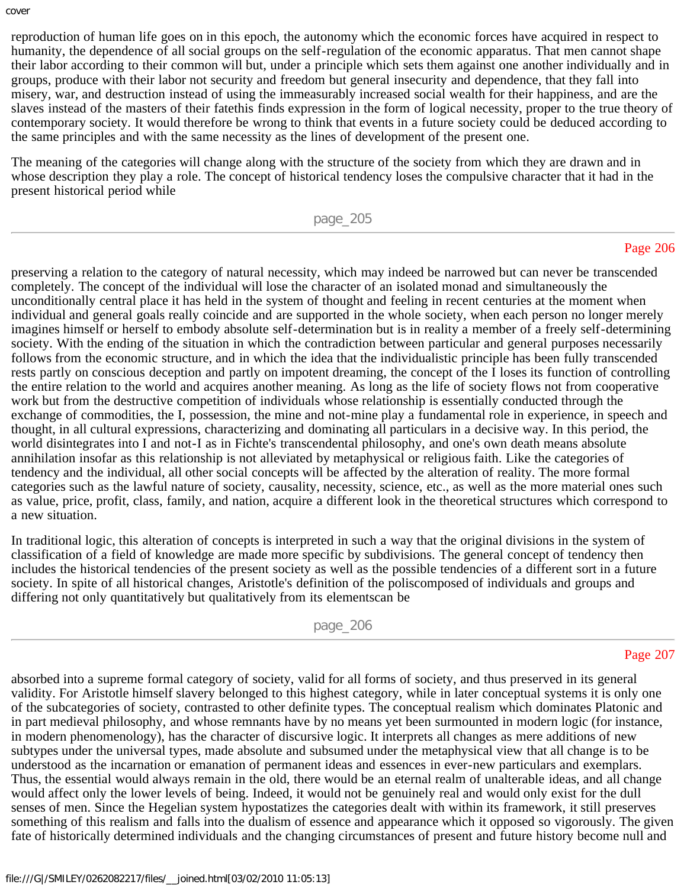reproduction of human life goes on in this epoch, the autonomy which the economic forces have acquired in respect to humanity, the dependence of all social groups on the self-regulation of the economic apparatus. That men cannot shape their labor according to their common will but, under a principle which sets them against one another individually and in groups, produce with their labor not security and freedom but general insecurity and dependence, that they fall into misery, war, and destruction instead of using the immeasurably increased social wealth for their happiness, and are the slaves instead of the masters of their fatethis finds expression in the form of logical necessity, proper to the true theory of contemporary society. It would therefore be wrong to think that events in a future society could be deduced according to the same principles and with the same necessity as the lines of development of the present one.

The meaning of the categories will change along with the structure of the society from which they are drawn and in whose description they play a role. The concept of historical tendency loses the compulsive character that it had in the present historical period while

page\_205

### Page 206

preserving a relation to the category of natural necessity, which may indeed be narrowed but can never be transcended completely. The concept of the individual will lose the character of an isolated monad and simultaneously the unconditionally central place it has held in the system of thought and feeling in recent centuries at the moment when individual and general goals really coincide and are supported in the whole society, when each person no longer merely imagines himself or herself to embody absolute self-determination but is in reality a member of a freely self-determining society. With the ending of the situation in which the contradiction between particular and general purposes necessarily follows from the economic structure, and in which the idea that the individualistic principle has been fully transcended rests partly on conscious deception and partly on impotent dreaming, the concept of the I loses its function of controlling the entire relation to the world and acquires another meaning. As long as the life of society flows not from cooperative work but from the destructive competition of individuals whose relationship is essentially conducted through the exchange of commodities, the I, possession, the mine and not-mine play a fundamental role in experience, in speech and thought, in all cultural expressions, characterizing and dominating all particulars in a decisive way. In this period, the world disintegrates into I and not-I as in Fichte's transcendental philosophy, and one's own death means absolute annihilation insofar as this relationship is not alleviated by metaphysical or religious faith. Like the categories of tendency and the individual, all other social concepts will be affected by the alteration of reality. The more formal categories such as the lawful nature of society, causality, necessity, science, etc., as well as the more material ones such as value, price, profit, class, family, and nation, acquire a different look in the theoretical structures which correspond to a new situation.

In traditional logic, this alteration of concepts is interpreted in such a way that the original divisions in the system of classification of a field of knowledge are made more specific by subdivisions. The general concept of tendency then includes the historical tendencies of the present society as well as the possible tendencies of a different sort in a future society. In spite of all historical changes, Aristotle's definition of the poliscomposed of individuals and groups and differing not only quantitatively but qualitatively from its elementscan be

page\_206

### Page 207

absorbed into a supreme formal category of society, valid for all forms of society, and thus preserved in its general validity. For Aristotle himself slavery belonged to this highest category, while in later conceptual systems it is only one of the subcategories of society, contrasted to other definite types. The conceptual realism which dominates Platonic and in part medieval philosophy, and whose remnants have by no means yet been surmounted in modern logic (for instance, in modern phenomenology), has the character of discursive logic. It interprets all changes as mere additions of new subtypes under the universal types, made absolute and subsumed under the metaphysical view that all change is to be understood as the incarnation or emanation of permanent ideas and essences in ever-new particulars and exemplars. Thus, the essential would always remain in the old, there would be an eternal realm of unalterable ideas, and all change would affect only the lower levels of being. Indeed, it would not be genuinely real and would only exist for the dull senses of men. Since the Hegelian system hypostatizes the categories dealt with within its framework, it still preserves something of this realism and falls into the dualism of essence and appearance which it opposed so vigorously. The given fate of historically determined individuals and the changing circumstances of present and future history become null and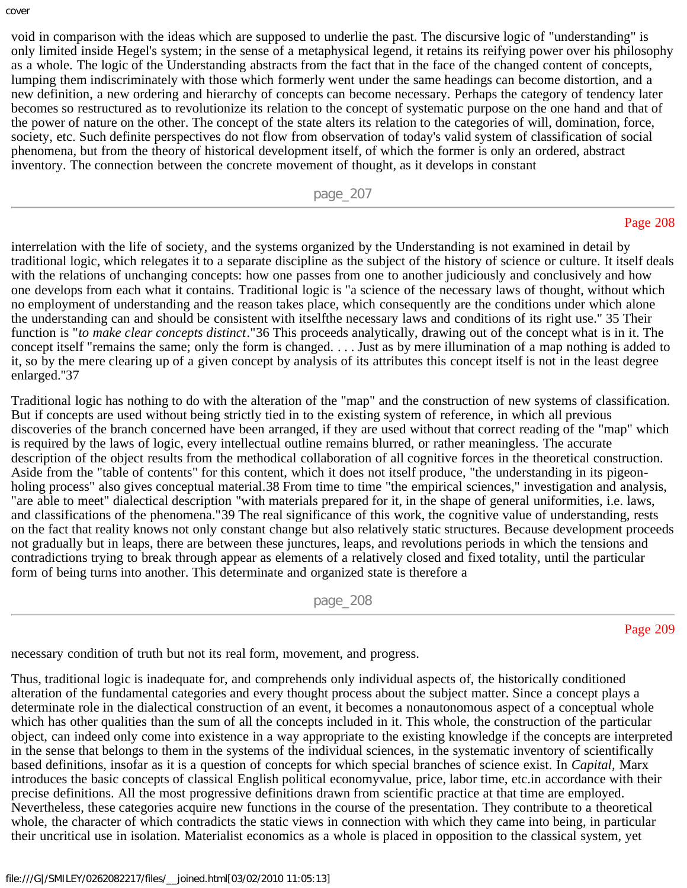void in comparison with the ideas which are supposed to underlie the past. The discursive logic of "understanding" is only limited inside Hegel's system; in the sense of a metaphysical legend, it retains its reifying power over his philosophy as a whole. The logic of the Understanding abstracts from the fact that in the face of the changed content of concepts, lumping them indiscriminately with those which formerly went under the same headings can become distortion, and a new definition, a new ordering and hierarchy of concepts can become necessary. Perhaps the category of tendency later becomes so restructured as to revolutionize its relation to the concept of systematic purpose on the one hand and that of the power of nature on the other. The concept of the state alters its relation to the categories of will, domination, force, society, etc. Such definite perspectives do not flow from observation of today's valid system of classification of social phenomena, but from the theory of historical development itself, of which the former is only an ordered, abstract inventory. The connection between the concrete movement of thought, as it develops in constant

page\_207

### Page 208

interrelation with the life of society, and the systems organized by the Understanding is not examined in detail by traditional logic, which relegates it to a separate discipline as the subject of the history of science or culture. It itself deals with the relations of unchanging concepts: how one passes from one to another judiciously and conclusively and how one develops from each what it contains. Traditional logic is "a science of the necessary laws of thought, without which no employment of understanding and the reason takes place, which consequently are the conditions under which alone the understanding can and should be consistent with itselfthe necessary laws and conditions of its right use." 35 Their function is "*to make clear concepts distinct*."36 This proceeds analytically, drawing out of the concept what is in it. The concept itself "remains the same; only the form is changed. . . . Just as by mere illumination of a map nothing is added to it, so by the mere clearing up of a given concept by analysis of its attributes this concept itself is not in the least degree enlarged.''37

Traditional logic has nothing to do with the alteration of the "map" and the construction of new systems of classification. But if concepts are used without being strictly tied in to the existing system of reference, in which all previous discoveries of the branch concerned have been arranged, if they are used without that correct reading of the "map" which is required by the laws of logic, every intellectual outline remains blurred, or rather meaningless. The accurate description of the object results from the methodical collaboration of all cognitive forces in the theoretical construction. Aside from the "table of contents" for this content, which it does not itself produce, "the understanding in its pigeonholing process" also gives conceptual material.38 From time to time "the empirical sciences," investigation and analysis, "are able to meet" dialectical description "with materials prepared for it, in the shape of general uniformities, i.e. laws, and classifications of the phenomena."39 The real significance of this work, the cognitive value of understanding, rests on the fact that reality knows not only constant change but also relatively static structures. Because development proceeds not gradually but in leaps, there are between these junctures, leaps, and revolutions periods in which the tensions and contradictions trying to break through appear as elements of a relatively closed and fixed totality, until the particular form of being turns into another. This determinate and organized state is therefore a

page\_208

Page 209

necessary condition of truth but not its real form, movement, and progress.

Thus, traditional logic is inadequate for, and comprehends only individual aspects of, the historically conditioned alteration of the fundamental categories and every thought process about the subject matter. Since a concept plays a determinate role in the dialectical construction of an event, it becomes a nonautonomous aspect of a conceptual whole which has other qualities than the sum of all the concepts included in it. This whole, the construction of the particular object, can indeed only come into existence in a way appropriate to the existing knowledge if the concepts are interpreted in the sense that belongs to them in the systems of the individual sciences, in the systematic inventory of scientifically based definitions, insofar as it is a question of concepts for which special branches of science exist. In *Capital,* Marx introduces the basic concepts of classical English political economyvalue, price, labor time, etc.in accordance with their precise definitions. All the most progressive definitions drawn from scientific practice at that time are employed. Nevertheless, these categories acquire new functions in the course of the presentation. They contribute to a theoretical whole, the character of which contradicts the static views in connection with which they came into being, in particular their uncritical use in isolation. Materialist economics as a whole is placed in opposition to the classical system, yet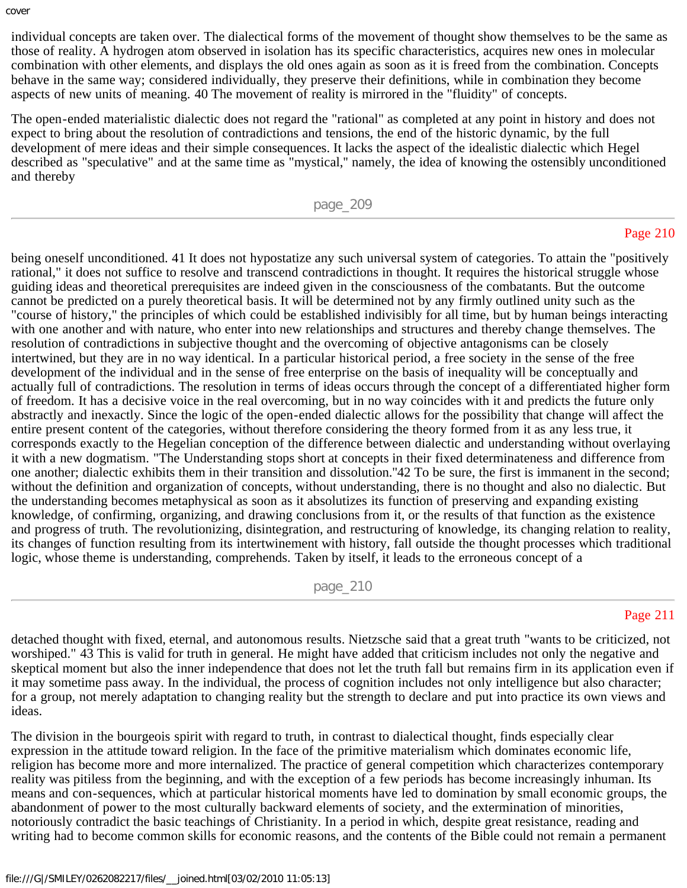individual concepts are taken over. The dialectical forms of the movement of thought show themselves to be the same as those of reality. A hydrogen atom observed in isolation has its specific characteristics, acquires new ones in molecular combination with other elements, and displays the old ones again as soon as it is freed from the combination. Concepts behave in the same way; considered individually, they preserve their definitions, while in combination they become aspects of new units of meaning. 40 The movement of reality is mirrored in the "fluidity" of concepts.

The open-ended materialistic dialectic does not regard the "rational" as completed at any point in history and does not expect to bring about the resolution of contradictions and tensions, the end of the historic dynamic, by the full development of mere ideas and their simple consequences. It lacks the aspect of the idealistic dialectic which Hegel described as "speculative" and at the same time as "mystical,'' namely, the idea of knowing the ostensibly unconditioned and thereby

page\_209

#### Page 210

being oneself unconditioned. 41 It does not hypostatize any such universal system of categories. To attain the "positively rational," it does not suffice to resolve and transcend contradictions in thought. It requires the historical struggle whose guiding ideas and theoretical prerequisites are indeed given in the consciousness of the combatants. But the outcome cannot be predicted on a purely theoretical basis. It will be determined not by any firmly outlined unity such as the "course of history," the principles of which could be established indivisibly for all time, but by human beings interacting with one another and with nature, who enter into new relationships and structures and thereby change themselves. The resolution of contradictions in subjective thought and the overcoming of objective antagonisms can be closely intertwined, but they are in no way identical. In a particular historical period, a free society in the sense of the free development of the individual and in the sense of free enterprise on the basis of inequality will be conceptually and actually full of contradictions. The resolution in terms of ideas occurs through the concept of a differentiated higher form of freedom. It has a decisive voice in the real overcoming, but in no way coincides with it and predicts the future only abstractly and inexactly. Since the logic of the open-ended dialectic allows for the possibility that change will affect the entire present content of the categories, without therefore considering the theory formed from it as any less true, it corresponds exactly to the Hegelian conception of the difference between dialectic and understanding without overlaying it with a new dogmatism. "The Understanding stops short at concepts in their fixed determinateness and difference from one another; dialectic exhibits them in their transition and dissolution.''42 To be sure, the first is immanent in the second; without the definition and organization of concepts, without understanding, there is no thought and also no dialectic. But the understanding becomes metaphysical as soon as it absolutizes its function of preserving and expanding existing knowledge, of confirming, organizing, and drawing conclusions from it, or the results of that function as the existence and progress of truth. The revolutionizing, disintegration, and restructuring of knowledge, its changing relation to reality, its changes of function resulting from its intertwinement with history, fall outside the thought processes which traditional logic, whose theme is understanding, comprehends. Taken by itself, it leads to the erroneous concept of a

page\_210

### Page 211

detached thought with fixed, eternal, and autonomous results. Nietzsche said that a great truth "wants to be criticized, not worshiped." 43 This is valid for truth in general. He might have added that criticism includes not only the negative and skeptical moment but also the inner independence that does not let the truth fall but remains firm in its application even if it may sometime pass away. In the individual, the process of cognition includes not only intelligence but also character; for a group, not merely adaptation to changing reality but the strength to declare and put into practice its own views and ideas.

The division in the bourgeois spirit with regard to truth, in contrast to dialectical thought, finds especially clear expression in the attitude toward religion. In the face of the primitive materialism which dominates economic life, religion has become more and more internalized. The practice of general competition which characterizes contemporary reality was pitiless from the beginning, and with the exception of a few periods has become increasingly inhuman. Its means and con-sequences, which at particular historical moments have led to domination by small economic groups, the abandonment of power to the most culturally backward elements of society, and the extermination of minorities, notoriously contradict the basic teachings of Christianity. In a period in which, despite great resistance, reading and writing had to become common skills for economic reasons, and the contents of the Bible could not remain a permanent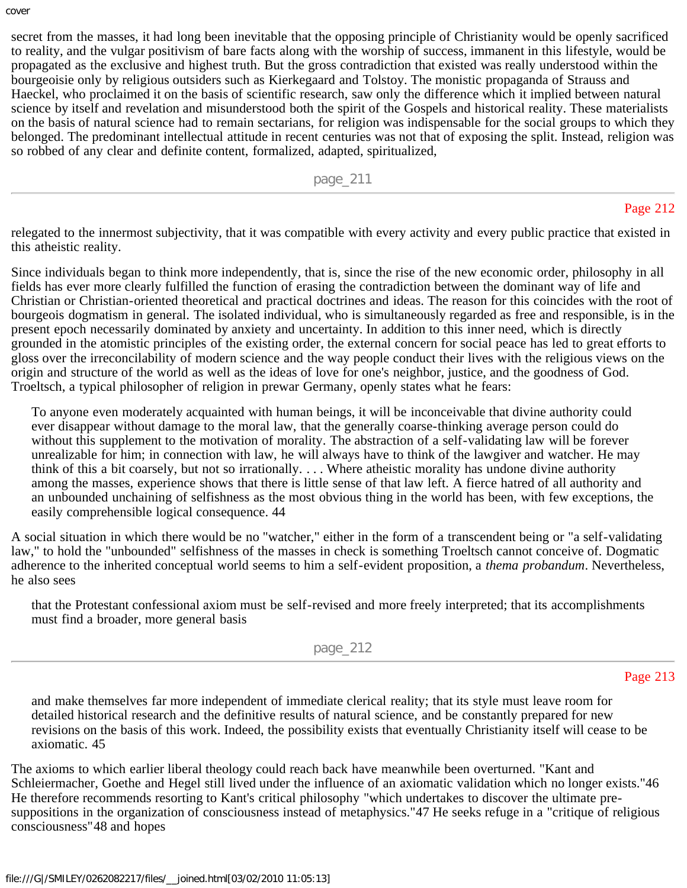secret from the masses, it had long been inevitable that the opposing principle of Christianity would be openly sacrificed to reality, and the vulgar positivism of bare facts along with the worship of success, immanent in this lifestyle, would be propagated as the exclusive and highest truth. But the gross contradiction that existed was really understood within the bourgeoisie only by religious outsiders such as Kierkegaard and Tolstoy. The monistic propaganda of Strauss and Haeckel, who proclaimed it on the basis of scientific research, saw only the difference which it implied between natural science by itself and revelation and misunderstood both the spirit of the Gospels and historical reality. These materialists on the basis of natural science had to remain sectarians, for religion was indispensable for the social groups to which they belonged. The predominant intellectual attitude in recent centuries was not that of exposing the split. Instead, religion was so robbed of any clear and definite content, formalized, adapted, spiritualized,

page\_211

# Page 212

relegated to the innermost subjectivity, that it was compatible with every activity and every public practice that existed in this atheistic reality.

Since individuals began to think more independently, that is, since the rise of the new economic order, philosophy in all fields has ever more clearly fulfilled the function of erasing the contradiction between the dominant way of life and Christian or Christian-oriented theoretical and practical doctrines and ideas. The reason for this coincides with the root of bourgeois dogmatism in general. The isolated individual, who is simultaneously regarded as free and responsible, is in the present epoch necessarily dominated by anxiety and uncertainty. In addition to this inner need, which is directly grounded in the atomistic principles of the existing order, the external concern for social peace has led to great efforts to gloss over the irreconcilability of modern science and the way people conduct their lives with the religious views on the origin and structure of the world as well as the ideas of love for one's neighbor, justice, and the goodness of God. Troeltsch, a typical philosopher of religion in prewar Germany, openly states what he fears:

To anyone even moderately acquainted with human beings, it will be inconceivable that divine authority could ever disappear without damage to the moral law, that the generally coarse-thinking average person could do without this supplement to the motivation of morality. The abstraction of a self-validating law will be forever unrealizable for him; in connection with law, he will always have to think of the lawgiver and watcher. He may think of this a bit coarsely, but not so irrationally. . . . Where atheistic morality has undone divine authority among the masses, experience shows that there is little sense of that law left. A fierce hatred of all authority and an unbounded unchaining of selfishness as the most obvious thing in the world has been, with few exceptions, the easily comprehensible logical consequence. 44

A social situation in which there would be no "watcher," either in the form of a transcendent being or "a self-validating law," to hold the "unbounded" selfishness of the masses in check is something Troeltsch cannot conceive of. Dogmatic adherence to the inherited conceptual world seems to him a self-evident proposition, a *thema probandum*. Nevertheless, he also sees

that the Protestant confessional axiom must be self-revised and more freely interpreted; that its accomplishments must find a broader, more general basis

page\_212

Page 213

and make themselves far more independent of immediate clerical reality; that its style must leave room for detailed historical research and the definitive results of natural science, and be constantly prepared for new revisions on the basis of this work. Indeed, the possibility exists that eventually Christianity itself will cease to be axiomatic. 45

The axioms to which earlier liberal theology could reach back have meanwhile been overturned. "Kant and Schleiermacher, Goethe and Hegel still lived under the influence of an axiomatic validation which no longer exists."46 He therefore recommends resorting to Kant's critical philosophy "which undertakes to discover the ultimate presuppositions in the organization of consciousness instead of metaphysics."47 He seeks refuge in a "critique of religious consciousness"48 and hopes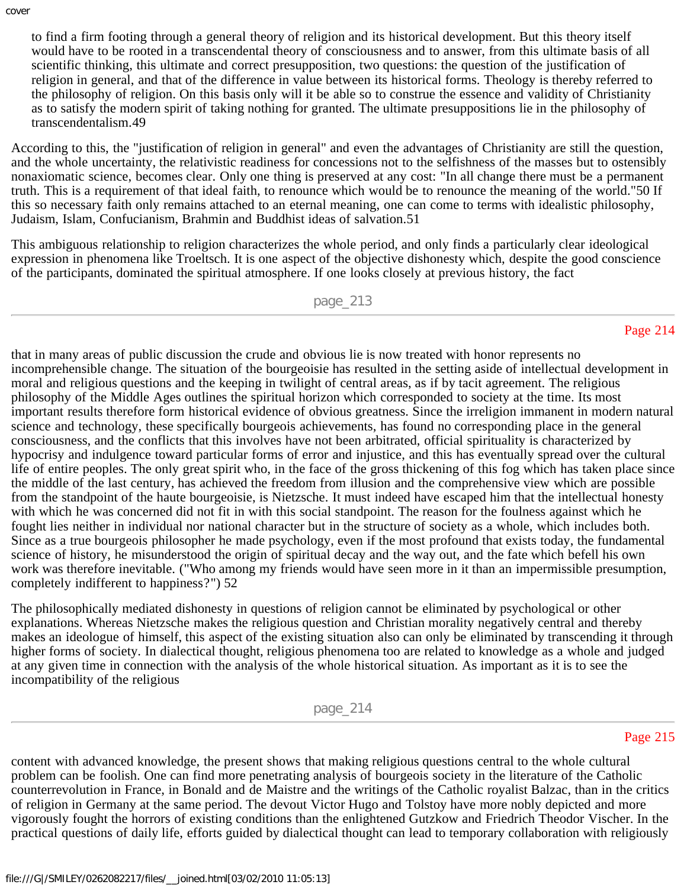to find a firm footing through a general theory of religion and its historical development. But this theory itself would have to be rooted in a transcendental theory of consciousness and to answer, from this ultimate basis of all scientific thinking, this ultimate and correct presupposition, two questions: the question of the justification of religion in general, and that of the difference in value between its historical forms. Theology is thereby referred to the philosophy of religion. On this basis only will it be able so to construe the essence and validity of Christianity as to satisfy the modern spirit of taking nothing for granted. The ultimate presuppositions lie in the philosophy of transcendentalism.49

According to this, the "justification of religion in general" and even the advantages of Christianity are still the question, and the whole uncertainty, the relativistic readiness for concessions not to the selfishness of the masses but to ostensibly nonaxiomatic science, becomes clear. Only one thing is preserved at any cost: "In all change there must be a permanent truth. This is a requirement of that ideal faith, to renounce which would be to renounce the meaning of the world."50 If this so necessary faith only remains attached to an eternal meaning, one can come to terms with idealistic philosophy, Judaism, Islam, Confucianism, Brahmin and Buddhist ideas of salvation.51

This ambiguous relationship to religion characterizes the whole period, and only finds a particularly clear ideological expression in phenomena like Troeltsch. It is one aspect of the objective dishonesty which, despite the good conscience of the participants, dominated the spiritual atmosphere. If one looks closely at previous history, the fact

page\_213

Page 214

that in many areas of public discussion the crude and obvious lie is now treated with honor represents no incomprehensible change. The situation of the bourgeoisie has resulted in the setting aside of intellectual development in moral and religious questions and the keeping in twilight of central areas, as if by tacit agreement. The religious philosophy of the Middle Ages outlines the spiritual horizon which corresponded to society at the time. Its most important results therefore form historical evidence of obvious greatness. Since the irreligion immanent in modern natural science and technology, these specifically bourgeois achievements, has found no corresponding place in the general consciousness, and the conflicts that this involves have not been arbitrated, official spirituality is characterized by hypocrisy and indulgence toward particular forms of error and injustice, and this has eventually spread over the cultural life of entire peoples. The only great spirit who, in the face of the gross thickening of this fog which has taken place since the middle of the last century, has achieved the freedom from illusion and the comprehensive view which are possible from the standpoint of the haute bourgeoisie, is Nietzsche. It must indeed have escaped him that the intellectual honesty with which he was concerned did not fit in with this social standpoint. The reason for the foulness against which he fought lies neither in individual nor national character but in the structure of society as a whole, which includes both. Since as a true bourgeois philosopher he made psychology, even if the most profound that exists today, the fundamental science of history, he misunderstood the origin of spiritual decay and the way out, and the fate which befell his own work was therefore inevitable. ("Who among my friends would have seen more in it than an impermissible presumption, completely indifferent to happiness?") 52

The philosophically mediated dishonesty in questions of religion cannot be eliminated by psychological or other explanations. Whereas Nietzsche makes the religious question and Christian morality negatively central and thereby makes an ideologue of himself, this aspect of the existing situation also can only be eliminated by transcending it through higher forms of society. In dialectical thought, religious phenomena too are related to knowledge as a whole and judged at any given time in connection with the analysis of the whole historical situation. As important as it is to see the incompatibility of the religious

page\_214

Page 215

content with advanced knowledge, the present shows that making religious questions central to the whole cultural problem can be foolish. One can find more penetrating analysis of bourgeois society in the literature of the Catholic counterrevolution in France, in Bonald and de Maistre and the writings of the Catholic royalist Balzac, than in the critics of religion in Germany at the same period. The devout Victor Hugo and Tolstoy have more nobly depicted and more vigorously fought the horrors of existing conditions than the enlightened Gutzkow and Friedrich Theodor Vischer. In the practical questions of daily life, efforts guided by dialectical thought can lead to temporary collaboration with religiously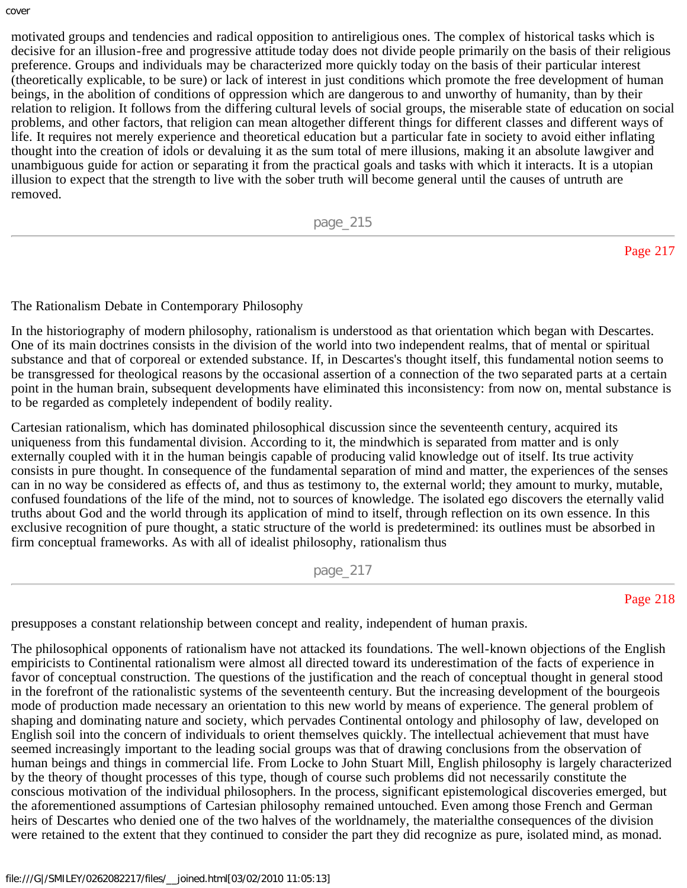motivated groups and tendencies and radical opposition to antireligious ones. The complex of historical tasks which is decisive for an illusion-free and progressive attitude today does not divide people primarily on the basis of their religious preference. Groups and individuals may be characterized more quickly today on the basis of their particular interest (theoretically explicable, to be sure) or lack of interest in just conditions which promote the free development of human beings, in the abolition of conditions of oppression which are dangerous to and unworthy of humanity, than by their relation to religion. It follows from the differing cultural levels of social groups, the miserable state of education on social problems, and other factors, that religion can mean altogether different things for different classes and different ways of life. It requires not merely experience and theoretical education but a particular fate in society to avoid either inflating thought into the creation of idols or devaluing it as the sum total of mere illusions, making it an absolute lawgiver and unambiguous guide for action or separating it from the practical goals and tasks with which it interacts. It is a utopian illusion to expect that the strength to live with the sober truth will become general until the causes of untruth are removed.

page\_215

Page 217

## The Rationalism Debate in Contemporary Philosophy

In the historiography of modern philosophy, rationalism is understood as that orientation which began with Descartes. One of its main doctrines consists in the division of the world into two independent realms, that of mental or spiritual substance and that of corporeal or extended substance. If, in Descartes's thought itself, this fundamental notion seems to be transgressed for theological reasons by the occasional assertion of a connection of the two separated parts at a certain point in the human brain, subsequent developments have eliminated this inconsistency: from now on, mental substance is to be regarded as completely independent of bodily reality.

Cartesian rationalism, which has dominated philosophical discussion since the seventeenth century, acquired its uniqueness from this fundamental division. According to it, the mindwhich is separated from matter and is only externally coupled with it in the human beingis capable of producing valid knowledge out of itself. Its true activity consists in pure thought. In consequence of the fundamental separation of mind and matter, the experiences of the senses can in no way be considered as effects of, and thus as testimony to, the external world; they amount to murky, mutable, confused foundations of the life of the mind, not to sources of knowledge. The isolated ego discovers the eternally valid truths about God and the world through its application of mind to itself, through reflection on its own essence. In this exclusive recognition of pure thought, a static structure of the world is predetermined: its outlines must be absorbed in firm conceptual frameworks. As with all of idealist philosophy, rationalism thus

page\_217

Page 218

presupposes a constant relationship between concept and reality, independent of human praxis.

The philosophical opponents of rationalism have not attacked its foundations. The well-known objections of the English empiricists to Continental rationalism were almost all directed toward its underestimation of the facts of experience in favor of conceptual construction. The questions of the justification and the reach of conceptual thought in general stood in the forefront of the rationalistic systems of the seventeenth century. But the increasing development of the bourgeois mode of production made necessary an orientation to this new world by means of experience. The general problem of shaping and dominating nature and society, which pervades Continental ontology and philosophy of law, developed on English soil into the concern of individuals to orient themselves quickly. The intellectual achievement that must have seemed increasingly important to the leading social groups was that of drawing conclusions from the observation of human beings and things in commercial life. From Locke to John Stuart Mill, English philosophy is largely characterized by the theory of thought processes of this type, though of course such problems did not necessarily constitute the conscious motivation of the individual philosophers. In the process, significant epistemological discoveries emerged, but the aforementioned assumptions of Cartesian philosophy remained untouched. Even among those French and German heirs of Descartes who denied one of the two halves of the worldnamely, the materialthe consequences of the division were retained to the extent that they continued to consider the part they did recognize as pure, isolated mind, as monad.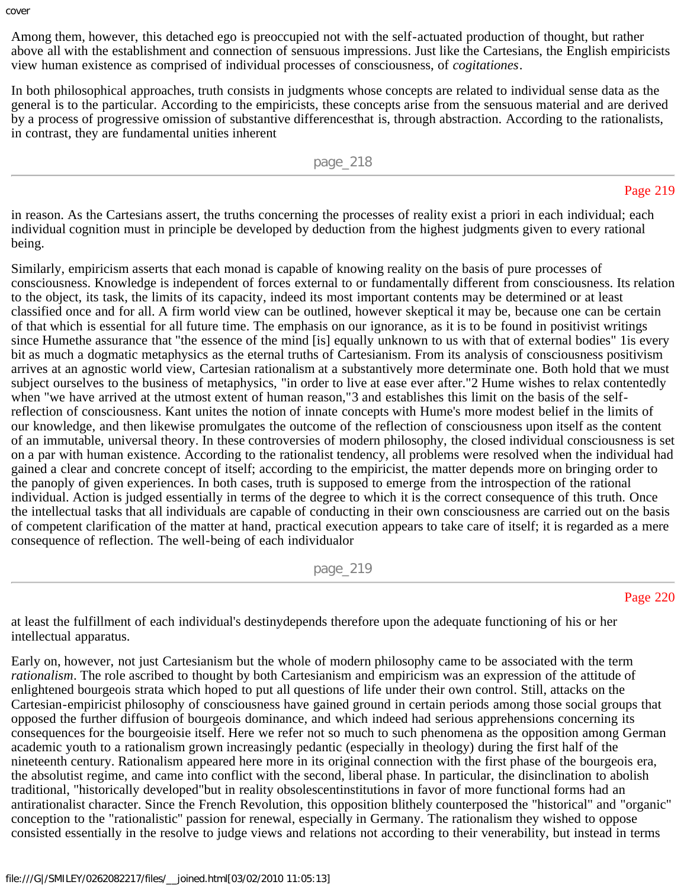Among them, however, this detached ego is preoccupied not with the self-actuated production of thought, but rather above all with the establishment and connection of sensuous impressions. Just like the Cartesians, the English empiricists view human existence as comprised of individual processes of consciousness, of *cogitationes*.

In both philosophical approaches, truth consists in judgments whose concepts are related to individual sense data as the general is to the particular. According to the empiricists, these concepts arise from the sensuous material and are derived by a process of progressive omission of substantive differencesthat is, through abstraction. According to the rationalists, in contrast, they are fundamental unities inherent

page\_218

### Page 219

in reason. As the Cartesians assert, the truths concerning the processes of reality exist a priori in each individual; each individual cognition must in principle be developed by deduction from the highest judgments given to every rational being.

Similarly, empiricism asserts that each monad is capable of knowing reality on the basis of pure processes of consciousness. Knowledge is independent of forces external to or fundamentally different from consciousness. Its relation to the object, its task, the limits of its capacity, indeed its most important contents may be determined or at least classified once and for all. A firm world view can be outlined, however skeptical it may be, because one can be certain of that which is essential for all future time. The emphasis on our ignorance, as it is to be found in positivist writings since Humethe assurance that "the essence of the mind [is] equally unknown to us with that of external bodies" 1is every bit as much a dogmatic metaphysics as the eternal truths of Cartesianism. From its analysis of consciousness positivism arrives at an agnostic world view, Cartesian rationalism at a substantively more determinate one. Both hold that we must subject ourselves to the business of metaphysics, "in order to live at ease ever after."2 Hume wishes to relax contentedly when "we have arrived at the utmost extent of human reason,"3 and establishes this limit on the basis of the selfreflection of consciousness. Kant unites the notion of innate concepts with Hume's more modest belief in the limits of our knowledge, and then likewise promulgates the outcome of the reflection of consciousness upon itself as the content of an immutable, universal theory. In these controversies of modern philosophy, the closed individual consciousness is set on a par with human existence. According to the rationalist tendency, all problems were resolved when the individual had gained a clear and concrete concept of itself; according to the empiricist, the matter depends more on bringing order to the panoply of given experiences. In both cases, truth is supposed to emerge from the introspection of the rational individual. Action is judged essentially in terms of the degree to which it is the correct consequence of this truth. Once the intellectual tasks that all individuals are capable of conducting in their own consciousness are carried out on the basis of competent clarification of the matter at hand, practical execution appears to take care of itself; it is regarded as a mere consequence of reflection. The well-being of each individualor

page\_219

Page 220

at least the fulfillment of each individual's destinydepends therefore upon the adequate functioning of his or her intellectual apparatus.

Early on, however, not just Cartesianism but the whole of modern philosophy came to be associated with the term *rationalism*. The role ascribed to thought by both Cartesianism and empiricism was an expression of the attitude of enlightened bourgeois strata which hoped to put all questions of life under their own control. Still, attacks on the Cartesian-empiricist philosophy of consciousness have gained ground in certain periods among those social groups that opposed the further diffusion of bourgeois dominance, and which indeed had serious apprehensions concerning its consequences for the bourgeoisie itself. Here we refer not so much to such phenomena as the opposition among German academic youth to a rationalism grown increasingly pedantic (especially in theology) during the first half of the nineteenth century. Rationalism appeared here more in its original connection with the first phase of the bourgeois era, the absolutist regime, and came into conflict with the second, liberal phase. In particular, the disinclination to abolish traditional, "historically developed"but in reality obsolescentinstitutions in favor of more functional forms had an antirationalist character. Since the French Revolution, this opposition blithely counterposed the "historical" and "organic" conception to the "rationalistic'' passion for renewal, especially in Germany. The rationalism they wished to oppose consisted essentially in the resolve to judge views and relations not according to their venerability, but instead in terms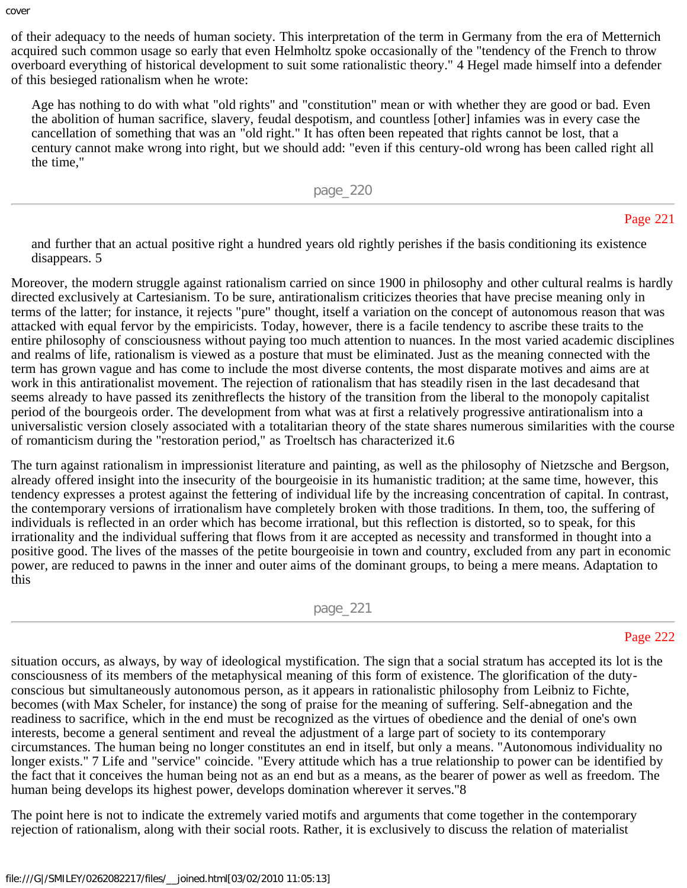of their adequacy to the needs of human society. This interpretation of the term in Germany from the era of Metternich acquired such common usage so early that even Helmholtz spoke occasionally of the "tendency of the French to throw overboard everything of historical development to suit some rationalistic theory." 4 Hegel made himself into a defender of this besieged rationalism when he wrote:

Age has nothing to do with what "old rights" and "constitution" mean or with whether they are good or bad. Even the abolition of human sacrifice, slavery, feudal despotism, and countless [other] infamies was in every case the cancellation of something that was an "old right." It has often been repeated that rights cannot be lost, that a century cannot make wrong into right, but we should add: "even if this century-old wrong has been called right all the time,"

page\_220

# Page 221

and further that an actual positive right a hundred years old rightly perishes if the basis conditioning its existence disappears. 5

Moreover, the modern struggle against rationalism carried on since 1900 in philosophy and other cultural realms is hardly directed exclusively at Cartesianism. To be sure, antirationalism criticizes theories that have precise meaning only in terms of the latter; for instance, it rejects "pure" thought, itself a variation on the concept of autonomous reason that was attacked with equal fervor by the empiricists. Today, however, there is a facile tendency to ascribe these traits to the entire philosophy of consciousness without paying too much attention to nuances. In the most varied academic disciplines and realms of life, rationalism is viewed as a posture that must be eliminated. Just as the meaning connected with the term has grown vague and has come to include the most diverse contents, the most disparate motives and aims are at work in this antirationalist movement. The rejection of rationalism that has steadily risen in the last decadesand that seems already to have passed its zenithreflects the history of the transition from the liberal to the monopoly capitalist period of the bourgeois order. The development from what was at first a relatively progressive antirationalism into a universalistic version closely associated with a totalitarian theory of the state shares numerous similarities with the course of romanticism during the "restoration period," as Troeltsch has characterized it.6

The turn against rationalism in impressionist literature and painting, as well as the philosophy of Nietzsche and Bergson, already offered insight into the insecurity of the bourgeoisie in its humanistic tradition; at the same time, however, this tendency expresses a protest against the fettering of individual life by the increasing concentration of capital. In contrast, the contemporary versions of irrationalism have completely broken with those traditions. In them, too, the suffering of individuals is reflected in an order which has become irrational, but this reflection is distorted, so to speak, for this irrationality and the individual suffering that flows from it are accepted as necessity and transformed in thought into a positive good. The lives of the masses of the petite bourgeoisie in town and country, excluded from any part in economic power, are reduced to pawns in the inner and outer aims of the dominant groups, to being a mere means. Adaptation to this

page\_221

# Page 222

situation occurs, as always, by way of ideological mystification. The sign that a social stratum has accepted its lot is the consciousness of its members of the metaphysical meaning of this form of existence. The glorification of the dutyconscious but simultaneously autonomous person, as it appears in rationalistic philosophy from Leibniz to Fichte, becomes (with Max Scheler, for instance) the song of praise for the meaning of suffering. Self-abnegation and the readiness to sacrifice, which in the end must be recognized as the virtues of obedience and the denial of one's own interests, become a general sentiment and reveal the adjustment of a large part of society to its contemporary circumstances. The human being no longer constitutes an end in itself, but only a means. "Autonomous individuality no longer exists." 7 Life and "service" coincide. "Every attitude which has a true relationship to power can be identified by the fact that it conceives the human being not as an end but as a means, as the bearer of power as well as freedom. The human being develops its highest power, develops domination wherever it serves.''8

The point here is not to indicate the extremely varied motifs and arguments that come together in the contemporary rejection of rationalism, along with their social roots. Rather, it is exclusively to discuss the relation of materialist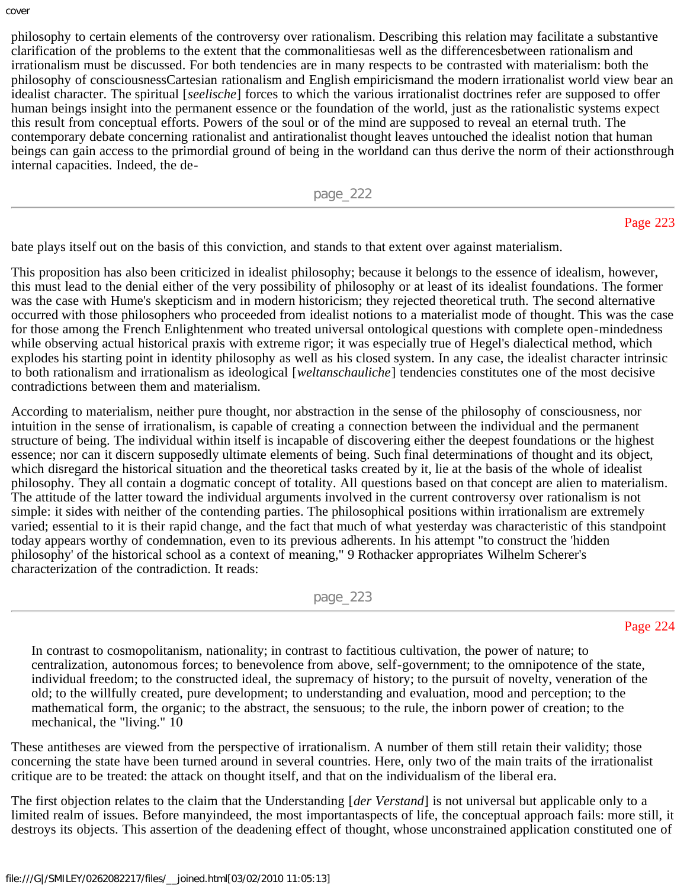philosophy to certain elements of the controversy over rationalism. Describing this relation may facilitate a substantive clarification of the problems to the extent that the commonalitiesas well as the differencesbetween rationalism and irrationalism must be discussed. For both tendencies are in many respects to be contrasted with materialism: both the philosophy of consciousnessCartesian rationalism and English empiricismand the modern irrationalist world view bear an idealist character. The spiritual [*seelische*] forces to which the various irrationalist doctrines refer are supposed to offer human beings insight into the permanent essence or the foundation of the world, just as the rationalistic systems expect this result from conceptual efforts. Powers of the soul or of the mind are supposed to reveal an eternal truth. The contemporary debate concerning rationalist and antirationalist thought leaves untouched the idealist notion that human beings can gain access to the primordial ground of being in the worldand can thus derive the norm of their actionsthrough internal capacities. Indeed, the de-

page\_222

Page 223

bate plays itself out on the basis of this conviction, and stands to that extent over against materialism.

This proposition has also been criticized in idealist philosophy; because it belongs to the essence of idealism, however, this must lead to the denial either of the very possibility of philosophy or at least of its idealist foundations. The former was the case with Hume's skepticism and in modern historicism; they rejected theoretical truth. The second alternative occurred with those philosophers who proceeded from idealist notions to a materialist mode of thought. This was the case for those among the French Enlightenment who treated universal ontological questions with complete open-mindedness while observing actual historical praxis with extreme rigor; it was especially true of Hegel's dialectical method, which explodes his starting point in identity philosophy as well as his closed system. In any case, the idealist character intrinsic to both rationalism and irrationalism as ideological [*weltanschauliche*] tendencies constitutes one of the most decisive contradictions between them and materialism.

According to materialism, neither pure thought, nor abstraction in the sense of the philosophy of consciousness, nor intuition in the sense of irrationalism, is capable of creating a connection between the individual and the permanent structure of being. The individual within itself is incapable of discovering either the deepest foundations or the highest essence; nor can it discern supposedly ultimate elements of being. Such final determinations of thought and its object, which disregard the historical situation and the theoretical tasks created by it, lie at the basis of the whole of idealist philosophy. They all contain a dogmatic concept of totality. All questions based on that concept are alien to materialism. The attitude of the latter toward the individual arguments involved in the current controversy over rationalism is not simple: it sides with neither of the contending parties. The philosophical positions within irrationalism are extremely varied; essential to it is their rapid change, and the fact that much of what yesterday was characteristic of this standpoint today appears worthy of condemnation, even to its previous adherents. In his attempt "to construct the 'hidden philosophy' of the historical school as a context of meaning," 9 Rothacker appropriates Wilhelm Scherer's characterization of the contradiction. It reads:

page\_223

Page 224

In contrast to cosmopolitanism, nationality; in contrast to factitious cultivation, the power of nature; to centralization, autonomous forces; to benevolence from above, self-government; to the omnipotence of the state, individual freedom; to the constructed ideal, the supremacy of history; to the pursuit of novelty, veneration of the old; to the willfully created, pure development; to understanding and evaluation, mood and perception; to the mathematical form, the organic; to the abstract, the sensuous; to the rule, the inborn power of creation; to the mechanical, the "living." 10

These antitheses are viewed from the perspective of irrationalism. A number of them still retain their validity; those concerning the state have been turned around in several countries. Here, only two of the main traits of the irrationalist critique are to be treated: the attack on thought itself, and that on the individualism of the liberal era.

The first objection relates to the claim that the Understanding [*der Verstand*] is not universal but applicable only to a limited realm of issues. Before manyindeed, the most importantaspects of life, the conceptual approach fails: more still, it destroys its objects. This assertion of the deadening effect of thought, whose unconstrained application constituted one of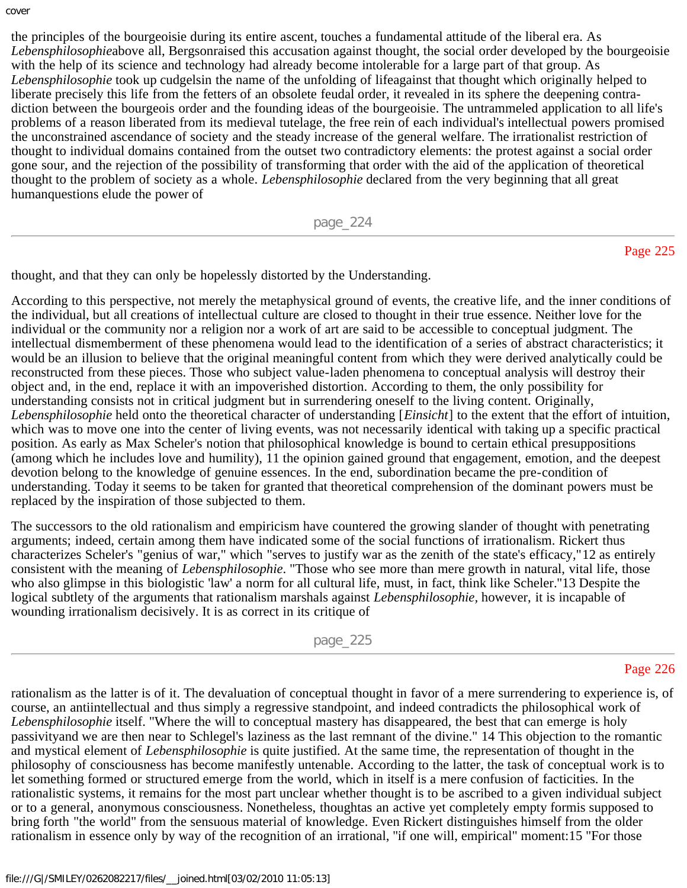the principles of the bourgeoisie during its entire ascent, touches a fundamental attitude of the liberal era. As *Lebensphilosophie*above all, Bergsonraised this accusation against thought, the social order developed by the bourgeoisie with the help of its science and technology had already become intolerable for a large part of that group. As *Lebensphilosophie* took up cudgelsin the name of the unfolding of lifeagainst that thought which originally helped to liberate precisely this life from the fetters of an obsolete feudal order, it revealed in its sphere the deepening contradiction between the bourgeois order and the founding ideas of the bourgeoisie. The untrammeled application to all life's problems of a reason liberated from its medieval tutelage, the free rein of each individual's intellectual powers promised the unconstrained ascendance of society and the steady increase of the general welfare. The irrationalist restriction of thought to individual domains contained from the outset two contradictory elements: the protest against a social order gone sour, and the rejection of the possibility of transforming that order with the aid of the application of theoretical thought to the problem of society as a whole. *Lebensphilosophie* declared from the very beginning that all great humanquestions elude the power of

page\_224

Page 225

thought, and that they can only be hopelessly distorted by the Understanding.

According to this perspective, not merely the metaphysical ground of events, the creative life, and the inner conditions of the individual, but all creations of intellectual culture are closed to thought in their true essence. Neither love for the individual or the community nor a religion nor a work of art are said to be accessible to conceptual judgment. The intellectual dismemberment of these phenomena would lead to the identification of a series of abstract characteristics; it would be an illusion to believe that the original meaningful content from which they were derived analytically could be reconstructed from these pieces. Those who subject value-laden phenomena to conceptual analysis will destroy their object and, in the end, replace it with an impoverished distortion. According to them, the only possibility for understanding consists not in critical judgment but in surrendering oneself to the living content. Originally, *Lebensphilosophie* held onto the theoretical character of understanding [*Einsicht*] to the extent that the effort of intuition, which was to move one into the center of living events, was not necessarily identical with taking up a specific practical position. As early as Max Scheler's notion that philosophical knowledge is bound to certain ethical presuppositions (among which he includes love and humility), 11 the opinion gained ground that engagement, emotion, and the deepest devotion belong to the knowledge of genuine essences. In the end, subordination became the pre-condition of understanding. Today it seems to be taken for granted that theoretical comprehension of the dominant powers must be replaced by the inspiration of those subjected to them.

The successors to the old rationalism and empiricism have countered the growing slander of thought with penetrating arguments; indeed, certain among them have indicated some of the social functions of irrationalism. Rickert thus characterizes Scheler's "genius of war," which "serves to justify war as the zenith of the state's efficacy,"12 as entirely consistent with the meaning of *Lebensphilosophie*. "Those who see more than mere growth in natural, vital life, those who also glimpse in this biologistic 'law' a norm for all cultural life, must, in fact, think like Scheler.''13 Despite the logical subtlety of the arguments that rationalism marshals against *Lebensphilosophie,* however, it is incapable of wounding irrationalism decisively. It is as correct in its critique of

page\_225

### Page 226

rationalism as the latter is of it. The devaluation of conceptual thought in favor of a mere surrendering to experience is, of course, an antiintellectual and thus simply a regressive standpoint, and indeed contradicts the philosophical work of *Lebensphilosophie* itself. "Where the will to conceptual mastery has disappeared, the best that can emerge is holy passivityand we are then near to Schlegel's laziness as the last remnant of the divine." 14 This objection to the romantic and mystical element of *Lebensphilosophie* is quite justified. At the same time, the representation of thought in the philosophy of consciousness has become manifestly untenable. According to the latter, the task of conceptual work is to let something formed or structured emerge from the world, which in itself is a mere confusion of facticities. In the rationalistic systems, it remains for the most part unclear whether thought is to be ascribed to a given individual subject or to a general, anonymous consciousness. Nonetheless, thoughtas an active yet completely empty formis supposed to bring forth "the world" from the sensuous material of knowledge. Even Rickert distinguishes himself from the older rationalism in essence only by way of the recognition of an irrational, ''if one will, empirical" moment:15 "For those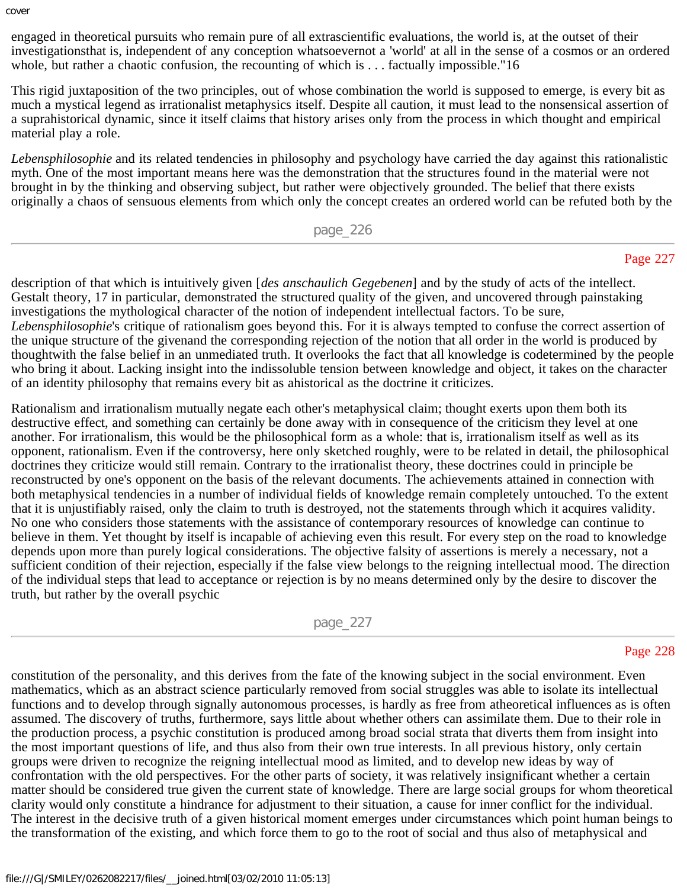engaged in theoretical pursuits who remain pure of all extrascientific evaluations, the world is, at the outset of their investigationsthat is, independent of any conception whatsoevernot a 'world' at all in the sense of a cosmos or an ordered whole, but rather a chaotic confusion, the recounting of which is . . . factually impossible."16

This rigid juxtaposition of the two principles, out of whose combination the world is supposed to emerge, is every bit as much a mystical legend as irrationalist metaphysics itself. Despite all caution, it must lead to the nonsensical assertion of a suprahistorical dynamic, since it itself claims that history arises only from the process in which thought and empirical material play a role.

*Lebensphilosophie* and its related tendencies in philosophy and psychology have carried the day against this rationalistic myth. One of the most important means here was the demonstration that the structures found in the material were not brought in by the thinking and observing subject, but rather were objectively grounded. The belief that there exists originally a chaos of sensuous elements from which only the concept creates an ordered world can be refuted both by the

page\_226

description of that which is intuitively given [*des anschaulich Gegebenen*] and by the study of acts of the intellect. Gestalt theory, 17 in particular, demonstrated the structured quality of the given, and uncovered through painstaking investigations the mythological character of the notion of independent intellectual factors. To be sure, *Lebensphilosophie*'s critique of rationalism goes beyond this. For it is always tempted to confuse the correct assertion of the unique structure of the givenand the corresponding rejection of the notion that all order in the world is produced by thoughtwith the false belief in an unmediated truth. It overlooks the fact that all knowledge is codetermined by the people who bring it about. Lacking insight into the indissoluble tension between knowledge and object, it takes on the character of an identity philosophy that remains every bit as ahistorical as the doctrine it criticizes.

Rationalism and irrationalism mutually negate each other's metaphysical claim; thought exerts upon them both its destructive effect, and something can certainly be done away with in consequence of the criticism they level at one another. For irrationalism, this would be the philosophical form as a whole: that is, irrationalism itself as well as its opponent, rationalism. Even if the controversy, here only sketched roughly, were to be related in detail, the philosophical doctrines they criticize would still remain. Contrary to the irrationalist theory, these doctrines could in principle be reconstructed by one's opponent on the basis of the relevant documents. The achievements attained in connection with both metaphysical tendencies in a number of individual fields of knowledge remain completely untouched. To the extent that it is unjustifiably raised, only the claim to truth is destroyed, not the statements through which it acquires validity. No one who considers those statements with the assistance of contemporary resources of knowledge can continue to believe in them. Yet thought by itself is incapable of achieving even this result. For every step on the road to knowledge depends upon more than purely logical considerations. The objective falsity of assertions is merely a necessary, not a sufficient condition of their rejection, especially if the false view belongs to the reigning intellectual mood. The direction of the individual steps that lead to acceptance or rejection is by no means determined only by the desire to discover the truth, but rather by the overall psychic

page\_227

Page 228

constitution of the personality, and this derives from the fate of the knowing subject in the social environment. Even mathematics, which as an abstract science particularly removed from social struggles was able to isolate its intellectual functions and to develop through signally autonomous processes, is hardly as free from atheoretical influences as is often assumed. The discovery of truths, furthermore, says little about whether others can assimilate them. Due to their role in the production process, a psychic constitution is produced among broad social strata that diverts them from insight into the most important questions of life, and thus also from their own true interests. In all previous history, only certain groups were driven to recognize the reigning intellectual mood as limited, and to develop new ideas by way of confrontation with the old perspectives. For the other parts of society, it was relatively insignificant whether a certain matter should be considered true given the current state of knowledge. There are large social groups for whom theoretical clarity would only constitute a hindrance for adjustment to their situation, a cause for inner conflict for the individual. The interest in the decisive truth of a given historical moment emerges under circumstances which point human beings to the transformation of the existing, and which force them to go to the root of social and thus also of metaphysical and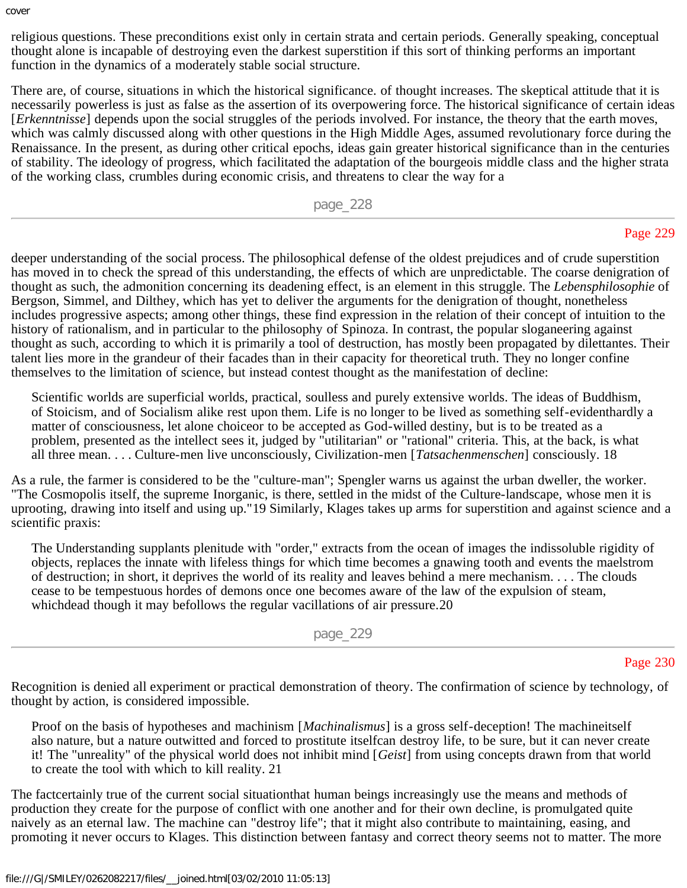religious questions. These preconditions exist only in certain strata and certain periods. Generally speaking, conceptual thought alone is incapable of destroying even the darkest superstition if this sort of thinking performs an important function in the dynamics of a moderately stable social structure.

There are, of course, situations in which the historical significance. of thought increases. The skeptical attitude that it is necessarily powerless is just as false as the assertion of its overpowering force. The historical significance of certain ideas [*Erkenntnisse*] depends upon the social struggles of the periods involved. For instance, the theory that the earth moves, which was calmly discussed along with other questions in the High Middle Ages, assumed revolutionary force during the Renaissance. In the present, as during other critical epochs, ideas gain greater historical significance than in the centuries of stability. The ideology of progress, which facilitated the adaptation of the bourgeois middle class and the higher strata of the working class, crumbles during economic crisis, and threatens to clear the way for a

page\_228

## Page 229

deeper understanding of the social process. The philosophical defense of the oldest prejudices and of crude superstition has moved in to check the spread of this understanding, the effects of which are unpredictable. The coarse denigration of thought as such, the admonition concerning its deadening effect, is an element in this struggle. The *Lebensphilosophie* of Bergson, Simmel, and Dilthey, which has yet to deliver the arguments for the denigration of thought, nonetheless includes progressive aspects; among other things, these find expression in the relation of their concept of intuition to the history of rationalism, and in particular to the philosophy of Spinoza. In contrast, the popular sloganeering against thought as such, according to which it is primarily a tool of destruction, has mostly been propagated by dilettantes. Their talent lies more in the grandeur of their facades than in their capacity for theoretical truth. They no longer confine themselves to the limitation of science, but instead contest thought as the manifestation of decline:

Scientific worlds are superficial worlds, practical, soulless and purely extensive worlds. The ideas of Buddhism, of Stoicism, and of Socialism alike rest upon them. Life is no longer to be lived as something self-evidenthardly a matter of consciousness, let alone choiceor to be accepted as God-willed destiny, but is to be treated as a problem, presented as the intellect sees it, judged by "utilitarian" or "rational" criteria. This, at the back, is what all three mean. . . . Culture-men live unconsciously, Civilization-men [*Tatsachenmenschen*] consciously. 18

As a rule, the farmer is considered to be the "culture-man"; Spengler warns us against the urban dweller, the worker. "The Cosmopolis itself, the supreme Inorganic, is there, settled in the midst of the Culture-landscape, whose men it is uprooting, drawing into itself and using up."19 Similarly, Klages takes up arms for superstition and against science and a scientific praxis:

The Understanding supplants plenitude with "order," extracts from the ocean of images the indissoluble rigidity of objects, replaces the innate with lifeless things for which time becomes a gnawing tooth and events the maelstrom of destruction; in short, it deprives the world of its reality and leaves behind a mere mechanism. . . . The clouds cease to be tempestuous hordes of demons once one becomes aware of the law of the expulsion of steam, whichdead though it may befollows the regular vacillations of air pressure.20

page\_229

## Page 230

Recognition is denied all experiment or practical demonstration of theory. The confirmation of science by technology, of thought by action, is considered impossible.

Proof on the basis of hypotheses and machinism [*Machinalismus*] is a gross self-deception! The machineitself also nature, but a nature outwitted and forced to prostitute itselfcan destroy life, to be sure, but it can never create it! The "unreality" of the physical world does not inhibit mind [*Geist*] from using concepts drawn from that world to create the tool with which to kill reality. 21

The factcertainly true of the current social situationthat human beings increasingly use the means and methods of production they create for the purpose of conflict with one another and for their own decline, is promulgated quite naively as an eternal law. The machine can "destroy life"; that it might also contribute to maintaining, easing, and promoting it never occurs to Klages. This distinction between fantasy and correct theory seems not to matter. The more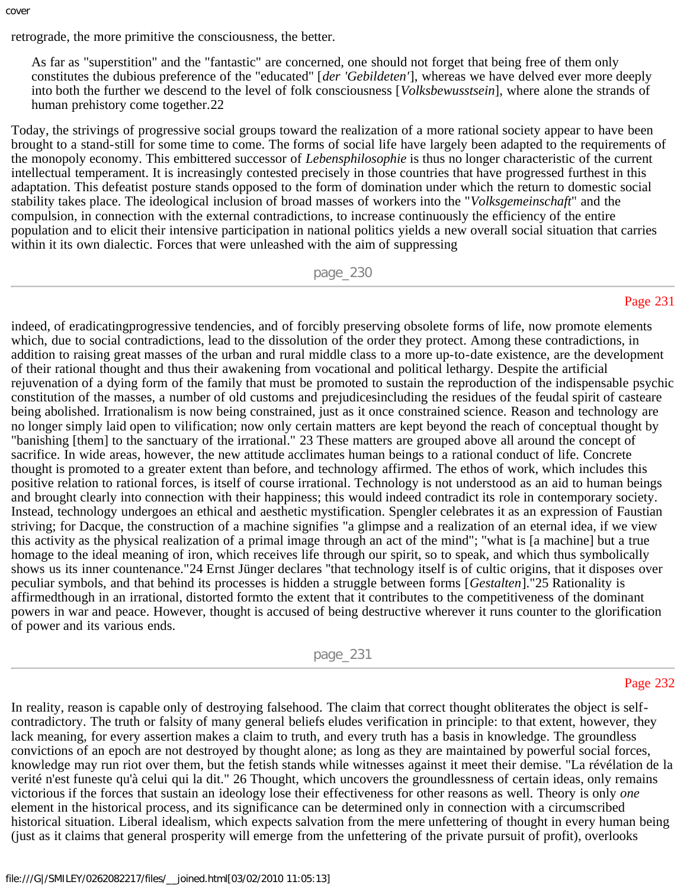retrograde, the more primitive the consciousness, the better.

As far as "superstition" and the "fantastic" are concerned, one should not forget that being free of them only constitutes the dubious preference of the "educated" [*der 'Gebildeten'*], whereas we have delved ever more deeply into both the further we descend to the level of folk consciousness [*Volksbewusstsein*], where alone the strands of human prehistory come together.22

Today, the strivings of progressive social groups toward the realization of a more rational society appear to have been brought to a stand-still for some time to come. The forms of social life have largely been adapted to the requirements of the monopoly economy. This embittered successor of *Lebensphilosophie* is thus no longer characteristic of the current intellectual temperament. It is increasingly contested precisely in those countries that have progressed furthest in this adaptation. This defeatist posture stands opposed to the form of domination under which the return to domestic social stability takes place. The ideological inclusion of broad masses of workers into the "*Volksgemeinschaft*" and the compulsion, in connection with the external contradictions, to increase continuously the efficiency of the entire population and to elicit their intensive participation in national politics yields a new overall social situation that carries within it its own dialectic. Forces that were unleashed with the aim of suppressing

page\_230

#### Page 231

indeed, of eradicatingprogressive tendencies, and of forcibly preserving obsolete forms of life, now promote elements which, due to social contradictions, lead to the dissolution of the order they protect. Among these contradictions, in addition to raising great masses of the urban and rural middle class to a more up-to-date existence, are the development of their rational thought and thus their awakening from vocational and political lethargy. Despite the artificial rejuvenation of a dying form of the family that must be promoted to sustain the reproduction of the indispensable psychic constitution of the masses, a number of old customs and prejudicesincluding the residues of the feudal spirit of casteare being abolished. Irrationalism is now being constrained, just as it once constrained science. Reason and technology are no longer simply laid open to vilification; now only certain matters are kept beyond the reach of conceptual thought by "banishing [them] to the sanctuary of the irrational." 23 These matters are grouped above all around the concept of sacrifice. In wide areas, however, the new attitude acclimates human beings to a rational conduct of life. Concrete thought is promoted to a greater extent than before, and technology affirmed. The ethos of work, which includes this positive relation to rational forces, is itself of course irrational. Technology is not understood as an aid to human beings and brought clearly into connection with their happiness; this would indeed contradict its role in contemporary society. Instead, technology undergoes an ethical and aesthetic mystification. Spengler celebrates it as an expression of Faustian striving; for Dacque, the construction of a machine signifies "a glimpse and a realization of an eternal idea, if we view this activity as the physical realization of a primal image through an act of the mind"; "what is [a machine] but a true homage to the ideal meaning of iron, which receives life through our spirit, so to speak, and which thus symbolically shows us its inner countenance."24 Ernst Jünger declares ''that technology itself is of cultic origins, that it disposes over peculiar symbols, and that behind its processes is hidden a struggle between forms [*Gestalten*]."25 Rationality is affirmedthough in an irrational, distorted formto the extent that it contributes to the competitiveness of the dominant powers in war and peace. However, thought is accused of being destructive wherever it runs counter to the glorification of power and its various ends.

page\_231

Page 232

In reality, reason is capable only of destroying falsehood. The claim that correct thought obliterates the object is selfcontradictory. The truth or falsity of many general beliefs eludes verification in principle: to that extent, however, they lack meaning, for every assertion makes a claim to truth, and every truth has a basis in knowledge. The groundless convictions of an epoch are not destroyed by thought alone; as long as they are maintained by powerful social forces, knowledge may run riot over them, but the fetish stands while witnesses against it meet their demise. "La révélation de la verité n'est funeste qu'à celui qui la dit." 26 Thought, which uncovers the groundlessness of certain ideas, only remains victorious if the forces that sustain an ideology lose their effectiveness for other reasons as well. Theory is only *one* element in the historical process, and its significance can be determined only in connection with a circumscribed historical situation. Liberal idealism, which expects salvation from the mere unfettering of thought in every human being (just as it claims that general prosperity will emerge from the unfettering of the private pursuit of profit), overlooks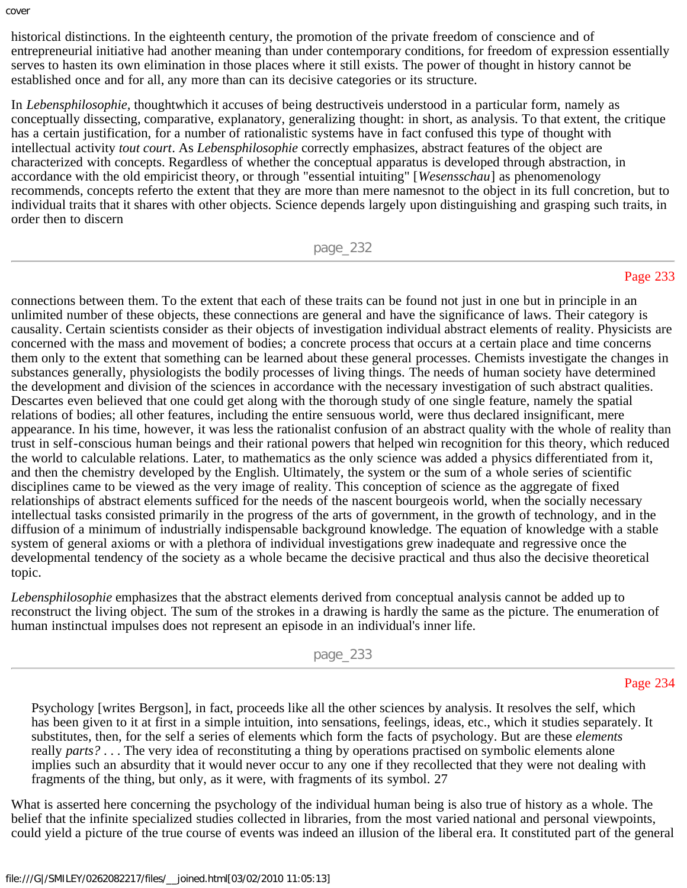historical distinctions. In the eighteenth century, the promotion of the private freedom of conscience and of entrepreneurial initiative had another meaning than under contemporary conditions, for freedom of expression essentially serves to hasten its own elimination in those places where it still exists. The power of thought in history cannot be established once and for all, any more than can its decisive categories or its structure.

In *Lebensphilosophie,* thoughtwhich it accuses of being destructiveis understood in a particular form, namely as conceptually dissecting, comparative, explanatory, generalizing thought: in short, as analysis. To that extent, the critique has a certain justification, for a number of rationalistic systems have in fact confused this type of thought with intellectual activity *tout court*. As *Lebensphilosophie* correctly emphasizes, abstract features of the object are characterized with concepts. Regardless of whether the conceptual apparatus is developed through abstraction, in accordance with the old empiricist theory, or through "essential intuiting" [*Wesensschau*] as phenomenology recommends, concepts referto the extent that they are more than mere namesnot to the object in its full concretion, but to individual traits that it shares with other objects. Science depends largely upon distinguishing and grasping such traits, in order then to discern

page\_232

### Page 233

connections between them. To the extent that each of these traits can be found not just in one but in principle in an unlimited number of these objects, these connections are general and have the significance of laws. Their category is causality. Certain scientists consider as their objects of investigation individual abstract elements of reality. Physicists are concerned with the mass and movement of bodies; a concrete process that occurs at a certain place and time concerns them only to the extent that something can be learned about these general processes. Chemists investigate the changes in substances generally, physiologists the bodily processes of living things. The needs of human society have determined the development and division of the sciences in accordance with the necessary investigation of such abstract qualities. Descartes even believed that one could get along with the thorough study of one single feature, namely the spatial relations of bodies; all other features, including the entire sensuous world, were thus declared insignificant, mere appearance. In his time, however, it was less the rationalist confusion of an abstract quality with the whole of reality than trust in self-conscious human beings and their rational powers that helped win recognition for this theory, which reduced the world to calculable relations. Later, to mathematics as the only science was added a physics differentiated from it, and then the chemistry developed by the English. Ultimately, the system or the sum of a whole series of scientific disciplines came to be viewed as the very image of reality. This conception of science as the aggregate of fixed relationships of abstract elements sufficed for the needs of the nascent bourgeois world, when the socially necessary intellectual tasks consisted primarily in the progress of the arts of government, in the growth of technology, and in the diffusion of a minimum of industrially indispensable background knowledge. The equation of knowledge with a stable system of general axioms or with a plethora of individual investigations grew inadequate and regressive once the developmental tendency of the society as a whole became the decisive practical and thus also the decisive theoretical topic.

*Lebensphilosophie* emphasizes that the abstract elements derived from conceptual analysis cannot be added up to reconstruct the living object. The sum of the strokes in a drawing is hardly the same as the picture. The enumeration of human instinctual impulses does not represent an episode in an individual's inner life.

page\_233

Page 234

Psychology [writes Bergson], in fact, proceeds like all the other sciences by analysis. It resolves the self, which has been given to it at first in a simple intuition, into sensations, feelings, ideas, etc., which it studies separately. It substitutes, then, for the self a series of elements which form the facts of psychology. But are these *elements* really *parts?* . . . The very idea of reconstituting a thing by operations practised on symbolic elements alone implies such an absurdity that it would never occur to any one if they recollected that they were not dealing with fragments of the thing, but only, as it were, with fragments of its symbol. 27

What is asserted here concerning the psychology of the individual human being is also true of history as a whole. The belief that the infinite specialized studies collected in libraries, from the most varied national and personal viewpoints, could yield a picture of the true course of events was indeed an illusion of the liberal era. It constituted part of the general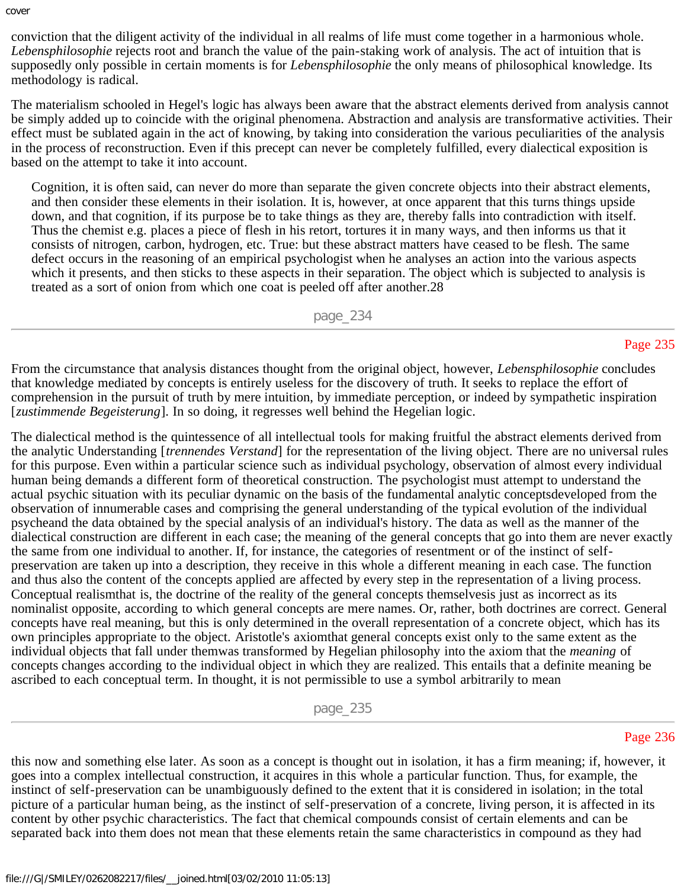conviction that the diligent activity of the individual in all realms of life must come together in a harmonious whole. *Lebensphilosophie* rejects root and branch the value of the pain-staking work of analysis. The act of intuition that is supposedly only possible in certain moments is for *Lebensphilosophie* the only means of philosophical knowledge. Its methodology is radical.

The materialism schooled in Hegel's logic has always been aware that the abstract elements derived from analysis cannot be simply added up to coincide with the original phenomena. Abstraction and analysis are transformative activities. Their effect must be sublated again in the act of knowing, by taking into consideration the various peculiarities of the analysis in the process of reconstruction. Even if this precept can never be completely fulfilled, every dialectical exposition is based on the attempt to take it into account.

Cognition, it is often said, can never do more than separate the given concrete objects into their abstract elements, and then consider these elements in their isolation. It is, however, at once apparent that this turns things upside down, and that cognition, if its purpose be to take things as they are, thereby falls into contradiction with itself. Thus the chemist e.g. places a piece of flesh in his retort, tortures it in many ways, and then informs us that it consists of nitrogen, carbon, hydrogen, etc. True: but these abstract matters have ceased to be flesh. The same defect occurs in the reasoning of an empirical psychologist when he analyses an action into the various aspects which it presents, and then sticks to these aspects in their separation. The object which is subjected to analysis is treated as a sort of onion from which one coat is peeled off after another.28

page\_234

## Page 235

From the circumstance that analysis distances thought from the original object, however, *Lebensphilosophie* concludes that knowledge mediated by concepts is entirely useless for the discovery of truth. It seeks to replace the effort of comprehension in the pursuit of truth by mere intuition, by immediate perception, or indeed by sympathetic inspiration [*zustimmende Begeisterung*]. In so doing, it regresses well behind the Hegelian logic.

The dialectical method is the quintessence of all intellectual tools for making fruitful the abstract elements derived from the analytic Understanding [*trennendes Verstand*] for the representation of the living object. There are no universal rules for this purpose. Even within a particular science such as individual psychology, observation of almost every individual human being demands a different form of theoretical construction. The psychologist must attempt to understand the actual psychic situation with its peculiar dynamic on the basis of the fundamental analytic conceptsdeveloped from the observation of innumerable cases and comprising the general understanding of the typical evolution of the individual psycheand the data obtained by the special analysis of an individual's history. The data as well as the manner of the dialectical construction are different in each case; the meaning of the general concepts that go into them are never exactly the same from one individual to another. If, for instance, the categories of resentment or of the instinct of selfpreservation are taken up into a description, they receive in this whole a different meaning in each case. The function and thus also the content of the concepts applied are affected by every step in the representation of a living process. Conceptual realismthat is, the doctrine of the reality of the general concepts themselvesis just as incorrect as its nominalist opposite, according to which general concepts are mere names. Or, rather, both doctrines are correct. General concepts have real meaning, but this is only determined in the overall representation of a concrete object, which has its own principles appropriate to the object. Aristotle's axiomthat general concepts exist only to the same extent as the individual objects that fall under themwas transformed by Hegelian philosophy into the axiom that the *meaning* of concepts changes according to the individual object in which they are realized. This entails that a definite meaning be ascribed to each conceptual term. In thought, it is not permissible to use a symbol arbitrarily to mean

page\_235

### Page 236

this now and something else later. As soon as a concept is thought out in isolation, it has a firm meaning; if, however, it goes into a complex intellectual construction, it acquires in this whole a particular function. Thus, for example, the instinct of self-preservation can be unambiguously defined to the extent that it is considered in isolation; in the total picture of a particular human being, as the instinct of self-preservation of a concrete, living person, it is affected in its content by other psychic characteristics. The fact that chemical compounds consist of certain elements and can be separated back into them does not mean that these elements retain the same characteristics in compound as they had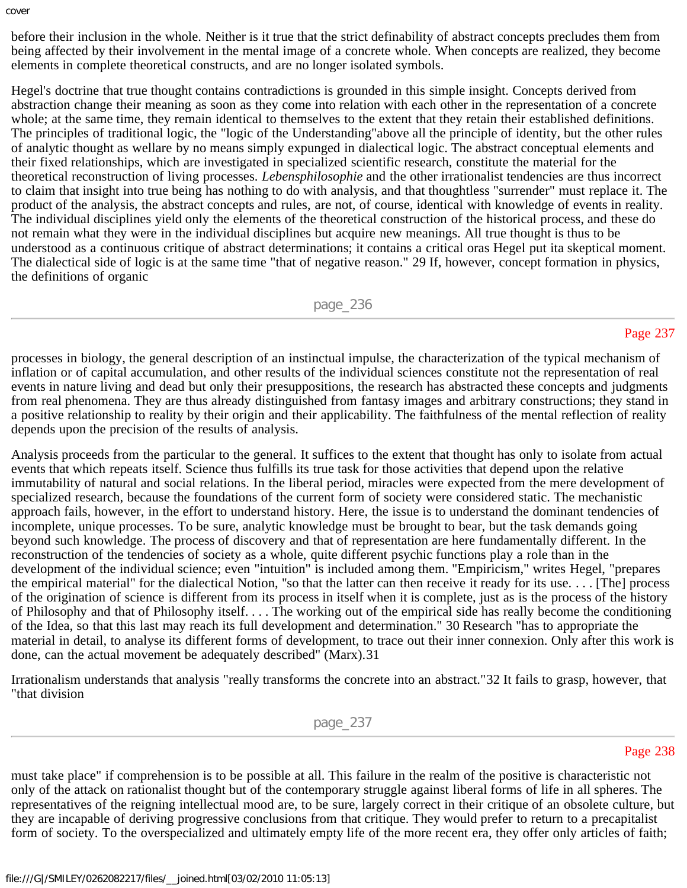before their inclusion in the whole. Neither is it true that the strict definability of abstract concepts precludes them from being affected by their involvement in the mental image of a concrete whole. When concepts are realized, they become elements in complete theoretical constructs, and are no longer isolated symbols.

Hegel's doctrine that true thought contains contradictions is grounded in this simple insight. Concepts derived from abstraction change their meaning as soon as they come into relation with each other in the representation of a concrete whole; at the same time, they remain identical to themselves to the extent that they retain their established definitions. The principles of traditional logic, the "logic of the Understanding"above all the principle of identity, but the other rules of analytic thought as wellare by no means simply expunged in dialectical logic. The abstract conceptual elements and their fixed relationships, which are investigated in specialized scientific research, constitute the material for the theoretical reconstruction of living processes. *Lebensphilosophie* and the other irrationalist tendencies are thus incorrect to claim that insight into true being has nothing to do with analysis, and that thoughtless "surrender" must replace it. The product of the analysis, the abstract concepts and rules, are not, of course, identical with knowledge of events in reality. The individual disciplines yield only the elements of the theoretical construction of the historical process, and these do not remain what they were in the individual disciplines but acquire new meanings. All true thought is thus to be understood as a continuous critique of abstract determinations; it contains a critical oras Hegel put ita skeptical moment. The dialectical side of logic is at the same time "that of negative reason." 29 If, however, concept formation in physics, the definitions of organic

page\_236

## Page 237

processes in biology, the general description of an instinctual impulse, the characterization of the typical mechanism of inflation or of capital accumulation, and other results of the individual sciences constitute not the representation of real events in nature living and dead but only their presuppositions, the research has abstracted these concepts and judgments from real phenomena. They are thus already distinguished from fantasy images and arbitrary constructions; they stand in a positive relationship to reality by their origin and their applicability. The faithfulness of the mental reflection of reality depends upon the precision of the results of analysis.

Analysis proceeds from the particular to the general. It suffices to the extent that thought has only to isolate from actual events that which repeats itself. Science thus fulfills its true task for those activities that depend upon the relative immutability of natural and social relations. In the liberal period, miracles were expected from the mere development of specialized research, because the foundations of the current form of society were considered static. The mechanistic approach fails, however, in the effort to understand history. Here, the issue is to understand the dominant tendencies of incomplete, unique processes. To be sure, analytic knowledge must be brought to bear, but the task demands going beyond such knowledge. The process of discovery and that of representation are here fundamentally different. In the reconstruction of the tendencies of society as a whole, quite different psychic functions play a role than in the development of the individual science; even "intuition" is included among them. "Empiricism," writes Hegel, "prepares the empirical material" for the dialectical Notion, ''so that the latter can then receive it ready for its use. . . . [The] process of the origination of science is different from its process in itself when it is complete, just as is the process of the history of Philosophy and that of Philosophy itself. . . . The working out of the empirical side has really become the conditioning of the Idea, so that this last may reach its full development and determination." 30 Research "has to appropriate the material in detail, to analyse its different forms of development, to trace out their inner connexion. Only after this work is done, can the actual movement be adequately described" (Marx).31

Irrationalism understands that analysis "really transforms the concrete into an abstract."32 It fails to grasp, however, that "that division

page\_237

### Page 238

must take place" if comprehension is to be possible at all. This failure in the realm of the positive is characteristic not only of the attack on rationalist thought but of the contemporary struggle against liberal forms of life in all spheres. The representatives of the reigning intellectual mood are, to be sure, largely correct in their critique of an obsolete culture, but they are incapable of deriving progressive conclusions from that critique. They would prefer to return to a precapitalist form of society. To the overspecialized and ultimately empty life of the more recent era, they offer only articles of faith;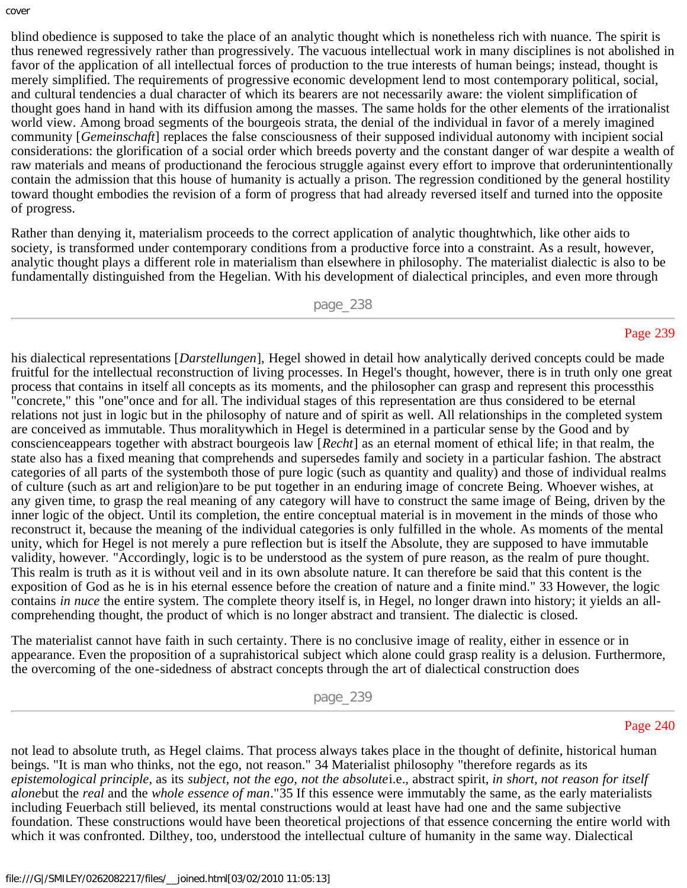blind obedience is supposed to take the place of an analytic thought which is nonetheless rich with nuance. The spirit is thus renewed regressively rather than progressively. The vacuous intellectual work in many disciplines is not abolished in favor of the application of all intellectual forces of production to the true interests of human beings; instead, thought is merely simplified. The requirements of progressive economic development lend to most contemporary political, social, and cultural tendencies a dual character of which its bearers are not necessarily aware: the violent simplification of thought goes hand in hand with its diffusion among the masses. The same holds for the other elements of the irrationalist world view. Among broad segments of the bourgeois strata, the denial of the individual in favor of a merely imagined community [*Gemeinschaft*] replaces the false consciousness of their supposed individual autonomy with incipient social considerations: the glorification of a social order which breeds poverty and the constant danger of war despite a wealth of raw materials and means of productionand the ferocious struggle against every effort to improve that orderunintentionally contain the admission that this house of humanity is actually a prison. The regression conditioned by the general hostility toward thought embodies the revision of a form of progress that had already reversed itself and turned into the opposite of progress.

Rather than denying it, materialism proceeds to the correct application of analytic thoughtwhich, like other aids to society, is transformed under contemporary conditions from a productive force into a constraint. As a result, however, analytic thought plays a different role in materialism than elsewhere in philosophy. The materialist dialectic is also to be fundamentally distinguished from the Hegelian. With his development of dialectical principles, and even more through

page\_238

### Page 239

his dialectical representations [*Darstellungen*], Hegel showed in detail how analytically derived concepts could be made fruitful for the intellectual reconstruction of living processes. In Hegel's thought, however, there is in truth only one great process that contains in itself all concepts as its moments, and the philosopher can grasp and represent this processthis "concrete," this "one"once and for all. The individual stages of this representation are thus considered to be eternal relations not just in logic but in the philosophy of nature and of spirit as well. All relationships in the completed system are conceived as immutable. Thus moralitywhich in Hegel is determined in a particular sense by the Good and by conscienceappears together with abstract bourgeois law [*Recht*] as an eternal moment of ethical life; in that realm, the state also has a fixed meaning that comprehends and supersedes family and society in a particular fashion. The abstract categories of all parts of the systemboth those of pure logic (such as quantity and quality) and those of individual realms of culture (such as art and religion)are to be put together in an enduring image of concrete Being. Whoever wishes, at any given time, to grasp the real meaning of any category will have to construct the same image of Being, driven by the inner logic of the object. Until its completion, the entire conceptual material is in movement in the minds of those who reconstruct it, because the meaning of the individual categories is only fulfilled in the whole. As moments of the mental unity, which for Hegel is not merely a pure reflection but is itself the Absolute, they are supposed to have immutable validity, however. "Accordingly, logic is to be understood as the system of pure reason, as the realm of pure thought. This realm is truth as it is without veil and in its own absolute nature. It can therefore be said that this content is the exposition of God as he is in his eternal essence before the creation of nature and a finite mind." 33 However, the logic contains *in nuce* the entire system. The complete theory itself is, in Hegel, no longer drawn into history; it yields an allcomprehending thought, the product of which is no longer abstract and transient. The dialectic is closed.

The materialist cannot have faith in such certainty. There is no conclusive image of reality, either in essence or in appearance. Even the proposition of a suprahistorical subject which alone could grasp reality is a delusion. Furthermore, the overcoming of the one-sidedness of abstract concepts through the art of dialectical construction does

page\_239

### Page 240

not lead to absolute truth, as Hegel claims. That process always takes place in the thought of definite, historical human beings. "It is man who thinks, not the ego, not reason." 34 Materialist philosophy "therefore regards as its *epistemological principle,* as its *subject, not the ego, not the absolute*i.e., abstract spirit, *in short, not reason for itself alone*but the *real* and the *whole essence of man*."35 If this essence were immutably the same, as the early materialists including Feuerbach still believed, its mental constructions would at least have had one and the same subjective foundation. These constructions would have been theoretical projections of that essence concerning the entire world with which it was confronted. Dilthey, too, understood the intellectual culture of humanity in the same way. Dialectical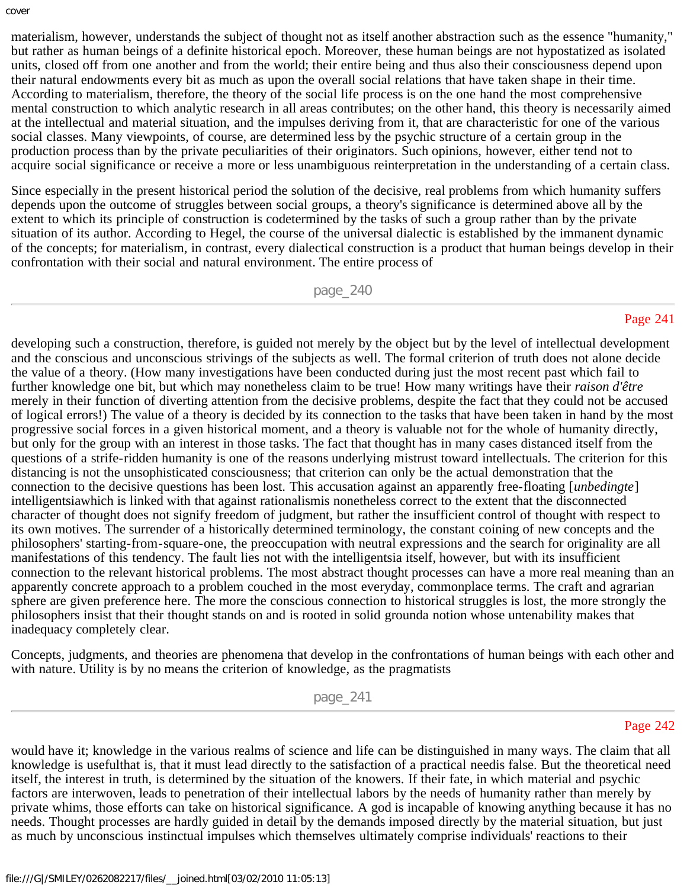materialism, however, understands the subject of thought not as itself another abstraction such as the essence "humanity," but rather as human beings of a definite historical epoch. Moreover, these human beings are not hypostatized as isolated units, closed off from one another and from the world; their entire being and thus also their consciousness depend upon their natural endowments every bit as much as upon the overall social relations that have taken shape in their time. According to materialism, therefore, the theory of the social life process is on the one hand the most comprehensive mental construction to which analytic research in all areas contributes; on the other hand, this theory is necessarily aimed at the intellectual and material situation, and the impulses deriving from it, that are characteristic for one of the various social classes. Many viewpoints, of course, are determined less by the psychic structure of a certain group in the production process than by the private peculiarities of their originators. Such opinions, however, either tend not to acquire social significance or receive a more or less unambiguous reinterpretation in the understanding of a certain class.

Since especially in the present historical period the solution of the decisive, real problems from which humanity suffers depends upon the outcome of struggles between social groups, a theory's significance is determined above all by the extent to which its principle of construction is codetermined by the tasks of such a group rather than by the private situation of its author. According to Hegel, the course of the universal dialectic is established by the immanent dynamic of the concepts; for materialism, in contrast, every dialectical construction is a product that human beings develop in their confrontation with their social and natural environment. The entire process of

page\_240

#### Page 241

developing such a construction, therefore, is guided not merely by the object but by the level of intellectual development and the conscious and unconscious strivings of the subjects as well. The formal criterion of truth does not alone decide the value of a theory. (How many investigations have been conducted during just the most recent past which fail to further knowledge one bit, but which may nonetheless claim to be true! How many writings have their *raison d'être* merely in their function of diverting attention from the decisive problems, despite the fact that they could not be accused of logical errors!) The value of a theory is decided by its connection to the tasks that have been taken in hand by the most progressive social forces in a given historical moment, and a theory is valuable not for the whole of humanity directly, but only for the group with an interest in those tasks. The fact that thought has in many cases distanced itself from the questions of a strife-ridden humanity is one of the reasons underlying mistrust toward intellectuals. The criterion for this distancing is not the unsophisticated consciousness; that criterion can only be the actual demonstration that the connection to the decisive questions has been lost. This accusation against an apparently free-floating [*unbedingte*] intelligentsiawhich is linked with that against rationalismis nonetheless correct to the extent that the disconnected character of thought does not signify freedom of judgment, but rather the insufficient control of thought with respect to its own motives. The surrender of a historically determined terminology, the constant coining of new concepts and the philosophers' starting-from-square-one, the preoccupation with neutral expressions and the search for originality are all manifestations of this tendency. The fault lies not with the intelligentsia itself, however, but with its insufficient connection to the relevant historical problems. The most abstract thought processes can have a more real meaning than an apparently concrete approach to a problem couched in the most everyday, commonplace terms. The craft and agrarian sphere are given preference here. The more the conscious connection to historical struggles is lost, the more strongly the philosophers insist that their thought stands on and is rooted in solid grounda notion whose untenability makes that inadequacy completely clear.

Concepts, judgments, and theories are phenomena that develop in the confrontations of human beings with each other and with nature. Utility is by no means the criterion of knowledge, as the pragmatists

page\_241

### Page 242

would have it; knowledge in the various realms of science and life can be distinguished in many ways. The claim that all knowledge is usefulthat is, that it must lead directly to the satisfaction of a practical needis false. But the theoretical need itself, the interest in truth, is determined by the situation of the knowers. If their fate, in which material and psychic factors are interwoven, leads to penetration of their intellectual labors by the needs of humanity rather than merely by private whims, those efforts can take on historical significance. A god is incapable of knowing anything because it has no needs. Thought processes are hardly guided in detail by the demands imposed directly by the material situation, but just as much by unconscious instinctual impulses which themselves ultimately comprise individuals' reactions to their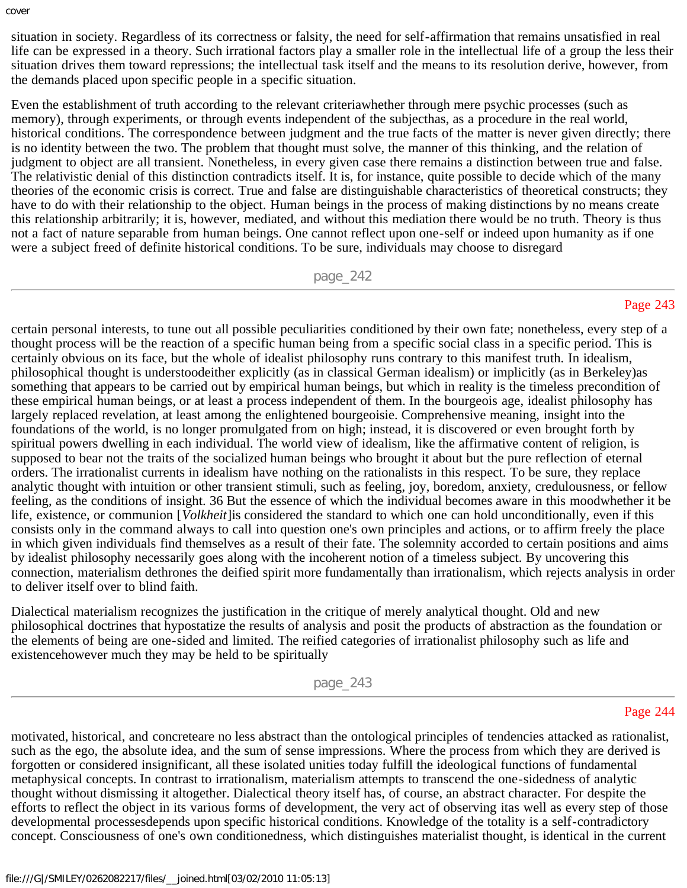situation in society. Regardless of its correctness or falsity, the need for self-affirmation that remains unsatisfied in real life can be expressed in a theory. Such irrational factors play a smaller role in the intellectual life of a group the less their situation drives them toward repressions; the intellectual task itself and the means to its resolution derive, however, from the demands placed upon specific people in a specific situation.

Even the establishment of truth according to the relevant criteriawhether through mere psychic processes (such as memory), through experiments, or through events independent of the subjecthas, as a procedure in the real world, historical conditions. The correspondence between judgment and the true facts of the matter is never given directly; there is no identity between the two. The problem that thought must solve, the manner of this thinking, and the relation of judgment to object are all transient. Nonetheless, in every given case there remains a distinction between true and false. The relativistic denial of this distinction contradicts itself. It is, for instance, quite possible to decide which of the many theories of the economic crisis is correct. True and false are distinguishable characteristics of theoretical constructs; they have to do with their relationship to the object. Human beings in the process of making distinctions by no means create this relationship arbitrarily; it is, however, mediated, and without this mediation there would be no truth. Theory is thus not a fact of nature separable from human beings. One cannot reflect upon one-self or indeed upon humanity as if one were a subject freed of definite historical conditions. To be sure, individuals may choose to disregard

page\_242

### Page 243

certain personal interests, to tune out all possible peculiarities conditioned by their own fate; nonetheless, every step of a thought process will be the reaction of a specific human being from a specific social class in a specific period. This is certainly obvious on its face, but the whole of idealist philosophy runs contrary to this manifest truth. In idealism, philosophical thought is understoodeither explicitly (as in classical German idealism) or implicitly (as in Berkeley)as something that appears to be carried out by empirical human beings, but which in reality is the timeless precondition of these empirical human beings, or at least a process independent of them. In the bourgeois age, idealist philosophy has largely replaced revelation, at least among the enlightened bourgeoisie. Comprehensive meaning, insight into the foundations of the world, is no longer promulgated from on high; instead, it is discovered or even brought forth by spiritual powers dwelling in each individual. The world view of idealism, like the affirmative content of religion, is supposed to bear not the traits of the socialized human beings who brought it about but the pure reflection of eternal orders. The irrationalist currents in idealism have nothing on the rationalists in this respect. To be sure, they replace analytic thought with intuition or other transient stimuli, such as feeling, joy, boredom, anxiety, credulousness, or fellow feeling, as the conditions of insight. 36 But the essence of which the individual becomes aware in this moodwhether it be life, existence, or communion [*Volkheit*]is considered the standard to which one can hold unconditionally, even if this consists only in the command always to call into question one's own principles and actions, or to affirm freely the place in which given individuals find themselves as a result of their fate. The solemnity accorded to certain positions and aims by idealist philosophy necessarily goes along with the incoherent notion of a timeless subject. By uncovering this connection, materialism dethrones the deified spirit more fundamentally than irrationalism, which rejects analysis in order to deliver itself over to blind faith.

Dialectical materialism recognizes the justification in the critique of merely analytical thought. Old and new philosophical doctrines that hypostatize the results of analysis and posit the products of abstraction as the foundation or the elements of being are one-sided and limited. The reified categories of irrationalist philosophy such as life and existencehowever much they may be held to be spiritually

page\_243

#### Page 244

motivated, historical, and concreteare no less abstract than the ontological principles of tendencies attacked as rationalist, such as the ego, the absolute idea, and the sum of sense impressions. Where the process from which they are derived is forgotten or considered insignificant, all these isolated unities today fulfill the ideological functions of fundamental metaphysical concepts. In contrast to irrationalism, materialism attempts to transcend the one-sidedness of analytic thought without dismissing it altogether. Dialectical theory itself has, of course, an abstract character. For despite the efforts to reflect the object in its various forms of development, the very act of observing itas well as every step of those developmental processesdepends upon specific historical conditions. Knowledge of the totality is a self-contradictory concept. Consciousness of one's own conditionedness, which distinguishes materialist thought, is identical in the current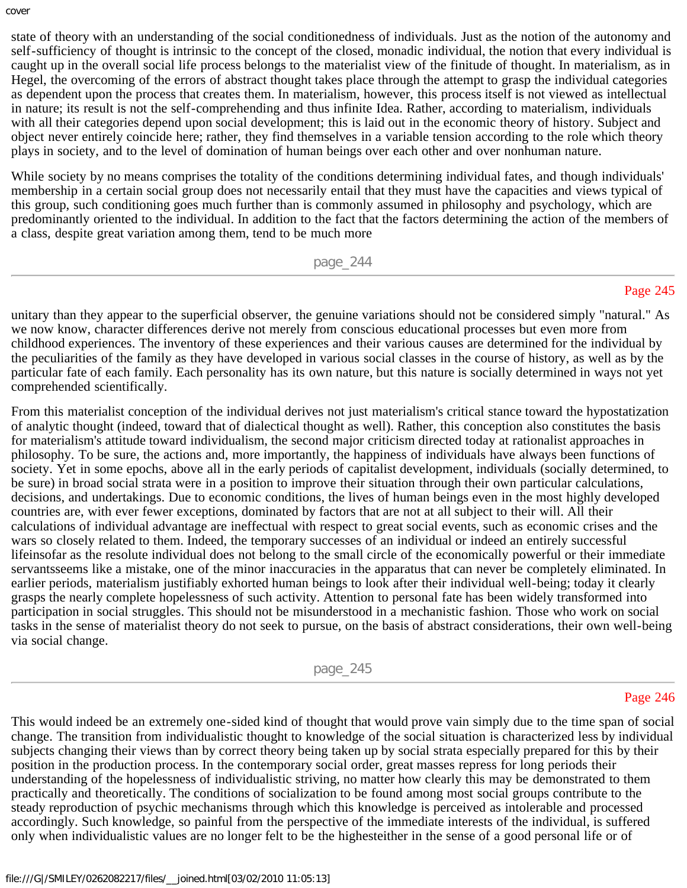state of theory with an understanding of the social conditionedness of individuals. Just as the notion of the autonomy and self-sufficiency of thought is intrinsic to the concept of the closed, monadic individual, the notion that every individual is caught up in the overall social life process belongs to the materialist view of the finitude of thought. In materialism, as in Hegel, the overcoming of the errors of abstract thought takes place through the attempt to grasp the individual categories as dependent upon the process that creates them. In materialism, however, this process itself is not viewed as intellectual in nature; its result is not the self-comprehending and thus infinite Idea. Rather, according to materialism, individuals with all their categories depend upon social development; this is laid out in the economic theory of history. Subject and object never entirely coincide here; rather, they find themselves in a variable tension according to the role which theory plays in society, and to the level of domination of human beings over each other and over nonhuman nature.

While society by no means comprises the totality of the conditions determining individual fates, and though individuals' membership in a certain social group does not necessarily entail that they must have the capacities and views typical of this group, such conditioning goes much further than is commonly assumed in philosophy and psychology, which are predominantly oriented to the individual. In addition to the fact that the factors determining the action of the members of a class, despite great variation among them, tend to be much more

page\_244

#### Page 245

unitary than they appear to the superficial observer, the genuine variations should not be considered simply "natural." As we now know, character differences derive not merely from conscious educational processes but even more from childhood experiences. The inventory of these experiences and their various causes are determined for the individual by the peculiarities of the family as they have developed in various social classes in the course of history, as well as by the particular fate of each family. Each personality has its own nature, but this nature is socially determined in ways not yet comprehended scientifically.

From this materialist conception of the individual derives not just materialism's critical stance toward the hypostatization of analytic thought (indeed, toward that of dialectical thought as well). Rather, this conception also constitutes the basis for materialism's attitude toward individualism, the second major criticism directed today at rationalist approaches in philosophy. To be sure, the actions and, more importantly, the happiness of individuals have always been functions of society. Yet in some epochs, above all in the early periods of capitalist development, individuals (socially determined, to be sure) in broad social strata were in a position to improve their situation through their own particular calculations, decisions, and undertakings. Due to economic conditions, the lives of human beings even in the most highly developed countries are, with ever fewer exceptions, dominated by factors that are not at all subject to their will. All their calculations of individual advantage are ineffectual with respect to great social events, such as economic crises and the wars so closely related to them. Indeed, the temporary successes of an individual or indeed an entirely successful lifeinsofar as the resolute individual does not belong to the small circle of the economically powerful or their immediate servantsseems like a mistake, one of the minor inaccuracies in the apparatus that can never be completely eliminated. In earlier periods, materialism justifiably exhorted human beings to look after their individual well-being; today it clearly grasps the nearly complete hopelessness of such activity. Attention to personal fate has been widely transformed into participation in social struggles. This should not be misunderstood in a mechanistic fashion. Those who work on social tasks in the sense of materialist theory do not seek to pursue, on the basis of abstract considerations, their own well-being via social change.

page\_245

### Page 246

This would indeed be an extremely one-sided kind of thought that would prove vain simply due to the time span of social change. The transition from individualistic thought to knowledge of the social situation is characterized less by individual subjects changing their views than by correct theory being taken up by social strata especially prepared for this by their position in the production process. In the contemporary social order, great masses repress for long periods their understanding of the hopelessness of individualistic striving, no matter how clearly this may be demonstrated to them practically and theoretically. The conditions of socialization to be found among most social groups contribute to the steady reproduction of psychic mechanisms through which this knowledge is perceived as intolerable and processed accordingly. Such knowledge, so painful from the perspective of the immediate interests of the individual, is suffered only when individualistic values are no longer felt to be the highesteither in the sense of a good personal life or of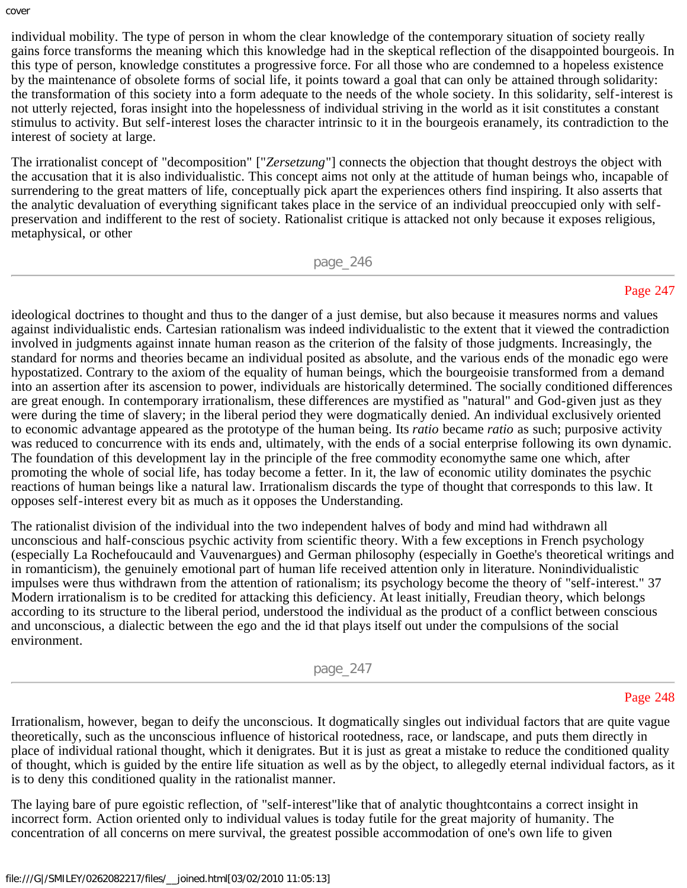individual mobility. The type of person in whom the clear knowledge of the contemporary situation of society really gains force transforms the meaning which this knowledge had in the skeptical reflection of the disappointed bourgeois. In this type of person, knowledge constitutes a progressive force. For all those who are condemned to a hopeless existence by the maintenance of obsolete forms of social life, it points toward a goal that can only be attained through solidarity: the transformation of this society into a form adequate to the needs of the whole society. In this solidarity, self-interest is not utterly rejected, foras insight into the hopelessness of individual striving in the world as it isit constitutes a constant stimulus to activity. But self-interest loses the character intrinsic to it in the bourgeois eranamely, its contradiction to the interest of society at large.

The irrationalist concept of "decomposition" ["*Zersetzung*"] connects the objection that thought destroys the object with the accusation that it is also individualistic. This concept aims not only at the attitude of human beings who, incapable of surrendering to the great matters of life, conceptually pick apart the experiences others find inspiring. It also asserts that the analytic devaluation of everything significant takes place in the service of an individual preoccupied only with selfpreservation and indifferent to the rest of society. Rationalist critique is attacked not only because it exposes religious, metaphysical, or other

page\_246

### Page 247

ideological doctrines to thought and thus to the danger of a just demise, but also because it measures norms and values against individualistic ends. Cartesian rationalism was indeed individualistic to the extent that it viewed the contradiction involved in judgments against innate human reason as the criterion of the falsity of those judgments. Increasingly, the standard for norms and theories became an individual posited as absolute, and the various ends of the monadic ego were hypostatized. Contrary to the axiom of the equality of human beings, which the bourgeoisie transformed from a demand into an assertion after its ascension to power, individuals are historically determined. The socially conditioned differences are great enough. In contemporary irrationalism, these differences are mystified as ''natural" and God-given just as they were during the time of slavery; in the liberal period they were dogmatically denied. An individual exclusively oriented to economic advantage appeared as the prototype of the human being. Its *ratio* became *ratio* as such; purposive activity was reduced to concurrence with its ends and, ultimately, with the ends of a social enterprise following its own dynamic. The foundation of this development lay in the principle of the free commodity economythe same one which, after promoting the whole of social life, has today become a fetter. In it, the law of economic utility dominates the psychic reactions of human beings like a natural law. Irrationalism discards the type of thought that corresponds to this law. It opposes self-interest every bit as much as it opposes the Understanding.

The rationalist division of the individual into the two independent halves of body and mind had withdrawn all unconscious and half-conscious psychic activity from scientific theory. With a few exceptions in French psychology (especially La Rochefoucauld and Vauvenargues) and German philosophy (especially in Goethe's theoretical writings and in romanticism), the genuinely emotional part of human life received attention only in literature. Nonindividualistic impulses were thus withdrawn from the attention of rationalism; its psychology become the theory of "self-interest." 37 Modern irrationalism is to be credited for attacking this deficiency. At least initially, Freudian theory, which belongs according to its structure to the liberal period, understood the individual as the product of a conflict between conscious and unconscious, a dialectic between the ego and the id that plays itself out under the compulsions of the social environment.

page\_247

### Page 248

Irrationalism, however, began to deify the unconscious. It dogmatically singles out individual factors that are quite vague theoretically, such as the unconscious influence of historical rootedness, race, or landscape, and puts them directly in place of individual rational thought, which it denigrates. But it is just as great a mistake to reduce the conditioned quality of thought, which is guided by the entire life situation as well as by the object, to allegedly eternal individual factors, as it is to deny this conditioned quality in the rationalist manner.

The laying bare of pure egoistic reflection, of "self-interest"like that of analytic thoughtcontains a correct insight in incorrect form. Action oriented only to individual values is today futile for the great majority of humanity. The concentration of all concerns on mere survival, the greatest possible accommodation of one's own life to given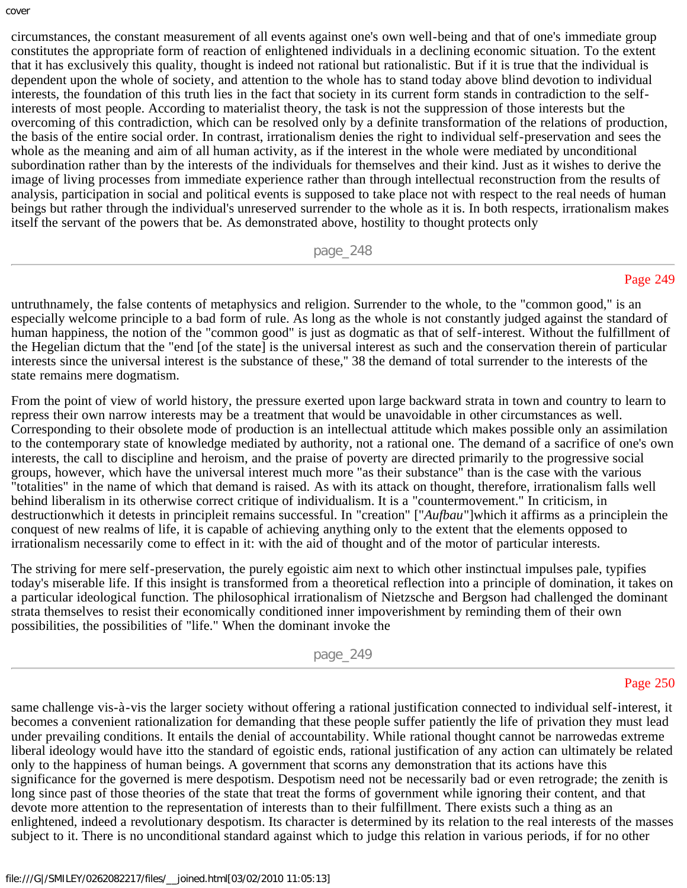circumstances, the constant measurement of all events against one's own well-being and that of one's immediate group constitutes the appropriate form of reaction of enlightened individuals in a declining economic situation. To the extent that it has exclusively this quality, thought is indeed not rational but rationalistic. But if it is true that the individual is dependent upon the whole of society, and attention to the whole has to stand today above blind devotion to individual interests, the foundation of this truth lies in the fact that society in its current form stands in contradiction to the selfinterests of most people. According to materialist theory, the task is not the suppression of those interests but the overcoming of this contradiction, which can be resolved only by a definite transformation of the relations of production, the basis of the entire social order. In contrast, irrationalism denies the right to individual self-preservation and sees the whole as the meaning and aim of all human activity, as if the interest in the whole were mediated by unconditional subordination rather than by the interests of the individuals for themselves and their kind. Just as it wishes to derive the image of living processes from immediate experience rather than through intellectual reconstruction from the results of analysis, participation in social and political events is supposed to take place not with respect to the real needs of human beings but rather through the individual's unreserved surrender to the whole as it is. In both respects, irrationalism makes itself the servant of the powers that be. As demonstrated above, hostility to thought protects only

page\_248

#### Page 249

untruthnamely, the false contents of metaphysics and religion. Surrender to the whole, to the "common good," is an especially welcome principle to a bad form of rule. As long as the whole is not constantly judged against the standard of human happiness, the notion of the "common good" is just as dogmatic as that of self-interest. Without the fulfillment of the Hegelian dictum that the "end [of the state] is the universal interest as such and the conservation therein of particular interests since the universal interest is the substance of these,'' 38 the demand of total surrender to the interests of the state remains mere dogmatism.

From the point of view of world history, the pressure exerted upon large backward strata in town and country to learn to repress their own narrow interests may be a treatment that would be unavoidable in other circumstances as well. Corresponding to their obsolete mode of production is an intellectual attitude which makes possible only an assimilation to the contemporary state of knowledge mediated by authority, not a rational one. The demand of a sacrifice of one's own interests, the call to discipline and heroism, and the praise of poverty are directed primarily to the progressive social groups, however, which have the universal interest much more "as their substance" than is the case with the various "totalities" in the name of which that demand is raised. As with its attack on thought, therefore, irrationalism falls well behind liberalism in its otherwise correct critique of individualism. It is a "countermovement." In criticism, in destructionwhich it detests in principleit remains successful. In "creation" ["*Aufbau*"]which it affirms as a principlein the conquest of new realms of life, it is capable of achieving anything only to the extent that the elements opposed to irrationalism necessarily come to effect in it: with the aid of thought and of the motor of particular interests.

The striving for mere self-preservation, the purely egoistic aim next to which other instinctual impulses pale, typifies today's miserable life. If this insight is transformed from a theoretical reflection into a principle of domination, it takes on a particular ideological function. The philosophical irrationalism of Nietzsche and Bergson had challenged the dominant strata themselves to resist their economically conditioned inner impoverishment by reminding them of their own possibilities, the possibilities of "life." When the dominant invoke the

page\_249

Page 250

same challenge vis-à-vis the larger society without offering a rational justification connected to individual self-interest, it becomes a convenient rationalization for demanding that these people suffer patiently the life of privation they must lead under prevailing conditions. It entails the denial of accountability. While rational thought cannot be narrowedas extreme liberal ideology would have itto the standard of egoistic ends, rational justification of any action can ultimately be related only to the happiness of human beings. A government that scorns any demonstration that its actions have this significance for the governed is mere despotism. Despotism need not be necessarily bad or even retrograde; the zenith is long since past of those theories of the state that treat the forms of government while ignoring their content, and that devote more attention to the representation of interests than to their fulfillment. There exists such a thing as an enlightened, indeed a revolutionary despotism. Its character is determined by its relation to the real interests of the masses subject to it. There is no unconditional standard against which to judge this relation in various periods, if for no other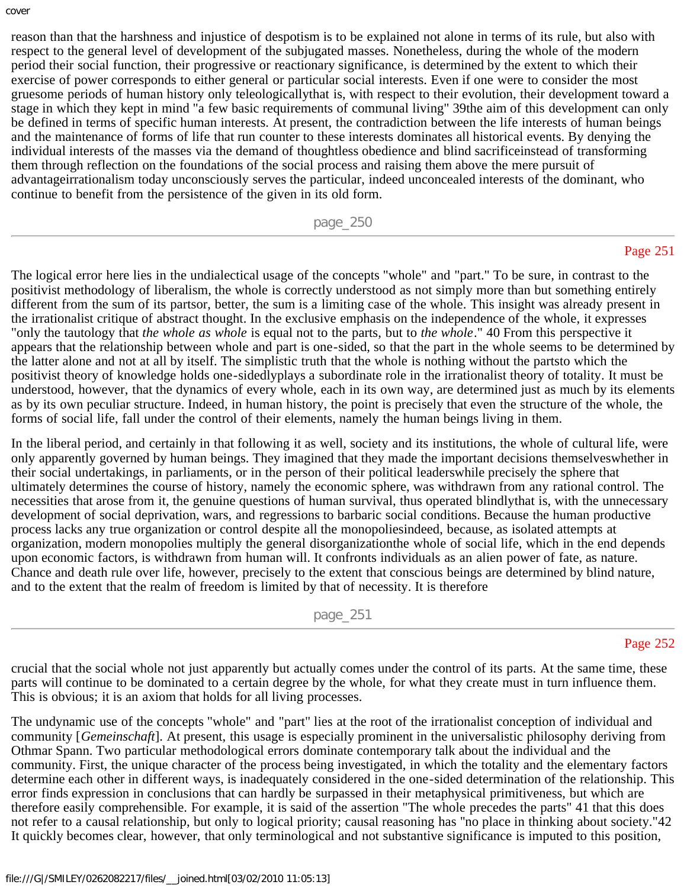reason than that the harshness and injustice of despotism is to be explained not alone in terms of its rule, but also with respect to the general level of development of the subjugated masses. Nonetheless, during the whole of the modern period their social function, their progressive or reactionary significance, is determined by the extent to which their exercise of power corresponds to either general or particular social interests. Even if one were to consider the most gruesome periods of human history only teleologicallythat is, with respect to their evolution, their development toward a stage in which they kept in mind "a few basic requirements of communal living" 39the aim of this development can only be defined in terms of specific human interests. At present, the contradiction between the life interests of human beings and the maintenance of forms of life that run counter to these interests dominates all historical events. By denying the individual interests of the masses via the demand of thoughtless obedience and blind sacrificeinstead of transforming them through reflection on the foundations of the social process and raising them above the mere pursuit of advantageirrationalism today unconsciously serves the particular, indeed unconcealed interests of the dominant, who continue to benefit from the persistence of the given in its old form.

page\_250

Page 251

The logical error here lies in the undialectical usage of the concepts "whole" and "part." To be sure, in contrast to the positivist methodology of liberalism, the whole is correctly understood as not simply more than but something entirely different from the sum of its partsor, better, the sum is a limiting case of the whole. This insight was already present in the irrationalist critique of abstract thought. In the exclusive emphasis on the independence of the whole, it expresses "only the tautology that *the whole as whole* is equal not to the parts, but to *the whole*." 40 From this perspective it appears that the relationship between whole and part is one-sided, so that the part in the whole seems to be determined by the latter alone and not at all by itself. The simplistic truth that the whole is nothing without the partsto which the positivist theory of knowledge holds one-sidedlyplays a subordinate role in the irrationalist theory of totality. It must be understood, however, that the dynamics of every whole, each in its own way, are determined just as much by its elements as by its own peculiar structure. Indeed, in human history, the point is precisely that even the structure of the whole, the forms of social life, fall under the control of their elements, namely the human beings living in them.

In the liberal period, and certainly in that following it as well, society and its institutions, the whole of cultural life, were only apparently governed by human beings. They imagined that they made the important decisions themselveswhether in their social undertakings, in parliaments, or in the person of their political leaderswhile precisely the sphere that ultimately determines the course of history, namely the economic sphere, was withdrawn from any rational control. The necessities that arose from it, the genuine questions of human survival, thus operated blindlythat is, with the unnecessary development of social deprivation, wars, and regressions to barbaric social conditions. Because the human productive process lacks any true organization or control despite all the monopoliesindeed, because, as isolated attempts at organization, modern monopolies multiply the general disorganizationthe whole of social life, which in the end depends upon economic factors, is withdrawn from human will. It confronts individuals as an alien power of fate, as nature. Chance and death rule over life, however, precisely to the extent that conscious beings are determined by blind nature, and to the extent that the realm of freedom is limited by that of necessity. It is therefore

page\_251

### Page 252

crucial that the social whole not just apparently but actually comes under the control of its parts. At the same time, these parts will continue to be dominated to a certain degree by the whole, for what they create must in turn influence them. This is obvious; it is an axiom that holds for all living processes.

The undynamic use of the concepts "whole" and "part" lies at the root of the irrationalist conception of individual and community [*Gemeinschaft*]. At present, this usage is especially prominent in the universalistic philosophy deriving from Othmar Spann. Two particular methodological errors dominate contemporary talk about the individual and the community. First, the unique character of the process being investigated, in which the totality and the elementary factors determine each other in different ways, is inadequately considered in the one-sided determination of the relationship. This error finds expression in conclusions that can hardly be surpassed in their metaphysical primitiveness, but which are therefore easily comprehensible. For example, it is said of the assertion "The whole precedes the parts" 41 that this does not refer to a causal relationship, but only to logical priority; causal reasoning has ''no place in thinking about society."42 It quickly becomes clear, however, that only terminological and not substantive significance is imputed to this position,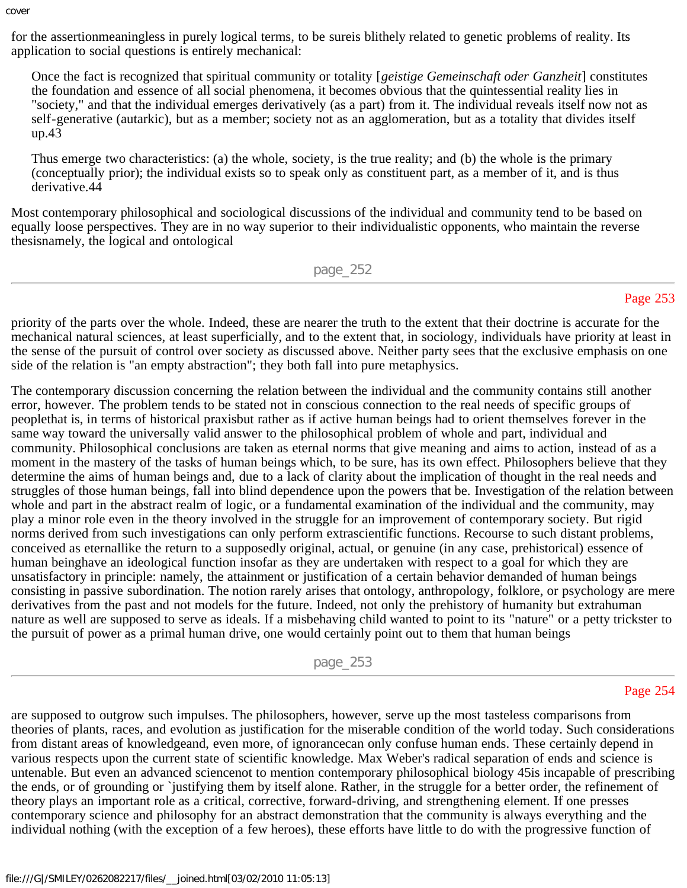for the assertionmeaningless in purely logical terms, to be sureis blithely related to genetic problems of reality. Its application to social questions is entirely mechanical:

Once the fact is recognized that spiritual community or totality [*geistige Gemeinschaft oder Ganzheit*] constitutes the foundation and essence of all social phenomena, it becomes obvious that the quintessential reality lies in "society," and that the individual emerges derivatively (as a part) from it. The individual reveals itself now not as self-generative (autarkic), but as a member; society not as an agglomeration, but as a totality that divides itself up.43

Thus emerge two characteristics: (a) the whole, society, is the true reality; and (b) the whole is the primary (conceptually prior); the individual exists so to speak only as constituent part, as a member of it, and is thus derivative.44

Most contemporary philosophical and sociological discussions of the individual and community tend to be based on equally loose perspectives. They are in no way superior to their individualistic opponents, who maintain the reverse thesisnamely, the logical and ontological

page\_252

### Page 253

priority of the parts over the whole. Indeed, these are nearer the truth to the extent that their doctrine is accurate for the mechanical natural sciences, at least superficially, and to the extent that, in sociology, individuals have priority at least in the sense of the pursuit of control over society as discussed above. Neither party sees that the exclusive emphasis on one side of the relation is "an empty abstraction"; they both fall into pure metaphysics.

The contemporary discussion concerning the relation between the individual and the community contains still another error, however. The problem tends to be stated not in conscious connection to the real needs of specific groups of peoplethat is, in terms of historical praxisbut rather as if active human beings had to orient themselves forever in the same way toward the universally valid answer to the philosophical problem of whole and part, individual and community. Philosophical conclusions are taken as eternal norms that give meaning and aims to action, instead of as a moment in the mastery of the tasks of human beings which, to be sure, has its own effect. Philosophers believe that they determine the aims of human beings and, due to a lack of clarity about the implication of thought in the real needs and struggles of those human beings, fall into blind dependence upon the powers that be. Investigation of the relation between whole and part in the abstract realm of logic, or a fundamental examination of the individual and the community, may play a minor role even in the theory involved in the struggle for an improvement of contemporary society. But rigid norms derived from such investigations can only perform extrascientific functions. Recourse to such distant problems, conceived as eternallike the return to a supposedly original, actual, or genuine (in any case, prehistorical) essence of human beinghave an ideological function insofar as they are undertaken with respect to a goal for which they are unsatisfactory in principle: namely, the attainment or justification of a certain behavior demanded of human beings consisting in passive subordination. The notion rarely arises that ontology, anthropology, folklore, or psychology are mere derivatives from the past and not models for the future. Indeed, not only the prehistory of humanity but extrahuman nature as well are supposed to serve as ideals. If a misbehaving child wanted to point to its "nature" or a petty trickster to the pursuit of power as a primal human drive, one would certainly point out to them that human beings

page\_253

Page 254

are supposed to outgrow such impulses. The philosophers, however, serve up the most tasteless comparisons from theories of plants, races, and evolution as justification for the miserable condition of the world today. Such considerations from distant areas of knowledgeand, even more, of ignorancecan only confuse human ends. These certainly depend in various respects upon the current state of scientific knowledge. Max Weber's radical separation of ends and science is untenable. But even an advanced sciencenot to mention contemporary philosophical biology 45is incapable of prescribing the ends, or of grounding or `justifying them by itself alone. Rather, in the struggle for a better order, the refinement of theory plays an important role as a critical, corrective, forward-driving, and strengthening element. If one presses contemporary science and philosophy for an abstract demonstration that the community is always everything and the individual nothing (with the exception of a few heroes), these efforts have little to do with the progressive function of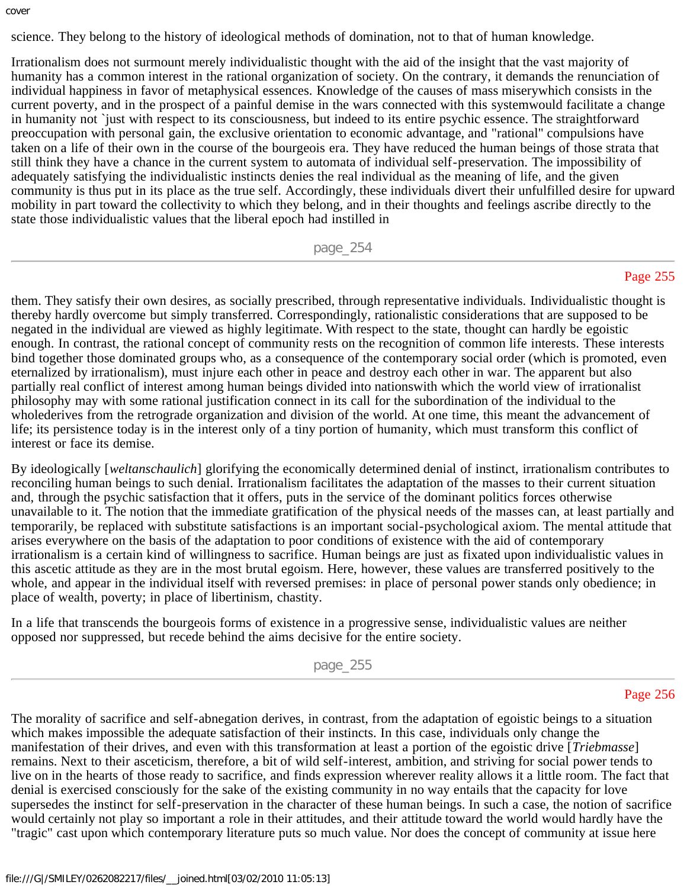science. They belong to the history of ideological methods of domination, not to that of human knowledge.

Irrationalism does not surmount merely individualistic thought with the aid of the insight that the vast majority of humanity has a common interest in the rational organization of society. On the contrary, it demands the renunciation of individual happiness in favor of metaphysical essences. Knowledge of the causes of mass miserywhich consists in the current poverty, and in the prospect of a painful demise in the wars connected with this systemwould facilitate a change in humanity not `just with respect to its consciousness, but indeed to its entire psychic essence. The straightforward preoccupation with personal gain, the exclusive orientation to economic advantage, and "rational" compulsions have taken on a life of their own in the course of the bourgeois era. They have reduced the human beings of those strata that still think they have a chance in the current system to automata of individual self-preservation. The impossibility of adequately satisfying the individualistic instincts denies the real individual as the meaning of life, and the given community is thus put in its place as the true self. Accordingly, these individuals divert their unfulfilled desire for upward mobility in part toward the collectivity to which they belong, and in their thoughts and feelings ascribe directly to the state those individualistic values that the liberal epoch had instilled in

page\_254

### Page 255

them. They satisfy their own desires, as socially prescribed, through representative individuals. Individualistic thought is thereby hardly overcome but simply transferred. Correspondingly, rationalistic considerations that are supposed to be negated in the individual are viewed as highly legitimate. With respect to the state, thought can hardly be egoistic enough. In contrast, the rational concept of community rests on the recognition of common life interests. These interests bind together those dominated groups who, as a consequence of the contemporary social order (which is promoted, even eternalized by irrationalism), must injure each other in peace and destroy each other in war. The apparent but also partially real conflict of interest among human beings divided into nationswith which the world view of irrationalist philosophy may with some rational justification connect in its call for the subordination of the individual to the wholederives from the retrograde organization and division of the world. At one time, this meant the advancement of life; its persistence today is in the interest only of a tiny portion of humanity, which must transform this conflict of interest or face its demise.

By ideologically [*weltanschaulich*] glorifying the economically determined denial of instinct, irrationalism contributes to reconciling human beings to such denial. Irrationalism facilitates the adaptation of the masses to their current situation and, through the psychic satisfaction that it offers, puts in the service of the dominant politics forces otherwise unavailable to it. The notion that the immediate gratification of the physical needs of the masses can, at least partially and temporarily, be replaced with substitute satisfactions is an important social-psychological axiom. The mental attitude that arises everywhere on the basis of the adaptation to poor conditions of existence with the aid of contemporary irrationalism is a certain kind of willingness to sacrifice. Human beings are just as fixated upon individualistic values in this ascetic attitude as they are in the most brutal egoism. Here, however, these values are transferred positively to the whole, and appear in the individual itself with reversed premises: in place of personal power stands only obedience; in place of wealth, poverty; in place of libertinism, chastity.

In a life that transcends the bourgeois forms of existence in a progressive sense, individualistic values are neither opposed nor suppressed, but recede behind the aims decisive for the entire society.

page\_255

### Page 256

The morality of sacrifice and self-abnegation derives, in contrast, from the adaptation of egoistic beings to a situation which makes impossible the adequate satisfaction of their instincts. In this case, individuals only change the manifestation of their drives, and even with this transformation at least a portion of the egoistic drive [*Triebmasse*] remains. Next to their asceticism, therefore, a bit of wild self-interest, ambition, and striving for social power tends to live on in the hearts of those ready to sacrifice, and finds expression wherever reality allows it a little room. The fact that denial is exercised consciously for the sake of the existing community in no way entails that the capacity for love supersedes the instinct for self-preservation in the character of these human beings. In such a case, the notion of sacrifice would certainly not play so important a role in their attitudes, and their attitude toward the world would hardly have the "tragic" cast upon which contemporary literature puts so much value. Nor does the concept of community at issue here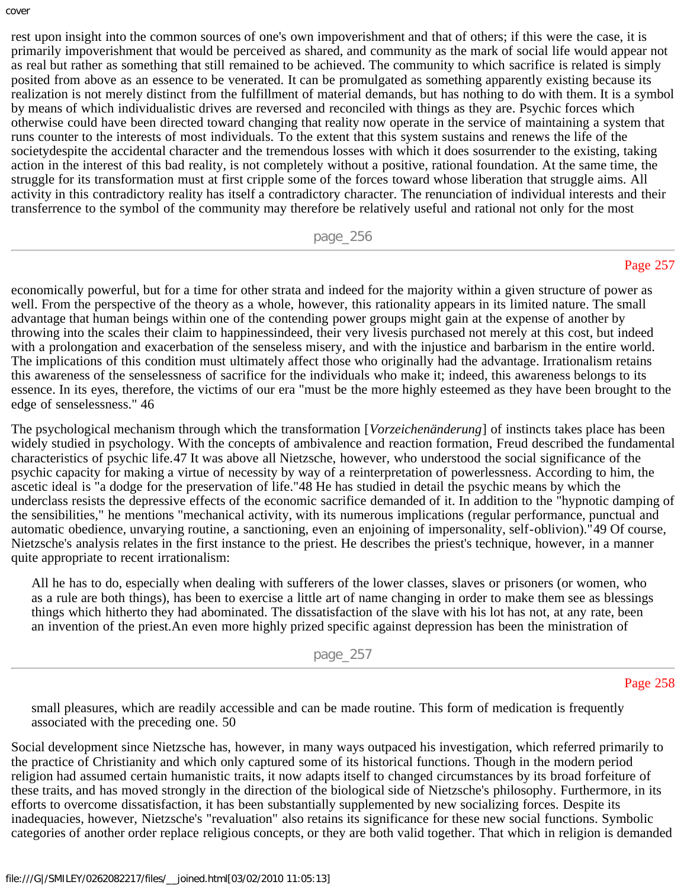rest upon insight into the common sources of one's own impoverishment and that of others; if this were the case, it is primarily impoverishment that would be perceived as shared, and community as the mark of social life would appear not as real but rather as something that still remained to be achieved. The community to which sacrifice is related is simply posited from above as an essence to be venerated. It can be promulgated as something apparently existing because its realization is not merely distinct from the fulfillment of material demands, but has nothing to do with them. It is a symbol by means of which individualistic drives are reversed and reconciled with things as they are. Psychic forces which otherwise could have been directed toward changing that reality now operate in the service of maintaining a system that runs counter to the interests of most individuals. To the extent that this system sustains and renews the life of the societydespite the accidental character and the tremendous losses with which it does sosurrender to the existing, taking action in the interest of this bad reality, is not completely without a positive, rational foundation. At the same time, the struggle for its transformation must at first cripple some of the forces toward whose liberation that struggle aims. All activity in this contradictory reality has itself a contradictory character. The renunciation of individual interests and their transferrence to the symbol of the community may therefore be relatively useful and rational not only for the most

page\_256

#### Page 257

economically powerful, but for a time for other strata and indeed for the majority within a given structure of power as well. From the perspective of the theory as a whole, however, this rationality appears in its limited nature. The small advantage that human beings within one of the contending power groups might gain at the expense of another by throwing into the scales their claim to happinessindeed, their very livesis purchased not merely at this cost, but indeed with a prolongation and exacerbation of the senseless misery, and with the injustice and barbarism in the entire world. The implications of this condition must ultimately affect those who originally had the advantage. Irrationalism retains this awareness of the senselessness of sacrifice for the individuals who make it; indeed, this awareness belongs to its essence. In its eyes, therefore, the victims of our era "must be the more highly esteemed as they have been brought to the edge of senselessness." 46

The psychological mechanism through which the transformation [*Vorzeichenänderung*] of instincts takes place has been widely studied in psychology. With the concepts of ambivalence and reaction formation, Freud described the fundamental characteristics of psychic life.47 It was above all Nietzsche, however, who understood the social significance of the psychic capacity for making a virtue of necessity by way of a reinterpretation of powerlessness. According to him, the ascetic ideal is "a dodge for the preservation of life."48 He has studied in detail the psychic means by which the underclass resists the depressive effects of the economic sacrifice demanded of it. In addition to the "hypnotic damping of the sensibilities," he mentions "mechanical activity, with its numerous implications (regular performance, punctual and automatic obedience, unvarying routine, a sanctioning, even an enjoining of impersonality, self-oblivion)."49 Of course, Nietzsche's analysis relates in the first instance to the priest. He describes the priest's technique, however, in a manner quite appropriate to recent irrationalism:

All he has to do, especially when dealing with sufferers of the lower classes, slaves or prisoners (or women, who as a rule are both things), has been to exercise a little art of name changing in order to make them see as blessings things which hitherto they had abominated. The dissatisfaction of the slave with his lot has not, at any rate, been an invention of the priest.An even more highly prized specific against depression has been the ministration of

page\_257

Page 258

small pleasures, which are readily accessible and can be made routine. This form of medication is frequently associated with the preceding one. 50

Social development since Nietzsche has, however, in many ways outpaced his investigation, which referred primarily to the practice of Christianity and which only captured some of its historical functions. Though in the modern period religion had assumed certain humanistic traits, it now adapts itself to changed circumstances by its broad forfeiture of these traits, and has moved strongly in the direction of the biological side of Nietzsche's philosophy. Furthermore, in its efforts to overcome dissatisfaction, it has been substantially supplemented by new socializing forces. Despite its inadequacies, however, Nietzsche's "revaluation" also retains its significance for these new social functions. Symbolic categories of another order replace religious concepts, or they are both valid together. That which in religion is demanded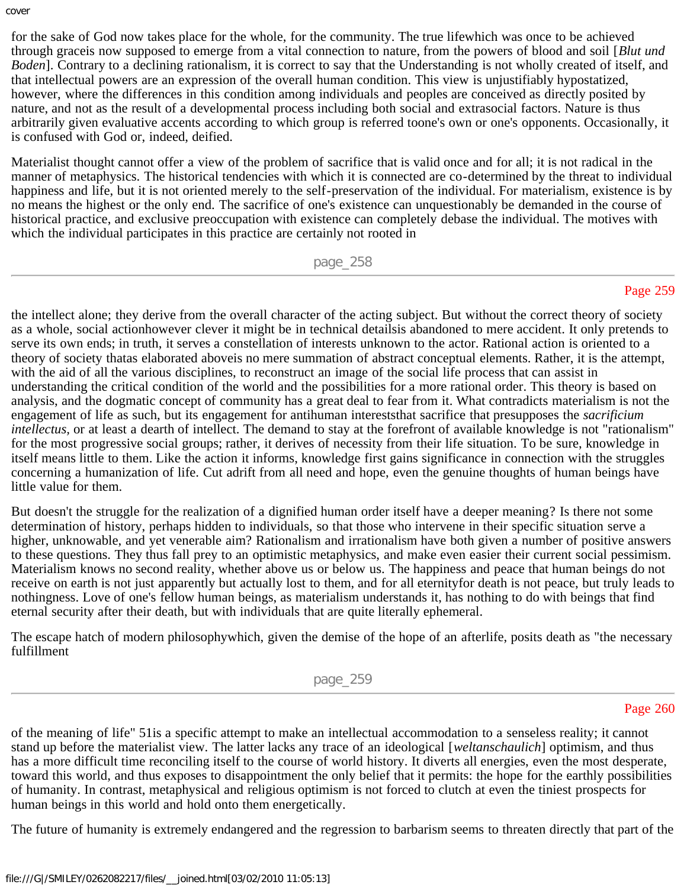for the sake of God now takes place for the whole, for the community. The true lifewhich was once to be achieved through graceis now supposed to emerge from a vital connection to nature, from the powers of blood and soil [*Blut und Boden*]. Contrary to a declining rationalism, it is correct to say that the Understanding is not wholly created of itself, and that intellectual powers are an expression of the overall human condition. This view is unjustifiably hypostatized, however, where the differences in this condition among individuals and peoples are conceived as directly posited by nature, and not as the result of a developmental process including both social and extrasocial factors. Nature is thus arbitrarily given evaluative accents according to which group is referred toone's own or one's opponents. Occasionally, it is confused with God or, indeed, deified.

Materialist thought cannot offer a view of the problem of sacrifice that is valid once and for all; it is not radical in the manner of metaphysics. The historical tendencies with which it is connected are co-determined by the threat to individual happiness and life, but it is not oriented merely to the self-preservation of the individual. For materialism, existence is by no means the highest or the only end. The sacrifice of one's existence can unquestionably be demanded in the course of historical practice, and exclusive preoccupation with existence can completely debase the individual. The motives with which the individual participates in this practice are certainly not rooted in

page\_258

#### Page 259

the intellect alone; they derive from the overall character of the acting subject. But without the correct theory of society as a whole, social actionhowever clever it might be in technical detailsis abandoned to mere accident. It only pretends to serve its own ends; in truth, it serves a constellation of interests unknown to the actor. Rational action is oriented to a theory of society thatas elaborated aboveis no mere summation of abstract conceptual elements. Rather, it is the attempt, with the aid of all the various disciplines, to reconstruct an image of the social life process that can assist in understanding the critical condition of the world and the possibilities for a more rational order. This theory is based on analysis, and the dogmatic concept of community has a great deal to fear from it. What contradicts materialism is not the engagement of life as such, but its engagement for antihuman intereststhat sacrifice that presupposes the *sacrificium intellectus,* or at least a dearth of intellect. The demand to stay at the forefront of available knowledge is not "rationalism" for the most progressive social groups; rather, it derives of necessity from their life situation. To be sure, knowledge in itself means little to them. Like the action it informs, knowledge first gains significance in connection with the struggles concerning a humanization of life. Cut adrift from all need and hope, even the genuine thoughts of human beings have little value for them.

But doesn't the struggle for the realization of a dignified human order itself have a deeper meaning? Is there not some determination of history, perhaps hidden to individuals, so that those who intervene in their specific situation serve a higher, unknowable, and yet venerable aim? Rationalism and irrationalism have both given a number of positive answers to these questions. They thus fall prey to an optimistic metaphysics, and make even easier their current social pessimism. Materialism knows no second reality, whether above us or below us. The happiness and peace that human beings do not receive on earth is not just apparently but actually lost to them, and for all eternityfor death is not peace, but truly leads to nothingness. Love of one's fellow human beings, as materialism understands it, has nothing to do with beings that find eternal security after their death, but with individuals that are quite literally ephemeral.

The escape hatch of modern philosophywhich, given the demise of the hope of an afterlife, posits death as "the necessary fulfillment

page\_259

## Page 260

of the meaning of life" 51is a specific attempt to make an intellectual accommodation to a senseless reality; it cannot stand up before the materialist view. The latter lacks any trace of an ideological [*weltanschaulich*] optimism, and thus has a more difficult time reconciling itself to the course of world history. It diverts all energies, even the most desperate, toward this world, and thus exposes to disappointment the only belief that it permits: the hope for the earthly possibilities of humanity. In contrast, metaphysical and religious optimism is not forced to clutch at even the tiniest prospects for human beings in this world and hold onto them energetically.

The future of humanity is extremely endangered and the regression to barbarism seems to threaten directly that part of the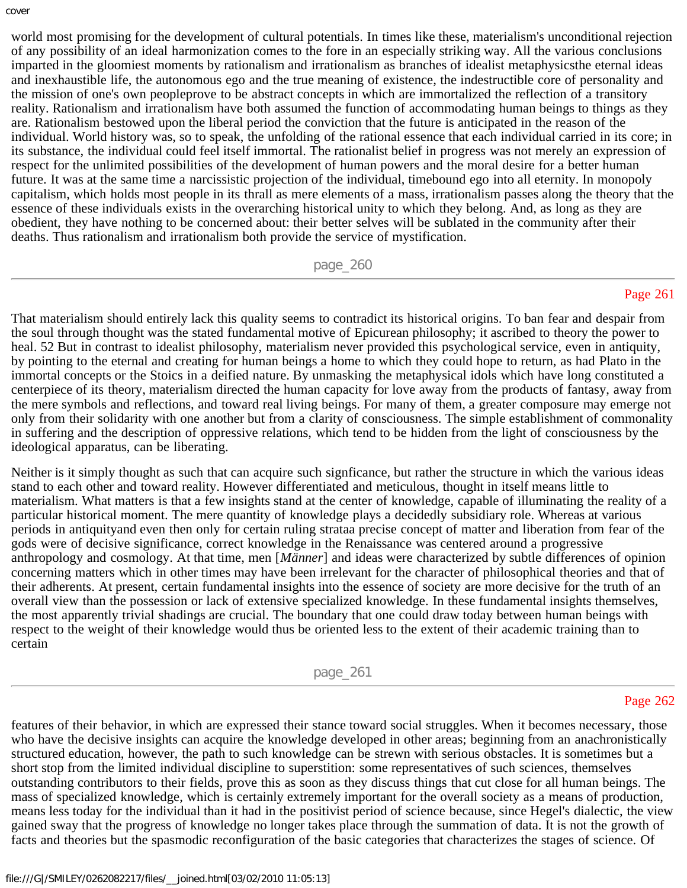world most promising for the development of cultural potentials. In times like these, materialism's unconditional rejection of any possibility of an ideal harmonization comes to the fore in an especially striking way. All the various conclusions imparted in the gloomiest moments by rationalism and irrationalism as branches of idealist metaphysicsthe eternal ideas and inexhaustible life, the autonomous ego and the true meaning of existence, the indestructible core of personality and the mission of one's own peopleprove to be abstract concepts in which are immortalized the reflection of a transitory reality. Rationalism and irrationalism have both assumed the function of accommodating human beings to things as they are. Rationalism bestowed upon the liberal period the conviction that the future is anticipated in the reason of the individual. World history was, so to speak, the unfolding of the rational essence that each individual carried in its core; in its substance, the individual could feel itself immortal. The rationalist belief in progress was not merely an expression of respect for the unlimited possibilities of the development of human powers and the moral desire for a better human future. It was at the same time a narcissistic projection of the individual, timebound ego into all eternity. In monopoly capitalism, which holds most people in its thrall as mere elements of a mass, irrationalism passes along the theory that the essence of these individuals exists in the overarching historical unity to which they belong. And, as long as they are obedient, they have nothing to be concerned about: their better selves will be sublated in the community after their deaths. Thus rationalism and irrationalism both provide the service of mystification.

page\_260

#### Page 261

That materialism should entirely lack this quality seems to contradict its historical origins. To ban fear and despair from the soul through thought was the stated fundamental motive of Epicurean philosophy; it ascribed to theory the power to heal. 52 But in contrast to idealist philosophy, materialism never provided this psychological service, even in antiquity, by pointing to the eternal and creating for human beings a home to which they could hope to return, as had Plato in the immortal concepts or the Stoics in a deified nature. By unmasking the metaphysical idols which have long constituted a centerpiece of its theory, materialism directed the human capacity for love away from the products of fantasy, away from the mere symbols and reflections, and toward real living beings. For many of them, a greater composure may emerge not only from their solidarity with one another but from a clarity of consciousness. The simple establishment of commonality in suffering and the description of oppressive relations, which tend to be hidden from the light of consciousness by the ideological apparatus, can be liberating.

Neither is it simply thought as such that can acquire such signficance, but rather the structure in which the various ideas stand to each other and toward reality. However differentiated and meticulous, thought in itself means little to materialism. What matters is that a few insights stand at the center of knowledge, capable of illuminating the reality of a particular historical moment. The mere quantity of knowledge plays a decidedly subsidiary role. Whereas at various periods in antiquityand even then only for certain ruling strataa precise concept of matter and liberation from fear of the gods were of decisive significance, correct knowledge in the Renaissance was centered around a progressive anthropology and cosmology. At that time, men [*Männer*] and ideas were characterized by subtle differences of opinion concerning matters which in other times may have been irrelevant for the character of philosophical theories and that of their adherents. At present, certain fundamental insights into the essence of society are more decisive for the truth of an overall view than the possession or lack of extensive specialized knowledge. In these fundamental insights themselves, the most apparently trivial shadings are crucial. The boundary that one could draw today between human beings with respect to the weight of their knowledge would thus be oriented less to the extent of their academic training than to certain

page\_261

#### Page 262

features of their behavior, in which are expressed their stance toward social struggles. When it becomes necessary, those who have the decisive insights can acquire the knowledge developed in other areas; beginning from an anachronistically structured education, however, the path to such knowledge can be strewn with serious obstacles. It is sometimes but a short stop from the limited individual discipline to superstition: some representatives of such sciences, themselves outstanding contributors to their fields, prove this as soon as they discuss things that cut close for all human beings. The mass of specialized knowledge, which is certainly extremely important for the overall society as a means of production, means less today for the individual than it had in the positivist period of science because, since Hegel's dialectic, the view gained sway that the progress of knowledge no longer takes place through the summation of data. It is not the growth of facts and theories but the spasmodic reconfiguration of the basic categories that characterizes the stages of science. Of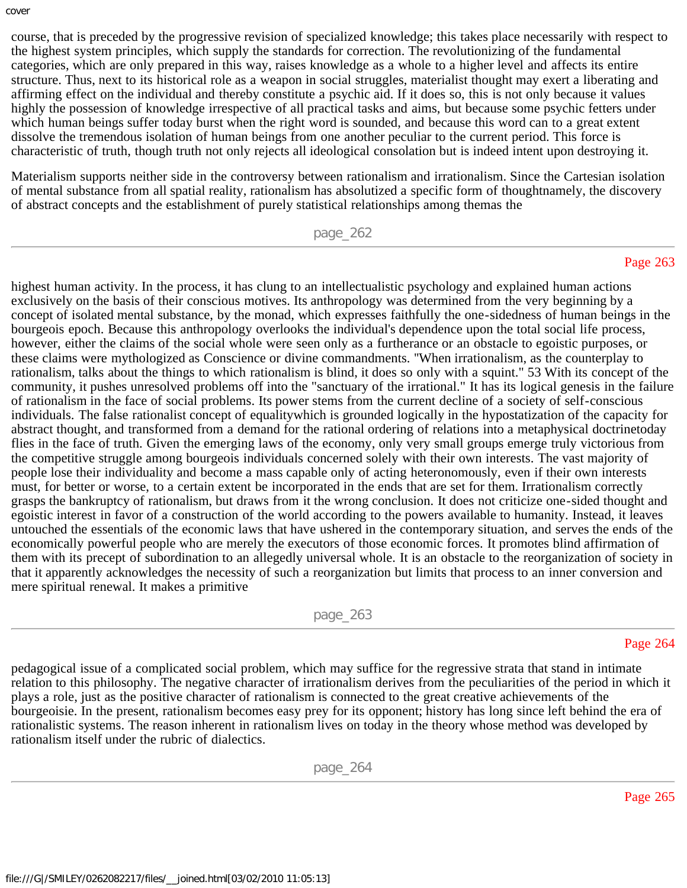course, that is preceded by the progressive revision of specialized knowledge; this takes place necessarily with respect to the highest system principles, which supply the standards for correction. The revolutionizing of the fundamental categories, which are only prepared in this way, raises knowledge as a whole to a higher level and affects its entire structure. Thus, next to its historical role as a weapon in social struggles, materialist thought may exert a liberating and affirming effect on the individual and thereby constitute a psychic aid. If it does so, this is not only because it values highly the possession of knowledge irrespective of all practical tasks and aims, but because some psychic fetters under which human beings suffer today burst when the right word is sounded, and because this word can to a great extent dissolve the tremendous isolation of human beings from one another peculiar to the current period. This force is characteristic of truth, though truth not only rejects all ideological consolation but is indeed intent upon destroying it.

Materialism supports neither side in the controversy between rationalism and irrationalism. Since the Cartesian isolation of mental substance from all spatial reality, rationalism has absolutized a specific form of thoughtnamely, the discovery of abstract concepts and the establishment of purely statistical relationships among themas the

page\_262

### Page 263

highest human activity. In the process, it has clung to an intellectualistic psychology and explained human actions exclusively on the basis of their conscious motives. Its anthropology was determined from the very beginning by a concept of isolated mental substance, by the monad, which expresses faithfully the one-sidedness of human beings in the bourgeois epoch. Because this anthropology overlooks the individual's dependence upon the total social life process, however, either the claims of the social whole were seen only as a furtherance or an obstacle to egoistic purposes, or these claims were mythologized as Conscience or divine commandments. ''When irrationalism, as the counterplay to rationalism, talks about the things to which rationalism is blind, it does so only with a squint." 53 With its concept of the community, it pushes unresolved problems off into the "sanctuary of the irrational." It has its logical genesis in the failure of rationalism in the face of social problems. Its power stems from the current decline of a society of self-conscious individuals. The false rationalist concept of equalitywhich is grounded logically in the hypostatization of the capacity for abstract thought, and transformed from a demand for the rational ordering of relations into a metaphysical doctrinetoday flies in the face of truth. Given the emerging laws of the economy, only very small groups emerge truly victorious from the competitive struggle among bourgeois individuals concerned solely with their own interests. The vast majority of people lose their individuality and become a mass capable only of acting heteronomously, even if their own interests must, for better or worse, to a certain extent be incorporated in the ends that are set for them. Irrationalism correctly grasps the bankruptcy of rationalism, but draws from it the wrong conclusion. It does not criticize one-sided thought and egoistic interest in favor of a construction of the world according to the powers available to humanity. Instead, it leaves untouched the essentials of the economic laws that have ushered in the contemporary situation, and serves the ends of the economically powerful people who are merely the executors of those economic forces. It promotes blind affirmation of them with its precept of subordination to an allegedly universal whole. It is an obstacle to the reorganization of society in that it apparently acknowledges the necessity of such a reorganization but limits that process to an inner conversion and mere spiritual renewal. It makes a primitive

page\_263

Page 264

pedagogical issue of a complicated social problem, which may suffice for the regressive strata that stand in intimate relation to this philosophy. The negative character of irrationalism derives from the peculiarities of the period in which it plays a role, just as the positive character of rationalism is connected to the great creative achievements of the bourgeoisie. In the present, rationalism becomes easy prey for its opponent; history has long since left behind the era of rationalistic systems. The reason inherent in rationalism lives on today in the theory whose method was developed by rationalism itself under the rubric of dialectics.

page\_264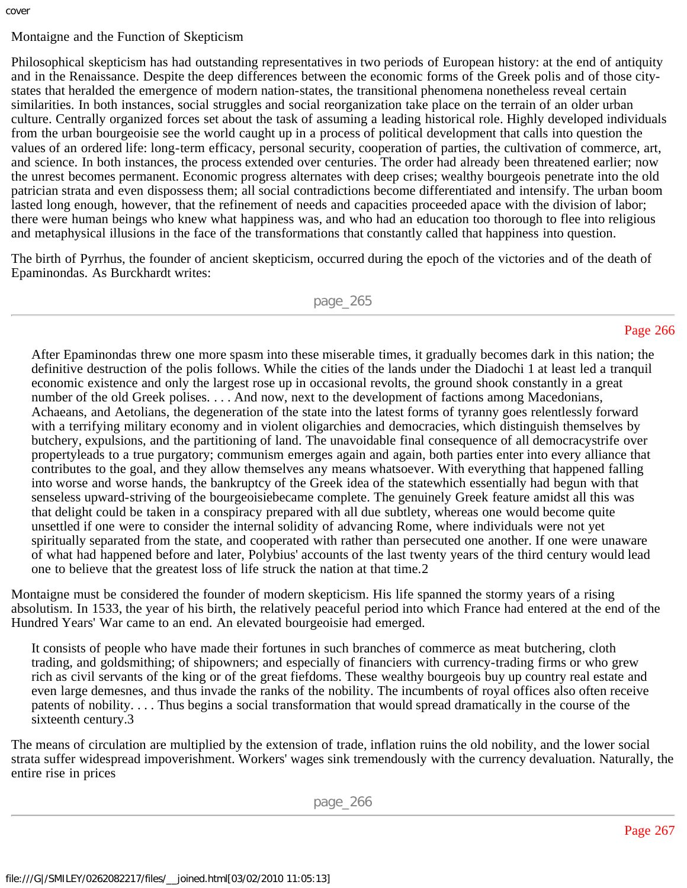Montaigne and the Function of Skepticism

Philosophical skepticism has had outstanding representatives in two periods of European history: at the end of antiquity and in the Renaissance. Despite the deep differences between the economic forms of the Greek polis and of those citystates that heralded the emergence of modern nation-states, the transitional phenomena nonetheless reveal certain similarities. In both instances, social struggles and social reorganization take place on the terrain of an older urban culture. Centrally organized forces set about the task of assuming a leading historical role. Highly developed individuals from the urban bourgeoisie see the world caught up in a process of political development that calls into question the values of an ordered life: long-term efficacy, personal security, cooperation of parties, the cultivation of commerce, art, and science. In both instances, the process extended over centuries. The order had already been threatened earlier; now the unrest becomes permanent. Economic progress alternates with deep crises; wealthy bourgeois penetrate into the old patrician strata and even dispossess them; all social contradictions become differentiated and intensify. The urban boom lasted long enough, however, that the refinement of needs and capacities proceeded apace with the division of labor; there were human beings who knew what happiness was, and who had an education too thorough to flee into religious and metaphysical illusions in the face of the transformations that constantly called that happiness into question.

The birth of Pyrrhus, the founder of ancient skepticism, occurred during the epoch of the victories and of the death of Epaminondas. As Burckhardt writes:

page\_265

## Page 266

After Epaminondas threw one more spasm into these miserable times, it gradually becomes dark in this nation; the definitive destruction of the polis follows. While the cities of the lands under the Diadochi 1 at least led a tranquil economic existence and only the largest rose up in occasional revolts, the ground shook constantly in a great number of the old Greek polises. . . . And now, next to the development of factions among Macedonians, Achaeans, and Aetolians, the degeneration of the state into the latest forms of tyranny goes relentlessly forward with a terrifying military economy and in violent oligarchies and democracies, which distinguish themselves by butchery, expulsions, and the partitioning of land. The unavoidable final consequence of all democracystrife over propertyleads to a true purgatory; communism emerges again and again, both parties enter into every alliance that contributes to the goal, and they allow themselves any means whatsoever. With everything that happened falling into worse and worse hands, the bankruptcy of the Greek idea of the statewhich essentially had begun with that senseless upward-striving of the bourgeoisiebecame complete. The genuinely Greek feature amidst all this was that delight could be taken in a conspiracy prepared with all due subtlety, whereas one would become quite unsettled if one were to consider the internal solidity of advancing Rome, where individuals were not yet spiritually separated from the state, and cooperated with rather than persecuted one another. If one were unaware of what had happened before and later, Polybius' accounts of the last twenty years of the third century would lead one to believe that the greatest loss of life struck the nation at that time.2

Montaigne must be considered the founder of modern skepticism. His life spanned the stormy years of a rising absolutism. In 1533, the year of his birth, the relatively peaceful period into which France had entered at the end of the Hundred Years' War came to an end. An elevated bourgeoisie had emerged.

It consists of people who have made their fortunes in such branches of commerce as meat butchering, cloth trading, and goldsmithing; of shipowners; and especially of financiers with currency-trading firms or who grew rich as civil servants of the king or of the great fiefdoms. These wealthy bourgeois buy up country real estate and even large demesnes, and thus invade the ranks of the nobility. The incumbents of royal offices also often receive patents of nobility. . . . Thus begins a social transformation that would spread dramatically in the course of the sixteenth century.3

The means of circulation are multiplied by the extension of trade, inflation ruins the old nobility, and the lower social strata suffer widespread impoverishment. Workers' wages sink tremendously with the currency devaluation. Naturally, the entire rise in prices

page\_266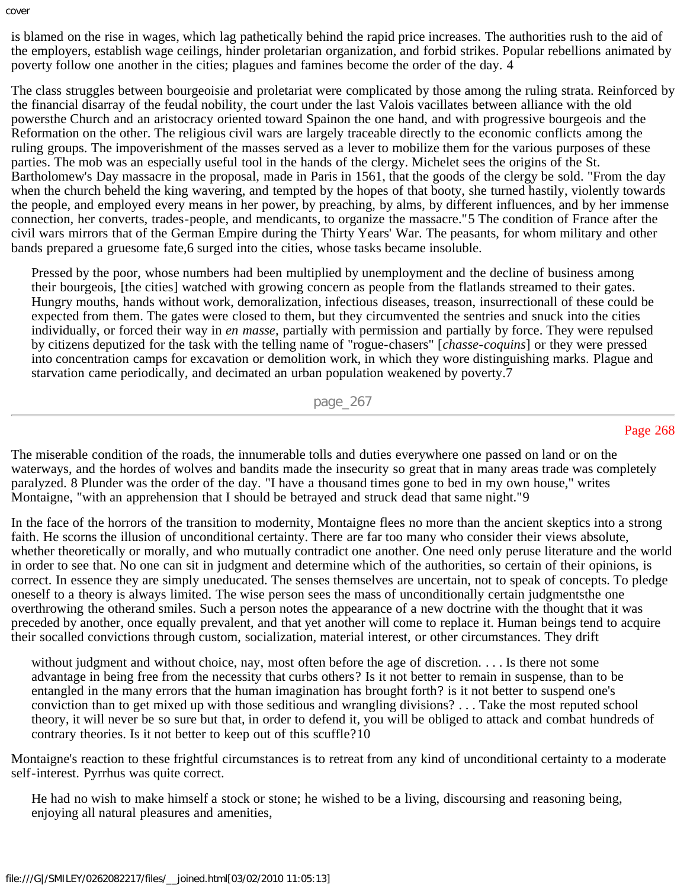is blamed on the rise in wages, which lag pathetically behind the rapid price increases. The authorities rush to the aid of the employers, establish wage ceilings, hinder proletarian organization, and forbid strikes. Popular rebellions animated by poverty follow one another in the cities; plagues and famines become the order of the day. 4

The class struggles between bourgeoisie and proletariat were complicated by those among the ruling strata. Reinforced by the financial disarray of the feudal nobility, the court under the last Valois vacillates between alliance with the old powersthe Church and an aristocracy oriented toward Spainon the one hand, and with progressive bourgeois and the Reformation on the other. The religious civil wars are largely traceable directly to the economic conflicts among the ruling groups. The impoverishment of the masses served as a lever to mobilize them for the various purposes of these parties. The mob was an especially useful tool in the hands of the clergy. Michelet sees the origins of the St. Bartholomew's Day massacre in the proposal, made in Paris in 1561, that the goods of the clergy be sold. "From the day when the church beheld the king wavering, and tempted by the hopes of that booty, she turned hastily, violently towards the people, and employed every means in her power, by preaching, by alms, by different influences, and by her immense connection, her converts, trades-people, and mendicants, to organize the massacre."5 The condition of France after the civil wars mirrors that of the German Empire during the Thirty Years' War. The peasants, for whom military and other bands prepared a gruesome fate,6 surged into the cities, whose tasks became insoluble.

Pressed by the poor, whose numbers had been multiplied by unemployment and the decline of business among their bourgeois, [the cities] watched with growing concern as people from the flatlands streamed to their gates. Hungry mouths, hands without work, demoralization, infectious diseases, treason, insurrectionall of these could be expected from them. The gates were closed to them, but they circumvented the sentries and snuck into the cities individually, or forced their way in *en masse,* partially with permission and partially by force. They were repulsed by citizens deputized for the task with the telling name of "rogue-chasers" [*chasse-coquins*] or they were pressed into concentration camps for excavation or demolition work, in which they wore distinguishing marks. Plague and starvation came periodically, and decimated an urban population weakened by poverty.7

page\_267

### Page 268

The miserable condition of the roads, the innumerable tolls and duties everywhere one passed on land or on the waterways, and the hordes of wolves and bandits made the insecurity so great that in many areas trade was completely paralyzed. 8 Plunder was the order of the day. "I have a thousand times gone to bed in my own house," writes Montaigne, "with an apprehension that I should be betrayed and struck dead that same night."9

In the face of the horrors of the transition to modernity, Montaigne flees no more than the ancient skeptics into a strong faith. He scorns the illusion of unconditional certainty. There are far too many who consider their views absolute, whether theoretically or morally, and who mutually contradict one another. One need only peruse literature and the world in order to see that. No one can sit in judgment and determine which of the authorities, so certain of their opinions, is correct. In essence they are simply uneducated. The senses themselves are uncertain, not to speak of concepts. To pledge oneself to a theory is always limited. The wise person sees the mass of unconditionally certain judgmentsthe one overthrowing the otherand smiles. Such a person notes the appearance of a new doctrine with the thought that it was preceded by another, once equally prevalent, and that yet another will come to replace it. Human beings tend to acquire their socalled convictions through custom, socialization, material interest, or other circumstances. They drift

without judgment and without choice, nay, most often before the age of discretion. . . . Is there not some advantage in being free from the necessity that curbs others? Is it not better to remain in suspense, than to be entangled in the many errors that the human imagination has brought forth? is it not better to suspend one's conviction than to get mixed up with those seditious and wrangling divisions? . . . Take the most reputed school theory, it will never be so sure but that, in order to defend it, you will be obliged to attack and combat hundreds of contrary theories. Is it not better to keep out of this scuffle?10

Montaigne's reaction to these frightful circumstances is to retreat from any kind of unconditional certainty to a moderate self-interest. Pyrrhus was quite correct.

He had no wish to make himself a stock or stone; he wished to be a living, discoursing and reasoning being, enjoying all natural pleasures and amenities,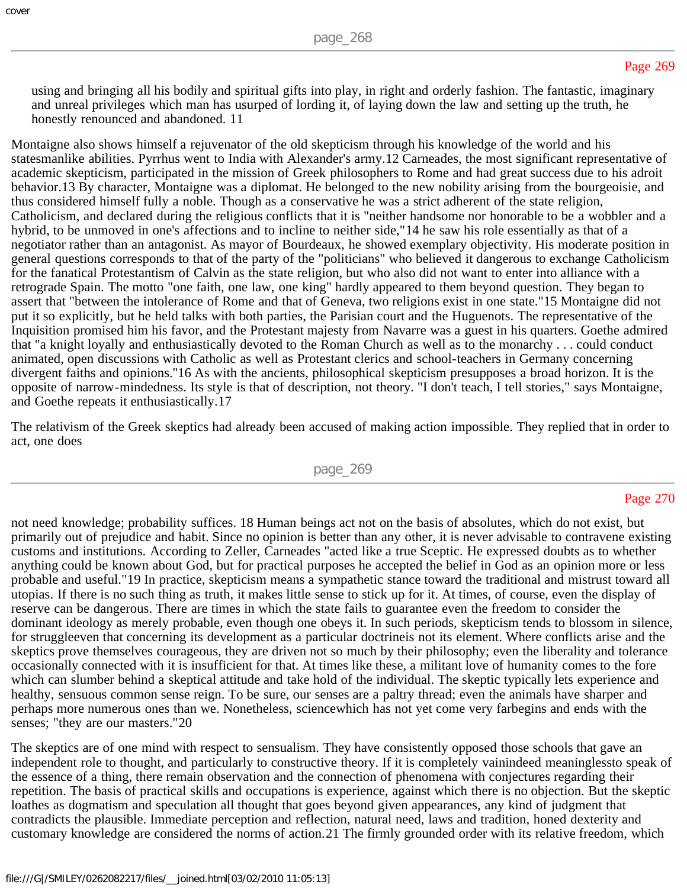using and bringing all his bodily and spiritual gifts into play, in right and orderly fashion. The fantastic, imaginary and unreal privileges which man has usurped of lording it, of laying down the law and setting up the truth, he honestly renounced and abandoned. 11

Montaigne also shows himself a rejuvenator of the old skepticism through his knowledge of the world and his statesmanlike abilities. Pyrrhus went to India with Alexander's army.12 Carneades, the most significant representative of academic skepticism, participated in the mission of Greek philosophers to Rome and had great success due to his adroit behavior.13 By character, Montaigne was a diplomat. He belonged to the new nobility arising from the bourgeoisie, and thus considered himself fully a noble. Though as a conservative he was a strict adherent of the state religion, Catholicism, and declared during the religious conflicts that it is "neither handsome nor honorable to be a wobbler and a hybrid, to be unmoved in one's affections and to incline to neither side,"14 he saw his role essentially as that of a negotiator rather than an antagonist. As mayor of Bourdeaux, he showed exemplary objectivity. His moderate position in general questions corresponds to that of the party of the "politicians" who believed it dangerous to exchange Catholicism for the fanatical Protestantism of Calvin as the state religion, but who also did not want to enter into alliance with a retrograde Spain. The motto "one faith, one law, one king" hardly appeared to them beyond question. They began to assert that "between the intolerance of Rome and that of Geneva, two religions exist in one state."15 Montaigne did not put it so explicitly, but he held talks with both parties, the Parisian court and the Huguenots. The representative of the Inquisition promised him his favor, and the Protestant majesty from Navarre was a guest in his quarters. Goethe admired that "a knight loyally and enthusiastically devoted to the Roman Church as well as to the monarchy . . . could conduct animated, open discussions with Catholic as well as Protestant clerics and school-teachers in Germany concerning divergent faiths and opinions.''16 As with the ancients, philosophical skepticism presupposes a broad horizon. It is the opposite of narrow-mindedness. Its style is that of description, not theory. "I don't teach, I tell stories," says Montaigne, and Goethe repeats it enthusiastically.17

The relativism of the Greek skeptics had already been accused of making action impossible. They replied that in order to act, one does

page\_269

## Page 270

not need knowledge; probability suffices. 18 Human beings act not on the basis of absolutes, which do not exist, but primarily out of prejudice and habit. Since no opinion is better than any other, it is never advisable to contravene existing customs and institutions. According to Zeller, Carneades "acted like a true Sceptic. He expressed doubts as to whether anything could be known about God, but for practical purposes he accepted the belief in God as an opinion more or less probable and useful."19 In practice, skepticism means a sympathetic stance toward the traditional and mistrust toward all utopias. If there is no such thing as truth, it makes little sense to stick up for it. At times, of course, even the display of reserve can be dangerous. There are times in which the state fails to guarantee even the freedom to consider the dominant ideology as merely probable, even though one obeys it. In such periods, skepticism tends to blossom in silence, for struggleeven that concerning its development as a particular doctrineis not its element. Where conflicts arise and the skeptics prove themselves courageous, they are driven not so much by their philosophy; even the liberality and tolerance occasionally connected with it is insufficient for that. At times like these, a militant love of humanity comes to the fore which can slumber behind a skeptical attitude and take hold of the individual. The skeptic typically lets experience and healthy, sensuous common sense reign. To be sure, our senses are a paltry thread; even the animals have sharper and perhaps more numerous ones than we. Nonetheless, sciencewhich has not yet come very farbegins and ends with the senses; "they are our masters."20

The skeptics are of one mind with respect to sensualism. They have consistently opposed those schools that gave an independent role to thought, and particularly to constructive theory. If it is completely vainindeed meaninglessto speak of the essence of a thing, there remain observation and the connection of phenomena with conjectures regarding their repetition. The basis of practical skills and occupations is experience, against which there is no objection. But the skeptic loathes as dogmatism and speculation all thought that goes beyond given appearances, any kind of judgment that contradicts the plausible. Immediate perception and reflection, natural need, laws and tradition, honed dexterity and customary knowledge are considered the norms of action.21 The firmly grounded order with its relative freedom, which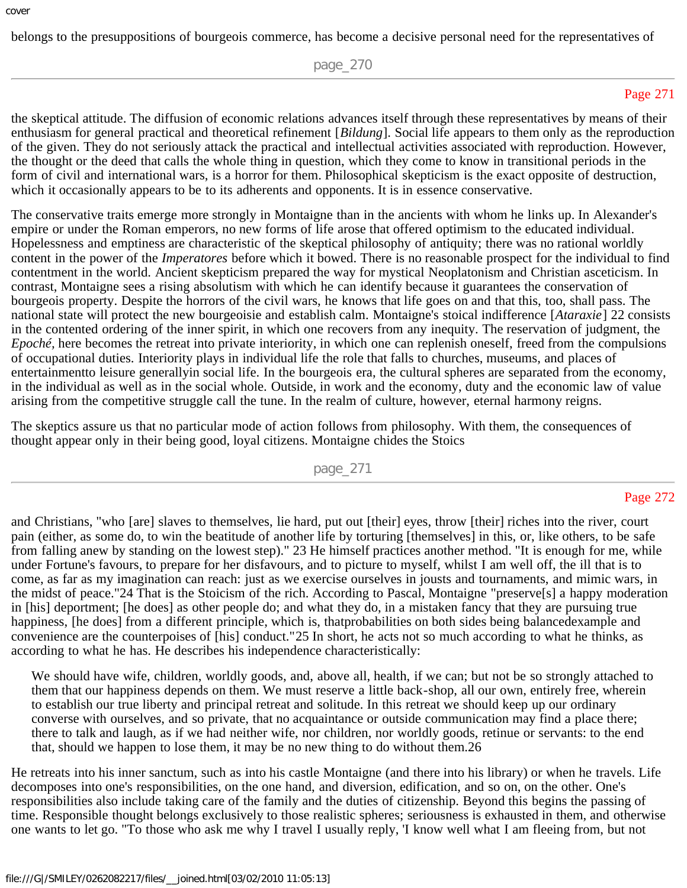belongs to the presuppositions of bourgeois commerce, has become a decisive personal need for the representatives of

page\_270

## Page 271

the skeptical attitude. The diffusion of economic relations advances itself through these representatives by means of their enthusiasm for general practical and theoretical refinement [*Bildung*]. Social life appears to them only as the reproduction of the given. They do not seriously attack the practical and intellectual activities associated with reproduction. However, the thought or the deed that calls the whole thing in question, which they come to know in transitional periods in the form of civil and international wars, is a horror for them. Philosophical skepticism is the exact opposite of destruction, which it occasionally appears to be to its adherents and opponents. It is in essence conservative.

The conservative traits emerge more strongly in Montaigne than in the ancients with whom he links up. In Alexander's empire or under the Roman emperors, no new forms of life arose that offered optimism to the educated individual. Hopelessness and emptiness are characteristic of the skeptical philosophy of antiquity; there was no rational worldly content in the power of the *Imperatores* before which it bowed. There is no reasonable prospect for the individual to find contentment in the world. Ancient skepticism prepared the way for mystical Neoplatonism and Christian asceticism. In contrast, Montaigne sees a rising absolutism with which he can identify because it guarantees the conservation of bourgeois property. Despite the horrors of the civil wars, he knows that life goes on and that this, too, shall pass. The national state will protect the new bourgeoisie and establish calm. Montaigne's stoical indifference [*Ataraxie*] 22 consists in the contented ordering of the inner spirit, in which one recovers from any inequity. The reservation of judgment, the *Epoché,* here becomes the retreat into private interiority, in which one can replenish oneself, freed from the compulsions of occupational duties. Interiority plays in individual life the role that falls to churches, museums, and places of entertainmentto leisure generallyin social life. In the bourgeois era, the cultural spheres are separated from the economy, in the individual as well as in the social whole. Outside, in work and the economy, duty and the economic law of value arising from the competitive struggle call the tune. In the realm of culture, however, eternal harmony reigns.

The skeptics assure us that no particular mode of action follows from philosophy. With them, the consequences of thought appear only in their being good, loyal citizens. Montaigne chides the Stoics

page\_271

## Page 272

and Christians, "who [are] slaves to themselves, lie hard, put out [their] eyes, throw [their] riches into the river, court pain (either, as some do, to win the beatitude of another life by torturing [themselves] in this, or, like others, to be safe from falling anew by standing on the lowest step)." 23 He himself practices another method. "It is enough for me, while under Fortune's favours, to prepare for her disfavours, and to picture to myself, whilst I am well off, the ill that is to come, as far as my imagination can reach: just as we exercise ourselves in jousts and tournaments, and mimic wars, in the midst of peace."24 That is the Stoicism of the rich. According to Pascal, Montaigne "preserve[s] a happy moderation in [his] deportment; [he does] as other people do; and what they do, in a mistaken fancy that they are pursuing true happiness, [he does] from a different principle, which is, thatprobabilities on both sides being balancedexample and convenience are the counterpoises of [his] conduct."25 In short, he acts not so much according to what he thinks, as according to what he has. He describes his independence characteristically:

We should have wife, children, worldly goods, and, above all, health, if we can; but not be so strongly attached to them that our happiness depends on them. We must reserve a little back-shop, all our own, entirely free, wherein to establish our true liberty and principal retreat and solitude. In this retreat we should keep up our ordinary converse with ourselves, and so private, that no acquaintance or outside communication may find a place there; there to talk and laugh, as if we had neither wife, nor children, nor worldly goods, retinue or servants: to the end that, should we happen to lose them, it may be no new thing to do without them.26

He retreats into his inner sanctum, such as into his castle Montaigne (and there into his library) or when he travels. Life decomposes into one's responsibilities, on the one hand, and diversion, edification, and so on, on the other. One's responsibilities also include taking care of the family and the duties of citizenship. Beyond this begins the passing of time. Responsible thought belongs exclusively to those realistic spheres; seriousness is exhausted in them, and otherwise one wants to let go. "To those who ask me why I travel I usually reply, 'I know well what I am fleeing from, but not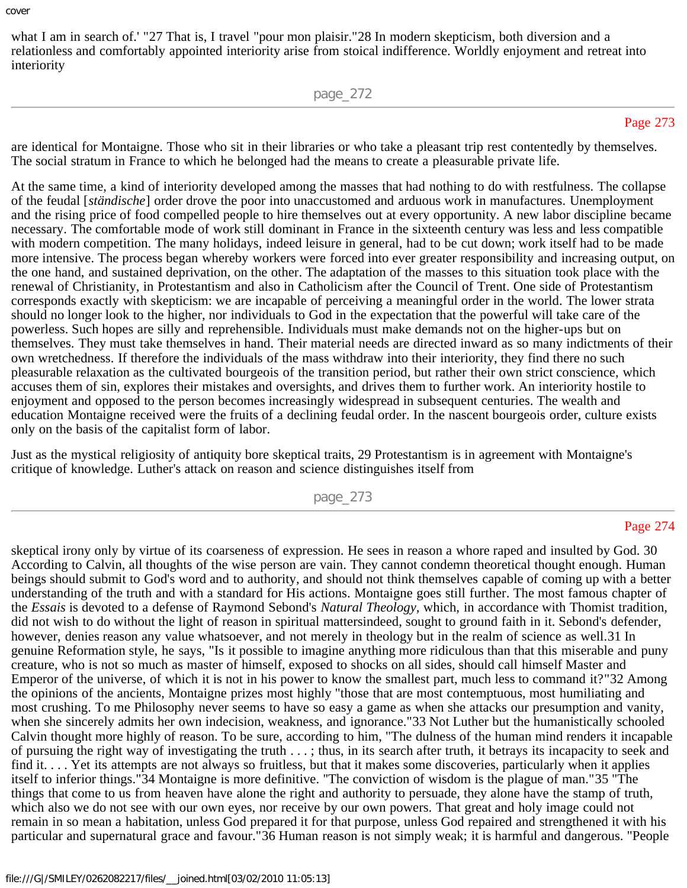what I am in search of.' "27 That is, I travel "pour mon plaisir."28 In modern skepticism, both diversion and a relationless and comfortably appointed interiority arise from stoical indifference. Worldly enjoyment and retreat into interiority

## Page 273

are identical for Montaigne. Those who sit in their libraries or who take a pleasant trip rest contentedly by themselves. The social stratum in France to which he belonged had the means to create a pleasurable private life.

At the same time, a kind of interiority developed among the masses that had nothing to do with restfulness. The collapse of the feudal [*ständische*] order drove the poor into unaccustomed and arduous work in manufactures. Unemployment and the rising price of food compelled people to hire themselves out at every opportunity. A new labor discipline became necessary. The comfortable mode of work still dominant in France in the sixteenth century was less and less compatible with modern competition. The many holidays, indeed leisure in general, had to be cut down; work itself had to be made more intensive. The process began whereby workers were forced into ever greater responsibility and increasing output, on the one hand, and sustained deprivation, on the other. The adaptation of the masses to this situation took place with the renewal of Christianity, in Protestantism and also in Catholicism after the Council of Trent. One side of Protestantism corresponds exactly with skepticism: we are incapable of perceiving a meaningful order in the world. The lower strata should no longer look to the higher, nor individuals to God in the expectation that the powerful will take care of the powerless. Such hopes are silly and reprehensible. Individuals must make demands not on the higher-ups but on themselves. They must take themselves in hand. Their material needs are directed inward as so many indictments of their own wretchedness. If therefore the individuals of the mass withdraw into their interiority, they find there no such pleasurable relaxation as the cultivated bourgeois of the transition period, but rather their own strict conscience, which accuses them of sin, explores their mistakes and oversights, and drives them to further work. An interiority hostile to enjoyment and opposed to the person becomes increasingly widespread in subsequent centuries. The wealth and education Montaigne received were the fruits of a declining feudal order. In the nascent bourgeois order, culture exists only on the basis of the capitalist form of labor.

Just as the mystical religiosity of antiquity bore skeptical traits, 29 Protestantism is in agreement with Montaigne's critique of knowledge. Luther's attack on reason and science distinguishes itself from

page\_273

## Page 274

skeptical irony only by virtue of its coarseness of expression. He sees in reason a whore raped and insulted by God. 30 According to Calvin, all thoughts of the wise person are vain. They cannot condemn theoretical thought enough. Human beings should submit to God's word and to authority, and should not think themselves capable of coming up with a better understanding of the truth and with a standard for His actions. Montaigne goes still further. The most famous chapter of the *Essais* is devoted to a defense of Raymond Sebond's *Natural Theology,* which, in accordance with Thomist tradition, did not wish to do without the light of reason in spiritual mattersindeed, sought to ground faith in it. Sebond's defender, however, denies reason any value whatsoever, and not merely in theology but in the realm of science as well.31 In genuine Reformation style, he says, "Is it possible to imagine anything more ridiculous than that this miserable and puny creature, who is not so much as master of himself, exposed to shocks on all sides, should call himself Master and Emperor of the universe, of which it is not in his power to know the smallest part, much less to command it?"32 Among the opinions of the ancients, Montaigne prizes most highly "those that are most contemptuous, most humiliating and most crushing. To me Philosophy never seems to have so easy a game as when she attacks our presumption and vanity, when she sincerely admits her own indecision, weakness, and ignorance."33 Not Luther but the humanistically schooled Calvin thought more highly of reason. To be sure, according to him, "The dulness of the human mind renders it incapable of pursuing the right way of investigating the truth . . . ; thus, in its search after truth, it betrays its incapacity to seek and find it. . . . Yet its attempts are not always so fruitless, but that it makes some discoveries, particularly when it applies itself to inferior things."34 Montaigne is more definitive. ''The conviction of wisdom is the plague of man."35 "The things that come to us from heaven have alone the right and authority to persuade, they alone have the stamp of truth, which also we do not see with our own eyes, nor receive by our own powers. That great and holy image could not remain in so mean a habitation, unless God prepared it for that purpose, unless God repaired and strengthened it with his particular and supernatural grace and favour."36 Human reason is not simply weak; it is harmful and dangerous. "People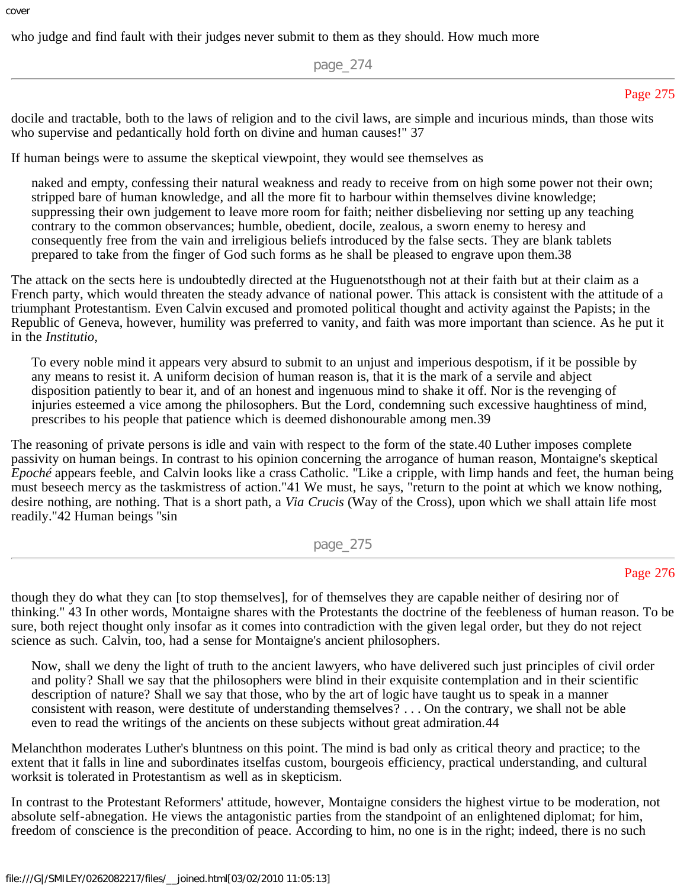who judge and find fault with their judges never submit to them as they should. How much more

page\_274

docile and tractable, both to the laws of religion and to the civil laws, are simple and incurious minds, than those wits who supervise and pedantically hold forth on divine and human causes!" 37

If human beings were to assume the skeptical viewpoint, they would see themselves as

naked and empty, confessing their natural weakness and ready to receive from on high some power not their own; stripped bare of human knowledge, and all the more fit to harbour within themselves divine knowledge; suppressing their own judgement to leave more room for faith; neither disbelieving nor setting up any teaching contrary to the common observances; humble, obedient, docile, zealous, a sworn enemy to heresy and consequently free from the vain and irreligious beliefs introduced by the false sects. They are blank tablets prepared to take from the finger of God such forms as he shall be pleased to engrave upon them.38

The attack on the sects here is undoubtedly directed at the Huguenotsthough not at their faith but at their claim as a French party, which would threaten the steady advance of national power. This attack is consistent with the attitude of a triumphant Protestantism. Even Calvin excused and promoted political thought and activity against the Papists; in the Republic of Geneva, however, humility was preferred to vanity, and faith was more important than science. As he put it in the *Institutio,*

To every noble mind it appears very absurd to submit to an unjust and imperious despotism, if it be possible by any means to resist it. A uniform decision of human reason is, that it is the mark of a servile and abject disposition patiently to bear it, and of an honest and ingenuous mind to shake it off. Nor is the revenging of injuries esteemed a vice among the philosophers. But the Lord, condemning such excessive haughtiness of mind, prescribes to his people that patience which is deemed dishonourable among men.39

The reasoning of private persons is idle and vain with respect to the form of the state.40 Luther imposes complete passivity on human beings. In contrast to his opinion concerning the arrogance of human reason, Montaigne's skeptical *Epoché* appears feeble, and Calvin looks like a crass Catholic. "Like a cripple, with limp hands and feet, the human being must beseech mercy as the taskmistress of action."41 We must, he says, "return to the point at which we know nothing, desire nothing, are nothing. That is a short path, a *Via Crucis* (Way of the Cross), upon which we shall attain life most readily."42 Human beings ''sin

page\_275

# Page 276

though they do what they can [to stop themselves], for of themselves they are capable neither of desiring nor of thinking." 43 In other words, Montaigne shares with the Protestants the doctrine of the feebleness of human reason. To be sure, both reject thought only insofar as it comes into contradiction with the given legal order, but they do not reject science as such. Calvin, too, had a sense for Montaigne's ancient philosophers.

Now, shall we deny the light of truth to the ancient lawyers, who have delivered such just principles of civil order and polity? Shall we say that the philosophers were blind in their exquisite contemplation and in their scientific description of nature? Shall we say that those, who by the art of logic have taught us to speak in a manner consistent with reason, were destitute of understanding themselves? . . . On the contrary, we shall not be able even to read the writings of the ancients on these subjects without great admiration.44

Melanchthon moderates Luther's bluntness on this point. The mind is bad only as critical theory and practice; to the extent that it falls in line and subordinates itselfas custom, bourgeois efficiency, practical understanding, and cultural worksit is tolerated in Protestantism as well as in skepticism.

In contrast to the Protestant Reformers' attitude, however, Montaigne considers the highest virtue to be moderation, not absolute self-abnegation. He views the antagonistic parties from the standpoint of an enlightened diplomat; for him, freedom of conscience is the precondition of peace. According to him, no one is in the right; indeed, there is no such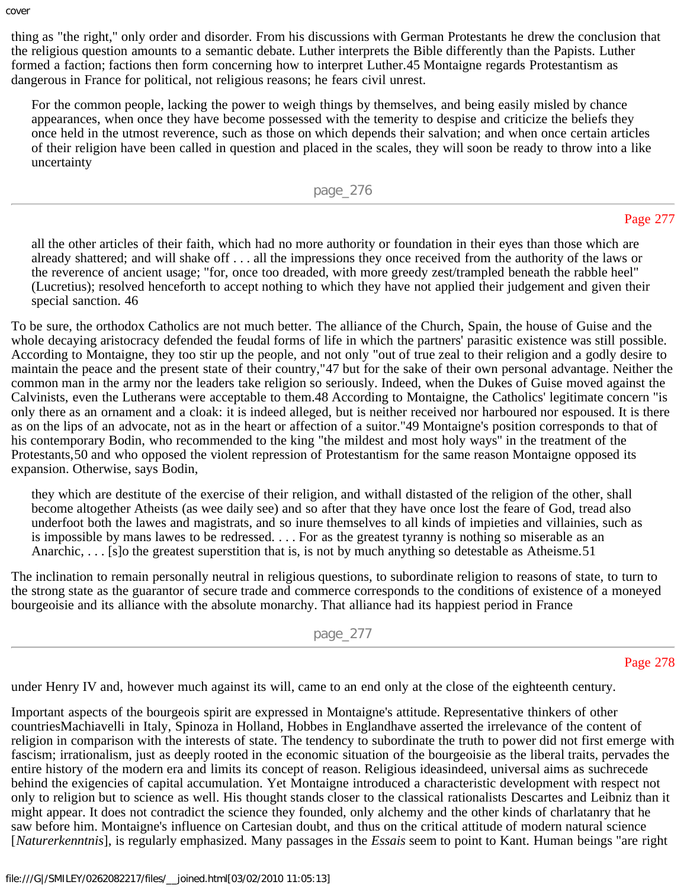thing as "the right," only order and disorder. From his discussions with German Protestants he drew the conclusion that the religious question amounts to a semantic debate. Luther interprets the Bible differently than the Papists. Luther formed a faction; factions then form concerning how to interpret Luther.45 Montaigne regards Protestantism as dangerous in France for political, not religious reasons; he fears civil unrest.

For the common people, lacking the power to weigh things by themselves, and being easily misled by chance appearances, when once they have become possessed with the temerity to despise and criticize the beliefs they once held in the utmost reverence, such as those on which depends their salvation; and when once certain articles of their religion have been called in question and placed in the scales, they will soon be ready to throw into a like uncertainty

page\_276

## Page 277

all the other articles of their faith, which had no more authority or foundation in their eyes than those which are already shattered; and will shake off . . . all the impressions they once received from the authority of the laws or the reverence of ancient usage; "for, once too dreaded, with more greedy zest/trampled beneath the rabble heel" (Lucretius); resolved henceforth to accept nothing to which they have not applied their judgement and given their special sanction. 46

To be sure, the orthodox Catholics are not much better. The alliance of the Church, Spain, the house of Guise and the whole decaying aristocracy defended the feudal forms of life in which the partners' parasitic existence was still possible. According to Montaigne, they too stir up the people, and not only "out of true zeal to their religion and a godly desire to maintain the peace and the present state of their country,"47 but for the sake of their own personal advantage. Neither the common man in the army nor the leaders take religion so seriously. Indeed, when the Dukes of Guise moved against the Calvinists, even the Lutherans were acceptable to them.48 According to Montaigne, the Catholics' legitimate concern "is only there as an ornament and a cloak: it is indeed alleged, but is neither received nor harboured nor espoused. It is there as on the lips of an advocate, not as in the heart or affection of a suitor."49 Montaigne's position corresponds to that of his contemporary Bodin, who recommended to the king "the mildest and most holy ways'' in the treatment of the Protestants,50 and who opposed the violent repression of Protestantism for the same reason Montaigne opposed its expansion. Otherwise, says Bodin,

they which are destitute of the exercise of their religion, and withall distasted of the religion of the other, shall become altogether Atheists (as wee daily see) and so after that they have once lost the feare of God, tread also underfoot both the lawes and magistrats, and so inure themselves to all kinds of impieties and villainies, such as is impossible by mans lawes to be redressed. . . . For as the greatest tyranny is nothing so miserable as an Anarchic, . . . [s]o the greatest superstition that is, is not by much anything so detestable as Atheisme.51

The inclination to remain personally neutral in religious questions, to subordinate religion to reasons of state, to turn to the strong state as the guarantor of secure trade and commerce corresponds to the conditions of existence of a moneyed bourgeoisie and its alliance with the absolute monarchy. That alliance had its happiest period in France

page\_277

Page 278

under Henry IV and, however much against its will, came to an end only at the close of the eighteenth century.

Important aspects of the bourgeois spirit are expressed in Montaigne's attitude. Representative thinkers of other countriesMachiavelli in Italy, Spinoza in Holland, Hobbes in Englandhave asserted the irrelevance of the content of religion in comparison with the interests of state. The tendency to subordinate the truth to power did not first emerge with fascism; irrationalism, just as deeply rooted in the economic situation of the bourgeoisie as the liberal traits, pervades the entire history of the modern era and limits its concept of reason. Religious ideasindeed, universal aims as suchrecede behind the exigencies of capital accumulation. Yet Montaigne introduced a characteristic development with respect not only to religion but to science as well. His thought stands closer to the classical rationalists Descartes and Leibniz than it might appear. It does not contradict the science they founded, only alchemy and the other kinds of charlatanry that he saw before him. Montaigne's influence on Cartesian doubt, and thus on the critical attitude of modern natural science [*Naturerkenntnis*], is regularly emphasized. Many passages in the *Essais* seem to point to Kant. Human beings "are right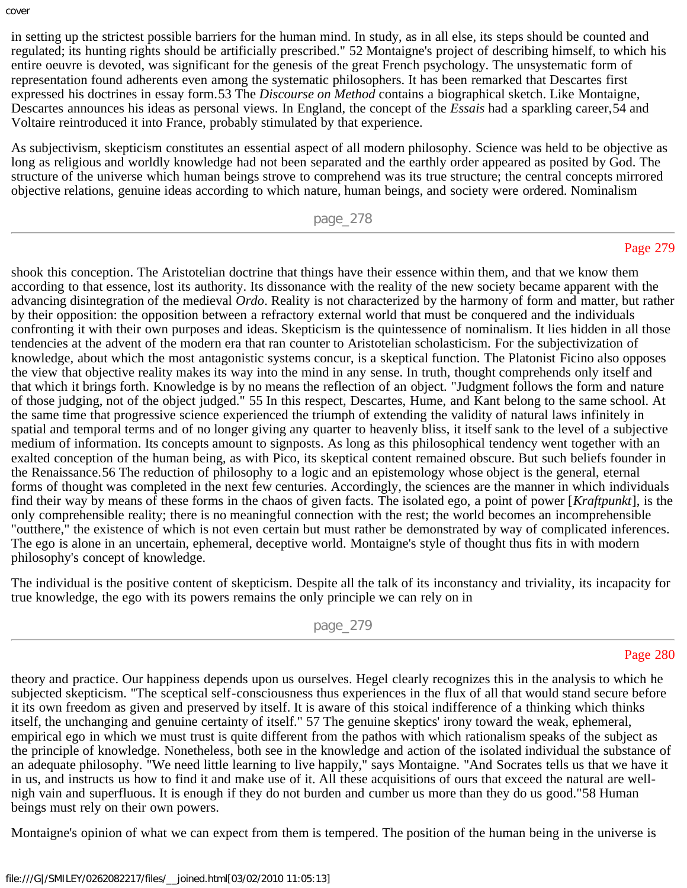in setting up the strictest possible barriers for the human mind. In study, as in all else, its steps should be counted and regulated; its hunting rights should be artificially prescribed." 52 Montaigne's project of describing himself, to which his entire oeuvre is devoted, was significant for the genesis of the great French psychology. The unsystematic form of representation found adherents even among the systematic philosophers. It has been remarked that Descartes first expressed his doctrines in essay form.53 The *Discourse on Method* contains a biographical sketch. Like Montaigne, Descartes announces his ideas as personal views. In England, the concept of the *Essais* had a sparkling career,54 and Voltaire reintroduced it into France, probably stimulated by that experience.

As subjectivism, skepticism constitutes an essential aspect of all modern philosophy. Science was held to be objective as long as religious and worldly knowledge had not been separated and the earthly order appeared as posited by God. The structure of the universe which human beings strove to comprehend was its true structure; the central concepts mirrored objective relations, genuine ideas according to which nature, human beings, and society were ordered. Nominalism

page\_278

# Page 279

shook this conception. The Aristotelian doctrine that things have their essence within them, and that we know them according to that essence, lost its authority. Its dissonance with the reality of the new society became apparent with the advancing disintegration of the medieval *Ordo*. Reality is not characterized by the harmony of form and matter, but rather by their opposition: the opposition between a refractory external world that must be conquered and the individuals confronting it with their own purposes and ideas. Skepticism is the quintessence of nominalism. It lies hidden in all those tendencies at the advent of the modern era that ran counter to Aristotelian scholasticism. For the subjectivization of knowledge, about which the most antagonistic systems concur, is a skeptical function. The Platonist Ficino also opposes the view that objective reality makes its way into the mind in any sense. In truth, thought comprehends only itself and that which it brings forth. Knowledge is by no means the reflection of an object. "Judgment follows the form and nature of those judging, not of the object judged." 55 In this respect, Descartes, Hume, and Kant belong to the same school. At the same time that progressive science experienced the triumph of extending the validity of natural laws infinitely in spatial and temporal terms and of no longer giving any quarter to heavenly bliss, it itself sank to the level of a subjective medium of information. Its concepts amount to signposts. As long as this philosophical tendency went together with an exalted conception of the human being, as with Pico, its skeptical content remained obscure. But such beliefs founder in the Renaissance.56 The reduction of philosophy to a logic and an epistemology whose object is the general, eternal forms of thought was completed in the next few centuries. Accordingly, the sciences are the manner in which individuals find their way by means of these forms in the chaos of given facts. The isolated ego, a point of power [*Kraftpunkt*], is the only comprehensible reality; there is no meaningful connection with the rest; the world becomes an incomprehensible "outthere," the existence of which is not even certain but must rather be demonstrated by way of complicated inferences. The ego is alone in an uncertain, ephemeral, deceptive world. Montaigne's style of thought thus fits in with modern philosophy's concept of knowledge.

The individual is the positive content of skepticism. Despite all the talk of its inconstancy and triviality, its incapacity for true knowledge, the ego with its powers remains the only principle we can rely on in

page\_279

### Page 280

theory and practice. Our happiness depends upon us ourselves. Hegel clearly recognizes this in the analysis to which he subjected skepticism. "The sceptical self-consciousness thus experiences in the flux of all that would stand secure before it its own freedom as given and preserved by itself. It is aware of this stoical indifference of a thinking which thinks itself, the unchanging and genuine certainty of itself." 57 The genuine skeptics' irony toward the weak, ephemeral, empirical ego in which we must trust is quite different from the pathos with which rationalism speaks of the subject as the principle of knowledge. Nonetheless, both see in the knowledge and action of the isolated individual the substance of an adequate philosophy. "We need little learning to live happily," says Montaigne. "And Socrates tells us that we have it in us, and instructs us how to find it and make use of it. All these acquisitions of ours that exceed the natural are wellnigh vain and superfluous. It is enough if they do not burden and cumber us more than they do us good."58 Human beings must rely on their own powers.

Montaigne's opinion of what we can expect from them is tempered. The position of the human being in the universe is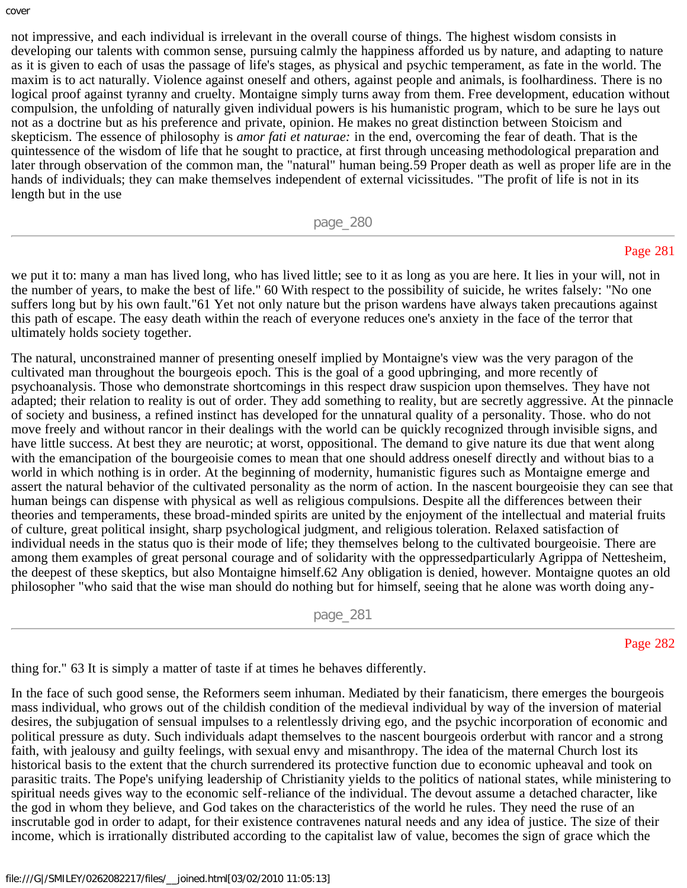not impressive, and each individual is irrelevant in the overall course of things. The highest wisdom consists in developing our talents with common sense, pursuing calmly the happiness afforded us by nature, and adapting to nature as it is given to each of usas the passage of life's stages, as physical and psychic temperament, as fate in the world. The maxim is to act naturally. Violence against oneself and others, against people and animals, is foolhardiness. There is no logical proof against tyranny and cruelty. Montaigne simply turns away from them. Free development, education without compulsion, the unfolding of naturally given individual powers is his humanistic program, which to be sure he lays out not as a doctrine but as his preference and private, opinion. He makes no great distinction between Stoicism and skepticism. The essence of philosophy is *amor fati et naturae:* in the end, overcoming the fear of death. That is the quintessence of the wisdom of life that he sought to practice, at first through unceasing methodological preparation and later through observation of the common man, the "natural" human being.59 Proper death as well as proper life are in the hands of individuals; they can make themselves independent of external vicissitudes. "The profit of life is not in its length but in the use

page\_280

#### Page 281

we put it to: many a man has lived long, who has lived little; see to it as long as you are here. It lies in your will, not in the number of years, to make the best of life." 60 With respect to the possibility of suicide, he writes falsely: "No one suffers long but by his own fault."61 Yet not only nature but the prison wardens have always taken precautions against this path of escape. The easy death within the reach of everyone reduces one's anxiety in the face of the terror that ultimately holds society together.

The natural, unconstrained manner of presenting oneself implied by Montaigne's view was the very paragon of the cultivated man throughout the bourgeois epoch. This is the goal of a good upbringing, and more recently of psychoanalysis. Those who demonstrate shortcomings in this respect draw suspicion upon themselves. They have not adapted; their relation to reality is out of order. They add something to reality, but are secretly aggressive. At the pinnacle of society and business, a refined instinct has developed for the unnatural quality of a personality. Those. who do not move freely and without rancor in their dealings with the world can be quickly recognized through invisible signs, and have little success. At best they are neurotic; at worst, oppositional. The demand to give nature its due that went along with the emancipation of the bourgeoisie comes to mean that one should address oneself directly and without bias to a world in which nothing is in order. At the beginning of modernity, humanistic figures such as Montaigne emerge and assert the natural behavior of the cultivated personality as the norm of action. In the nascent bourgeoisie they can see that human beings can dispense with physical as well as religious compulsions. Despite all the differences between their theories and temperaments, these broad-minded spirits are united by the enjoyment of the intellectual and material fruits of culture, great political insight, sharp psychological judgment, and religious toleration. Relaxed satisfaction of individual needs in the status quo is their mode of life; they themselves belong to the cultivated bourgeoisie. There are among them examples of great personal courage and of solidarity with the oppressedparticularly Agrippa of Nettesheim, the deepest of these skeptics, but also Montaigne himself.62 Any obligation is denied, however. Montaigne quotes an old philosopher "who said that the wise man should do nothing but for himself, seeing that he alone was worth doing any-

page\_281

Page 282

thing for." 63 It is simply a matter of taste if at times he behaves differently.

In the face of such good sense, the Reformers seem inhuman. Mediated by their fanaticism, there emerges the bourgeois mass individual, who grows out of the childish condition of the medieval individual by way of the inversion of material desires, the subjugation of sensual impulses to a relentlessly driving ego, and the psychic incorporation of economic and political pressure as duty. Such individuals adapt themselves to the nascent bourgeois orderbut with rancor and a strong faith, with jealousy and guilty feelings, with sexual envy and misanthropy. The idea of the maternal Church lost its historical basis to the extent that the church surrendered its protective function due to economic upheaval and took on parasitic traits. The Pope's unifying leadership of Christianity yields to the politics of national states, while ministering to spiritual needs gives way to the economic self-reliance of the individual. The devout assume a detached character, like the god in whom they believe, and God takes on the characteristics of the world he rules. They need the ruse of an inscrutable god in order to adapt, for their existence contravenes natural needs and any idea of justice. The size of their income, which is irrationally distributed according to the capitalist law of value, becomes the sign of grace which the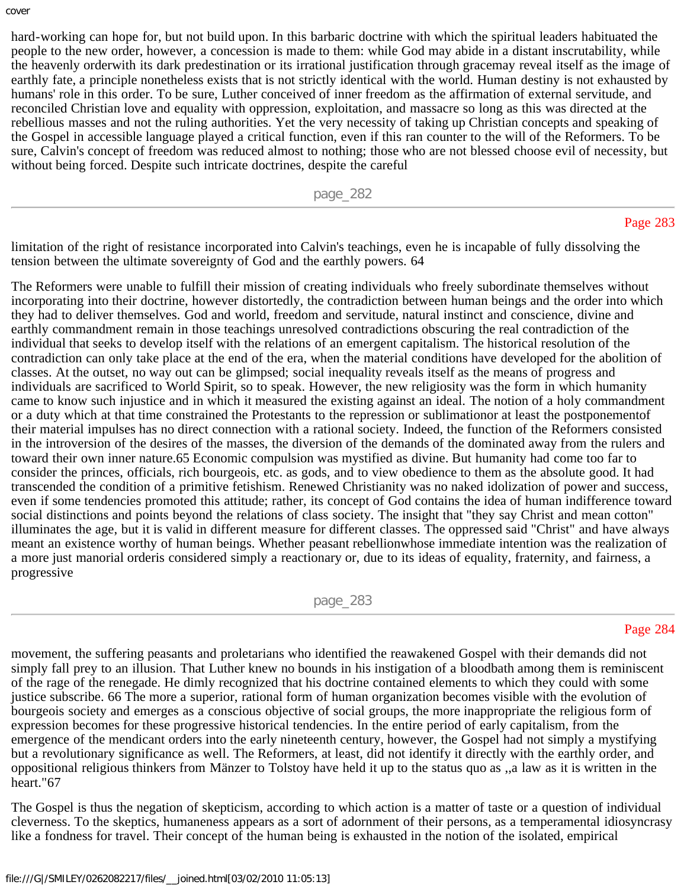hard-working can hope for, but not build upon. In this barbaric doctrine with which the spiritual leaders habituated the people to the new order, however, a concession is made to them: while God may abide in a distant inscrutability, while the heavenly orderwith its dark predestination or its irrational justification through gracemay reveal itself as the image of earthly fate, a principle nonetheless exists that is not strictly identical with the world. Human destiny is not exhausted by humans' role in this order. To be sure, Luther conceived of inner freedom as the affirmation of external servitude, and reconciled Christian love and equality with oppression, exploitation, and massacre so long as this was directed at the rebellious masses and not the ruling authorities. Yet the very necessity of taking up Christian concepts and speaking of the Gospel in accessible language played a critical function, even if this ran counter to the will of the Reformers. To be sure, Calvin's concept of freedom was reduced almost to nothing; those who are not blessed choose evil of necessity, but without being forced. Despite such intricate doctrines, despite the careful

page\_282

#### Page 283

limitation of the right of resistance incorporated into Calvin's teachings, even he is incapable of fully dissolving the tension between the ultimate sovereignty of God and the earthly powers. 64

The Reformers were unable to fulfill their mission of creating individuals who freely subordinate themselves without incorporating into their doctrine, however distortedly, the contradiction between human beings and the order into which they had to deliver themselves. God and world, freedom and servitude, natural instinct and conscience, divine and earthly commandment remain in those teachings unresolved contradictions obscuring the real contradiction of the individual that seeks to develop itself with the relations of an emergent capitalism. The historical resolution of the contradiction can only take place at the end of the era, when the material conditions have developed for the abolition of classes. At the outset, no way out can be glimpsed; social inequality reveals itself as the means of progress and individuals are sacrificed to World Spirit, so to speak. However, the new religiosity was the form in which humanity came to know such injustice and in which it measured the existing against an ideal. The notion of a holy commandment or a duty which at that time constrained the Protestants to the repression or sublimationor at least the postponementof their material impulses has no direct connection with a rational society. Indeed, the function of the Reformers consisted in the introversion of the desires of the masses, the diversion of the demands of the dominated away from the rulers and toward their own inner nature.65 Economic compulsion was mystified as divine. But humanity had come too far to consider the princes, officials, rich bourgeois, etc. as gods, and to view obedience to them as the absolute good. It had transcended the condition of a primitive fetishism. Renewed Christianity was no naked idolization of power and success, even if some tendencies promoted this attitude; rather, its concept of God contains the idea of human indifference toward social distinctions and points beyond the relations of class society. The insight that "they say Christ and mean cotton" illuminates the age, but it is valid in different measure for different classes. The oppressed said "Christ" and have always meant an existence worthy of human beings. Whether peasant rebellionwhose immediate intention was the realization of a more just manorial orderis considered simply a reactionary or, due to its ideas of equality, fraternity, and fairness, a progressive

page\_283

### Page 284

movement, the suffering peasants and proletarians who identified the reawakened Gospel with their demands did not simply fall prey to an illusion. That Luther knew no bounds in his instigation of a bloodbath among them is reminiscent of the rage of the renegade. He dimly recognized that his doctrine contained elements to which they could with some justice subscribe. 66 The more a superior, rational form of human organization becomes visible with the evolution of bourgeois society and emerges as a conscious objective of social groups, the more inappropriate the religious form of expression becomes for these progressive historical tendencies. In the entire period of early capitalism, from the emergence of the mendicant orders into the early nineteenth century, however, the Gospel had not simply a mystifying but a revolutionary significance as well. The Reformers, at least, did not identify it directly with the earthly order, and oppositional religious thinkers from Mänzer to Tolstoy have held it up to the status quo as ,,a law as it is written in the heart."67

The Gospel is thus the negation of skepticism, according to which action is a matter of taste or a question of individual cleverness. To the skeptics, humaneness appears as a sort of adornment of their persons, as a temperamental idiosyncrasy like a fondness for travel. Their concept of the human being is exhausted in the notion of the isolated, empirical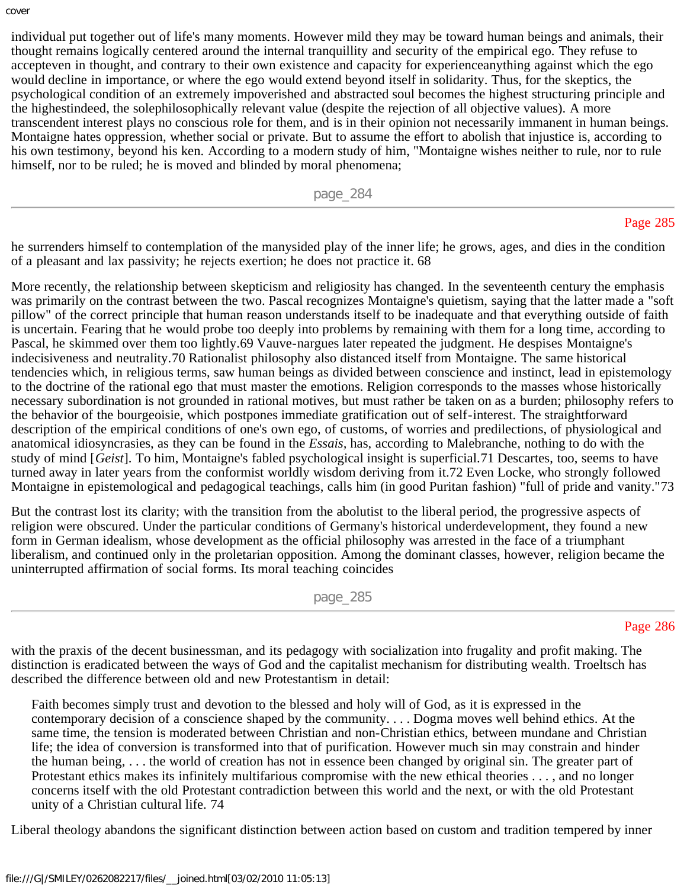individual put together out of life's many moments. However mild they may be toward human beings and animals, their thought remains logically centered around the internal tranquillity and security of the empirical ego. They refuse to accepteven in thought, and contrary to their own existence and capacity for experienceanything against which the ego would decline in importance, or where the ego would extend beyond itself in solidarity. Thus, for the skeptics, the psychological condition of an extremely impoverished and abstracted soul becomes the highest structuring principle and the highestindeed, the solephilosophically relevant value (despite the rejection of all objective values). A more transcendent interest plays no conscious role for them, and is in their opinion not necessarily immanent in human beings. Montaigne hates oppression, whether social or private. But to assume the effort to abolish that injustice is, according to his own testimony, beyond his ken. According to a modern study of him, "Montaigne wishes neither to rule, nor to rule himself, nor to be ruled; he is moved and blinded by moral phenomena;

page\_284

#### Page 285

he surrenders himself to contemplation of the manysided play of the inner life; he grows, ages, and dies in the condition of a pleasant and lax passivity; he rejects exertion; he does not practice it. 68

More recently, the relationship between skepticism and religiosity has changed. In the seventeenth century the emphasis was primarily on the contrast between the two. Pascal recognizes Montaigne's quietism, saying that the latter made a "soft pillow" of the correct principle that human reason understands itself to be inadequate and that everything outside of faith is uncertain. Fearing that he would probe too deeply into problems by remaining with them for a long time, according to Pascal, he skimmed over them too lightly.69 Vauve-nargues later repeated the judgment. He despises Montaigne's indecisiveness and neutrality.70 Rationalist philosophy also distanced itself from Montaigne. The same historical tendencies which, in religious terms, saw human beings as divided between conscience and instinct, lead in epistemology to the doctrine of the rational ego that must master the emotions. Religion corresponds to the masses whose historically necessary subordination is not grounded in rational motives, but must rather be taken on as a burden; philosophy refers to the behavior of the bourgeoisie, which postpones immediate gratification out of self-interest. The straightforward description of the empirical conditions of one's own ego, of customs, of worries and predilections, of physiological and anatomical idiosyncrasies, as they can be found in the *Essais,* has, according to Malebranche, nothing to do with the study of mind [*Geist*]. To him, Montaigne's fabled psychological insight is superficial.71 Descartes, too, seems to have turned away in later years from the conformist worldly wisdom deriving from it.72 Even Locke, who strongly followed Montaigne in epistemological and pedagogical teachings, calls him (in good Puritan fashion) "full of pride and vanity."73

But the contrast lost its clarity; with the transition from the abolutist to the liberal period, the progressive aspects of religion were obscured. Under the particular conditions of Germany's historical underdevelopment, they found a new form in German idealism, whose development as the official philosophy was arrested in the face of a triumphant liberalism, and continued only in the proletarian opposition. Among the dominant classes, however, religion became the uninterrupted affirmation of social forms. Its moral teaching coincides

page\_285

Page 286

with the praxis of the decent businessman, and its pedagogy with socialization into frugality and profit making. The distinction is eradicated between the ways of God and the capitalist mechanism for distributing wealth. Troeltsch has described the difference between old and new Protestantism in detail:

Faith becomes simply trust and devotion to the blessed and holy will of God, as it is expressed in the contemporary decision of a conscience shaped by the community. . . . Dogma moves well behind ethics. At the same time, the tension is moderated between Christian and non-Christian ethics, between mundane and Christian life; the idea of conversion is transformed into that of purification. However much sin may constrain and hinder the human being, . . . the world of creation has not in essence been changed by original sin. The greater part of Protestant ethics makes its infinitely multifarious compromise with the new ethical theories . . . , and no longer concerns itself with the old Protestant contradiction between this world and the next, or with the old Protestant unity of a Christian cultural life. 74

Liberal theology abandons the significant distinction between action based on custom and tradition tempered by inner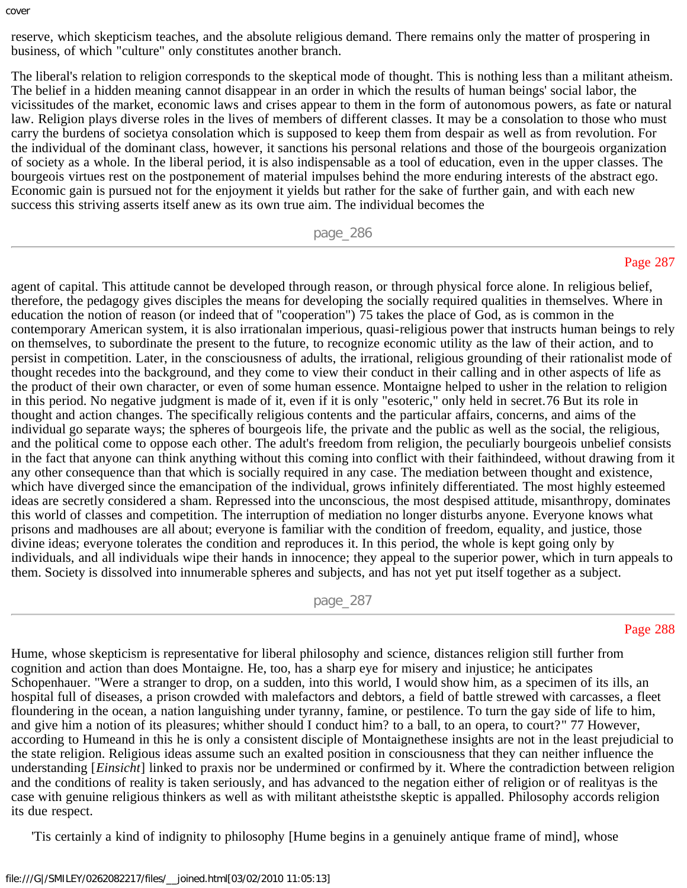reserve, which skepticism teaches, and the absolute religious demand. There remains only the matter of prospering in business, of which "culture" only constitutes another branch.

The liberal's relation to religion corresponds to the skeptical mode of thought. This is nothing less than a militant atheism. The belief in a hidden meaning cannot disappear in an order in which the results of human beings' social labor, the vicissitudes of the market, economic laws and crises appear to them in the form of autonomous powers, as fate or natural law. Religion plays diverse roles in the lives of members of different classes. It may be a consolation to those who must carry the burdens of societya consolation which is supposed to keep them from despair as well as from revolution. For the individual of the dominant class, however, it sanctions his personal relations and those of the bourgeois organization of society as a whole. In the liberal period, it is also indispensable as a tool of education, even in the upper classes. The bourgeois virtues rest on the postponement of material impulses behind the more enduring interests of the abstract ego. Economic gain is pursued not for the enjoyment it yields but rather for the sake of further gain, and with each new success this striving asserts itself anew as its own true aim. The individual becomes the

page\_286

#### Page 287

agent of capital. This attitude cannot be developed through reason, or through physical force alone. In religious belief, therefore, the pedagogy gives disciples the means for developing the socially required qualities in themselves. Where in education the notion of reason (or indeed that of ''cooperation") 75 takes the place of God, as is common in the contemporary American system, it is also irrationalan imperious, quasi-religious power that instructs human beings to rely on themselves, to subordinate the present to the future, to recognize economic utility as the law of their action, and to persist in competition. Later, in the consciousness of adults, the irrational, religious grounding of their rationalist mode of thought recedes into the background, and they come to view their conduct in their calling and in other aspects of life as the product of their own character, or even of some human essence. Montaigne helped to usher in the relation to religion in this period. No negative judgment is made of it, even if it is only "esoteric," only held in secret.76 But its role in thought and action changes. The specifically religious contents and the particular affairs, concerns, and aims of the individual go separate ways; the spheres of bourgeois life, the private and the public as well as the social, the religious, and the political come to oppose each other. The adult's freedom from religion, the peculiarly bourgeois unbelief consists in the fact that anyone can think anything without this coming into conflict with their faithindeed, without drawing from it any other consequence than that which is socially required in any case. The mediation between thought and existence, which have diverged since the emancipation of the individual, grows infinitely differentiated. The most highly esteemed ideas are secretly considered a sham. Repressed into the unconscious, the most despised attitude, misanthropy, dominates this world of classes and competition. The interruption of mediation no longer disturbs anyone. Everyone knows what prisons and madhouses are all about; everyone is familiar with the condition of freedom, equality, and justice, those divine ideas; everyone tolerates the condition and reproduces it. In this period, the whole is kept going only by individuals, and all individuals wipe their hands in innocence; they appeal to the superior power, which in turn appeals to them. Society is dissolved into innumerable spheres and subjects, and has not yet put itself together as a subject.

page\_287

Page 288

Hume, whose skepticism is representative for liberal philosophy and science, distances religion still further from cognition and action than does Montaigne. He, too, has a sharp eye for misery and injustice; he anticipates Schopenhauer. "Were a stranger to drop, on a sudden, into this world, I would show him, as a specimen of its ills, an hospital full of diseases, a prison crowded with malefactors and debtors, a field of battle strewed with carcasses, a fleet floundering in the ocean, a nation languishing under tyranny, famine, or pestilence. To turn the gay side of life to him, and give him a notion of its pleasures; whither should I conduct him? to a ball, to an opera, to court?" 77 However, according to Humeand in this he is only a consistent disciple of Montaignethese insights are not in the least prejudicial to the state religion. Religious ideas assume such an exalted position in consciousness that they can neither influence the understanding [*Einsicht*] linked to praxis nor be undermined or confirmed by it. Where the contradiction between religion and the conditions of reality is taken seriously, and has advanced to the negation either of religion or of realityas is the case with genuine religious thinkers as well as with militant atheiststhe skeptic is appalled. Philosophy accords religion its due respect.

'Tis certainly a kind of indignity to philosophy [Hume begins in a genuinely antique frame of mind], whose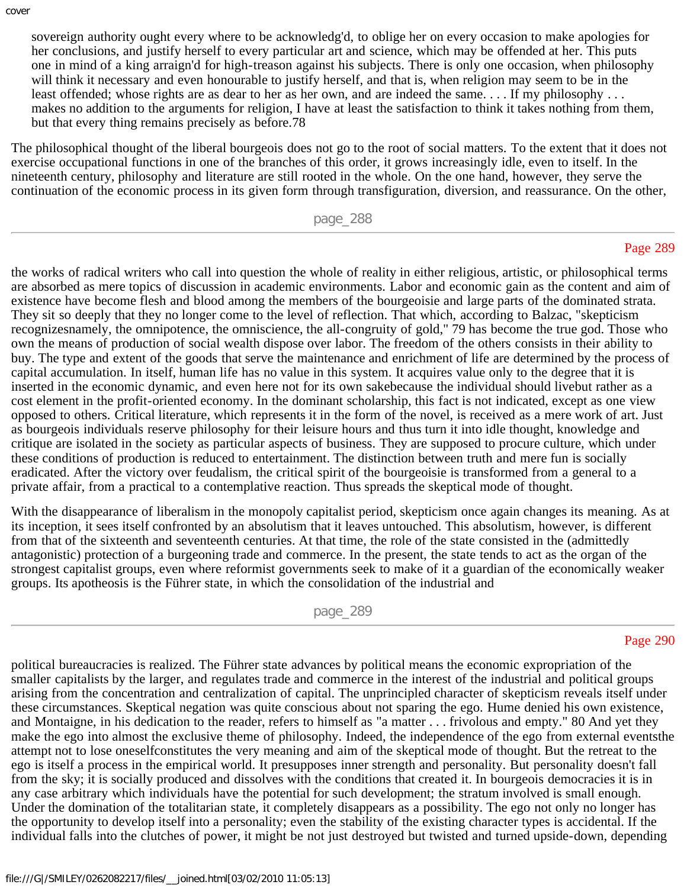sovereign authority ought every where to be acknowledg'd, to oblige her on every occasion to make apologies for her conclusions, and justify herself to every particular art and science, which may be offended at her. This puts one in mind of a king arraign'd for high-treason against his subjects. There is only one occasion, when philosophy will think it necessary and even honourable to justify herself, and that is, when religion may seem to be in the least offended; whose rights are as dear to her as her own, and are indeed the same. . . . If my philosophy . . . makes no addition to the arguments for religion, I have at least the satisfaction to think it takes nothing from them, but that every thing remains precisely as before.78

The philosophical thought of the liberal bourgeois does not go to the root of social matters. To the extent that it does not exercise occupational functions in one of the branches of this order, it grows increasingly idle, even to itself. In the nineteenth century, philosophy and literature are still rooted in the whole. On the one hand, however, they serve the continuation of the economic process in its given form through transfiguration, diversion, and reassurance. On the other,

page\_288

### Page 289

the works of radical writers who call into question the whole of reality in either religious, artistic, or philosophical terms are absorbed as mere topics of discussion in academic environments. Labor and economic gain as the content and aim of existence have become flesh and blood among the members of the bourgeoisie and large parts of the dominated strata. They sit so deeply that they no longer come to the level of reflection. That which, according to Balzac, "skepticism recognizesnamely, the omnipotence, the omniscience, the all-congruity of gold," 79 has become the true god. Those who own the means of production of social wealth dispose over labor. The freedom of the others consists in their ability to buy. The type and extent of the goods that serve the maintenance and enrichment of life are determined by the process of capital accumulation. In itself, human life has no value in this system. It acquires value only to the degree that it is inserted in the economic dynamic, and even here not for its own sakebecause the individual should livebut rather as a cost element in the profit-oriented economy. In the dominant scholarship, this fact is not indicated, except as one view opposed to others. Critical literature, which represents it in the form of the novel, is received as a mere work of art. Just as bourgeois individuals reserve philosophy for their leisure hours and thus turn it into idle thought, knowledge and critique are isolated in the society as particular aspects of business. They are supposed to procure culture, which under these conditions of production is reduced to entertainment. The distinction between truth and mere fun is socially eradicated. After the victory over feudalism, the critical spirit of the bourgeoisie is transformed from a general to a private affair, from a practical to a contemplative reaction. Thus spreads the skeptical mode of thought.

With the disappearance of liberalism in the monopoly capitalist period, skepticism once again changes its meaning. As at its inception, it sees itself confronted by an absolutism that it leaves untouched. This absolutism, however, is different from that of the sixteenth and seventeenth centuries. At that time, the role of the state consisted in the (admittedly antagonistic) protection of a burgeoning trade and commerce. In the present, the state tends to act as the organ of the strongest capitalist groups, even where reformist governments seek to make of it a guardian of the economically weaker groups. Its apotheosis is the Führer state, in which the consolidation of the industrial and

page\_289

### Page 290

political bureaucracies is realized. The Führer state advances by political means the economic expropriation of the smaller capitalists by the larger, and regulates trade and commerce in the interest of the industrial and political groups arising from the concentration and centralization of capital. The unprincipled character of skepticism reveals itself under these circumstances. Skeptical negation was quite conscious about not sparing the ego. Hume denied his own existence, and Montaigne, in his dedication to the reader, refers to himself as "a matter . . . frivolous and empty." 80 And yet they make the ego into almost the exclusive theme of philosophy. Indeed, the independence of the ego from external eventsthe attempt not to lose oneselfconstitutes the very meaning and aim of the skeptical mode of thought. But the retreat to the ego is itself a process in the empirical world. It presupposes inner strength and personality. But personality doesn't fall from the sky; it is socially produced and dissolves with the conditions that created it. In bourgeois democracies it is in any case arbitrary which individuals have the potential for such development; the stratum involved is small enough. Under the domination of the totalitarian state, it completely disappears as a possibility. The ego not only no longer has the opportunity to develop itself into a personality; even the stability of the existing character types is accidental. If the individual falls into the clutches of power, it might be not just destroyed but twisted and turned upside-down, depending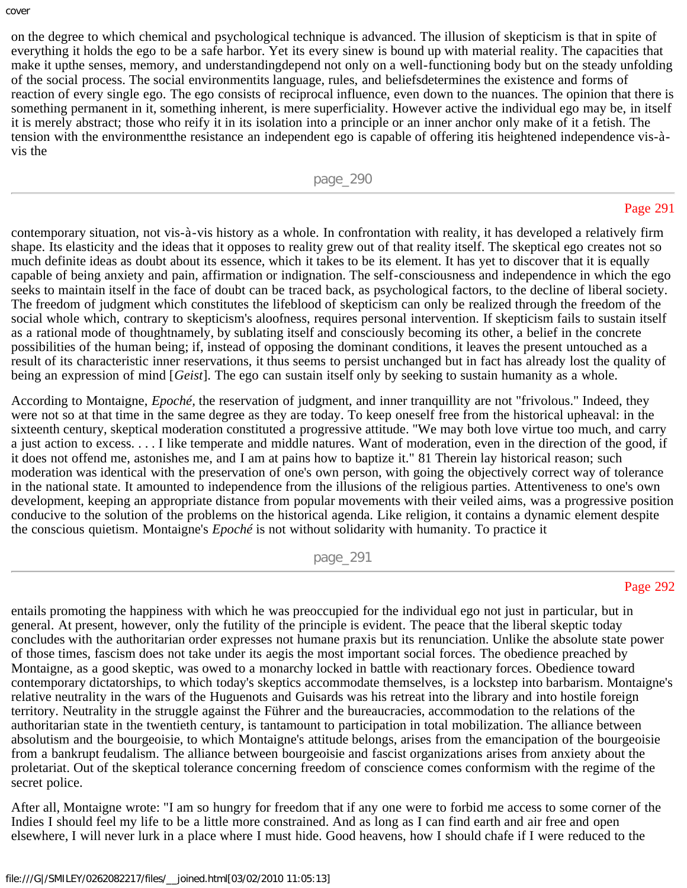on the degree to which chemical and psychological technique is advanced. The illusion of skepticism is that in spite of everything it holds the ego to be a safe harbor. Yet its every sinew is bound up with material reality. The capacities that make it upthe senses, memory, and understandingdepend not only on a well-functioning body but on the steady unfolding of the social process. The social environmentits language, rules, and beliefsdetermines the existence and forms of reaction of every single ego. The ego consists of reciprocal influence, even down to the nuances. The opinion that there is something permanent in it, something inherent, is mere superficiality. However active the individual ego may be, in itself it is merely abstract; those who reify it in its isolation into a principle or an inner anchor only make of it a fetish. The tension with the environmentthe resistance an independent ego is capable of offering itis heightened independence vis-àvis the

#### page\_290

### Page 291

contemporary situation, not vis-à-vis history as a whole. In confrontation with reality, it has developed a relatively firm shape. Its elasticity and the ideas that it opposes to reality grew out of that reality itself. The skeptical ego creates not so much definite ideas as doubt about its essence, which it takes to be its element. It has yet to discover that it is equally capable of being anxiety and pain, affirmation or indignation. The self-consciousness and independence in which the ego seeks to maintain itself in the face of doubt can be traced back, as psychological factors, to the decline of liberal society. The freedom of judgment which constitutes the lifeblood of skepticism can only be realized through the freedom of the social whole which, contrary to skepticism's aloofness, requires personal intervention. If skepticism fails to sustain itself as a rational mode of thoughtnamely, by sublating itself and consciously becoming its other, a belief in the concrete possibilities of the human being; if, instead of opposing the dominant conditions, it leaves the present untouched as a result of its characteristic inner reservations, it thus seems to persist unchanged but in fact has already lost the quality of being an expression of mind [*Geist*]. The ego can sustain itself only by seeking to sustain humanity as a whole.

According to Montaigne, *Epoché,* the reservation of judgment, and inner tranquillity are not "frivolous." Indeed, they were not so at that time in the same degree as they are today. To keep oneself free from the historical upheaval: in the sixteenth century, skeptical moderation constituted a progressive attitude. "We may both love virtue too much, and carry a just action to excess. . . . I like temperate and middle natures. Want of moderation, even in the direction of the good, if it does not offend me, astonishes me, and I am at pains how to baptize it." 81 Therein lay historical reason; such moderation was identical with the preservation of one's own person, with going the objectively correct way of tolerance in the national state. It amounted to independence from the illusions of the religious parties. Attentiveness to one's own development, keeping an appropriate distance from popular movements with their veiled aims, was a progressive position conducive to the solution of the problems on the historical agenda. Like religion, it contains a dynamic element despite the conscious quietism. Montaigne's *Epoché* is not without solidarity with humanity. To practice it

page\_291

#### Page 292

entails promoting the happiness with which he was preoccupied for the individual ego not just in particular, but in general. At present, however, only the futility of the principle is evident. The peace that the liberal skeptic today concludes with the authoritarian order expresses not humane praxis but its renunciation. Unlike the absolute state power of those times, fascism does not take under its aegis the most important social forces. The obedience preached by Montaigne, as a good skeptic, was owed to a monarchy locked in battle with reactionary forces. Obedience toward contemporary dictatorships, to which today's skeptics accommodate themselves, is a lockstep into barbarism. Montaigne's relative neutrality in the wars of the Huguenots and Guisards was his retreat into the library and into hostile foreign territory. Neutrality in the struggle against the Führer and the bureaucracies, accommodation to the relations of the authoritarian state in the twentieth century, is tantamount to participation in total mobilization. The alliance between absolutism and the bourgeoisie, to which Montaigne's attitude belongs, arises from the emancipation of the bourgeoisie from a bankrupt feudalism. The alliance between bourgeoisie and fascist organizations arises from anxiety about the proletariat. Out of the skeptical tolerance concerning freedom of conscience comes conformism with the regime of the secret police.

After all, Montaigne wrote: "I am so hungry for freedom that if any one were to forbid me access to some corner of the Indies I should feel my life to be a little more constrained. And as long as I can find earth and air free and open elsewhere, I will never lurk in a place where I must hide. Good heavens, how I should chafe if I were reduced to the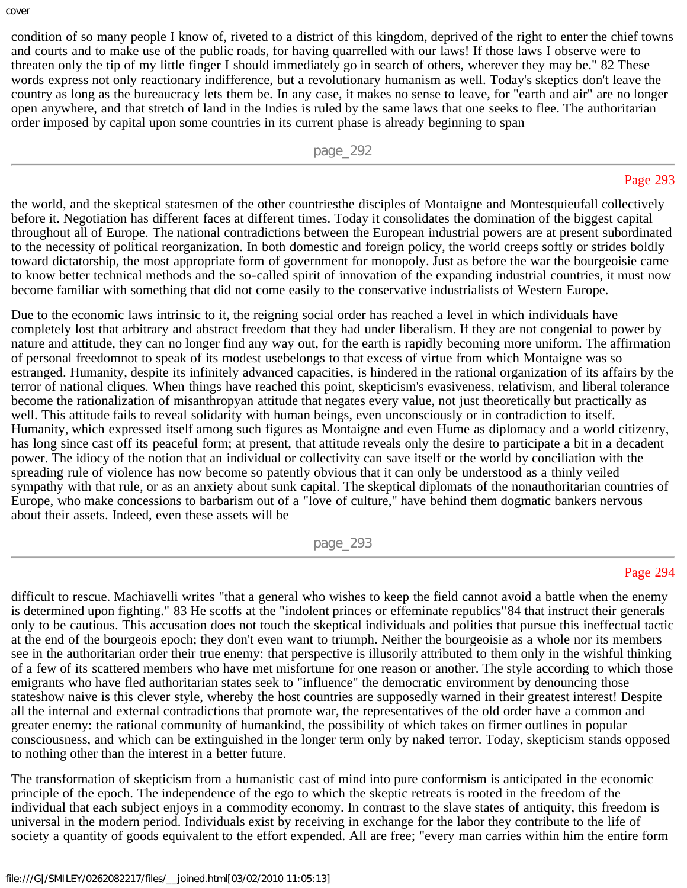condition of so many people I know of, riveted to a district of this kingdom, deprived of the right to enter the chief towns and courts and to make use of the public roads, for having quarrelled with our laws! If those laws I observe were to threaten only the tip of my little finger I should immediately go in search of others, wherever they may be." 82 These words express not only reactionary indifference, but a revolutionary humanism as well. Today's skeptics don't leave the country as long as the bureaucracy lets them be. In any case, it makes no sense to leave, for "earth and air" are no longer open anywhere, and that stretch of land in the Indies is ruled by the same laws that one seeks to flee. The authoritarian order imposed by capital upon some countries in its current phase is already beginning to span

## Page 293

the world, and the skeptical statesmen of the other countriesthe disciples of Montaigne and Montesquieufall collectively before it. Negotiation has different faces at different times. Today it consolidates the domination of the biggest capital throughout all of Europe. The national contradictions between the European industrial powers are at present subordinated to the necessity of political reorganization. In both domestic and foreign policy, the world creeps softly or strides boldly toward dictatorship, the most appropriate form of government for monopoly. Just as before the war the bourgeoisie came to know better technical methods and the so-called spirit of innovation of the expanding industrial countries, it must now become familiar with something that did not come easily to the conservative industrialists of Western Europe.

Due to the economic laws intrinsic to it, the reigning social order has reached a level in which individuals have completely lost that arbitrary and abstract freedom that they had under liberalism. If they are not congenial to power by nature and attitude, they can no longer find any way out, for the earth is rapidly becoming more uniform. The affirmation of personal freedomnot to speak of its modest usebelongs to that excess of virtue from which Montaigne was so estranged. Humanity, despite its infinitely advanced capacities, is hindered in the rational organization of its affairs by the terror of national cliques. When things have reached this point, skepticism's evasiveness, relativism, and liberal tolerance become the rationalization of misanthropyan attitude that negates every value, not just theoretically but practically as well. This attitude fails to reveal solidarity with human beings, even unconsciously or in contradiction to itself. Humanity, which expressed itself among such figures as Montaigne and even Hume as diplomacy and a world citizenry, has long since cast off its peaceful form; at present, that attitude reveals only the desire to participate a bit in a decadent power. The idiocy of the notion that an individual or collectivity can save itself or the world by conciliation with the spreading rule of violence has now become so patently obvious that it can only be understood as a thinly veiled sympathy with that rule, or as an anxiety about sunk capital. The skeptical diplomats of the nonauthoritarian countries of Europe, who make concessions to barbarism out of a "love of culture," have behind them dogmatic bankers nervous about their assets. Indeed, even these assets will be

page\_293

# Page 294

difficult to rescue. Machiavelli writes "that a general who wishes to keep the field cannot avoid a battle when the enemy is determined upon fighting." 83 He scoffs at the "indolent princes or effeminate republics"84 that instruct their generals only to be cautious. This accusation does not touch the skeptical individuals and polities that pursue this ineffectual tactic at the end of the bourgeois epoch; they don't even want to triumph. Neither the bourgeoisie as a whole nor its members see in the authoritarian order their true enemy: that perspective is illusorily attributed to them only in the wishful thinking of a few of its scattered members who have met misfortune for one reason or another. The style according to which those emigrants who have fled authoritarian states seek to "influence" the democratic environment by denouncing those stateshow naive is this clever style, whereby the host countries are supposedly warned in their greatest interest! Despite all the internal and external contradictions that promote war, the representatives of the old order have a common and greater enemy: the rational community of humankind, the possibility of which takes on firmer outlines in popular consciousness, and which can be extinguished in the longer term only by naked terror. Today, skepticism stands opposed to nothing other than the interest in a better future.

The transformation of skepticism from a humanistic cast of mind into pure conformism is anticipated in the economic principle of the epoch. The independence of the ego to which the skeptic retreats is rooted in the freedom of the individual that each subject enjoys in a commodity economy. In contrast to the slave states of antiquity, this freedom is universal in the modern period. Individuals exist by receiving in exchange for the labor they contribute to the life of society a quantity of goods equivalent to the effort expended. All are free; "every man carries within him the entire form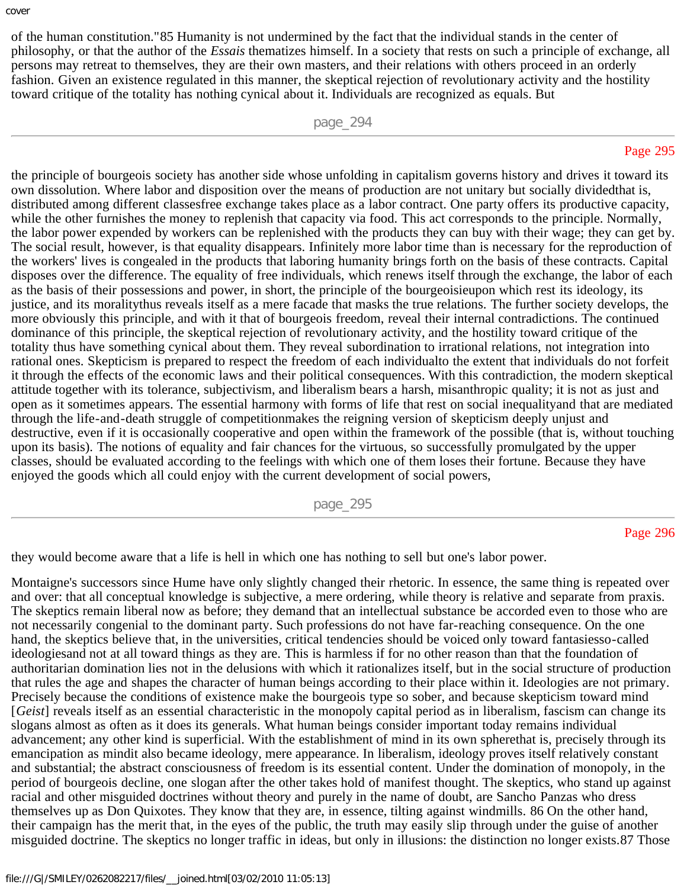of the human constitution."85 Humanity is not undermined by the fact that the individual stands in the center of philosophy, or that the author of the *Essais* thematizes himself. In a society that rests on such a principle of exchange, all persons may retreat to themselves, they are their own masters, and their relations with others proceed in an orderly fashion. Given an existence regulated in this manner, the skeptical rejection of revolutionary activity and the hostility toward critique of the totality has nothing cynical about it. Individuals are recognized as equals. But

page\_294

### Page 295

the principle of bourgeois society has another side whose unfolding in capitalism governs history and drives it toward its own dissolution. Where labor and disposition over the means of production are not unitary but socially dividedthat is, distributed among different classesfree exchange takes place as a labor contract. One party offers its productive capacity, while the other furnishes the money to replenish that capacity via food. This act corresponds to the principle. Normally, the labor power expended by workers can be replenished with the products they can buy with their wage; they can get by. The social result, however, is that equality disappears. Infinitely more labor time than is necessary for the reproduction of the workers' lives is congealed in the products that laboring humanity brings forth on the basis of these contracts. Capital disposes over the difference. The equality of free individuals, which renews itself through the exchange, the labor of each as the basis of their possessions and power, in short, the principle of the bourgeoisieupon which rest its ideology, its justice, and its moralitythus reveals itself as a mere facade that masks the true relations. The further society develops, the more obviously this principle, and with it that of bourgeois freedom, reveal their internal contradictions. The continued dominance of this principle, the skeptical rejection of revolutionary activity, and the hostility toward critique of the totality thus have something cynical about them. They reveal subordination to irrational relations, not integration into rational ones. Skepticism is prepared to respect the freedom of each individualto the extent that individuals do not forfeit it through the effects of the economic laws and their political consequences. With this contradiction, the modern skeptical attitude together with its tolerance, subjectivism, and liberalism bears a harsh, misanthropic quality; it is not as just and open as it sometimes appears. The essential harmony with forms of life that rest on social inequalityand that are mediated through the life-and-death struggle of competitionmakes the reigning version of skepticism deeply unjust and destructive, even if it is occasionally cooperative and open within the framework of the possible (that is, without touching upon its basis). The notions of equality and fair chances for the virtuous, so successfully promulgated by the upper classes, should be evaluated according to the feelings with which one of them loses their fortune. Because they have enjoyed the goods which all could enjoy with the current development of social powers,

page\_295

Page 296

they would become aware that a life is hell in which one has nothing to sell but one's labor power.

Montaigne's successors since Hume have only slightly changed their rhetoric. In essence, the same thing is repeated over and over: that all conceptual knowledge is subjective, a mere ordering, while theory is relative and separate from praxis. The skeptics remain liberal now as before; they demand that an intellectual substance be accorded even to those who are not necessarily congenial to the dominant party. Such professions do not have far-reaching consequence. On the one hand, the skeptics believe that, in the universities, critical tendencies should be voiced only toward fantasiesso-called ideologiesand not at all toward things as they are. This is harmless if for no other reason than that the foundation of authoritarian domination lies not in the delusions with which it rationalizes itself, but in the social structure of production that rules the age and shapes the character of human beings according to their place within it. Ideologies are not primary. Precisely because the conditions of existence make the bourgeois type so sober, and because skepticism toward mind [*Geist*] reveals itself as an essential characteristic in the monopoly capital period as in liberalism, fascism can change its slogans almost as often as it does its generals. What human beings consider important today remains individual advancement; any other kind is superficial. With the establishment of mind in its own spherethat is, precisely through its emancipation as mindit also became ideology, mere appearance. In liberalism, ideology proves itself relatively constant and substantial; the abstract consciousness of freedom is its essential content. Under the domination of monopoly, in the period of bourgeois decline, one slogan after the other takes hold of manifest thought. The skeptics, who stand up against racial and other misguided doctrines without theory and purely in the name of doubt, are Sancho Panzas who dress themselves up as Don Quixotes. They know that they are, in essence, tilting against windmills. 86 On the other hand, their campaign has the merit that, in the eyes of the public, the truth may easily slip through under the guise of another misguided doctrine. The skeptics no longer traffic in ideas, but only in illusions: the distinction no longer exists.87 Those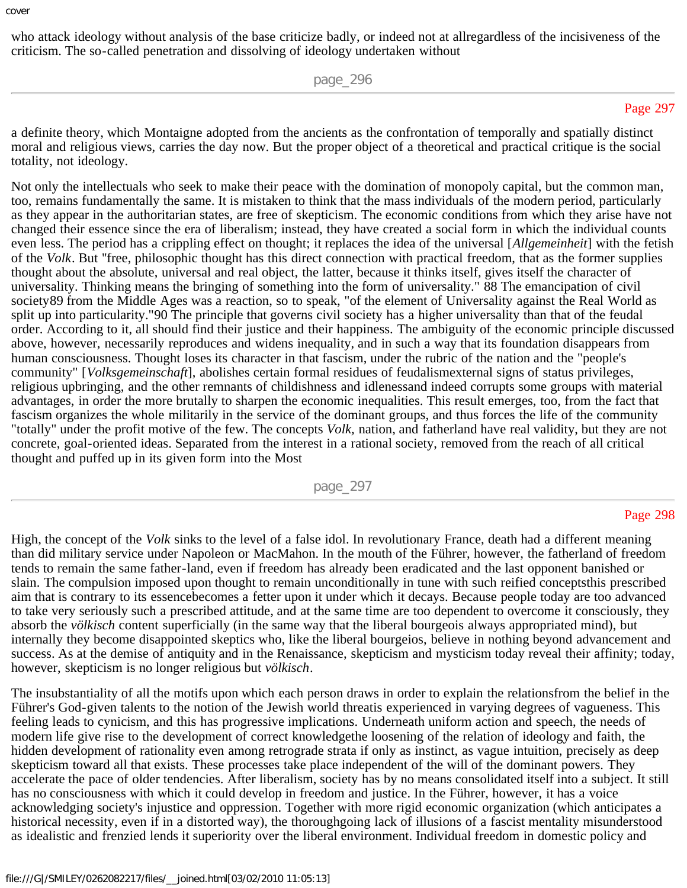who attack ideology without analysis of the base criticize badly, or indeed not at allregardless of the incisiveness of the criticism. The so-called penetration and dissolving of ideology undertaken without

page\_296

Page 297

a definite theory, which Montaigne adopted from the ancients as the confrontation of temporally and spatially distinct moral and religious views, carries the day now. But the proper object of a theoretical and practical critique is the social totality, not ideology.

Not only the intellectuals who seek to make their peace with the domination of monopoly capital, but the common man, too, remains fundamentally the same. It is mistaken to think that the mass individuals of the modern period, particularly as they appear in the authoritarian states, are free of skepticism. The economic conditions from which they arise have not changed their essence since the era of liberalism; instead, they have created a social form in which the individual counts even less. The period has a crippling effect on thought; it replaces the idea of the universal [*Allgemeinheit*] with the fetish of the *Volk*. But ''free, philosophic thought has this direct connection with practical freedom, that as the former supplies thought about the absolute, universal and real object, the latter, because it thinks itself, gives itself the character of universality. Thinking means the bringing of something into the form of universality." 88 The emancipation of civil society89 from the Middle Ages was a reaction, so to speak, "of the element of Universality against the Real World as split up into particularity."90 The principle that governs civil society has a higher universality than that of the feudal order. According to it, all should find their justice and their happiness. The ambiguity of the economic principle discussed above, however, necessarily reproduces and widens inequality, and in such a way that its foundation disappears from human consciousness. Thought loses its character in that fascism, under the rubric of the nation and the "people's community" [*Volksgemeinschaft*], abolishes certain formal residues of feudalismexternal signs of status privileges, religious upbringing, and the other remnants of childishness and idlenessand indeed corrupts some groups with material advantages, in order the more brutally to sharpen the economic inequalities. This result emerges, too, from the fact that fascism organizes the whole militarily in the service of the dominant groups, and thus forces the life of the community "totally" under the profit motive of the few. The concepts *Volk,* nation, and fatherland have real validity, but they are not concrete, goal-oriented ideas. Separated from the interest in a rational society, removed from the reach of all critical thought and puffed up in its given form into the Most

page\_297

## Page 298

High, the concept of the *Volk* sinks to the level of a false idol. In revolutionary France, death had a different meaning than did military service under Napoleon or MacMahon. In the mouth of the Führer, however, the fatherland of freedom tends to remain the same father-land, even if freedom has already been eradicated and the last opponent banished or slain. The compulsion imposed upon thought to remain unconditionally in tune with such reified conceptsthis prescribed aim that is contrary to its essencebecomes a fetter upon it under which it decays. Because people today are too advanced to take very seriously such a prescribed attitude, and at the same time are too dependent to overcome it consciously, they absorb the *völkisch* content superficially (in the same way that the liberal bourgeois always appropriated mind), but internally they become disappointed skeptics who, like the liberal bourgeios, believe in nothing beyond advancement and success. As at the demise of antiquity and in the Renaissance, skepticism and mysticism today reveal their affinity; today, however, skepticism is no longer religious but *völkisch*.

The insubstantiality of all the motifs upon which each person draws in order to explain the relationsfrom the belief in the Führer's God-given talents to the notion of the Jewish world threatis experienced in varying degrees of vagueness. This feeling leads to cynicism, and this has progressive implications. Underneath uniform action and speech, the needs of modern life give rise to the development of correct knowledgethe loosening of the relation of ideology and faith, the hidden development of rationality even among retrograde strata if only as instinct, as vague intuition, precisely as deep skepticism toward all that exists. These processes take place independent of the will of the dominant powers. They accelerate the pace of older tendencies. After liberalism, society has by no means consolidated itself into a subject. It still has no consciousness with which it could develop in freedom and justice. In the Führer, however, it has a voice acknowledging society's injustice and oppression. Together with more rigid economic organization (which anticipates a historical necessity, even if in a distorted way), the thoroughgoing lack of illusions of a fascist mentality misunderstood as idealistic and frenzied lends it superiority over the liberal environment. Individual freedom in domestic policy and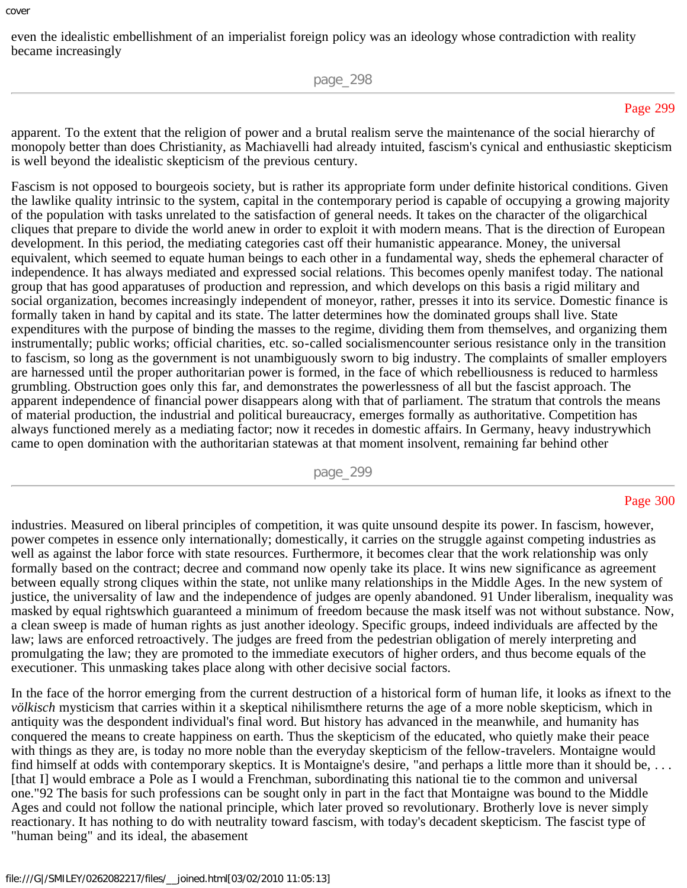even the idealistic embellishment of an imperialist foreign policy was an ideology whose contradiction with reality became increasingly

page\_298

### Page 299

apparent. To the extent that the religion of power and a brutal realism serve the maintenance of the social hierarchy of monopoly better than does Christianity, as Machiavelli had already intuited, fascism's cynical and enthusiastic skepticism is well beyond the idealistic skepticism of the previous century.

Fascism is not opposed to bourgeois society, but is rather its appropriate form under definite historical conditions. Given the lawlike quality intrinsic to the system, capital in the contemporary period is capable of occupying a growing majority of the population with tasks unrelated to the satisfaction of general needs. It takes on the character of the oligarchical cliques that prepare to divide the world anew in order to exploit it with modern means. That is the direction of European development. In this period, the mediating categories cast off their humanistic appearance. Money, the universal equivalent, which seemed to equate human beings to each other in a fundamental way, sheds the ephemeral character of independence. It has always mediated and expressed social relations. This becomes openly manifest today. The national group that has good apparatuses of production and repression, and which develops on this basis a rigid military and social organization, becomes increasingly independent of moneyor, rather, presses it into its service. Domestic finance is formally taken in hand by capital and its state. The latter determines how the dominated groups shall live. State expenditures with the purpose of binding the masses to the regime, dividing them from themselves, and organizing them instrumentally; public works; official charities, etc. so-called socialismencounter serious resistance only in the transition to fascism, so long as the government is not unambiguously sworn to big industry. The complaints of smaller employers are harnessed until the proper authoritarian power is formed, in the face of which rebelliousness is reduced to harmless grumbling. Obstruction goes only this far, and demonstrates the powerlessness of all but the fascist approach. The apparent independence of financial power disappears along with that of parliament. The stratum that controls the means of material production, the industrial and political bureaucracy, emerges formally as authoritative. Competition has always functioned merely as a mediating factor; now it recedes in domestic affairs. In Germany, heavy industrywhich came to open domination with the authoritarian statewas at that moment insolvent, remaining far behind other

page\_299

### Page 300

industries. Measured on liberal principles of competition, it was quite unsound despite its power. In fascism, however, power competes in essence only internationally; domestically, it carries on the struggle against competing industries as well as against the labor force with state resources. Furthermore, it becomes clear that the work relationship was only formally based on the contract; decree and command now openly take its place. It wins new significance as agreement between equally strong cliques within the state, not unlike many relationships in the Middle Ages. In the new system of justice, the universality of law and the independence of judges are openly abandoned. 91 Under liberalism, inequality was masked by equal rightswhich guaranteed a minimum of freedom because the mask itself was not without substance. Now, a clean sweep is made of human rights as just another ideology. Specific groups, indeed individuals are affected by the law; laws are enforced retroactively. The judges are freed from the pedestrian obligation of merely interpreting and promulgating the law; they are promoted to the immediate executors of higher orders, and thus become equals of the executioner. This unmasking takes place along with other decisive social factors.

In the face of the horror emerging from the current destruction of a historical form of human life, it looks as ifnext to the *völkisch* mysticism that carries within it a skeptical nihilismthere returns the age of a more noble skepticism, which in antiquity was the despondent individual's final word. But history has advanced in the meanwhile, and humanity has conquered the means to create happiness on earth. Thus the skepticism of the educated, who quietly make their peace with things as they are, is today no more noble than the everyday skepticism of the fellow-travelers. Montaigne would find himself at odds with contemporary skeptics. It is Montaigne's desire, "and perhaps a little more than it should be, . . . [that I] would embrace a Pole as I would a Frenchman, subordinating this national tie to the common and universal one."92 The basis for such professions can be sought only in part in the fact that Montaigne was bound to the Middle Ages and could not follow the national principle, which later proved so revolutionary. Brotherly love is never simply reactionary. It has nothing to do with neutrality toward fascism, with today's decadent skepticism. The fascist type of "human being" and its ideal, the abasement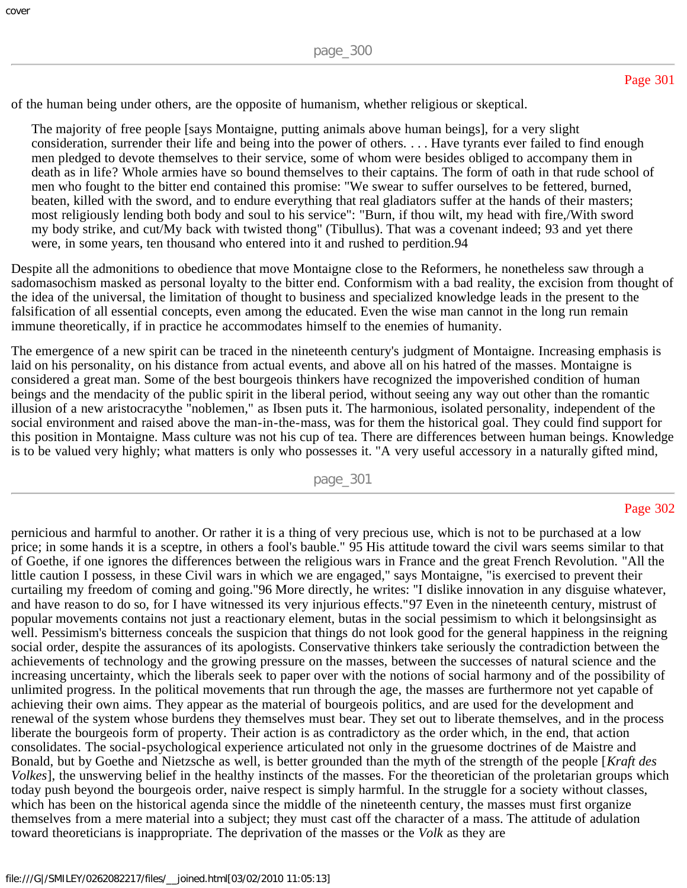of the human being under others, are the opposite of humanism, whether religious or skeptical.

The majority of free people [says Montaigne, putting animals above human beings], for a very slight consideration, surrender their life and being into the power of others. . . . Have tyrants ever failed to find enough men pledged to devote themselves to their service, some of whom were besides obliged to accompany them in death as in life? Whole armies have so bound themselves to their captains. The form of oath in that rude school of men who fought to the bitter end contained this promise: "We swear to suffer ourselves to be fettered, burned, beaten, killed with the sword, and to endure everything that real gladiators suffer at the hands of their masters; most religiously lending both body and soul to his service": "Burn, if thou wilt, my head with fire,/With sword my body strike, and cut/My back with twisted thong" (Tibullus). That was a covenant indeed; 93 and yet there were, in some years, ten thousand who entered into it and rushed to perdition.94

Despite all the admonitions to obedience that move Montaigne close to the Reformers, he nonetheless saw through a sadomasochism masked as personal loyalty to the bitter end. Conformism with a bad reality, the excision from thought of the idea of the universal, the limitation of thought to business and specialized knowledge leads in the present to the falsification of all essential concepts, even among the educated. Even the wise man cannot in the long run remain immune theoretically, if in practice he accommodates himself to the enemies of humanity.

The emergence of a new spirit can be traced in the nineteenth century's judgment of Montaigne. Increasing emphasis is laid on his personality, on his distance from actual events, and above all on his hatred of the masses. Montaigne is considered a great man. Some of the best bourgeois thinkers have recognized the impoverished condition of human beings and the mendacity of the public spirit in the liberal period, without seeing any way out other than the romantic illusion of a new aristocracythe "noblemen," as Ibsen puts it. The harmonious, isolated personality, independent of the social environment and raised above the man-in-the-mass, was for them the historical goal. They could find support for this position in Montaigne. Mass culture was not his cup of tea. There are differences between human beings. Knowledge is to be valued very highly; what matters is only who possesses it. "A very useful accessory in a naturally gifted mind,

page\_301

## Page 302

pernicious and harmful to another. Or rather it is a thing of very precious use, which is not to be purchased at a low price; in some hands it is a sceptre, in others a fool's bauble." 95 His attitude toward the civil wars seems similar to that of Goethe, if one ignores the differences between the religious wars in France and the great French Revolution. "All the little caution I possess, in these Civil wars in which we are engaged," says Montaigne, "is exercised to prevent their curtailing my freedom of coming and going."96 More directly, he writes: ''I dislike innovation in any disguise whatever, and have reason to do so, for I have witnessed its very injurious effects."97 Even in the nineteenth century, mistrust of popular movements contains not just a reactionary element, butas in the social pessimism to which it belongsinsight as well. Pessimism's bitterness conceals the suspicion that things do not look good for the general happiness in the reigning social order, despite the assurances of its apologists. Conservative thinkers take seriously the contradiction between the achievements of technology and the growing pressure on the masses, between the successes of natural science and the increasing uncertainty, which the liberals seek to paper over with the notions of social harmony and of the possibility of unlimited progress. In the political movements that run through the age, the masses are furthermore not yet capable of achieving their own aims. They appear as the material of bourgeois politics, and are used for the development and renewal of the system whose burdens they themselves must bear. They set out to liberate themselves, and in the process liberate the bourgeois form of property. Their action is as contradictory as the order which, in the end, that action consolidates. The social-psychological experience articulated not only in the gruesome doctrines of de Maistre and Bonald, but by Goethe and Nietzsche as well, is better grounded than the myth of the strength of the people [*Kraft des Volkes*], the unswerving belief in the healthy instincts of the masses. For the theoretician of the proletarian groups which today push beyond the bourgeois order, naive respect is simply harmful. In the struggle for a society without classes, which has been on the historical agenda since the middle of the nineteenth century, the masses must first organize themselves from a mere material into a subject; they must cast off the character of a mass. The attitude of adulation toward theoreticians is inappropriate. The deprivation of the masses or the *Volk* as they are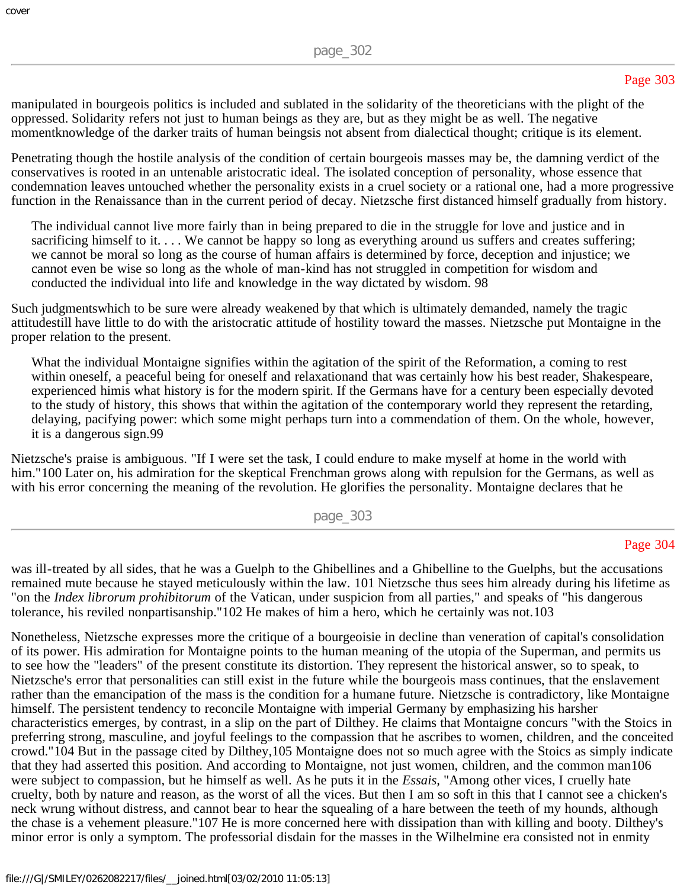manipulated in bourgeois politics is included and sublated in the solidarity of the theoreticians with the plight of the oppressed. Solidarity refers not just to human beings as they are, but as they might be as well. The negative momentknowledge of the darker traits of human beingsis not absent from dialectical thought; critique is its element.

Penetrating though the hostile analysis of the condition of certain bourgeois masses may be, the damning verdict of the conservatives is rooted in an untenable aristocratic ideal. The isolated conception of personality, whose essence that condemnation leaves untouched whether the personality exists in a cruel society or a rational one, had a more progressive function in the Renaissance than in the current period of decay. Nietzsche first distanced himself gradually from history.

The individual cannot live more fairly than in being prepared to die in the struggle for love and justice and in sacrificing himself to it. . . . We cannot be happy so long as everything around us suffers and creates suffering; we cannot be moral so long as the course of human affairs is determined by force, deception and injustice; we cannot even be wise so long as the whole of man-kind has not struggled in competition for wisdom and conducted the individual into life and knowledge in the way dictated by wisdom. 98

Such judgmentswhich to be sure were already weakened by that which is ultimately demanded, namely the tragic attitudestill have little to do with the aristocratic attitude of hostility toward the masses. Nietzsche put Montaigne in the proper relation to the present.

What the individual Montaigne signifies within the agitation of the spirit of the Reformation, a coming to rest within oneself, a peaceful being for oneself and relaxationand that was certainly how his best reader, Shakespeare, experienced himis what history is for the modern spirit. If the Germans have for a century been especially devoted to the study of history, this shows that within the agitation of the contemporary world they represent the retarding, delaying, pacifying power: which some might perhaps turn into a commendation of them. On the whole, however, it is a dangerous sign.99

Nietzsche's praise is ambiguous. "If I were set the task, I could endure to make myself at home in the world with him." 100 Later on, his admiration for the skeptical Frenchman grows along with repulsion for the Germans, as well as with his error concerning the meaning of the revolution. He glorifies the personality. Montaigne declares that he

page\_303

### Page 304

was ill-treated by all sides, that he was a Guelph to the Ghibellines and a Ghibelline to the Guelphs, but the accusations remained mute because he stayed meticulously within the law. 101 Nietzsche thus sees him already during his lifetime as "on the *Index librorum prohibitorum* of the Vatican, under suspicion from all parties," and speaks of "his dangerous tolerance, his reviled nonpartisanship."102 He makes of him a hero, which he certainly was not.103

Nonetheless, Nietzsche expresses more the critique of a bourgeoisie in decline than veneration of capital's consolidation of its power. His admiration for Montaigne points to the human meaning of the utopia of the Superman, and permits us to see how the "leaders" of the present constitute its distortion. They represent the historical answer, so to speak, to Nietzsche's error that personalities can still exist in the future while the bourgeois mass continues, that the enslavement rather than the emancipation of the mass is the condition for a humane future. Nietzsche is contradictory, like Montaigne himself. The persistent tendency to reconcile Montaigne with imperial Germany by emphasizing his harsher characteristics emerges, by contrast, in a slip on the part of Dilthey. He claims that Montaigne concurs "with the Stoics in preferring strong, masculine, and joyful feelings to the compassion that he ascribes to women, children, and the conceited crowd."104 But in the passage cited by Dilthey,105 Montaigne does not so much agree with the Stoics as simply indicate that they had asserted this position. And according to Montaigne, not just women, children, and the common man106 were subject to compassion, but he himself as well. As he puts it in the *Essais,* "Among other vices, I cruelly hate cruelty, both by nature and reason, as the worst of all the vices. But then I am so soft in this that I cannot see a chicken's neck wrung without distress, and cannot bear to hear the squealing of a hare between the teeth of my hounds, although the chase is a vehement pleasure."107 He is more concerned here with dissipation than with killing and booty. Dilthey's minor error is only a symptom. The professorial disdain for the masses in the Wilhelmine era consisted not in enmity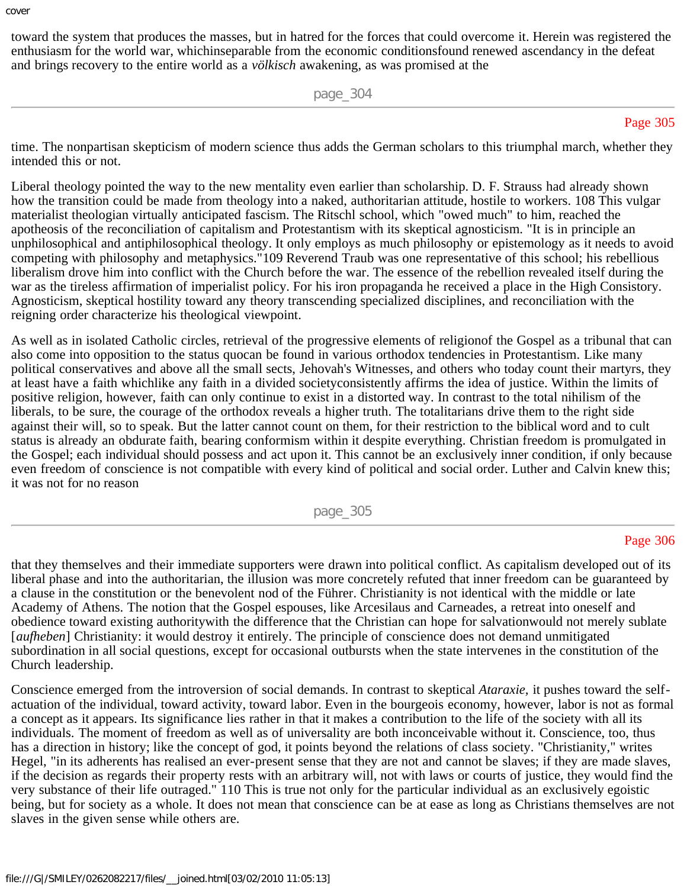toward the system that produces the masses, but in hatred for the forces that could overcome it. Herein was registered the enthusiasm for the world war, whichinseparable from the economic conditionsfound renewed ascendancy in the defeat and brings recovery to the entire world as a *völkisch* awakening, as was promised at the

page\_304

### Page 305

time. The nonpartisan skepticism of modern science thus adds the German scholars to this triumphal march, whether they intended this or not.

Liberal theology pointed the way to the new mentality even earlier than scholarship. D. F. Strauss had already shown how the transition could be made from theology into a naked, authoritarian attitude, hostile to workers. 108 This vulgar materialist theologian virtually anticipated fascism. The Ritschl school, which "owed much" to him, reached the apotheosis of the reconciliation of capitalism and Protestantism with its skeptical agnosticism. "It is in principle an unphilosophical and antiphilosophical theology. It only employs as much philosophy or epistemology as it needs to avoid competing with philosophy and metaphysics."109 Reverend Traub was one representative of this school; his rebellious liberalism drove him into conflict with the Church before the war. The essence of the rebellion revealed itself during the war as the tireless affirmation of imperialist policy. For his iron propaganda he received a place in the High Consistory. Agnosticism, skeptical hostility toward any theory transcending specialized disciplines, and reconciliation with the reigning order characterize his theological viewpoint.

As well as in isolated Catholic circles, retrieval of the progressive elements of religionof the Gospel as a tribunal that can also come into opposition to the status quocan be found in various orthodox tendencies in Protestantism. Like many political conservatives and above all the small sects, Jehovah's Witnesses, and others who today count their martyrs, they at least have a faith whichlike any faith in a divided societyconsistently affirms the idea of justice. Within the limits of positive religion, however, faith can only continue to exist in a distorted way. In contrast to the total nihilism of the liberals, to be sure, the courage of the orthodox reveals a higher truth. The totalitarians drive them to the right side against their will, so to speak. But the latter cannot count on them, for their restriction to the biblical word and to cult status is already an obdurate faith, bearing conformism within it despite everything. Christian freedom is promulgated in the Gospel; each individual should possess and act upon it. This cannot be an exclusively inner condition, if only because even freedom of conscience is not compatible with every kind of political and social order. Luther and Calvin knew this; it was not for no reason

page\_305

## Page 306

that they themselves and their immediate supporters were drawn into political conflict. As capitalism developed out of its liberal phase and into the authoritarian, the illusion was more concretely refuted that inner freedom can be guaranteed by a clause in the constitution or the benevolent nod of the Führer. Christianity is not identical with the middle or late Academy of Athens. The notion that the Gospel espouses, like Arcesilaus and Carneades, a retreat into oneself and obedience toward existing authoritywith the difference that the Christian can hope for salvationwould not merely sublate [*aufheben*] Christianity: it would destroy it entirely. The principle of conscience does not demand unmitigated subordination in all social questions, except for occasional outbursts when the state intervenes in the constitution of the Church leadership.

Conscience emerged from the introversion of social demands. In contrast to skeptical *Ataraxie,* it pushes toward the selfactuation of the individual, toward activity, toward labor. Even in the bourgeois economy, however, labor is not as formal a concept as it appears. Its significance lies rather in that it makes a contribution to the life of the society with all its individuals. The moment of freedom as well as of universality are both inconceivable without it. Conscience, too, thus has a direction in history; like the concept of god, it points beyond the relations of class society. "Christianity," writes Hegel, "in its adherents has realised an ever-present sense that they are not and cannot be slaves; if they are made slaves, if the decision as regards their property rests with an arbitrary will, not with laws or courts of justice, they would find the very substance of their life outraged." 110 This is true not only for the particular individual as an exclusively egoistic being, but for society as a whole. It does not mean that conscience can be at ease as long as Christians themselves are not slaves in the given sense while others are.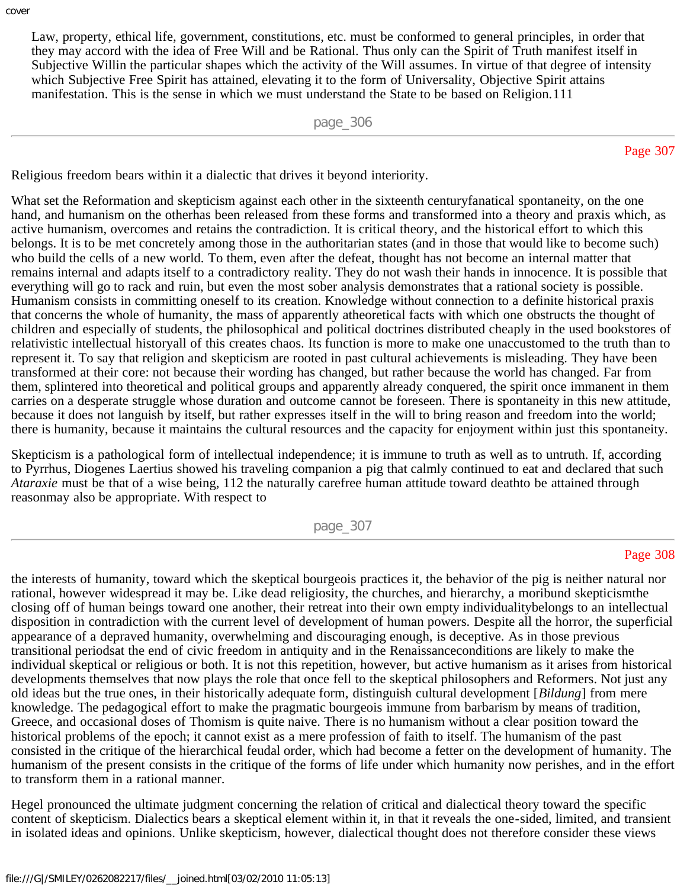Law, property, ethical life, government, constitutions, etc. must be conformed to general principles, in order that they may accord with the idea of Free Will and be Rational. Thus only can the Spirit of Truth manifest itself in Subjective Willin the particular shapes which the activity of the Will assumes. In virtue of that degree of intensity which Subjective Free Spirit has attained, elevating it to the form of Universality, Objective Spirit attains manifestation. This is the sense in which we must understand the State to be based on Religion.111

page\_306

Page 307

Religious freedom bears within it a dialectic that drives it beyond interiority.

What set the Reformation and skepticism against each other in the sixteenth centuryfanatical spontaneity, on the one hand, and humanism on the otherhas been released from these forms and transformed into a theory and praxis which, as active humanism, overcomes and retains the contradiction. It is critical theory, and the historical effort to which this belongs. It is to be met concretely among those in the authoritarian states (and in those that would like to become such) who build the cells of a new world. To them, even after the defeat, thought has not become an internal matter that remains internal and adapts itself to a contradictory reality. They do not wash their hands in innocence. It is possible that everything will go to rack and ruin, but even the most sober analysis demonstrates that a rational society is possible. Humanism consists in committing oneself to its creation. Knowledge without connection to a definite historical praxis that concerns the whole of humanity, the mass of apparently atheoretical facts with which one obstructs the thought of children and especially of students, the philosophical and political doctrines distributed cheaply in the used bookstores of relativistic intellectual historyall of this creates chaos. Its function is more to make one unaccustomed to the truth than to represent it. To say that religion and skepticism are rooted in past cultural achievements is misleading. They have been transformed at their core: not because their wording has changed, but rather because the world has changed. Far from them, splintered into theoretical and political groups and apparently already conquered, the spirit once immanent in them carries on a desperate struggle whose duration and outcome cannot be foreseen. There is spontaneity in this new attitude, because it does not languish by itself, but rather expresses itself in the will to bring reason and freedom into the world; there is humanity, because it maintains the cultural resources and the capacity for enjoyment within just this spontaneity.

Skepticism is a pathological form of intellectual independence; it is immune to truth as well as to untruth. If, according to Pyrrhus, Diogenes Laertius showed his traveling companion a pig that calmly continued to eat and declared that such *Ataraxie* must be that of a wise being, 112 the naturally carefree human attitude toward deathto be attained through reasonmay also be appropriate. With respect to

page\_307

## Page 308

the interests of humanity, toward which the skeptical bourgeois practices it, the behavior of the pig is neither natural nor rational, however widespread it may be. Like dead religiosity, the churches, and hierarchy, a moribund skepticismthe closing off of human beings toward one another, their retreat into their own empty individualitybelongs to an intellectual disposition in contradiction with the current level of development of human powers. Despite all the horror, the superficial appearance of a depraved humanity, overwhelming and discouraging enough, is deceptive. As in those previous transitional periodsat the end of civic freedom in antiquity and in the Renaissanceconditions are likely to make the individual skeptical or religious or both. It is not this repetition, however, but active humanism as it arises from historical developments themselves that now plays the role that once fell to the skeptical philosophers and Reformers. Not just any old ideas but the true ones, in their historically adequate form, distinguish cultural development [*Bildung*] from mere knowledge. The pedagogical effort to make the pragmatic bourgeois immune from barbarism by means of tradition, Greece, and occasional doses of Thomism is quite naive. There is no humanism without a clear position toward the historical problems of the epoch; it cannot exist as a mere profession of faith to itself. The humanism of the past consisted in the critique of the hierarchical feudal order, which had become a fetter on the development of humanity. The humanism of the present consists in the critique of the forms of life under which humanity now perishes, and in the effort to transform them in a rational manner.

Hegel pronounced the ultimate judgment concerning the relation of critical and dialectical theory toward the specific content of skepticism. Dialectics bears a skeptical element within it, in that it reveals the one-sided, limited, and transient in isolated ideas and opinions. Unlike skepticism, however, dialectical thought does not therefore consider these views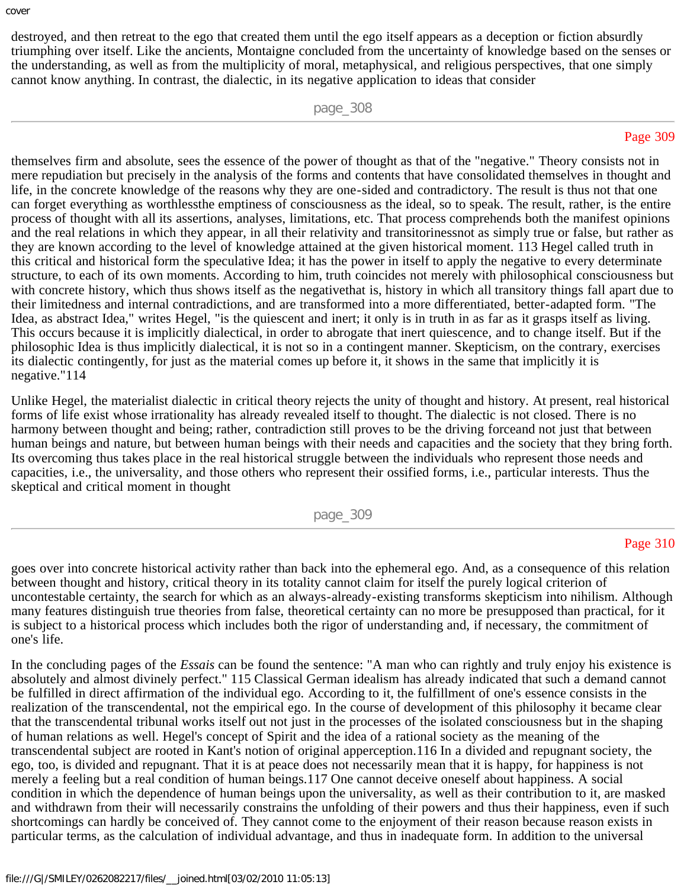destroyed, and then retreat to the ego that created them until the ego itself appears as a deception or fiction absurdly triumphing over itself. Like the ancients, Montaigne concluded from the uncertainty of knowledge based on the senses or the understanding, as well as from the multiplicity of moral, metaphysical, and religious perspectives, that one simply cannot know anything. In contrast, the dialectic, in its negative application to ideas that consider

#### Page 309

themselves firm and absolute, sees the essence of the power of thought as that of the "negative." Theory consists not in mere repudiation but precisely in the analysis of the forms and contents that have consolidated themselves in thought and life, in the concrete knowledge of the reasons why they are one-sided and contradictory. The result is thus not that one can forget everything as worthlessthe emptiness of consciousness as the ideal, so to speak. The result, rather, is the entire process of thought with all its assertions, analyses, limitations, etc. That process comprehends both the manifest opinions and the real relations in which they appear, in all their relativity and transitorinessnot as simply true or false, but rather as they are known according to the level of knowledge attained at the given historical moment. 113 Hegel called truth in this critical and historical form the speculative Idea; it has the power in itself to apply the negative to every determinate structure, to each of its own moments. According to him, truth coincides not merely with philosophical consciousness but with concrete history, which thus shows itself as the negativethat is, history in which all transitory things fall apart due to their limitedness and internal contradictions, and are transformed into a more differentiated, better-adapted form. "The Idea, as abstract Idea," writes Hegel, "is the quiescent and inert; it only is in truth in as far as it grasps itself as living. This occurs because it is implicitly dialectical, in order to abrogate that inert quiescence, and to change itself. But if the philosophic Idea is thus implicitly dialectical, it is not so in a contingent manner. Skepticism, on the contrary, exercises its dialectic contingently, for just as the material comes up before it, it shows in the same that implicitly it is negative."114

Unlike Hegel, the materialist dialectic in critical theory rejects the unity of thought and history. At present, real historical forms of life exist whose irrationality has already revealed itself to thought. The dialectic is not closed. There is no harmony between thought and being; rather, contradiction still proves to be the driving forceand not just that between human beings and nature, but between human beings with their needs and capacities and the society that they bring forth. Its overcoming thus takes place in the real historical struggle between the individuals who represent those needs and capacities, i.e., the universality, and those others who represent their ossified forms, i.e., particular interests. Thus the skeptical and critical moment in thought

page\_309

### Page 310

goes over into concrete historical activity rather than back into the ephemeral ego. And, as a consequence of this relation between thought and history, critical theory in its totality cannot claim for itself the purely logical criterion of uncontestable certainty, the search for which as an always-already-existing transforms skepticism into nihilism. Although many features distinguish true theories from false, theoretical certainty can no more be presupposed than practical, for it is subject to a historical process which includes both the rigor of understanding and, if necessary, the commitment of one's life.

In the concluding pages of the *Essais* can be found the sentence: "A man who can rightly and truly enjoy his existence is absolutely and almost divinely perfect." 115 Classical German idealism has already indicated that such a demand cannot be fulfilled in direct affirmation of the individual ego. According to it, the fulfillment of one's essence consists in the realization of the transcendental, not the empirical ego. In the course of development of this philosophy it became clear that the transcendental tribunal works itself out not just in the processes of the isolated consciousness but in the shaping of human relations as well. Hegel's concept of Spirit and the idea of a rational society as the meaning of the transcendental subject are rooted in Kant's notion of original apperception.116 In a divided and repugnant society, the ego, too, is divided and repugnant. That it is at peace does not necessarily mean that it is happy, for happiness is not merely a feeling but a real condition of human beings.117 One cannot deceive oneself about happiness. A social condition in which the dependence of human beings upon the universality, as well as their contribution to it, are masked and withdrawn from their will necessarily constrains the unfolding of their powers and thus their happiness, even if such shortcomings can hardly be conceived of. They cannot come to the enjoyment of their reason because reason exists in particular terms, as the calculation of individual advantage, and thus in inadequate form. In addition to the universal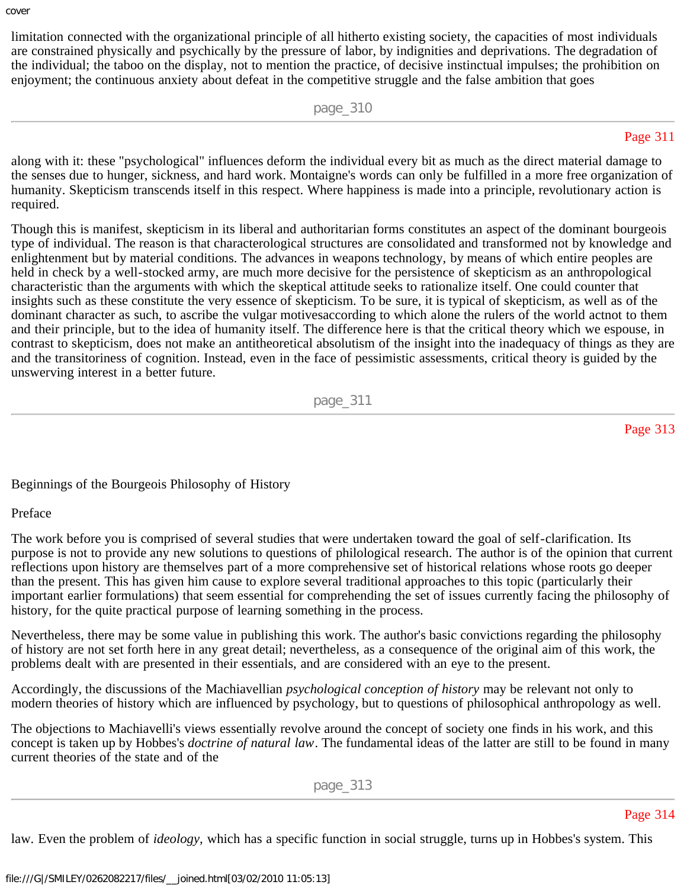limitation connected with the organizational principle of all hitherto existing society, the capacities of most individuals are constrained physically and psychically by the pressure of labor, by indignities and deprivations. The degradation of the individual; the taboo on the display, not to mention the practice, of decisive instinctual impulses; the prohibition on enjoyment; the continuous anxiety about defeat in the competitive struggle and the false ambition that goes

page\_310

## Page 311

along with it: these "psychological" influences deform the individual every bit as much as the direct material damage to the senses due to hunger, sickness, and hard work. Montaigne's words can only be fulfilled in a more free organization of humanity. Skepticism transcends itself in this respect. Where happiness is made into a principle, revolutionary action is required.

Though this is manifest, skepticism in its liberal and authoritarian forms constitutes an aspect of the dominant bourgeois type of individual. The reason is that characterological structures are consolidated and transformed not by knowledge and enlightenment but by material conditions. The advances in weapons technology, by means of which entire peoples are held in check by a well-stocked army, are much more decisive for the persistence of skepticism as an anthropological characteristic than the arguments with which the skeptical attitude seeks to rationalize itself. One could counter that insights such as these constitute the very essence of skepticism. To be sure, it is typical of skepticism, as well as of the dominant character as such, to ascribe the vulgar motivesaccording to which alone the rulers of the world actnot to them and their principle, but to the idea of humanity itself. The difference here is that the critical theory which we espouse, in contrast to skepticism, does not make an antitheoretical absolutism of the insight into the inadequacy of things as they are and the transitoriness of cognition. Instead, even in the face of pessimistic assessments, critical theory is guided by the unswerving interest in a better future.

page\_311

Page 313

Beginnings of the Bourgeois Philosophy of History

## Preface

The work before you is comprised of several studies that were undertaken toward the goal of self-clarification. Its purpose is not to provide any new solutions to questions of philological research. The author is of the opinion that current reflections upon history are themselves part of a more comprehensive set of historical relations whose roots go deeper than the present. This has given him cause to explore several traditional approaches to this topic (particularly their important earlier formulations) that seem essential for comprehending the set of issues currently facing the philosophy of history, for the quite practical purpose of learning something in the process.

Nevertheless, there may be some value in publishing this work. The author's basic convictions regarding the philosophy of history are not set forth here in any great detail; nevertheless, as a consequence of the original aim of this work, the problems dealt with are presented in their essentials, and are considered with an eye to the present.

Accordingly, the discussions of the Machiavellian *psychological conception of history* may be relevant not only to modern theories of history which are influenced by psychology, but to questions of philosophical anthropology as well.

The objections to Machiavelli's views essentially revolve around the concept of society one finds in his work, and this concept is taken up by Hobbes's *doctrine of natural law*. The fundamental ideas of the latter are still to be found in many current theories of the state and of the

page\_313

law. Even the problem of *ideology,* which has a specific function in social struggle, turns up in Hobbes's system. This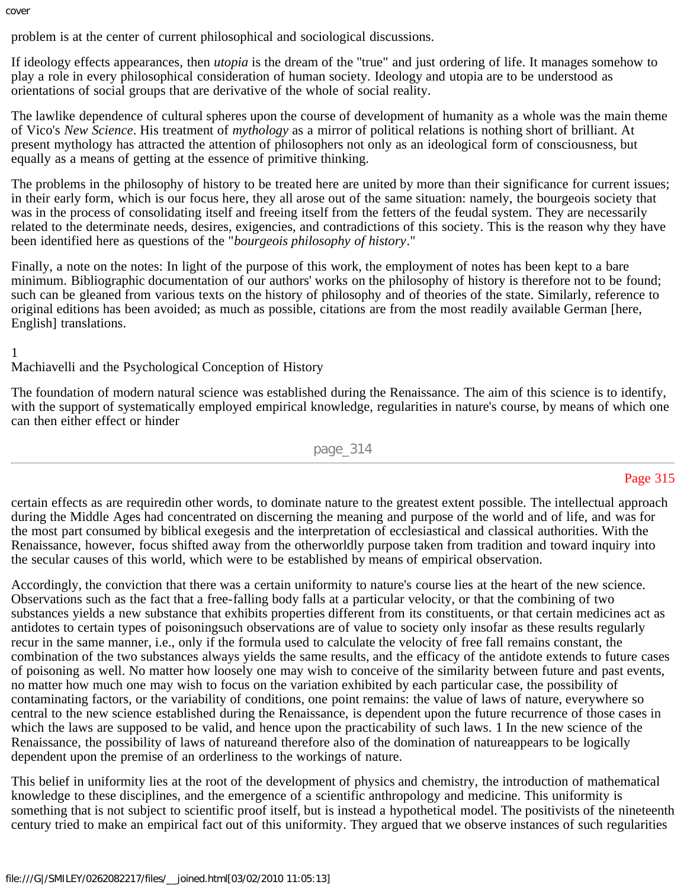problem is at the center of current philosophical and sociological discussions.

If ideology effects appearances, then *utopia* is the dream of the ''true" and just ordering of life. It manages somehow to play a role in every philosophical consideration of human society. Ideology and utopia are to be understood as orientations of social groups that are derivative of the whole of social reality.

The lawlike dependence of cultural spheres upon the course of development of humanity as a whole was the main theme of Vico's *New Science*. His treatment of *mythology* as a mirror of political relations is nothing short of brilliant. At present mythology has attracted the attention of philosophers not only as an ideological form of consciousness, but equally as a means of getting at the essence of primitive thinking.

The problems in the philosophy of history to be treated here are united by more than their significance for current issues; in their early form, which is our focus here, they all arose out of the same situation: namely, the bourgeois society that was in the process of consolidating itself and freeing itself from the fetters of the feudal system. They are necessarily related to the determinate needs, desires, exigencies, and contradictions of this society. This is the reason why they have been identified here as questions of the "*bourgeois philosophy of history*."

Finally, a note on the notes: In light of the purpose of this work, the employment of notes has been kept to a bare minimum. Bibliographic documentation of our authors' works on the philosophy of history is therefore not to be found; such can be gleaned from various texts on the history of philosophy and of theories of the state. Similarly, reference to original editions has been avoided; as much as possible, citations are from the most readily available German [here, English] translations.

# 1

Machiavelli and the Psychological Conception of History

The foundation of modern natural science was established during the Renaissance. The aim of this science is to identify, with the support of systematically employed empirical knowledge, regularities in nature's course, by means of which one can then either effect or hinder

page\_314

# Page 315

certain effects as are requiredin other words, to dominate nature to the greatest extent possible. The intellectual approach during the Middle Ages had concentrated on discerning the meaning and purpose of the world and of life, and was for the most part consumed by biblical exegesis and the interpretation of ecclesiastical and classical authorities. With the Renaissance, however, focus shifted away from the otherworldly purpose taken from tradition and toward inquiry into the secular causes of this world, which were to be established by means of empirical observation.

Accordingly, the conviction that there was a certain uniformity to nature's course lies at the heart of the new science. Observations such as the fact that a free-falling body falls at a particular velocity, or that the combining of two substances yields a new substance that exhibits properties different from its constituents, or that certain medicines act as antidotes to certain types of poisoningsuch observations are of value to society only insofar as these results regularly recur in the same manner, i.e., only if the formula used to calculate the velocity of free fall remains constant, the combination of the two substances always yields the same results, and the efficacy of the antidote extends to future cases of poisoning as well. No matter how loosely one may wish to conceive of the similarity between future and past events, no matter how much one may wish to focus on the variation exhibited by each particular case, the possibility of contaminating factors, or the variability of conditions, one point remains: the value of laws of nature, everywhere so central to the new science established during the Renaissance, is dependent upon the future recurrence of those cases in which the laws are supposed to be valid, and hence upon the practicability of such laws. 1 In the new science of the Renaissance, the possibility of laws of natureand therefore also of the domination of natureappears to be logically dependent upon the premise of an orderliness to the workings of nature.

This belief in uniformity lies at the root of the development of physics and chemistry, the introduction of mathematical knowledge to these disciplines, and the emergence of a scientific anthropology and medicine. This uniformity is something that is not subject to scientific proof itself, but is instead a hypothetical model. The positivists of the nineteenth century tried to make an empirical fact out of this uniformity. They argued that we observe instances of such regularities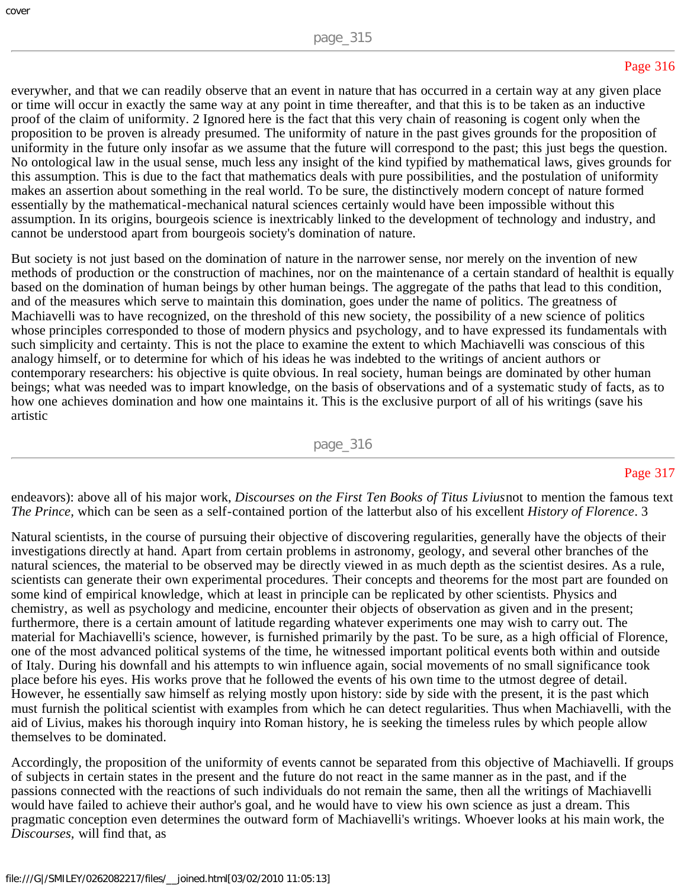everywher, and that we can readily observe that an event in nature that has occurred in a certain way at any given place or time will occur in exactly the same way at any point in time thereafter, and that this is to be taken as an inductive proof of the claim of uniformity. 2 Ignored here is the fact that this very chain of reasoning is cogent only when the proposition to be proven is already presumed. The uniformity of nature in the past gives grounds for the proposition of uniformity in the future only insofar as we assume that the future will correspond to the past; this just begs the question. No ontological law in the usual sense, much less any insight of the kind typified by mathematical laws, gives grounds for this assumption. This is due to the fact that mathematics deals with pure possibilities, and the postulation of uniformity makes an assertion about something in the real world. To be sure, the distinctively modern concept of nature formed essentially by the mathematical-mechanical natural sciences certainly would have been impossible without this assumption. In its origins, bourgeois science is inextricably linked to the development of technology and industry, and cannot be understood apart from bourgeois society's domination of nature.

But society is not just based on the domination of nature in the narrower sense, nor merely on the invention of new methods of production or the construction of machines, nor on the maintenance of a certain standard of healthit is equally based on the domination of human beings by other human beings. The aggregate of the paths that lead to this condition, and of the measures which serve to maintain this domination, goes under the name of politics. The greatness of Machiavelli was to have recognized, on the threshold of this new society, the possibility of a new science of politics whose principles corresponded to those of modern physics and psychology, and to have expressed its fundamentals with such simplicity and certainty. This is not the place to examine the extent to which Machiavelli was conscious of this analogy himself, or to determine for which of his ideas he was indebted to the writings of ancient authors or contemporary researchers: his objective is quite obvious. In real society, human beings are dominated by other human beings; what was needed was to impart knowledge, on the basis of observations and of a systematic study of facts, as to how one achieves domination and how one maintains it. This is the exclusive purport of all of his writings (save his artistic

## Page 317

endeavors): above all of his major work, *Discourses on the First Ten Books of Titus Livius*not to mention the famous text *The Prince,* which can be seen as a self-contained portion of the latterbut also of his excellent *History of Florence*. 3

Natural scientists, in the course of pursuing their objective of discovering regularities, generally have the objects of their investigations directly at hand. Apart from certain problems in astronomy, geology, and several other branches of the natural sciences, the material to be observed may be directly viewed in as much depth as the scientist desires. As a rule, scientists can generate their own experimental procedures. Their concepts and theorems for the most part are founded on some kind of empirical knowledge, which at least in principle can be replicated by other scientists. Physics and chemistry, as well as psychology and medicine, encounter their objects of observation as given and in the present; furthermore, there is a certain amount of latitude regarding whatever experiments one may wish to carry out. The material for Machiavelli's science, however, is furnished primarily by the past. To be sure, as a high official of Florence, one of the most advanced political systems of the time, he witnessed important political events both within and outside of Italy. During his downfall and his attempts to win influence again, social movements of no small significance took place before his eyes. His works prove that he followed the events of his own time to the utmost degree of detail. However, he essentially saw himself as relying mostly upon history: side by side with the present, it is the past which must furnish the political scientist with examples from which he can detect regularities. Thus when Machiavelli, with the aid of Livius, makes his thorough inquiry into Roman history, he is seeking the timeless rules by which people allow themselves to be dominated.

Accordingly, the proposition of the uniformity of events cannot be separated from this objective of Machiavelli. If groups of subjects in certain states in the present and the future do not react in the same manner as in the past, and if the passions connected with the reactions of such individuals do not remain the same, then all the writings of Machiavelli would have failed to achieve their author's goal, and he would have to view his own science as just a dream. This pragmatic conception even determines the outward form of Machiavelli's writings. Whoever looks at his main work, the *Discourses,* will find that, as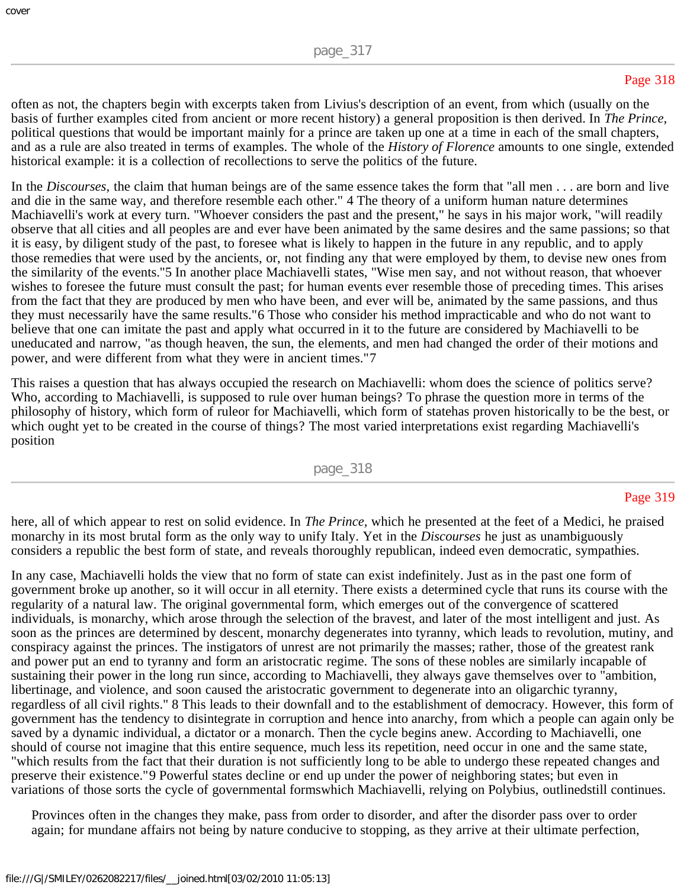## Page 318

often as not, the chapters begin with excerpts taken from Livius's description of an event, from which (usually on the basis of further examples cited from ancient or more recent history) a general proposition is then derived. In *The Prince,* political questions that would be important mainly for a prince are taken up one at a time in each of the small chapters, and as a rule are also treated in terms of examples. The whole of the *History of Florence* amounts to one single, extended historical example: it is a collection of recollections to serve the politics of the future.

In the *Discourses,* the claim that human beings are of the same essence takes the form that "all men . . . are born and live and die in the same way, and therefore resemble each other." 4 The theory of a uniform human nature determines Machiavelli's work at every turn. "Whoever considers the past and the present," he says in his major work, "will readily observe that all cities and all peoples are and ever have been animated by the same desires and the same passions; so that it is easy, by diligent study of the past, to foresee what is likely to happen in the future in any republic, and to apply those remedies that were used by the ancients, or, not finding any that were employed by them, to devise new ones from the similarity of the events.''5 In another place Machiavelli states, "Wise men say, and not without reason, that whoever wishes to foresee the future must consult the past; for human events ever resemble those of preceding times. This arises from the fact that they are produced by men who have been, and ever will be, animated by the same passions, and thus they must necessarily have the same results."6 Those who consider his method impracticable and who do not want to believe that one can imitate the past and apply what occurred in it to the future are considered by Machiavelli to be uneducated and narrow, "as though heaven, the sun, the elements, and men had changed the order of their motions and power, and were different from what they were in ancient times."7

This raises a question that has always occupied the research on Machiavelli: whom does the science of politics serve? Who, according to Machiavelli, is supposed to rule over human beings? To phrase the question more in terms of the philosophy of history, which form of ruleor for Machiavelli, which form of statehas proven historically to be the best, or which ought yet to be created in the course of things? The most varied interpretations exist regarding Machiavelli's position

### page\_318

## Page 319

here, all of which appear to rest on solid evidence. In *The Prince,* which he presented at the feet of a Medici, he praised monarchy in its most brutal form as the only way to unify Italy. Yet in the *Discourses* he just as unambiguously considers a republic the best form of state, and reveals thoroughly republican, indeed even democratic, sympathies.

In any case, Machiavelli holds the view that no form of state can exist indefinitely. Just as in the past one form of government broke up another, so it will occur in all eternity. There exists a determined cycle that runs its course with the regularity of a natural law. The original governmental form, which emerges out of the convergence of scattered individuals, is monarchy, which arose through the selection of the bravest, and later of the most intelligent and just. As soon as the princes are determined by descent, monarchy degenerates into tyranny, which leads to revolution, mutiny, and conspiracy against the princes. The instigators of unrest are not primarily the masses; rather, those of the greatest rank and power put an end to tyranny and form an aristocratic regime. The sons of these nobles are similarly incapable of sustaining their power in the long run since, according to Machiavelli, they always gave themselves over to "ambition, libertinage, and violence, and soon caused the aristocratic government to degenerate into an oligarchic tyranny, regardless of all civil rights." 8 This leads to their downfall and to the establishment of democracy. However, this form of government has the tendency to disintegrate in corruption and hence into anarchy, from which a people can again only be saved by a dynamic individual, a dictator or a monarch. Then the cycle begins anew. According to Machiavelli, one should of course not imagine that this entire sequence, much less its repetition, need occur in one and the same state, "which results from the fact that their duration is not sufficiently long to be able to undergo these repeated changes and preserve their existence."9 Powerful states decline or end up under the power of neighboring states; but even in variations of those sorts the cycle of governmental formswhich Machiavelli, relying on Polybius, outlinedstill continues.

Provinces often in the changes they make, pass from order to disorder, and after the disorder pass over to order again; for mundane affairs not being by nature conducive to stopping, as they arrive at their ultimate perfection,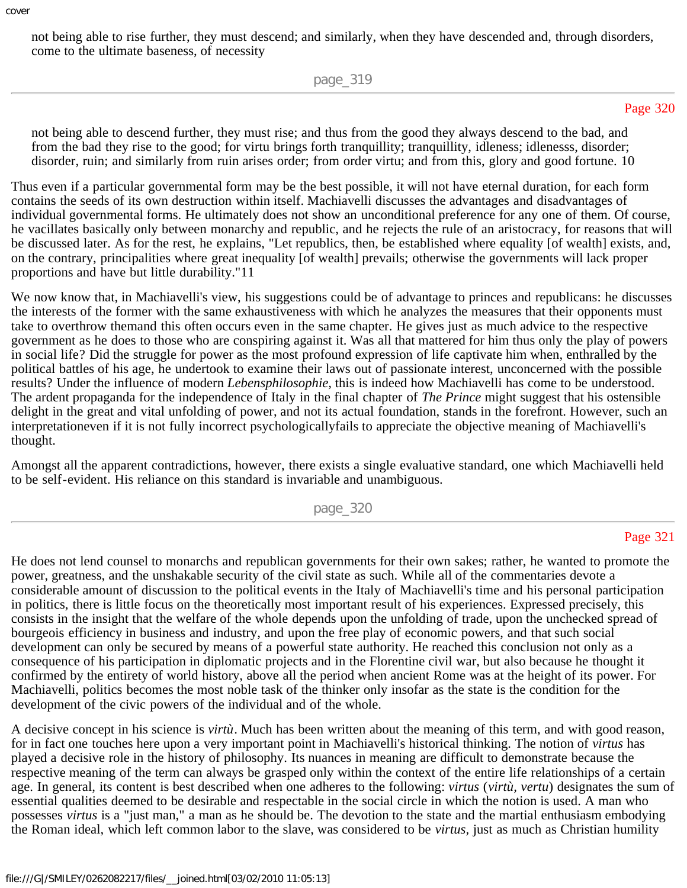not being able to rise further, they must descend; and similarly, when they have descended and, through disorders, come to the ultimate baseness, of necessity

page\_319

### Page 320

not being able to descend further, they must rise; and thus from the good they always descend to the bad, and from the bad they rise to the good; for virtu brings forth tranquillity; tranquillity, idleness; idlenesss, disorder; disorder, ruin; and similarly from ruin arises order; from order virtu; and from this, glory and good fortune. 10

Thus even if a particular governmental form may be the best possible, it will not have eternal duration, for each form contains the seeds of its own destruction within itself. Machiavelli discusses the advantages and disadvantages of individual governmental forms. He ultimately does not show an unconditional preference for any one of them. Of course, he vacillates basically only between monarchy and republic, and he rejects the rule of an aristocracy, for reasons that will be discussed later. As for the rest, he explains, "Let republics, then, be established where equality [of wealth] exists, and, on the contrary, principalities where great inequality [of wealth] prevails; otherwise the governments will lack proper proportions and have but little durability."11

We now know that, in Machiavelli's view, his suggestions could be of advantage to princes and republicans: he discusses the interests of the former with the same exhaustiveness with which he analyzes the measures that their opponents must take to overthrow themand this often occurs even in the same chapter. He gives just as much advice to the respective government as he does to those who are conspiring against it. Was all that mattered for him thus only the play of powers in social life? Did the struggle for power as the most profound expression of life captivate him when, enthralled by the political battles of his age, he undertook to examine their laws out of passionate interest, unconcerned with the possible results? Under the influence of modern *Lebensphilosophie,* this is indeed how Machiavelli has come to be understood. The ardent propaganda for the independence of Italy in the final chapter of *The Prince* might suggest that his ostensible delight in the great and vital unfolding of power, and not its actual foundation, stands in the forefront. However, such an interpretationeven if it is not fully incorrect psychologicallyfails to appreciate the objective meaning of Machiavelli's thought.

Amongst all the apparent contradictions, however, there exists a single evaluative standard, one which Machiavelli held to be self-evident. His reliance on this standard is invariable and unambiguous.

page\_320

# Page 321

He does not lend counsel to monarchs and republican governments for their own sakes; rather, he wanted to promote the power, greatness, and the unshakable security of the civil state as such. While all of the commentaries devote a considerable amount of discussion to the political events in the Italy of Machiavelli's time and his personal participation in politics, there is little focus on the theoretically most important result of his experiences. Expressed precisely, this consists in the insight that the welfare of the whole depends upon the unfolding of trade, upon the unchecked spread of bourgeois efficiency in business and industry, and upon the free play of economic powers, and that such social development can only be secured by means of a powerful state authority. He reached this conclusion not only as a consequence of his participation in diplomatic projects and in the Florentine civil war, but also because he thought it confirmed by the entirety of world history, above all the period when ancient Rome was at the height of its power. For Machiavelli, politics becomes the most noble task of the thinker only insofar as the state is the condition for the development of the civic powers of the individual and of the whole.

A decisive concept in his science is *virtù*. Much has been written about the meaning of this term, and with good reason, for in fact one touches here upon a very important point in Machiavelli's historical thinking. The notion of *virtus* has played a decisive role in the history of philosophy. Its nuances in meaning are difficult to demonstrate because the respective meaning of the term can always be grasped only within the context of the entire life relationships of a certain age. In general, its content is best described when one adheres to the following: *virtus* (*virtù, vertu*) designates the sum of essential qualities deemed to be desirable and respectable in the social circle in which the notion is used. A man who possesses *virtus* is a "just man," a man as he should be. The devotion to the state and the martial enthusiasm embodying the Roman ideal, which left common labor to the slave, was considered to be *virtus,* just as much as Christian humility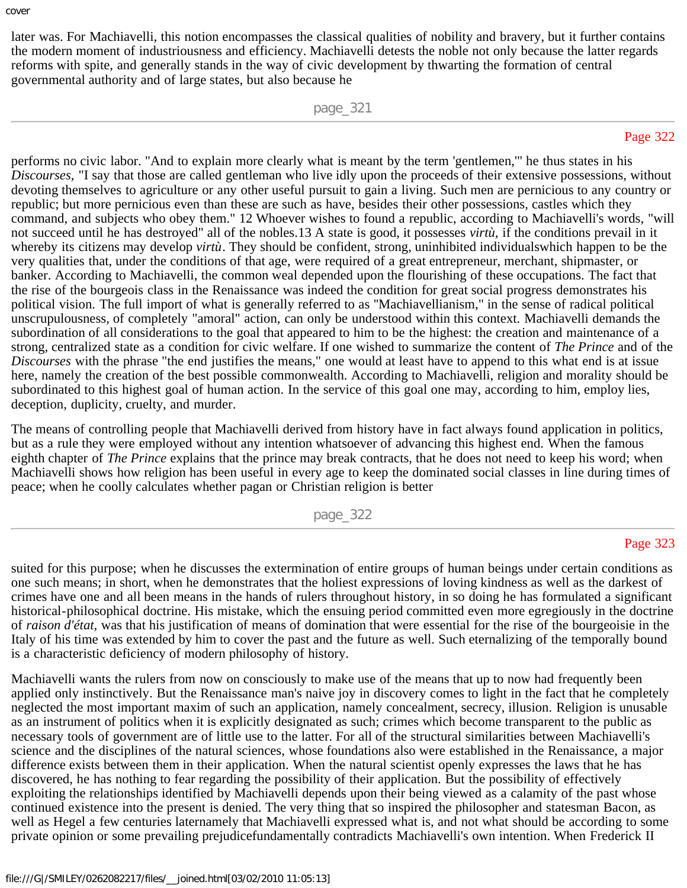later was. For Machiavelli, this notion encompasses the classical qualities of nobility and bravery, but it further contains the modern moment of industriousness and efficiency. Machiavelli detests the noble not only because the latter regards reforms with spite, and generally stands in the way of civic development by thwarting the formation of central governmental authority and of large states, but also because he

### Page 322

performs no civic labor. "And to explain more clearly what is meant by the term 'gentlemen,'" he thus states in his *Discourses,* "I say that those are called gentleman who live idly upon the proceeds of their extensive possessions, without devoting themselves to agriculture or any other useful pursuit to gain a living. Such men are pernicious to any country or republic; but more pernicious even than these are such as have, besides their other possessions, castles which they command, and subjects who obey them." 12 Whoever wishes to found a republic, according to Machiavelli's words, "will not succeed until he has destroyed" all of the nobles.13 A state is good, it possesses *virtù,* if the conditions prevail in it whereby its citizens may develop *virtù*. They should be confident, strong, uninhibited individualswhich happen to be the very qualities that, under the conditions of that age, were required of a great entrepreneur, merchant, shipmaster, or banker. According to Machiavelli, the common weal depended upon the flourishing of these occupations. The fact that the rise of the bourgeois class in the Renaissance was indeed the condition for great social progress demonstrates his political vision. The full import of what is generally referred to as ''Machiavellianism," in the sense of radical political unscrupulousness, of completely "amoral" action, can only be understood within this context. Machiavelli demands the subordination of all considerations to the goal that appeared to him to be the highest: the creation and maintenance of a strong, centralized state as a condition for civic welfare. If one wished to summarize the content of *The Prince* and of the *Discourses* with the phrase "the end justifies the means," one would at least have to append to this what end is at issue here, namely the creation of the best possible commonwealth. According to Machiavelli, religion and morality should be subordinated to this highest goal of human action. In the service of this goal one may, according to him, employ lies, deception, duplicity, cruelty, and murder.

The means of controlling people that Machiavelli derived from history have in fact always found application in politics, but as a rule they were employed without any intention whatsoever of advancing this highest end. When the famous eighth chapter of *The Prince* explains that the prince may break contracts, that he does not need to keep his word; when Machiavelli shows how religion has been useful in every age to keep the dominated social classes in line during times of peace; when he coolly calculates whether pagan or Christian religion is better

page\_322

## Page 323

suited for this purpose; when he discusses the extermination of entire groups of human beings under certain conditions as one such means; in short, when he demonstrates that the holiest expressions of loving kindness as well as the darkest of crimes have one and all been means in the hands of rulers throughout history, in so doing he has formulated a significant historical-philosophical doctrine. His mistake, which the ensuing period committed even more egregiously in the doctrine of *raison d'état,* was that his justification of means of domination that were essential for the rise of the bourgeoisie in the Italy of his time was extended by him to cover the past and the future as well. Such eternalizing of the temporally bound is a characteristic deficiency of modern philosophy of history.

Machiavelli wants the rulers from now on consciously to make use of the means that up to now had frequently been applied only instinctively. But the Renaissance man's naive joy in discovery comes to light in the fact that he completely neglected the most important maxim of such an application, namely concealment, secrecy, illusion. Religion is unusable as an instrument of politics when it is explicitly designated as such; crimes which become transparent to the public as necessary tools of government are of little use to the latter. For all of the structural similarities between Machiavelli's science and the disciplines of the natural sciences, whose foundations also were established in the Renaissance, a major difference exists between them in their application. When the natural scientist openly expresses the laws that he has discovered, he has nothing to fear regarding the possibility of their application. But the possibility of effectively exploiting the relationships identified by Machiavelli depends upon their being viewed as a calamity of the past whose continued existence into the present is denied. The very thing that so inspired the philosopher and statesman Bacon, as well as Hegel a few centuries laternamely that Machiavelli expressed what is, and not what should be according to some private opinion or some prevailing prejudicefundamentally contradicts Machiavelli's own intention. When Frederick II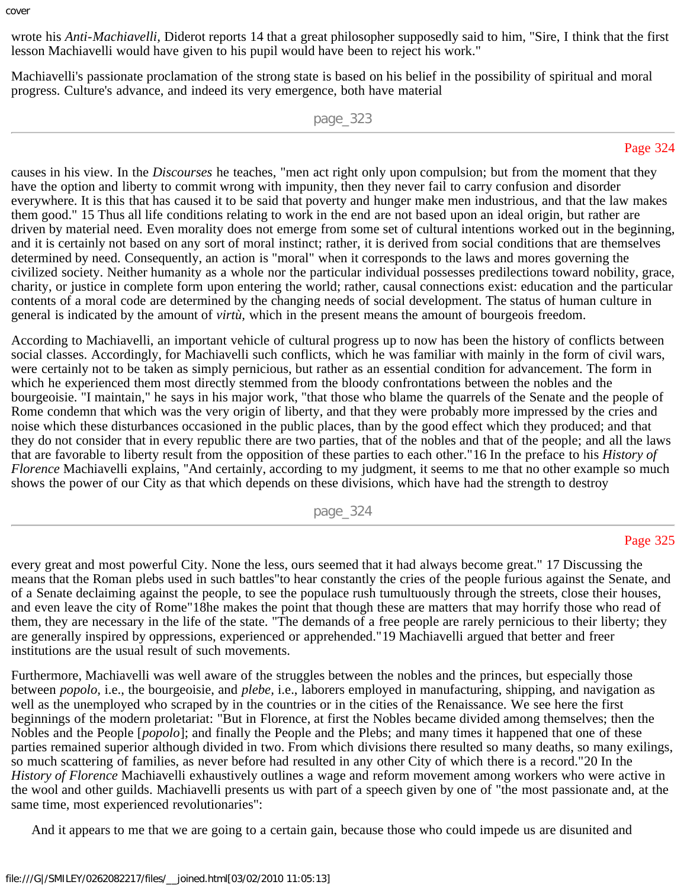wrote his *Anti-Machiavelli,* Diderot reports 14 that a great philosopher supposedly said to him, "Sire, I think that the first lesson Machiavelli would have given to his pupil would have been to reject his work."

Machiavelli's passionate proclamation of the strong state is based on his belief in the possibility of spiritual and moral progress. Culture's advance, and indeed its very emergence, both have material

### Page 324

causes in his view. In the *Discourses* he teaches, "men act right only upon compulsion; but from the moment that they have the option and liberty to commit wrong with impunity, then they never fail to carry confusion and disorder everywhere. It is this that has caused it to be said that poverty and hunger make men industrious, and that the law makes them good." 15 Thus all life conditions relating to work in the end are not based upon an ideal origin, but rather are driven by material need. Even morality does not emerge from some set of cultural intentions worked out in the beginning, and it is certainly not based on any sort of moral instinct; rather, it is derived from social conditions that are themselves determined by need. Consequently, an action is "moral" when it corresponds to the laws and mores governing the civilized society. Neither humanity as a whole nor the particular individual possesses predilections toward nobility, grace, charity, or justice in complete form upon entering the world; rather, causal connections exist: education and the particular contents of a moral code are determined by the changing needs of social development. The status of human culture in general is indicated by the amount of *virtù,* which in the present means the amount of bourgeois freedom.

According to Machiavelli, an important vehicle of cultural progress up to now has been the history of conflicts between social classes. Accordingly, for Machiavelli such conflicts, which he was familiar with mainly in the form of civil wars, were certainly not to be taken as simply pernicious, but rather as an essential condition for advancement. The form in which he experienced them most directly stemmed from the bloody confrontations between the nobles and the bourgeoisie. "I maintain," he says in his major work, "that those who blame the quarrels of the Senate and the people of Rome condemn that which was the very origin of liberty, and that they were probably more impressed by the cries and noise which these disturbances occasioned in the public places, than by the good effect which they produced; and that they do not consider that in every republic there are two parties, that of the nobles and that of the people; and all the laws that are favorable to liberty result from the opposition of these parties to each other."16 In the preface to his *History of Florence* Machiavelli explains, ''And certainly, according to my judgment, it seems to me that no other example so much shows the power of our City as that which depends on these divisions, which have had the strength to destroy

page\_324

### Page 325

every great and most powerful City. None the less, ours seemed that it had always become great." 17 Discussing the means that the Roman plebs used in such battles"to hear constantly the cries of the people furious against the Senate, and of a Senate declaiming against the people, to see the populace rush tumultuously through the streets, close their houses, and even leave the city of Rome"18he makes the point that though these are matters that may horrify those who read of them, they are necessary in the life of the state. "The demands of a free people are rarely pernicious to their liberty; they are generally inspired by oppressions, experienced or apprehended."19 Machiavelli argued that better and freer institutions are the usual result of such movements.

Furthermore, Machiavelli was well aware of the struggles between the nobles and the princes, but especially those between *popolo,* i.e., the bourgeoisie, and *plebe,* i.e., laborers employed in manufacturing, shipping, and navigation as well as the unemployed who scraped by in the countries or in the cities of the Renaissance. We see here the first beginnings of the modern proletariat: "But in Florence, at first the Nobles became divided among themselves; then the Nobles and the People [*popolo*]; and finally the People and the Plebs; and many times it happened that one of these parties remained superior although divided in two. From which divisions there resulted so many deaths, so many exilings, so much scattering of families, as never before had resulted in any other City of which there is a record."20 In the *History of Florence* Machiavelli exhaustively outlines a wage and reform movement among workers who were active in the wool and other guilds. Machiavelli presents us with part of a speech given by one of "the most passionate and, at the same time, most experienced revolutionaries":

And it appears to me that we are going to a certain gain, because those who could impede us are disunited and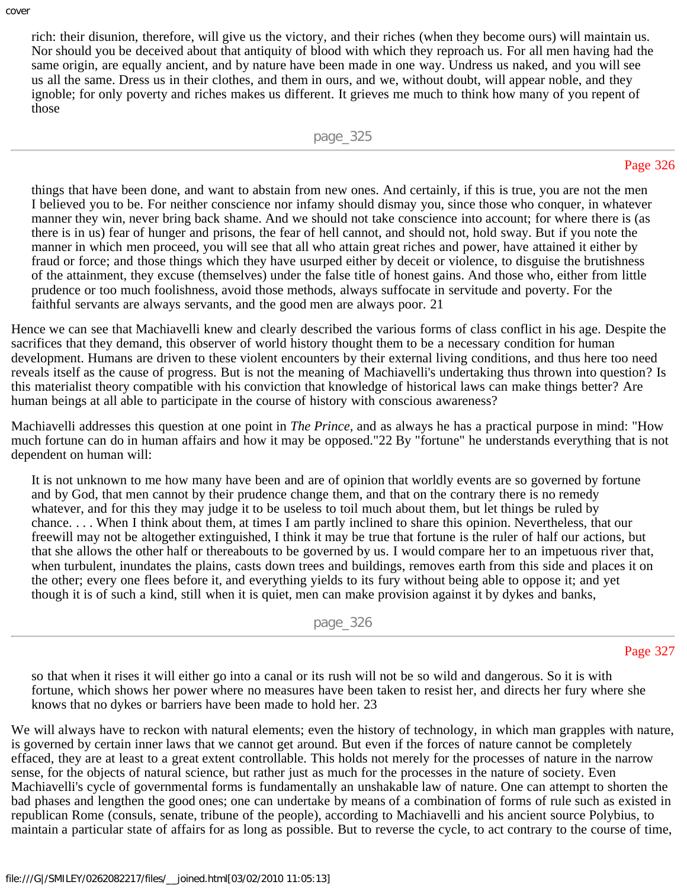rich: their disunion, therefore, will give us the victory, and their riches (when they become ours) will maintain us. Nor should you be deceived about that antiquity of blood with which they reproach us. For all men having had the same origin, are equally ancient, and by nature have been made in one way. Undress us naked, and you will see us all the same. Dress us in their clothes, and them in ours, and we, without doubt, will appear noble, and they ignoble; for only poverty and riches makes us different. It grieves me much to think how many of you repent of those

## Page 326

things that have been done, and want to abstain from new ones. And certainly, if this is true, you are not the men I believed you to be. For neither conscience nor infamy should dismay you, since those who conquer, in whatever manner they win, never bring back shame. And we should not take conscience into account; for where there is (as there is in us) fear of hunger and prisons, the fear of hell cannot, and should not, hold sway. But if you note the manner in which men proceed, you will see that all who attain great riches and power, have attained it either by fraud or force; and those things which they have usurped either by deceit or violence, to disguise the brutishness of the attainment, they excuse (themselves) under the false title of honest gains. And those who, either from little prudence or too much foolishness, avoid those methods, always suffocate in servitude and poverty. For the faithful servants are always servants, and the good men are always poor. 21

Hence we can see that Machiavelli knew and clearly described the various forms of class conflict in his age. Despite the sacrifices that they demand, this observer of world history thought them to be a necessary condition for human development. Humans are driven to these violent encounters by their external living conditions, and thus here too need reveals itself as the cause of progress. But is not the meaning of Machiavelli's undertaking thus thrown into question? Is this materialist theory compatible with his conviction that knowledge of historical laws can make things better? Are human beings at all able to participate in the course of history with conscious awareness?

Machiavelli addresses this question at one point in *The Prince,* and as always he has a practical purpose in mind: "How much fortune can do in human affairs and how it may be opposed."22 By "fortune" he understands everything that is not dependent on human will:

It is not unknown to me how many have been and are of opinion that worldly events are so governed by fortune and by God, that men cannot by their prudence change them, and that on the contrary there is no remedy whatever, and for this they may judge it to be useless to toil much about them, but let things be ruled by chance. . . . When I think about them, at times I am partly inclined to share this opinion. Nevertheless, that our freewill may not be altogether extinguished, I think it may be true that fortune is the ruler of half our actions, but that she allows the other half or thereabouts to be governed by us. I would compare her to an impetuous river that, when turbulent, inundates the plains, casts down trees and buildings, removes earth from this side and places it on the other; every one flees before it, and everything yields to its fury without being able to oppose it; and yet though it is of such a kind, still when it is quiet, men can make provision against it by dykes and banks,

page\_326

Page 327

so that when it rises it will either go into a canal or its rush will not be so wild and dangerous. So it is with fortune, which shows her power where no measures have been taken to resist her, and directs her fury where she knows that no dykes or barriers have been made to hold her. 23

We will always have to reckon with natural elements; even the history of technology, in which man grapples with nature, is governed by certain inner laws that we cannot get around. But even if the forces of nature cannot be completely effaced, they are at least to a great extent controllable. This holds not merely for the processes of nature in the narrow sense, for the objects of natural science, but rather just as much for the processes in the nature of society. Even Machiavelli's cycle of governmental forms is fundamentally an unshakable law of nature. One can attempt to shorten the bad phases and lengthen the good ones; one can undertake by means of a combination of forms of rule such as existed in republican Rome (consuls, senate, tribune of the people), according to Machiavelli and his ancient source Polybius, to maintain a particular state of affairs for as long as possible. But to reverse the cycle, to act contrary to the course of time,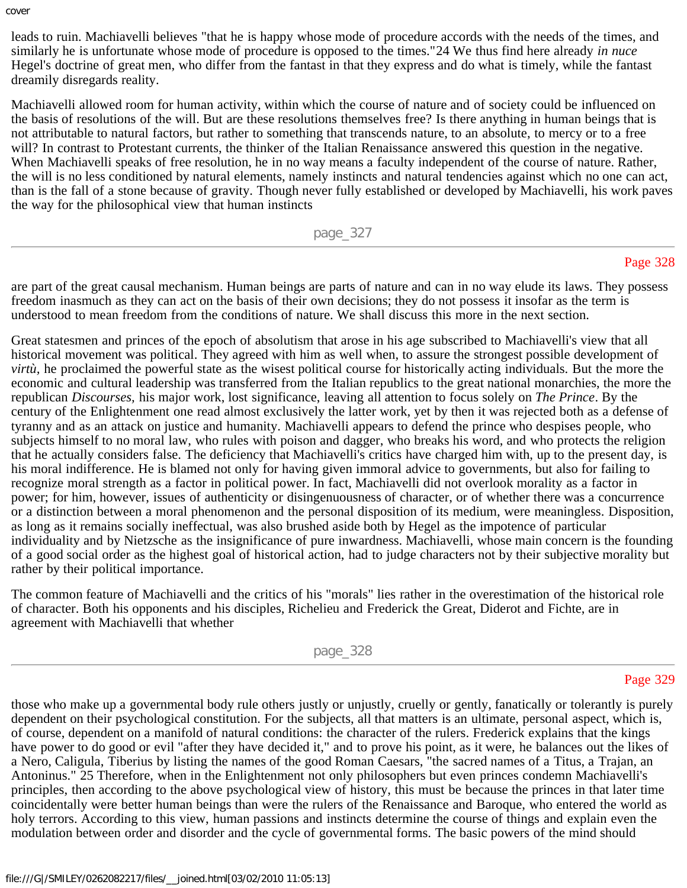leads to ruin. Machiavelli believes "that he is happy whose mode of procedure accords with the needs of the times, and similarly he is unfortunate whose mode of procedure is opposed to the times."24 We thus find here already *in nuce* Hegel's doctrine of great men, who differ from the fantast in that they express and do what is timely, while the fantast dreamily disregards reality.

Machiavelli allowed room for human activity, within which the course of nature and of society could be influenced on the basis of resolutions of the will. But are these resolutions themselves free? Is there anything in human beings that is not attributable to natural factors, but rather to something that transcends nature, to an absolute, to mercy or to a free will? In contrast to Protestant currents, the thinker of the Italian Renaissance answered this question in the negative. When Machiavelli speaks of free resolution, he in no way means a faculty independent of the course of nature. Rather, the will is no less conditioned by natural elements, namely instincts and natural tendencies against which no one can act, than is the fall of a stone because of gravity. Though never fully established or developed by Machiavelli, his work paves the way for the philosophical view that human instincts

page\_327

#### Page 328

are part of the great causal mechanism. Human beings are parts of nature and can in no way elude its laws. They possess freedom inasmuch as they can act on the basis of their own decisions; they do not possess it insofar as the term is understood to mean freedom from the conditions of nature. We shall discuss this more in the next section.

Great statesmen and princes of the epoch of absolutism that arose in his age subscribed to Machiavelli's view that all historical movement was political. They agreed with him as well when, to assure the strongest possible development of *virtù,* he proclaimed the powerful state as the wisest political course for historically acting individuals. But the more the economic and cultural leadership was transferred from the Italian republics to the great national monarchies, the more the republican *Discourses,* his major work, lost significance, leaving all attention to focus solely on *The Prince*. By the century of the Enlightenment one read almost exclusively the latter work, yet by then it was rejected both as a defense of tyranny and as an attack on justice and humanity. Machiavelli appears to defend the prince who despises people, who subjects himself to no moral law, who rules with poison and dagger, who breaks his word, and who protects the religion that he actually considers false. The deficiency that Machiavelli's critics have charged him with, up to the present day, is his moral indifference. He is blamed not only for having given immoral advice to governments, but also for failing to recognize moral strength as a factor in political power. In fact, Machiavelli did not overlook morality as a factor in power; for him, however, issues of authenticity or disingenuousness of character, or of whether there was a concurrence or a distinction between a moral phenomenon and the personal disposition of its medium, were meaningless. Disposition, as long as it remains socially ineffectual, was also brushed aside both by Hegel as the impotence of particular individuality and by Nietzsche as the insignificance of pure inwardness. Machiavelli, whose main concern is the founding of a good social order as the highest goal of historical action, had to judge characters not by their subjective morality but rather by their political importance.

The common feature of Machiavelli and the critics of his "morals" lies rather in the overestimation of the historical role of character. Both his opponents and his disciples, Richelieu and Frederick the Great, Diderot and Fichte, are in agreement with Machiavelli that whether

page\_328

### Page 329

those who make up a governmental body rule others justly or unjustly, cruelly or gently, fanatically or tolerantly is purely dependent on their psychological constitution. For the subjects, all that matters is an ultimate, personal aspect, which is, of course, dependent on a manifold of natural conditions: the character of the rulers. Frederick explains that the kings have power to do good or evil "after they have decided it," and to prove his point, as it were, he balances out the likes of a Nero, Caligula, Tiberius by listing the names of the good Roman Caesars, "the sacred names of a Titus, a Trajan, an Antoninus." 25 Therefore, when in the Enlightenment not only philosophers but even princes condemn Machiavelli's principles, then according to the above psychological view of history, this must be because the princes in that later time coincidentally were better human beings than were the rulers of the Renaissance and Baroque, who entered the world as holy terrors. According to this view, human passions and instincts determine the course of things and explain even the modulation between order and disorder and the cycle of governmental forms. The basic powers of the mind should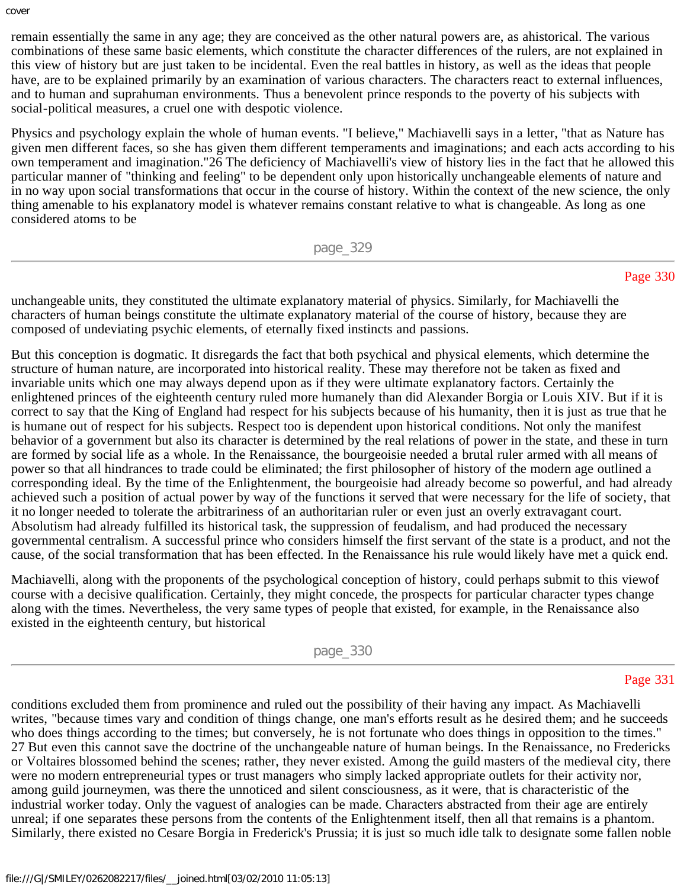remain essentially the same in any age; they are conceived as the other natural powers are, as ahistorical. The various combinations of these same basic elements, which constitute the character differences of the rulers, are not explained in this view of history but are just taken to be incidental. Even the real battles in history, as well as the ideas that people have, are to be explained primarily by an examination of various characters. The characters react to external influences, and to human and suprahuman environments. Thus a benevolent prince responds to the poverty of his subjects with social-political measures, a cruel one with despotic violence.

Physics and psychology explain the whole of human events. "I believe," Machiavelli says in a letter, "that as Nature has given men different faces, so she has given them different temperaments and imaginations; and each acts according to his own temperament and imagination."26 The deficiency of Machiavelli's view of history lies in the fact that he allowed this particular manner of "thinking and feeling" to be dependent only upon historically unchangeable elements of nature and in no way upon social transformations that occur in the course of history. Within the context of the new science, the only thing amenable to his explanatory model is whatever remains constant relative to what is changeable. As long as one considered atoms to be

page\_329

#### Page 330

unchangeable units, they constituted the ultimate explanatory material of physics. Similarly, for Machiavelli the characters of human beings constitute the ultimate explanatory material of the course of history, because they are composed of undeviating psychic elements, of eternally fixed instincts and passions.

But this conception is dogmatic. It disregards the fact that both psychical and physical elements, which determine the structure of human nature, are incorporated into historical reality. These may therefore not be taken as fixed and invariable units which one may always depend upon as if they were ultimate explanatory factors. Certainly the enlightened princes of the eighteenth century ruled more humanely than did Alexander Borgia or Louis XIV. But if it is correct to say that the King of England had respect for his subjects because of his humanity, then it is just as true that he is humane out of respect for his subjects. Respect too is dependent upon historical conditions. Not only the manifest behavior of a government but also its character is determined by the real relations of power in the state, and these in turn are formed by social life as a whole. In the Renaissance, the bourgeoisie needed a brutal ruler armed with all means of power so that all hindrances to trade could be eliminated; the first philosopher of history of the modern age outlined a corresponding ideal. By the time of the Enlightenment, the bourgeoisie had already become so powerful, and had already achieved such a position of actual power by way of the functions it served that were necessary for the life of society, that it no longer needed to tolerate the arbitrariness of an authoritarian ruler or even just an overly extravagant court. Absolutism had already fulfilled its historical task, the suppression of feudalism, and had produced the necessary governmental centralism. A successful prince who considers himself the first servant of the state is a product, and not the cause, of the social transformation that has been effected. In the Renaissance his rule would likely have met a quick end.

Machiavelli, along with the proponents of the psychological conception of history, could perhaps submit to this viewof course with a decisive qualification. Certainly, they might concede, the prospects for particular character types change along with the times. Nevertheless, the very same types of people that existed, for example, in the Renaissance also existed in the eighteenth century, but historical

page\_330

## Page 331

conditions excluded them from prominence and ruled out the possibility of their having any impact. As Machiavelli writes, "because times vary and condition of things change, one man's efforts result as he desired them; and he succeeds who does things according to the times; but conversely, he is not fortunate who does things in opposition to the times." 27 But even this cannot save the doctrine of the unchangeable nature of human beings. In the Renaissance, no Fredericks or Voltaires blossomed behind the scenes; rather, they never existed. Among the guild masters of the medieval city, there were no modern entrepreneurial types or trust managers who simply lacked appropriate outlets for their activity nor, among guild journeymen, was there the unnoticed and silent consciousness, as it were, that is characteristic of the industrial worker today. Only the vaguest of analogies can be made. Characters abstracted from their age are entirely unreal; if one separates these persons from the contents of the Enlightenment itself, then all that remains is a phantom. Similarly, there existed no Cesare Borgia in Frederick's Prussia; it is just so much idle talk to designate some fallen noble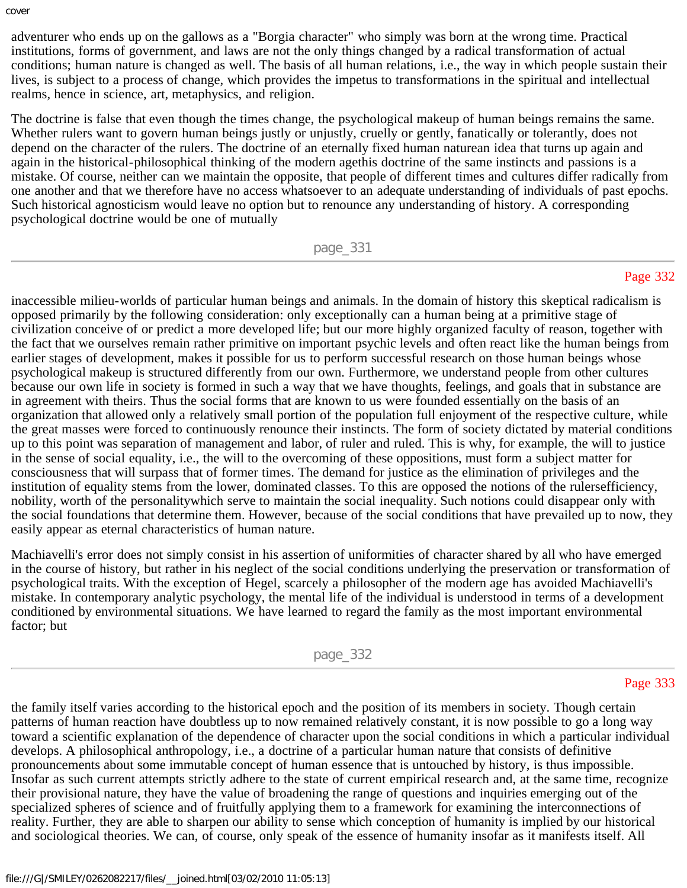adventurer who ends up on the gallows as a "Borgia character" who simply was born at the wrong time. Practical institutions, forms of government, and laws are not the only things changed by a radical transformation of actual conditions; human nature is changed as well. The basis of all human relations, i.e., the way in which people sustain their lives, is subject to a process of change, which provides the impetus to transformations in the spiritual and intellectual realms, hence in science, art, metaphysics, and religion.

The doctrine is false that even though the times change, the psychological makeup of human beings remains the same. Whether rulers want to govern human beings justly or unjustly, cruelly or gently, fanatically or tolerantly, does not depend on the character of the rulers. The doctrine of an eternally fixed human naturean idea that turns up again and again in the historical-philosophical thinking of the modern agethis doctrine of the same instincts and passions is a mistake. Of course, neither can we maintain the opposite, that people of different times and cultures differ radically from one another and that we therefore have no access whatsoever to an adequate understanding of individuals of past epochs. Such historical agnosticism would leave no option but to renounce any understanding of history. A corresponding psychological doctrine would be one of mutually

page\_331

#### Page 332

inaccessible milieu-worlds of particular human beings and animals. In the domain of history this skeptical radicalism is opposed primarily by the following consideration: only exceptionally can a human being at a primitive stage of civilization conceive of or predict a more developed life; but our more highly organized faculty of reason, together with the fact that we ourselves remain rather primitive on important psychic levels and often react like the human beings from earlier stages of development, makes it possible for us to perform successful research on those human beings whose psychological makeup is structured differently from our own. Furthermore, we understand people from other cultures because our own life in society is formed in such a way that we have thoughts, feelings, and goals that in substance are in agreement with theirs. Thus the social forms that are known to us were founded essentially on the basis of an organization that allowed only a relatively small portion of the population full enjoyment of the respective culture, while the great masses were forced to continuously renounce their instincts. The form of society dictated by material conditions up to this point was separation of management and labor, of ruler and ruled. This is why, for example, the will to justice in the sense of social equality, i.e., the will to the overcoming of these oppositions, must form a subject matter for consciousness that will surpass that of former times. The demand for justice as the elimination of privileges and the institution of equality stems from the lower, dominated classes. To this are opposed the notions of the rulersefficiency, nobility, worth of the personalitywhich serve to maintain the social inequality. Such notions could disappear only with the social foundations that determine them. However, because of the social conditions that have prevailed up to now, they easily appear as eternal characteristics of human nature.

Machiavelli's error does not simply consist in his assertion of uniformities of character shared by all who have emerged in the course of history, but rather in his neglect of the social conditions underlying the preservation or transformation of psychological traits. With the exception of Hegel, scarcely a philosopher of the modern age has avoided Machiavelli's mistake. In contemporary analytic psychology, the mental life of the individual is understood in terms of a development conditioned by environmental situations. We have learned to regard the family as the most important environmental factor; but

page\_332

Page 333

the family itself varies according to the historical epoch and the position of its members in society. Though certain patterns of human reaction have doubtless up to now remained relatively constant, it is now possible to go a long way toward a scientific explanation of the dependence of character upon the social conditions in which a particular individual develops. A philosophical anthropology, i.e., a doctrine of a particular human nature that consists of definitive pronouncements about some immutable concept of human essence that is untouched by history, is thus impossible. Insofar as such current attempts strictly adhere to the state of current empirical research and, at the same time, recognize their provisional nature, they have the value of broadening the range of questions and inquiries emerging out of the specialized spheres of science and of fruitfully applying them to a framework for examining the interconnections of reality. Further, they are able to sharpen our ability to sense which conception of humanity is implied by our historical and sociological theories. We can, of course, only speak of the essence of humanity insofar as it manifests itself. All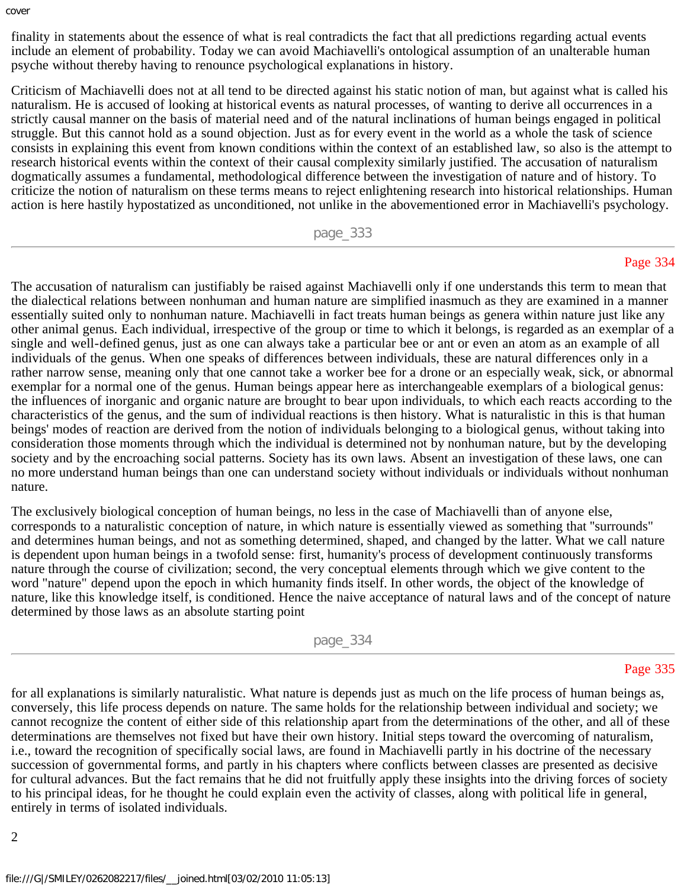finality in statements about the essence of what is real contradicts the fact that all predictions regarding actual events include an element of probability. Today we can avoid Machiavelli's ontological assumption of an unalterable human psyche without thereby having to renounce psychological explanations in history.

Criticism of Machiavelli does not at all tend to be directed against his static notion of man, but against what is called his naturalism. He is accused of looking at historical events as natural processes, of wanting to derive all occurrences in a strictly causal manner on the basis of material need and of the natural inclinations of human beings engaged in political struggle. But this cannot hold as a sound objection. Just as for every event in the world as a whole the task of science consists in explaining this event from known conditions within the context of an established law, so also is the attempt to research historical events within the context of their causal complexity similarly justified. The accusation of naturalism dogmatically assumes a fundamental, methodological difference between the investigation of nature and of history. To criticize the notion of naturalism on these terms means to reject enlightening research into historical relationships. Human action is here hastily hypostatized as unconditioned, not unlike in the abovementioned error in Machiavelli's psychology.

page\_333

### Page 334

The accusation of naturalism can justifiably be raised against Machiavelli only if one understands this term to mean that the dialectical relations between nonhuman and human nature are simplified inasmuch as they are examined in a manner essentially suited only to nonhuman nature. Machiavelli in fact treats human beings as genera within nature just like any other animal genus. Each individual, irrespective of the group or time to which it belongs, is regarded as an exemplar of a single and well-defined genus, just as one can always take a particular bee or ant or even an atom as an example of all individuals of the genus. When one speaks of differences between individuals, these are natural differences only in a rather narrow sense, meaning only that one cannot take a worker bee for a drone or an especially weak, sick, or abnormal exemplar for a normal one of the genus. Human beings appear here as interchangeable exemplars of a biological genus: the influences of inorganic and organic nature are brought to bear upon individuals, to which each reacts according to the characteristics of the genus, and the sum of individual reactions is then history. What is naturalistic in this is that human beings' modes of reaction are derived from the notion of individuals belonging to a biological genus, without taking into consideration those moments through which the individual is determined not by nonhuman nature, but by the developing society and by the encroaching social patterns. Society has its own laws. Absent an investigation of these laws, one can no more understand human beings than one can understand society without individuals or individuals without nonhuman nature.

The exclusively biological conception of human beings, no less in the case of Machiavelli than of anyone else, corresponds to a naturalistic conception of nature, in which nature is essentially viewed as something that ''surrounds" and determines human beings, and not as something determined, shaped, and changed by the latter. What we call nature is dependent upon human beings in a twofold sense: first, humanity's process of development continuously transforms nature through the course of civilization; second, the very conceptual elements through which we give content to the word "nature" depend upon the epoch in which humanity finds itself. In other words, the object of the knowledge of nature, like this knowledge itself, is conditioned. Hence the naive acceptance of natural laws and of the concept of nature determined by those laws as an absolute starting point

page\_334

#### Page 335

for all explanations is similarly naturalistic. What nature is depends just as much on the life process of human beings as, conversely, this life process depends on nature. The same holds for the relationship between individual and society; we cannot recognize the content of either side of this relationship apart from the determinations of the other, and all of these determinations are themselves not fixed but have their own history. Initial steps toward the overcoming of naturalism, i.e., toward the recognition of specifically social laws, are found in Machiavelli partly in his doctrine of the necessary succession of governmental forms, and partly in his chapters where conflicts between classes are presented as decisive for cultural advances. But the fact remains that he did not fruitfully apply these insights into the driving forces of society to his principal ideas, for he thought he could explain even the activity of classes, along with political life in general, entirely in terms of isolated individuals.

2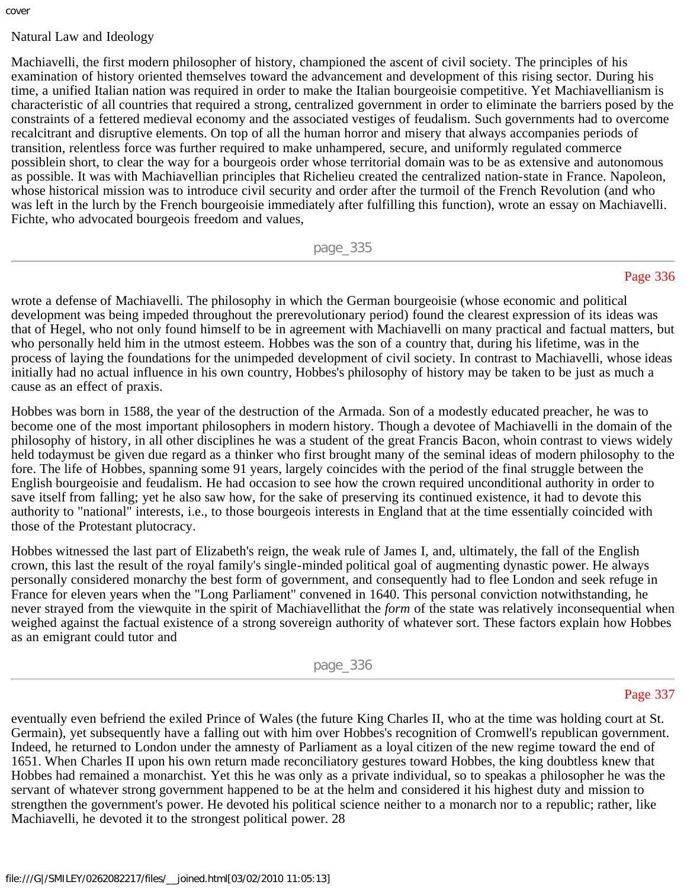# Natural Law and Ideology

Machiavelli, the first modern philosopher of history, championed the ascent of civil society. The principles of his examination of history oriented themselves toward the advancement and development of this rising sector. During his time, a unified Italian nation was required in order to make the Italian bourgeoisie competitive. Yet Machiavellianism is characteristic of all countries that required a strong, centralized government in order to eliminate the barriers posed by the constraints of a fettered medieval economy and the associated vestiges of feudalism. Such governments had to overcome recalcitrant and disruptive elements. On top of all the human horror and misery that always accompanies periods of transition, relentless force was further required to make unhampered, secure, and uniformly regulated commerce possiblein short, to clear the way for a bourgeois order whose territorial domain was to be as extensive and autonomous as possible. It was with Machiavellian principles that Richelieu created the centralized nation-state in France. Napoleon, whose historical mission was to introduce civil security and order after the turmoil of the French Revolution (and who was left in the lurch by the French bourgeoisie immediately after fulfilling this function), wrote an essay on Machiavelli. Fichte, who advocated bourgeois freedom and values,

page\_335

#### Page 336

wrote a defense of Machiavelli. The philosophy in which the German bourgeoisie (whose economic and political development was being impeded throughout the prerevolutionary period) found the clearest expression of its ideas was that of Hegel, who not only found himself to be in agreement with Machiavelli on many practical and factual matters, but who personally held him in the utmost esteem. Hobbes was the son of a country that, during his lifetime, was in the process of laying the foundations for the unimpeded development of civil society. In contrast to Machiavelli, whose ideas initially had no actual influence in his own country, Hobbes's philosophy of history may be taken to be just as much a cause as an effect of praxis.

Hobbes was born in 1588, the year of the destruction of the Armada. Son of a modestly educated preacher, he was to become one of the most important philosophers in modern history. Though a devotee of Machiavelli in the domain of the philosophy of history, in all other disciplines he was a student of the great Francis Bacon, whoin contrast to views widely held todaymust be given due regard as a thinker who first brought many of the seminal ideas of modern philosophy to the fore. The life of Hobbes, spanning some 91 years, largely coincides with the period of the final struggle between the English bourgeoisie and feudalism. He had occasion to see how the crown required unconditional authority in order to save itself from falling; yet he also saw how, for the sake of preserving its continued existence, it had to devote this authority to "national" interests, i.e., to those bourgeois interests in England that at the time essentially coincided with those of the Protestant plutocracy.

Hobbes witnessed the last part of Elizabeth's reign, the weak rule of James I, and, ultimately, the fall of the English crown, this last the result of the royal family's single-minded political goal of augmenting dynastic power. He always personally considered monarchy the best form of government, and consequently had to flee London and seek refuge in France for eleven years when the "Long Parliament" convened in 1640. This personal conviction notwithstanding, he never strayed from the viewquite in the spirit of Machiavellithat the *form* of the state was relatively inconsequential when weighed against the factual existence of a strong sovereign authority of whatever sort. These factors explain how Hobbes as an emigrant could tutor and

page\_336

Page 337

eventually even befriend the exiled Prince of Wales (the future King Charles II, who at the time was holding court at St. Germain), yet subsequently have a falling out with him over Hobbes's recognition of Cromwell's republican government. Indeed, he returned to London under the amnesty of Parliament as a loyal citizen of the new regime toward the end of 1651. When Charles II upon his own return made reconciliatory gestures toward Hobbes, the king doubtless knew that Hobbes had remained a monarchist. Yet this he was only as a private individual, so to speakas a philosopher he was the servant of whatever strong government happened to be at the helm and considered it his highest duty and mission to strengthen the government's power. He devoted his political science neither to a monarch nor to a republic; rather, like Machiavelli, he devoted it to the strongest political power. 28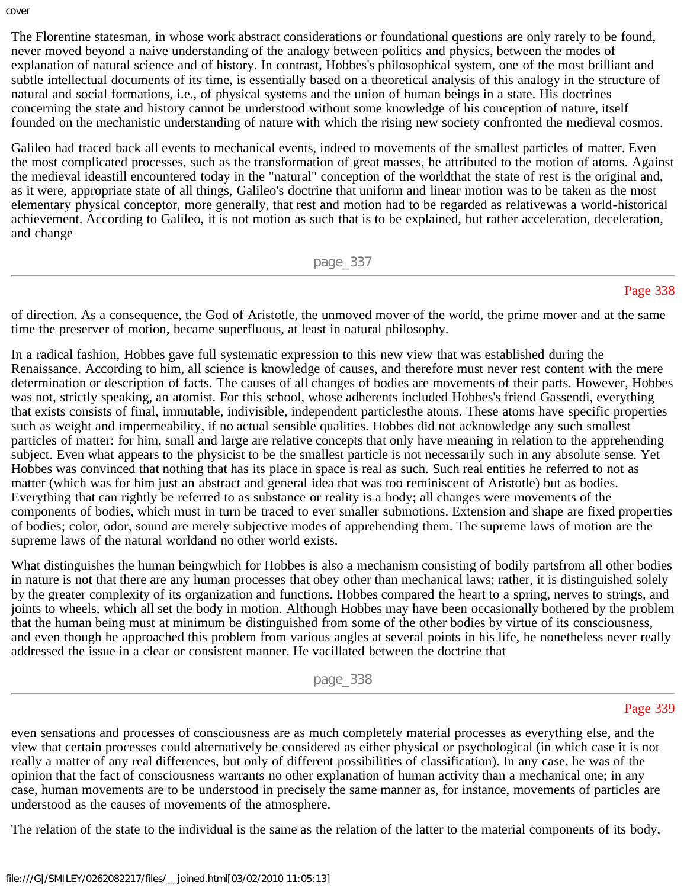The Florentine statesman, in whose work abstract considerations or foundational questions are only rarely to be found, never moved beyond a naive understanding of the analogy between politics and physics, between the modes of explanation of natural science and of history. In contrast, Hobbes's philosophical system, one of the most brilliant and subtle intellectual documents of its time, is essentially based on a theoretical analysis of this analogy in the structure of natural and social formations, i.e., of physical systems and the union of human beings in a state. His doctrines concerning the state and history cannot be understood without some knowledge of his conception of nature, itself founded on the mechanistic understanding of nature with which the rising new society confronted the medieval cosmos.

Galileo had traced back all events to mechanical events, indeed to movements of the smallest particles of matter. Even the most complicated processes, such as the transformation of great masses, he attributed to the motion of atoms. Against the medieval ideastill encountered today in the "natural" conception of the worldthat the state of rest is the original and, as it were, appropriate state of all things, Galileo's doctrine that uniform and linear motion was to be taken as the most elementary physical conceptor, more generally, that rest and motion had to be regarded as relativewas a world-historical achievement. According to Galileo, it is not motion as such that is to be explained, but rather acceleration, deceleration, and change

page\_337

#### Page 338

of direction. As a consequence, the God of Aristotle, the unmoved mover of the world, the prime mover and at the same time the preserver of motion, became superfluous, at least in natural philosophy.

In a radical fashion, Hobbes gave full systematic expression to this new view that was established during the Renaissance. According to him, all science is knowledge of causes, and therefore must never rest content with the mere determination or description of facts. The causes of all changes of bodies are movements of their parts. However, Hobbes was not, strictly speaking, an atomist. For this school, whose adherents included Hobbes's friend Gassendi, everything that exists consists of final, immutable, indivisible, independent particlesthe atoms. These atoms have specific properties such as weight and impermeability, if no actual sensible qualities. Hobbes did not acknowledge any such smallest particles of matter: for him, small and large are relative concepts that only have meaning in relation to the apprehending subject. Even what appears to the physicist to be the smallest particle is not necessarily such in any absolute sense. Yet Hobbes was convinced that nothing that has its place in space is real as such. Such real entities he referred to not as matter (which was for him just an abstract and general idea that was too reminiscent of Aristotle) but as bodies. Everything that can rightly be referred to as substance or reality is a body; all changes were movements of the components of bodies, which must in turn be traced to ever smaller submotions. Extension and shape are fixed properties of bodies; color, odor, sound are merely subjective modes of apprehending them. The supreme laws of motion are the supreme laws of the natural worldand no other world exists.

What distinguishes the human beingwhich for Hobbes is also a mechanism consisting of bodily partsfrom all other bodies in nature is not that there are any human processes that obey other than mechanical laws; rather, it is distinguished solely by the greater complexity of its organization and functions. Hobbes compared the heart to a spring, nerves to strings, and joints to wheels, which all set the body in motion. Although Hobbes may have been occasionally bothered by the problem that the human being must at minimum be distinguished from some of the other bodies by virtue of its consciousness, and even though he approached this problem from various angles at several points in his life, he nonetheless never really addressed the issue in a clear or consistent manner. He vacillated between the doctrine that

page\_338

### Page 339

even sensations and processes of consciousness are as much completely material processes as everything else, and the view that certain processes could alternatively be considered as either physical or psychological (in which case it is not really a matter of any real differences, but only of different possibilities of classification). In any case, he was of the opinion that the fact of consciousness warrants no other explanation of human activity than a mechanical one; in any case, human movements are to be understood in precisely the same manner as, for instance, movements of particles are understood as the causes of movements of the atmosphere.

The relation of the state to the individual is the same as the relation of the latter to the material components of its body,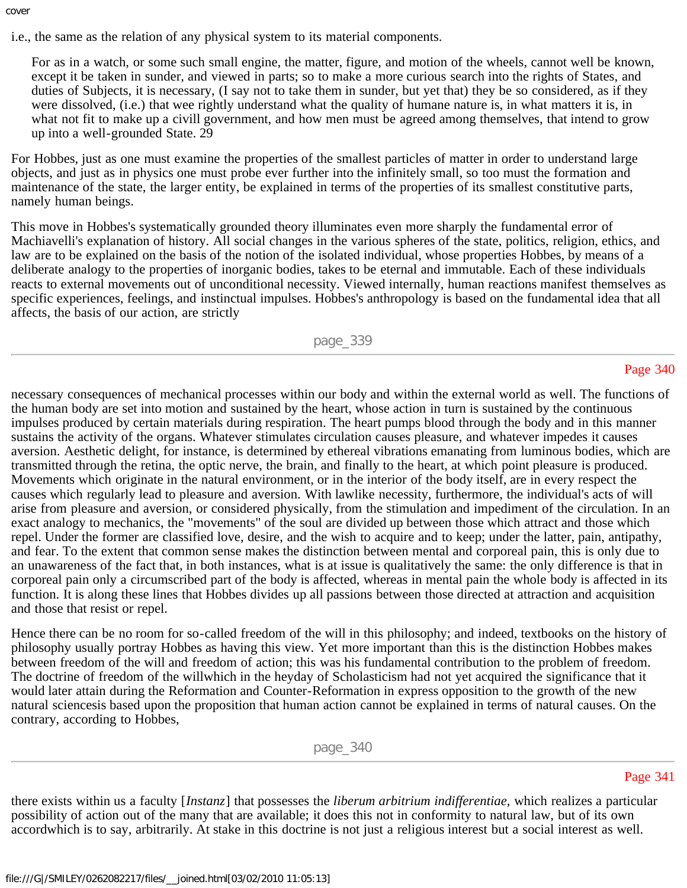i.e., the same as the relation of any physical system to its material components.

For as in a watch, or some such small engine, the matter, figure, and motion of the wheels, cannot well be known, except it be taken in sunder, and viewed in parts; so to make a more curious search into the rights of States, and duties of Subjects, it is necessary, (I say not to take them in sunder, but yet that) they be so considered, as if they were dissolved, (i.e.) that wee rightly understand what the quality of humane nature is, in what matters it is, in what not fit to make up a civill government, and how men must be agreed among themselves, that intend to grow up into a well-grounded State. 29

For Hobbes, just as one must examine the properties of the smallest particles of matter in order to understand large objects, and just as in physics one must probe ever further into the infinitely small, so too must the formation and maintenance of the state, the larger entity, be explained in terms of the properties of its smallest constitutive parts, namely human beings.

This move in Hobbes's systematically grounded theory illuminates even more sharply the fundamental error of Machiavelli's explanation of history. All social changes in the various spheres of the state, politics, religion, ethics, and law are to be explained on the basis of the notion of the isolated individual, whose properties Hobbes, by means of a deliberate analogy to the properties of inorganic bodies, takes to be eternal and immutable. Each of these individuals reacts to external movements out of unconditional necessity. Viewed internally, human reactions manifest themselves as specific experiences, feelings, and instinctual impulses. Hobbes's anthropology is based on the fundamental idea that all affects, the basis of our action, are strictly

page 339

### Page 340

necessary consequences of mechanical processes within our body and within the external world as well. The functions of the human body are set into motion and sustained by the heart, whose action in turn is sustained by the continuous impulses produced by certain materials during respiration. The heart pumps blood through the body and in this manner sustains the activity of the organs. Whatever stimulates circulation causes pleasure, and whatever impedes it causes aversion. Aesthetic delight, for instance, is determined by ethereal vibrations emanating from luminous bodies, which are transmitted through the retina, the optic nerve, the brain, and finally to the heart, at which point pleasure is produced. Movements which originate in the natural environment, or in the interior of the body itself, are in every respect the causes which regularly lead to pleasure and aversion. With lawlike necessity, furthermore, the individual's acts of will arise from pleasure and aversion, or considered physically, from the stimulation and impediment of the circulation. In an exact analogy to mechanics, the "movements" of the soul are divided up between those which attract and those which repel. Under the former are classified love, desire, and the wish to acquire and to keep; under the latter, pain, antipathy, and fear. To the extent that common sense makes the distinction between mental and corporeal pain, this is only due to an unawareness of the fact that, in both instances, what is at issue is qualitatively the same: the only difference is that in corporeal pain only a circumscribed part of the body is affected, whereas in mental pain the whole body is affected in its function. It is along these lines that Hobbes divides up all passions between those directed at attraction and acquisition and those that resist or repel.

Hence there can be no room for so-called freedom of the will in this philosophy; and indeed, textbooks on the history of philosophy usually portray Hobbes as having this view. Yet more important than this is the distinction Hobbes makes between freedom of the will and freedom of action; this was his fundamental contribution to the problem of freedom. The doctrine of freedom of the willwhich in the heyday of Scholasticism had not yet acquired the significance that it would later attain during the Reformation and Counter-Reformation in express opposition to the growth of the new natural sciencesis based upon the proposition that human action cannot be explained in terms of natural causes. On the contrary, according to Hobbes,

page\_340

### Page 341

there exists within us a faculty [*Instanz*] that possesses the *liberum arbitrium indifferentiae,* which realizes a particular possibility of action out of the many that are available; it does this not in conformity to natural law, but of its own accordwhich is to say, arbitrarily. At stake in this doctrine is not just a religious interest but a social interest as well.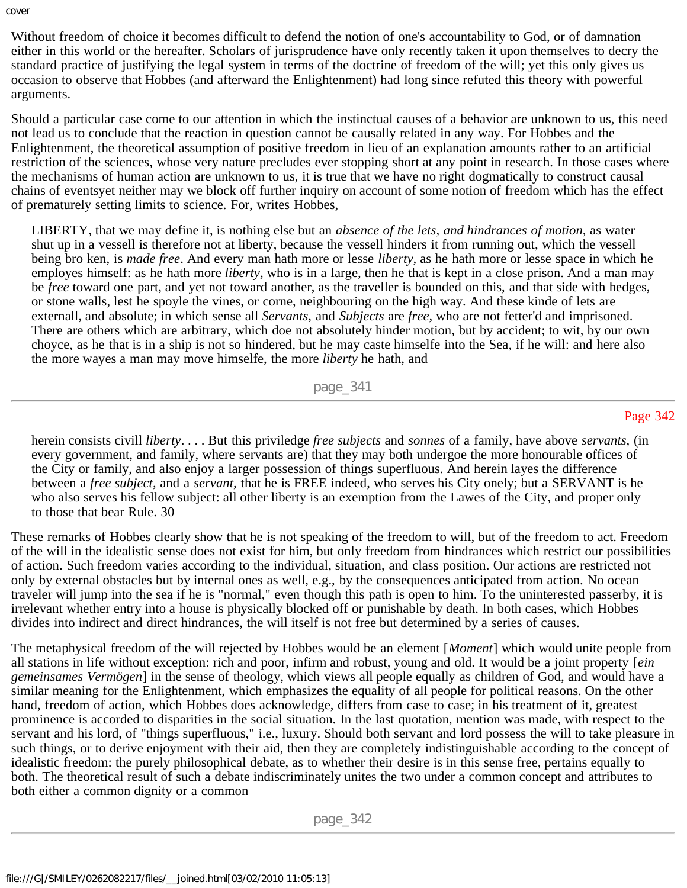Without freedom of choice it becomes difficult to defend the notion of one's accountability to God, or of damnation either in this world or the hereafter. Scholars of jurisprudence have only recently taken it upon themselves to decry the standard practice of justifying the legal system in terms of the doctrine of freedom of the will; yet this only gives us occasion to observe that Hobbes (and afterward the Enlightenment) had long since refuted this theory with powerful arguments.

Should a particular case come to our attention in which the instinctual causes of a behavior are unknown to us, this need not lead us to conclude that the reaction in question cannot be causally related in any way. For Hobbes and the Enlightenment, the theoretical assumption of positive freedom in lieu of an explanation amounts rather to an artificial restriction of the sciences, whose very nature precludes ever stopping short at any point in research. In those cases where the mechanisms of human action are unknown to us, it is true that we have no right dogmatically to construct causal chains of eventsyet neither may we block off further inquiry on account of some notion of freedom which has the effect of prematurely setting limits to science. For, writes Hobbes,

LIBERTY, that we may define it, is nothing else but an *absence of the lets, and hindrances of motion,* as water shut up in a vessell is therefore not at liberty, because the vessell hinders it from running out, which the vessell being bro ken, is *made free*. And every man hath more or lesse *liberty,* as he hath more or lesse space in which he employes himself: as he hath more *liberty,* who is in a large, then he that is kept in a close prison. And a man may be *free* toward one part, and yet not toward another, as the traveller is bounded on this, and that side with hedges, or stone walls, lest he spoyle the vines, or corne, neighbouring on the high way. And these kinde of lets are externall, and absolute; in which sense all *Servants,* and *Subjects* are *free,* who are not fetter'd and imprisoned. There are others which are arbitrary, which doe not absolutely hinder motion, but by accident; to wit, by our own choyce, as he that is in a ship is not so hindered, but he may caste himselfe into the Sea, if he will: and here also the more wayes a man may move himselfe, the more *liberty* he hath, and

page\_341

### Page 342

herein consists civill *liberty*. . . . But this priviledge *free subjects* and *sonnes* of a family, have above *servants,* (in every government, and family, where servants are) that they may both undergoe the more honourable offices of the City or family, and also enjoy a larger possession of things superfluous. And herein layes the difference between a *free subject,* and a *servant,* that he is FREE indeed, who serves his City onely; but a SERVANT is he who also serves his fellow subject: all other liberty is an exemption from the Lawes of the City, and proper only to those that bear Rule. 30

These remarks of Hobbes clearly show that he is not speaking of the freedom to will, but of the freedom to act. Freedom of the will in the idealistic sense does not exist for him, but only freedom from hindrances which restrict our possibilities of action. Such freedom varies according to the individual, situation, and class position. Our actions are restricted not only by external obstacles but by internal ones as well, e.g., by the consequences anticipated from action. No ocean traveler will jump into the sea if he is "normal," even though this path is open to him. To the uninterested passerby, it is irrelevant whether entry into a house is physically blocked off or punishable by death. In both cases, which Hobbes divides into indirect and direct hindrances, the will itself is not free but determined by a series of causes.

The metaphysical freedom of the will rejected by Hobbes would be an element [*Moment*] which would unite people from all stations in life without exception: rich and poor, infirm and robust, young and old. It would be a joint property [*ein gemeinsames Vermögen*] in the sense of theology, which views all people equally as children of God, and would have a similar meaning for the Enlightenment, which emphasizes the equality of all people for political reasons. On the other hand, freedom of action, which Hobbes does acknowledge, differs from case to case; in his treatment of it, greatest prominence is accorded to disparities in the social situation. In the last quotation, mention was made, with respect to the servant and his lord, of "things superfluous," i.e., luxury. Should both servant and lord possess the will to take pleasure in such things, or to derive enjoyment with their aid, then they are completely indistinguishable according to the concept of idealistic freedom: the purely philosophical debate, as to whether their desire is in this sense free, pertains equally to both. The theoretical result of such a debate indiscriminately unites the two under a common concept and attributes to both either a common dignity or a common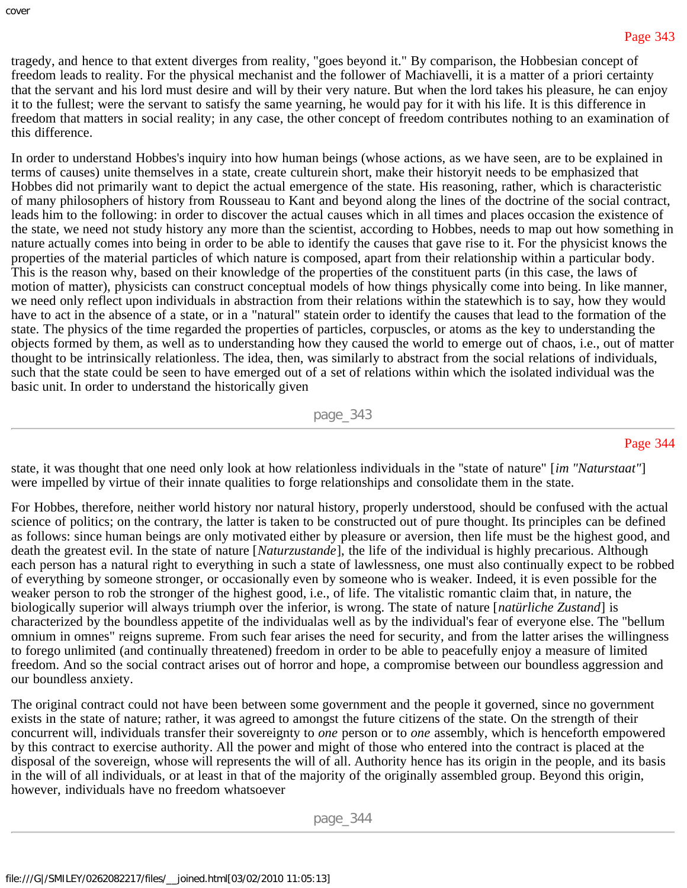tragedy, and hence to that extent diverges from reality, "goes beyond it." By comparison, the Hobbesian concept of freedom leads to reality. For the physical mechanist and the follower of Machiavelli, it is a matter of a priori certainty that the servant and his lord must desire and will by their very nature. But when the lord takes his pleasure, he can enjoy it to the fullest; were the servant to satisfy the same yearning, he would pay for it with his life. It is this difference in freedom that matters in social reality; in any case, the other concept of freedom contributes nothing to an examination of this difference.

In order to understand Hobbes's inquiry into how human beings (whose actions, as we have seen, are to be explained in terms of causes) unite themselves in a state, create culturein short, make their historyit needs to be emphasized that Hobbes did not primarily want to depict the actual emergence of the state. His reasoning, rather, which is characteristic of many philosophers of history from Rousseau to Kant and beyond along the lines of the doctrine of the social contract, leads him to the following: in order to discover the actual causes which in all times and places occasion the existence of the state, we need not study history any more than the scientist, according to Hobbes, needs to map out how something in nature actually comes into being in order to be able to identify the causes that gave rise to it. For the physicist knows the properties of the material particles of which nature is composed, apart from their relationship within a particular body. This is the reason why, based on their knowledge of the properties of the constituent parts (in this case, the laws of motion of matter), physicists can construct conceptual models of how things physically come into being. In like manner, we need only reflect upon individuals in abstraction from their relations within the statewhich is to say, how they would have to act in the absence of a state, or in a "natural" statein order to identify the causes that lead to the formation of the state. The physics of the time regarded the properties of particles, corpuscles, or atoms as the key to understanding the objects formed by them, as well as to understanding how they caused the world to emerge out of chaos, i.e., out of matter thought to be intrinsically relationless. The idea, then, was similarly to abstract from the social relations of individuals, such that the state could be seen to have emerged out of a set of relations within which the isolated individual was the basic unit. In order to understand the historically given

page\_343

Page 344

state, it was thought that one need only look at how relationless individuals in the ''state of nature" [*im "Naturstaat"*] were impelled by virtue of their innate qualities to forge relationships and consolidate them in the state.

For Hobbes, therefore, neither world history nor natural history, properly understood, should be confused with the actual science of politics; on the contrary, the latter is taken to be constructed out of pure thought. Its principles can be defined as follows: since human beings are only motivated either by pleasure or aversion, then life must be the highest good, and death the greatest evil. In the state of nature [*Naturzustande*], the life of the individual is highly precarious. Although each person has a natural right to everything in such a state of lawlessness, one must also continually expect to be robbed of everything by someone stronger, or occasionally even by someone who is weaker. Indeed, it is even possible for the weaker person to rob the stronger of the highest good, i.e., of life. The vitalistic romantic claim that, in nature, the biologically superior will always triumph over the inferior, is wrong. The state of nature [*natürliche Zustand*] is characterized by the boundless appetite of the individualas well as by the individual's fear of everyone else. The "bellum omnium in omnes" reigns supreme. From such fear arises the need for security, and from the latter arises the willingness to forego unlimited (and continually threatened) freedom in order to be able to peacefully enjoy a measure of limited freedom. And so the social contract arises out of horror and hope, a compromise between our boundless aggression and our boundless anxiety.

The original contract could not have been between some government and the people it governed, since no government exists in the state of nature; rather, it was agreed to amongst the future citizens of the state. On the strength of their concurrent will, individuals transfer their sovereignty to *one* person or to *one* assembly, which is henceforth empowered by this contract to exercise authority. All the power and might of those who entered into the contract is placed at the disposal of the sovereign, whose will represents the will of all. Authority hence has its origin in the people, and its basis in the will of all individuals, or at least in that of the majority of the originally assembled group. Beyond this origin, however, individuals have no freedom whatsoever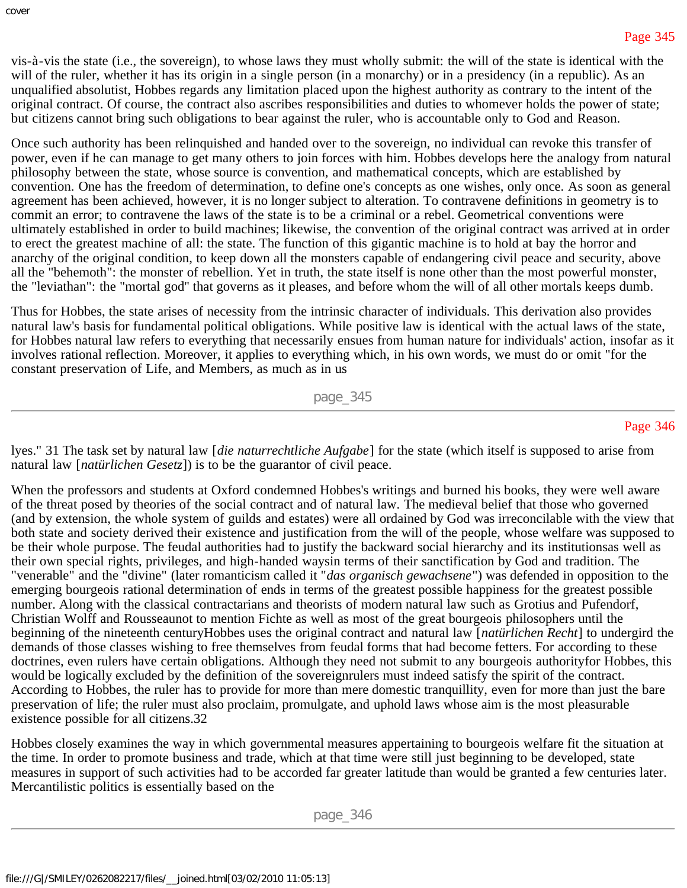vis-à-vis the state (i.e., the sovereign), to whose laws they must wholly submit: the will of the state is identical with the will of the ruler, whether it has its origin in a single person (in a monarchy) or in a presidency (in a republic). As an unqualified absolutist, Hobbes regards any limitation placed upon the highest authority as contrary to the intent of the original contract. Of course, the contract also ascribes responsibilities and duties to whomever holds the power of state; but citizens cannot bring such obligations to bear against the ruler, who is accountable only to God and Reason.

Once such authority has been relinquished and handed over to the sovereign, no individual can revoke this transfer of power, even if he can manage to get many others to join forces with him. Hobbes develops here the analogy from natural philosophy between the state, whose source is convention, and mathematical concepts, which are established by convention. One has the freedom of determination, to define one's concepts as one wishes, only once. As soon as general agreement has been achieved, however, it is no longer subject to alteration. To contravene definitions in geometry is to commit an error; to contravene the laws of the state is to be a criminal or a rebel. Geometrical conventions were ultimately established in order to build machines; likewise, the convention of the original contract was arrived at in order to erect the greatest machine of all: the state. The function of this gigantic machine is to hold at bay the horror and anarchy of the original condition, to keep down all the monsters capable of endangering civil peace and security, above all the "behemoth": the monster of rebellion. Yet in truth, the state itself is none other than the most powerful monster, the "leviathan": the "mortal god'' that governs as it pleases, and before whom the will of all other mortals keeps dumb.

Thus for Hobbes, the state arises of necessity from the intrinsic character of individuals. This derivation also provides natural law's basis for fundamental political obligations. While positive law is identical with the actual laws of the state, for Hobbes natural law refers to everything that necessarily ensues from human nature for individuals' action, insofar as it involves rational reflection. Moreover, it applies to everything which, in his own words, we must do or omit "for the constant preservation of Life, and Members, as much as in us

page\_345

#### Page 346

lyes." 31 The task set by natural law [*die naturrechtliche Aufgabe*] for the state (which itself is supposed to arise from natural law [*natürlichen Gesetz*]) is to be the guarantor of civil peace.

When the professors and students at Oxford condemned Hobbes's writings and burned his books, they were well aware of the threat posed by theories of the social contract and of natural law. The medieval belief that those who governed (and by extension, the whole system of guilds and estates) were all ordained by God was irreconcilable with the view that both state and society derived their existence and justification from the will of the people, whose welfare was supposed to be their whole purpose. The feudal authorities had to justify the backward social hierarchy and its institutionsas well as their own special rights, privileges, and high-handed waysin terms of their sanctification by God and tradition. The "venerable" and the "divine" (later romanticism called it "*das organisch gewachsene*") was defended in opposition to the emerging bourgeois rational determination of ends in terms of the greatest possible happiness for the greatest possible number. Along with the classical contractarians and theorists of modern natural law such as Grotius and Pufendorf, Christian Wolff and Rousseaunot to mention Fichte as well as most of the great bourgeois philosophers until the beginning of the nineteenth centuryHobbes uses the original contract and natural law [*natürlichen Recht*] to undergird the demands of those classes wishing to free themselves from feudal forms that had become fetters. For according to these doctrines, even rulers have certain obligations. Although they need not submit to any bourgeois authorityfor Hobbes, this would be logically excluded by the definition of the sovereignrulers must indeed satisfy the spirit of the contract. According to Hobbes, the ruler has to provide for more than mere domestic tranquillity, even for more than just the bare preservation of life; the ruler must also proclaim, promulgate, and uphold laws whose aim is the most pleasurable existence possible for all citizens.32

Hobbes closely examines the way in which governmental measures appertaining to bourgeois welfare fit the situation at the time. In order to promote business and trade, which at that time were still just beginning to be developed, state measures in support of such activities had to be accorded far greater latitude than would be granted a few centuries later. Mercantilistic politics is essentially based on the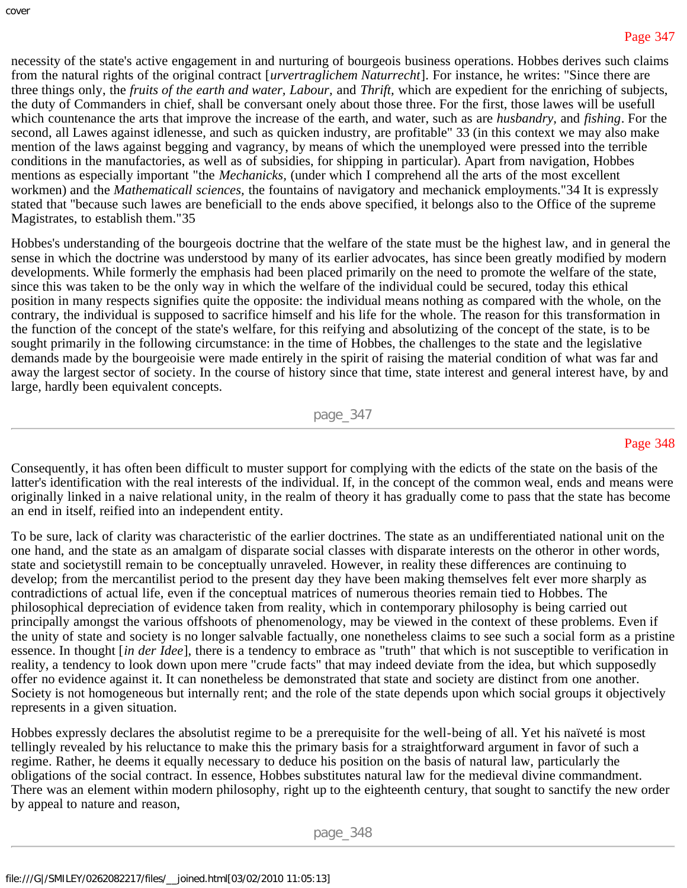necessity of the state's active engagement in and nurturing of bourgeois business operations. Hobbes derives such claims from the natural rights of the original contract [*urvertraglichem Naturrecht*]. For instance, he writes: "Since there are three things only, the *fruits of the earth and water, Labour,* and *Thrift,* which are expedient for the enriching of subjects, the duty of Commanders in chief, shall be conversant onely about those three. For the first, those lawes will be usefull which countenance the arts that improve the increase of the earth, and water, such as are *husbandry,* and *fishing*. For the second, all Lawes against idlenesse, and such as quicken industry, are profitable" 33 (in this context we may also make mention of the laws against begging and vagrancy, by means of which the unemployed were pressed into the terrible conditions in the manufactories, as well as of subsidies, for shipping in particular). Apart from navigation, Hobbes mentions as especially important "the *Mechanicks,* (under which I comprehend all the arts of the most excellent workmen) and the *Mathematicall sciences,* the fountains of navigatory and mechanick employments."34 It is expressly stated that "because such lawes are beneficiall to the ends above specified, it belongs also to the Office of the supreme Magistrates, to establish them."35

Hobbes's understanding of the bourgeois doctrine that the welfare of the state must be the highest law, and in general the sense in which the doctrine was understood by many of its earlier advocates, has since been greatly modified by modern developments. While formerly the emphasis had been placed primarily on the need to promote the welfare of the state, since this was taken to be the only way in which the welfare of the individual could be secured, today this ethical position in many respects signifies quite the opposite: the individual means nothing as compared with the whole, on the contrary, the individual is supposed to sacrifice himself and his life for the whole. The reason for this transformation in the function of the concept of the state's welfare, for this reifying and absolutizing of the concept of the state, is to be sought primarily in the following circumstance: in the time of Hobbes, the challenges to the state and the legislative demands made by the bourgeoisie were made entirely in the spirit of raising the material condition of what was far and away the largest sector of society. In the course of history since that time, state interest and general interest have, by and large, hardly been equivalent concepts.

page\_347

#### Page 348

Consequently, it has often been difficult to muster support for complying with the edicts of the state on the basis of the latter's identification with the real interests of the individual. If, in the concept of the common weal, ends and means were originally linked in a naive relational unity, in the realm of theory it has gradually come to pass that the state has become an end in itself, reified into an independent entity.

To be sure, lack of clarity was characteristic of the earlier doctrines. The state as an undifferentiated national unit on the one hand, and the state as an amalgam of disparate social classes with disparate interests on the otheror in other words, state and societystill remain to be conceptually unraveled. However, in reality these differences are continuing to develop; from the mercantilist period to the present day they have been making themselves felt ever more sharply as contradictions of actual life, even if the conceptual matrices of numerous theories remain tied to Hobbes. The philosophical depreciation of evidence taken from reality, which in contemporary philosophy is being carried out principally amongst the various offshoots of phenomenology, may be viewed in the context of these problems. Even if the unity of state and society is no longer salvable factually, one nonetheless claims to see such a social form as a pristine essence. In thought [*in der Idee*], there is a tendency to embrace as "truth" that which is not susceptible to verification in reality, a tendency to look down upon mere "crude facts" that may indeed deviate from the idea, but which supposedly offer no evidence against it. It can nonetheless be demonstrated that state and society are distinct from one another. Society is not homogeneous but internally rent; and the role of the state depends upon which social groups it objectively represents in a given situation.

Hobbes expressly declares the absolutist regime to be a prerequisite for the well-being of all. Yet his naïveté is most tellingly revealed by his reluctance to make this the primary basis for a straightforward argument in favor of such a regime. Rather, he deems it equally necessary to deduce his position on the basis of natural law, particularly the obligations of the social contract. In essence, Hobbes substitutes natural law for the medieval divine commandment. There was an element within modern philosophy, right up to the eighteenth century, that sought to sanctify the new order by appeal to nature and reason,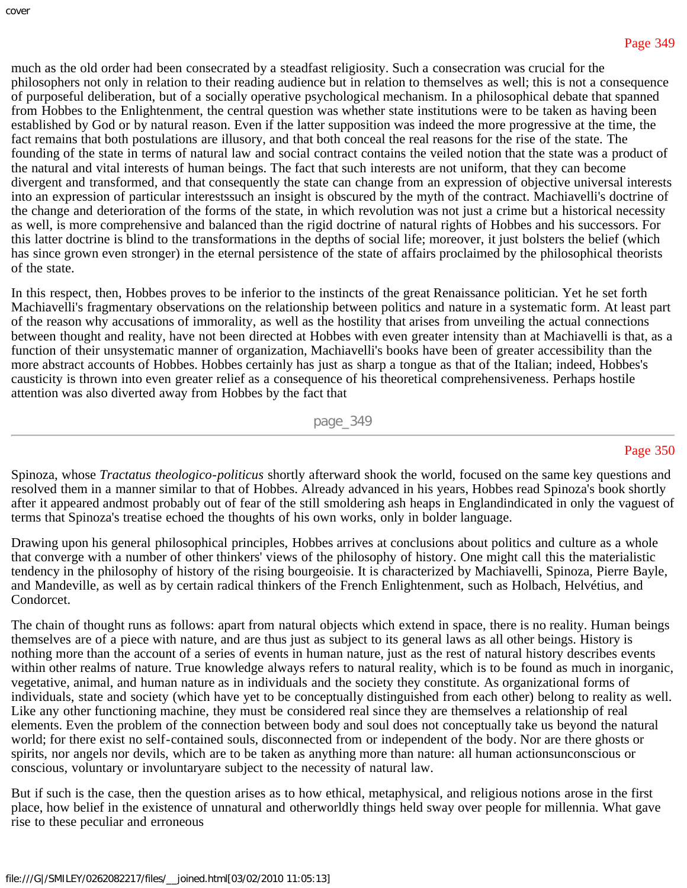much as the old order had been consecrated by a steadfast religiosity. Such a consecration was crucial for the philosophers not only in relation to their reading audience but in relation to themselves as well; this is not a consequence of purposeful deliberation, but of a socially operative psychological mechanism. In a philosophical debate that spanned from Hobbes to the Enlightenment, the central question was whether state institutions were to be taken as having been established by God or by natural reason. Even if the latter supposition was indeed the more progressive at the time, the fact remains that both postulations are illusory, and that both conceal the real reasons for the rise of the state. The founding of the state in terms of natural law and social contract contains the veiled notion that the state was a product of the natural and vital interests of human beings. The fact that such interests are not uniform, that they can become divergent and transformed, and that consequently the state can change from an expression of objective universal interests into an expression of particular interestssuch an insight is obscured by the myth of the contract. Machiavelli's doctrine of the change and deterioration of the forms of the state, in which revolution was not just a crime but a historical necessity as well, is more comprehensive and balanced than the rigid doctrine of natural rights of Hobbes and his successors. For this latter doctrine is blind to the transformations in the depths of social life; moreover, it just bolsters the belief (which has since grown even stronger) in the eternal persistence of the state of affairs proclaimed by the philosophical theorists of the state.

In this respect, then, Hobbes proves to be inferior to the instincts of the great Renaissance politician. Yet he set forth Machiavelli's fragmentary observations on the relationship between politics and nature in a systematic form. At least part of the reason why accusations of immorality, as well as the hostility that arises from unveiling the actual connections between thought and reality, have not been directed at Hobbes with even greater intensity than at Machiavelli is that, as a function of their unsystematic manner of organization, Machiavelli's books have been of greater accessibility than the more abstract accounts of Hobbes. Hobbes certainly has just as sharp a tongue as that of the Italian; indeed, Hobbes's causticity is thrown into even greater relief as a consequence of his theoretical comprehensiveness. Perhaps hostile attention was also diverted away from Hobbes by the fact that

page\_349

Page 350

Spinoza, whose *Tractatus theologico-politicus* shortly afterward shook the world, focused on the same key questions and resolved them in a manner similar to that of Hobbes. Already advanced in his years, Hobbes read Spinoza's book shortly after it appeared andmost probably out of fear of the still smoldering ash heaps in Englandindicated in only the vaguest of terms that Spinoza's treatise echoed the thoughts of his own works, only in bolder language.

Drawing upon his general philosophical principles, Hobbes arrives at conclusions about politics and culture as a whole that converge with a number of other thinkers' views of the philosophy of history. One might call this the materialistic tendency in the philosophy of history of the rising bourgeoisie. It is characterized by Machiavelli, Spinoza, Pierre Bayle, and Mandeville, as well as by certain radical thinkers of the French Enlightenment, such as Holbach, Helvétius, and Condorcet.

The chain of thought runs as follows: apart from natural objects which extend in space, there is no reality. Human beings themselves are of a piece with nature, and are thus just as subject to its general laws as all other beings. History is nothing more than the account of a series of events in human nature, just as the rest of natural history describes events within other realms of nature. True knowledge always refers to natural reality, which is to be found as much in inorganic, vegetative, animal, and human nature as in individuals and the society they constitute. As organizational forms of individuals, state and society (which have yet to be conceptually distinguished from each other) belong to reality as well. Like any other functioning machine, they must be considered real since they are themselves a relationship of real elements. Even the problem of the connection between body and soul does not conceptually take us beyond the natural world; for there exist no self-contained souls, disconnected from or independent of the body. Nor are there ghosts or spirits, nor angels nor devils, which are to be taken as anything more than nature: all human actionsunconscious or conscious, voluntary or involuntaryare subject to the necessity of natural law.

But if such is the case, then the question arises as to how ethical, metaphysical, and religious notions arose in the first place, how belief in the existence of unnatural and otherworldly things held sway over people for millennia. What gave rise to these peculiar and erroneous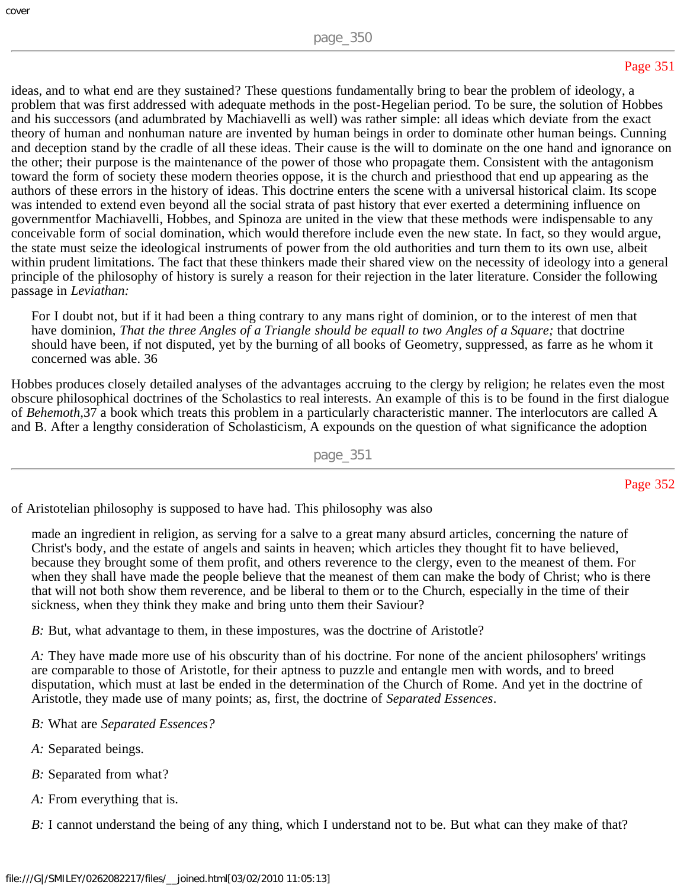ideas, and to what end are they sustained? These questions fundamentally bring to bear the problem of ideology, a problem that was first addressed with adequate methods in the post-Hegelian period. To be sure, the solution of Hobbes and his successors (and adumbrated by Machiavelli as well) was rather simple: all ideas which deviate from the exact theory of human and nonhuman nature are invented by human beings in order to dominate other human beings. Cunning and deception stand by the cradle of all these ideas. Their cause is the will to dominate on the one hand and ignorance on the other; their purpose is the maintenance of the power of those who propagate them. Consistent with the antagonism toward the form of society these modern theories oppose, it is the church and priesthood that end up appearing as the authors of these errors in the history of ideas. This doctrine enters the scene with a universal historical claim. Its scope was intended to extend even beyond all the social strata of past history that ever exerted a determining influence on governmentfor Machiavelli, Hobbes, and Spinoza are united in the view that these methods were indispensable to any conceivable form of social domination, which would therefore include even the new state. In fact, so they would argue, the state must seize the ideological instruments of power from the old authorities and turn them to its own use, albeit within prudent limitations. The fact that these thinkers made their shared view on the necessity of ideology into a general principle of the philosophy of history is surely a reason for their rejection in the later literature. Consider the following passage in *Leviathan:*

For I doubt not, but if it had been a thing contrary to any mans right of dominion, or to the interest of men that have dominion, *That the three Angles of a Triangle should be equall to two Angles of a Square;* that doctrine should have been, if not disputed, yet by the burning of all books of Geometry, suppressed, as farre as he whom it concerned was able. 36

Hobbes produces closely detailed analyses of the advantages accruing to the clergy by religion; he relates even the most obscure philosophical doctrines of the Scholastics to real interests. An example of this is to be found in the first dialogue of *Behemoth,*37 a book which treats this problem in a particularly characteristic manner. The interlocutors are called A and B. After a lengthy consideration of Scholasticism, A expounds on the question of what significance the adoption

page\_351

Page 352

of Aristotelian philosophy is supposed to have had. This philosophy was also

made an ingredient in religion, as serving for a salve to a great many absurd articles, concerning the nature of Christ's body, and the estate of angels and saints in heaven; which articles they thought fit to have believed, because they brought some of them profit, and others reverence to the clergy, even to the meanest of them. For when they shall have made the people believe that the meanest of them can make the body of Christ; who is there that will not both show them reverence, and be liberal to them or to the Church, especially in the time of their sickness, when they think they make and bring unto them their Saviour?

*B:* But, what advantage to them, in these impostures, was the doctrine of Aristotle?

*A:* They have made more use of his obscurity than of his doctrine. For none of the ancient philosophers' writings are comparable to those of Aristotle, for their aptness to puzzle and entangle men with words, and to breed disputation, which must at last be ended in the determination of the Church of Rome. And yet in the doctrine of Aristotle, they made use of many points; as, first, the doctrine of *Separated Essences*.

- *B:* What are *Separated Essences?*
- *A:* Separated beings.
- *B:* Separated from what?
- *A:* From everything that is.

*B:* I cannot understand the being of any thing, which I understand not to be. But what can they make of that?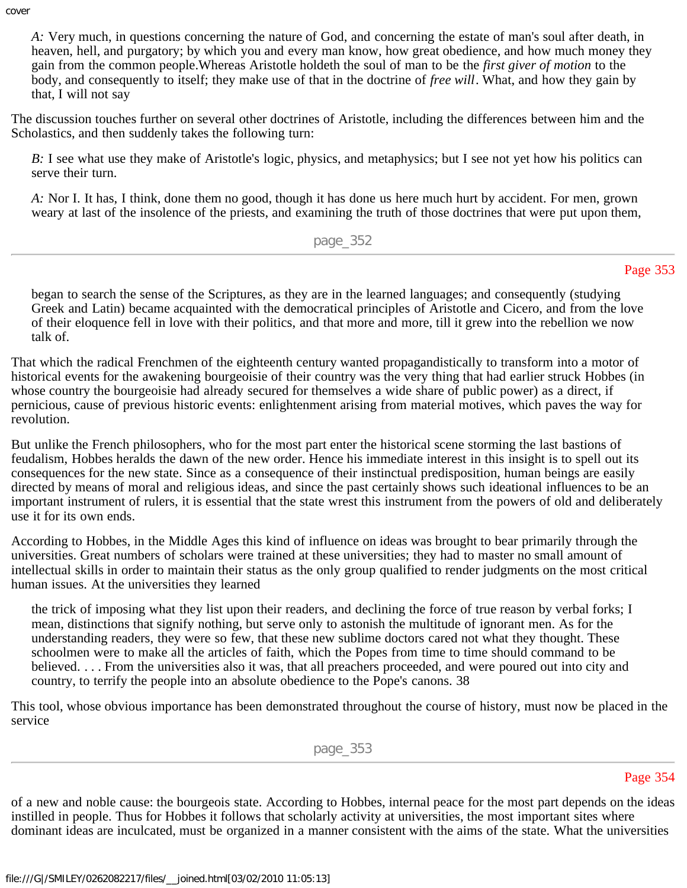*A:* Very much, in questions concerning the nature of God, and concerning the estate of man's soul after death, in heaven, hell, and purgatory; by which you and every man know, how great obedience, and how much money they gain from the common people.Whereas Aristotle holdeth the soul of man to be the *first giver of motion* to the body, and consequently to itself; they make use of that in the doctrine of *free will*. What, and how they gain by that, I will not say

The discussion touches further on several other doctrines of Aristotle, including the differences between him and the Scholastics, and then suddenly takes the following turn:

*B:* I see what use they make of Aristotle's logic, physics, and metaphysics; but I see not yet how his politics can serve their turn.

*A:* Nor I. It has, I think, done them no good, though it has done us here much hurt by accident. For men, grown weary at last of the insolence of the priests, and examining the truth of those doctrines that were put upon them,

page\_352

began to search the sense of the Scriptures, as they are in the learned languages; and consequently (studying Greek and Latin) became acquainted with the democratical principles of Aristotle and Cicero, and from the love of their eloquence fell in love with their politics, and that more and more, till it grew into the rebellion we now talk of.

That which the radical Frenchmen of the eighteenth century wanted propagandistically to transform into a motor of historical events for the awakening bourgeoisie of their country was the very thing that had earlier struck Hobbes (in whose country the bourgeoisie had already secured for themselves a wide share of public power) as a direct, if pernicious, cause of previous historic events: enlightenment arising from material motives, which paves the way for revolution.

But unlike the French philosophers, who for the most part enter the historical scene storming the last bastions of feudalism, Hobbes heralds the dawn of the new order. Hence his immediate interest in this insight is to spell out its consequences for the new state. Since as a consequence of their instinctual predisposition, human beings are easily directed by means of moral and religious ideas, and since the past certainly shows such ideational influences to be an important instrument of rulers, it is essential that the state wrest this instrument from the powers of old and deliberately use it for its own ends.

According to Hobbes, in the Middle Ages this kind of influence on ideas was brought to bear primarily through the universities. Great numbers of scholars were trained at these universities; they had to master no small amount of intellectual skills in order to maintain their status as the only group qualified to render judgments on the most critical human issues. At the universities they learned

the trick of imposing what they list upon their readers, and declining the force of true reason by verbal forks; I mean, distinctions that signify nothing, but serve only to astonish the multitude of ignorant men. As for the understanding readers, they were so few, that these new sublime doctors cared not what they thought. These schoolmen were to make all the articles of faith, which the Popes from time to time should command to be believed. . . . From the universities also it was, that all preachers proceeded, and were poured out into city and country, to terrify the people into an absolute obedience to the Pope's canons. 38

This tool, whose obvious importance has been demonstrated throughout the course of history, must now be placed in the service

page\_353

Page 354

of a new and noble cause: the bourgeois state. According to Hobbes, internal peace for the most part depends on the ideas instilled in people. Thus for Hobbes it follows that scholarly activity at universities, the most important sites where dominant ideas are inculcated, must be organized in a manner consistent with the aims of the state. What the universities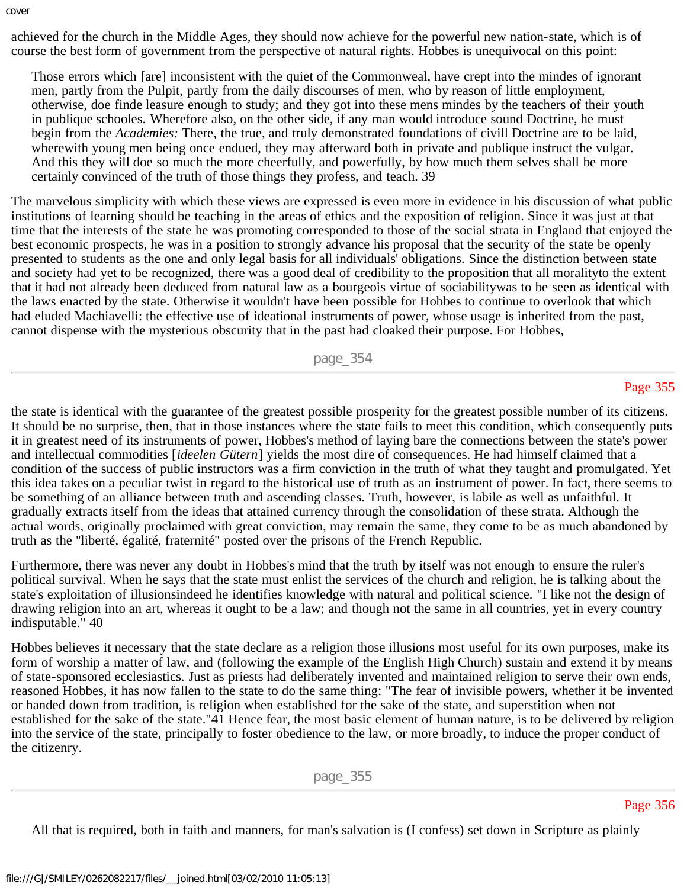achieved for the church in the Middle Ages, they should now achieve for the powerful new nation-state, which is of course the best form of government from the perspective of natural rights. Hobbes is unequivocal on this point:

Those errors which [are] inconsistent with the quiet of the Commonweal, have crept into the mindes of ignorant men, partly from the Pulpit, partly from the daily discourses of men, who by reason of little employment, otherwise, doe finde leasure enough to study; and they got into these mens mindes by the teachers of their youth in publique schooles. Wherefore also, on the other side, if any man would introduce sound Doctrine, he must begin from the *Academies:* There, the true, and truly demonstrated foundations of civill Doctrine are to be laid, wherewith young men being once endued, they may afterward both in private and publique instruct the vulgar. And this they will doe so much the more cheerfully, and powerfully, by how much them selves shall be more certainly convinced of the truth of those things they profess, and teach. 39

The marvelous simplicity with which these views are expressed is even more in evidence in his discussion of what public institutions of learning should be teaching in the areas of ethics and the exposition of religion. Since it was just at that time that the interests of the state he was promoting corresponded to those of the social strata in England that enjoyed the best economic prospects, he was in a position to strongly advance his proposal that the security of the state be openly presented to students as the one and only legal basis for all individuals' obligations. Since the distinction between state and society had yet to be recognized, there was a good deal of credibility to the proposition that all moralityto the extent that it had not already been deduced from natural law as a bourgeois virtue of sociabilitywas to be seen as identical with the laws enacted by the state. Otherwise it wouldn't have been possible for Hobbes to continue to overlook that which had eluded Machiavelli: the effective use of ideational instruments of power, whose usage is inherited from the past, cannot dispense with the mysterious obscurity that in the past had cloaked their purpose. For Hobbes,

page\_354

Page 355

the state is identical with the guarantee of the greatest possible prosperity for the greatest possible number of its citizens. It should be no surprise, then, that in those instances where the state fails to meet this condition, which consequently puts it in greatest need of its instruments of power, Hobbes's method of laying bare the connections between the state's power and intellectual commodities [*ideelen Gütern*] yields the most dire of consequences. He had himself claimed that a condition of the success of public instructors was a firm conviction in the truth of what they taught and promulgated. Yet this idea takes on a peculiar twist in regard to the historical use of truth as an instrument of power. In fact, there seems to be something of an alliance between truth and ascending classes. Truth, however, is labile as well as unfaithful. It gradually extracts itself from the ideas that attained currency through the consolidation of these strata. Although the actual words, originally proclaimed with great conviction, may remain the same, they come to be as much abandoned by truth as the ''liberté, égalité, fraternité" posted over the prisons of the French Republic.

Furthermore, there was never any doubt in Hobbes's mind that the truth by itself was not enough to ensure the ruler's political survival. When he says that the state must enlist the services of the church and religion, he is talking about the state's exploitation of illusionsindeed he identifies knowledge with natural and political science. "I like not the design of drawing religion into an art, whereas it ought to be a law; and though not the same in all countries, yet in every country indisputable." 40

Hobbes believes it necessary that the state declare as a religion those illusions most useful for its own purposes, make its form of worship a matter of law, and (following the example of the English High Church) sustain and extend it by means of state-sponsored ecclesiastics. Just as priests had deliberately invented and maintained religion to serve their own ends, reasoned Hobbes, it has now fallen to the state to do the same thing: "The fear of invisible powers, whether it be invented or handed down from tradition, is religion when established for the sake of the state, and superstition when not established for the sake of the state."41 Hence fear, the most basic element of human nature, is to be delivered by religion into the service of the state, principally to foster obedience to the law, or more broadly, to induce the proper conduct of the citizenry.

page\_355

All that is required, both in faith and manners, for man's salvation is (I confess) set down in Scripture as plainly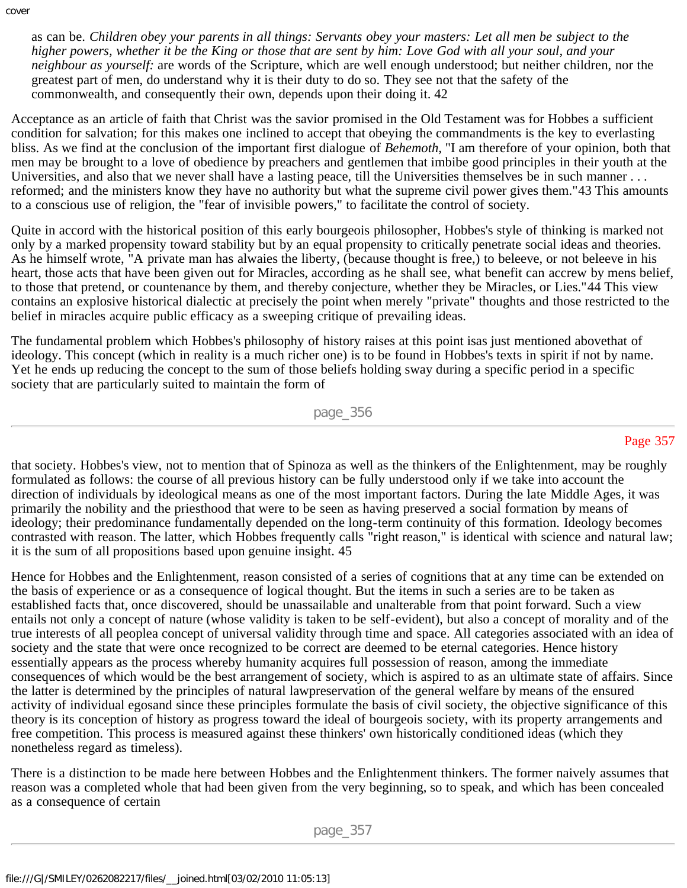as can be. *Children obey your parents in all things: Servants obey your masters: Let all men be subject to the higher powers, whether it be the King or those that are sent by him: Love God with all your soul, and your neighbour as yourself:* are words of the Scripture, which are well enough understood; but neither children, nor the greatest part of men, do understand why it is their duty to do so. They see not that the safety of the commonwealth, and consequently their own, depends upon their doing it. 42

Acceptance as an article of faith that Christ was the savior promised in the Old Testament was for Hobbes a sufficient condition for salvation; for this makes one inclined to accept that obeying the commandments is the key to everlasting bliss. As we find at the conclusion of the important first dialogue of *Behemoth,* "I am therefore of your opinion, both that men may be brought to a love of obedience by preachers and gentlemen that imbibe good principles in their youth at the Universities, and also that we never shall have a lasting peace, till the Universities themselves be in such manner ... reformed; and the ministers know they have no authority but what the supreme civil power gives them."43 This amounts to a conscious use of religion, the "fear of invisible powers," to facilitate the control of society.

Quite in accord with the historical position of this early bourgeois philosopher, Hobbes's style of thinking is marked not only by a marked propensity toward stability but by an equal propensity to critically penetrate social ideas and theories. As he himself wrote, "A private man has alwaies the liberty, (because thought is free,) to beleeve, or not beleeve in his heart, those acts that have been given out for Miracles, according as he shall see, what benefit can accrew by mens belief, to those that pretend, or countenance by them, and thereby conjecture, whether they be Miracles, or Lies."44 This view contains an explosive historical dialectic at precisely the point when merely "private" thoughts and those restricted to the belief in miracles acquire public efficacy as a sweeping critique of prevailing ideas.

The fundamental problem which Hobbes's philosophy of history raises at this point isas just mentioned abovethat of ideology. This concept (which in reality is a much richer one) is to be found in Hobbes's texts in spirit if not by name. Yet he ends up reducing the concept to the sum of those beliefs holding sway during a specific period in a specific society that are particularly suited to maintain the form of

page\_356

Page 357

that society. Hobbes's view, not to mention that of Spinoza as well as the thinkers of the Enlightenment, may be roughly formulated as follows: the course of all previous history can be fully understood only if we take into account the direction of individuals by ideological means as one of the most important factors. During the late Middle Ages, it was primarily the nobility and the priesthood that were to be seen as having preserved a social formation by means of ideology; their predominance fundamentally depended on the long-term continuity of this formation. Ideology becomes contrasted with reason. The latter, which Hobbes frequently calls "right reason," is identical with science and natural law; it is the sum of all propositions based upon genuine insight. 45

Hence for Hobbes and the Enlightenment, reason consisted of a series of cognitions that at any time can be extended on the basis of experience or as a consequence of logical thought. But the items in such a series are to be taken as established facts that, once discovered, should be unassailable and unalterable from that point forward. Such a view entails not only a concept of nature (whose validity is taken to be self-evident), but also a concept of morality and of the true interests of all peoplea concept of universal validity through time and space. All categories associated with an idea of society and the state that were once recognized to be correct are deemed to be eternal categories. Hence history essentially appears as the process whereby humanity acquires full possession of reason, among the immediate consequences of which would be the best arrangement of society, which is aspired to as an ultimate state of affairs. Since the latter is determined by the principles of natural lawpreservation of the general welfare by means of the ensured activity of individual egosand since these principles formulate the basis of civil society, the objective significance of this theory is its conception of history as progress toward the ideal of bourgeois society, with its property arrangements and free competition. This process is measured against these thinkers' own historically conditioned ideas (which they nonetheless regard as timeless).

There is a distinction to be made here between Hobbes and the Enlightenment thinkers. The former naively assumes that reason was a completed whole that had been given from the very beginning, so to speak, and which has been concealed as a consequence of certain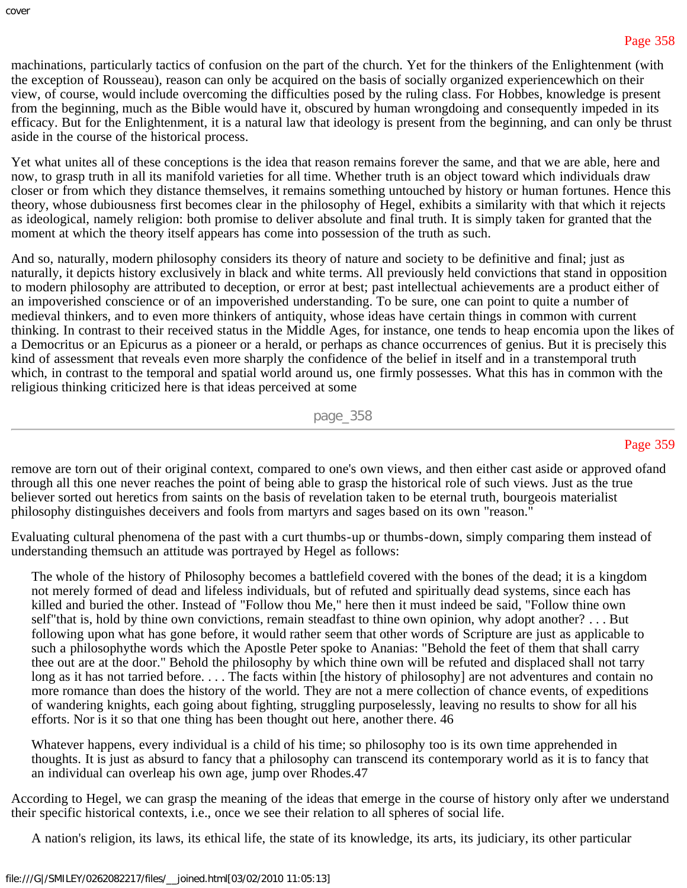machinations, particularly tactics of confusion on the part of the church. Yet for the thinkers of the Enlightenment (with the exception of Rousseau), reason can only be acquired on the basis of socially organized experiencewhich on their view, of course, would include overcoming the difficulties posed by the ruling class. For Hobbes, knowledge is present from the beginning, much as the Bible would have it, obscured by human wrongdoing and consequently impeded in its efficacy. But for the Enlightenment, it is a natural law that ideology is present from the beginning, and can only be thrust aside in the course of the historical process.

Yet what unites all of these conceptions is the idea that reason remains forever the same, and that we are able, here and now, to grasp truth in all its manifold varieties for all time. Whether truth is an object toward which individuals draw closer or from which they distance themselves, it remains something untouched by history or human fortunes. Hence this theory, whose dubiousness first becomes clear in the philosophy of Hegel, exhibits a similarity with that which it rejects as ideological, namely religion: both promise to deliver absolute and final truth. It is simply taken for granted that the moment at which the theory itself appears has come into possession of the truth as such.

And so, naturally, modern philosophy considers its theory of nature and society to be definitive and final; just as naturally, it depicts history exclusively in black and white terms. All previously held convictions that stand in opposition to modern philosophy are attributed to deception, or error at best; past intellectual achievements are a product either of an impoverished conscience or of an impoverished understanding. To be sure, one can point to quite a number of medieval thinkers, and to even more thinkers of antiquity, whose ideas have certain things in common with current thinking. In contrast to their received status in the Middle Ages, for instance, one tends to heap encomia upon the likes of a Democritus or an Epicurus as a pioneer or a herald, or perhaps as chance occurrences of genius. But it is precisely this kind of assessment that reveals even more sharply the confidence of the belief in itself and in a transtemporal truth which, in contrast to the temporal and spatial world around us, one firmly possesses. What this has in common with the religious thinking criticized here is that ideas perceived at some

page\_358

Page 359

remove are torn out of their original context, compared to one's own views, and then either cast aside or approved ofand through all this one never reaches the point of being able to grasp the historical role of such views. Just as the true believer sorted out heretics from saints on the basis of revelation taken to be eternal truth, bourgeois materialist philosophy distinguishes deceivers and fools from martyrs and sages based on its own "reason."

Evaluating cultural phenomena of the past with a curt thumbs-up or thumbs-down, simply comparing them instead of understanding themsuch an attitude was portrayed by Hegel as follows:

The whole of the history of Philosophy becomes a battlefield covered with the bones of the dead; it is a kingdom not merely formed of dead and lifeless individuals, but of refuted and spiritually dead systems, since each has killed and buried the other. Instead of "Follow thou Me," here then it must indeed be said, "Follow thine own self"that is, hold by thine own convictions, remain steadfast to thine own opinion, why adopt another? . . . But following upon what has gone before, it would rather seem that other words of Scripture are just as applicable to such a philosophythe words which the Apostle Peter spoke to Ananias: "Behold the feet of them that shall carry thee out are at the door." Behold the philosophy by which thine own will be refuted and displaced shall not tarry long as it has not tarried before.... The facts within [the history of philosophy] are not adventures and contain no more romance than does the history of the world. They are not a mere collection of chance events, of expeditions of wandering knights, each going about fighting, struggling purposelessly, leaving no results to show for all his efforts. Nor is it so that one thing has been thought out here, another there. 46

Whatever happens, every individual is a child of his time; so philosophy too is its own time apprehended in thoughts. It is just as absurd to fancy that a philosophy can transcend its contemporary world as it is to fancy that an individual can overleap his own age, jump over Rhodes.47

According to Hegel, we can grasp the meaning of the ideas that emerge in the course of history only after we understand their specific historical contexts, i.e., once we see their relation to all spheres of social life.

A nation's religion, its laws, its ethical life, the state of its knowledge, its arts, its judiciary, its other particular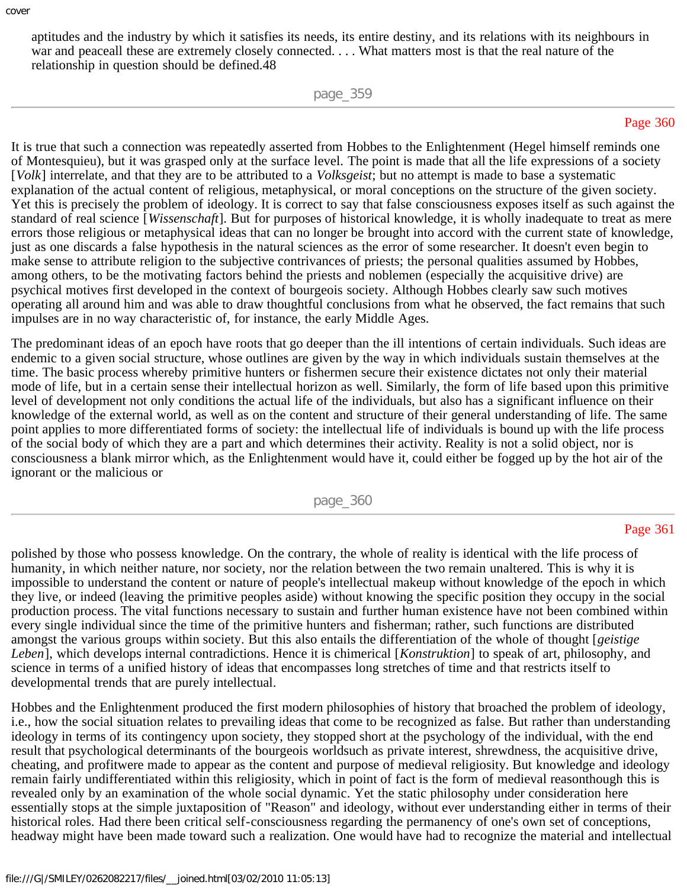aptitudes and the industry by which it satisfies its needs, its entire destiny, and its relations with its neighbours in war and peaceall these are extremely closely connected. . . . What matters most is that the real nature of the relationship in question should be defined.48

# Page 360

It is true that such a connection was repeatedly asserted from Hobbes to the Enlightenment (Hegel himself reminds one of Montesquieu), but it was grasped only at the surface level. The point is made that all the life expressions of a society [*Volk*] interrelate, and that they are to be attributed to a *Volksgeist*; but no attempt is made to base a systematic explanation of the actual content of religious, metaphysical, or moral conceptions on the structure of the given society. Yet this is precisely the problem of ideology. It is correct to say that false consciousness exposes itself as such against the standard of real science [*Wissenschaft*]. But for purposes of historical knowledge, it is wholly inadequate to treat as mere errors those religious or metaphysical ideas that can no longer be brought into accord with the current state of knowledge, just as one discards a false hypothesis in the natural sciences as the error of some researcher. It doesn't even begin to make sense to attribute religion to the subjective contrivances of priests; the personal qualities assumed by Hobbes, among others, to be the motivating factors behind the priests and noblemen (especially the acquisitive drive) are psychical motives first developed in the context of bourgeois society. Although Hobbes clearly saw such motives operating all around him and was able to draw thoughtful conclusions from what he observed, the fact remains that such impulses are in no way characteristic of, for instance, the early Middle Ages.

The predominant ideas of an epoch have roots that go deeper than the ill intentions of certain individuals. Such ideas are endemic to a given social structure, whose outlines are given by the way in which individuals sustain themselves at the time. The basic process whereby primitive hunters or fishermen secure their existence dictates not only their material mode of life, but in a certain sense their intellectual horizon as well. Similarly, the form of life based upon this primitive level of development not only conditions the actual life of the individuals, but also has a significant influence on their knowledge of the external world, as well as on the content and structure of their general understanding of life. The same point applies to more differentiated forms of society: the intellectual life of individuals is bound up with the life process of the social body of which they are a part and which determines their activity. Reality is not a solid object, nor is consciousness a blank mirror which, as the Enlightenment would have it, could either be fogged up by the hot air of the ignorant or the malicious or

page\_360

# Page 361

polished by those who possess knowledge. On the contrary, the whole of reality is identical with the life process of humanity, in which neither nature, nor society, nor the relation between the two remain unaltered. This is why it is impossible to understand the content or nature of people's intellectual makeup without knowledge of the epoch in which they live, or indeed (leaving the primitive peoples aside) without knowing the specific position they occupy in the social production process. The vital functions necessary to sustain and further human existence have not been combined within every single individual since the time of the primitive hunters and fisherman; rather, such functions are distributed amongst the various groups within society. But this also entails the differentiation of the whole of thought [*geistige Leben*], which develops internal contradictions. Hence it is chimerical [*Konstruktion*] to speak of art, philosophy, and science in terms of a unified history of ideas that encompasses long stretches of time and that restricts itself to developmental trends that are purely intellectual.

Hobbes and the Enlightenment produced the first modern philosophies of history that broached the problem of ideology, i.e., how the social situation relates to prevailing ideas that come to be recognized as false. But rather than understanding ideology in terms of its contingency upon society, they stopped short at the psychology of the individual, with the end result that psychological determinants of the bourgeois worldsuch as private interest, shrewdness, the acquisitive drive, cheating, and profitwere made to appear as the content and purpose of medieval religiosity. But knowledge and ideology remain fairly undifferentiated within this religiosity, which in point of fact is the form of medieval reasonthough this is revealed only by an examination of the whole social dynamic. Yet the static philosophy under consideration here essentially stops at the simple juxtaposition of "Reason" and ideology, without ever understanding either in terms of their historical roles. Had there been critical self-consciousness regarding the permanency of one's own set of conceptions, headway might have been made toward such a realization. One would have had to recognize the material and intellectual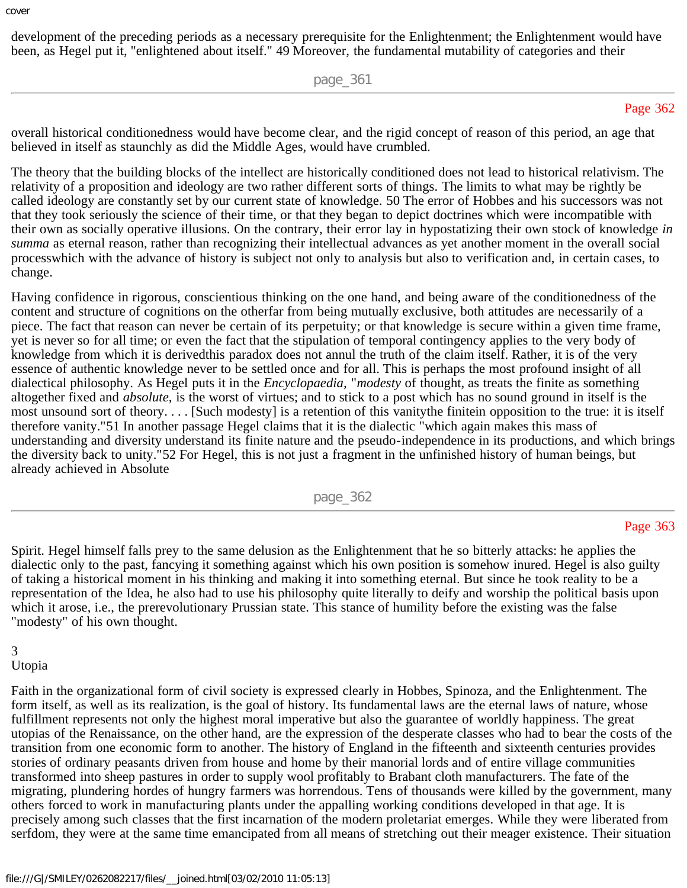development of the preceding periods as a necessary prerequisite for the Enlightenment; the Enlightenment would have been, as Hegel put it, "enlightened about itself." 49 Moreover, the fundamental mutability of categories and their

### Page 362

overall historical conditionedness would have become clear, and the rigid concept of reason of this period, an age that believed in itself as staunchly as did the Middle Ages, would have crumbled.

The theory that the building blocks of the intellect are historically conditioned does not lead to historical relativism. The relativity of a proposition and ideology are two rather different sorts of things. The limits to what may be rightly be called ideology are constantly set by our current state of knowledge. 50 The error of Hobbes and his successors was not that they took seriously the science of their time, or that they began to depict doctrines which were incompatible with their own as socially operative illusions. On the contrary, their error lay in hypostatizing their own stock of knowledge *in summa* as eternal reason, rather than recognizing their intellectual advances as yet another moment in the overall social processwhich with the advance of history is subject not only to analysis but also to verification and, in certain cases, to change.

Having confidence in rigorous, conscientious thinking on the one hand, and being aware of the conditionedness of the content and structure of cognitions on the otherfar from being mutually exclusive, both attitudes are necessarily of a piece. The fact that reason can never be certain of its perpetuity; or that knowledge is secure within a given time frame, yet is never so for all time; or even the fact that the stipulation of temporal contingency applies to the very body of knowledge from which it is derivedthis paradox does not annul the truth of the claim itself. Rather, it is of the very essence of authentic knowledge never to be settled once and for all. This is perhaps the most profound insight of all dialectical philosophy. As Hegel puts it in the *Encyclopaedia,* "*modesty* of thought, as treats the finite as something altogether fixed and *absolute,* is the worst of virtues; and to stick to a post which has no sound ground in itself is the most unsound sort of theory. . . . [Such modesty] is a retention of this vanitythe finitein opposition to the true: it is itself therefore vanity."51 In another passage Hegel claims that it is the dialectic "which again makes this mass of understanding and diversity understand its finite nature and the pseudo-independence in its productions, and which brings the diversity back to unity."52 For Hegel, this is not just a fragment in the unfinished history of human beings, but already achieved in Absolute

page\_362

### Page 363

Spirit. Hegel himself falls prey to the same delusion as the Enlightenment that he so bitterly attacks: he applies the dialectic only to the past, fancying it something against which his own position is somehow inured. Hegel is also guilty of taking a historical moment in his thinking and making it into something eternal. But since he took reality to be a representation of the Idea, he also had to use his philosophy quite literally to deify and worship the political basis upon which it arose, i.e., the prerevolutionary Prussian state. This stance of humility before the existing was the false "modesty" of his own thought.

# 3

Utopia

Faith in the organizational form of civil society is expressed clearly in Hobbes, Spinoza, and the Enlightenment. The form itself, as well as its realization, is the goal of history. Its fundamental laws are the eternal laws of nature, whose fulfillment represents not only the highest moral imperative but also the guarantee of worldly happiness. The great utopias of the Renaissance, on the other hand, are the expression of the desperate classes who had to bear the costs of the transition from one economic form to another. The history of England in the fifteenth and sixteenth centuries provides stories of ordinary peasants driven from house and home by their manorial lords and of entire village communities transformed into sheep pastures in order to supply wool profitably to Brabant cloth manufacturers. The fate of the migrating, plundering hordes of hungry farmers was horrendous. Tens of thousands were killed by the government, many others forced to work in manufacturing plants under the appalling working conditions developed in that age. It is precisely among such classes that the first incarnation of the modern proletariat emerges. While they were liberated from serfdom, they were at the same time emancipated from all means of stretching out their meager existence. Their situation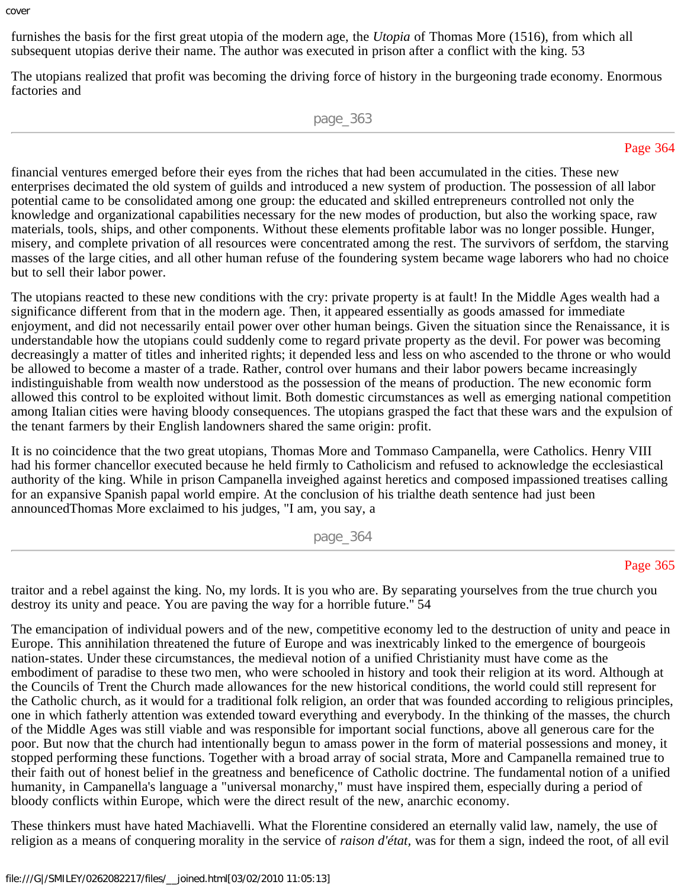furnishes the basis for the first great utopia of the modern age, the *Utopia* of Thomas More (1516), from which all subsequent utopias derive their name. The author was executed in prison after a conflict with the king. 53

The utopians realized that profit was becoming the driving force of history in the burgeoning trade economy. Enormous factories and

### Page 364

financial ventures emerged before their eyes from the riches that had been accumulated in the cities. These new enterprises decimated the old system of guilds and introduced a new system of production. The possession of all labor potential came to be consolidated among one group: the educated and skilled entrepreneurs controlled not only the knowledge and organizational capabilities necessary for the new modes of production, but also the working space, raw materials, tools, ships, and other components. Without these elements profitable labor was no longer possible. Hunger, misery, and complete privation of all resources were concentrated among the rest. The survivors of serfdom, the starving masses of the large cities, and all other human refuse of the foundering system became wage laborers who had no choice but to sell their labor power.

The utopians reacted to these new conditions with the cry: private property is at fault! In the Middle Ages wealth had a significance different from that in the modern age. Then, it appeared essentially as goods amassed for immediate enjoyment, and did not necessarily entail power over other human beings. Given the situation since the Renaissance, it is understandable how the utopians could suddenly come to regard private property as the devil. For power was becoming decreasingly a matter of titles and inherited rights; it depended less and less on who ascended to the throne or who would be allowed to become a master of a trade. Rather, control over humans and their labor powers became increasingly indistinguishable from wealth now understood as the possession of the means of production. The new economic form allowed this control to be exploited without limit. Both domestic circumstances as well as emerging national competition among Italian cities were having bloody consequences. The utopians grasped the fact that these wars and the expulsion of the tenant farmers by their English landowners shared the same origin: profit.

It is no coincidence that the two great utopians, Thomas More and Tommaso Campanella, were Catholics. Henry VIII had his former chancellor executed because he held firmly to Catholicism and refused to acknowledge the ecclesiastical authority of the king. While in prison Campanella inveighed against heretics and composed impassioned treatises calling for an expansive Spanish papal world empire. At the conclusion of his trialthe death sentence had just been announcedThomas More exclaimed to his judges, "I am, you say, a

page\_364

#### Page 365

traitor and a rebel against the king. No, my lords. It is you who are. By separating yourselves from the true church you destroy its unity and peace. You are paving the way for a horrible future.'' 54

The emancipation of individual powers and of the new, competitive economy led to the destruction of unity and peace in Europe. This annihilation threatened the future of Europe and was inextricably linked to the emergence of bourgeois nation-states. Under these circumstances, the medieval notion of a unified Christianity must have come as the embodiment of paradise to these two men, who were schooled in history and took their religion at its word. Although at the Councils of Trent the Church made allowances for the new historical conditions, the world could still represent for the Catholic church, as it would for a traditional folk religion, an order that was founded according to religious principles, one in which fatherly attention was extended toward everything and everybody. In the thinking of the masses, the church of the Middle Ages was still viable and was responsible for important social functions, above all generous care for the poor. But now that the church had intentionally begun to amass power in the form of material possessions and money, it stopped performing these functions. Together with a broad array of social strata, More and Campanella remained true to their faith out of honest belief in the greatness and beneficence of Catholic doctrine. The fundamental notion of a unified humanity, in Campanella's language a "universal monarchy," must have inspired them, especially during a period of bloody conflicts within Europe, which were the direct result of the new, anarchic economy.

These thinkers must have hated Machiavelli. What the Florentine considered an eternally valid law, namely, the use of religion as a means of conquering morality in the service of *raison d'état,* was for them a sign, indeed the root, of all evil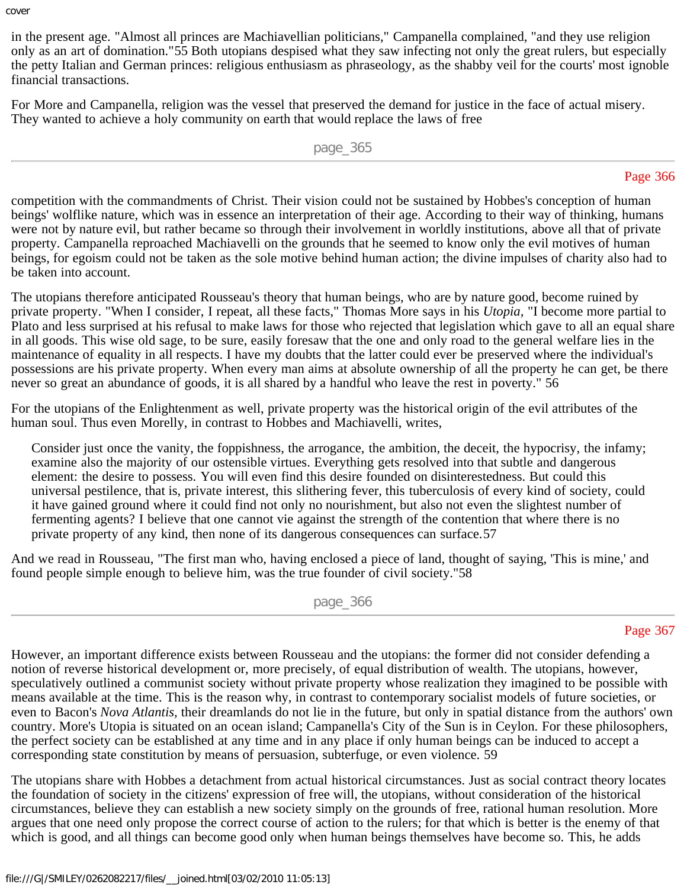in the present age. "Almost all princes are Machiavellian politicians," Campanella complained, "and they use religion only as an art of domination."55 Both utopians despised what they saw infecting not only the great rulers, but especially the petty Italian and German princes: religious enthusiasm as phraseology, as the shabby veil for the courts' most ignoble financial transactions.

For More and Campanella, religion was the vessel that preserved the demand for justice in the face of actual misery. They wanted to achieve a holy community on earth that would replace the laws of free

page\_365

### Page 366

competition with the commandments of Christ. Their vision could not be sustained by Hobbes's conception of human beings' wolflike nature, which was in essence an interpretation of their age. According to their way of thinking, humans were not by nature evil, but rather became so through their involvement in worldly institutions, above all that of private property. Campanella reproached Machiavelli on the grounds that he seemed to know only the evil motives of human beings, for egoism could not be taken as the sole motive behind human action; the divine impulses of charity also had to be taken into account.

The utopians therefore anticipated Rousseau's theory that human beings, who are by nature good, become ruined by private property. "When I consider, I repeat, all these facts," Thomas More says in his *Utopia,* "I become more partial to Plato and less surprised at his refusal to make laws for those who rejected that legislation which gave to all an equal share in all goods. This wise old sage, to be sure, easily foresaw that the one and only road to the general welfare lies in the maintenance of equality in all respects. I have my doubts that the latter could ever be preserved where the individual's possessions are his private property. When every man aims at absolute ownership of all the property he can get, be there never so great an abundance of goods, it is all shared by a handful who leave the rest in poverty." 56

For the utopians of the Enlightenment as well, private property was the historical origin of the evil attributes of the human soul. Thus even Morelly, in contrast to Hobbes and Machiavelli, writes,

Consider just once the vanity, the foppishness, the arrogance, the ambition, the deceit, the hypocrisy, the infamy; examine also the majority of our ostensible virtues. Everything gets resolved into that subtle and dangerous element: the desire to possess. You will even find this desire founded on disinterestedness. But could this universal pestilence, that is, private interest, this slithering fever, this tuberculosis of every kind of society, could it have gained ground where it could find not only no nourishment, but also not even the slightest number of fermenting agents? I believe that one cannot vie against the strength of the contention that where there is no private property of any kind, then none of its dangerous consequences can surface.57

And we read in Rousseau, "The first man who, having enclosed a piece of land, thought of saying, 'This is mine,' and found people simple enough to believe him, was the true founder of civil society."58

page\_366

#### Page 367

However, an important difference exists between Rousseau and the utopians: the former did not consider defending a notion of reverse historical development or, more precisely, of equal distribution of wealth. The utopians, however, speculatively outlined a communist society without private property whose realization they imagined to be possible with means available at the time. This is the reason why, in contrast to contemporary socialist models of future societies, or even to Bacon's *Nova Atlantis,* their dreamlands do not lie in the future, but only in spatial distance from the authors' own country. More's Utopia is situated on an ocean island; Campanella's City of the Sun is in Ceylon. For these philosophers, the perfect society can be established at any time and in any place if only human beings can be induced to accept a corresponding state constitution by means of persuasion, subterfuge, or even violence. 59

The utopians share with Hobbes a detachment from actual historical circumstances. Just as social contract theory locates the foundation of society in the citizens' expression of free will, the utopians, without consideration of the historical circumstances, believe they can establish a new society simply on the grounds of free, rational human resolution. More argues that one need only propose the correct course of action to the rulers; for that which is better is the enemy of that which is good, and all things can become good only when human beings themselves have become so. This, he adds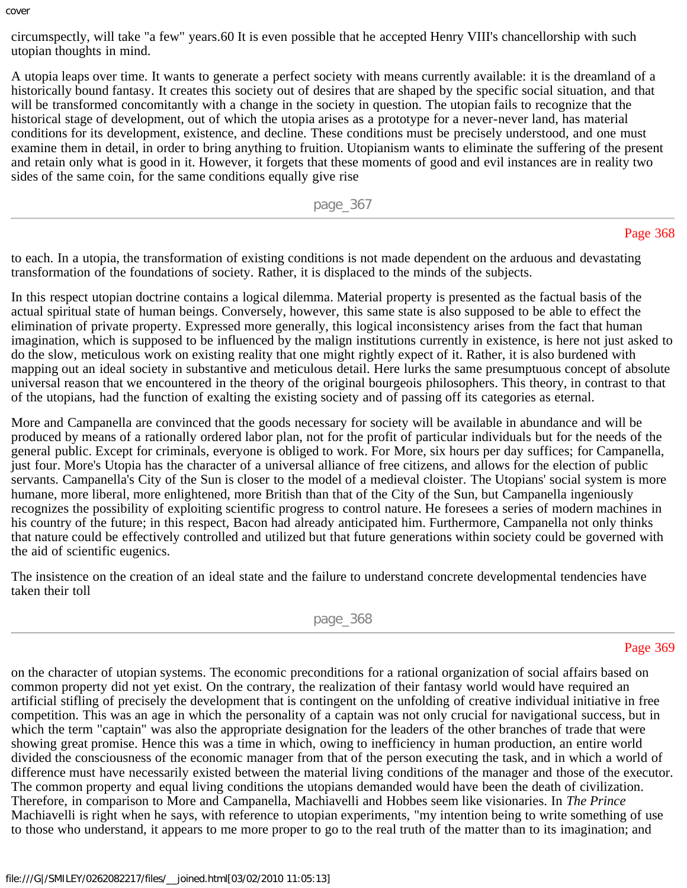circumspectly, will take "a few" years.60 It is even possible that he accepted Henry VIII's chancellorship with such utopian thoughts in mind.

A utopia leaps over time. It wants to generate a perfect society with means currently available: it is the dreamland of a historically bound fantasy. It creates this society out of desires that are shaped by the specific social situation, and that will be transformed concomitantly with a change in the society in question. The utopian fails to recognize that the historical stage of development, out of which the utopia arises as a prototype for a never-never land, has material conditions for its development, existence, and decline. These conditions must be precisely understood, and one must examine them in detail, in order to bring anything to fruition. Utopianism wants to eliminate the suffering of the present and retain only what is good in it. However, it forgets that these moments of good and evil instances are in reality two sides of the same coin, for the same conditions equally give rise

page\_367

#### Page 368

to each. In a utopia, the transformation of existing conditions is not made dependent on the arduous and devastating transformation of the foundations of society. Rather, it is displaced to the minds of the subjects.

In this respect utopian doctrine contains a logical dilemma. Material property is presented as the factual basis of the actual spiritual state of human beings. Conversely, however, this same state is also supposed to be able to effect the elimination of private property. Expressed more generally, this logical inconsistency arises from the fact that human imagination, which is supposed to be influenced by the malign institutions currently in existence, is here not just asked to do the slow, meticulous work on existing reality that one might rightly expect of it. Rather, it is also burdened with mapping out an ideal society in substantive and meticulous detail. Here lurks the same presumptuous concept of absolute universal reason that we encountered in the theory of the original bourgeois philosophers. This theory, in contrast to that of the utopians, had the function of exalting the existing society and of passing off its categories as eternal.

More and Campanella are convinced that the goods necessary for society will be available in abundance and will be produced by means of a rationally ordered labor plan, not for the profit of particular individuals but for the needs of the general public. Except for criminals, everyone is obliged to work. For More, six hours per day suffices; for Campanella, just four. More's Utopia has the character of a universal alliance of free citizens, and allows for the election of public servants. Campanella's City of the Sun is closer to the model of a medieval cloister. The Utopians' social system is more humane, more liberal, more enlightened, more British than that of the City of the Sun, but Campanella ingeniously recognizes the possibility of exploiting scientific progress to control nature. He foresees a series of modern machines in his country of the future; in this respect, Bacon had already anticipated him. Furthermore, Campanella not only thinks that nature could be effectively controlled and utilized but that future generations within society could be governed with the aid of scientific eugenics.

The insistence on the creation of an ideal state and the failure to understand concrete developmental tendencies have taken their toll

page\_368

## Page 369

on the character of utopian systems. The economic preconditions for a rational organization of social affairs based on common property did not yet exist. On the contrary, the realization of their fantasy world would have required an artificial stifling of precisely the development that is contingent on the unfolding of creative individual initiative in free competition. This was an age in which the personality of a captain was not only crucial for navigational success, but in which the term "captain" was also the appropriate designation for the leaders of the other branches of trade that were showing great promise. Hence this was a time in which, owing to inefficiency in human production, an entire world divided the consciousness of the economic manager from that of the person executing the task, and in which a world of difference must have necessarily existed between the material living conditions of the manager and those of the executor. The common property and equal living conditions the utopians demanded would have been the death of civilization. Therefore, in comparison to More and Campanella, Machiavelli and Hobbes seem like visionaries. In *The Prince* Machiavelli is right when he says, with reference to utopian experiments, "my intention being to write something of use to those who understand, it appears to me more proper to go to the real truth of the matter than to its imagination; and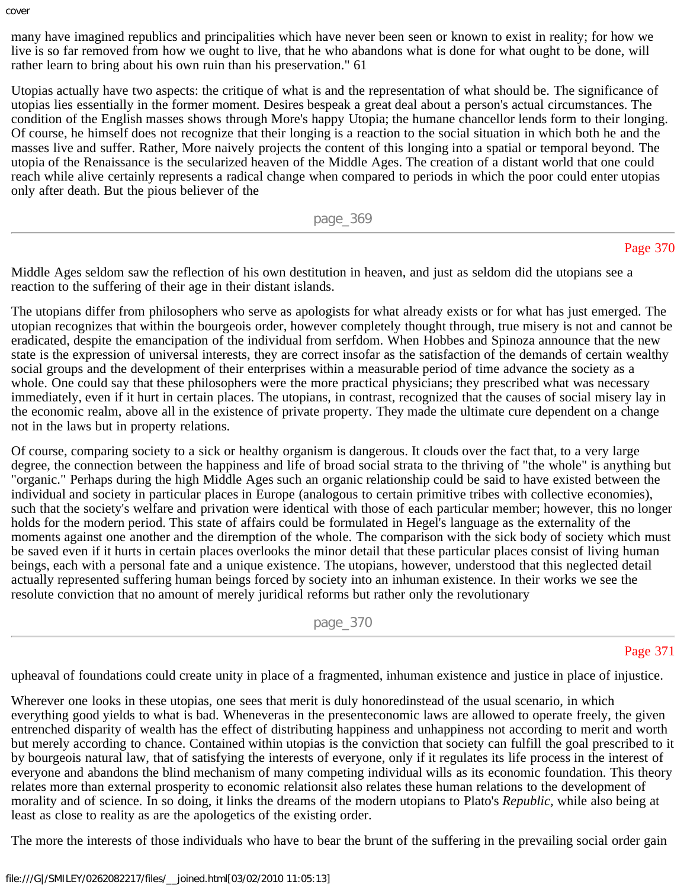many have imagined republics and principalities which have never been seen or known to exist in reality; for how we live is so far removed from how we ought to live, that he who abandons what is done for what ought to be done, will rather learn to bring about his own ruin than his preservation." 61

Utopias actually have two aspects: the critique of what is and the representation of what should be. The significance of utopias lies essentially in the former moment. Desires bespeak a great deal about a person's actual circumstances. The condition of the English masses shows through More's happy Utopia; the humane chancellor lends form to their longing. Of course, he himself does not recognize that their longing is a reaction to the social situation in which both he and the masses live and suffer. Rather, More naively projects the content of this longing into a spatial or temporal beyond. The utopia of the Renaissance is the secularized heaven of the Middle Ages. The creation of a distant world that one could reach while alive certainly represents a radical change when compared to periods in which the poor could enter utopias only after death. But the pious believer of the

page\_369

Page 370

Middle Ages seldom saw the reflection of his own destitution in heaven, and just as seldom did the utopians see a reaction to the suffering of their age in their distant islands.

The utopians differ from philosophers who serve as apologists for what already exists or for what has just emerged. The utopian recognizes that within the bourgeois order, however completely thought through, true misery is not and cannot be eradicated, despite the emancipation of the individual from serfdom. When Hobbes and Spinoza announce that the new state is the expression of universal interests, they are correct insofar as the satisfaction of the demands of certain wealthy social groups and the development of their enterprises within a measurable period of time advance the society as a whole. One could say that these philosophers were the more practical physicians; they prescribed what was necessary immediately, even if it hurt in certain places. The utopians, in contrast, recognized that the causes of social misery lay in the economic realm, above all in the existence of private property. They made the ultimate cure dependent on a change not in the laws but in property relations.

Of course, comparing society to a sick or healthy organism is dangerous. It clouds over the fact that, to a very large degree, the connection between the happiness and life of broad social strata to the thriving of "the whole" is anything but "organic." Perhaps during the high Middle Ages such an organic relationship could be said to have existed between the individual and society in particular places in Europe (analogous to certain primitive tribes with collective economies), such that the society's welfare and privation were identical with those of each particular member; however, this no longer holds for the modern period. This state of affairs could be formulated in Hegel's language as the externality of the moments against one another and the diremption of the whole. The comparison with the sick body of society which must be saved even if it hurts in certain places overlooks the minor detail that these particular places consist of living human beings, each with a personal fate and a unique existence. The utopians, however, understood that this neglected detail actually represented suffering human beings forced by society into an inhuman existence. In their works we see the resolute conviction that no amount of merely juridical reforms but rather only the revolutionary

page\_370

Page 371

upheaval of foundations could create unity in place of a fragmented, inhuman existence and justice in place of injustice.

Wherever one looks in these utopias, one sees that merit is duly honoredinstead of the usual scenario, in which everything good yields to what is bad. Wheneveras in the presenteconomic laws are allowed to operate freely, the given entrenched disparity of wealth has the effect of distributing happiness and unhappiness not according to merit and worth but merely according to chance. Contained within utopias is the conviction that society can fulfill the goal prescribed to it by bourgeois natural law, that of satisfying the interests of everyone, only if it regulates its life process in the interest of everyone and abandons the blind mechanism of many competing individual wills as its economic foundation. This theory relates more than external prosperity to economic relationsit also relates these human relations to the development of morality and of science. In so doing, it links the dreams of the modern utopians to Plato's *Republic,* while also being at least as close to reality as are the apologetics of the existing order.

The more the interests of those individuals who have to bear the brunt of the suffering in the prevailing social order gain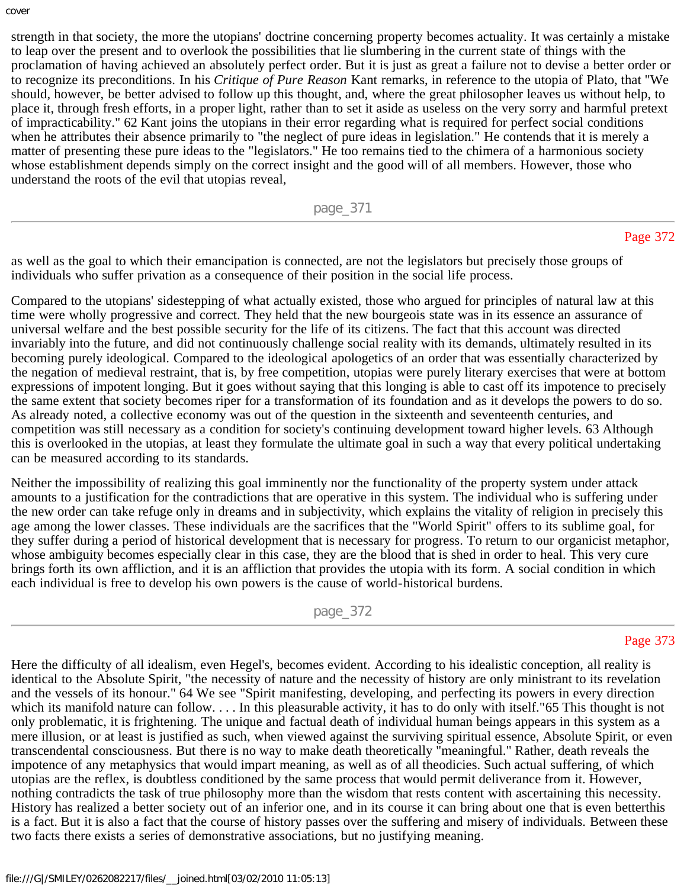strength in that society, the more the utopians' doctrine concerning property becomes actuality. It was certainly a mistake to leap over the present and to overlook the possibilities that lie slumbering in the current state of things with the proclamation of having achieved an absolutely perfect order. But it is just as great a failure not to devise a better order or to recognize its preconditions. In his *Critique of Pure Reason* Kant remarks, in reference to the utopia of Plato, that "We should, however, be better advised to follow up this thought, and, where the great philosopher leaves us without help, to place it, through fresh efforts, in a proper light, rather than to set it aside as useless on the very sorry and harmful pretext of impracticability." 62 Kant joins the utopians in their error regarding what is required for perfect social conditions when he attributes their absence primarily to "the neglect of pure ideas in legislation." He contends that it is merely a matter of presenting these pure ideas to the "legislators." He too remains tied to the chimera of a harmonious society whose establishment depends simply on the correct insight and the good will of all members. However, those who understand the roots of the evil that utopias reveal,

page\_371

### Page 372

as well as the goal to which their emancipation is connected, are not the legislators but precisely those groups of individuals who suffer privation as a consequence of their position in the social life process.

Compared to the utopians' sidestepping of what actually existed, those who argued for principles of natural law at this time were wholly progressive and correct. They held that the new bourgeois state was in its essence an assurance of universal welfare and the best possible security for the life of its citizens. The fact that this account was directed invariably into the future, and did not continuously challenge social reality with its demands, ultimately resulted in its becoming purely ideological. Compared to the ideological apologetics of an order that was essentially characterized by the negation of medieval restraint, that is, by free competition, utopias were purely literary exercises that were at bottom expressions of impotent longing. But it goes without saying that this longing is able to cast off its impotence to precisely the same extent that society becomes riper for a transformation of its foundation and as it develops the powers to do so. As already noted, a collective economy was out of the question in the sixteenth and seventeenth centuries, and competition was still necessary as a condition for society's continuing development toward higher levels. 63 Although this is overlooked in the utopias, at least they formulate the ultimate goal in such a way that every political undertaking can be measured according to its standards.

Neither the impossibility of realizing this goal imminently nor the functionality of the property system under attack amounts to a justification for the contradictions that are operative in this system. The individual who is suffering under the new order can take refuge only in dreams and in subjectivity, which explains the vitality of religion in precisely this age among the lower classes. These individuals are the sacrifices that the "World Spirit" offers to its sublime goal, for they suffer during a period of historical development that is necessary for progress. To return to our organicist metaphor, whose ambiguity becomes especially clear in this case, they are the blood that is shed in order to heal. This very cure brings forth its own affliction, and it is an affliction that provides the utopia with its form. A social condition in which each individual is free to develop his own powers is the cause of world-historical burdens.

page\_372

### Page 373

Here the difficulty of all idealism, even Hegel's, becomes evident. According to his idealistic conception, all reality is identical to the Absolute Spirit, "the necessity of nature and the necessity of history are only ministrant to its revelation and the vessels of its honour." 64 We see "Spirit manifesting, developing, and perfecting its powers in every direction which its manifold nature can follow. . . . In this pleasurable activity, it has to do only with itself."65 This thought is not only problematic, it is frightening. The unique and factual death of individual human beings appears in this system as a mere illusion, or at least is justified as such, when viewed against the surviving spiritual essence, Absolute Spirit, or even transcendental consciousness. But there is no way to make death theoretically "meaningful." Rather, death reveals the impotence of any metaphysics that would impart meaning, as well as of all theodicies. Such actual suffering, of which utopias are the reflex, is doubtless conditioned by the same process that would permit deliverance from it. However, nothing contradicts the task of true philosophy more than the wisdom that rests content with ascertaining this necessity. History has realized a better society out of an inferior one, and in its course it can bring about one that is even betterthis is a fact. But it is also a fact that the course of history passes over the suffering and misery of individuals. Between these two facts there exists a series of demonstrative associations, but no justifying meaning.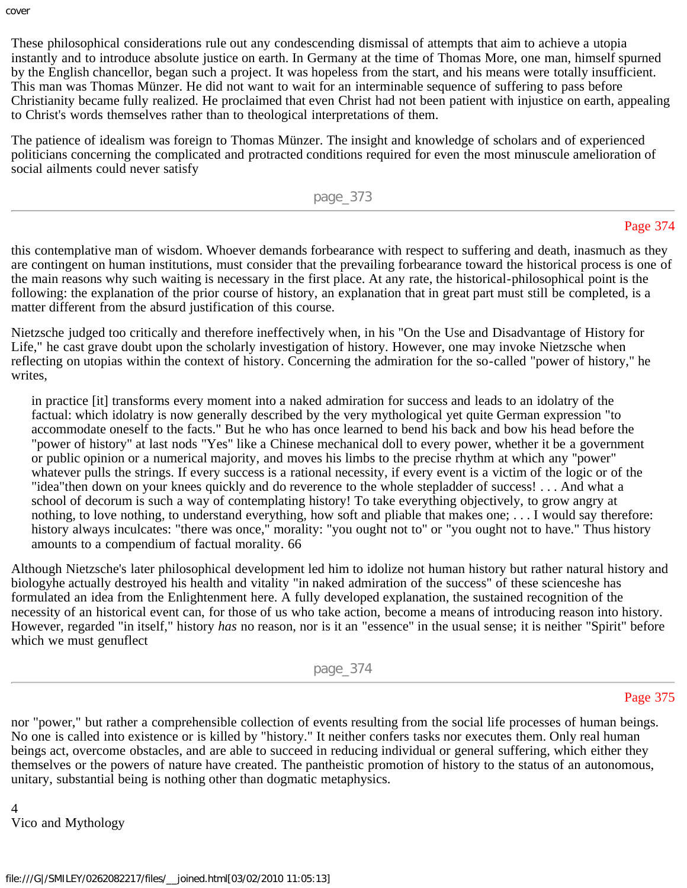These philosophical considerations rule out any condescending dismissal of attempts that aim to achieve a utopia instantly and to introduce absolute justice on earth. In Germany at the time of Thomas More, one man, himself spurned by the English chancellor, began such a project. It was hopeless from the start, and his means were totally insufficient. This man was Thomas Münzer. He did not want to wait for an interminable sequence of suffering to pass before Christianity became fully realized. He proclaimed that even Christ had not been patient with injustice on earth, appealing to Christ's words themselves rather than to theological interpretations of them.

The patience of idealism was foreign to Thomas Münzer. The insight and knowledge of scholars and of experienced politicians concerning the complicated and protracted conditions required for even the most minuscule amelioration of social ailments could never satisfy

page\_373

## Page 374

this contemplative man of wisdom. Whoever demands forbearance with respect to suffering and death, inasmuch as they are contingent on human institutions, must consider that the prevailing forbearance toward the historical process is one of the main reasons why such waiting is necessary in the first place. At any rate, the historical-philosophical point is the following: the explanation of the prior course of history, an explanation that in great part must still be completed, is a matter different from the absurd justification of this course.

Nietzsche judged too critically and therefore ineffectively when, in his "On the Use and Disadvantage of History for Life," he cast grave doubt upon the scholarly investigation of history. However, one may invoke Nietzsche when reflecting on utopias within the context of history. Concerning the admiration for the so-called "power of history," he writes,

in practice [it] transforms every moment into a naked admiration for success and leads to an idolatry of the factual: which idolatry is now generally described by the very mythological yet quite German expression "to accommodate oneself to the facts." But he who has once learned to bend his back and bow his head before the "power of history" at last nods "Yes" like a Chinese mechanical doll to every power, whether it be a government or public opinion or a numerical majority, and moves his limbs to the precise rhythm at which any ''power" whatever pulls the strings. If every success is a rational necessity, if every event is a victim of the logic or of the "idea"then down on your knees quickly and do reverence to the whole stepladder of success! . . . And what a school of decorum is such a way of contemplating history! To take everything objectively, to grow angry at nothing, to love nothing, to understand everything, how soft and pliable that makes one; . . . I would say therefore: history always inculcates: "there was once," morality: "you ought not to" or "you ought not to have." Thus history amounts to a compendium of factual morality. 66

Although Nietzsche's later philosophical development led him to idolize not human history but rather natural history and biologyhe actually destroyed his health and vitality "in naked admiration of the success" of these scienceshe has formulated an idea from the Enlightenment here. A fully developed explanation, the sustained recognition of the necessity of an historical event can, for those of us who take action, become a means of introducing reason into history. However, regarded "in itself," history *has* no reason, nor is it an "essence" in the usual sense; it is neither "Spirit" before which we must genuflect

page\_374

Page 375

nor "power," but rather a comprehensible collection of events resulting from the social life processes of human beings. No one is called into existence or is killed by "history." It neither confers tasks nor executes them. Only real human beings act, overcome obstacles, and are able to succeed in reducing individual or general suffering, which either they themselves or the powers of nature have created. The pantheistic promotion of history to the status of an autonomous, unitary, substantial being is nothing other than dogmatic metaphysics.

4 Vico and Mythology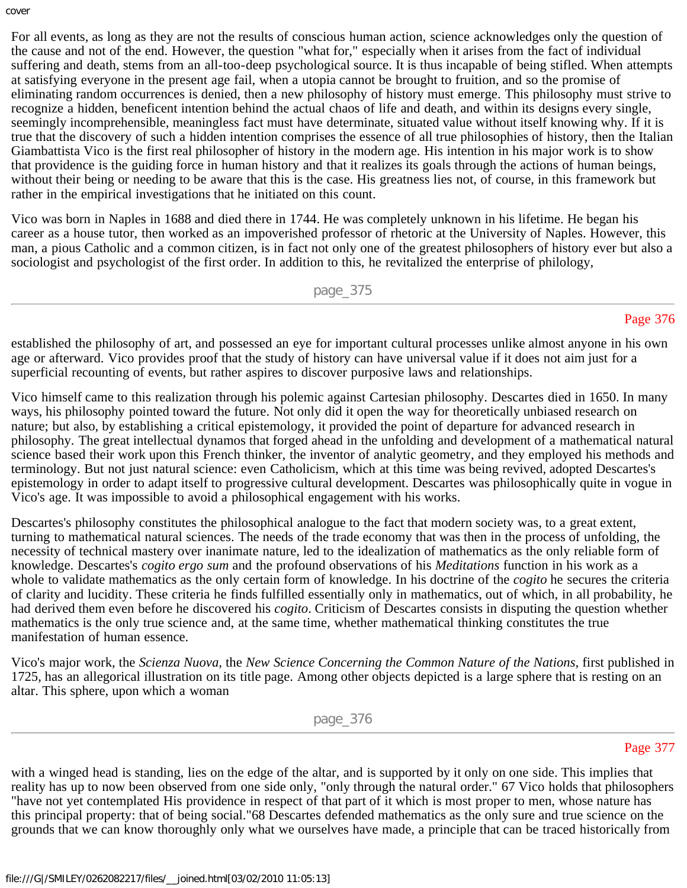For all events, as long as they are not the results of conscious human action, science acknowledges only the question of the cause and not of the end. However, the question "what for," especially when it arises from the fact of individual suffering and death, stems from an all-too-deep psychological source. It is thus incapable of being stifled. When attempts at satisfying everyone in the present age fail, when a utopia cannot be brought to fruition, and so the promise of eliminating random occurrences is denied, then a new philosophy of history must emerge. This philosophy must strive to recognize a hidden, beneficent intention behind the actual chaos of life and death, and within its designs every single, seemingly incomprehensible, meaningless fact must have determinate, situated value without itself knowing why. If it is true that the discovery of such a hidden intention comprises the essence of all true philosophies of history, then the Italian Giambattista Vico is the first real philosopher of history in the modern age. His intention in his major work is to show that providence is the guiding force in human history and that it realizes its goals through the actions of human beings, without their being or needing to be aware that this is the case. His greatness lies not, of course, in this framework but rather in the empirical investigations that he initiated on this count.

Vico was born in Naples in 1688 and died there in 1744. He was completely unknown in his lifetime. He began his career as a house tutor, then worked as an impoverished professor of rhetoric at the University of Naples. However, this man, a pious Catholic and a common citizen, is in fact not only one of the greatest philosophers of history ever but also a sociologist and psychologist of the first order. In addition to this, he revitalized the enterprise of philology,

page\_375

#### Page 376

established the philosophy of art, and possessed an eye for important cultural processes unlike almost anyone in his own age or afterward. Vico provides proof that the study of history can have universal value if it does not aim just for a superficial recounting of events, but rather aspires to discover purposive laws and relationships.

Vico himself came to this realization through his polemic against Cartesian philosophy. Descartes died in 1650. In many ways, his philosophy pointed toward the future. Not only did it open the way for theoretically unbiased research on nature; but also, by establishing a critical epistemology, it provided the point of departure for advanced research in philosophy. The great intellectual dynamos that forged ahead in the unfolding and development of a mathematical natural science based their work upon this French thinker, the inventor of analytic geometry, and they employed his methods and terminology. But not just natural science: even Catholicism, which at this time was being revived, adopted Descartes's epistemology in order to adapt itself to progressive cultural development. Descartes was philosophically quite in vogue in Vico's age. It was impossible to avoid a philosophical engagement with his works.

Descartes's philosophy constitutes the philosophical analogue to the fact that modern society was, to a great extent, turning to mathematical natural sciences. The needs of the trade economy that was then in the process of unfolding, the necessity of technical mastery over inanimate nature, led to the idealization of mathematics as the only reliable form of knowledge. Descartes's *cogito ergo sum* and the profound observations of his *Meditations* function in his work as a whole to validate mathematics as the only certain form of knowledge. In his doctrine of the *cogito* he secures the criteria of clarity and lucidity. These criteria he finds fulfilled essentially only in mathematics, out of which, in all probability, he had derived them even before he discovered his *cogito*. Criticism of Descartes consists in disputing the question whether mathematics is the only true science and, at the same time, whether mathematical thinking constitutes the true manifestation of human essence.

Vico's major work, the *Scienza Nuova,* the *New Science Concerning the Common Nature of the Nations,* first published in 1725, has an allegorical illustration on its title page. Among other objects depicted is a large sphere that is resting on an altar. This sphere, upon which a woman

page\_376

#### Page 377

with a winged head is standing, lies on the edge of the altar, and is supported by it only on one side. This implies that reality has up to now been observed from one side only, "only through the natural order." 67 Vico holds that philosophers "have not yet contemplated His providence in respect of that part of it which is most proper to men, whose nature has this principal property: that of being social."68 Descartes defended mathematics as the only sure and true science on the grounds that we can know thoroughly only what we ourselves have made, a principle that can be traced historically from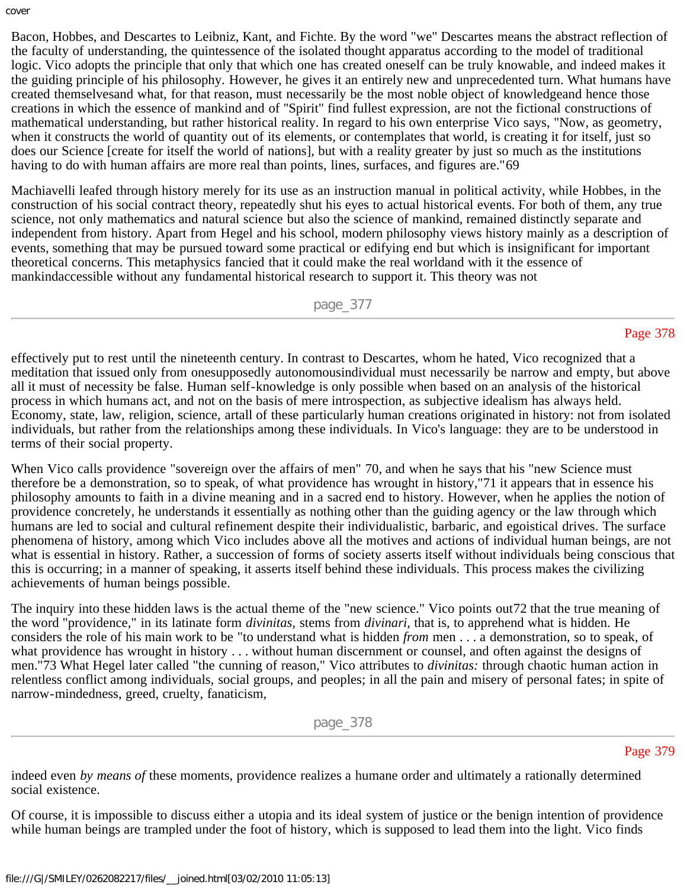Bacon, Hobbes, and Descartes to Leibniz, Kant, and Fichte. By the word "we" Descartes means the abstract reflection of the faculty of understanding, the quintessence of the isolated thought apparatus according to the model of traditional logic. Vico adopts the principle that only that which one has created oneself can be truly knowable, and indeed makes it the guiding principle of his philosophy. However, he gives it an entirely new and unprecedented turn. What humans have created themselvesand what, for that reason, must necessarily be the most noble object of knowledgeand hence those creations in which the essence of mankind and of ''Spirit" find fullest expression, are not the fictional constructions of mathematical understanding, but rather historical reality. In regard to his own enterprise Vico says, "Now, as geometry, when it constructs the world of quantity out of its elements, or contemplates that world, is creating it for itself, just so does our Science [create for itself the world of nations], but with a reality greater by just so much as the institutions having to do with human affairs are more real than points, lines, surfaces, and figures are."69

Machiavelli leafed through history merely for its use as an instruction manual in political activity, while Hobbes, in the construction of his social contract theory, repeatedly shut his eyes to actual historical events. For both of them, any true science, not only mathematics and natural science but also the science of mankind, remained distinctly separate and independent from history. Apart from Hegel and his school, modern philosophy views history mainly as a description of events, something that may be pursued toward some practical or edifying end but which is insignificant for important theoretical concerns. This metaphysics fancied that it could make the real worldand with it the essence of mankindaccessible without any fundamental historical research to support it. This theory was not

page\_377

Page 378

effectively put to rest until the nineteenth century. In contrast to Descartes, whom he hated, Vico recognized that a meditation that issued only from onesupposedly autonomousindividual must necessarily be narrow and empty, but above all it must of necessity be false. Human self-knowledge is only possible when based on an analysis of the historical process in which humans act, and not on the basis of mere introspection, as subjective idealism has always held. Economy, state, law, religion, science, artall of these particularly human creations originated in history: not from isolated individuals, but rather from the relationships among these individuals. In Vico's language: they are to be understood in terms of their social property.

When Vico calls providence "sovereign over the affairs of men" 70, and when he says that his "new Science must therefore be a demonstration, so to speak, of what providence has wrought in history,"71 it appears that in essence his philosophy amounts to faith in a divine meaning and in a sacred end to history. However, when he applies the notion of providence concretely, he understands it essentially as nothing other than the guiding agency or the law through which humans are led to social and cultural refinement despite their individualistic, barbaric, and egoistical drives. The surface phenomena of history, among which Vico includes above all the motives and actions of individual human beings, are not what is essential in history. Rather, a succession of forms of society asserts itself without individuals being conscious that this is occurring; in a manner of speaking, it asserts itself behind these individuals. This process makes the civilizing achievements of human beings possible.

The inquiry into these hidden laws is the actual theme of the "new science." Vico points out72 that the true meaning of the word "providence," in its latinate form *divinitas,* stems from *divinari,* that is, to apprehend what is hidden. He considers the role of his main work to be "to understand what is hidden *from* men . . . a demonstration, so to speak, of what providence has wrought in history . . . without human discernment or counsel, and often against the designs of men.''73 What Hegel later called "the cunning of reason," Vico attributes to *divinitas:* through chaotic human action in relentless conflict among individuals, social groups, and peoples; in all the pain and misery of personal fates; in spite of narrow-mindedness, greed, cruelty, fanaticism,

page\_378

#### Page 379

indeed even *by means of* these moments, providence realizes a humane order and ultimately a rationally determined social existence.

Of course, it is impossible to discuss either a utopia and its ideal system of justice or the benign intention of providence while human beings are trampled under the foot of history, which is supposed to lead them into the light. Vico finds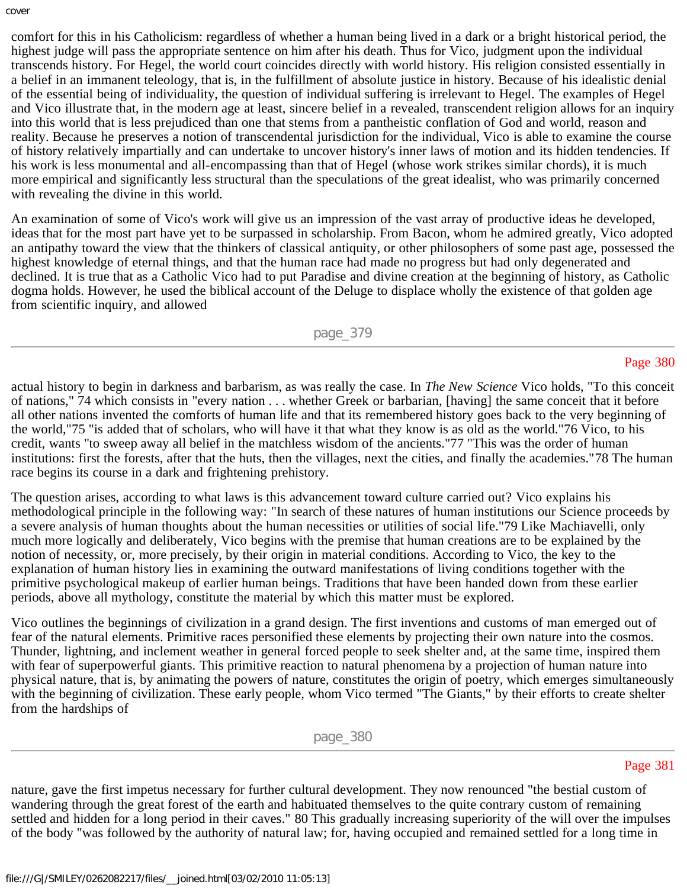comfort for this in his Catholicism: regardless of whether a human being lived in a dark or a bright historical period, the highest judge will pass the appropriate sentence on him after his death. Thus for Vico, judgment upon the individual transcends history. For Hegel, the world court coincides directly with world history. His religion consisted essentially in a belief in an immanent teleology, that is, in the fulfillment of absolute justice in history. Because of his idealistic denial of the essential being of individuality, the question of individual suffering is irrelevant to Hegel. The examples of Hegel and Vico illustrate that, in the modern age at least, sincere belief in a revealed, transcendent religion allows for an inquiry into this world that is less prejudiced than one that stems from a pantheistic conflation of God and world, reason and reality. Because he preserves a notion of transcendental jurisdiction for the individual, Vico is able to examine the course of history relatively impartially and can undertake to uncover history's inner laws of motion and its hidden tendencies. If his work is less monumental and all-encompassing than that of Hegel (whose work strikes similar chords), it is much more empirical and significantly less structural than the speculations of the great idealist, who was primarily concerned with revealing the divine in this world.

An examination of some of Vico's work will give us an impression of the vast array of productive ideas he developed, ideas that for the most part have yet to be surpassed in scholarship. From Bacon, whom he admired greatly, Vico adopted an antipathy toward the view that the thinkers of classical antiquity, or other philosophers of some past age, possessed the highest knowledge of eternal things, and that the human race had made no progress but had only degenerated and declined. It is true that as a Catholic Vico had to put Paradise and divine creation at the beginning of history, as Catholic dogma holds. However, he used the biblical account of the Deluge to displace wholly the existence of that golden age from scientific inquiry, and allowed

page\_379

### Page 380

actual history to begin in darkness and barbarism, as was really the case. In *The New Science* Vico holds, "To this conceit of nations," 74 which consists in "every nation . . . whether Greek or barbarian, [having] the same conceit that it before all other nations invented the comforts of human life and that its remembered history goes back to the very beginning of the world,"75 "is added that of scholars, who will have it that what they know is as old as the world."76 Vico, to his credit, wants ''to sweep away all belief in the matchless wisdom of the ancients."77 "This was the order of human institutions: first the forests, after that the huts, then the villages, next the cities, and finally the academies."78 The human race begins its course in a dark and frightening prehistory.

The question arises, according to what laws is this advancement toward culture carried out? Vico explains his methodological principle in the following way: "In search of these natures of human institutions our Science proceeds by a severe analysis of human thoughts about the human necessities or utilities of social life."79 Like Machiavelli, only much more logically and deliberately, Vico begins with the premise that human creations are to be explained by the notion of necessity, or, more precisely, by their origin in material conditions. According to Vico, the key to the explanation of human history lies in examining the outward manifestations of living conditions together with the primitive psychological makeup of earlier human beings. Traditions that have been handed down from these earlier periods, above all mythology, constitute the material by which this matter must be explored.

Vico outlines the beginnings of civilization in a grand design. The first inventions and customs of man emerged out of fear of the natural elements. Primitive races personified these elements by projecting their own nature into the cosmos. Thunder, lightning, and inclement weather in general forced people to seek shelter and, at the same time, inspired them with fear of superpowerful giants. This primitive reaction to natural phenomena by a projection of human nature into physical nature, that is, by animating the powers of nature, constitutes the origin of poetry, which emerges simultaneously with the beginning of civilization. These early people, whom Vico termed "The Giants," by their efforts to create shelter from the hardships of

page\_380

#### Page 381

nature, gave the first impetus necessary for further cultural development. They now renounced "the bestial custom of wandering through the great forest of the earth and habituated themselves to the quite contrary custom of remaining settled and hidden for a long period in their caves." 80 This gradually increasing superiority of the will over the impulses of the body "was followed by the authority of natural law; for, having occupied and remained settled for a long time in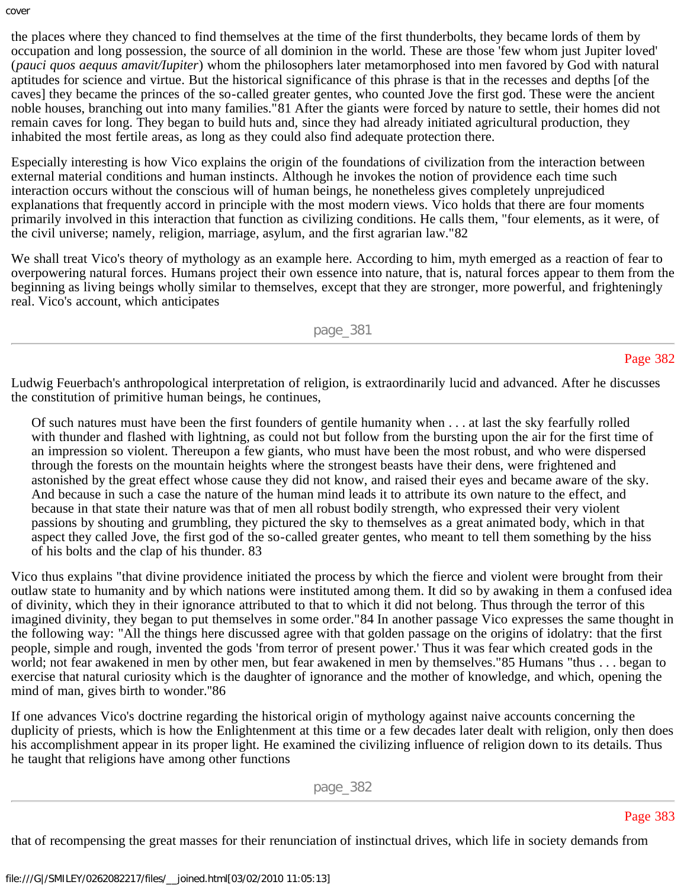the places where they chanced to find themselves at the time of the first thunderbolts, they became lords of them by occupation and long possession, the source of all dominion in the world. These are those 'few whom just Jupiter loved' (*pauci quos aequus amavit/Iupiter*) whom the philosophers later metamorphosed into men favored by God with natural aptitudes for science and virtue. But the historical significance of this phrase is that in the recesses and depths [of the caves] they became the princes of the so-called greater gentes, who counted Jove the first god. These were the ancient noble houses, branching out into many families."81 After the giants were forced by nature to settle, their homes did not remain caves for long. They began to build huts and, since they had already initiated agricultural production, they inhabited the most fertile areas, as long as they could also find adequate protection there.

Especially interesting is how Vico explains the origin of the foundations of civilization from the interaction between external material conditions and human instincts. Although he invokes the notion of providence each time such interaction occurs without the conscious will of human beings, he nonetheless gives completely unprejudiced explanations that frequently accord in principle with the most modern views. Vico holds that there are four moments primarily involved in this interaction that function as civilizing conditions. He calls them, "four elements, as it were, of the civil universe; namely, religion, marriage, asylum, and the first agrarian law."82

We shall treat Vico's theory of mythology as an example here. According to him, myth emerged as a reaction of fear to overpowering natural forces. Humans project their own essence into nature, that is, natural forces appear to them from the beginning as living beings wholly similar to themselves, except that they are stronger, more powerful, and frighteningly real. Vico's account, which anticipates

page\_381

#### Page 382

Ludwig Feuerbach's anthropological interpretation of religion, is extraordinarily lucid and advanced. After he discusses the constitution of primitive human beings, he continues,

Of such natures must have been the first founders of gentile humanity when . . . at last the sky fearfully rolled with thunder and flashed with lightning, as could not but follow from the bursting upon the air for the first time of an impression so violent. Thereupon a few giants, who must have been the most robust, and who were dispersed through the forests on the mountain heights where the strongest beasts have their dens, were frightened and astonished by the great effect whose cause they did not know, and raised their eyes and became aware of the sky. And because in such a case the nature of the human mind leads it to attribute its own nature to the effect, and because in that state their nature was that of men all robust bodily strength, who expressed their very violent passions by shouting and grumbling, they pictured the sky to themselves as a great animated body, which in that aspect they called Jove, the first god of the so-called greater gentes, who meant to tell them something by the hiss of his bolts and the clap of his thunder. 83

Vico thus explains "that divine providence initiated the process by which the fierce and violent were brought from their outlaw state to humanity and by which nations were instituted among them. It did so by awaking in them a confused idea of divinity, which they in their ignorance attributed to that to which it did not belong. Thus through the terror of this imagined divinity, they began to put themselves in some order."84 In another passage Vico expresses the same thought in the following way: "All the things here discussed agree with that golden passage on the origins of idolatry: that the first people, simple and rough, invented the gods 'from terror of present power.' Thus it was fear which created gods in the world; not fear awakened in men by other men, but fear awakened in men by themselves."85 Humans "thus . . . began to exercise that natural curiosity which is the daughter of ignorance and the mother of knowledge, and which, opening the mind of man, gives birth to wonder.''86

If one advances Vico's doctrine regarding the historical origin of mythology against naive accounts concerning the duplicity of priests, which is how the Enlightenment at this time or a few decades later dealt with religion, only then does his accomplishment appear in its proper light. He examined the civilizing influence of religion down to its details. Thus he taught that religions have among other functions

page\_382

that of recompensing the great masses for their renunciation of instinctual drives, which life in society demands from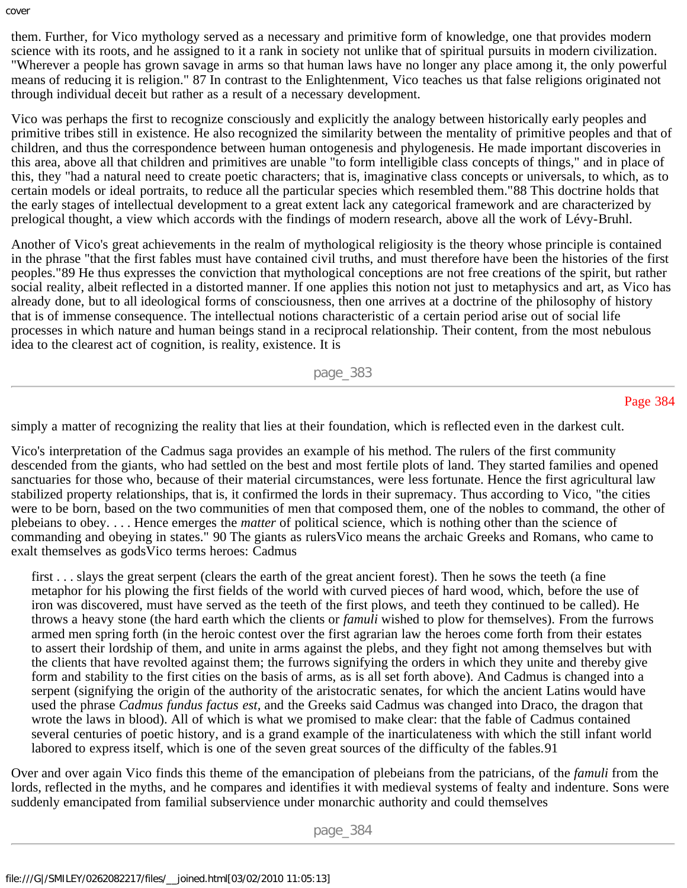them. Further, for Vico mythology served as a necessary and primitive form of knowledge, one that provides modern science with its roots, and he assigned to it a rank in society not unlike that of spiritual pursuits in modern civilization. "Wherever a people has grown savage in arms so that human laws have no longer any place among it, the only powerful means of reducing it is religion." 87 In contrast to the Enlightenment, Vico teaches us that false religions originated not through individual deceit but rather as a result of a necessary development.

Vico was perhaps the first to recognize consciously and explicitly the analogy between historically early peoples and primitive tribes still in existence. He also recognized the similarity between the mentality of primitive peoples and that of children, and thus the correspondence between human ontogenesis and phylogenesis. He made important discoveries in this area, above all that children and primitives are unable "to form intelligible class concepts of things," and in place of this, they "had a natural need to create poetic characters; that is, imaginative class concepts or universals, to which, as to certain models or ideal portraits, to reduce all the particular species which resembled them."88 This doctrine holds that the early stages of intellectual development to a great extent lack any categorical framework and are characterized by prelogical thought, a view which accords with the findings of modern research, above all the work of Lévy-Bruhl.

Another of Vico's great achievements in the realm of mythological religiosity is the theory whose principle is contained in the phrase "that the first fables must have contained civil truths, and must therefore have been the histories of the first peoples."89 He thus expresses the conviction that mythological conceptions are not free creations of the spirit, but rather social reality, albeit reflected in a distorted manner. If one applies this notion not just to metaphysics and art, as Vico has already done, but to all ideological forms of consciousness, then one arrives at a doctrine of the philosophy of history that is of immense consequence. The intellectual notions characteristic of a certain period arise out of social life processes in which nature and human beings stand in a reciprocal relationship. Their content, from the most nebulous idea to the clearest act of cognition, is reality, existence. It is

page\_383

Page 384

simply a matter of recognizing the reality that lies at their foundation, which is reflected even in the darkest cult.

Vico's interpretation of the Cadmus saga provides an example of his method. The rulers of the first community descended from the giants, who had settled on the best and most fertile plots of land. They started families and opened sanctuaries for those who, because of their material circumstances, were less fortunate. Hence the first agricultural law stabilized property relationships, that is, it confirmed the lords in their supremacy. Thus according to Vico, "the cities were to be born, based on the two communities of men that composed them, one of the nobles to command, the other of plebeians to obey. . . . Hence emerges the *matter* of political science, which is nothing other than the science of commanding and obeying in states." 90 The giants as rulersVico means the archaic Greeks and Romans, who came to exalt themselves as godsVico terms heroes: Cadmus

first . . . slays the great serpent (clears the earth of the great ancient forest). Then he sows the teeth (a fine metaphor for his plowing the first fields of the world with curved pieces of hard wood, which, before the use of iron was discovered, must have served as the teeth of the first plows, and teeth they continued to be called). He throws a heavy stone (the hard earth which the clients or *famuli* wished to plow for themselves). From the furrows armed men spring forth (in the heroic contest over the first agrarian law the heroes come forth from their estates to assert their lordship of them, and unite in arms against the plebs, and they fight not among themselves but with the clients that have revolted against them; the furrows signifying the orders in which they unite and thereby give form and stability to the first cities on the basis of arms, as is all set forth above). And Cadmus is changed into a serpent (signifying the origin of the authority of the aristocratic senates, for which the ancient Latins would have used the phrase *Cadmus fundus factus est,* and the Greeks said Cadmus was changed into Draco, the dragon that wrote the laws in blood). All of which is what we promised to make clear: that the fable of Cadmus contained several centuries of poetic history, and is a grand example of the inarticulateness with which the still infant world labored to express itself, which is one of the seven great sources of the difficulty of the fables.91

Over and over again Vico finds this theme of the emancipation of plebeians from the patricians, of the *famuli* from the lords, reflected in the myths, and he compares and identifies it with medieval systems of fealty and indenture. Sons were suddenly emancipated from familial subservience under monarchic authority and could themselves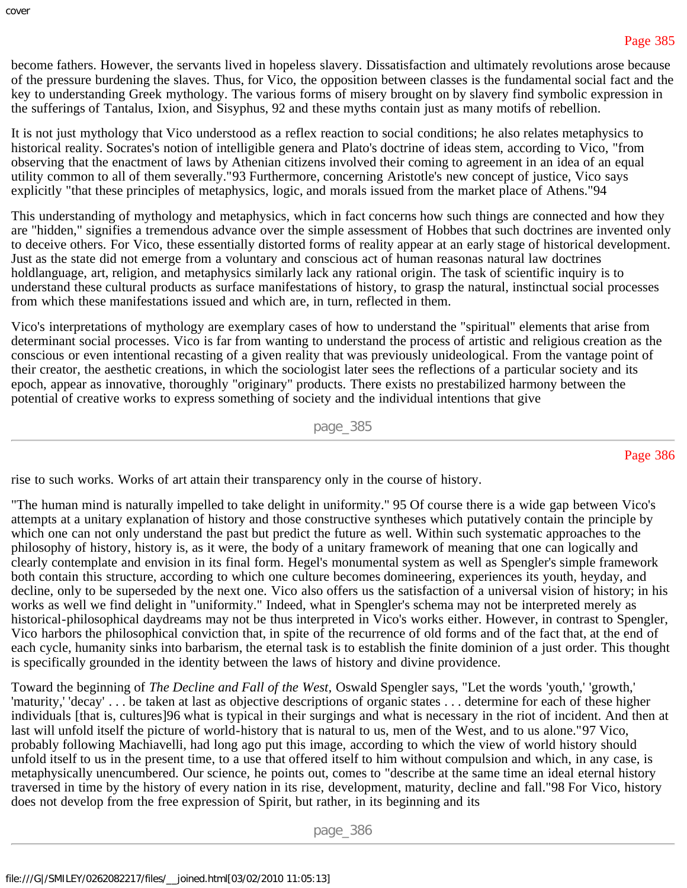become fathers. However, the servants lived in hopeless slavery. Dissatisfaction and ultimately revolutions arose because of the pressure burdening the slaves. Thus, for Vico, the opposition between classes is the fundamental social fact and the key to understanding Greek mythology. The various forms of misery brought on by slavery find symbolic expression in the sufferings of Tantalus, Ixion, and Sisyphus, 92 and these myths contain just as many motifs of rebellion.

It is not just mythology that Vico understood as a reflex reaction to social conditions; he also relates metaphysics to historical reality. Socrates's notion of intelligible genera and Plato's doctrine of ideas stem, according to Vico, "from observing that the enactment of laws by Athenian citizens involved their coming to agreement in an idea of an equal utility common to all of them severally."93 Furthermore, concerning Aristotle's new concept of justice, Vico says explicitly "that these principles of metaphysics, logic, and morals issued from the market place of Athens."94

This understanding of mythology and metaphysics, which in fact concerns how such things are connected and how they are "hidden," signifies a tremendous advance over the simple assessment of Hobbes that such doctrines are invented only to deceive others. For Vico, these essentially distorted forms of reality appear at an early stage of historical development. Just as the state did not emerge from a voluntary and conscious act of human reasonas natural law doctrines holdlanguage, art, religion, and metaphysics similarly lack any rational origin. The task of scientific inquiry is to understand these cultural products as surface manifestations of history, to grasp the natural, instinctual social processes from which these manifestations issued and which are, in turn, reflected in them.

Vico's interpretations of mythology are exemplary cases of how to understand the "spiritual" elements that arise from determinant social processes. Vico is far from wanting to understand the process of artistic and religious creation as the conscious or even intentional recasting of a given reality that was previously unideological. From the vantage point of their creator, the aesthetic creations, in which the sociologist later sees the reflections of a particular society and its epoch, appear as innovative, thoroughly "originary" products. There exists no prestabilized harmony between the potential of creative works to express something of society and the individual intentions that give

page\_385

Page 386

rise to such works. Works of art attain their transparency only in the course of history.

"The human mind is naturally impelled to take delight in uniformity." 95 Of course there is a wide gap between Vico's attempts at a unitary explanation of history and those constructive syntheses which putatively contain the principle by which one can not only understand the past but predict the future as well. Within such systematic approaches to the philosophy of history, history is, as it were, the body of a unitary framework of meaning that one can logically and clearly contemplate and envision in its final form. Hegel's monumental system as well as Spengler's simple framework both contain this structure, according to which one culture becomes domineering, experiences its youth, heyday, and decline, only to be superseded by the next one. Vico also offers us the satisfaction of a universal vision of history; in his works as well we find delight in "uniformity." Indeed, what in Spengler's schema may not be interpreted merely as historical-philosophical daydreams may not be thus interpreted in Vico's works either. However, in contrast to Spengler, Vico harbors the philosophical conviction that, in spite of the recurrence of old forms and of the fact that, at the end of each cycle, humanity sinks into barbarism, the eternal task is to establish the finite dominion of a just order. This thought is specifically grounded in the identity between the laws of history and divine providence.

Toward the beginning of *The Decline and Fall of the West,* Oswald Spengler says, "Let the words 'youth,' 'growth,' 'maturity,' 'decay' . . . be taken at last as objective descriptions of organic states . . . determine for each of these higher individuals [that is, cultures]96 what is typical in their surgings and what is necessary in the riot of incident. And then at last will unfold itself the picture of world-history that is natural to us, men of the West, and to us alone."97 Vico, probably following Machiavelli, had long ago put this image, according to which the view of world history should unfold itself to us in the present time, to a use that offered itself to him without compulsion and which, in any case, is metaphysically unencumbered. Our science, he points out, comes to "describe at the same time an ideal eternal history traversed in time by the history of every nation in its rise, development, maturity, decline and fall."98 For Vico, history does not develop from the free expression of Spirit, but rather, in its beginning and its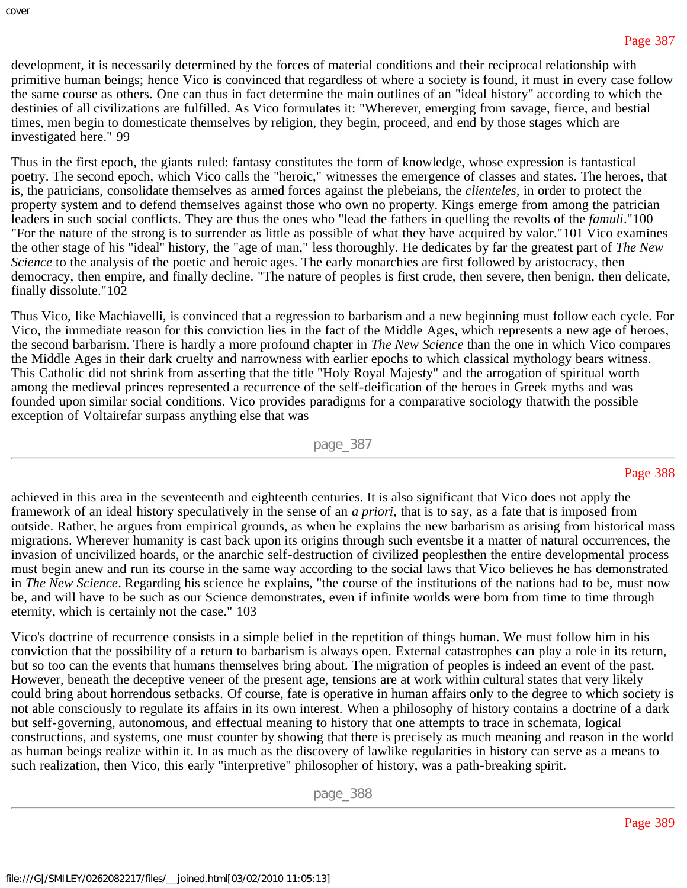development, it is necessarily determined by the forces of material conditions and their reciprocal relationship with primitive human beings; hence Vico is convinced that regardless of where a society is found, it must in every case follow the same course as others. One can thus in fact determine the main outlines of an "ideal history" according to which the destinies of all civilizations are fulfilled. As Vico formulates it: "Wherever, emerging from savage, fierce, and bestial times, men begin to domesticate themselves by religion, they begin, proceed, and end by those stages which are investigated here." 99

Thus in the first epoch, the giants ruled: fantasy constitutes the form of knowledge, whose expression is fantastical poetry. The second epoch, which Vico calls the "heroic," witnesses the emergence of classes and states. The heroes, that is, the patricians, consolidate themselves as armed forces against the plebeians, the *clienteles,* in order to protect the property system and to defend themselves against those who own no property. Kings emerge from among the patrician leaders in such social conflicts. They are thus the ones who "lead the fathers in quelling the revolts of the *famuli*."100 "For the nature of the strong is to surrender as little as possible of what they have acquired by valor."101 Vico examines the other stage of his "ideal'' history, the "age of man," less thoroughly. He dedicates by far the greatest part of *The New Science* to the analysis of the poetic and heroic ages. The early monarchies are first followed by aristocracy, then democracy, then empire, and finally decline. "The nature of peoples is first crude, then severe, then benign, then delicate, finally dissolute."102

Thus Vico, like Machiavelli, is convinced that a regression to barbarism and a new beginning must follow each cycle. For Vico, the immediate reason for this conviction lies in the fact of the Middle Ages, which represents a new age of heroes, the second barbarism. There is hardly a more profound chapter in *The New Science* than the one in which Vico compares the Middle Ages in their dark cruelty and narrowness with earlier epochs to which classical mythology bears witness. This Catholic did not shrink from asserting that the title "Holy Royal Majesty" and the arrogation of spiritual worth among the medieval princes represented a recurrence of the self-deification of the heroes in Greek myths and was founded upon similar social conditions. Vico provides paradigms for a comparative sociology thatwith the possible exception of Voltairefar surpass anything else that was

page\_387

#### Page 388

achieved in this area in the seventeenth and eighteenth centuries. It is also significant that Vico does not apply the framework of an ideal history speculatively in the sense of an *a priori,* that is to say, as a fate that is imposed from outside. Rather, he argues from empirical grounds, as when he explains the new barbarism as arising from historical mass migrations. Wherever humanity is cast back upon its origins through such eventsbe it a matter of natural occurrences, the invasion of uncivilized hoards, or the anarchic self-destruction of civilized peoplesthen the entire developmental process must begin anew and run its course in the same way according to the social laws that Vico believes he has demonstrated in *The New Science*. Regarding his science he explains, "the course of the institutions of the nations had to be, must now be, and will have to be such as our Science demonstrates, even if infinite worlds were born from time to time through eternity, which is certainly not the case." 103

Vico's doctrine of recurrence consists in a simple belief in the repetition of things human. We must follow him in his conviction that the possibility of a return to barbarism is always open. External catastrophes can play a role in its return, but so too can the events that humans themselves bring about. The migration of peoples is indeed an event of the past. However, beneath the deceptive veneer of the present age, tensions are at work within cultural states that very likely could bring about horrendous setbacks. Of course, fate is operative in human affairs only to the degree to which society is not able consciously to regulate its affairs in its own interest. When a philosophy of history contains a doctrine of a dark but self-governing, autonomous, and effectual meaning to history that one attempts to trace in schemata, logical constructions, and systems, one must counter by showing that there is precisely as much meaning and reason in the world as human beings realize within it. In as much as the discovery of lawlike regularities in history can serve as a means to such realization, then Vico, this early "interpretive" philosopher of history, was a path-breaking spirit.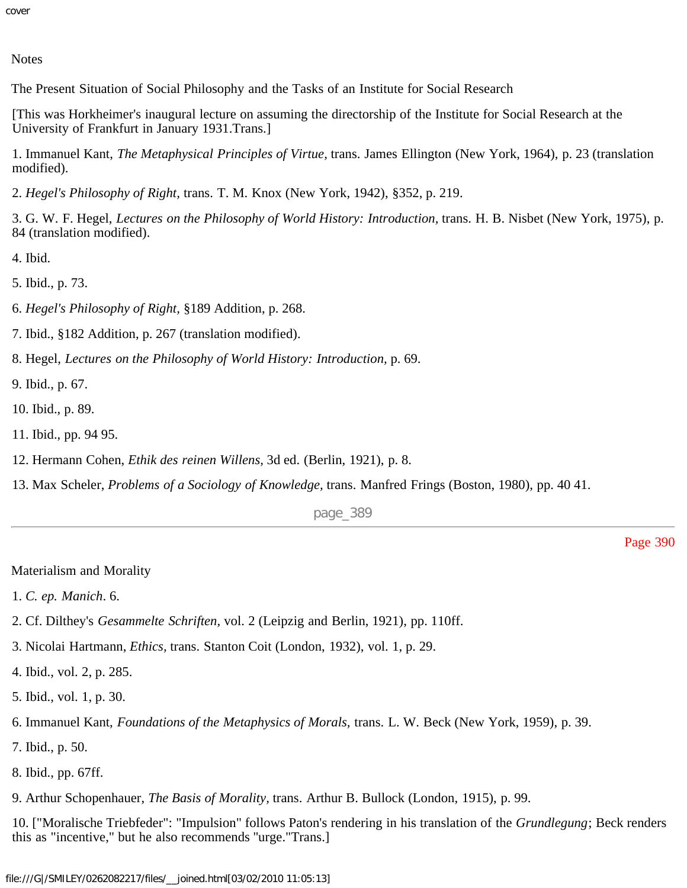**Notes** 

The Present Situation of Social Philosophy and the Tasks of an Institute for Social Research

[This was Horkheimer's inaugural lecture on assuming the directorship of the Institute for Social Research at the University of Frankfurt in January 1931.Trans.]

1. Immanuel Kant, *The Metaphysical Principles of Virtue,* trans. James Ellington (New York, 1964), p. 23 (translation modified).

2. *Hegel's Philosophy of Right,* trans. T. M. Knox (New York, 1942), §352, p. 219.

3. G. W. F. Hegel, *Lectures on the Philosophy of World History: Introduction,* trans. H. B. Nisbet (New York, 1975), p. 84 (translation modified).

4. Ibid.

5. Ibid., p. 73.

6. *Hegel's Philosophy of Right,* §189 Addition, p. 268.

7. Ibid., §182 Addition, p. 267 (translation modified).

8. Hegel, *Lectures on the Philosophy of World History: Introduction,* p. 69.

9. Ibid., p. 67.

10. Ibid., p. 89.

11. Ibid., pp. 94 95.

12. Hermann Cohen, *Ethik des reinen Willens,* 3d ed. (Berlin, 1921), p. 8.

13. Max Scheler, *Problems of a Sociology of Knowledge,* trans. Manfred Frings (Boston, 1980), pp. 40 41.

page\_389

Materialism and Morality

1. *C. ep. Manich*. 6.

2. Cf. Dilthey's *Gesammelte Schriften,* vol. 2 (Leipzig and Berlin, 1921), pp. 110ff.

3. Nicolai Hartmann, *Ethics,* trans. Stanton Coit (London, 1932), vol. 1, p. 29.

4. Ibid., vol. 2, p. 285.

5. Ibid., vol. 1, p. 30.

6. Immanuel Kant, *Foundations of the Metaphysics of Morals,* trans. L. W. Beck (New York, 1959), p. 39.

7. Ibid., p. 50.

8. Ibid., pp. 67ff.

9. Arthur Schopenhauer, *The Basis of Morality,* trans. Arthur B. Bullock (London, 1915), p. 99.

10. ["Moralische Triebfeder": "Impulsion" follows Paton's rendering in his translation of the *Grundlegung*; Beck renders this as "incentive," but he also recommends ''urge."Trans.]

Page 390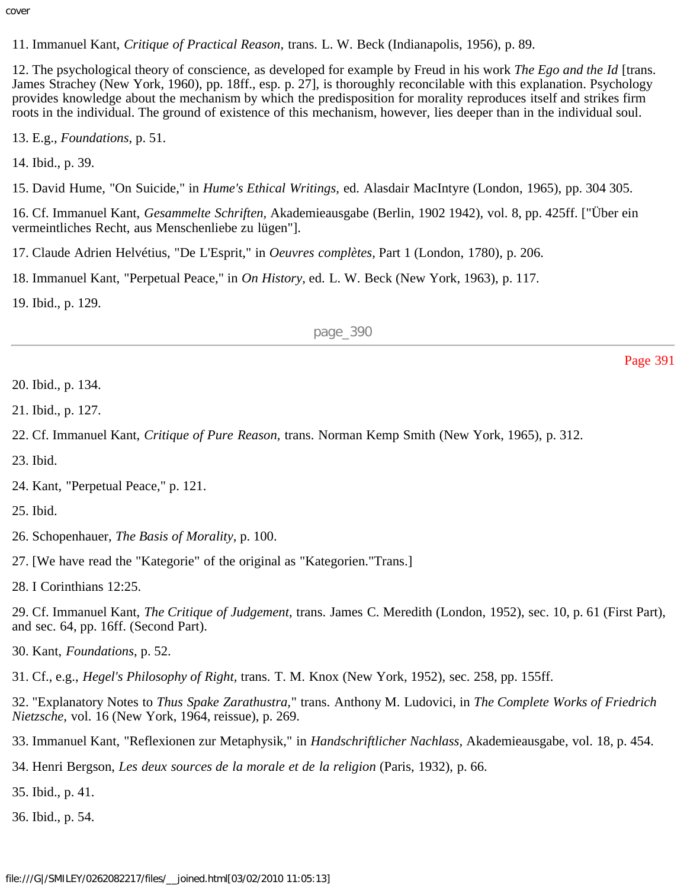11. Immanuel Kant, *Critique of Practical Reason,* trans. L. W. Beck (Indianapolis, 1956), p. 89.

12. The psychological theory of conscience, as developed for example by Freud in his work *The Ego and the Id* [trans. James Strachey (New York, 1960), pp. 18ff., esp. p. 27], is thoroughly reconcilable with this explanation. Psychology provides knowledge about the mechanism by which the predisposition for morality reproduces itself and strikes firm roots in the individual. The ground of existence of this mechanism, however, lies deeper than in the individual soul.

13. E.g., *Foundations,* p. 51.

14. Ibid., p. 39.

15. David Hume, "On Suicide," in *Hume's Ethical Writings,* ed. Alasdair MacIntyre (London, 1965), pp. 304 305.

16. Cf. Immanuel Kant, *Gesammelte Schriften,* Akademieausgabe (Berlin, 1902 1942), vol. 8, pp. 425ff. ["Über ein vermeintliches Recht, aus Menschenliebe zu lügen"].

17. Claude Adrien Helvétius, "De L'Esprit," in *Oeuvres complètes,* Part 1 (London, 1780), p. 206.

18. Immanuel Kant, "Perpetual Peace," in *On History,* ed. L. W. Beck (New York, 1963), p. 117.

19. Ibid., p. 129.

page\_390

20. Ibid., p. 134.

21. Ibid., p. 127.

22. Cf. Immanuel Kant, *Critique of Pure Reason,* trans. Norman Kemp Smith (New York, 1965), p. 312.

23. Ibid.

24. Kant, "Perpetual Peace," p. 121.

25. Ibid.

26. Schopenhauer, *The Basis of Morality,* p. 100.

27. [We have read the "Kategorie" of the original as "Kategorien."Trans.]

28. I Corinthians 12:25.

29. Cf. Immanuel Kant, *The Critique of Judgement,* trans. James C. Meredith (London, 1952), sec. 10, p. 61 (First Part), and sec. 64, pp. 16ff. (Second Part).

30. Kant, *Foundations,* p. 52.

31. Cf., e.g., *Hegel's Philosophy of Right,* trans. T. M. Knox (New York, 1952), sec. 258, pp. 155ff.

32. "Explanatory Notes to *Thus Spake Zarathustra,*" trans. Anthony M. Ludovici, in *The Complete Works of Friedrich Nietzsche,* vol. 16 (New York, 1964, reissue), p. 269.

33. Immanuel Kant, "Reflexionen zur Metaphysik," in *Handschriftlicher Nachlass,* Akademieausgabe, vol. 18, p. 454.

34. Henri Bergson, *Les deux sources de la morale et de la religion* (Paris, 1932), p. 66.

35. Ibid., p. 41.

36. Ibid., p. 54.

Page 391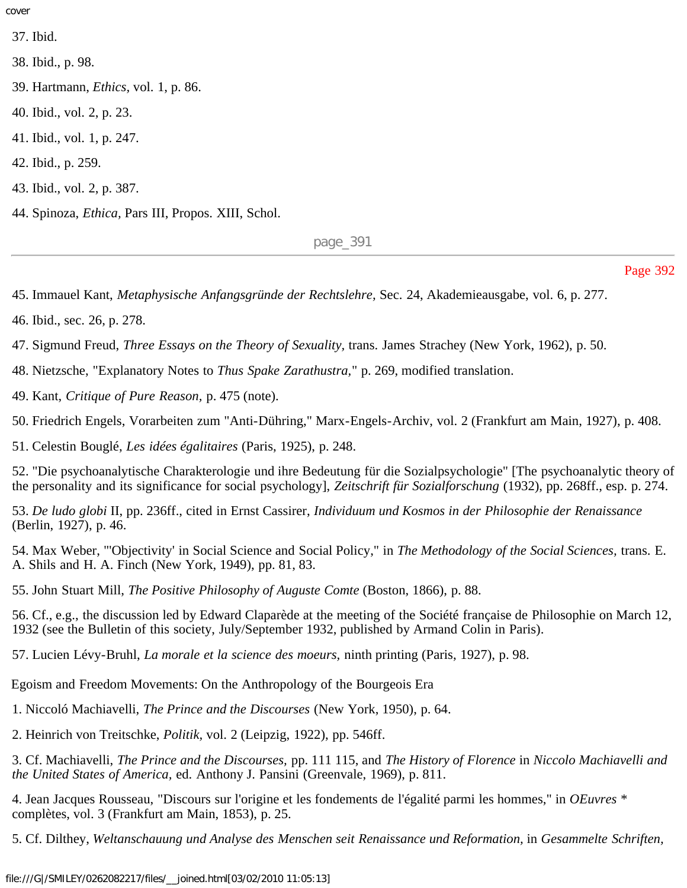37. Ibid.

- 38. Ibid., p. 98.
- 39. Hartmann, *Ethics,* vol. 1, p. 86.
- 40. Ibid., vol. 2, p. 23.
- 41. Ibid., vol. 1, p. 247.
- 42. Ibid., p. 259.
- 43. Ibid., vol. 2, p. 387.
- 44. Spinoza, *Ethica,* Pars III, Propos. XIII, Schol.

page\_391

45. Immauel Kant, *Metaphysische Anfangsgründe der Rechtslehre,* Sec. 24, Akademieausgabe, vol. 6, p. 277.

46. Ibid., sec. 26, p. 278.

- 47. Sigmund Freud, *Three Essays on the Theory of Sexuality,* trans. James Strachey (New York, 1962), p. 50.
- 48. Nietzsche, "Explanatory Notes to *Thus Spake Zarathustra,*" p. 269, modified translation.
- 49. Kant, *Critique of Pure Reason,* p. 475 (note).

50. Friedrich Engels, Vorarbeiten zum "Anti-Dühring," Marx-Engels-Archiv, vol. 2 (Frankfurt am Main, 1927), p. 408.

51. Celestin Bouglé, *Les idées égalitaires* (Paris, 1925), p. 248.

52. "Die psychoanalytische Charakterologie und ihre Bedeutung für die Sozialpsychologie" [The psychoanalytic theory of the personality and its significance for social psychology], *Zeitschrift für Sozialforschung* (1932), pp. 268ff., esp. p. 274.

53. *De ludo globi* II, pp. 236ff., cited in Ernst Cassirer, *Individuum und Kosmos in der Philosophie der Renaissance* (Berlin, 1927), p. 46.

54. Max Weber, "'Objectivity' in Social Science and Social Policy," in *The Methodology of the Social Sciences,* trans. E. A. Shils and H. A. Finch (New York, 1949), pp. 81, 83.

55. John Stuart Mill, *The Positive Philosophy of Auguste Comte* (Boston, 1866), p. 88.

56. Cf., e.g., the discussion led by Edward Claparède at the meeting of the Société française de Philosophie on March 12, 1932 (see the Bulletin of this society, July/September 1932, published by Armand Colin in Paris).

57. Lucien Lévy-Bruhl, *La morale et la science des moeurs,* ninth printing (Paris, 1927), p. 98.

Egoism and Freedom Movements: On the Anthropology of the Bourgeois Era

- 1. Niccoló Machiavelli, *The Prince and the Discourses* (New York, 1950), p. 64.
- 2. Heinrich von Treitschke, *Politik,* vol. 2 (Leipzig, 1922), pp. 546ff.
- 3. Cf. Machiavelli, *The Prince and the Discourses,* pp. 111 115, and *The History of Florence* in *Niccolo Machiavelli and the United States of America,* ed. Anthony J. Pansini (Greenvale, 1969), p. 811.

4. Jean Jacques Rousseau, "Discours sur l'origine et les fondements de l'égalité parmi les hommes," in *OEuvres \** complètes, vol. 3 (Frankfurt am Main, 1853), p. 25.

5. Cf. Dilthey, *Weltanschauung und Analyse des Menschen seit Renaissance und Reformation,* in *Gesammelte Schriften,*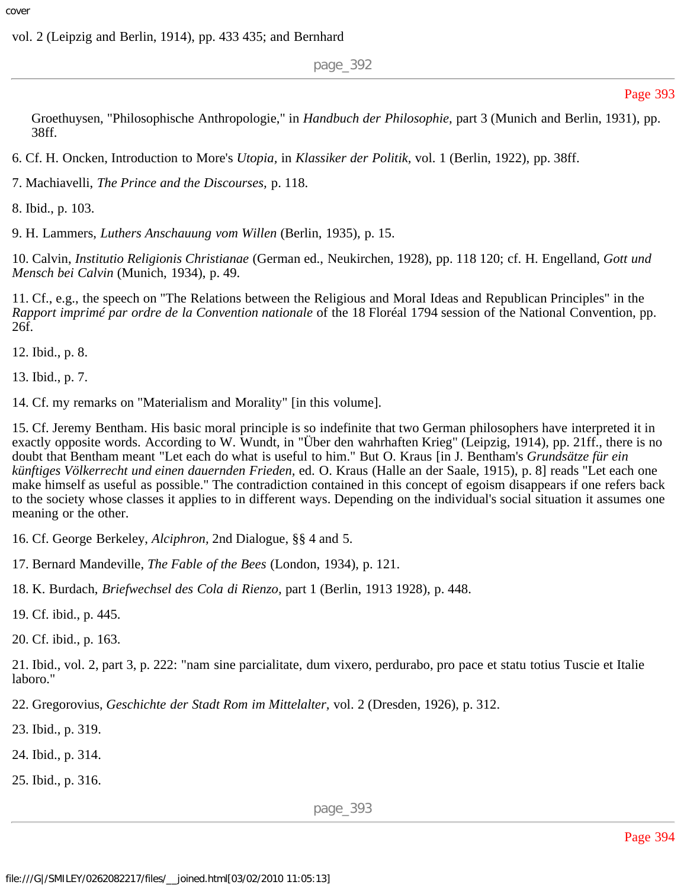vol. 2 (Leipzig and Berlin, 1914), pp. 433 435; and Bernhard

Groethuysen, "Philosophische Anthropologie," in *Handbuch der Philosophie,* part 3 (Munich and Berlin, 1931), pp. 38ff.

6. Cf. H. Oncken, Introduction to More's *Utopia,* in *Klassiker der Politik,* vol. 1 (Berlin, 1922), pp. 38ff.

7. Machiavelli, *The Prince and the Discourses,* p. 118.

8. Ibid., p. 103.

9. H. Lammers, *Luthers Anschauung vom Willen* (Berlin, 1935), p. 15.

10. Calvin, *Institutio Religionis Christianae* (German ed., Neukirchen, 1928), pp. 118 120; cf. H. Engelland, *Gott und Mensch bei Calvin* (Munich, 1934), p. 49.

11. Cf., e.g., the speech on "The Relations between the Religious and Moral Ideas and Republican Principles" in the *Rapport imprimé par ordre de la Convention nationale* of the 18 Floréal 1794 session of the National Convention, pp. 26f.

12. Ibid., p. 8.

13. Ibid., p. 7.

14. Cf. my remarks on "Materialism and Morality" [in this volume].

15. Cf. Jeremy Bentham. His basic moral principle is so indefinite that two German philosophers have interpreted it in exactly opposite words. According to W. Wundt, in "Über den wahrhaften Krieg" (Leipzig, 1914), pp. 21ff., there is no doubt that Bentham meant "Let each do what is useful to him." But O. Kraus [in J. Bentham's *Grundsätze für ein künftiges Völkerrecht und einen dauernden Frieden,* ed. O. Kraus (Halle an der Saale, 1915), p. 8] reads "Let each one make himself as useful as possible." The contradiction contained in this concept of egoism disappears if one refers back to the society whose classes it applies to in different ways. Depending on the individual's social situation it assumes one meaning or the other.

16. Cf. George Berkeley, *Alciphron,* 2nd Dialogue, §§ 4 and 5.

17. Bernard Mandeville, *The Fable of the Bees* (London, 1934), p. 121.

18. K. Burdach, *Briefwechsel des Cola di Rienzo,* part 1 (Berlin, 1913 1928), p. 448.

19. Cf. ibid., p. 445.

20. Cf. ibid., p. 163.

21. Ibid., vol. 2, part 3, p. 222: "nam sine parcialitate, dum vixero, perdurabo, pro pace et statu totius Tuscie et Italie laboro."

22. Gregorovius, *Geschichte der Stadt Rom im Mittelalter,* vol. 2 (Dresden, 1926), p. 312.

23. Ibid., p. 319.

24. Ibid., p. 314.

25. Ibid., p. 316.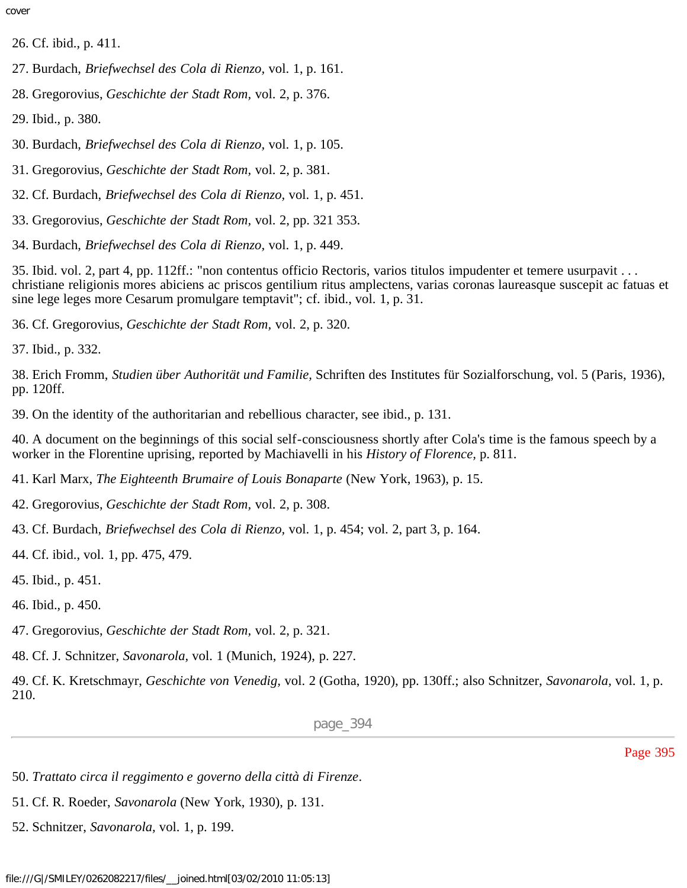- 26. Cf. ibid., p. 411.
- 27. Burdach, *Briefwechsel des Cola di Rienzo,* vol. 1, p. 161.
- 28. Gregorovius, *Geschichte der Stadt Rom,* vol. 2, p. 376.
- 29. Ibid., p. 380.
- 30. Burdach, *Briefwechsel des Cola di Rienzo,* vol. 1, p. 105.
- 31. Gregorovius, *Geschichte der Stadt Rom,* vol. 2, p. 381.
- 32. Cf. Burdach, *Briefwechsel des Cola di Rienzo,* vol. 1, p. 451.
- 33. Gregorovius, *Geschichte der Stadt Rom,* vol. 2, pp. 321 353.

34. Burdach, *Briefwechsel des Cola di Rienzo,* vol. 1, p. 449.

35. Ibid. vol. 2, part 4, pp. 112ff.: "non contentus officio Rectoris, varios titulos impudenter et temere usurpavit . . . christiane religionis mores abiciens ac priscos gentilium ritus amplectens, varias coronas laureasque suscepit ac fatuas et sine lege leges more Cesarum promulgare temptavit"; cf. ibid., vol. 1, p. 31.

36. Cf. Gregorovius, *Geschichte der Stadt Rom,* vol. 2, p. 320.

37. Ibid., p. 332.

38. Erich Fromm, *Studien über Authorität und Familie,* Schriften des Institutes für Sozialforschung, vol. 5 (Paris, 1936), pp. 120ff.

39. On the identity of the authoritarian and rebellious character, see ibid., p. 131.

40. A document on the beginnings of this social self-consciousness shortly after Cola's time is the famous speech by a worker in the Florentine uprising, reported by Machiavelli in his *History of Florence,* p. 811.

41. Karl Marx, *The Eighteenth Brumaire of Louis Bonaparte* (New York, 1963), p. 15.

42. Gregorovius, *Geschichte der Stadt Rom,* vol. 2, p. 308.

43. Cf. Burdach, *Briefwechsel des Cola di Rienzo,* vol. 1, p. 454; vol. 2, part 3, p. 164.

44. Cf. ibid., vol. 1, pp. 475, 479.

45. Ibid., p. 451.

46. Ibid., p. 450.

47. Gregorovius, *Geschichte der Stadt Rom,* vol. 2, p. 321.

48. Cf. J. Schnitzer, *Savonarola,* vol. 1 (Munich, 1924), p. 227.

49. Cf. K. Kretschmayr, *Geschichte von Venedig,* vol. 2 (Gotha, 1920), pp. 130ff.; also Schnitzer, *Savonarola,* vol. 1, p. 210.

page\_394

50. *Trattato circa il reggimento e governo della città di Firenze*.

51. Cf. R. Roeder, *Savonarola* (New York, 1930), p. 131.

52. Schnitzer, *Savonarola,* vol. 1, p. 199.

Page 395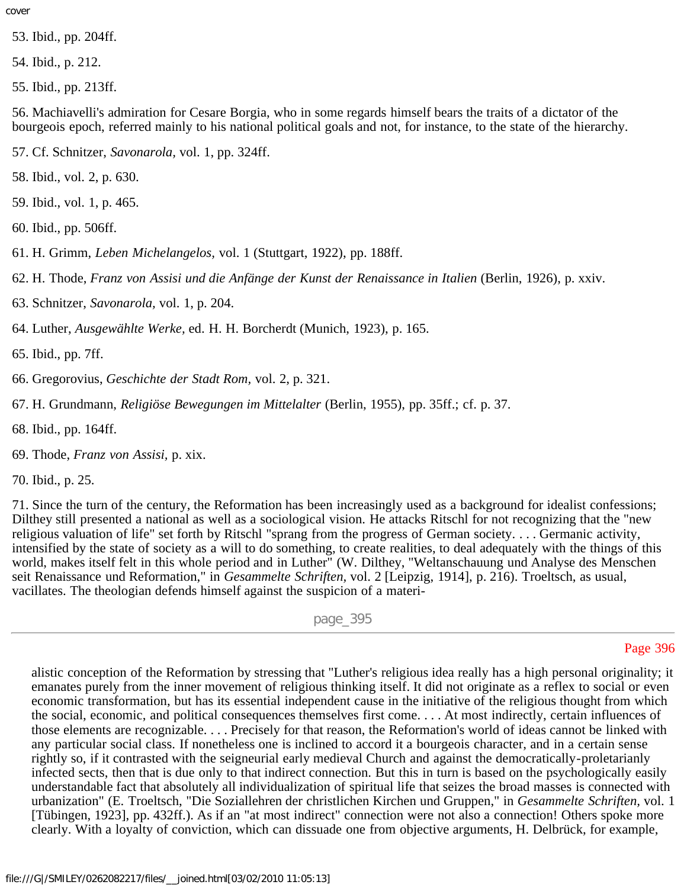53. Ibid., pp. 204ff.

54. Ibid., p. 212.

55. Ibid., pp. 213ff.

56. Machiavelli's admiration for Cesare Borgia, who in some regards himself bears the traits of a dictator of the bourgeois epoch, referred mainly to his national political goals and not, for instance, to the state of the hierarchy.

57. Cf. Schnitzer, *Savonarola,* vol. 1, pp. 324ff.

- 58. Ibid., vol. 2, p. 630.
- 59. Ibid., vol. 1, p. 465.
- 60. Ibid., pp. 506ff.
- 61. H. Grimm, *Leben Michelangelos,* vol. 1 (Stuttgart, 1922), pp. 188ff.
- 62. H. Thode, *Franz von Assisi und die Anfänge der Kunst der Renaissance in Italien* (Berlin, 1926), p. xxiv.
- 63. Schnitzer, *Savonarola,* vol. 1, p. 204.
- 64. Luther, *Ausgewählte Werke,* ed. H. H. Borcherdt (Munich, 1923), p. 165.

65. Ibid., pp. 7ff.

- 66. Gregorovius, *Geschichte der Stadt Rom,* vol. 2, p. 321.
- 67. H. Grundmann, *Religiöse Bewegungen im Mittelalter* (Berlin, 1955), pp. 35ff.; cf. p. 37.
- 68. Ibid., pp. 164ff.
- 69. Thode, *Franz von Assisi,* p. xix.
- 70. Ibid., p. 25.

71. Since the turn of the century, the Reformation has been increasingly used as a background for idealist confessions; Dilthey still presented a national as well as a sociological vision. He attacks Ritschl for not recognizing that the "new religious valuation of life" set forth by Ritschl "sprang from the progress of German society. . . . Germanic activity, intensified by the state of society as a will to do something, to create realities, to deal adequately with the things of this world, makes itself felt in this whole period and in Luther" (W. Dilthey, "Weltanschauung und Analyse des Menschen seit Renaissance und Reformation," in *Gesammelte Schriften,* vol. 2 [Leipzig, 1914], p. 216). Troeltsch, as usual, vacillates. The theologian defends himself against the suspicion of a materi-

page\_395

## Page 396

alistic conception of the Reformation by stressing that "Luther's religious idea really has a high personal originality; it emanates purely from the inner movement of religious thinking itself. It did not originate as a reflex to social or even economic transformation, but has its essential independent cause in the initiative of the religious thought from which the social, economic, and political consequences themselves first come. . . . At most indirectly, certain influences of those elements are recognizable. . . . Precisely for that reason, the Reformation's world of ideas cannot be linked with any particular social class. If nonetheless one is inclined to accord it a bourgeois character, and in a certain sense rightly so, if it contrasted with the seigneurial early medieval Church and against the democratically-proletarianly infected sects, then that is due only to that indirect connection. But this in turn is based on the psychologically easily understandable fact that absolutely all individualization of spiritual life that seizes the broad masses is connected with urbanization" (E. Troeltsch, "Die Soziallehren der christlichen Kirchen und Gruppen," in *Gesammelte Schriften,* vol. 1 [Tübingen, 1923], pp. 432ff.). As if an "at most indirect" connection were not also a connection! Others spoke more clearly. With a loyalty of conviction, which can dissuade one from objective arguments, H. Delbrück, for example,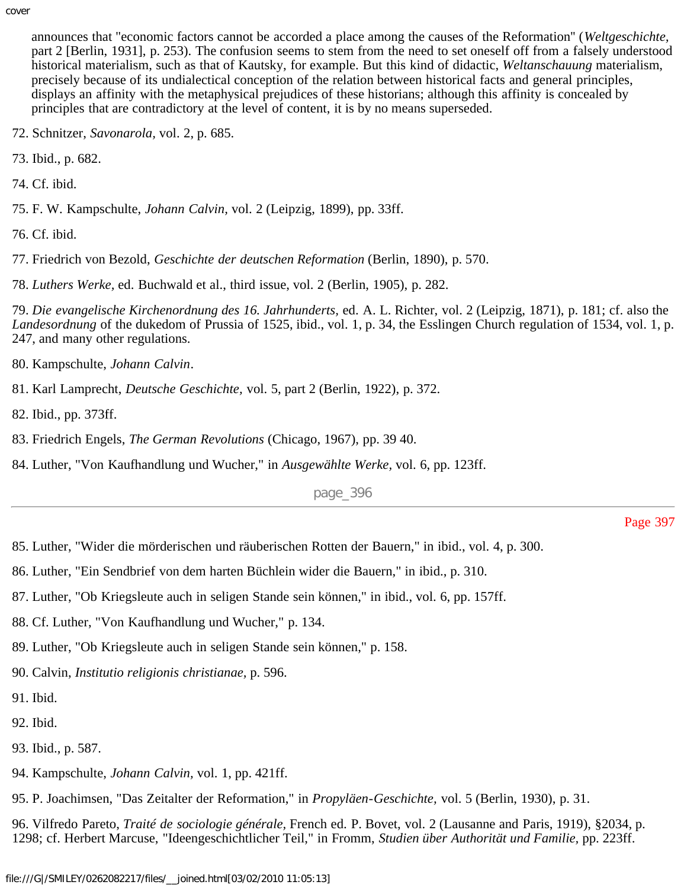announces that "economic factors cannot be accorded a place among the causes of the Reformation'' (*Weltgeschichte,* part 2 [Berlin, 1931], p. 253). The confusion seems to stem from the need to set oneself off from a falsely understood historical materialism, such as that of Kautsky, for example. But this kind of didactic, *Weltanschauung* materialism, precisely because of its undialectical conception of the relation between historical facts and general principles, displays an affinity with the metaphysical prejudices of these historians; although this affinity is concealed by principles that are contradictory at the level of content, it is by no means superseded.

- 72. Schnitzer, *Savonarola,* vol. 2, p. 685.
- 73. Ibid., p. 682.
- 74. Cf. ibid.
- 75. F. W. Kampschulte, *Johann Calvin,* vol. 2 (Leipzig, 1899), pp. 33ff.

76. Cf. ibid.

77. Friedrich von Bezold, *Geschichte der deutschen Reformation* (Berlin, 1890), p. 570.

78. *Luthers Werke,* ed. Buchwald et al., third issue, vol. 2 (Berlin, 1905), p. 282.

79. *Die evangelische Kirchenordnung des 16. Jahrhunderts,* ed. A. L. Richter, vol. 2 (Leipzig, 1871), p. 181; cf. also the *Landesordnung* of the dukedom of Prussia of 1525, ibid., vol. 1, p. 34, the Esslingen Church regulation of 1534, vol. 1, p. 247, and many other regulations.

80. Kampschulte, *Johann Calvin*.

- 81. Karl Lamprecht, *Deutsche Geschichte,* vol. 5, part 2 (Berlin, 1922), p. 372.
- 82. Ibid., pp. 373ff.
- 83. Friedrich Engels, *The German Revolutions* (Chicago, 1967), pp. 39 40.
- 84. Luther, "Von Kaufhandlung und Wucher," in *Ausgewählte Werke,* vol. 6, pp. 123ff.

page\_396

- 85. Luther, "Wider die mörderischen und räuberischen Rotten der Bauern," in ibid., vol. 4, p. 300.
- 86. Luther, "Ein Sendbrief von dem harten Büchlein wider die Bauern," in ibid., p. 310.
- 87. Luther, "Ob Kriegsleute auch in seligen Stande sein können," in ibid., vol. 6, pp. 157ff.
- 88. Cf. Luther, "Von Kaufhandlung und Wucher," p. 134.
- 89. Luther, "Ob Kriegsleute auch in seligen Stande sein können," p. 158.
- 90. Calvin, *Institutio religionis christianae,* p. 596.
- 91. Ibid.
- 92. Ibid.
- 93. Ibid., p. 587.
- 94. Kampschulte, *Johann Calvin,* vol. 1, pp. 421ff.
- 95. P. Joachimsen, "Das Zeitalter der Reformation," in *Propyläen-Geschichte,* vol. 5 (Berlin, 1930), p. 31.

96. Vilfredo Pareto, *Traité de sociologie générale,* French ed. P. Bovet, vol. 2 (Lausanne and Paris, 1919), §2034, p. 1298; cf. Herbert Marcuse, "Ideengeschichtlicher Teil," in Fromm, *Studien über Authorität und Familie,* pp. 223ff.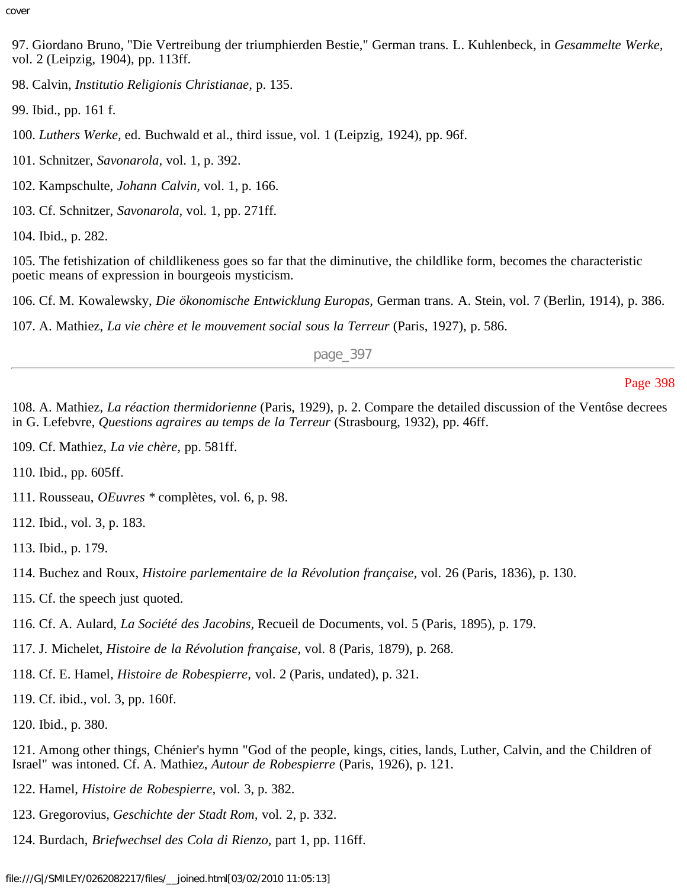97. Giordano Bruno, "Die Vertreibung der triumphierden Bestie," German trans. L. Kuhlenbeck, in *Gesammelte Werke,* vol. 2 (Leipzig, 1904), pp. 113ff.

98. Calvin, *Institutio Religionis Christianae,* p. 135.

99. Ibid., pp. 161 f.

100. *Luthers Werke,* ed. Buchwald et al., third issue, vol. 1 (Leipzig, 1924), pp. 96f.

101. Schnitzer, *Savonarola,* vol. 1, p. 392.

102. Kampschulte, *Johann Calvin,* vol. 1, p. 166.

103. Cf. Schnitzer, *Savonarola,* vol. 1, pp. 271ff.

104. Ibid., p. 282.

105. The fetishization of childlikeness goes so far that the diminutive, the childlike form, becomes the characteristic poetic means of expression in bourgeois mysticism.

106. Cf. M. Kowalewsky, *Die ökonomische Entwicklung Europas,* German trans. A. Stein, vol. 7 (Berlin, 1914), p. 386.

107. A. Mathiez, *La vie chère et le mouvement social sous la Terreur* (Paris, 1927), p. 586.

page\_397

#### Page 398

108. A. Mathiez, *La réaction thermidorienne* (Paris, 1929), p. 2. Compare the detailed discussion of the Ventôse decrees in G. Lefebvre, *Questions agraires au temps de la Terreur* (Strasbourg, 1932), pp. 46ff.

109. Cf. Mathiez, *La vie chère,* pp. 581ff.

110. Ibid., pp. 605ff.

111. Rousseau, *OEuvres \** complètes, vol. 6, p. 98.

112. Ibid., vol. 3, p. 183.

113. Ibid., p. 179.

114. Buchez and Roux, *Histoire parlementaire de la Révolution française,* vol. 26 (Paris, 1836), p. 130.

115. Cf. the speech just quoted.

116. Cf. A. Aulard, *La Société des Jacobins,* Recueil de Documents, vol. 5 (Paris, 1895), p. 179.

117. J. Michelet, *Histoire de la Révolution française,* vol. 8 (Paris, 1879), p. 268.

118. Cf. E. Hamel, *Histoire de Robespierre,* vol. 2 (Paris, undated), p. 321.

119. Cf. ibid., vol. 3, pp. 160f.

120. Ibid., p. 380.

121. Among other things, Chénier's hymn "God of the people, kings, cities, lands, Luther, Calvin, and the Children of Israel" was intoned. Cf. A. Mathiez, *Autour de Robespierre* (Paris, 1926), p. 121.

122. Hamel, *Histoire de Robespierre,* vol. 3, p. 382.

123. Gregorovius, *Geschichte der Stadt Rom,* vol. 2, p. 332.

124. Burdach, *Briefwechsel des Cola di Rienzo,* part 1, pp. 116ff.

file:///G|/SMILEY/0262082217/files/\_\_joined.html[03/02/2010 11:05:13]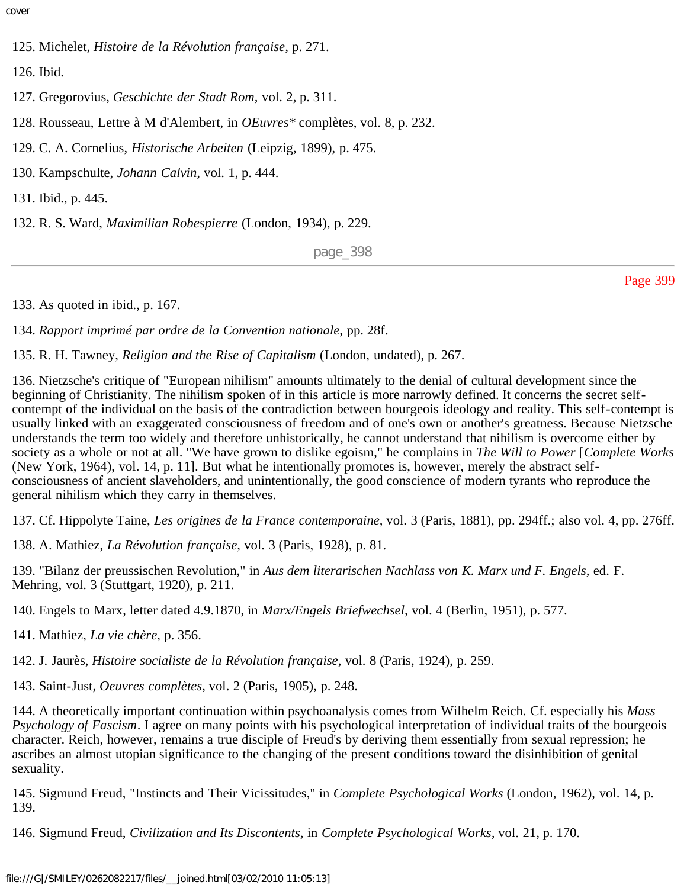125. Michelet, *Histoire de la Révolution française,* p. 271.

126. Ibid.

- 127. Gregorovius, *Geschichte der Stadt Rom,* vol. 2, p. 311.
- 128. Rousseau, Lettre à M d'Alembert, in *OEuvres\** complètes, vol. 8, p. 232.
- 129. C. A. Cornelius, *Historische Arbeiten* (Leipzig, 1899), p. 475.
- 130. Kampschulte, *Johann Calvin,* vol. 1, p. 444.
- 131. Ibid., p. 445.

132. R. S. Ward, *Maximilian Robespierre* (London, 1934), p. 229.

page\_398

133. As quoted in ibid., p. 167.

134. *Rapport imprimé par ordre de la Convention nationale,* pp. 28f.

135. R. H. Tawney, *Religion and the Rise of Capitalism* (London, undated), p. 267.

136. Nietzsche's critique of "European nihilism" amounts ultimately to the denial of cultural development since the beginning of Christianity. The nihilism spoken of in this article is more narrowly defined. It concerns the secret selfcontempt of the individual on the basis of the contradiction between bourgeois ideology and reality. This self-contempt is usually linked with an exaggerated consciousness of freedom and of one's own or another's greatness. Because Nietzsche understands the term too widely and therefore unhistorically, he cannot understand that nihilism is overcome either by society as a whole or not at all. "We have grown to dislike egoism," he complains in *The Will to Power* [*Complete Works* (New York, 1964), vol. 14, p. 11]. But what he intentionally promotes is, however, merely the abstract selfconsciousness of ancient slaveholders, and unintentionally, the good conscience of modern tyrants who reproduce the general nihilism which they carry in themselves.

137. Cf. Hippolyte Taine, *Les origines de la France contemporaine,* vol. 3 (Paris, 1881), pp. 294ff.; also vol. 4, pp. 276ff.

138. A. Mathiez, *La Révolution française,* vol. 3 (Paris, 1928), p. 81.

139. "Bilanz der preussischen Revolution," in *Aus dem literarischen Nachlass von K. Marx und F. Engels,* ed. F. Mehring, vol. 3 (Stuttgart, 1920), p. 211.

140. Engels to Marx, letter dated 4.9.1870, in *Marx/Engels Briefwechsel,* vol. 4 (Berlin, 1951), p. 577.

141. Mathiez, *La vie chère,* p. 356.

142. J. Jaurès, *Histoire socialiste de la Révolution française,* vol. 8 (Paris, 1924), p. 259.

143. Saint-Just, *Oeuvres complètes,* vol. 2 (Paris, 1905), p. 248.

144. A theoretically important continuation within psychoanalysis comes from Wilhelm Reich. Cf. especially his *Mass Psychology of Fascism*. I agree on many points with his psychological interpretation of individual traits of the bourgeois character. Reich, however, remains a true disciple of Freud's by deriving them essentially from sexual repression; he ascribes an almost utopian significance to the changing of the present conditions toward the disinhibition of genital sexuality.

145. Sigmund Freud, "Instincts and Their Vicissitudes," in *Complete Psychological Works* (London, 1962), vol. 14, p. 139.

146. Sigmund Freud, *Civilization and Its Discontents,* in *Complete Psychological Works,* vol. 21, p. 170.

Page 399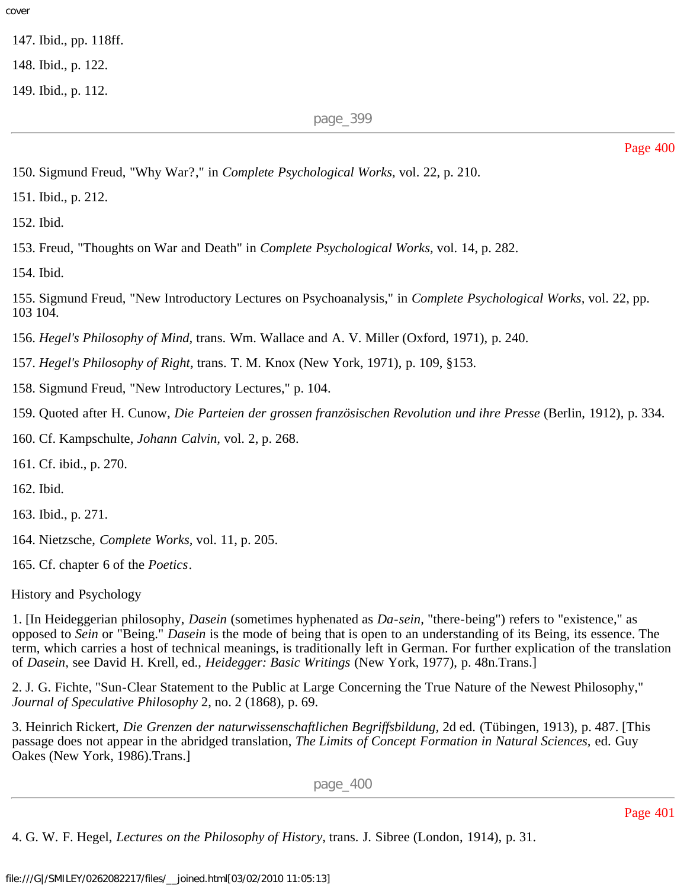147. Ibid., pp. 118ff.

148. Ibid., p. 122.

149. Ibid., p. 112.

page\_399

150. Sigmund Freud, "Why War?," in *Complete Psychological Works,* vol. 22, p. 210.

151. Ibid., p. 212.

152. Ibid.

153. Freud, "Thoughts on War and Death" in *Complete Psychological Works,* vol. 14, p. 282.

154. Ibid.

155. Sigmund Freud, "New Introductory Lectures on Psychoanalysis," in *Complete Psychological Works,* vol. 22, pp. 103 104.

156. *Hegel's Philosophy of Mind,* trans. Wm. Wallace and A. V. Miller (Oxford, 1971), p. 240.

157. *Hegel's Philosophy of Right,* trans. T. M. Knox (New York, 1971), p. 109, §153.

158. Sigmund Freud, "New Introductory Lectures," p. 104.

159. Quoted after H. Cunow, *Die Parteien der grossen französischen Revolution und ihre Presse* (Berlin, 1912), p. 334.

160. Cf. Kampschulte, *Johann Calvin,* vol. 2, p. 268.

161. Cf. ibid., p. 270.

162. Ibid.

163. Ibid., p. 271.

164. Nietzsche, *Complete Works,* vol. 11, p. 205.

165. Cf. chapter 6 of the *Poetics*.

History and Psychology

1. [In Heideggerian philosophy, *Dasein* (sometimes hyphenated as *Da-sein,* "there-being") refers to "existence," as opposed to *Sein* or "Being." *Dasein* is the mode of being that is open to an understanding of its Being, its essence. The term, which carries a host of technical meanings, is traditionally left in German. For further explication of the translation of *Dasein,* see David H. Krell, ed., *Heidegger: Basic Writings* (New York, 1977), p. 48n.Trans.]

2. J. G. Fichte, "Sun-Clear Statement to the Public at Large Concerning the True Nature of the Newest Philosophy," *Journal of Speculative Philosophy* 2, no. 2 (1868), p. 69.

3. Heinrich Rickert, *Die Grenzen der naturwissenschaftlichen Begriffsbildung,* 2d ed. (Tübingen, 1913), p. 487. [This passage does not appear in the abridged translation, *The Limits of Concept Formation in Natural Sciences,* ed. Guy Oakes (New York, 1986).Trans.]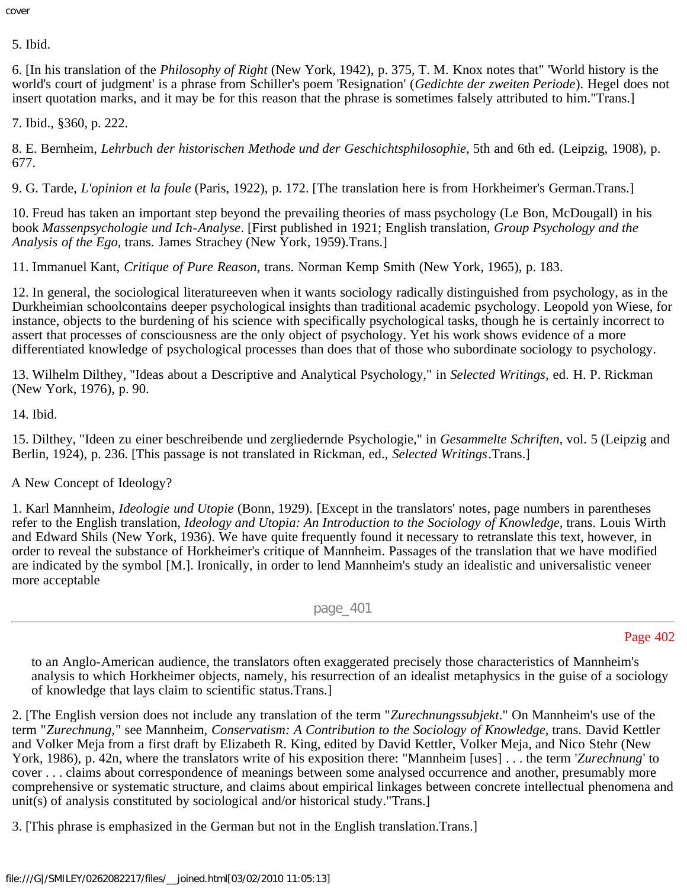5. Ibid.

6. [In his translation of the *Philosophy of Right* (New York, 1942), p. 375, T. M. Knox notes that" 'World history is the world's court of judgment' is a phrase from Schiller's poem 'Resignation' (*Gedichte der zweiten Periode*). Hegel does not insert quotation marks, and it may be for this reason that the phrase is sometimes falsely attributed to him."Trans.]

7. Ibid., §360, p. 222.

8. E. Bernheim, *Lehrbuch der historischen Methode und der Geschichtsphilosophie,* 5th and 6th ed. (Leipzig, 1908), p. 677.

9. G. Tarde, *L'opinion et la foule* (Paris, 1922), p. 172. [The translation here is from Horkheimer's German.Trans.]

10. Freud has taken an important step beyond the prevailing theories of mass psychology (Le Bon, McDougall) in his book *Massenpsychologie und Ich-Analyse*. [First published in 1921; English translation, *Group Psychology and the Analysis of the Ego,* trans. James Strachey (New York, 1959).Trans.]

11. Immanuel Kant, *Critique of Pure Reason,* trans. Norman Kemp Smith (New York, 1965), p. 183.

12. In general, the sociological literatureeven when it wants sociology radically distinguished from psychology, as in the Durkheimian schoolcontains deeper psychological insights than traditional academic psychology. Leopold yon Wiese, for instance, objects to the burdening of his science with specifically psychological tasks, though he is certainly incorrect to assert that processes of consciousness are the only object of psychology. Yet his work shows evidence of a more differentiated knowledge of psychological processes than does that of those who subordinate sociology to psychology.

13. Wilhelm Dilthey, "Ideas about a Descriptive and Analytical Psychology," in *Selected Writings,* ed. H. P. Rickman (New York, 1976), p. 90.

14. Ibid.

15. Dilthey, "Ideen zu einer beschreibende und zergliedernde Psychologie," in *Gesammelte Schriften,* vol. 5 (Leipzig and Berlin, 1924), p. 236. [This passage is not translated in Rickman, ed., *Selected Writings*.Trans.]

A New Concept of Ideology?

1. Karl Mannheim, *Ideologie und Utopie* (Bonn, 1929). [Except in the translators' notes, page numbers in parentheses refer to the English translation, *Ideology and Utopia: An Introduction to the Sociology of Knowledge,* trans. Louis Wirth and Edward Shils (New York, 1936). We have quite frequently found it necessary to retranslate this text, however, in order to reveal the substance of Horkheimer's critique of Mannheim. Passages of the translation that we have modified are indicated by the symbol [M.]. Ironically, in order to lend Mannheim's study an idealistic and universalistic veneer more acceptable

page\_401

Page 402

to an Anglo-American audience, the translators often exaggerated precisely those characteristics of Mannheim's analysis to which Horkheimer objects, namely, his resurrection of an idealist metaphysics in the guise of a sociology of knowledge that lays claim to scientific status.Trans.]

2. [The English version does not include any translation of the term "*Zurechnungssubjekt*." On Mannheim's use of the term "*Zurechnung,*" see Mannheim, *Conservatism: A Contribution to the Sociology of Knowledge,* trans. David Kettler and Volker Meja from a first draft by Elizabeth R. King, edited by David Kettler, Volker Meja, and Nico Stehr (New York, 1986), p. 42n, where the translators write of his exposition there: "Mannheim [uses] . . . the term '*Zurechnung*' to cover . . . claims about correspondence of meanings between some analysed occurrence and another, presumably more comprehensive or systematic structure, and claims about empirical linkages between concrete intellectual phenomena and unit(s) of analysis constituted by sociological and/or historical study."Trans.]

3. [This phrase is emphasized in the German but not in the English translation.Trans.]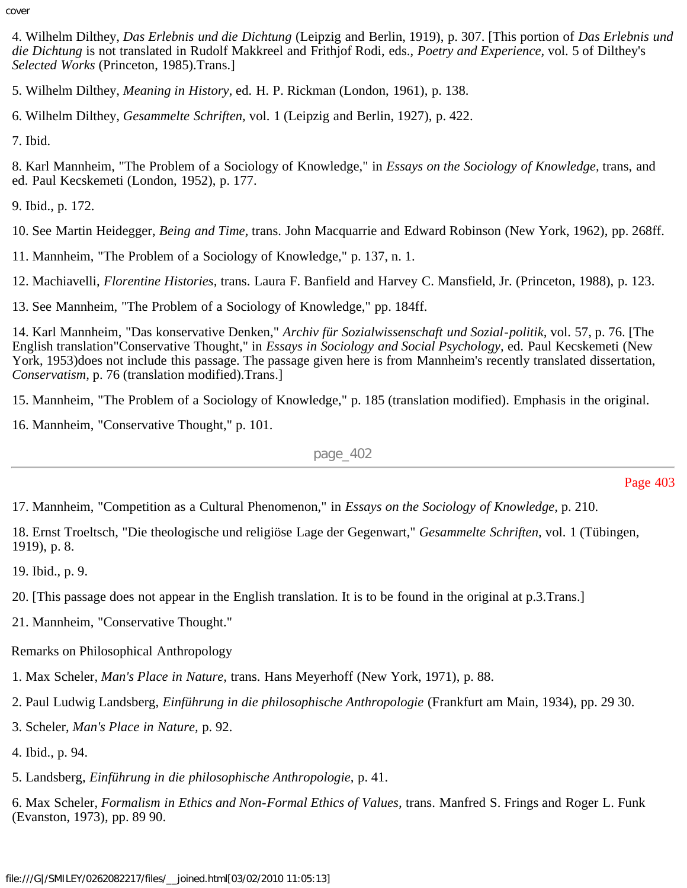4. Wilhelm Dilthey, *Das Erlebnis und die Dichtung* (Leipzig and Berlin, 1919), p. 307. [This portion of *Das Erlebnis und die Dichtung* is not translated in Rudolf Makkreel and Frithjof Rodi, eds., *Poetry and Experience,* vol. 5 of Dilthey's *Selected Works* (Princeton, 1985).Trans.]

5. Wilhelm Dilthey, *Meaning in History,* ed. H. P. Rickman (London, 1961), p. 138.

6. Wilhelm Dilthey, *Gesammelte Schriften,* vol. 1 (Leipzig and Berlin, 1927), p. 422.

7. Ibid.

8. Karl Mannheim, "The Problem of a Sociology of Knowledge," in *Essays on the Sociology of Knowledge,* trans, and ed. Paul Kecskemeti (London, 1952), p. 177.

9. Ibid., p. 172.

10. See Martin Heidegger, *Being and Time,* trans. John Macquarrie and Edward Robinson (New York, 1962), pp. 268ff.

11. Mannheim, "The Problem of a Sociology of Knowledge," p. 137, n. 1.

12. Machiavelli, *Florentine Histories,* trans. Laura F. Banfield and Harvey C. Mansfield, Jr. (Princeton, 1988), p. 123.

13. See Mannheim, "The Problem of a Sociology of Knowledge," pp. 184ff.

14. Karl Mannheim, "Das konservative Denken," *Archiv für Sozialwissenschaft und Sozial-politik,* vol. 57, p. 76. [The English translation"Conservative Thought," in *Essays in Sociology and Social Psychology,* ed. Paul Kecskemeti (New York, 1953)does not include this passage. The passage given here is from Mannheim's recently translated dissertation, *Conservatism,* p. 76 (translation modified).Trans.]

15. Mannheim, "The Problem of a Sociology of Knowledge," p. 185 (translation modified). Emphasis in the original.

16. Mannheim, "Conservative Thought," p. 101.

page\_402

Page 403

17. Mannheim, "Competition as a Cultural Phenomenon," in *Essays on the Sociology of Knowledge,* p. 210.

18. Ernst Troeltsch, "Die theologische und religiöse Lage der Gegenwart," *Gesammelte Schriften,* vol. 1 (Tübingen, 1919), p. 8.

19. Ibid., p. 9.

20. [This passage does not appear in the English translation. It is to be found in the original at p.3.Trans.]

21. Mannheim, "Conservative Thought."

Remarks on Philosophical Anthropology

1. Max Scheler, *Man's Place in Nature,* trans. Hans Meyerhoff (New York, 1971), p. 88.

2. Paul Ludwig Landsberg, *Einführung in die philosophische Anthropologie* (Frankfurt am Main, 1934), pp. 29 30.

3. Scheler, *Man's Place in Nature,* p. 92.

4. Ibid., p. 94.

5. Landsberg, *Einführung in die philosophische Anthropologie,* p. 41.

6. Max Scheler, *Formalism in Ethics and Non-Formal Ethics of Values,* trans. Manfred S. Frings and Roger L. Funk (Evanston, 1973), pp. 89 90.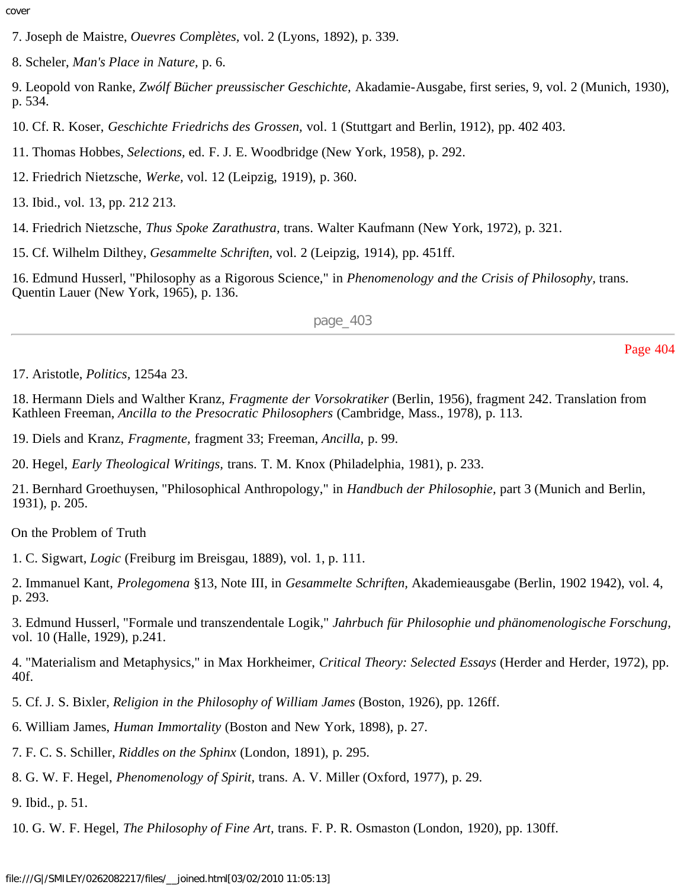- 7. Joseph de Maistre, *Ouevres Complètes,* vol. 2 (Lyons, 1892), p. 339.
- 8. Scheler, *Man's Place in Nature,* p. 6.

9. Leopold von Ranke, *Zwólf Bücher preussischer Geschichte,* Akadamie-Ausgabe, first series, 9, vol. 2 (Munich, 1930), p. 534.

10. Cf. R. Koser, *Geschichte Friedrichs des Grossen,* vol. 1 (Stuttgart and Berlin, 1912), pp. 402 403.

11. Thomas Hobbes, *Selections,* ed. F. J. E. Woodbridge (New York, 1958), p. 292.

12. Friedrich Nietzsche, *Werke,* vol. 12 (Leipzig, 1919), p. 360.

13. Ibid., vol. 13, pp. 212 213.

14. Friedrich Nietzsche, *Thus Spoke Zarathustra,* trans. Walter Kaufmann (New York, 1972), p. 321.

15. Cf. Wilhelm Dilthey, *Gesammelte Schriften,* vol. 2 (Leipzig, 1914), pp. 451ff.

16. Edmund Husserl, "Philosophy as a Rigorous Science," in *Phenomenology and the Crisis of Philosophy,* trans. Quentin Lauer (New York, 1965), p. 136.

page\_403

17. Aristotle, *Politics,* 1254a 23.

18. Hermann Diels and Walther Kranz, *Fragmente der Vorsokratiker* (Berlin, 1956), fragment 242. Translation from Kathleen Freeman, *Ancilla to the Presocratic Philosophers* (Cambridge, Mass., 1978), p. 113.

19. Diels and Kranz, *Fragmente,* fragment 33; Freeman, *Ancilla,* p. 99.

20. Hegel, *Early Theological Writings,* trans. T. M. Knox (Philadelphia, 1981), p. 233.

21. Bernhard Groethuysen, "Philosophical Anthropology," in *Handbuch der Philosophie,* part 3 (Munich and Berlin, 1931), p. 205.

On the Problem of Truth

1. C. Sigwart, *Logic* (Freiburg im Breisgau, 1889), vol. 1, p. 111.

2. Immanuel Kant, *Prolegomena* §13, Note III, in *Gesammelte Schriften,* Akademieausgabe (Berlin, 1902 1942), vol. 4, p. 293.

3. Edmund Husserl, "Formale und transzendentale Logik," *Jahrbuch für Philosophie und phänomenologische Forschung,* vol. 10 (Halle, 1929), p.241.

4. "Materialism and Metaphysics," in Max Horkheimer, *Critical Theory: Selected Essays* (Herder and Herder, 1972), pp. 40f.

5. Cf. J. S. Bixler, *Religion in the Philosophy of William James* (Boston, 1926), pp. 126ff.

6. William James, *Human Immortality* (Boston and New York, 1898), p. 27.

7. F. C. S. Schiller, *Riddles on the Sphinx* (London, 1891), p. 295.

8. G. W. F. Hegel, *Phenomenology of Spirit,* trans. A. V. Miller (Oxford, 1977), p. 29.

9. Ibid., p. 51.

10. G. W. F. Hegel, *The Philosophy of Fine Art,* trans. F. P. R. Osmaston (London, 1920), pp. 130ff.

Page 404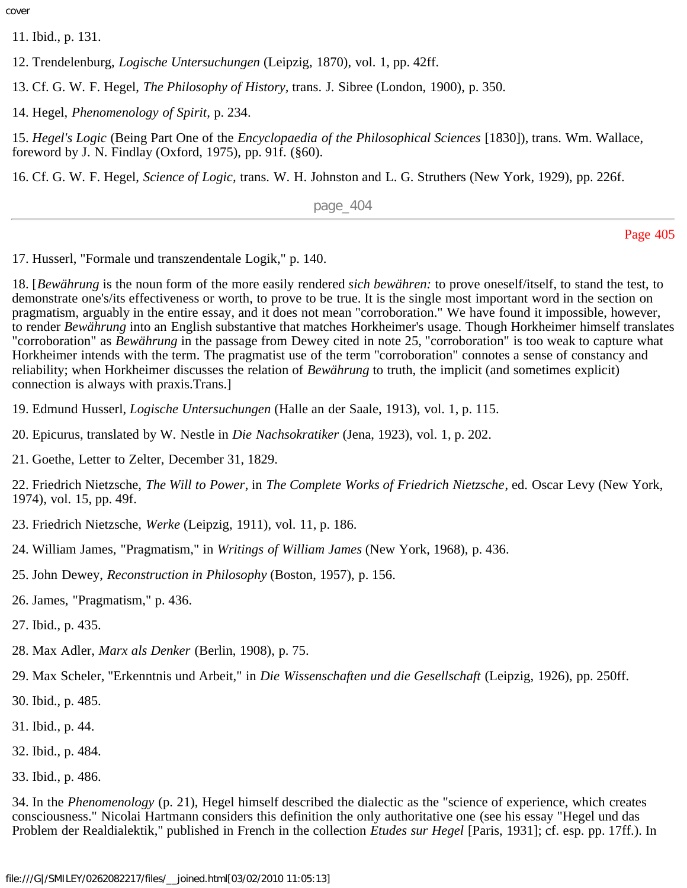11. Ibid., p. 131.

12. Trendelenburg, *Logische Untersuchungen* (Leipzig, 1870), vol. 1, pp. 42ff.

13. Cf. G. W. F. Hegel, *The Philosophy of History,* trans. J. Sibree (London, 1900), p. 350.

14. Hegel, *Phenomenology of Spirit,* p. 234.

15. *Hegel's Logic* (Being Part One of the *Encyclopaedia of the Philosophical Sciences* [1830]), trans. Wm. Wallace, foreword by J. N. Findlay (Oxford, 1975), pp. 91f. (§60).

16. Cf. G. W. F. Hegel, *Science of Logic,* trans. W. H. Johnston and L. G. Struthers (New York, 1929), pp. 226f.

page\_404

17. Husserl, "Formale und transzendentale Logik," p. 140.

18. [*Bewährung* is the noun form of the more easily rendered *sich bewähren:* to prove oneself/itself, to stand the test, to demonstrate one's/its effectiveness or worth, to prove to be true. It is the single most important word in the section on pragmatism, arguably in the entire essay, and it does not mean "corroboration." We have found it impossible, however, to render *Bewährung* into an English substantive that matches Horkheimer's usage. Though Horkheimer himself translates "corroboration" as *Bewährung* in the passage from Dewey cited in note 25, "corroboration" is too weak to capture what Horkheimer intends with the term. The pragmatist use of the term ''corroboration" connotes a sense of constancy and reliability; when Horkheimer discusses the relation of *Bewährung* to truth, the implicit (and sometimes explicit) connection is always with praxis.Trans.]

19. Edmund Husserl, *Logische Untersuchungen* (Halle an der Saale, 1913), vol. 1, p. 115.

20. Epicurus, translated by W. Nestle in *Die Nachsokratiker* (Jena, 1923), vol. 1, p. 202.

21. Goethe, Letter to Zelter, December 31, 1829.

22. Friedrich Nietzsche, *The Will to Power*, in *The Complete Works of Friedrich Nietzsche*, ed. Oscar Levy (New York, 1974), vol. 15, pp. 49f.

- 23. Friedrich Nietzsche, *Werke* (Leipzig, 1911), vol. 11, p. 186.
- 24. William James, "Pragmatism," in *Writings of William James* (New York, 1968), p. 436.
- 25. John Dewey, *Reconstruction in Philosophy* (Boston, 1957), p. 156.
- 26. James, "Pragmatism," p. 436.
- 27. Ibid., p. 435.
- 28. Max Adler, *Marx als Denker* (Berlin, 1908), p. 75.
- 29. Max Scheler, "Erkenntnis und Arbeit," in *Die Wissenschaften und die Gesellschaft* (Leipzig, 1926), pp. 250ff.
- 30. Ibid., p. 485.
- 31. Ibid., p. 44.
- 32. Ibid., p. 484.
- 33. Ibid., p. 486.

34. In the *Phenomenology* (p. 21), Hegel himself described the dialectic as the "science of experience, which creates consciousness." Nicolai Hartmann considers this definition the only authoritative one (see his essay "Hegel und das Problem der Realdialektik," published in French in the collection *Etudes sur Hegel* [Paris, 1931]; cf. esp. pp. 17ff.). In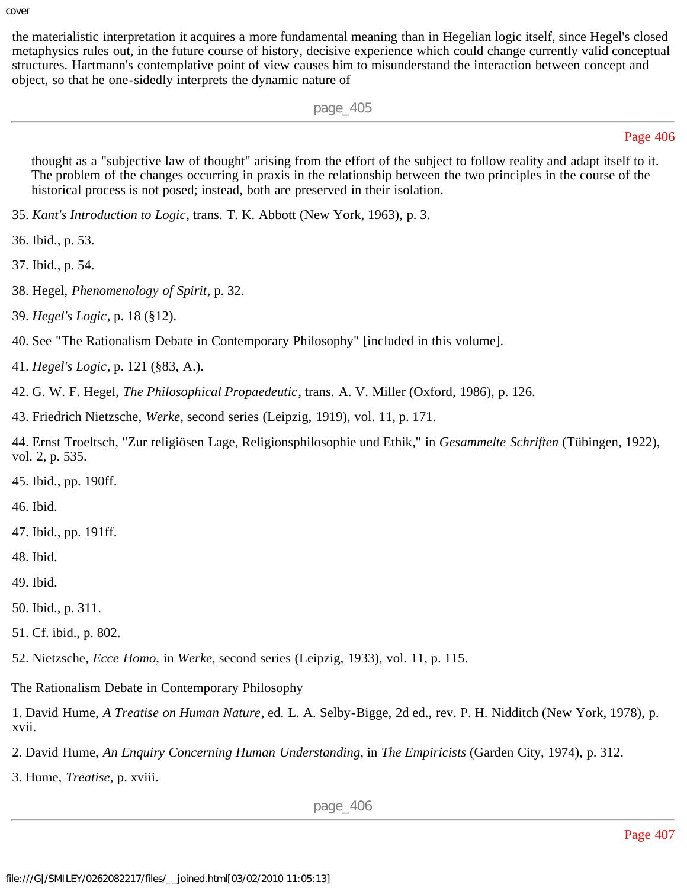the materialistic interpretation it acquires a more fundamental meaning than in Hegelian logic itself, since Hegel's closed metaphysics rules out, in the future course of history, decisive experience which could change currently valid conceptual structures. Hartmann's contemplative point of view causes him to misunderstand the interaction between concept and object, so that he one-sidedly interprets the dynamic nature of

page\_405

#### Page 406

thought as a "subjective law of thought" arising from the effort of the subject to follow reality and adapt itself to it. The problem of the changes occurring in praxis in the relationship between the two principles in the course of the historical process is not posed; instead, both are preserved in their isolation.

- 35. *Kant's Introduction to Logic*, trans. T. K. Abbott (New York, 1963), p. 3.
- 36. Ibid., p. 53.
- 37. Ibid., p. 54.
- 38. Hegel, *Phenomenology of Spirit*, p. 32.
- 39. *Hegel's Logic*, p. 18 (§12).
- 40. See "The Rationalism Debate in Contemporary Philosophy" [included in this volume].
- 41. *Hegel's Logic*, p. 121 (§83, A.).
- 42. G. W. F. Hegel, *The Philosophical Propaedeutic*, trans. A. V. Miller (Oxford, 1986), p. 126.
- 43. Friedrich Nietzsche, *Werke*, second series (Leipzig, 1919), vol. 11, p. 171.
- 44. Ernst Troeltsch, "Zur religiösen Lage, Religionsphilosophie und Ethik," in *Gesammelte Schriften* (Tübingen, 1922), vol. 2, p. 535.
- 45. Ibid., pp. 190ff.
- 46. Ibid.
- 47. Ibid., pp. 191ff.
- 48. Ibid.
- 49. Ibid.
- 50. Ibid., p. 311.
- 51. Cf. ibid., p. 802.
- 52. Nietzsche, *Ecce Homo,* in *Werke,* second series (Leipzig, 1933), vol. 11, p. 115.
- The Rationalism Debate in Contemporary Philosophy
- 1. David Hume, *A Treatise on Human Nature*, ed. L. A. Selby-Bigge, 2d ed., rev. P. H. Nidditch (New York, 1978), p. xvii.
- 2. David Hume, *An Enquiry Concerning Human Understanding*, in *The Empiricists* (Garden City, 1974), p. 312.
- 3. Hume, *Treatise,* p. xviii.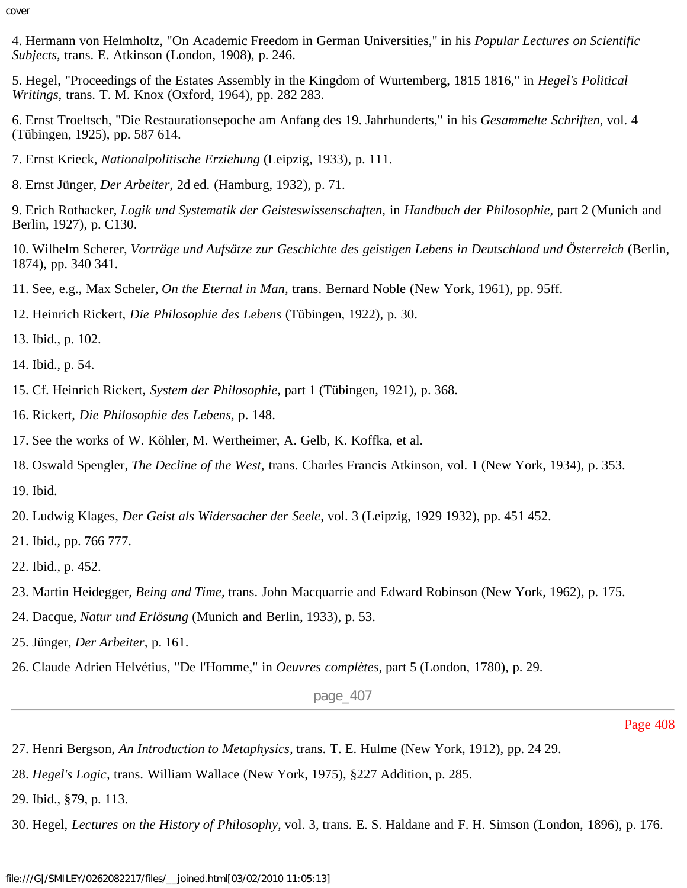4. Hermann von Helmholtz, "On Academic Freedom in German Universities," in his *Popular Lectures on Scientific Subjects,* trans. E. Atkinson (London, 1908), p. 246.

5. Hegel, "Proceedings of the Estates Assembly in the Kingdom of Wurtemberg, 1815 1816," in *Hegel's Political Writings,* trans. T. M. Knox (Oxford, 1964), pp. 282 283.

6. Ernst Troeltsch, "Die Restaurationsepoche am Anfang des 19. Jahrhunderts," in his *Gesammelte Schriften,* vol. 4 (Tübingen, 1925), pp. 587 614.

7. Ernst Krieck, *Nationalpolitische Erziehung* (Leipzig, 1933), p. 111.

8. Ernst Jünger, *Der Arbeiter,* 2d ed. (Hamburg, 1932), p. 71.

9. Erich Rothacker, *Logik und Systematik der Geisteswissenschaften,* in *Handbuch der Philosophie,* part 2 (Munich and Berlin, 1927), p. C130.

10. Wilhelm Scherer, *Vorträge und Aufsätze zur Geschichte des geistigen Lebens in Deutschland und Österreich* (Berlin, 1874), pp. 340 341.

11. See, e.g., Max Scheler, *On the Eternal in Man,* trans. Bernard Noble (New York, 1961), pp. 95ff.

12. Heinrich Rickert, *Die Philosophie des Lebens* (Tübingen, 1922), p. 30.

13. Ibid., p. 102.

14. Ibid., p. 54.

15. Cf. Heinrich Rickert, *System der Philosophie,* part 1 (Tübingen, 1921), p. 368.

16. Rickert, *Die Philosophie des Lebens,* p. 148.

17. See the works of W. Köhler, M. Wertheimer, A. Gelb, K. Koffka, et al.

18. Oswald Spengler, *The Decline of the West,* trans. Charles Francis Atkinson, vol. 1 (New York, 1934), p. 353.

19. Ibid.

20. Ludwig Klages, *Der Geist als Widersacher der Seele,* vol. 3 (Leipzig, 1929 1932), pp. 451 452.

21. Ibid., pp. 766 777.

22. Ibid., p. 452.

23. Martin Heidegger, *Being and Time,* trans. John Macquarrie and Edward Robinson (New York, 1962), p. 175.

24. Dacque, *Natur und Erlösung* (Munich and Berlin, 1933), p. 53.

25. Jünger, *Der Arbeiter,* p. 161.

26. Claude Adrien Helvétius, "De l'Homme," in *Oeuvres complètes,* part 5 (London, 1780), p. 29.

page\_407

## Page 408

27. Henri Bergson, *An Introduction to Metaphysics,* trans. T. E. Hulme (New York, 1912), pp. 24 29.

28. *Hegel's Logic,* trans. William Wallace (New York, 1975), §227 Addition, p. 285.

29. Ibid., §79, p. 113.

30. Hegel, *Lectures on the History of Philosophy,* vol. 3, trans. E. S. Haldane and F. H. Simson (London, 1896), p. 176.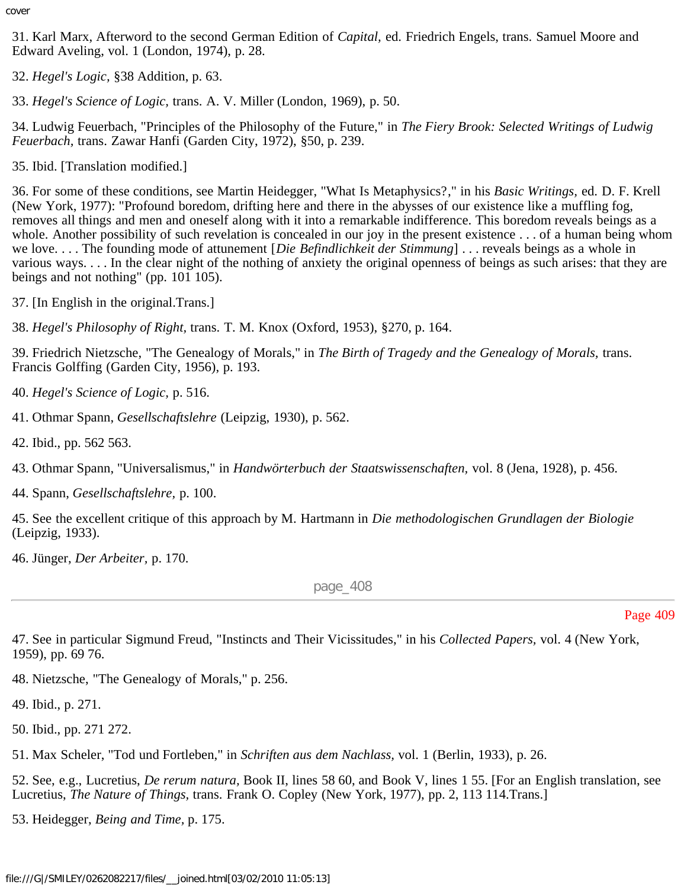31. Karl Marx, Afterword to the second German Edition of *Capital,* ed. Friedrich Engels, trans. Samuel Moore and Edward Aveling, vol. 1 (London, 1974), p. 28.

32. *Hegel's Logic,* §38 Addition, p. 63.

33. *Hegel's Science of Logic,* trans. A. V. Miller (London, 1969), p. 50.

34. Ludwig Feuerbach, "Principles of the Philosophy of the Future," in *The Fiery Brook: Selected Writings of Ludwig Feuerbach,* trans. Zawar Hanfi (Garden City, 1972), §50, p. 239.

35. Ibid. [Translation modified.]

36. For some of these conditions, see Martin Heidegger, "What Is Metaphysics?," in his *Basic Writings,* ed. D. F. Krell (New York, 1977): "Profound boredom, drifting here and there in the abysses of our existence like a muffling fog, removes all things and men and oneself along with it into a remarkable indifference. This boredom reveals beings as a whole. Another possibility of such revelation is concealed in our joy in the present existence . . . of a human being whom we love. . . . The founding mode of attunement [*Die Befindlichkeit der Stimmung*] . . . reveals beings as a whole in various ways. . . . In the clear night of the nothing of anxiety the original openness of beings as such arises: that they are beings and not nothing" (pp. 101 105).

37. [In English in the original.Trans.]

38. *Hegel's Philosophy of Right,* trans. T. M. Knox (Oxford, 1953), §270, p. 164.

39. Friedrich Nietzsche, "The Genealogy of Morals," in *The Birth of Tragedy and the Genealogy of Morals,* trans. Francis Golffing (Garden City, 1956), p. 193.

40. *Hegel's Science of Logic,* p. 516.

41. Othmar Spann, *Gesellschaftslehre* (Leipzig, 1930), p. 562.

42. Ibid., pp. 562 563.

43. Othmar Spann, "Universalismus," in *Handwörterbuch der Staatswissenschaften,* vol. 8 (Jena, 1928), p. 456.

44. Spann, *Gesellschaftslehre,* p. 100.

45. See the excellent critique of this approach by M. Hartmann in *Die methodologischen Grundlagen der Biologie* (Leipzig, 1933).

46. Jünger, *Der Arbeiter,* p. 170.

page\_408

Page 409

47. See in particular Sigmund Freud, "Instincts and Their Vicissitudes," in his *Collected Papers,* vol. 4 (New York, 1959), pp. 69 76.

48. Nietzsche, "The Genealogy of Morals," p. 256.

49. Ibid., p. 271.

50. Ibid., pp. 271 272.

51. Max Scheler, "Tod und Fortleben," in *Schriften aus dem Nachlass,* vol. 1 (Berlin, 1933), p. 26.

52. See, e.g., Lucretius, *De rerum natura,* Book II, lines 58 60, and Book V, lines 1 55. [For an English translation, see Lucretius, *The Nature of Things,* trans. Frank O. Copley (New York, 1977), pp. 2, 113 114.Trans.]

53. Heidegger, *Being and Time,* p. 175.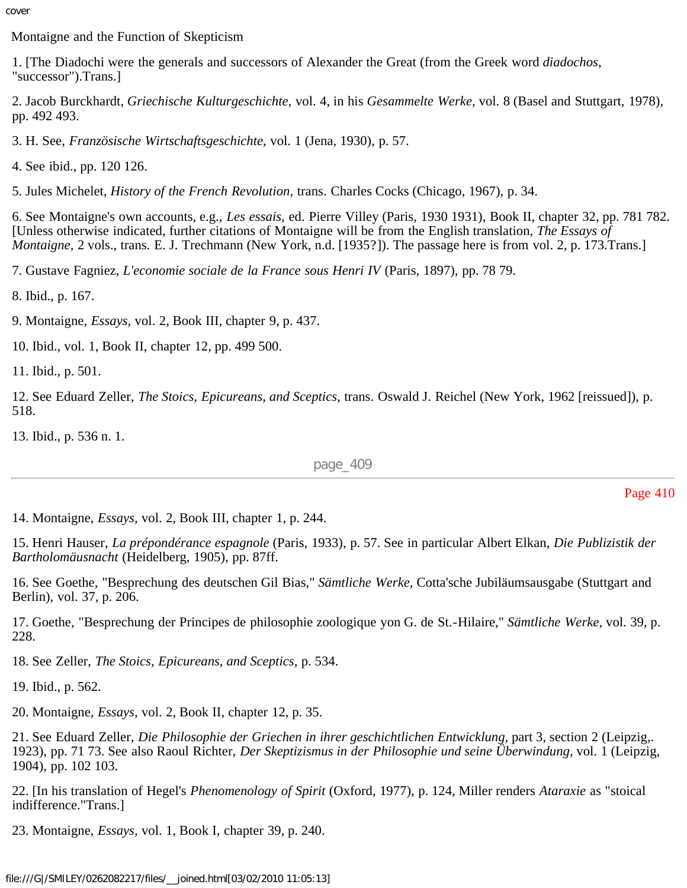Montaigne and the Function of Skepticism

1. [The Diadochi were the generals and successors of Alexander the Great (from the Greek word *diadochos,* "successor").Trans.]

2. Jacob Burckhardt, *Griechische Kulturgeschichte,* vol. 4, in his *Gesammelte Werke,* vol. 8 (Basel and Stuttgart, 1978), pp. 492 493.

3. H. See, *Französische Wirtschaftsgeschichte,* vol. 1 (Jena, 1930), p. 57.

4. See ibid., pp. 120 126.

5. Jules Michelet, *History of the French Revolution,* trans. Charles Cocks (Chicago, 1967), p. 34.

6. See Montaigne's own accounts, e.g., *Les essais,* ed. Pierre Villey (Paris, 1930 1931), Book II, chapter 32, pp. 781 782. [Unless otherwise indicated, further citations of Montaigne will be from the English translation, *The Essays of Montaigne,* 2 vols., trans. E. J. Trechmann (New York, n.d. [1935?]). The passage here is from vol. 2, p. 173.Trans.]

7. Gustave Fagniez, *L'economie sociale de la France sous Henri IV* (Paris, 1897), pp. 78 79.

8. Ibid., p. 167.

9. Montaigne, *Essays,* vol. 2, Book III, chapter 9, p. 437.

10. Ibid., vol. 1, Book II, chapter 12, pp. 499 500.

11. Ibid., p. 501.

12. See Eduard Zeller, *The Stoics, Epicureans, and Sceptics,* trans. Oswald J. Reichel (New York, 1962 [reissued]), p. 518.

13. Ibid., p. 536 n. 1.

page\_409

14. Montaigne, *Essays,* vol. 2, Book III, chapter 1, p. 244.

15. Henri Hauser, *La prépondérance espagnole* (Paris, 1933), p. 57. See in particular Albert Elkan, *Die Publizistik der Bartholomäusnacht* (Heidelberg, 1905), pp. 87ff.

16. See Goethe, "Besprechung des deutschen Gil Bias," *Sämtliche Werke,* Cotta'sche Jubiläumsausgabe (Stuttgart and Berlin), vol. 37, p. 206.

17. Goethe, "Besprechung der Principes de philosophie zoologique yon G. de St.-Hilaire," *Sämtliche Werke,* vol. 39, p. 228.

18. See Zeller, *The Stoics, Epicureans, and Sceptics,* p. 534.

19. Ibid., p. 562.

20. Montaigne, *Essays,* vol. 2, Book II, chapter 12, p. 35.

21. See Eduard Zeller, *Die Philosophie der Griechen in ihrer geschichtlichen Entwicklung,* part 3, section 2 (Leipzig,. 1923), pp. 71 73. See also Raoul Richter, *Der Skeptizismus in der Philosophie und seine Überwindung,* vol. 1 (Leipzig, 1904), pp. 102 103.

22. [In his translation of Hegel's *Phenomenology of Spirit* (Oxford, 1977), p. 124, Miller renders *Ataraxie* as "stoical indifference."Trans.]

23. Montaigne, *Essays,* vol. 1, Book I, chapter 39, p. 240.

Page 410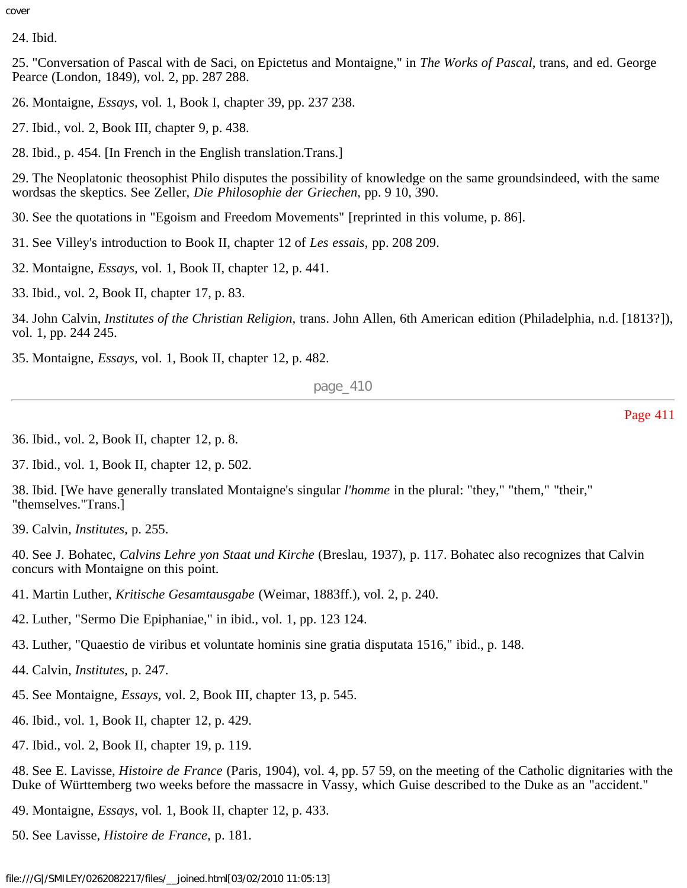24. Ibid.

25. "Conversation of Pascal with de Saci, on Epictetus and Montaigne," in *The Works of Pascal,* trans, and ed. George Pearce (London, 1849), vol. 2, pp. 287 288.

26. Montaigne, *Essays,* vol. 1, Book I, chapter 39, pp. 237 238.

27. Ibid., vol. 2, Book III, chapter 9, p. 438.

28. Ibid., p. 454. [In French in the English translation.Trans.]

29. The Neoplatonic theosophist Philo disputes the possibility of knowledge on the same groundsindeed, with the same wordsas the skeptics. See Zeller, *Die Philosophie der Griechen,* pp. 9 10, 390.

30. See the quotations in "Egoism and Freedom Movements" [reprinted in this volume, p. 86].

31. See Villey's introduction to Book II, chapter 12 of *Les essais,* pp. 208 209.

32. Montaigne, *Essays,* vol. 1, Book II, chapter 12, p. 441.

33. Ibid., vol. 2, Book II, chapter 17, p. 83.

34. John Calvin, *Institutes of the Christian Religion,* trans. John Allen, 6th American edition (Philadelphia, n.d. [1813?]), vol. 1, pp. 244 245.

35. Montaigne, *Essays,* vol. 1, Book II, chapter 12, p. 482.

page\_410

36. Ibid., vol. 2, Book II, chapter 12, p. 8.

37. Ibid., vol. 1, Book II, chapter 12, p. 502.

38. Ibid. [We have generally translated Montaigne's singular *l'homme* in the plural: "they," "them," "their," "themselves."Trans.]

39. Calvin, *Institutes,* p. 255.

40. See J. Bohatec, *Calvins Lehre yon Staat und Kirche* (Breslau, 1937), p. 117. Bohatec also recognizes that Calvin concurs with Montaigne on this point.

41. Martin Luther, *Kritische Gesamtausgabe* (Weimar, 1883ff.), vol. 2, p. 240.

42. Luther, "Sermo Die Epiphaniae," in ibid., vol. 1, pp. 123 124.

43. Luther, "Quaestio de viribus et voluntate hominis sine gratia disputata 1516," ibid., p. 148.

44. Calvin, *Institutes,* p. 247.

45. See Montaigne, *Essays,* vol. 2, Book III, chapter 13, p. 545.

46. Ibid., vol. 1, Book II, chapter 12, p. 429.

47. Ibid., vol. 2, Book II, chapter 19, p. 119.

48. See E. Lavisse, *Histoire de France* (Paris, 1904), vol. 4, pp. 57 59, on the meeting of the Catholic dignitaries with the Duke of Württemberg two weeks before the massacre in Vassy, which Guise described to the Duke as an "accident."

49. Montaigne, *Essays,* vol. 1, Book II, chapter 12, p. 433.

50. See Lavisse, *Histoire de France,* p. 181.

Page 411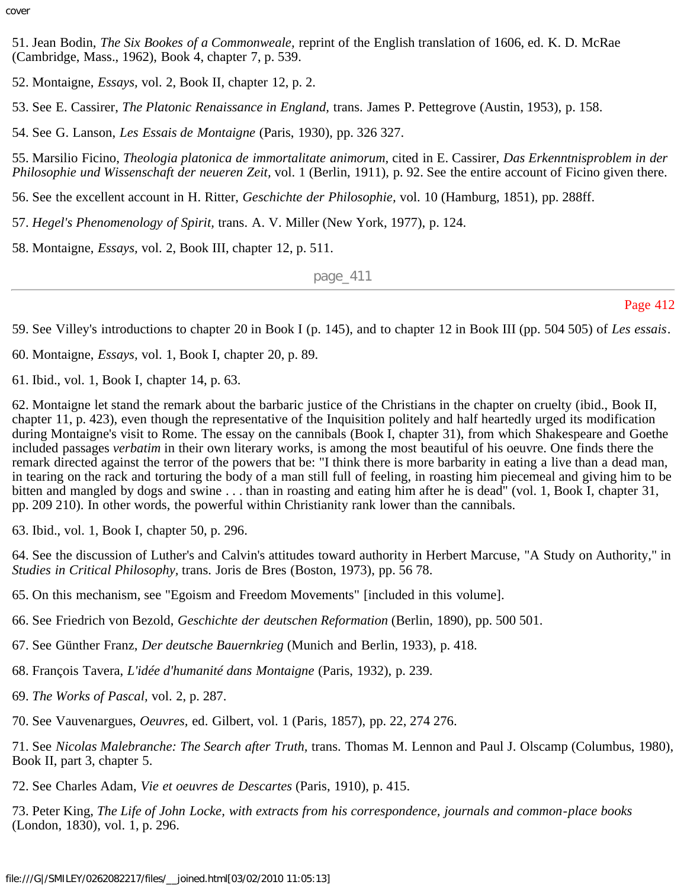51. Jean Bodin, *The Six Bookes of a Commonweale,* reprint of the English translation of 1606, ed. K. D. McRae (Cambridge, Mass., 1962), Book 4, chapter 7, p. 539.

52. Montaigne, *Essays,* vol. 2, Book II, chapter 12, p. 2.

53. See E. Cassirer, *The Platonic Renaissance in England,* trans. James P. Pettegrove (Austin, 1953), p. 158.

54. See G. Lanson, *Les Essais de Montaigne* (Paris, 1930), pp. 326 327.

55. Marsilio Ficino, *Theologia platonica de immortalitate animorum,* cited in E. Cassirer, *Das Erkenntnisproblem in der Philosophie und Wissenschaft der neueren Zeit,* vol. 1 (Berlin, 1911), p. 92. See the entire account of Ficino given there.

56. See the excellent account in H. Ritter, *Geschichte der Philosophie,* vol. 10 (Hamburg, 1851), pp. 288ff.

57. *Hegel's Phenomenology of Spirit,* trans. A. V. Miller (New York, 1977), p. 124.

58. Montaigne, *Essays,* vol. 2, Book III, chapter 12, p. 511.

page\_411

# Page 412

59. See Villey's introductions to chapter 20 in Book I (p. 145), and to chapter 12 in Book III (pp. 504 505) of *Les essais*.

60. Montaigne, *Essays,* vol. 1, Book I, chapter 20, p. 89.

61. Ibid., vol. 1, Book I, chapter 14, p. 63.

62. Montaigne let stand the remark about the barbaric justice of the Christians in the chapter on cruelty (ibid., Book II, chapter 11, p. 423), even though the representative of the Inquisition politely and half heartedly urged its modification during Montaigne's visit to Rome. The essay on the cannibals (Book I, chapter 31), from which Shakespeare and Goethe included passages *verbatim* in their own literary works, is among the most beautiful of his oeuvre. One finds there the remark directed against the terror of the powers that be: "I think there is more barbarity in eating a live than a dead man, in tearing on the rack and torturing the body of a man still full of feeling, in roasting him piecemeal and giving him to be bitten and mangled by dogs and swine . . . than in roasting and eating him after he is dead" (vol. 1, Book I, chapter 31, pp. 209 210). In other words, the powerful within Christianity rank lower than the cannibals.

63. Ibid., vol. 1, Book I, chapter 50, p. 296.

64. See the discussion of Luther's and Calvin's attitudes toward authority in Herbert Marcuse, "A Study on Authority," in *Studies in Critical Philosophy,* trans. Joris de Bres (Boston, 1973), pp. 56 78.

65. On this mechanism, see "Egoism and Freedom Movements" [included in this volume].

66. See Friedrich von Bezold, *Geschichte der deutschen Reformation* (Berlin, 1890), pp. 500 501.

67. See Günther Franz, *Der deutsche Bauernkrieg* (Munich and Berlin, 1933), p. 418.

68. François Tavera, *L'idée d'humanité dans Montaigne* (Paris, 1932), p. 239.

69. *The Works of Pascal,* vol. 2, p. 287.

70. See Vauvenargues, *Oeuvres,* ed. Gilbert, vol. 1 (Paris, 1857), pp. 22, 274 276.

71. See *Nicolas Malebranche: The Search after Truth,* trans. Thomas M. Lennon and Paul J. Olscamp (Columbus, 1980), Book II, part 3, chapter 5.

72. See Charles Adam, *Vie et oeuvres de Descartes* (Paris, 1910), p. 415.

73. Peter King, *The Life of John Locke, with extracts from his correspondence, journals and common-place books* (London, 1830), vol. 1, p. 296.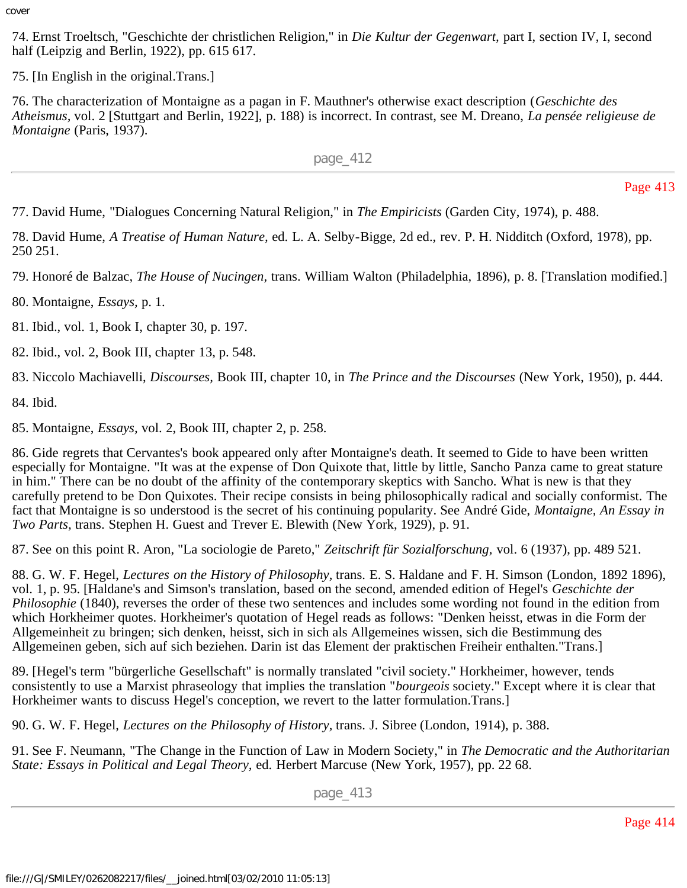74. Ernst Troeltsch, "Geschichte der christlichen Religion," in *Die Kultur der Gegenwart,* part I, section IV, I, second half (Leipzig and Berlin, 1922), pp. 615 617.

75. [In English in the original.Trans.]

76. The characterization of Montaigne as a pagan in F. Mauthner's otherwise exact description (*Geschichte des Atheismus,* vol. 2 [Stuttgart and Berlin, 1922], p. 188) is incorrect. In contrast, see M. Dreano, *La pensée religieuse de Montaigne* (Paris, 1937).

page\_412

Page 413

77. David Hume, "Dialogues Concerning Natural Religion," in *The Empiricists* (Garden City, 1974), p. 488.

78. David Hume, *A Treatise of Human Nature,* ed. L. A. Selby-Bigge, 2d ed., rev. P. H. Nidditch (Oxford, 1978), pp. 250 251.

79. Honoré de Balzac, *The House of Nucingen,* trans. William Walton (Philadelphia, 1896), p. 8. [Translation modified.]

80. Montaigne, *Essays,* p. 1.

81. Ibid., vol. 1, Book I, chapter 30, p. 197.

82. Ibid., vol. 2, Book III, chapter 13, p. 548.

83. Niccolo Machiavelli, *Discourses,* Book III, chapter 10, in *The Prince and the Discourses* (New York, 1950), p. 444.

84. Ibid.

85. Montaigne, *Essays,* vol. 2, Book III, chapter 2, p. 258.

86. Gide regrets that Cervantes's book appeared only after Montaigne's death. It seemed to Gide to have been written especially for Montaigne. "It was at the expense of Don Quixote that, little by little, Sancho Panza came to great stature in him." There can be no doubt of the affinity of the contemporary skeptics with Sancho. What is new is that they carefully pretend to be Don Quixotes. Their recipe consists in being philosophically radical and socially conformist. The fact that Montaigne is so understood is the secret of his continuing popularity. See André Gide, *Montaigne, An Essay in Two Parts,* trans. Stephen H. Guest and Trever E. Blewith (New York, 1929), p. 91.

87. See on this point R. Aron, "La sociologie de Pareto," *Zeitschrift für Sozialforschung,* vol. 6 (1937), pp. 489 521.

88. G. W. F. Hegel, *Lectures on the History of Philosophy,* trans. E. S. Haldane and F. H. Simson (London, 1892 1896), vol. 1, p. 95. [Haldane's and Simson's translation, based on the second, amended edition of Hegel's *Geschichte der Philosophie* (1840), reverses the order of these two sentences and includes some wording not found in the edition from which Horkheimer quotes. Horkheimer's quotation of Hegel reads as follows: "Denken heisst, etwas in die Form der Allgemeinheit zu bringen; sich denken, heisst, sich in sich als Allgemeines wissen, sich die Bestimmung des Allgemeinen geben, sich auf sich beziehen. Darin ist das Element der praktischen Freiheir enthalten."Trans.]

89. [Hegel's term "bürgerliche Gesellschaft" is normally translated "civil society." Horkheimer, however, tends consistently to use a Marxist phraseology that implies the translation "*bourgeois* society." Except where it is clear that Horkheimer wants to discuss Hegel's conception, we revert to the latter formulation.Trans.]

90. G. W. F. Hegel, *Lectures on the Philosophy of History,* trans. J. Sibree (London, 1914), p. 388.

91. See F. Neumann, "The Change in the Function of Law in Modern Society," in *The Democratic and the Authoritarian State: Essays in Political and Legal Theory,* ed. Herbert Marcuse (New York, 1957), pp. 22 68.

page\_413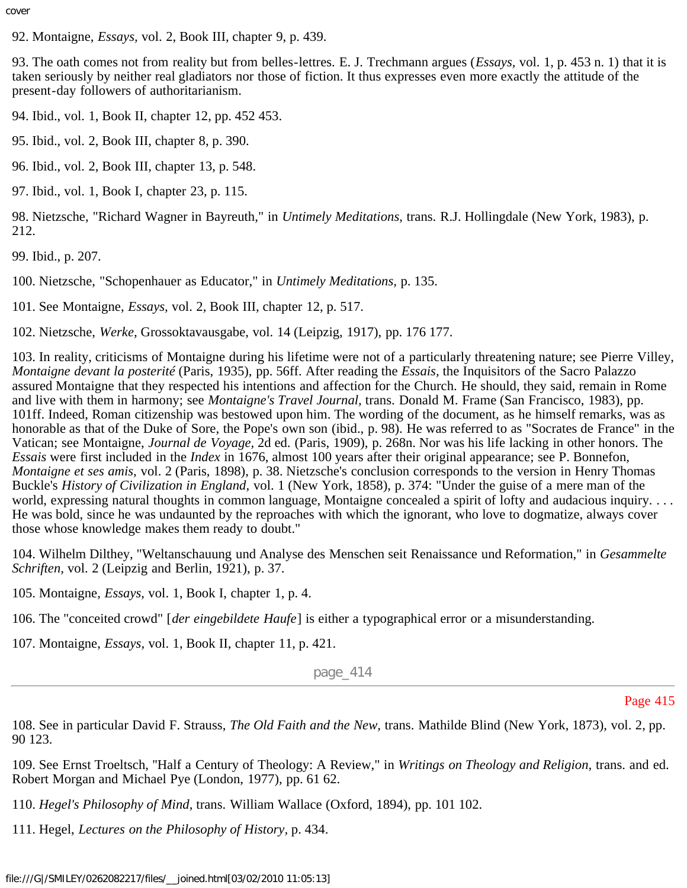92. Montaigne, *Essays,* vol. 2, Book III, chapter 9, p. 439.

93. The oath comes not from reality but from belles-lettres. E. J. Trechmann argues (*Essays,* vol. 1, p. 453 n. 1) that it is taken seriously by neither real gladiators nor those of fiction. It thus expresses even more exactly the attitude of the present-day followers of authoritarianism.

94. Ibid., vol. 1, Book II, chapter 12, pp. 452 453.

95. Ibid., vol. 2, Book III, chapter 8, p. 390.

96. Ibid., vol. 2, Book III, chapter 13, p. 548.

97. Ibid., vol. 1, Book I, chapter 23, p. 115.

98. Nietzsche, "Richard Wagner in Bayreuth," in *Untimely Meditations,* trans. R.J. Hollingdale (New York, 1983), p. 212.

99. Ibid., p. 207.

100. Nietzsche, "Schopenhauer as Educator," in *Untimely Meditations,* p. 135.

101. See Montaigne, *Essays,* vol. 2, Book III, chapter 12, p. 517.

102. Nietzsche, *Werke,* Grossoktavausgabe, vol. 14 (Leipzig, 1917), pp. 176 177.

103. In reality, criticisms of Montaigne during his lifetime were not of a particularly threatening nature; see Pierre Villey, *Montaigne devant la posterité* (Paris, 1935), pp. 56ff. After reading the *Essais,* the Inquisitors of the Sacro Palazzo assured Montaigne that they respected his intentions and affection for the Church. He should, they said, remain in Rome and live with them in harmony; see *Montaigne's Travel Journal,* trans. Donald M. Frame (San Francisco, 1983), pp. 101ff. Indeed, Roman citizenship was bestowed upon him. The wording of the document, as he himself remarks, was as honorable as that of the Duke of Sore, the Pope's own son (ibid., p. 98). He was referred to as "Socrates de France" in the Vatican; see Montaigne, *Journal de Voyage,* 2d ed. (Paris, 1909), p. 268n. Nor was his life lacking in other honors. The *Essais* were first included in the *Index* in 1676, almost 100 years after their original appearance; see P. Bonnefon, *Montaigne et ses amis,* vol. 2 (Paris, 1898), p. 38. Nietzsche's conclusion corresponds to the version in Henry Thomas Buckle's *History of Civilization in England,* vol. 1 (New York, 1858), p. 374: "Under the guise of a mere man of the world, expressing natural thoughts in common language, Montaigne concealed a spirit of lofty and audacious inquiry. . . . He was bold, since he was undaunted by the reproaches with which the ignorant, who love to dogmatize, always cover those whose knowledge makes them ready to doubt."

104. Wilhelm Dilthey, "Weltanschauung und Analyse des Menschen seit Renaissance und Reformation," in *Gesammelte Schriften,* vol. 2 (Leipzig and Berlin, 1921), p. 37.

105. Montaigne, *Essays,* vol. 1, Book I, chapter 1, p. 4.

106. The "conceited crowd" [*der eingebildete Haufe*] is either a typographical error or a misunderstanding.

107. Montaigne, *Essays,* vol. 1, Book II, chapter 11, p. 421.

page\_414

Page 415

108. See in particular David F. Strauss, *The Old Faith and the New,* trans. Mathilde Blind (New York, 1873), vol. 2, pp. 90 123.

109. See Ernst Troeltsch, ''Half a Century of Theology: A Review," in *Writings on Theology and Religion,* trans. and ed. Robert Morgan and Michael Pye (London, 1977), pp. 61 62.

110. *Hegel's Philosophy of Mind,* trans. William Wallace (Oxford, 1894), pp. 101 102.

111. Hegel, *Lectures on the Philosophy of History,* p. 434.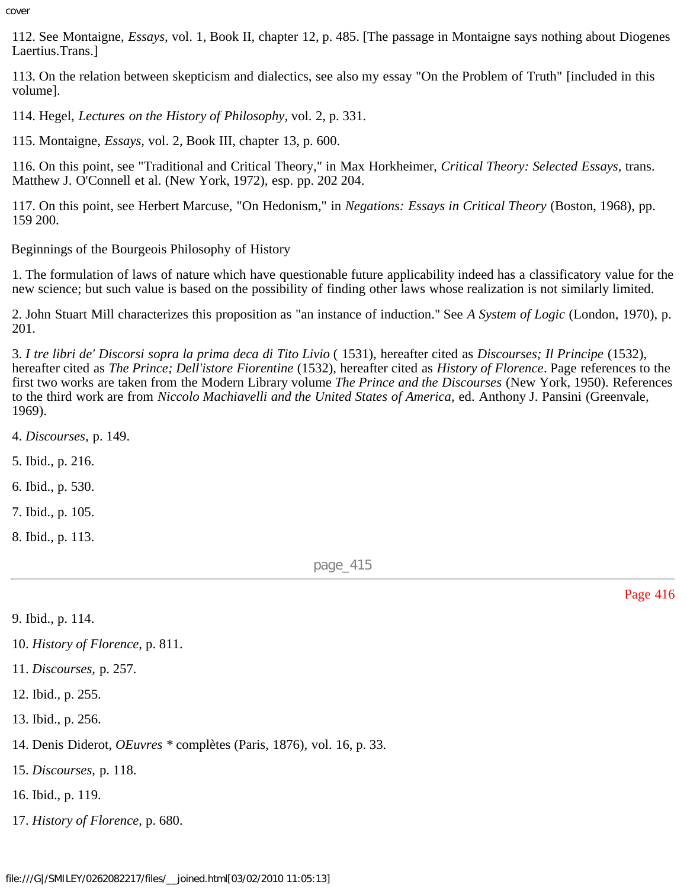112. See Montaigne, *Essays,* vol. 1, Book II, chapter 12, p. 485. [The passage in Montaigne says nothing about Diogenes Laertius.Trans.]

113. On the relation between skepticism and dialectics, see also my essay "On the Problem of Truth" [included in this volume].

114. Hegel, *Lectures on the History of Philosophy,* vol. 2, p. 331.

115. Montaigne, *Essays,* vol. 2, Book III, chapter 13, p. 600.

116. On this point, see "Traditional and Critical Theory," in Max Horkheimer, *Critical Theory: Selected Essays,* trans. Matthew J. O'Connell et al. (New York, 1972), esp. pp. 202 204.

117. On this point, see Herbert Marcuse, "On Hedonism," in *Negations: Essays in Critical Theory* (Boston, 1968), pp. 159 200.

Beginnings of the Bourgeois Philosophy of History

1. The formulation of laws of nature which have questionable future applicability indeed has a classificatory value for the new science; but such value is based on the possibility of finding other laws whose realization is not similarly limited.

2. John Stuart Mill characterizes this proposition as "an instance of induction." See *A System of Logic* (London, 1970), p. 201.

3. *I tre libri de' Discorsi sopra la prima deca di Tito Livio* ( 1531), hereafter cited as *Discourses; Il Principe* (1532), hereafter cited as *The Prince; Dell'istore Fiorentine* (1532), hereafter cited as *History of Florence*. Page references to the first two works are taken from the Modern Library volume *The Prince and the Discourses* (New York, 1950). References to the third work are from *Niccolo Machiavelli and the United States of America,* ed. Anthony J. Pansini (Greenvale, 1969).

4. *Discourses,* p. 149.

5. Ibid., p. 216.

6. Ibid., p. 530.

7. Ibid., p. 105.

8. Ibid., p. 113.

page\_415

9. Ibid., p. 114. 10. *History of Florence,* p. 811. 11. *Discourses,* p. 257. 12. Ibid., p. 255. 13. Ibid., p. 256. 14. Denis Diderot, *OEuvres \** complètes (Paris, 1876), vol. 16, p. 33. 15. *Discourses,* p. 118. 16. Ibid., p. 119.

17. *History of Florence,* p. 680.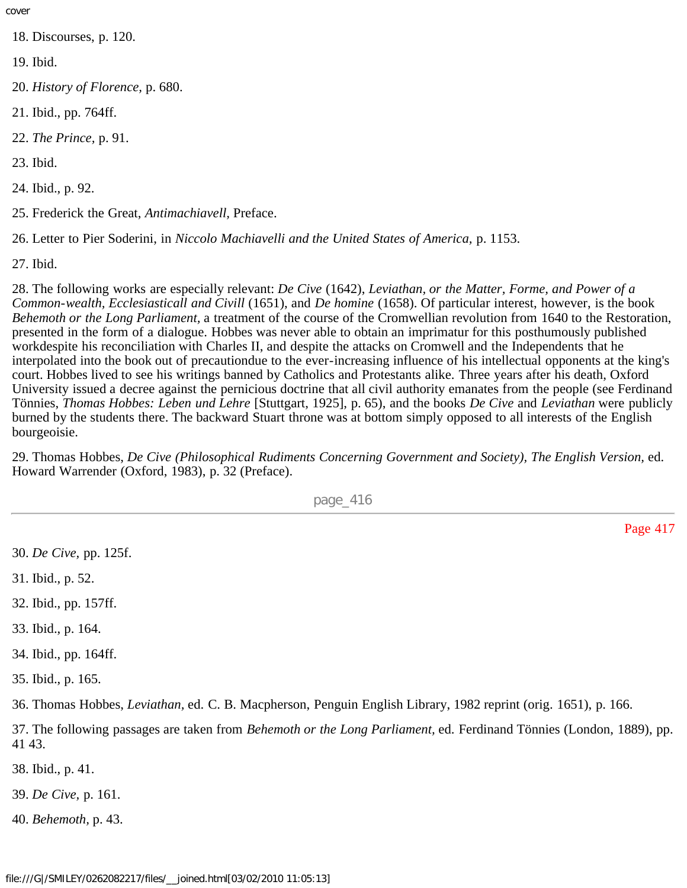- 18. Discourses, p. 120.
- 19. Ibid.
- 20. *History of Florence,* p. 680.
- 21. Ibid., pp. 764ff.
- 22. *The Prince,* p. 91.
- 23. Ibid.
- 24. Ibid., p. 92.
- 25. Frederick the Great, *Antimachiavell,* Preface.

26. Letter to Pier Soderini, in *Niccolo Machiavelli and the United States of America,* p. 1153.

27. Ibid.

28. The following works are especially relevant: *De Cive* (1642), *Leviathan, or the Matter, Forme, and Power of a Common-wealth, Ecclesiasticall and Civill* (1651), and *De homine* (1658). Of particular interest, however, is the book *Behemoth or the Long Parliament,* a treatment of the course of the Cromwellian revolution from 1640 to the Restoration, presented in the form of a dialogue. Hobbes was never able to obtain an imprimatur for this posthumously published workdespite his reconciliation with Charles II, and despite the attacks on Cromwell and the Independents that he interpolated into the book out of precautiondue to the ever-increasing influence of his intellectual opponents at the king's court. Hobbes lived to see his writings banned by Catholics and Protestants alike. Three years after his death, Oxford University issued a decree against the pernicious doctrine that all civil authority emanates from the people (see Ferdinand Tönnies, *Thomas Hobbes: Leben und Lehre* [Stuttgart, 1925], p. 65), and the books *De Cive* and *Leviathan* were publicly burned by the students there. The backward Stuart throne was at bottom simply opposed to all interests of the English bourgeoisie.

29. Thomas Hobbes, *De Cive (Philosophical Rudiments Concerning Government and Society), The English Version,* ed. Howard Warrender (Oxford, 1983), p. 32 (Preface).

page\_416

Page 417

30. *De Cive,* pp. 125f.

31. Ibid., p. 52.

- 32. Ibid., pp. 157ff.
- 33. Ibid., p. 164.
- 34. Ibid., pp. 164ff.
- 35. Ibid., p. 165.
- 36. Thomas Hobbes, *Leviathan,* ed. C. B. Macpherson, Penguin English Library, 1982 reprint (orig. 1651), p. 166.
- 37. The following passages are taken from *Behemoth or the Long Parliament,* ed. Ferdinand Tönnies (London, 1889), pp. 41 43.
- 38. Ibid., p. 41.
- 39. *De Cive,* p. 161.
- 40. *Behemoth,* p. 43.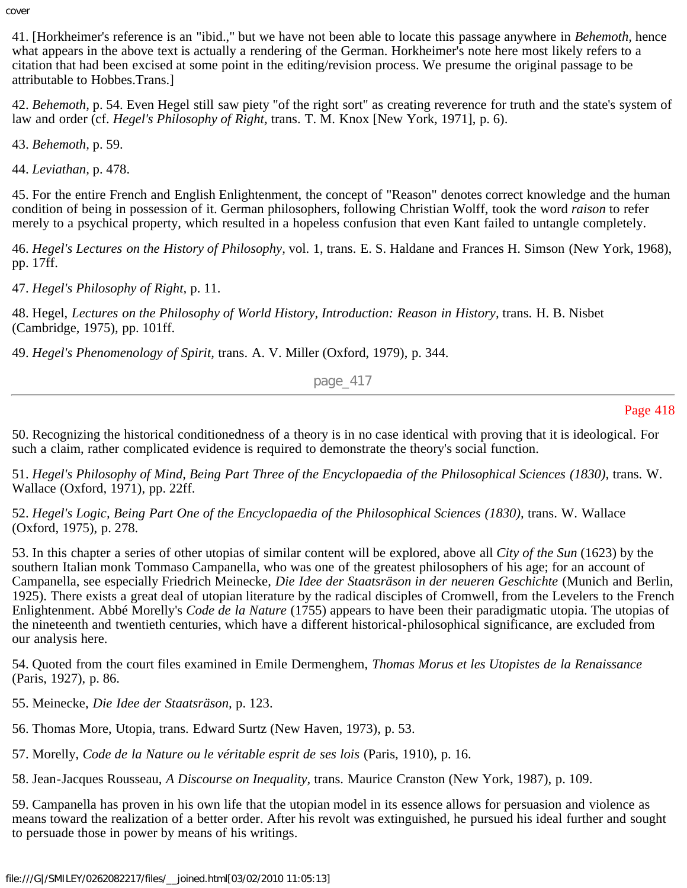41. [Horkheimer's reference is an "ibid.," but we have not been able to locate this passage anywhere in *Behemoth,* hence what appears in the above text is actually a rendering of the German. Horkheimer's note here most likely refers to a citation that had been excised at some point in the editing/revision process. We presume the original passage to be attributable to Hobbes.Trans.]

42. *Behemoth,* p. 54. Even Hegel still saw piety "of the right sort" as creating reverence for truth and the state's system of law and order (cf. *Hegel's Philosophy of Right,* trans. T. M. Knox [New York, 1971], p. 6).

43. *Behemoth,* p. 59.

44. *Leviathan,* p. 478.

45. For the entire French and English Enlightenment, the concept of "Reason" denotes correct knowledge and the human condition of being in possession of it. German philosophers, following Christian Wolff, took the word *raison* to refer merely to a psychical property, which resulted in a hopeless confusion that even Kant failed to untangle completely.

46. *Hegel's Lectures on the History of Philosophy,* vol. 1, trans. E. S. Haldane and Frances H. Simson (New York, 1968), pp. 17ff.

47. *Hegel's Philosophy of Right,* p. 11.

48. Hegel, *Lectures on the Philosophy of World History, Introduction: Reason in History,* trans. H. B. Nisbet (Cambridge, 1975), pp. 101ff.

49. *Hegel's Phenomenology of Spirit,* trans. A. V. Miller (Oxford, 1979), p. 344.

page\_417

Page 418

50. Recognizing the historical conditionedness of a theory is in no case identical with proving that it is ideological. For such a claim, rather complicated evidence is required to demonstrate the theory's social function.

51. *Hegel's Philosophy of Mind, Being Part Three of the Encyclopaedia of the Philosophical Sciences (1830),* trans. W. Wallace (Oxford, 1971), pp. 22ff.

52. *Hegel's Logic, Being Part One of the Encyclopaedia of the Philosophical Sciences (1830),* trans. W. Wallace (Oxford, 1975), p. 278.

53. In this chapter a series of other utopias of similar content will be explored, above all *City of the Sun* (1623) by the southern Italian monk Tommaso Campanella, who was one of the greatest philosophers of his age; for an account of Campanella, see especially Friedrich Meinecke, *Die Idee der Staatsräson in der neueren Geschichte* (Munich and Berlin, 1925). There exists a great deal of utopian literature by the radical disciples of Cromwell, from the Levelers to the French Enlightenment. Abbé Morelly's *Code de la Nature* (1755) appears to have been their paradigmatic utopia. The utopias of the nineteenth and twentieth centuries, which have a different historical-philosophical significance, are excluded from our analysis here.

54. Quoted from the court files examined in Emile Dermenghem, *Thomas Morus et les Utopistes de la Renaissance* (Paris, 1927), p. 86.

55. Meinecke, *Die Idee der Staatsräson,* p. 123.

56. Thomas More, Utopia, trans. Edward Surtz (New Haven, 1973), p. 53.

57. Morelly, *Code de la Nature ou le véritable esprit de ses lois* (Paris, 1910), p. 16.

58. Jean-Jacques Rousseau, *A Discourse on Inequality,* trans. Maurice Cranston (New York, 1987), p. 109.

59. Campanella has proven in his own life that the utopian model in its essence allows for persuasion and violence as means toward the realization of a better order. After his revolt was extinguished, he pursued his ideal further and sought to persuade those in power by means of his writings.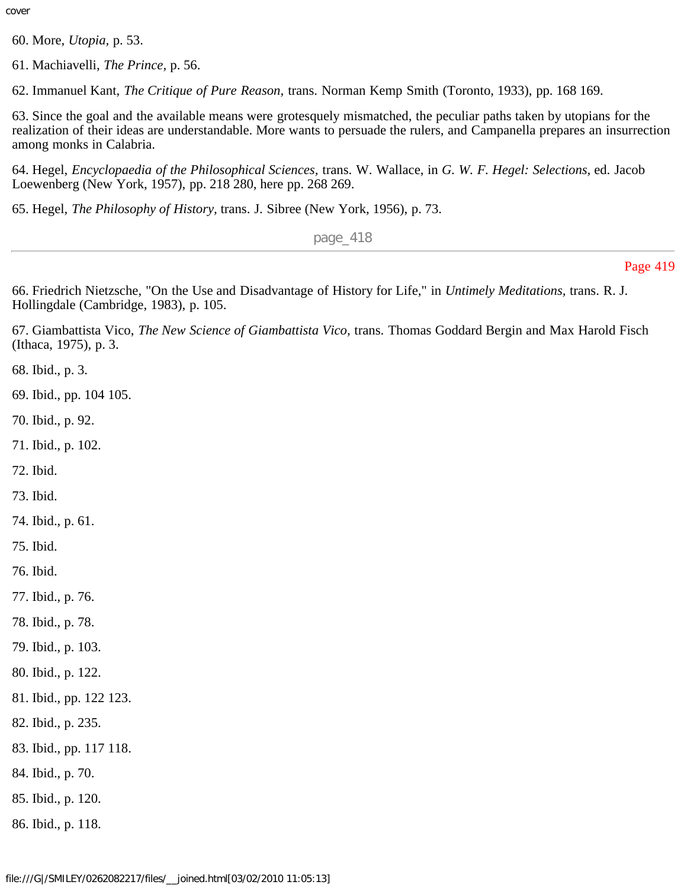60. More, *Utopia,* p. 53.

61. Machiavelli, *The Prince,* p. 56.

62. Immanuel Kant, *The Critique of Pure Reason,* trans. Norman Kemp Smith (Toronto, 1933), pp. 168 169.

63. Since the goal and the available means were grotesquely mismatched, the peculiar paths taken by utopians for the realization of their ideas are understandable. More wants to persuade the rulers, and Campanella prepares an insurrection among monks in Calabria.

64. Hegel, *Encyclopaedia of the Philosophical Sciences,* trans. W. Wallace, in *G. W. F. Hegel: Selections,* ed. Jacob Loewenberg (New York, 1957), pp. 218 280, here pp. 268 269.

65. Hegel, *The Philosophy of History,* trans. J. Sibree (New York, 1956), p. 73.

page\_418

Page 419

66. Friedrich Nietzsche, "On the Use and Disadvantage of History for Life," in *Untimely Meditations,* trans. R. J. Hollingdale (Cambridge, 1983), p. 105.

67. Giambattista Vico, *The New Science of Giambattista Vico,* trans. Thomas Goddard Bergin and Max Harold Fisch (Ithaca, 1975), p. 3.

- 68. Ibid., p. 3.
- 69. Ibid., pp. 104 105.
- 70. Ibid., p. 92.
- 71. Ibid., p. 102.
- 72. Ibid.
- 73. Ibid.
- 74. Ibid., p. 61.
- 75. Ibid.
- 76. Ibid.
- 77. Ibid., p. 76.
- 78. Ibid., p. 78.
- 79. Ibid., p. 103.
- 80. Ibid., p. 122.
- 81. Ibid., pp. 122 123.
- 82. Ibid., p. 235.
- 83. Ibid., pp. 117 118.
- 84. Ibid., p. 70.
- 85. Ibid., p. 120.
- 86. Ibid., p. 118.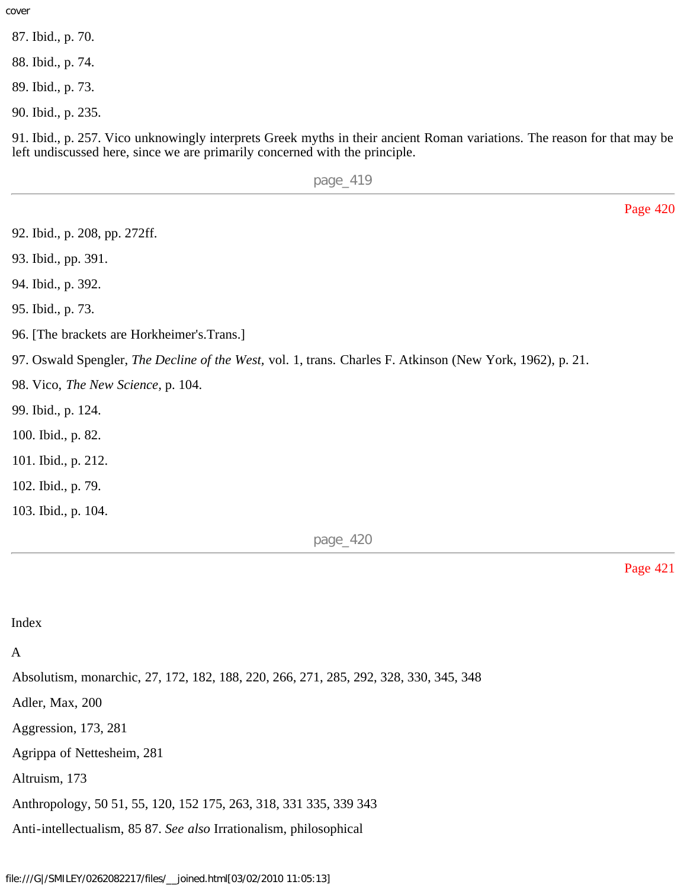87. Ibid., p. 70.

88. Ibid., p. 74.

89. Ibid., p. 73.

90. Ibid., p. 235.

91. Ibid., p. 257. Vico unknowingly interprets Greek myths in their ancient Roman variations. The reason for that may be left undiscussed here, since we are primarily concerned with the principle.

page\_419

92. Ibid., p. 208, pp. 272ff.

93. Ibid., pp. 391.

94. Ibid., p. 392.

95. Ibid., p. 73.

96. [The brackets are Horkheimer's.Trans.]

97. Oswald Spengler, *The Decline of the West,* vol. 1, trans. Charles F. Atkinson (New York, 1962), p. 21.

98. Vico, *The New Science,* p. 104.

99. Ibid., p. 124.

100. Ibid., p. 82.

101. Ibid., p. 212.

102. Ibid., p. 79.

103. Ibid., p. 104.

page\_420

Page 421

Index

#### A

Absolutism, monarchic, 27, 172, 182, 188, 220, 266, 271, 285, 292, 328, 330, 345, 348

Adler, Max, 200

Aggression, 173, 281

Agrippa of Nettesheim, 281

Altruism, 173

Anthropology, 50 51, 55, 120, 152 175, 263, 318, 331 335, 339 343

Anti-intellectualism, 85 87. *See also* Irrationalism, philosophical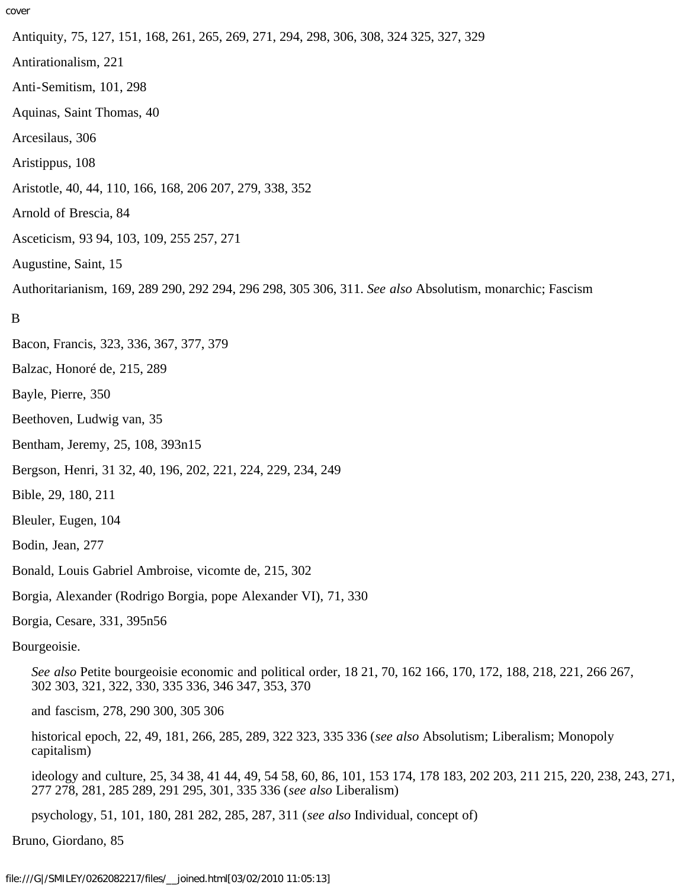Antiquity, 75, 127, 151, 168, 261, 265, 269, 271, 294, 298, 306, 308, 324 325, 327, 329 Antirationalism, 221 Anti-Semitism, 101, 298 Aquinas, Saint Thomas, 40 Arcesilaus, 306 Aristippus, 108 Aristotle, 40, 44, 110, 166, 168, 206 207, 279, 338, 352 Arnold of Brescia, 84 Asceticism, 93 94, 103, 109, 255 257, 271 Augustine, Saint, 15 Authoritarianism, 169, 289 290, 292 294, 296 298, 305 306, 311. *See also* Absolutism, monarchic; Fascism B Bacon, Francis, 323, 336, 367, 377, 379 Balzac, Honoré de, 215, 289 Bayle, Pierre, 350 Beethoven, Ludwig van, 35 Bentham, Jeremy, 25, 108, 393n15 Bergson, Henri, 31 32, 40, 196, 202, 221, 224, 229, 234, 249 Bible, 29, 180, 211 Bleuler, Eugen, 104 Bodin, Jean, 277 Bonald, Louis Gabriel Ambroise, vicomte de, 215, 302 Borgia, Alexander (Rodrigo Borgia, pope Alexander VI), 71, 330 Borgia, Cesare, 331, 395n56 Bourgeoisie. *See also* Petite bourgeoisie economic and political order, 18 21, 70, 162 166, 170, 172, 188, 218, 221, 266 267, 302 303, 321, 322, 330, 335 336, 346 347, 353, 370 and fascism, 278, 290 300, 305 306 historical epoch, 22, 49, 181, 266, 285, 289, 322 323, 335 336 (*see also* Absolutism; Liberalism; Monopoly capitalism) ideology and culture, 25, 34 38, 41 44, 49, 54 58, 60, 86, 101, 153 174, 178 183, 202 203, 211 215, 220, 238, 243, 271, 277 278, 281, 285 289, 291 295, 301, 335 336 (*see also* Liberalism) psychology, 51, 101, 180, 281 282, 285, 287, 311 (*see also* Individual, concept of)

Bruno, Giordano, 85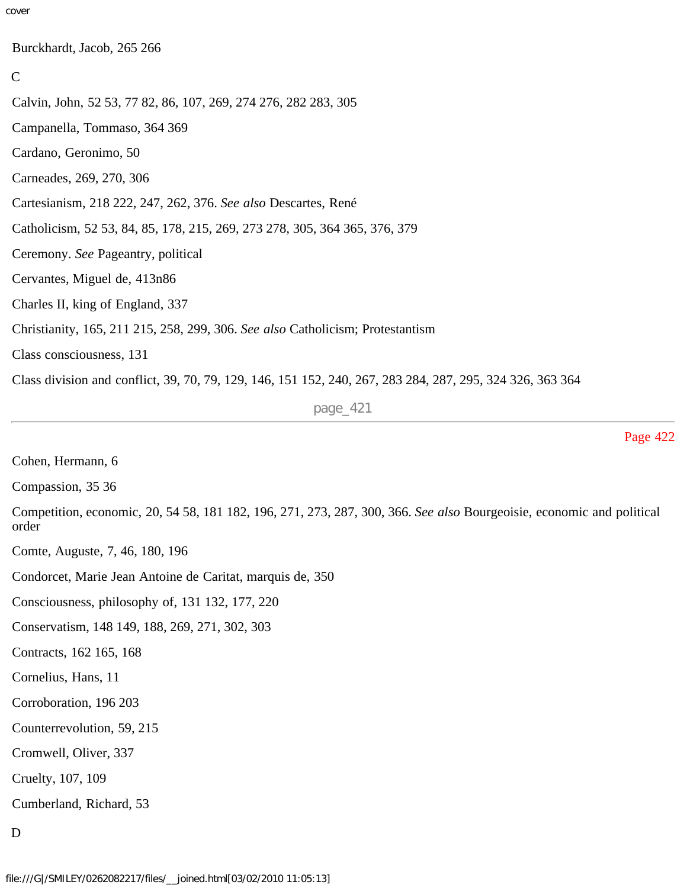| Burckhardt, Jacob, 265 266                                                                                |          |
|-----------------------------------------------------------------------------------------------------------|----------|
| $\mathsf{C}$                                                                                              |          |
| Calvin, John, 52 53, 77 82, 86, 107, 269, 274 276, 282 283, 305                                           |          |
| Campanella, Tommaso, 364 369                                                                              |          |
| Cardano, Geronimo, 50                                                                                     |          |
| Carneades, 269, 270, 306                                                                                  |          |
| Cartesianism, 218 222, 247, 262, 376. See also Descartes, René                                            |          |
| Catholicism, 52 53, 84, 85, 178, 215, 269, 273 278, 305, 364 365, 376, 379                                |          |
| Ceremony. See Pageantry, political                                                                        |          |
| Cervantes, Miguel de, 413n86                                                                              |          |
| Charles II, king of England, 337                                                                          |          |
| Christianity, 165, 211 215, 258, 299, 306. See also Catholicism; Protestantism                            |          |
| Class consciousness, 131                                                                                  |          |
| Class division and conflict, 39, 70, 79, 129, 146, 151 152, 240, 267, 283 284, 287, 295, 324 326, 363 364 |          |
| $page_421$                                                                                                |          |
|                                                                                                           | Page 422 |
|                                                                                                           |          |

Cohen, Hermann, 6

Compassion, 35 36

Competition, economic, 20, 54 58, 181 182, 196, 271, 273, 287, 300, 366. *See also* Bourgeoisie, economic and political order

Comte, Auguste, 7, 46, 180, 196

Condorcet, Marie Jean Antoine de Caritat, marquis de, 350

Consciousness, philosophy of, 131 132, 177, 220

Conservatism, 148 149, 188, 269, 271, 302, 303

Contracts, 162 165, 168

Cornelius, Hans, 11

Corroboration, 196 203

Counterrevolution, 59, 215

Cromwell, Oliver, 337

Cruelty, 107, 109

Cumberland, Richard, 53

D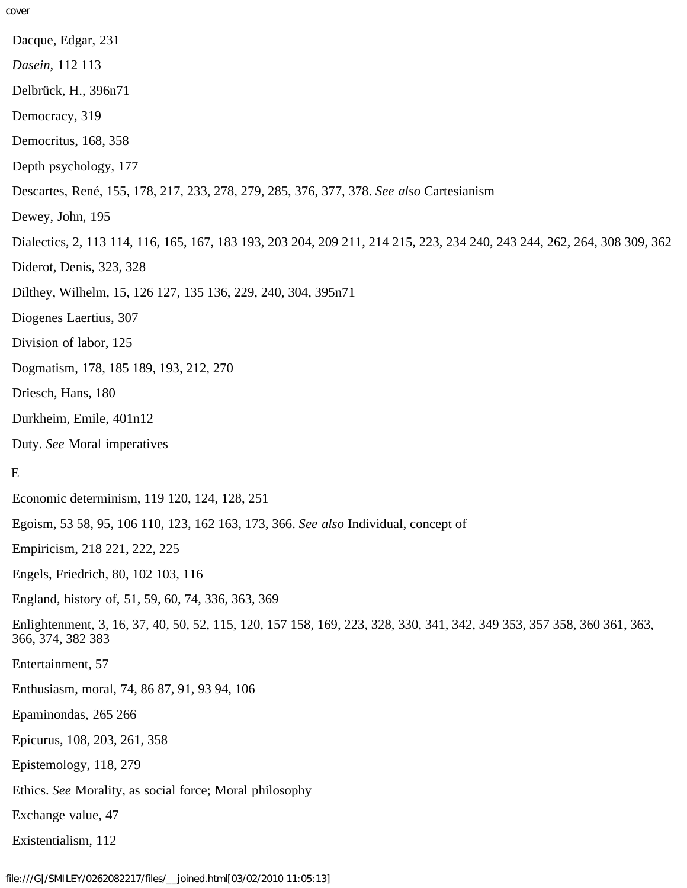Dacque, Edgar, 231

*Dasein,* 112 113

Delbrück, H., 396n71

Democracy, 319

Democritus, 168, 358

Depth psychology, 177

Descartes, René, 155, 178, 217, 233, 278, 279, 285, 376, 377, 378. *See also* Cartesianism

Dewey, John, 195

Dialectics, 2, 113 114, 116, 165, 167, 183 193, 203 204, 209 211, 214 215, 223, 234 240, 243 244, 262, 264, 308 309, 362

Diderot, Denis, 323, 328

Dilthey, Wilhelm, 15, 126 127, 135 136, 229, 240, 304, 395n71

Diogenes Laertius, 307

Division of labor, 125

Dogmatism, 178, 185 189, 193, 212, 270

Driesch, Hans, 180

Durkheim, Emile, 401n12

Duty. *See* Moral imperatives

E

Economic determinism, 119 120, 124, 128, 251

Egoism, 53 58, 95, 106 110, 123, 162 163, 173, 366. *See also* Individual, concept of

Empiricism, 218 221, 222, 225

Engels, Friedrich, 80, 102 103, 116

England, history of, 51, 59, 60, 74, 336, 363, 369

Enlightenment, 3, 16, 37, 40, 50, 52, 115, 120, 157 158, 169, 223, 328, 330, 341, 342, 349 353, 357 358, 360 361, 363, 366, 374, 382 383

Entertainment, 57

Enthusiasm, moral, 74, 86 87, 91, 93 94, 106

Epaminondas, 265 266

Epicurus, 108, 203, 261, 358

Epistemology, 118, 279

Ethics. *See* Morality, as social force; Moral philosophy

Exchange value, 47

Existentialism, 112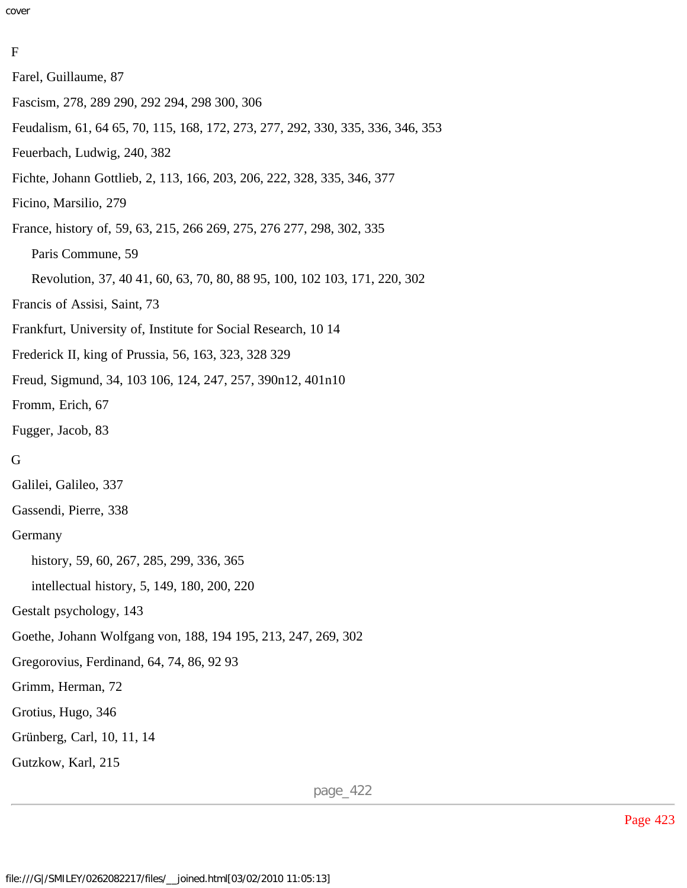| $\mathbf{F}$                                                                    |
|---------------------------------------------------------------------------------|
| Farel, Guillaume, 87                                                            |
| Fascism, 278, 289 290, 292 294, 298 300, 306                                    |
| Feudalism, 61, 64 65, 70, 115, 168, 172, 273, 277, 292, 330, 335, 336, 346, 353 |
| Feuerbach, Ludwig, 240, 382                                                     |
| Fichte, Johann Gottlieb, 2, 113, 166, 203, 206, 222, 328, 335, 346, 377         |
| Ficino, Marsilio, 279                                                           |
| France, history of, 59, 63, 215, 266 269, 275, 276 277, 298, 302, 335           |
| Paris Commune, 59                                                               |
| Revolution, 37, 40 41, 60, 63, 70, 80, 88 95, 100, 102 103, 171, 220, 302       |
| Francis of Assisi, Saint, 73                                                    |
| Frankfurt, University of, Institute for Social Research, 1014                   |
| Frederick II, king of Prussia, 56, 163, 323, 328 329                            |
| Freud, Sigmund, 34, 103 106, 124, 247, 257, 390n12, 401n10                      |
| Fromm, Erich, 67                                                                |
| Fugger, Jacob, 83                                                               |
| G                                                                               |
| Galilei, Galileo, 337                                                           |
| Gassendi, Pierre, 338                                                           |
| Germany                                                                         |
| history, 59, 60, 267, 285, 299, 336, 365                                        |
| intellectual history, 5, 149, 180, 200, 220                                     |
| Gestalt psychology, 143                                                         |
| Goethe, Johann Wolfgang von, 188, 194 195, 213, 247, 269, 302                   |
| Gregorovius, Ferdinand, 64, 74, 86, 92 93                                       |
| Grimm, Herman, 72                                                               |
| Grotius, Hugo, 346                                                              |
| Grünberg, Carl, 10, 11, 14                                                      |
| Gutzkow, Karl, 215                                                              |
| page_422                                                                        |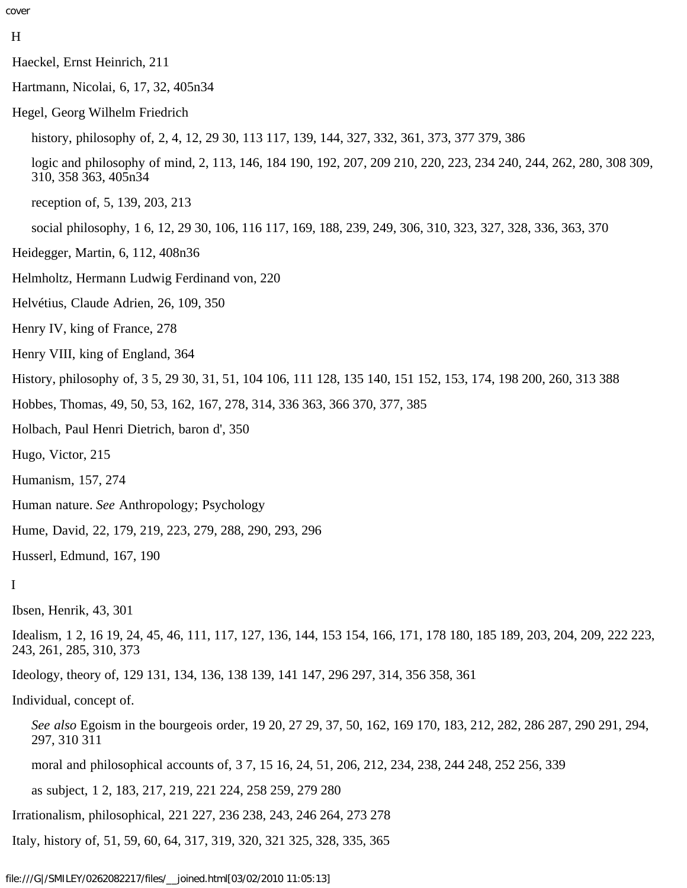#### H

- Haeckel, Ernst Heinrich, 211 Hartmann, Nicolai, 6, 17, 32, 405n34 Hegel, Georg Wilhelm Friedrich history, philosophy of, 2, 4, 12, 29 30, 113 117, 139, 144, 327, 332, 361, 373, 377 379, 386 logic and philosophy of mind, 2, 113, 146, 184 190, 192, 207, 209 210, 220, 223, 234 240, 244, 262, 280, 308 309, 310, 358 363, 405n34 reception of, 5, 139, 203, 213 social philosophy, 1 6, 12, 29 30, 106, 116 117, 169, 188, 239, 249, 306, 310, 323, 327, 328, 336, 363, 370 Heidegger, Martin, 6, 112, 408n36 Helmholtz, Hermann Ludwig Ferdinand von, 220 Helvétius, Claude Adrien, 26, 109, 350 Henry IV, king of France, 278 Henry VIII, king of England, 364 History, philosophy of, 3 5, 29 30, 31, 51, 104 106, 111 128, 135 140, 151 152, 153, 174, 198 200, 260, 313 388 Hobbes, Thomas, 49, 50, 53, 162, 167, 278, 314, 336 363, 366 370, 377, 385 Holbach, Paul Henri Dietrich, baron d', 350 Hugo, Victor, 215 Humanism, 157, 274 Human nature. *See* Anthropology; Psychology Hume, David, 22, 179, 219, 223, 279, 288, 290, 293, 296 Husserl, Edmund, 167, 190 I Ibsen, Henrik, 43, 301 Idealism, 1 2, 16 19, 24, 45, 46, 111, 117, 127, 136, 144, 153 154, 166, 171, 178 180, 185 189, 203, 204, 209, 222 223, 243, 261, 285, 310, 373
- Ideology, theory of, 129 131, 134, 136, 138 139, 141 147, 296 297, 314, 356 358, 361

Individual, concept of.

- *See also* Egoism in the bourgeois order, 19 20, 27 29, 37, 50, 162, 169 170, 183, 212, 282, 286 287, 290 291, 294, 297, 310 311
- moral and philosophical accounts of, 3 7, 15 16, 24, 51, 206, 212, 234, 238, 244 248, 252 256, 339
- as subject, 1 2, 183, 217, 219, 221 224, 258 259, 279 280
- Irrationalism, philosophical, 221 227, 236 238, 243, 246 264, 273 278
- Italy, history of, 51, 59, 60, 64, 317, 319, 320, 321 325, 328, 335, 365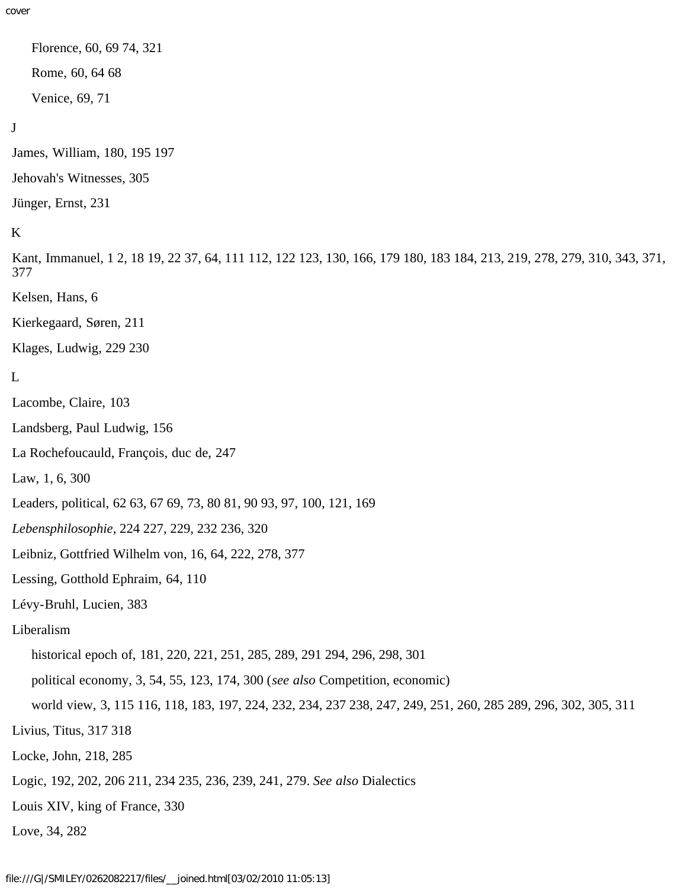Florence, 60, 69 74, 321

Rome, 60, 64 68

Venice, 69, 71

## J

James, William, 180, 195 197

Jehovah's Witnesses, 305

Jünger, Ernst, 231

# K

Kant, Immanuel, 1 2, 18 19, 22 37, 64, 111 112, 122 123, 130, 166, 179 180, 183 184, 213, 219, 278, 279, 310, 343, 371, 377

Kelsen, Hans, 6

Kierkegaard, Søren, 211

Klages, Ludwig, 229 230

## L

Lacombe, Claire, 103

Landsberg, Paul Ludwig, 156

La Rochefoucauld, François, duc de, 247

Law, 1, 6, 300

Leaders, political, 62 63, 67 69, 73, 80 81, 90 93, 97, 100, 121, 169

*Lebensphilosophie,* 224 227, 229, 232 236, 320

Leibniz, Gottfried Wilhelm von, 16, 64, 222, 278, 377

Lessing, Gotthold Ephraim, 64, 110

Lévy-Bruhl, Lucien, 383

Liberalism

historical epoch of, 181, 220, 221, 251, 285, 289, 291 294, 296, 298, 301

political economy, 3, 54, 55, 123, 174, 300 (*see also* Competition, economic)

world view, 3, 115 116, 118, 183, 197, 224, 232, 234, 237 238, 247, 249, 251, 260, 285 289, 296, 302, 305, 311

Livius, Titus, 317 318

Locke, John, 218, 285

Logic, 192, 202, 206 211, 234 235, 236, 239, 241, 279. *See also* Dialectics

Louis XIV, king of France, 330

Love, 34, 282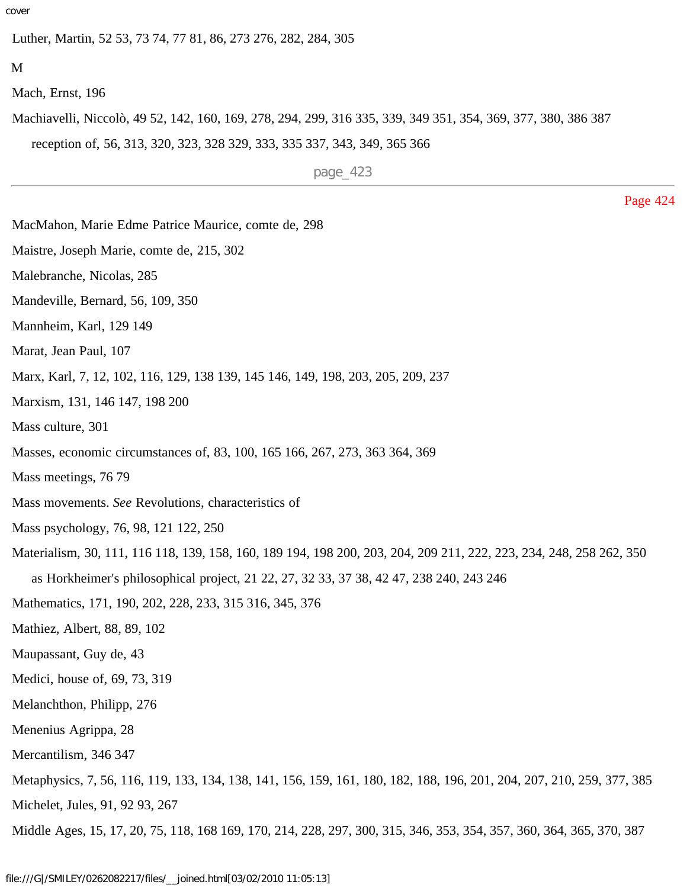Luther, Martin, 52 53, 73 74, 77 81, 86, 273 276, 282, 284, 305

M

Mach, Ernst, 196

Machiavelli, Niccolò, 49 52, 142, 160, 169, 278, 294, 299, 316 335, 339, 349 351, 354, 369, 377, 380, 386 387 reception of, 56, 313, 320, 323, 328 329, 333, 335 337, 343, 349, 365 366

page\_423

MacMahon, Marie Edme Patrice Maurice, comte de, 298

Maistre, Joseph Marie, comte de, 215, 302

Malebranche, Nicolas, 285

Mandeville, Bernard, 56, 109, 350

Mannheim, Karl, 129 149

Marat, Jean Paul, 107

Marx, Karl, 7, 12, 102, 116, 129, 138 139, 145 146, 149, 198, 203, 205, 209, 237

Marxism, 131, 146 147, 198 200

Mass culture, 301

Masses, economic circumstances of, 83, 100, 165 166, 267, 273, 363 364, 369

Mass meetings, 76 79

Mass movements. *See* Revolutions, characteristics of

Mass psychology, 76, 98, 121 122, 250

Materialism, 30, 111, 116 118, 139, 158, 160, 189 194, 198 200, 203, 204, 209 211, 222, 223, 234, 248, 258 262, 350 as Horkheimer's philosophical project, 21 22, 27, 32 33, 37 38, 42 47, 238 240, 243 246

Mathematics, 171, 190, 202, 228, 233, 315 316, 345, 376

Mathiez, Albert, 88, 89, 102

Maupassant, Guy de, 43

Medici, house of, 69, 73, 319

Melanchthon, Philipp, 276

Menenius Agrippa, 28

Mercantilism, 346 347

Metaphysics, 7, 56, 116, 119, 133, 134, 138, 141, 156, 159, 161, 180, 182, 188, 196, 201, 204, 207, 210, 259, 377, 385 Michelet, Jules, 91, 92 93, 267

Middle Ages, 15, 17, 20, 75, 118, 168 169, 170, 214, 228, 297, 300, 315, 346, 353, 354, 357, 360, 364, 365, 370, 387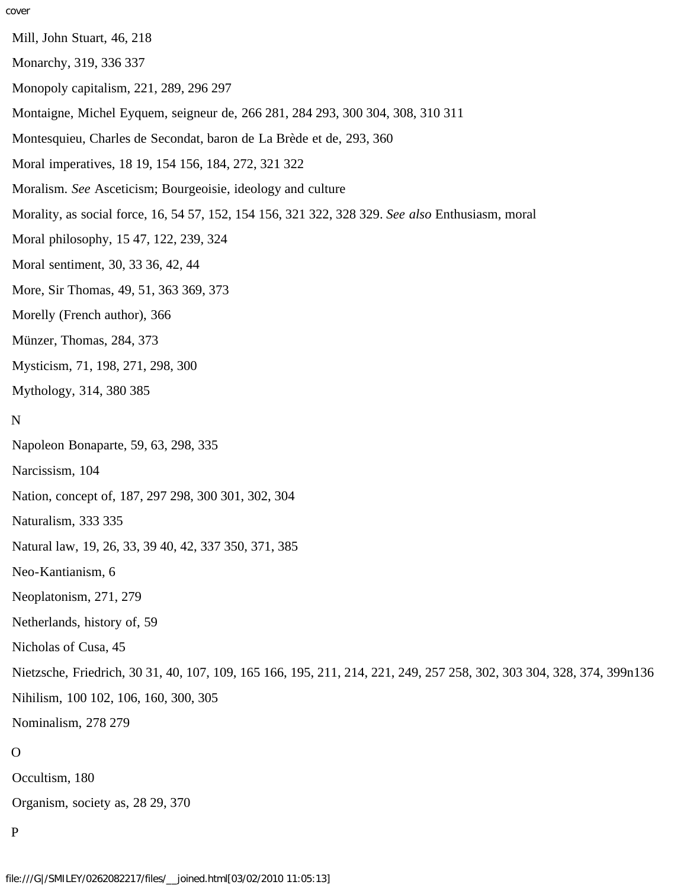- Mill, John Stuart, 46, 218
- Monarchy, 319, 336 337
- Monopoly capitalism, 221, 289, 296 297
- Montaigne, Michel Eyquem, seigneur de, 266 281, 284 293, 300 304, 308, 310 311
- Montesquieu, Charles de Secondat, baron de La Brède et de, 293, 360
- Moral imperatives, 18 19, 154 156, 184, 272, 321 322
- Moralism. *See* Asceticism; Bourgeoisie, ideology and culture
- Morality, as social force, 16, 54 57, 152, 154 156, 321 322, 328 329. *See also* Enthusiasm, moral
- Moral philosophy, 15 47, 122, 239, 324
- Moral sentiment, 30, 33 36, 42, 44
- More, Sir Thomas, 49, 51, 363 369, 373
- Morelly (French author), 366
- Münzer, Thomas, 284, 373
- Mysticism, 71, 198, 271, 298, 300
- Mythology, 314, 380 385
- N
- Napoleon Bonaparte, 59, 63, 298, 335
- Narcissism, 104
- Nation, concept of, 187, 297 298, 300 301, 302, 304
- Naturalism, 333 335
- Natural law, 19, 26, 33, 39 40, 42, 337 350, 371, 385
- Neo-Kantianism, 6
- Neoplatonism, 271, 279
- Netherlands, history of, 59
- Nicholas of Cusa, 45
- Nietzsche, Friedrich, 30 31, 40, 107, 109, 165 166, 195, 211, 214, 221, 249, 257 258, 302, 303 304, 328, 374, 399n136
- Nihilism, 100 102, 106, 160, 300, 305
- Nominalism, 278 279
- O
- Occultism, 180
- Organism, society as, 28 29, 370
- P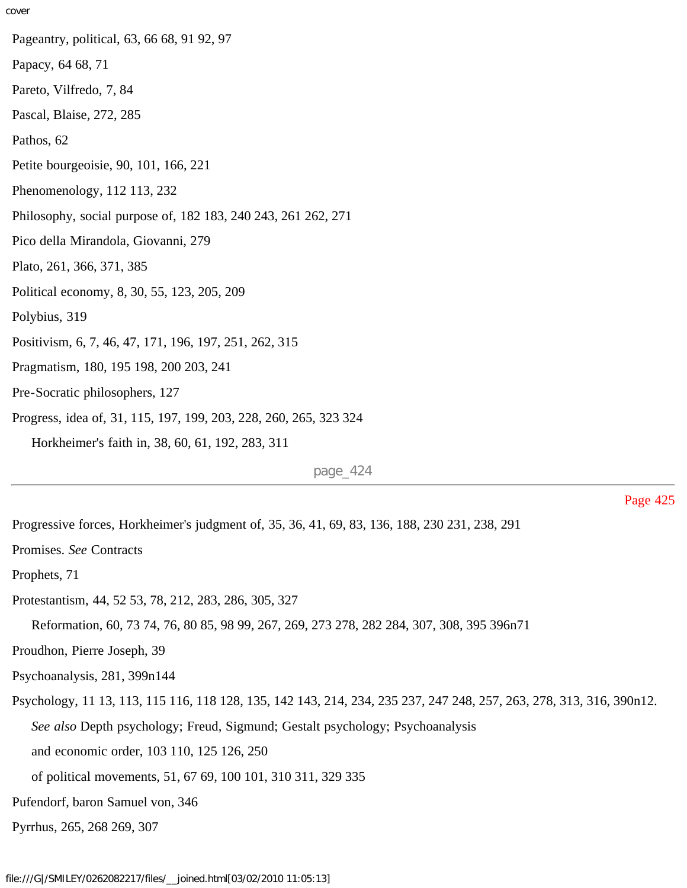| Pageantry, political, 63, 66 68, 91 92, 97                        |
|-------------------------------------------------------------------|
| Papacy, 64 68, 71                                                 |
| Pareto, Vilfredo, 7, 84                                           |
| Pascal, Blaise, 272, 285                                          |
| Pathos, 62                                                        |
| Petite bourgeoisie, 90, 101, 166, 221                             |
| Phenomenology, 112 113, 232                                       |
| Philosophy, social purpose of, 182 183, 240 243, 261 262, 271     |
| Pico della Mirandola, Giovanni, 279                               |
| Plato, 261, 366, 371, 385                                         |
| Political economy, 8, 30, 55, 123, 205, 209                       |
| Polybius, 319                                                     |
| Positivism, 6, 7, 46, 47, 171, 196, 197, 251, 262, 315            |
| Pragmatism, 180, 195 198, 200 203, 241                            |
| Pre-Socratic philosophers, 127                                    |
| Progress, idea of, 31, 115, 197, 199, 203, 228, 260, 265, 323 324 |
| Horkheimer's faith in, 38, 60, 61, 192, 283, 311                  |

page\_424

Page 425

Progressive forces, Horkheimer's judgment of, 35, 36, 41, 69, 83, 136, 188, 230 231, 238, 291

Promises. *See* Contracts

Prophets, 71

Protestantism, 44, 52 53, 78, 212, 283, 286, 305, 327

Reformation, 60, 73 74, 76, 80 85, 98 99, 267, 269, 273 278, 282 284, 307, 308, 395 396n71

Proudhon, Pierre Joseph, 39

Psychoanalysis, 281, 399n144

Psychology, 11 13, 113, 115 116, 118 128, 135, 142 143, 214, 234, 235 237, 247 248, 257, 263, 278, 313, 316, 390n12. *See also* Depth psychology; Freud, Sigmund; Gestalt psychology; Psychoanalysis and economic order, 103 110, 125 126, 250 of political movements, 51, 67 69, 100 101, 310 311, 329 335 Pufendorf, baron Samuel von, 346

Pyrrhus, 265, 268 269, 307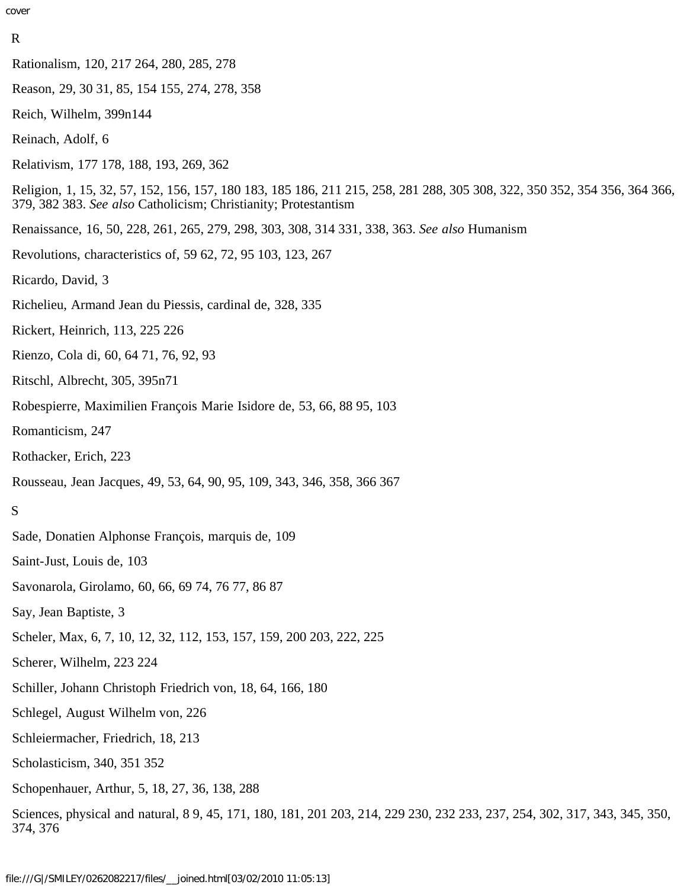| $\mathbf R$                                                                                                                                                                                  |
|----------------------------------------------------------------------------------------------------------------------------------------------------------------------------------------------|
| Rationalism, 120, 217 264, 280, 285, 278                                                                                                                                                     |
| Reason, 29, 30 31, 85, 154 155, 274, 278, 358                                                                                                                                                |
| Reich, Wilhelm, 399n144                                                                                                                                                                      |
| Reinach, Adolf, 6                                                                                                                                                                            |
| Relativism, 177 178, 188, 193, 269, 362                                                                                                                                                      |
| Religion, 1, 15, 32, 57, 152, 156, 157, 180 183, 185 186, 211 215, 258, 281 288, 305 308, 322, 350 352, 354 356, 364 366,<br>379, 382 383. See also Catholicism; Christianity; Protestantism |
| Renaissance, 16, 50, 228, 261, 265, 279, 298, 303, 308, 314 331, 338, 363. See also Humanism                                                                                                 |
| Revolutions, characteristics of, 59 62, 72, 95 103, 123, 267                                                                                                                                 |
| Ricardo, David, 3                                                                                                                                                                            |
| Richelieu, Armand Jean du Piessis, cardinal de, 328, 335                                                                                                                                     |
| Rickert, Heinrich, 113, 225 226                                                                                                                                                              |
| Rienzo, Cola di, 60, 64 71, 76, 92, 93                                                                                                                                                       |
| Ritschl, Albrecht, 305, 395n71                                                                                                                                                               |
| Robespierre, Maximilien François Marie Isidore de, 53, 66, 88 95, 103                                                                                                                        |
| Romanticism, 247                                                                                                                                                                             |
| Rothacker, Erich, 223                                                                                                                                                                        |
| Rousseau, Jean Jacques, 49, 53, 64, 90, 95, 109, 343, 346, 358, 366 367                                                                                                                      |
| S                                                                                                                                                                                            |
| Sade, Donatien Alphonse François, marquis de, 109                                                                                                                                            |
| Saint-Just, Louis de, 103                                                                                                                                                                    |
| Savonarola, Girolamo, 60, 66, 69 74, 76 77, 86 87                                                                                                                                            |
| Say, Jean Baptiste, 3                                                                                                                                                                        |
| Scheler, Max, 6, 7, 10, 12, 32, 112, 153, 157, 159, 200 203, 222, 225                                                                                                                        |
| Scherer, Wilhelm, 223 224                                                                                                                                                                    |
| Schiller, Johann Christoph Friedrich von, 18, 64, 166, 180                                                                                                                                   |
| Schlegel, August Wilhelm von, 226                                                                                                                                                            |
| Schleiermacher, Friedrich, 18, 213                                                                                                                                                           |
| Scholasticism, 340, 351 352                                                                                                                                                                  |

Schopenhauer, Arthur, 5, 18, 27, 36, 138, 288

Sciences, physical and natural, 8 9, 45, 171, 180, 181, 201 203, 214, 229 230, 232 233, 237, 254, 302, 317, 343, 345, 350, 374, 376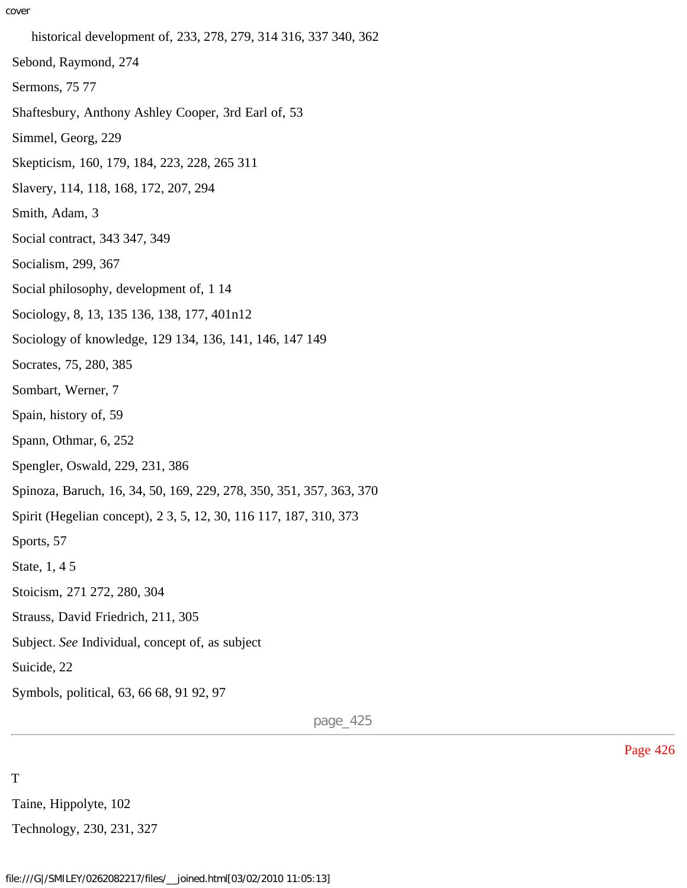| historical development of, 233, 278, 279, 314 316, 337 340, 362     |
|---------------------------------------------------------------------|
| Sebond, Raymond, 274                                                |
| Sermons, 75 77                                                      |
| Shaftesbury, Anthony Ashley Cooper, 3rd Earl of, 53                 |
| Simmel, Georg, 229                                                  |
| Skepticism, 160, 179, 184, 223, 228, 265 311                        |
| Slavery, 114, 118, 168, 172, 207, 294                               |
| Smith, Adam, 3                                                      |
| Social contract, 343 347, 349                                       |
| Socialism, 299, 367                                                 |
| Social philosophy, development of, 1 14                             |
| Sociology, 8, 13, 135 136, 138, 177, 401n12                         |
| Sociology of knowledge, 129 134, 136, 141, 146, 147 149             |
| Socrates, 75, 280, 385                                              |
| Sombart, Werner, 7                                                  |
| Spain, history of, 59                                               |
| Spann, Othmar, 6, 252                                               |
| Spengler, Oswald, 229, 231, 386                                     |
| Spinoza, Baruch, 16, 34, 50, 169, 229, 278, 350, 351, 357, 363, 370 |
| Spirit (Hegelian concept), 2 3, 5, 12, 30, 116 117, 187, 310, 373   |
| Sports, 57                                                          |
| State, 1, 45                                                        |
| Stoicism, 271 272, 280, 304                                         |
| Strauss, David Friedrich, 211, 305                                  |
| Subject. See Individual, concept of, as subject                     |
| Suicide, 22                                                         |
| Symbols, political, 63, 66 68, 91 92, 97                            |

page\_425

T

Taine, Hippolyte, 102 Technology, 230, 231, 327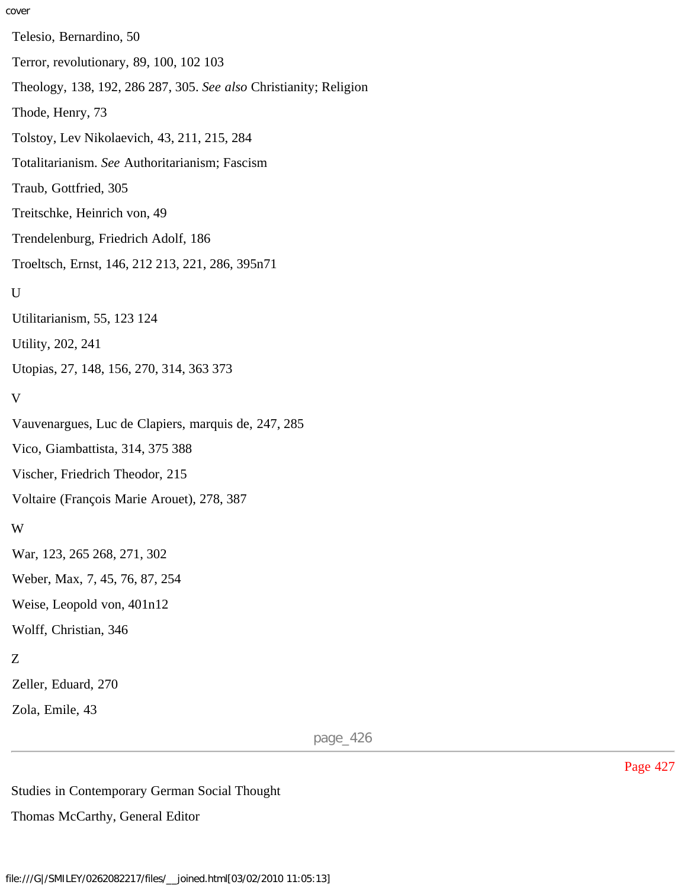Telesio, Bernardino, 50 Terror, revolutionary, 89, 100, 102 103 Theology, 138, 192, 286 287, 305. *See also* Christianity; Religion Thode, Henry, 73 Tolstoy, Lev Nikolaevich, 43, 211, 215, 284 Totalitarianism. *See* Authoritarianism; Fascism Traub, Gottfried, 305 Treitschke, Heinrich von, 49 Trendelenburg, Friedrich Adolf, 186 Troeltsch, Ernst, 146, 212 213, 221, 286, 395n71  $\mathbf{U}$ Utilitarianism, 55, 123 124 Utility, 202, 241 Utopias, 27, 148, 156, 270, 314, 363 373 V Vauvenargues, Luc de Clapiers, marquis de, 247, 285 Vico, Giambattista, 314, 375 388 Vischer, Friedrich Theodor, 215 Voltaire (François Marie Arouet), 278, 387 W War, 123, 265 268, 271, 302 Weber, Max, 7, 45, 76, 87, 254 Weise, Leopold von, 401n12 Wolff, Christian, 346 Z Zeller, Eduard, 270 Zola, Emile, 43

page\_426

Studies in Contemporary German Social Thought Thomas McCarthy, General Editor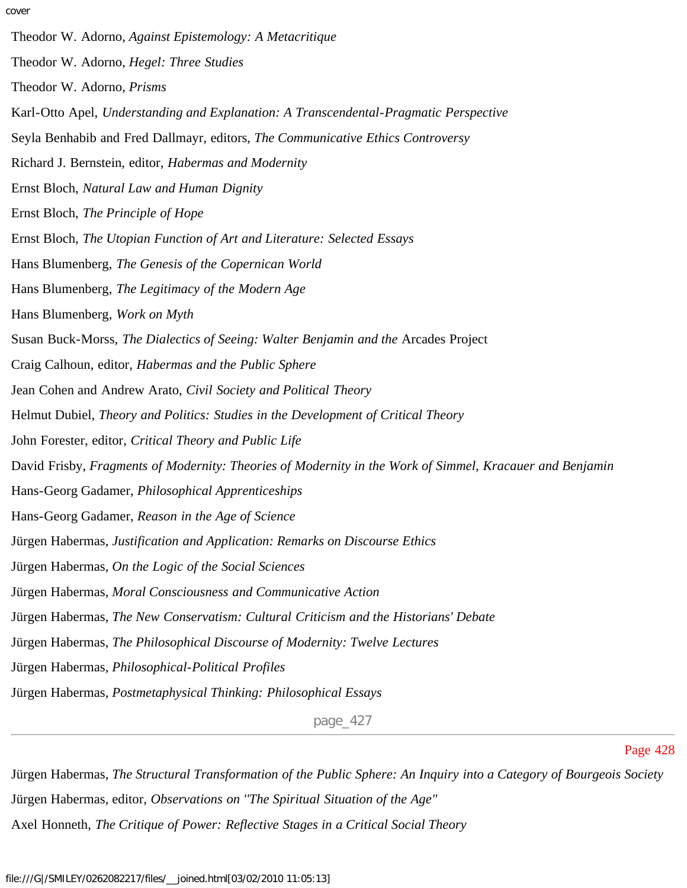Theodor W. Adorno, *Against Epistemology: A Metacritique* Theodor W. Adorno, *Hegel: Three Studies* Theodor W. Adorno, *Prisms* Karl-Otto Apel, *Understanding and Explanation: A Transcendental-Pragmatic Perspective* Seyla Benhabib and Fred Dallmayr, editors, *The Communicative Ethics Controversy* Richard J. Bernstein, editor, *Habermas and Modernity* Ernst Bloch, *Natural Law and Human Dignity* Ernst Bloch, *The Principle of Hope* Ernst Bloch, *The Utopian Function of Art and Literature: Selected Essays* Hans Blumenberg, *The Genesis of the Copernican World* Hans Blumenberg, *The Legitimacy of the Modern Age* Hans Blumenberg, *Work on Myth* Susan Buck-Morss, *The Dialectics of Seeing: Walter Benjamin and the* Arcades Project Craig Calhoun, editor, *Habermas and the Public Sphere* Jean Cohen and Andrew Arato, *Civil Society and Political Theory* Helmut Dubiel, *Theory and Politics: Studies in the Development of Critical Theory* John Forester, editor, *Critical Theory and Public Life* David Frisby, *Fragments of Modernity: Theories of Modernity in the Work of Simmel, Kracauer and Benjamin* Hans-Georg Gadamer, *Philosophical Apprenticeships* Hans-Georg Gadamer, *Reason in the Age of Science* Jürgen Habermas, *Justification and Application: Remarks on Discourse Ethics* Jürgen Habermas, *On the Logic of the Social Sciences* Jürgen Habermas, *Moral Consciousness and Communicative Action* Jürgen Habermas, *The New Conservatism: Cultural Criticism and the Historians' Debate* Jürgen Habermas, *The Philosophical Discourse of Modernity: Twelve Lectures* Jürgen Habermas, *Philosophical-Political Profiles* Jürgen Habermas, *Postmetaphysical Thinking: Philosophical Essays*

page\_427

Page 428

Jürgen Habermas, *The Structural Transformation of the Public Sphere: An Inquiry into a Category of Bourgeois Society* Jürgen Habermas, editor, *Observations on ''The Spiritual Situation of the Age"* Axel Honneth, *The Critique of Power: Reflective Stages in a Critical Social Theory*